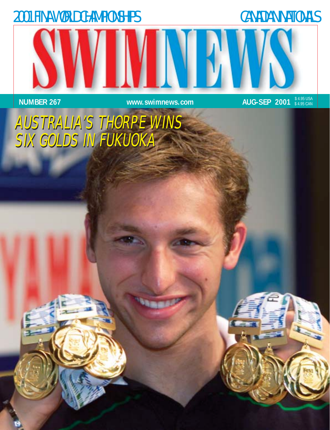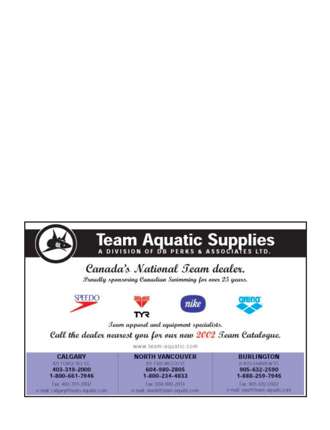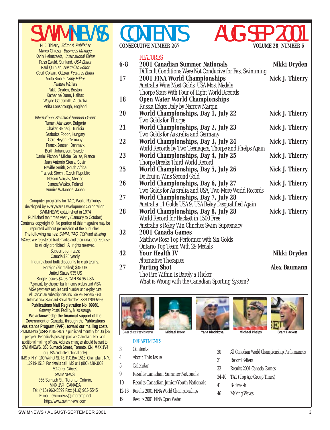Marco Chiesa, Business Manager Karin Helmstaedt, International Editor Russ Ewald, Sunland, USA Editor Paul Quinlan, Australian Editor Cecil Colwin, Ottawa, Features Editor Anita Smale, Copy Editor Feature Writers Nikki Dryden, Boston Katharine Dunn, Halifax Wayne Goldsmith, Australia Anita Lonsbrough, England

International Statistical Support Group: Rumen Atanasov, Bulgaria Chaker Belhadj, Tunisia Szabolcs Fodor, Hungary Gerd Heydn, Germany Franck Jensen, Denmark Berth Johansson, Sweden Daniel Pichon / Michel Salles, France Juan Antonio Sierra, Spain Neville Smith, South Africa Fratisek Stochl, Czech Republic Nelson Vargas, Mexico Janusz Wasko, Poland Sumire Watanabe, Japan

Computer programs for TAG, World Rankings developed by EveryWare Development Corporation. SWIMNEWS established in 1974 Published ten times yearly (January to October) Contents copyright © No portion of this magazine may be reprinted without permission of the publisher. The following names: SWIM, TAG, TOP and Making Waves are registered trademarks and their unauthorized use is strictly prohibited. All rights reserved. Subscription rates: Canada \$35 yearly Inquire about bulk discounts to club teams. Foreign (air mailed) \$45 US United States \$35 US Single issues \$4.95 CAN \$4.95 USA Payments by cheque, bank money orders and VISA VISA payments require card number and expiry date All Canadian subscriptions include 7% Federal GST International Standard Serial Number ISSN 1209-5966 **Publications Mail Registration No. 09981** Gateway Postal Facility, Mississauga. **We acknowledge the financial support of the Government of Canada, through the Publications Assistance Program (PAP), toward our mailing costs.** SWIMNEWS (USPS #015-207) is published monthly for US \$35 per year. Periodicals postage paid at Champlain, N.Y. and additional mailing offices. Address changes should be sent to: **SWIMNEWS, 356 Sumach Street, Toronto, ON, M4X 1V4** or (USA and International only) IMS of N.Y., 100 Walnut St. #3, P.O.Box 1518, Champlain, N.Y. 12919-1518. For details call: IMS at 1 (800) 428-3003 Editorial Offices: SWIMNEWS, 356 Sumach St., Toronto, Ontario, M4X 1V4, CANADA Tel: (416) 963-5599 Fax: (416) 963-5545 E-mail: swimnews@inforamp.net http://www.swimnews.com

## **CONSECUTIVE NUMBER 267**



#### **FEATURES**

| Difficult Conditions Were Not Conducive for Fast Swimming<br>2001 FINA World Championships<br>Australia Wins Most Golds, USA Most Medals<br>Thorpe Stars With Four of Eight World Rceords<br><b>Open Water World Championships</b><br>Russia Edges Italy by Narrow Margin<br>World Championships, Day 1, July 22<br>Two Golds for Thorpe<br>World Championships, Day 2, July 23<br>Two Golds for Australia and Germany<br>World Championships, Day 3, July 24<br>World Records by Two Teenagers, Thorpe and Phelps Again<br>World Championships, Day 4, July 25<br>Thorpe Breaks Third World Record | <b>Nick J. Thierry</b><br><b>Nick J. Thierry</b><br><b>Nick J. Thierry</b><br><b>Nick J. Thierry</b><br><b>Nick J. Thierry</b>                                                                                                                                                      |
|-----------------------------------------------------------------------------------------------------------------------------------------------------------------------------------------------------------------------------------------------------------------------------------------------------------------------------------------------------------------------------------------------------------------------------------------------------------------------------------------------------------------------------------------------------------------------------------------------------|-------------------------------------------------------------------------------------------------------------------------------------------------------------------------------------------------------------------------------------------------------------------------------------|
|                                                                                                                                                                                                                                                                                                                                                                                                                                                                                                                                                                                                     |                                                                                                                                                                                                                                                                                     |
|                                                                                                                                                                                                                                                                                                                                                                                                                                                                                                                                                                                                     |                                                                                                                                                                                                                                                                                     |
|                                                                                                                                                                                                                                                                                                                                                                                                                                                                                                                                                                                                     |                                                                                                                                                                                                                                                                                     |
|                                                                                                                                                                                                                                                                                                                                                                                                                                                                                                                                                                                                     |                                                                                                                                                                                                                                                                                     |
|                                                                                                                                                                                                                                                                                                                                                                                                                                                                                                                                                                                                     |                                                                                                                                                                                                                                                                                     |
|                                                                                                                                                                                                                                                                                                                                                                                                                                                                                                                                                                                                     |                                                                                                                                                                                                                                                                                     |
|                                                                                                                                                                                                                                                                                                                                                                                                                                                                                                                                                                                                     |                                                                                                                                                                                                                                                                                     |
|                                                                                                                                                                                                                                                                                                                                                                                                                                                                                                                                                                                                     |                                                                                                                                                                                                                                                                                     |
|                                                                                                                                                                                                                                                                                                                                                                                                                                                                                                                                                                                                     |                                                                                                                                                                                                                                                                                     |
|                                                                                                                                                                                                                                                                                                                                                                                                                                                                                                                                                                                                     |                                                                                                                                                                                                                                                                                     |
|                                                                                                                                                                                                                                                                                                                                                                                                                                                                                                                                                                                                     |                                                                                                                                                                                                                                                                                     |
|                                                                                                                                                                                                                                                                                                                                                                                                                                                                                                                                                                                                     |                                                                                                                                                                                                                                                                                     |
|                                                                                                                                                                                                                                                                                                                                                                                                                                                                                                                                                                                                     |                                                                                                                                                                                                                                                                                     |
|                                                                                                                                                                                                                                                                                                                                                                                                                                                                                                                                                                                                     |                                                                                                                                                                                                                                                                                     |
| World Championships, Day 5, July 26                                                                                                                                                                                                                                                                                                                                                                                                                                                                                                                                                                 | <b>Nick J. Thierry</b>                                                                                                                                                                                                                                                              |
| De Bruijn Wins Second Gold                                                                                                                                                                                                                                                                                                                                                                                                                                                                                                                                                                          |                                                                                                                                                                                                                                                                                     |
| World Championships, Day 6, July 27<br>Two Golds for Australia and USA, Two More World Records                                                                                                                                                                                                                                                                                                                                                                                                                                                                                                      | <b>Nick J. Thierry</b>                                                                                                                                                                                                                                                              |
| World Championships, Day 7, July 28                                                                                                                                                                                                                                                                                                                                                                                                                                                                                                                                                                 | <b>Nick J. Thierry</b>                                                                                                                                                                                                                                                              |
| Australia 11 Golds USA 9, USA Relay Disqualified Again                                                                                                                                                                                                                                                                                                                                                                                                                                                                                                                                              |                                                                                                                                                                                                                                                                                     |
| World Championships, Day 8, July 28                                                                                                                                                                                                                                                                                                                                                                                                                                                                                                                                                                 | <b>Nick J. Thierry</b>                                                                                                                                                                                                                                                              |
| World Record for Hackett in 1500 Free                                                                                                                                                                                                                                                                                                                                                                                                                                                                                                                                                               |                                                                                                                                                                                                                                                                                     |
| Australia's Relay Win Clinches Swim Supremacy                                                                                                                                                                                                                                                                                                                                                                                                                                                                                                                                                       |                                                                                                                                                                                                                                                                                     |
|                                                                                                                                                                                                                                                                                                                                                                                                                                                                                                                                                                                                     |                                                                                                                                                                                                                                                                                     |
|                                                                                                                                                                                                                                                                                                                                                                                                                                                                                                                                                                                                     |                                                                                                                                                                                                                                                                                     |
|                                                                                                                                                                                                                                                                                                                                                                                                                                                                                                                                                                                                     |                                                                                                                                                                                                                                                                                     |
|                                                                                                                                                                                                                                                                                                                                                                                                                                                                                                                                                                                                     | Nikki Dryden                                                                                                                                                                                                                                                                        |
|                                                                                                                                                                                                                                                                                                                                                                                                                                                                                                                                                                                                     |                                                                                                                                                                                                                                                                                     |
|                                                                                                                                                                                                                                                                                                                                                                                                                                                                                                                                                                                                     | <b>Alex Baumann</b>                                                                                                                                                                                                                                                                 |
|                                                                                                                                                                                                                                                                                                                                                                                                                                                                                                                                                                                                     |                                                                                                                                                                                                                                                                                     |
|                                                                                                                                                                                                                                                                                                                                                                                                                                                                                                                                                                                                     |                                                                                                                                                                                                                                                                                     |
|                                                                                                                                                                                                                                                                                                                                                                                                                                                                                                                                                                                                     | 2001 Canada Games<br>Matthew Rose Top Performer with Six Golds<br><b>Ontario Top Team With 29 Medals</b><br><b>Your Health IV</b><br><b>Alternative Therapies</b><br><b>Parting Shot</b><br>The Fire Within Is Barely a Flicker<br>What is Wrong with the Canadian Sporting System? |



#### **DEPARTMENTS**

- 3 Contents
- 4 About This Issue
- 5 Calendar
- 9 Results Canadian Summer Nationals
- 10 Results Canadian Junior/Youth Nationals
- 12-16 Results 2001 FINA World Championships
- 19 Results 2001 FINA Open Water
- 
- 30 All Canadian World Championship Performances
- 31 Record Setters
- 32 Results 2001 Canada Games
- 34-40 TAG (Top Age Group Times)
- 41 Backwash
- 46 Making Waves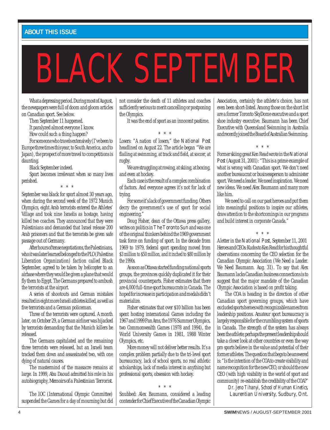#### **ABOUT THIS ISSUE**

# BLACK SEPTEMBER

What a depressing period. During most of August, the newspapers were full of doom and gloom articles on Canadian sport. See below.

Then September 11 happened.

It paralyzed almost everyone I know.

How could such a thing happen?

For someone who travels extensively (I've been to

Europe three times this year, to South America, and to Japan), the prospect of more travel to competitions is daunting.

Black September indeed.

Sport becomes irrelevant when so many lives perished. \* \* \*

September was black for sport almost 30 years ago, when during the second week of the 1972 Munich Olympics, eight Arab terrorists entered the Athletes' Village and took nine Israelis as hostage, having killed two coaches. They announced that they were Palestinians and demanded that Israel release 200 Arab prisoners and that the terrorists be given safe passage out of Germany.

After hours of tense negotiations, the Palestinians, who it was later learned belonged to the PLO (Palestine Liberation Organization) faction called Black September, agreed to be taken by helicopter to an airbase where they would be given a plane that would fly them to Egypt. The Germans prepared to ambush the terrorists at the airport.

A series of shootouts and German mistakes resulted in eight more Israeli athletes killed, as well as five terrorists and a German policeman.

Three of the terrorists were captured. A month later, on October 29, a German airliner was hijacked by terrorists demanding that the Munich killers be released.

The Germans capitulated and the remaining three terrorists were released, but an Israeli team tracked them down and assassinated two, with one dying of natural causes.

The mastermind of the massacre remains at large. In 1999, Abu Daoud admitted his role in his autobiography, *Memoirs of a Palestinian Terrorist.*

The IOC (International Olympic Committee) suspended the Games for a day of mourning but did

not consider the death of 11 athletes and coaches sufficiently serious to merit cancelling or postponing the Olympics.

It was the end of sport as an innocent pastime.

\* \* \*

Losers: "A nation of losers," the *National Post* headlined on August 22. The article began "We are flailing at swimming, at track and field, at soccer, at rugby.

We are struggling at rowing, at skiing, at boxing, and even at hockey.

Each case is the result of a complex combination of factors. And everyone agrees it's not for lack of trying.

For some it's lack of government funding. Others decry the government's use of sport for social engineering."

Doug Fisher, dean of the Ottawa press gallery, writes on politics in *The Toronto Sun* and was one of the original thinkers behind the 1969 government task force on funding of sport. In the decade from 1969 to 1979, federal sport spending moved from \$3 million to \$50 million, and it inched to \$80 million by the 1990s.

As soon as Ottawa started funding national sports groups, the provinces quickly duplicated it for their provincial counterparts. Fisher estimates that there are 4,000 full-time sport bureaucrats in Canada. The hoped for increase in participation and medals didn't materialize.

Fisher estimates that over \$10 billion has been spent hosting international Games including the 1967 and 1999 Pan Ams, the 1976 Summer Olympics, two Commonwealth Games (1978 and 1994), the World University Games in 1981, 1988 Winter Olympics, etc.

More money will not deliver better results. It's a complex problem partially due to the tri-level sport bureaucracy, lack of school sports, no real athletic scholarships, lack of media interest in anything but professional sports, obsession with hockey.

\* \* \*

Snubbed: Alex Baumann, considered a leading contender for Chief Executive of the Canadian Olympic Association, certainly the athlete's choice, has not even been short-listed. Among those on the short list are a former Toronto SkyDome executive and a sport shoe industry executive. Baumann has been Chief Executive with Queensland Swimming in Australia and recently joined the Board of Australian Swimming.

Former skiing great Ken Read wrote in the *National Post*(August 31, 2001): "This is a prime example of what is wrong with Canadian sport. We don't need another bureaucrat or businessperson to administer sport. We need a leader. We need inspiration. We need new ideas. We need Alex Baumann and many more like him.

\* \* \*

We need to call on our past heroes and put them into meaningful positions to inspire our athletes, draw attention to the shortcomings in our programs and build interest in corporate Canada."

\* \* \*

A letter in the *National Post*, September 11, 2001 Heroes and CEOs: Kudos to Ken Read for his thoughtful observations concerning the CEO selection for the Canadian Olympic Association (We Need a Leader. We Need Baumann. Aug. 31). To say that Alex Baumann lacks Canadian business connections is to suggest that the major mandate of the Canadian Olympic Association is based on profit taking.

The COA is heading in the direction of other Canadian sport governing groups, which have excluded sports heroes with recognizable names from leadership positions. Amateur sport bureaucracy is largely responsible for the crumbling system of sports in Canada. The strength of the system has always been the athlete; perhaps the present leadership should take a closer look at other countries or even the way pro sports believe in the value and potential of their former athletes. The question that begs to be answered is: "Is the intention of the COA to create visibility and name recognition for the new CEO, or should the new CEO (with high visibility in the world of sport and community) re-establish the credibility of the COA?"

> *Dr. Jeno Tihanyi, School of Human Kinetics, Laurentian University, Sudbury, Ont.*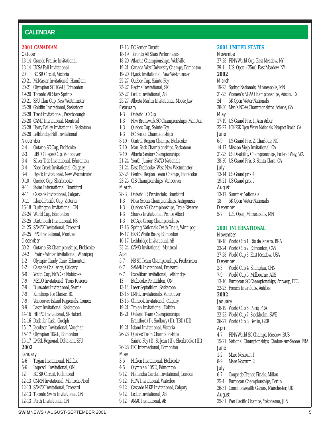#### **CALENDAR**

#### **2001 CANADIAN**

#### *October*

- 13-14 Grande Prairie Invitational 13-14 UCSA Fall Invitational 20 BC SR Circuit, Victoria 20-21 McMaster Invitational, Hamilton 20-21 Olympian SC 10&U, Edmonton 19-20 Toronto All Stars Sprints 20-21 SFU Clan Cup, New Westminster 25-28 Goldfin Invitational, Saskatoon 26-28 Trent Invitational, Peterborough 26-28 CAMO Invitational, Montreal 26-28 Harry Bailey Invitational, Saskatoon 26-28 Lethbridge Fall Invitational *November* 2-4 Ontario SC Cup, Etobicoke 2-3 UBC Colleges Cup, Vancouver 3-4 Silver Tide Invitational, Edmonton 3-4 Nose Creek Invitational, Calgary 3-4 Hyack Invitational, New Westminster 9-10 Quebec Cup, Sherbrooke 9-11 Swim International, Brantford 9-11 Cascade Invitational, Calgary 9-11 Island Pacific Cup, Victoria 16-18 Burlington Invitational, ON 23-24 World Cup, Edmonton 23-25 Dartmouth Invitational, NS 24-25 SAMAK Invitational, Brossard 24-25 PPO Invitational, Montreal *December* 30-2 Ontario SR Championships, Etobicoke 29-2 Prairie Winter Invitational, Winnipeg 1-2 Olympic Candy Cane, Edmonton 1-2 Cascade Challenge, Calgary 6-9 Youth Cup, NYAC at Etobicoke 7-9 MEGO Invitational, Trois-Rivieres 7-9 Bluewater Invitational, Sarnia 7-9 Kamloops Ice Classic, BC 7-9 Vancouver Island Regionals, Comox 8-9 Laser Invitational, Saskatoon 14-16 HIPPO Invitational, St-Hubert 14-16 Dash for Cash, Guelph 15-17 Jacobson Invitational, Vaughan 15-17 Olympian 10&U, Edmonton 15-17 LMRL Regional, Delta and SFU **2002** *January* 4-6 Trojan Invitational, Halifax 5-6 Ingersoll Invitational, ON 12 BC SR Circuit, Richmond 12-13 CNMN Invitational, Montreal-Nord 12-13 SAMAK Invitational, Brossard 12-13 Toronto Swim Invitational, ON 12-13 Perth Invitational, ON
- 12-13 BC Senior Circuit 18-19 Toronto All Stars Performance 18-20 Atlantic Championships, Wolfville 19-21 Canada West University Champs, Edmonton 19-20 Hyack Invitational, New Westminster 25-27 Quebec Cup, Sainte-Foy 25-27 Regina Invitational, SK 25-27 Leduc Invitational, AB 25-27 Alberta Marlin Invitational, Moose Jaw *February* 1-3 Ontario LC Cup 1-3 New Brunswick SC Championships, Moncton 1-3 Quebec Cup, Sainte-Foy 1-3 BC Senior Championships 8-10 Central Region Champs, Etobicoke 7-10 Man-Sask Championships, Saskatoon 7-10 Alberta Senior Championships 21-24 Youth, Junior, SWAD Nationals 21-24 East-Etobicoke, West-New Westminster 23-24 Central Region Team Champs, Etobicoke 23-25 CIS Championships, Vancouver *March* 28-3 Ontario JR Provincials, Brantford 1-3 Nova Scotia Championships, Antigonish 1-3 Quebec AG Championships, Trois-Rivieres 1-3 Sharks Invitational, Prince Albert 1-3 BC Age Group Championships 12-16 Spring Nationals Cwlth Trials, Winnipeg 16-17 EKSC White Bears, Edmonton 16-17 Lethbridge Invitational, AB 23-24 CAMO Invitational, Montreal *April* 5-7 NB SC Team Championships, Fredericton 6-7 SAMAK Invitational, Brossard 6-7 Excalibur Invitational, Lethbridge 13 Etobicoke Pentathlon, ON 13-14 Laser Septathlon, Saskatoon 13-15 LMRL Invitationals, Vancouver 13-15 Chinook Invitational, Calgary 19-21 Trojan Invitational, Halifax 19-21 Ontario Team Championships Brantford (I), Sudbury (II), TBD (III) 19-21 Island Invitational, Victoria 26-28 Quebec Team Championships Sainte-Foy (I), St-Jean (II), Sherbrooke (III) 26-28 EKI International, Edmonton *May* 3-5 Hicken Invitational, Etobicoke 4-5 Olympian 10&U, Edmonton 9-12 Hollandia Garden Invitational, London 9-12 ROW Invitational, Waterloo 9-12 Cascade NIKE Invitational, Calgary
	- 9-12 Leduc Invitational, AB
	- 9-12 AMAC Invitational, AB

#### **2001 UNITED STATES** *November* 27-28 FINA World Cup, East Meadow, NY 29-1 U.S. Open, (25m) East Meadow, NY **2002** *March* 19-23 Spring Nationals, Minneapolis, MN 21-23 Women's NCAA Championships, Austin, TX 24 5K Open Water Nationals 28-30 Men's NCAA Championships, Athens, GA *May* 17-19 US Grand Prix 1, Ann Arbor 25-27 10K-25K Open Water Nationals, Newport Beach. CA *June* 6-9 US Grand Prix 2, Charlotte, NC 14-17 Mission Viejo Invitational, CA 21-23 US Disability Championships, Federal Way, WA 28-30 US Grand Prix 3, Santa Clara, CA *July* 13-14 US Grand prix 4 19-21 US Grand prix 5 *August* 13-17 Summer Nationals 18 5K Open Water Nationals *December* 5-7 U.S. Open, Minneapolis, MN **2001 INTERNATIONAL** *November* 16-18 World Cup 1, Rio de Janeiro, BRA 23-24 World Cup 2, Edmonton, CAN 27-28 World Cup 3, East Meadow, USA *December* 2-3 World Cup 4, Shanghai, CHN 7-9 World Cup 5, Melbourne, AUS 13-16 European SC Championships, Antwerp, BEL 22-23 French Interclubs, Antibes **2002** *January* 18-19 World Cup 6, Paris, FRA 22-23 World Cup 7, Stockholm, SWE 26-27 World Cup 8, Berlin, GER *April* 4-7 FINA World SC Champs, Moscow, RUS 15-21 National Championships, Chalon-sur-Saone, FRA *June* 1-2 Mare Nostrum 1 8-9 Mare Nostrum 2 *July* 6-7 Coupe de France Finals, Millau 25-4 European Championships, Berlin 26-31 Commonwealth Games, Manchester, UK *August*

25-31 Pan Pacific Champs, Yokohama, JPN

**SWIM**NEWS / AUGUST-SEPTEMBER 2001 5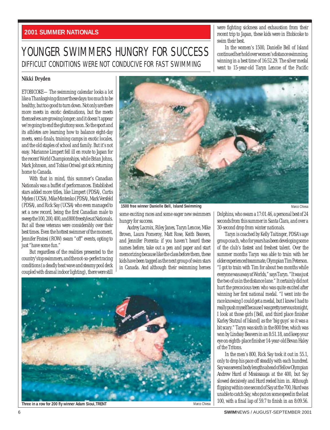#### **2001 SUMMER NATIONALS**

### YOUNGER SWIMMERS HUNGRY FOR SUCCESS DIFFICULT CONDITIONS WERE NOT CONDUCIVE FOR FAST SWIMMING

were fighting sickness and exhaustion from their recent trip to Japan, these kids were in Etobicoke to swim their best.

In the women's 1500, Danielle Bell of Island continued her hold over women's distance swimming, winning in a best time of 16:52.29. The silver medal went to 15-year-old Taryn Lencoe of the Pacific

#### **Nikki Dryden**

ETOBICOKE—The swimming calendar looks a lot like a Thanksgiving dinner these days: too much to be healthy, but too good to turn down. Not only are there more meets in exotic destinations, but the meets themselves are growing longer; and it doesn't appear we're going to end the gluttony soon. So the sport and its athletes are learning how to balance eight-day meets, semi-finals, training camps in exotic locales, and the old staples of school and family. But it's not easy. Marianne Limpert fell ill en route to Japan for the recent World Championships, while Brian Johns, Mark Johnson, and Tobias Oriwal got sick returning home to Canada.

With that in mind, this summer's Canadian Nationals was a buffet of performances. Established stars added more titles, like Limpert (PDSA), Curtis Myden (UCSA), Mike Mintenko (PDSA), Mark Versfeld (PDSA), and Rick Say (UCSA) who even managed to set a new record, being the first Canadian male to sweep the 100, 200, 400, and 800 freestyles at Nationals. But all these veterans were considerably over their best times. Even the hottest swimmer of the moment, Jennifer Fratesi (ROW) swam "off" events, opting to just "have some fun."

But regardless of the realities presented to the country's top swimmers, and the not-so-perfect racing conditions (a deadly heat wave and steamy pool deck coupled with dismal indoor lighting), there were still



**1500 free winner Danielle Bell, Island Swimming**

Marco Chiesa

some exciting races and some eager new swimmers hungry for success.

Audrey Lacroix, Riley Janes, Taryn Lencoe, Mike Brown, Laura Pomeroy, Matt Rose, Keith Beavers, and Jennifer Porenta: if you haven't heard these names before, take out a pen and paper and start memorizing because like the class before them, these kids have been tagged as the next group of swim stars in Canada. And although their swimming heroes Dolphins, who swam a 17:01.46, a personal best of 24 seconds from this summer in Santa Clara, and over a 30-second drop from winter nationals.

Taryn is coached by Kelly Taitinger, PDSA's age group coach, who for years has been developing some of the club's fastest and freshest talent. Over the summer months Taryn was able to train with her older experienced teammate, Olympian Tim Peterson. "I got to train with Tim for about two months while everyone was away at Worlds," says Taryn. "It was just the two of us in the distance lane." It certainly did not hurt the precocious teen who was quite excited after winning her first national medal. "I went into the race knowing I could get a medal, but I knew I had to really push myself because I was pretty nervous tonight, I look at those girls [Bell, and third place finisher Karley Stutzul of Island] as the 'big guys' so it was a bit scary." Taryn was sixth in the 800 free, which was won by Lindsay Beavers in an 8:51.18, and keep your eye on eighth-place finisher 14-year-old Bevan Haley of the Tritons.

In the men's 800, Rick Say took it out in 55.1, only to drop his pace off steadily with each hundred. Say was several body lengths ahead of fellow Olympian Andrew Hurd of Mississauga at the 400, but Say slowed decisively and Hurd reeled him in. Although flipping within one second of Say at the 700, Hurd was unable to catch Say, who put on some speed in the last 100, with a final lap of 59.7 to finish in an 8:09.56.



**Three in a row for 200 fly winner Adam Sioui,TRENT**

6 **SWIM**NEWS / AUGUST-SEPTEMBER 2001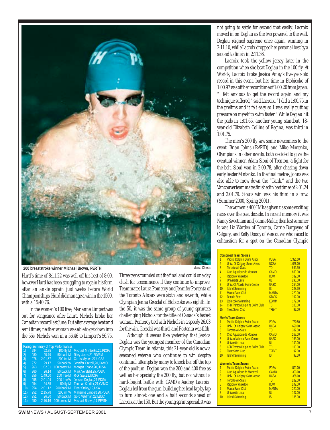

**200 breaststroke winner Michael Brown, PERTH**

Hurd's time of 8:11.22 was well off his best of 8:00, however Hurd has been struggling to regain his form after an ankle sprain just weeks before World Championships. Hurd did manage a win in the 1500, with a 15:40.76.

In the women's 100 free, Marianne Limpert was out for vengeance after Laura Nichols broke her Canadian record last June. But after average heat and semi times, neither woman was able to get down into the 55s. Nichols won in a 56.46 to Limpert's 56.75.

|              |     |         | Rating Summary of Top Performances |                            |
|--------------|-----|---------|------------------------------------|----------------------------|
| 1)           | 984 | 52.85   | 100 fly M                          | Michael Mintenko, 25, PDSA |
| $\mathbf{2}$ | 980 | 25.79   | 50 back M                          | Riley Janes, 21, ESWIM     |
| 3)           | 976 | 2:01.67 | 200 im M                           | Curtis Myden, 27, UCSA     |
| 4)           | 972 | 29.17   | 50 back W                          | Jennifer Carroll.20.CAMO   |
| 5)           | 963 | 1:02.31 | 100 breast M                       | Morgan Knabe, 20, UCSA     |
| 6)           | 960 | 26.14   | 50 back M                          | Mark Versfeld.25.PDSA      |
| 7)           | 956 | 1:49.60 | 200 free M                         | Rick Say, 22, UCSA         |
| $ 8\rangle$  | 955 | 2:01.04 | 200 free W                         | Jessica Deglau, 21, PDSA   |
| 9)           | 954 | 24.55   | 50 fly M                           | Thomas Kindler, 21, CAMO   |
| 10)          | 954 | 2:01.12 | 200 back M                         | Trent Staley, 19, USA      |
| 11)          | 952 | 2:15.78 | 200 im W                           | Marianne Limpert, 28, PDSA |
| 12)          | 951 | 26.30   | 50 back M                          | Gord Veldman, 22, EBSC     |
| 13)          | 950 | 2:16.16 | 200 breast M                       | Michael Brown.17.PERTH     |

Marco Chiesa

Three teens rounded out the final and could one day clash for preeminence if they continue to improve. Teammates Laura Pomeroy and Jennifer Portenta of the Toronto Allstars were sixth and seventh, while Olympian Jenna Gresdal of Etobicoke was eighth. In the 50, it was the same group of young sprinters challenging Nichols for the title of Canada's fastest woman. Pomeroy tied with Nichols in a speedy 26.03 for the win, Gresdal was third, and Portenta was fifth.

Although it seems like yesterday that Jessica Deglau was the youngest member of the Canadian Olympic Team in Atlanta, this 21-year-old is now a seasoned veteran who continues to win despite continual attempts by many to knock her off the top of the podium. Deglau won the 200 and 400 free as well as her specialty the 200 fly, but not without a hard-fought battle with CAMO's Audrey Lacroix. Deglau led from the gun, building her lead lap by lap to turn almost one and a half seconds ahead of Lacroix at the 150. But the young sprint specialist was

not going to settle for second that easily. Lacroix moved in on Deglau as the two powered to the wall. Deglau reigned supreme once again, winning in 2:11.10, while Lacroix dropped her personal best by a second to finish in 2:11.36.

Lacroix took the yellow jersey later in the competition when she beat Deglau in the 100 fly. At Worlds, Lacroix broke Jessica Amey's five-year-old record in this event, but her time in Etobicoke of 1:00.97 was off her record time of 1:00.20 from Japan. "I felt anxious to get the record again and my technique suffered," said Lacroix. "I did a 1:00.75 in the prelims and it felt easy so I was really putting pressure on myself to swim faster." While Deglau hit the pads in 1:01.65, another young standout, 18 year-old Elizabeth Collins of Regina, was third in 1:01.75.

The men's 200 fly saw some newcomers to the event. Brian Johns (RAPID) and Mike Mintenko, Olympians in other events, both decided to give the eventual winner, Adam Sioui of Trenton, a fight for the belt. Sioui won in 2:00.78, after chasing down early leader Mintenko. In the final metres, Johns was also able to mow down the "Tank," and the two Vancouver teammates finished in best times of 2:01.24 and 2:01.79. Siou's win was his third in a row. (Summer 2000, Spring 2001).

The women's 400 IM has given us some exciting races over the past decade. In recent memory it was Nancy Sweetnam and Joanne Malar, then last summer is was Liz Warden of Toronto, Carrie Burgoyne of Calgary, and Kelly Doody of Vancouver who raced to exhaustion for a spot on the Canadian Olympic

|                  | <b>Combined Team Scores</b>           |                |          |
|------------------|---------------------------------------|----------------|----------|
| 1                | <b>Pacific Dolphin Swim Assoc</b>     | <b>PDSA</b>    | 1.321.50 |
| $\overline{2}$   | Univ. Of Calgary Swim Assoc           | <b>UCSA</b>    | 1.028.00 |
| $\overline{3}$   | <b>Toronto All-Stars</b>              | T <sub>0</sub> | 669.50   |
| $\overline{4}$   | Club Aquatique de Montreal            | CAMO           | 660.00   |
| 5                | <b>Region of Waterloo</b>             | <b>ROW</b>     | 332.00   |
| $\overline{7}$   | Universite Laval                      | III            | 296.00   |
| $\overline{8}$   | <b>Univ. Of Alberta Swim Centre</b>   | <b>UASC</b>    | 254.00   |
| 10               | <b>Island Swimming</b>                | IS.            | 228.50   |
| $11 -$           | <b>Manta Swim Club</b>                | <b>MANTA</b>   | 220.00   |
| $12 -$           | Dorado Stars                          | <b>STARS</b>   | 192.00   |
| $13 -$           | <b>Etobicoke Swimming</b>             | <b>FSWIM</b>   | 179.00   |
| 14               | <b>CFB Trenton Dolphins Swim Club</b> | <b>TD</b>      | 100.00   |
| 15 <sup>15</sup> | <b>Trent Swim Club</b>                | <b>TRENT</b>   | 97.00    |
|                  |                                       |                |          |
|                  | <b>Men's Team Scores</b>              |                |          |
| 1                | <b>Pacific Dolphin Swim Assoc</b>     | <b>PDSA</b>    | 730.50   |
| $\overline{2}$   | Univ. Of Calgary Swim Assoc.          | <b>UCSA</b>    | 690.00   |
| $\overline{3}$   | <b>Toronto All-Stars</b>              | T()            | 387.50   |
| $\overline{4}$   | Club Aquatique de Montreal            | CAMO           | 267.00   |
| 5                | <b>Univ. of Alberta Swim Centre</b>   | <b>UASC</b>    | 163.00   |
| $\overline{6}$   | Universite Laval                      | III            | 149.00   |
| $\overline{8}$   | <b>CFB Trenton Dolphins Swim Club</b> | <b>TD</b>      | 100.00   |
| 9                | <b>Trent Swim Club</b>                | <b>TRENT</b>   | 97.00    |
| 10               | <b>Island Swimming</b>                | IS.            | 93.50    |
|                  |                                       |                |          |
|                  | <b>Women's Team Scores</b>            |                |          |
| 1                | <b>Pacific Dolphin Swim Assoc</b>     | <b>PDSA</b>    | 591.00   |
| $\overline{2}$   | Club Aquatique de Montreal            | CAMO           | 393.00   |
| $\overline{3}$   | Univ. Of Calgary Swim Assoc.          | <b>UCSA</b>    | 338.00   |
| $\overline{4}$   | <b>Toronto All-Stars</b>              | T <sub>0</sub> | 282.00   |
| 5                | <b>Region of Waterloo</b>             | <b>ROW</b>     | 242.00   |
| $\overline{7}$   | <b>Manta Swim Club</b>                | <b>MANTA</b>   | 220.00   |
| $\overline{8}$   | Universite Laval                      | III            | 147.00   |
| 10               | <b>Island Swimming</b>                | IS.            | 135.00   |
|                  |                                       |                |          |
|                  |                                       |                |          |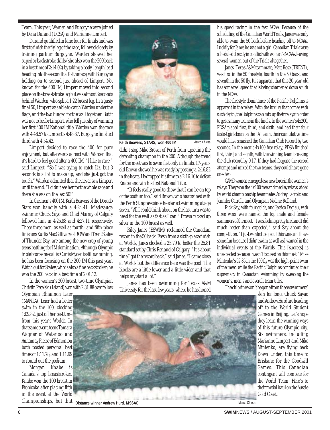Team. This year, Warden and Burgoyne were joined by Dena Durand (UCSA) and Marianne Limpert.

Durand qualified in lane four for finals and was first to finish the fly leg of the race, followed closely by training partner Burgoyne. Warden showed her superior backstroke skills (she also won the 200 back in a best time of 2:14.02) by taking a body-length lead heading into the second half of the race, with Burgoyne holding on to second just ahead of Limpert. Not known for the 400 IM, Limpert moved into second place on the breaststroke leg but was almost 3 seconds behind Warden, who split a 1:22 breast leg. In a gusty final 50, Limpert was able to catch Warden under the flags, and the two lunged for the wall together. But it was not to be for Limpert, who fell just shy of winning her first 400 IM National title. Warden won the race with 4:48.57 to Limpert's 4:48.87. Burgoyne finished third with 4:54.42.

Limpert decided to race the 400 for pure enjoyment, but afterwards agreed with Warden that it's hard to feel good after a 400 IM. "I like to race," said Limpert, "So I was trying to catch Liz, but 3 seconds is a lot to make up, and she just got the touch." Warden admitted that she never saw Limpert until the end. "I didn't see her for the whole race and there she was on the last 50!"

In the men's 400 IM, Keith Beavers of the Dorado Stars won handily with a 4:24.41. Mississauga swimmer Chuck Sayo and Chad Murray of Calgary followed him in 4:25.88 and 4:27.11 respectively. These three men, as well as fourth- and fifth-place finishers Kurtis MacGillivary of ROW and Trent Staley of Thunder Bay, are among the new crop of young teens battling for IM domination. Although Olympic triple bronze medallist Curtis Myden is still swimming, he has been focusing on the 200 IM this past year. Watch out for Staley, who is also a fine backstroker; he won the 200 back in a best time of 2:01.12.

In the women's 200 breast, two-time Olympian Christin Petelski (Island) won with 2:31.88 over fellow

Olympian Rhiannon Leier (MANTA). Leier had a better swim in the 100, clocking 1:09.82, just off her best time from this year's Worlds. In that same event, teens Tamara Wagner of Waterloo and Annamay Pierse of Edmonton both posted personal best times of 1:11.78, and 1:11.99 to round out the podium.

Morgan Knabe is Canada's top breaststroker. Knabe won the 100 breast in Etobicoke after placing fifth in the event at the World Championships, but that



**Keith Beavers, STARS, won 400 IM.**

didn't stop Mike Brown of Perth from upsetting the defending champion in the 200. Although the trend for the meet was to swim fast only in finals, 17-yearold Brown showed he was ready by posting a 2:16.82 in the heats. He dropped his time to a 2:16.16 to defeat Knabe and win his first National Title.

Marco Chiesa

"It feels really good to show that I can be on top of the podium too," said Brown, who has trained with the Perth Stingrays since he started swimming at age seven. "All I could think about on the last turn was to head for the wall as fast as I can." Brown picked up silver in the 100 breast as well.

Riley Janes (ESWIM) reclaimed the Canadian record in the 50 back. Fresh from a sixth-place finish at Worlds, Janes clocked a 25.79 to better the 25.81 standard set by Chris Renaud of Calgary. "It's about time I got the record back," said Janes. "I came close at Worlds but the difference here was the pool. The blocks are a little lower and a little wider and that helps my start a lot."

Janes has been swimming for Texas A&M University for the last few years, where he has honed his speed racing in the fast NCAA. Because of the scheduling of the Canadian World Trials, Janes was only able to swim the 50 back before heading off to NCAAs. Luckily for Janes he was not a girl. Canadian Trials were scheduled directly in conflict with women's NCAAs, leaving several women out of the Trials altogether.

Janes' Texas A&M teammate, Matt Rose (TRENT), was first in the 50 freestyle, fourth in the 50 back, and seventh in the 50 fly. It is apparent that this 20-year-old has some real speed that is being sharpened down south in the NCAA.

The freestyle dominance of the Pacific Dolphins is apparent in the relays. With the luxury that comes with such depth, the Dolphins can mix up their relays in order to get as many teams in the finals. In the women's 4x200, PDSA placed first, third, and sixth, and had their four fastest girls been on the "A" team, their cumulative time would have smashed the Canadian Club Record by two seconds. In the men's 4x100 free relay, PDSA finished first, third, and eighth, with the winning team breaking the club record by 0.17. If they had forgone the record attempt and mixed the two teams, they could have gone one-two.

CAMO women emerged as a new force in the women's relays. They won the 4x100 free and medley relays, aided by world championship teammates Audrey Lacroix and Jennifer Carroll, and Olympian Nadine Rolland.

Rick Say, with four golds, and Jessica Deglau, with three wins, were named the top male and female swimmers of the meet. "I was feeling pretty tired and I did much better than expected," said Say about the competition. "I just wanted to go out this week and have some fun because I didn't swim as well as I wanted in the individual events at the Worlds. This [success] is unexpected because I wasn't focused on this meet." Mike Mintenko's 52.85 in the 100 fly was the high-point swim of the meet, while the Pacific Dolphins continued their supremacy in Canadian swimming by sweeping the women's, men's and overall team titles.

The chlorine won't be gone from these swimmers'

skin for long. Chuck Sayao and Andrew Hurd are heading off to the World Student Games in Beijing. Let's hope they learn the winning ways of this future Olympic city. Six swimmers, including Marianne Limpert and Mike Mintenko, are flying back Down Under, this time to Brisbane for the Goodwill Games. This Canadian contingent will compete for the World Team. Here's to their medal haul on the Aussie Gold Coast.

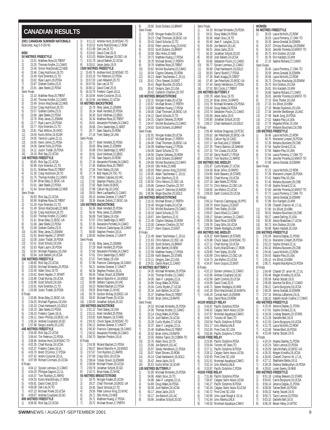#### **CANADIAN RESULTS**

| 2001 CANADIAN SUMMER NATIONALS                                                                                    | 2)<br>8:11.22 Andrew Hurd, 18, MSSAC-TO                                                                    |
|-------------------------------------------------------------------------------------------------------------------|------------------------------------------------------------------------------------------------------------|
| Etobicoke, Aug 5-9 (50 M)                                                                                         | 3)<br>8:20.52 Kurtis MacGillivary, 17, ROW<br>4)<br>8:21.99 Dan Lee, 24, TO                                |
| <b>MEN</b>                                                                                                        | 5)<br>8:24.82 David Creel, 20, IS                                                                          |
| <b>50 METRES FREESTYLE</b>                                                                                        | 6)<br>8:31.03 Robbie Stanger, 20, OSC-UA                                                                   |
| 1)<br>23.01 Matthew Rose, 20, TRENT<br>$\overline{2}$<br>23.20 Thomas Kindler, 21, CAMO                           | 7)<br>8:31.79 Jarrod Ballem, 22, UCSA<br>8:35.01 Jesse Jacks, 19, IS<br>8)                                 |
| 3)<br>23.46 Simon MacDonald, 22, NKB                                                                              | 1500 METRES FREESTYLE                                                                                      |
| $\begin{pmatrix} 4 \\ 5 \end{pmatrix}$                                                                            | 1)                                                                                                         |
| 23.46 Craig Hutchison, 26, TO                                                                                     | 15:40.76 Andrew Hurd, 18, MSSAC-TO                                                                         |
| 23.49 Kyle Smerdon, 21, TO<br>6)<br>23.82 Ryan Laurin, 26, PDSA                                                   | 2)<br>15:53.16 Tim Peterson, 22, PDSA<br>3)<br>15:57.03 Liam Weseloh, 26, 10                               |
| 7)                                                                                                                | 4)                                                                                                         |
| 23.87 Graham Duthie, 23, IS                                                                                       | 16:07.55 Dan Lee, 24, TO                                                                                   |
| 8)<br>23.91 Jake Steele, 22, PDSA<br>Semi Finals                                                                  | 5)<br>16:08.12 David Creel, 20, IS<br>6)<br>16:10.79 Frederic Cayen, 18, UL                                |
| 1)                                                                                                                | 7)                                                                                                         |
| 23.10 Matthew Rose, 20, TRENT                                                                                     | 16:10.84 Andre Couturier, 20, UL                                                                           |
| $\frac{2}{3}$                                                                                                     | 8)                                                                                                         |
| 23.40 Thomas Kindler, 21, CAMO                                                                                    | 16:10.94 Joe Melton, 22, UCSA                                                                              |
| 23.49 Simon MacDonald, 22, NKB<br>23.54 Craig Hutchison, 26, TO                                                   | 50 METRES BACKSTROKE<br>1)<br>25.79 Riley Janes, 21, ESWIM                                                 |
| $\begin{pmatrix} 4 \\ 5 \end{pmatrix}$                                                                            | 2)                                                                                                         |
| 23.57 Graham Duthie, 23, IS                                                                                       | 26.14 Mark Versfeld, 25, PDSA                                                                              |
| 6)<br>23.66 Jake Steele, 22, PDSA<br>23.76 Riley Janes, 21, ESWIM                                                 | 3)<br>26.30 Gord Veldman, 22, EBSC<br>4)<br>26.34 Matthew Rose, 20, TRENT                                  |
| $\begin{array}{c} 7 \choose 8 \end{array}$                                                                        | 5)                                                                                                         |
| 23.77 Ryan Laurin, 26, PDSA                                                                                       | 26.61 Alexandre Pichette, 24, CAMO                                                                         |
| 9)                                                                                                                | 6)                                                                                                         |
| 23.77 Kyle Smerdon, 21, TO                                                                                        | 26.66 Chris Sawbridge, 21, NRST                                                                            |
| 10)                                                                                                               | 7)                                                                                                         |
| 23.81 Paul Wilkins, 19, VKSC                                                                                      | 26.77 Sean Sepulis, 24, ROW                                                                                |
| 24.04 Kurtis Miller, 16, SCAR                                                                                     | 8)                                                                                                         |
| 11)                                                                                                               | 27.18 Trent Staley, 19, USA                                                                                |
| 12)<br>24.05 Yannick Lupien, 21, UL                                                                               | Semi Finals                                                                                                |
| 13)<br>24.05 Kevin Johns, 21, PDSA<br>24.06 Garret Pulle, 23, PDSA<br>14)                                         | 1)<br>26.77 Mark Versfeld, 25, PDSA                                                                        |
| 15)<br>24.12 Justin Tisdall, 19, PDSA                                                                             | 2)<br>26.83 Riley Janes, 21, ESWIM<br>3)<br>26.88 Chris Sawbridge, 21, NRS I                               |
| 24.16 Rick Say, 22, UCSA                                                                                          | 4)                                                                                                         |
| 16)                                                                                                               | 26.91 Gord Veldman, 22, EBSC                                                                               |
| <b>100 METRES FREESTYLE</b><br>1)<br>50.85 Rick Say, 22, UCSA                                                     | 5)<br>27.06 Sean Sepulis, 24, ROW<br>6)<br>27.16 Alexandre Pichette, 24, CAMO                              |
| 50.98 Kyle Smerdon, 21, TO                                                                                        | 7)<br>27.40 Matthew Rose, 20, TRENT                                                                        |
| 2)<br>3)                                                                                                          | 8)                                                                                                         |
| 51.01 Matthew Rose, 20, TRENT                                                                                     | 27.56 Trent Staley, 19, USA                                                                                |
| 4)<br>51.36 Craig Hutchison, 26, IO<br>51.75 Thomas Kindler, 21, CAMO                                             | 9)<br>27.74 Bob Hayes, 24, 1SC-10<br>10)<br>27.78 Stefano Caprara, 18, VAC                                 |
| $\begin{array}{c} 5 \choose 6 \end{array}$                                                                        | 11)                                                                                                        |
| 51.84 Brian Edey, 21, EKSC-UA                                                                                     | 27.81 Stephen Preston, 19, UL                                                                              |
| 7)<br>51.91 Jake Steele, 22, PUSA<br>8)                                                                           | 12)<br>27.82 Ryan Dube,18,EKSC                                                                             |
| 51.94 Simon MacDonald, 22, NKB<br>Semi Finals                                                                     | 13)<br>27.89 Callum Ng, 16, CASC<br>28.03 Remi Lachapelle, 21, CAMO<br>14)                                 |
| 1)                                                                                                                | 15)                                                                                                        |
| 50.93 Rick Say, 22, UCSA                                                                                          | 28.10 Andrew Greener, 17, UNAI I                                                                           |
| 2)<br>50.99 Matthew Rose, 20, TRENT<br>З)<br>51.29 Kyle Smerdon, 21, TO                                           | 28.36 Maciek Zielnik, 17, EKSC-UA<br>16)<br><b>100 METRES BACKSTROKE</b>                                   |
| 4)                                                                                                                | 1)                                                                                                         |
| 51.49 Simon MacDonald, 22, NKB                                                                                    | 56.34 Mark Versfeld, 25, PDSA                                                                              |
| $\begin{array}{c} 5 \\ 6 \end{array}$                                                                             | $\frac{2}{3}$                                                                                              |
| 51.56 Craig Hutchison, 26, TO                                                                                     | 56.42 Riley Janes, 21, ESWIM                                                                               |
| 51.60 Thomas Kindler, 21, CAMO                                                                                    | 56.89 Trent Staley, 19, USA                                                                                |
| 7)                                                                                                                | 4)                                                                                                         |
| 51.61 Brian Edey, 21, EKSC-UA                                                                                     | 57.07 Chris Sawbridge, 21, NRS I                                                                           |
| 8)                                                                                                                | 5)                                                                                                         |
| 51.66 Jake Steele, 22, PDSA                                                                                       | 57.35 Alexandre Pichette, 24, CAMO                                                                         |
| 9)                                                                                                                | 6)                                                                                                         |
| 51.68 Graham Duthie, 23, IS                                                                                       | 58.13 Francois Castonguay, 18, CAMO                                                                        |
| 10)                                                                                                               | 7)                                                                                                         |
| 51.86 Riley Janes, 21, ESWIM                                                                                      | 58.90 Stephen Preston, 19, UL                                                                              |
| 11)                                                                                                               | 8)                                                                                                         |
| 51.91 Brent Hayden, 17, SPART                                                                                     | 1:00.60 Andrew Greener, 17, UNATT                                                                          |
| 52.08 Justin Tisdall, 19, PDSA<br>12)<br>13)<br>52.41 Scott Schultz, 19, USA                                      | Semi Finals<br>1)<br>57.06 Riley Janes, 21, ESWIM                                                          |
| (14)                                                                                                              | $\frac{2}{3}$                                                                                              |
| 52.63 Ryan Laurin, 26, PDSA                                                                                       | 57.29 Mark Versfeld, 25, PDSA                                                                              |
| 15)<br>52.64 Michael Pigassou, 19, USA<br>16)<br>52.84 Josh Ballem, 24, UCSA                                      | 57.60 Alexandre Pichette, 24, CAMO<br>4)<br>57.61 Chris Sawbridge, 21, NRST                                |
| 200 METRES FREESTYLE                                                                                              | 57.67 Trent Staley, 19, USA                                                                                |
| 1)                                                                                                                | $\begin{array}{c} 5 \choose 6 \end{array}$                                                                 |
| 1:49.60 Rick Say, 22, UCSA                                                                                        | 57.99 Francois Castonguay, 18, CAMO                                                                        |
| 2)                                                                                                                | 7)                                                                                                         |
| 1:50.65 Michael Mintenko, 25, PDSA                                                                                | 58.21 Andrew Greener, 17, UNATT                                                                            |
| 1:52.40 Adam Sioui, 19, TD                                                                                        | 8)                                                                                                         |
| 3)<br>4)                                                                                                          | 58.34 Stephen Preston, 19, UL<br>58.45 Tobias Oriwol, 16, ESWIM                                            |
| 1:53.62 Brent Hayden, 17, SPART                                                                                   | 9)                                                                                                         |
| 5)                                                                                                                | 10)                                                                                                        |
| 1:53.86 Chad Murray, 19, UCSA                                                                                     | 58.94 Benoit Banville-A., 18, MEGO                                                                         |
| 6)                                                                                                                | 11)                                                                                                        |
| 1:53.88 Scott Schultz, 19, USA                                                                                    | 58.99 Stefano Caprara, 18, VAC                                                                             |
| 1:53.91 Kyle Smerdon, 21, TO                                                                                      | 12)                                                                                                        |
| I)                                                                                                                | 59.23 Roland Bauhart, 21, PDSA                                                                             |
| 8)                                                                                                                | 13)                                                                                                        |
| 1:53.99 Justin Tisdall, 19, PDSA                                                                                  | 59.55 Brian Keats, 21, NYAC                                                                                |
| <b>B</b> Finals<br>1)<br>1:53.86 Brian Edey, 21, EKSC-UA                                                          | 14)<br>59.79 Gordon McKay, 20, EKSC-UA<br>59.92 Michael Power, 20, UCSA<br>15)                             |
| 2)                                                                                                                | 16)                                                                                                        |
| 1:54.25 Michael Pigassou, 19, USA                                                                                 | 1:00.50 Jonathan Schjott, 20, GO                                                                           |
| $\frac{3}{4}$<br>1:55.33 Chad Hankewich, 19, GOLD<br>1:55.33 Jake Steele, 22, PDSA                                | <b>200 METRES BACKSTROKE</b><br>2:01.12 Trent Staley, 19, USA<br>1)                                        |
| $\begin{array}{c} 5 \choose 6 \end{array}$                                                                        | 2)                                                                                                         |
| 1:56.10 Frederic Cayen, 18, UL                                                                                    | 2:01.51 Mark Versfeld, 25, PDSA                                                                            |
| 1:56.11 Devin Phillips, 16, EKSC-UA                                                                               | $\begin{pmatrix} 3 \\ 4 \end{pmatrix}$                                                                     |
| 7)                                                                                                                | 2:03.92 Keith Beavers, 18, STARS                                                                           |
| 1:56.16 Andrew Coupland, 18, GO                                                                                   | 2:04.32 Chuck Sayao, 18, MSSAC-TO                                                                          |
| 8)                                                                                                                | 5)                                                                                                         |
| 1:57.68 Serge Loiselle, 20, LUSC                                                                                  | 2:06.12 Andrew Greener, 17, UNATT                                                                          |
| <b>400 METRES FREESTYLE</b>                                                                                       | 6)<br>2:06.30 Francois Castonguay, 18, CAMO                                                                |
| 3:54.48 Rick Say, 22, UCSA                                                                                        | 7)                                                                                                         |
| 1)                                                                                                                | 2:06.52 Alexandre Pichette, 24, CAMO                                                                       |
| $\overline{2}$                                                                                                    | 8)                                                                                                         |
| 3:58.44 Tim Peterson, 22, PDSA                                                                                    | 2:06.70 Stephen Preston, 19, UL                                                                            |
| $\frac{3}{4}$<br>3:58.66 Andrew Hurd, 18, MSSAC-TO                                                                | <b>B</b> Finals                                                                                            |
| 4:02.35 Chad Murray, 19, UCSA                                                                                     | 1)<br>2:04.36 Roland Bauhart, 21, PDSA<br>2)                                                               |
| $\begin{bmatrix} 5 \\ 6 \\ 7 \end{bmatrix}$<br>4:02.57 Frederic Cayen, 18, UL<br>4:03.70 Brent O'Connor, 17, PDSA | 2:06.07 Benoit Banville-A., 18, MEGO                                                                       |
| 4:07.42 Andre Couturier, 20, UL                                                                                   | $\begin{pmatrix} 3 \\ 4 \end{pmatrix}$<br>2:07.67 Tom Rushton, 21, RAPID<br>2:07.68 Craig Gillis, 18, UCSA |
| 8)<br>4:07.99 Richard Cormack, 19, UCSA<br><b>B</b> Finals                                                        | 5)<br>2:08.64 Tobias Oriwol, 16, ESWIM<br>6)<br>2:08.66 Michael Power, 20, UCSA                            |
| 1)                                                                                                                | 7)                                                                                                         |
| 4:04.12 Sylvain Lemieux, 21, CAMO                                                                                 | 2:09.78 Jonathan Schjott, 20, GO                                                                           |
| $\overline{2}$                                                                                                    | 8)                                                                                                         |
| 4:04.20 Philippe Gagnon, 21, UL                                                                                   | 2:10.71 Brian Keats, 21, NYAC                                                                              |
| $\frac{3}{4}$<br>4:04.37 Tom Rushton, 21, RAPID<br>4:04.53 Kurtis MacGillivary, 17, ROW                           | 50 METRES BREASTSTROKE<br>1)<br>28.75 Morgan Knabe, 20, UCSA                                               |
| 5)                                                                                                                | 2)                                                                                                         |
| 4:05.81 David Creel, 20, IS                                                                                       | 29.27 Chad Thomsen, 18, EKSC-UA                                                                            |
| 6)<br>4:06.08 Dan Lee, 24, TO<br>7)<br>4:07.23 Michael Power, 20, UCSA                                            | $\begin{pmatrix} 3 \\ 4 \end{pmatrix}$<br>29.45 David Schulze, 22, TO<br>29.59 Peter Lennox-King, 23, NYAC |
| 8)                                                                                                                | 5)                                                                                                         |
| 4:09.67 Andrew Coupland, 18, GO                                                                                   | 29.71 Otto Hinks, 23, NKB                                                                                  |
| 800 METRES FREESTYLE                                                                                              | 6)<br>29.71 Matthew Huang, 17, PDSA<br>7)<br>29.72 Michael Brown, 17, PERTH                                |
| 8:09.56 Rick Say, 22, UCSA<br>I)                                                                                  |                                                                                                            |

| 8)<br>29.80                    | Scott Dickens, 16, BRANT                                                |
|--------------------------------|-------------------------------------------------------------------------|
| Semi Finals<br>29.05<br>1)     | Morgan Knabe, 20, UCSA                                                  |
| 2)<br>29.23                    | Chad Thomsen, 18, EKSC-UA                                               |
| 3)<br>29.43<br>4)<br>29.50     | David Schulze, 22, TO<br>Peter Lennox-King, 23, NYAC                    |
| 5)<br>29.53                    | Scott Dickens, 16, BRANT                                                |
| 6)                             | 29.59 Otto Hinks, 23, NKB                                               |
| 7)<br>8)<br>29.78              | 29.73 Matthew Huang, 17, PDSA<br>Michael Brown, 17, PERTH               |
| 29.79<br>9)                    | Matthew Rose, 20, TRENT                                                 |
| 10)<br>29.82<br>11)<br>30.04   | Michel Boulianne, 23, CAMO<br>Clayton Delaney, 20, ROW                  |
| 12)<br>30.13                   | Adam Taschereau-C.,20,UL                                                |
| 13)<br>30.41                   | Chris Stewart, 24, EAST                                                 |
| 30.41<br>15)<br>30.42          | Roger Boucher, 20, GOLD<br>Gregory Zann, 22, USA                        |
| 30.42                          | Cameron Charlton, 20, TAT                                               |
| 1)<br>1:02.31                  | <b>100 METRES BREASTSTROKE</b><br>Morgan Knabe, 20, UCSA                |
| 2)<br>1:03.57                  | Michael Brown, 17, PERTH                                                |
| 3)<br>4)                       | 1:03.88 Matthew Huang, 17, PDSA<br>1:04.00 Chad Thomsen, 18, EKSC-UA    |
| 5)                             | 1:04.12 David Schulze, 22, TO                                           |
| 1:04.31<br>6)<br>7)<br>1:04.47 | Clayton Delaney, 20, ROW<br>Michel Boulianne, 23, CAMO                  |
| 8)<br>1:04.63                  | Scott Dickens, 16, BRANT                                                |
| Semi Finals                    |                                                                         |
| 1)<br>1:02.91<br>2)<br>1:03.87 | Morgan Knabe, 20, UCSA<br>Michael Brown, 17, PERTH                      |
| 3)<br>1:04.06                  | Chad Thomsen, 18, EKSC-UA                                               |
| 4)<br>1:04.09<br>1:04.09       | Matthew Huang, 17, PDSA<br>David Schulze, 22, TO                        |
| 1:04.56<br>6)                  | Clayton Delaney, 20, ROW                                                |
| 7)<br>1:04.62<br>8)<br>1:04.69 | Scott Dickens,16,BRANT<br>Michel Boulianne, 23, CAMO                    |
| 9)                             | 1:04.93 Otto Hinks, 23, NKB                                             |
| 10)                            | 1:05.03 Peter Lennox-King, 23, NYAC                                     |
| 11)<br>12)                     | 1:05.05 Adam Taschereau-C.,20,UL<br>1:05.13 John Stamhuis, 22, IS       |
| 13)                            | 1:05.50 Chris Nelson, 22, OSC-UA                                        |
| 14)                            | 1:05.86 Cameron Charlton, 20, TAT<br>1:06.86 Louis-P. Delorme, 18, MEGO |
| 16)                            | 1:06.96 Roger Boucher, 20, GOLD                                         |
| 1)                             | <b>200 METRES BREASTSTROKE</b><br>2:16.16 Michael Brown, 17, PERTH      |
| 2)<br>2:16.46                  | Morgan Knabe, 20, UCSA                                                  |
| 3)<br>4)                       | 2:17.94 Michel Boulianne, 23, CAMO<br>2:18.19 David Schulze, 22, TO     |
| 5)<br>2:18.67                  | John Stamhuis, 22, IS                                                   |
| 6)<br>7)<br>2:22.00            | 2:21.48 Clayton Delaney, 20, ROW<br>Cameron Charlton, 20, TAT           |
| 8)<br>2:22.27                  | Kevin Dupuis, 23, EAST                                                  |
| <b>B</b> Finals<br>1)          | 2:21.48 Adam Taschereau-C.,20,UL                                        |
| 2)                             | 2:21.63 Chris Nelson, 22, OSC-UA                                        |
| 3)<br>2:21.69<br>4)<br>2:21.90 | Scott Dickens, 16, BRANT<br>John Bartlet, 19, NEW                       |
| 5)                             | 2:22.59 Matthew Huang, 17, PDSA                                         |
| 6)<br>7)<br>2:23.11            | 2:22.69 Keith Beavers, 18, STARS<br>Gregory Zann, 22, USA               |
| 8)                             | 2:24.51 David Allard, 21, CAMO                                          |
| 50 METRES BUTTERFLY<br>1)      | 24.35 Michael Mintenko, 25, PDSA                                        |
| 2)<br>24.55                    | Thomas Kindler, 21, CAMO                                                |
| 3)<br>24.95<br>4)<br>24.96     | Jean-F. Langlais, 22, UL<br>Doug Wake, 24, PDSA                         |
| 5)<br>25.04                    | Curtis Myden,27,UCSA                                                    |
| 25.34<br>6)<br>7)<br>25.37     | Josh Ballem, 24, UCSA<br>Matthew Rose, 20, TRENT                        |
| 8)<br>25.60                    | Brian Johns, 19, RAPID                                                  |
| Semi Finals<br>1)<br>24.53     | Michael Mintenko, 25, PDSA                                              |
| 2)<br>24.56                    | Thomas Kindler, 21, CAMO                                                |
| 3)<br>25.14<br>4)<br>25.24     | Doug Wake, 24, PDSA<br>Josh Ballem,24,UCSA                              |
| 5)<br>25.28                    | Curtis Myden,27,UCSA                                                    |
| 6)<br>25.37<br>7)<br>25.46     | Jean-F. Langlais, 22, UL<br>Matthew Rose, 20, TRENT                     |
| 8)<br>25.52                    | Brian Johns, 19, RAPID                                                  |
| 9)<br>25.55<br>10)<br>25.76    | Robbie Taylor, 20, COBRA-TO<br>Adam Sioui,19,TD                         |
| 11)<br>25.86                   | Joe Bartoch, 18, LAC                                                    |
| 12)<br>25.97<br>13)<br>26.07   | Sandy Henderson, 21, PDSA<br>Mark Shivers, 20, ROW                      |
| 14)<br>26.14                   | Chad Hankewich, 19, GOLD                                                |
| 15)<br>26.42<br>26.53<br>16)   | Jesse Jacks,19,IS<br>Kurtis Miller,16,SCAR                              |
|                                | <b>100 METRES BUTTERFLY</b>                                             |
| 1)<br>52.85<br>2)<br>54.86     | Michael Mintenko, 25, PDSA<br>Adam Sioui, 19, TD                        |
| 3)<br>54.88                    | Jean-F. Langlais, 22, UL                                                |
| 4)<br>54.89<br>5)<br>56.09     | Doug Wake, 24, PDSA<br>Josh Ballem,24,UCSA                              |
| 6)<br>56.17                    | Jesse Jacks, 19, IS                                                     |
| 56.17<br>7)<br>8)<br>56.86     | Joe Bartoch, 18, LAC<br>Jonathan Schjott, 20, GO                        |
|                                |                                                                         |

| Semi Finals                       |                                                               |
|-----------------------------------|---------------------------------------------------------------|
| 1)                                | 54.18 Michael Mintenko, 25, PDSA                              |
| 2)<br>54.51                       | Doug Wake, 24, PDSA                                           |
| 3)<br>55.06                       | Adam Sioui, 19, TD                                            |
| 4)<br>55.40                       | Jean-F. Langlais, 22, UL                                      |
| 5)<br>55.65                       | Joe Bartoch, 18, LAC                                          |
| 6)<br>56.01<br>7)                 | Jesse Jacks, 19, IS                                           |
| 56.33<br>8)                       | Jonathan Schjott, 20, GO<br>Josh Ballem, 24, UCSA             |
| 56.50<br>9)<br>56.66              | Sebastien Poulin, 21, CAMO                                    |
| 10)<br>56.77                      | Sylvain Lemieux,21,CAMO                                       |
| 11)<br>56.89                      | Chad Hankewich, 19, GOLD                                      |
| 12)<br>56.93                      | Darryl Rudolf, 17, PDSA                                       |
| 13)<br>57.30                      | Mark Arzaga, 23, CREST                                        |
| 14)<br>57.40                      | Jan Pelechytik, 20, EKSC-UA                                   |
| 15)<br>57.44                      | Sandy Henderson, 21, PDSA                                     |
| 16)<br>57.53                      | Bill Cocks, 17, TRENT                                         |
| <b>200 METRES BUTTERFLY</b>       |                                                               |
| 1)<br>2:00.78                     | Adam Sioui, 19, TD                                            |
| 2)<br>2:01.24                     | Brian Johns, 19, RAPID                                        |
| 3)<br>2:01.79                     | Michael Mintenko, 25, PDSA                                    |
| 4)                                | 2:03.40 Doug Wake, 24, PDSA                                   |
| 5)<br>2:03.74                     | Sebastien Poulin, 21, CAMO                                    |
| 6)<br>2:05.56                     | Jesse Jacks, 19, IS                                           |
| 7)<br>2:06.80<br>8)<br>2:08.17    | Jonathan Schjott, 20, GO<br>Chad Hankewich, 19, GOLD          |
| <b>B</b> Finals                   |                                                               |
| 1)<br>2:05.49                     | Andrew Dragunas, 19, PCSC                                     |
| 2)<br>2:05.62                     | Jan Pelechytik,20,EKSC-UA                                     |
| 3)<br>2:06.51                     | Callum Ng, 16, CASC                                           |
| 4)<br>2:07.17                     | lan MacLeod, 17, ESWIM                                        |
| 5)<br>2:07.25                     | Thierry Bannon, 18, SAMAK                                     |
| 6)<br>2:07.31                     | Tim Cowan, 23, UCSA                                           |
| 7)<br>2:07.40                     | Darryl Rudolf, 17, PDSA                                       |
| 8)<br>2:08.02                     | Tom Rushton, 21, RAPID<br><b>200 METRES IND.MEDLEY</b>        |
| 1)<br>2:01.67                     | Curtis Myden, 27, UCSA                                        |
| 2)<br>2:04.59                     | Brian Johns, 19, RAPID                                        |
| 3)<br>2:04.90                     | Keith Beavers, 18, STARS                                      |
| 4)<br>2:06.55                     | Chad Murray, 19, UCSA                                         |
| 5)<br>2:07.10                     | Jake Steele, 22, PDSA                                         |
| 2:07.74<br>6)                     | Chris Nelson,22,0SC-UA                                        |
| 7)<br>2:08.00<br>8)               | Joe Melton, 22, UCSA<br>Garth Coxford, 20, UCSA               |
| 2:09.03<br><b>B</b> Finals        |                                                               |
| 1)<br>2:06.14                     | Francois Castonguay, 18, PPO                                  |
| 2)<br>2:08.70                     | Kevin Dupuis, 23, EAST                                        |
| 3)<br>2:08.98                     | Trent Staley, 19, USA                                         |
| 4)<br>2:09.07                     | David Allard, 21, CAMO                                        |
| 5)<br>2:09.17                     | Sylvain Lemieux,21,CAMO                                       |
| 6)<br>2:09.56                     | David Rose, 19, ROW                                           |
| 7)<br>2:09.78<br>8)<br>2:09.94    | Craig Gillis, 18, UCSA<br>Steven Medaglia,16,NKB              |
|                                   | 400 METRES IND.MEDLEY                                         |
| 1)<br>4:24.22                     | Keith Beavers, 18, STARS                                      |
| 2)<br>4:25.88                     | Chuck Sayao, 18, MSSAC-TO                                     |
| 3)<br>4:27.11                     | Chad Murray, 19, UCSA                                         |
| 4)<br>4:29.21                     | Kurtis MacGillivary, 17, ROW                                  |
| 5)<br>4:29.80                     | Trent Staley, 19, USA                                         |
| 6)<br>4:30.99<br>7)<br>4:34.73    | Chris Nelson,22,OSC-UA<br>Joe Melton,22,UCSA                  |
| 8)<br>4:34.97                     | Kevin Dupuis, 23, EAST                                        |
| <b>B</b> Finals                   |                                                               |
| 4:32.13<br>IJ                     | Sylvain Lemieux, 21, CAMO                                     |
| $\frac{1}{2}$<br>4:32.66          | Andrew Coupland, 18, GO                                       |
| 3)                                | 4:32.99 Garth Coxford, 20, UCSA                               |
| 4)<br>4:34.09                     | David Creel, 20, IS<br>Steven Medaglia, 16, NKB               |
| 5)<br>4:40.71<br>4:42.18<br>6)    | Elliot MacDonald, 18, MANTA                                   |
| 7)                                | 4:46.19 Conrad Aach, 16, ESWIM                                |
| disa                              | David Rose, 19, ROW                                           |
| 4X100 MEDLEY RELAY                |                                                               |
| 1)<br>3:43.97                     | Pacific Dolphins, PDSA                                        |
| 2)<br>3:46.02<br>3)<br>3:47.87    | Calgary Swim Assoc, UCSA<br>Montreal Aquatique, CAMO          |
| 4)<br>3:49.72                     | Toronto All Stars, TO                                         |
| 5)<br>3:50.54                     | Pacific Dolphins B, PDSA                                      |
| 6)                                | 3:51.17 Univ.Alberta,UALB                                     |
| 7)<br>3:52.50                     | Pine Crest SC, USA                                            |
| 8)<br>3:55.94                     | Pacific Dolphins C, PDSA                                      |
| 4X100 FREE RELAY                  |                                                               |
| 1)<br>3:23.65<br>2)<br>3:26.94    | Pacific Dolphins, PDSA<br>Toronto All Stars, TO               |
| 3)<br>3:27.11                     | Pacific Dolphins B, PDSA                                      |
| 4)<br>3:28.12                     | Calgary Swim Assoc, UCSA                                      |
| 5)<br>3:30.55                     | Pine Crest SC, USA                                            |
| 6)<br>3:31.51                     | Montreal Aquatique, CAMO                                      |
| 7)<br>3:32.14                     | Univ.Alberta, UALB                                            |
| 8)<br>3:33.97<br>4X200 FREE RELAY | Pacific Dolphins C, PDSA                                      |
| 1)<br>7:31.66                     | Pacific Dolphins, PDSA                                        |
| 2)<br>7:38.67                     | Calgary Swim Assoc, UCSA                                      |
| 3)<br>7:40.27                     | Pacific Dolphins B, PDSA                                      |
| 4)<br>7:40.34                     | Calgary Swim Assoc B, UCSA                                    |
|                                   |                                                               |
| 5)<br>7:40.72                     | Pine Crest SC, USA                                            |
| 6)<br>7:40.95                     | Univ.Laval Rouge & Or, UL                                     |
| 7)<br>8)                          | 7:41.64 Univ.Alberta,UALB<br>7:49.30 Montreal Aquatique, CAMO |

| <b>WOMEN</b>                                       |                                                                          |
|----------------------------------------------------|--------------------------------------------------------------------------|
| 50 METRES FREESTYLE<br>1)<br>26.03                 | Laura Nicholls, 22, ROW                                                  |
| 26.03                                              | Laura Pomeroy, 17, OAK-TO                                                |
| 3)<br>26.35                                        | Jenna Gresdal, 16, ESWIM                                                 |
| 4)<br>5)                                           | 26.57 Chrissy MacAulay, 18, ESWIM<br>26.61 Jennifer Porenta, 16, MMST-TO |
| 6)<br>26.75                                        | Kim Dodson,20,USA                                                        |
| 7)                                                 | 26.78 Erin Kardash, 15, MM                                               |
| 27.10<br>8)                                        | Nadine Rolland, 27, CAMO                                                 |
| Semi Finals<br>1)<br>26.40                         | Laura Pomeroy, 17, OAK-TO                                                |
| 2)<br>26.59                                        | Jenna Gresdal, 16, ESWIM                                                 |
| 3)<br>26.69                                        | Laura Nicholls, 22, ROW                                                  |
| 4)                                                 | 26.73 Chrissy MacAulay, 18, ESWIM                                        |
| 5)<br>26.75<br>6)<br>26.81                         | Kim Dodson, 20, USA<br>Erin Kardash, 15, MM                              |
| 7)                                                 | 26.86 Nadine Rolland, 27, CAMO                                           |
| 8)<br>26.91                                        | Jennifer Porenta, 16, MMST-TO                                            |
| 9)<br>27.15                                        | Elise Thieler, 19, USA                                                   |
| 10)                                                | Iris Elliott, 19, KBM                                                    |
| 27.16<br>27.18<br>27.34<br>11)<br>12)              | Renate Duplessis, 20, USA<br>Jennifer Beckberger, 15, AAC                |
| 13)<br>27.49                                       | Sarah Jung, 19, PDSA                                                     |
| 27.52<br>14)                                       | Natalie Pike, 14, USA                                                    |
| 15)<br>27.70                                       | Majanke Miller, 15, USA                                                  |
| 27.87<br>16)                                       | Melanie Bouchard, 19, CNB                                                |
| 1)                                                 | 100 METRES FREESTYLE<br>56.46 Laura Nicholls, 22, ROW                    |
| 2)                                                 | 56.75 Marianne Limpert, 28, PDSA                                         |
| 3)                                                 | 57.35 Melania Bussiere, 29, CNB                                          |
| 4)<br>57.54                                        | Sophie Simard, 22, UL                                                    |
| 5)                                                 | 57.58 Natalie Pike, 15, USA                                              |
| 6)<br>57.84<br>7)                                  | 57.64 Laura Pomeroy, 17, OAK-TO<br>Jennifer Porenta, 16, MMST-TO         |
| 8)<br>57.88                                        | Jenna Gresdal, 16, ESWIM                                                 |
| Semi Finals                                        |                                                                          |
| 1)<br>57.23                                        | Laura Nicholls, 22, ROW                                                  |
| 2)<br>57.39                                        | Marianne Limpert, 28, PDSA                                               |
| 3)<br>57.42<br>4)<br>57.45                         | Natalie Pike, 16, USA<br>Melania Bussiere, 29, CNB                       |
| 5)<br>57.49                                        | Sophie Simard, 22, UL                                                    |
| 6)<br>57.60                                        | Jennifer Porenta, 16, MMST-TO                                            |
| 7)<br>57.72                                        | Laura Pomeroy, 17, OAK-TO                                                |
| 8)<br>57.81                                        | Jenna Gresdal, 16, ESWIM                                                 |
| 57.88<br>9)<br>57.88                               | Erin Kardash, 15, MM<br>Chanell Charron-W., 17, UL                       |
| 57.90<br>11)                                       | Iris Elliott, 19, KBM                                                    |
| 12)<br>58.01                                       | Melanie Bouchard, 19, CNB                                                |
| 13)<br>58.27                                       | Leane Darling, 15, USA                                                   |
| 14)<br>58.30                                       | Jessie Bradshaw, 17, UCSA                                                |
| 15)<br>58.73<br>16)<br>58.98                       | Kim Dodson, 20, USA<br>Ryann Hackett, 16, USA                            |
| <b>200 METRES FREESTYLE</b>                        |                                                                          |
| $\begin{array}{c} 1) \\ 2) \end{array}$<br>2:01.04 | Jessica Deglau, 21, PDSA                                                 |
| 2:02.14                                            | Marianne Limpert, 28, PDSA                                               |
| 3)<br>2:02.23<br>4)                                | Sophie Simard, 22, UL<br>2:04.10 Melania Bussiere, 29, CNB               |
| 5)<br>2:04.46                                      | Laura Nicholls, 22, ROW                                                  |
| 2:04.55<br>6)                                      | Natalie Pike, 16, USA                                                    |
| 7)                                                 | 2:05.12 Iris Elliott, 19, KBM                                            |
| 8)<br>2:06.71                                      | Angela MacAlpine, 23, PDSA                                               |
| B Finals<br>.<br>1)<br>2:04.49                     | Chanell Ch arron-W., 17, UL                                              |
| 2)<br>2:05.48                                      | Megan Kinsella, 19, UCSA                                                 |
| 3)<br>2:05.59                                      | Karley Stutzel, 19, IS                                                   |
| 4)<br>2:05.68                                      | Marieve De Blois, 17, CAMO                                               |
| 5)<br>2:06.21<br>2:06.26<br>6)                     | Carrie Burgoyne, 19, UCSA<br>Jenna Gresdal, 16, ESWIM                    |
| 2:07.16<br>7)                                      | Melissa Laflamme, 19, UL                                                 |
| 8)<br>2:08.32                                      | Isabelle Ascah-Coallier,17,CAMO                                          |
| <b>400 METRES FREESTYLE</b>                        |                                                                          |
| 1)<br>4:15.43<br>2)<br>4:17.81                     | Jessica Deglau,21,PDSA<br>Sophie Simard,22,UL                            |
| 3)<br>4:18.36                                      | Lindsay Beavers, 20, STARS                                               |
| 4)<br>4:21.26                                      | Danielle Bell, 18, IS                                                    |
| 5)<br>4:21.55                                      | Carrie Burgoyne, 19, UCSA                                                |
| 4:21.76<br>6)<br>7)                                | Laura Nicholls, 22, ROW                                                  |
| 4:22.68<br>8)<br>4:23.49                           | Tamee Ebert, 18, PDSA<br>Karley Stutzel, 19, IS                          |
| <b>B</b> Finals                                    |                                                                          |
| 1)<br>4:24.24                                      | Angela Stanley, 21, PDSA                                                 |
| 2)<br>4:25.24                                      | Taryn Lencoe, 15, PDSA                                                   |
| 3)<br>4:26.09<br>4)                                | Sara McNally, 16, EKSC-UA<br>Megan Kinsella, 19, UCSA                    |
| 4:26.33<br>5)<br>4:26.83                           | Chanell Charron-W., 17, UL                                               |
| 6)<br>4:27.11                                      | Stephanie Barbe, 18, UL                                                  |
| 7)<br>4:28.29                                      | Deanna Stefanyshyn, 16, PDSA                                             |
| 8)<br>4:29.81                                      | Loren Sweny,19,NKB                                                       |
| 1)<br>8:51.18                                      | 800 METRES FREESTYLE<br>Lindsay Beavers, 20, STARS                       |
| 2)<br>8:54.81                                      | Carrie Burgoyne, 19, UCSA                                                |
| 3)<br>8:56.14                                      | Jessica Deglau,21,PDSA                                                   |
| 4)<br>8:58.00                                      | Tamee Ebert, 18, PDSA                                                    |
| 5)<br>8:58.32                                      | Karley Stutzel, 19, IS                                                   |
| 9:00.71<br>6)<br>7)<br>9:03.32                     | Taryn Lencoe, 15, PDSA<br>Danielle Bell, 18, IS                          |

**SWIM**NEWS / AUGUST-SEPTEMBER 2001 9

8) 9:06.29 Bevan Haley,14,WTSC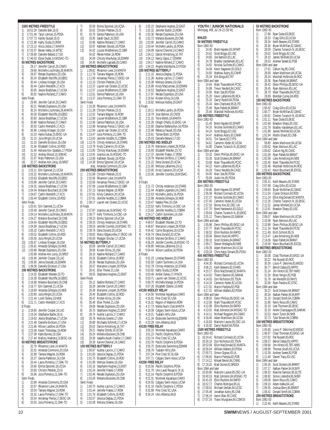**1500 METRES FREESTYLE** 1) 16:52.29 Danielle Bell,18,IS 2) 17:01.46 Taryn Lencoe, 15, PDSA<br>3) 17:07.73 Karley Stutzel 19.1S 3) 17:07.73 Karley Stutzel,19,IS 4) 17:22.98 Kathy Siuda,15,ROW 5) 17:23.13 Alicia Jobse,17,MANTA 6) 17:32.07 Bevan Haley,14,WTSC 17:39.69 Danielle Beland, 17, GO 8) 17:46.53 Elyse Dudar,14,MSSAC-TO **50 METRES BACKSTROKE** 1) 29.17 Jennifer Carroll,20,CAMO 2) 29.66 Michelle Lischinsky,26,MANTA 3) 29.97 Renate Duplessis, 20, USA<br>4) 30.24 Flizabeth Wycliffe 18 FRS 4) 30.24 Elizabeth Wycliffe, 18, EBSC<br>5) 30.44 Lindsey Kroeger, 19, USA<br>6) 30.44 Caitlin Meredith, 17. KCS 5) 30.44 Lindsey Kroeger,19,USA 6) 30.44 Caitlin Meredith,17,KCS 7) 30.65 Jessie Bradshaw,17,UCSA 8) 30.92 Nadine Rolland,27,CAMO Semi Finals 1) 29.90 Jennifer Carroll, 20, CAMO 2) 30.21 Renate Duplessis, 20, USA<br>3) 30.24 Michelle Lischinsky. 26. M 3) 30.24 Michelle Lischinsky, 26, MANTA<br>4) 30.58 Elizabeth Wycliffe, 18, EBSC<br>5) 30.80 Jessie Bradshaw 17 UCSA 4) 30.58 Elizabeth Wycliffe,18,EBSC 5) 30.80 Jessie Bradshaw,17,UCSA 6) 30.88 Nadine Rolland, 27, CAMO<br>7) 30.93 Caitlin Meredith, 17, KCS 7) 30.93 Caitlin Meredith, 17, KCS<br>8) 30.96 Lindsev Kroeger. 19.USA 8) 30.96 Lindsey Kroeger, 19, USA<br>9) 31.03 Hania Kubas, 15, EKSC-U<br>10) 31.15 Julia Wright, 20, UCSA 9) 31.03 Hania Kubas,15,EKSC-UA 31.15 Julia Wright,20,UCSA 11) 31.16 Danielle Erickson, 16, USA<br>12) 31.34 Elizabeth Collins, 18, ROD ...<br>12) 31.34 Elizabeth Collins,18,ROD<br>13) 31.40 Adriana Koc-Spadaro.17. 13) 31.40 Adriana Koc-Spadaro,17,PDSA 31.52 Andrea Shoust, 15, SSMAC 15) 31.97 Mary Patterson,15,USA 16) 32.27 Andree-Ann Leroy,19,NRST **100 METRES BACKSTROKE** 1) 1:03.11 Erin Gammel,21,UCSA 2) 1:03.22 Michelle Lischinsky,26,MANTA<br>3) 1:03.63 Flizabeth Wycliffe 18 FBSC 3) 1:03.63 Elizabeth Wycliffe,18,EBSC 4) 1:03.89 Jennifer Carroll,20,CAMO 5) 1:04.32 Jessie Bradshaw,17,UCSA 6) 1:04.34 Melanie Bouchard,19,CNB 7) 1:04.67 Caitlin Meredith,17,KCS 8) 1:05.44 Elizabeth Collins,18,ROD Semi Finals 1) 1:03.41 Erin Gammel,21,UCSA 2) 1:03.49 Jennifer Carroll,20,CAMO 3) 1:04.14 Michelle Lischinsky,26,MANTA 4) 1:04.27 Melanie Bouchard,19,CNB 5) 1:04.54 Elizabeth Wycliffe, 18, EBSC<br>6) 1:04.59 Jessie Bradshaw 17. UCSA 6) 1:04.59 Jessie Bradshaw,17,UCSA 7) 1:05.32 Caitlin Meredith,17,KCS 8) 1:05.52 Elizabeth Collins, 18, ROD<br>9) 1:05.55 Julia Wright 20 UCSA 9) 1:05.55 Julia Wright,20,UCSA<br>10) 1:05.67 Lindsev Kroeger.19.US 10) 1:05.67 Lindsey Kroeger,19,USA 11) 1:05.81 Amanda Gillespie,16,NKB 12) 1:05.89 Renate Duplessis,20,USA 1:05.89 Andree-Ann Leroy,19,NRST 14) 1:05.94 Jennifer Cooper,19,LAC 15) 1:05.95 Jenna Gresdal,16,ESWIM 1:06.09 Danielle Erickson, 17, USA **200 METRES BACKSTROKE** 1) 2:14.02 Elizabeth Warden,23,TO 2) 2:16.39 Elizabeth Wycliffe,18,EBSC 3) 2:16.69 Melanie Bouchard, 19, CNB<br>4) 2:16.77 Frin Cammel 21 UCSA 4) 2:16.77 Erin Gammel,21,UCSA 5) 2:18.69 Amanda Gillespie,16,NKB  $6$ ) 2:20.60 Julia Wright, 20, UCSA<br>  $7$ )  $2.2144$  Loren Sweny 19 NKB 2:21.44 Loren Sweny, 19, NKB 8) 2:21.71 Caitlin Meredith,17,KCS B Finals 1) 2:18.65 Jennifer Cooper,19,LAC 2) 2:19.34 Stephanie Barbe, 18, UL<br>3) 2:19.63 Jessie Bradshaw 17 UC 3) 2:19.63 Jessie Bradshaw,17,UCSA 4) 2:21.48 Danielle Erickson, 17, USA<br>5) 2:21.66 Allison Laidlow 16 PDSA 5) 2:21.66 Allison Laidlow,16,PDSA 6) 2:23.46 Karen Thibodeau,19,ROW 7) 2:27.08 Katie Byrnes,19,USA 8) 2:27.44 Mallory Hoekstra,13,EKSC-UA **50 METRES BREASTSTROKE** 1) 32.78 Rhiannon Leier,24,MANTA 2) 32.92 Amanda Commons,20,USA 3) 32.99 Tamara Wagner, 16, ROW<br>4) 33.37 Genna Patterson 16 USA 33.37 Genna Patterson,16,USA 5) 33.44 Laura Pomeroy,17,OAK-TO 6) 33.66 Emma Spooner,18,UCSA 7) 33.80 Christin Petelski 23.IS 8) 33.96 Julia Pomeroy, 21, OAK-TO<br>Semi Finals Semi F 1) 32.89 Amanda Commons, 20, USA<br>2) 32.97 Rhiannon Lejer 24 MANTA 2) 32.97 Rhiannon Leier,24,MANTA 3) 33.04 Tamara Wagner,16,ROW 4) 33.32 Laura Pomeroy, 17, OAK-TO<br>5) 33.54 Annamay Pierse, 17, EKSC-U 5) 33.54 Annamay Pierse, 17, EKSC-UA<br>6) 33.55 Julia Pomerov. 21. OAK-TO

7) 33.59 Emma Spooner, 18, UCSA<br>8) 33.62 Christin Petelski 23.1S 8) 33.62 Christin Petelski, 23, IS<br>
9) 33.76 Genna Patterson, 16, US<br>
10) 33.95 Sarah Gault, 16, DDO 33.76 Genna Patterson, 16, USA 10) 33.95 Sarah Gault,16,DDO 11) 33.96 Nadine Rolland,27,CAMO 12) 33.97 Kathleen Stoody, 18, PDSA<br>13) 34.02 Louise Middlemore.22.GB 13) 34.02 Louise Middlemore,22,GBR 34.02 Renee Hober,16,ROW 15) 34.09 Chrissy MacAulay,18,ESWIM 16) 34.40 Michelle Laprade,20,CAMO **100 METRES BREASTSTROKE** 1) 1:09.82 Rhiannon Leier,24,MANTA 2) 1:11.78 Tamara Wagner,16,ROW 3) 1:11.99 Annamay Pierse,17,EKSC-UA 4) 1:12.10 Christin Petelski, 23, IS<br>5) 1:12.37 Lauren van Oosten. 22. 5) 1:12.37 Lauren van Oosten, 22, UCSC<br>6) 1:12.57 Louise Middlemore. 22. GBR 6) 1:12.57 Louise Middlemore, 22, GBR<br>7) 1:12.61 Genna Patterson, 16, USA<br>8) 1:13.37 Julia Pomerov. 21. OAK-TO 7) 1:12.61 Genna Patterson,16,USA 8) 1:13.37 Julia Pomeroy,21,OAK-TO Semi Finals<br>1) 1:10.2 1) 1:10.28 Rhiannon Leier, 24, MANTA<br>2) 1:11.38 Christin Petelski, 23, IS 2) 1:11.38 Christin Petelski, 23, IS<br>3) 1:12.52 Tamara Wagner, 16, RO<br>4) 1:12.58 Louise Middlemore 22 3) 1:12.52 Tamara Wagner,16,ROW 4) 1:12.68 Louise Middlemore,22,GBR 5) 1:12.86 Genna Patterson,16,USA 6) 1:12.88 Annamay Pierse,17,EKSC-UA 7) 1:12.94 Lauren van Oosten,22,UCSC 8) 1:13.47 Julia Pomeroy, 21, OAK-TO<br>9) 1:13.63 Jennifer Noddle 21 COBRA 9) 1:13.63 Jennifer Noddle,21,COBRA<br>10) 1:13.76 Christy Anderson 18.STAR 10) 1:13.76 Christy Anderson, 18, STARS<br>11) 1:13.78 Kristy Cameron. 20.UCSA 11) 1:13.78 Kristy Cameron,20,UCSA 12) 1:13.85 Chrissy MacAulay,18,ESWIM 13) 1:13.91 Joanna Lee,16,MSSAC-TO 1:13.98 Kathleen Stoody,18,PDSA 15) 1:14.38 Emma Spooner,18,UCSA disq Amanda Commons,20,USA **200 METRES BREASTSTROKE** 2:31.88 Christin Petelski,23,IS 2) 2:32.06 Rhiannon Leier,24,MANTA 3) 2:32.66 Annamay Pierse,17,EKSC-UA 4) 2:37.06 Louise Middlemore, 22, GBR<br>5) 2:37.13 Tamara Wagner. 16. ROW 5) 2:37.13 Tamara Wagner, 16, ROW<br>6) 2:37.81 Kristy Cameron, 20, UCSA<br>7) 2:37.91 Jennifer Noddle. 21. COBR 6) 2:37.81 Kristy Cameron,20,UCSA 7) 2:37.91 Jennifer Noddle,21,COBRA 8) 2:38.17 Lauren van Oosten,22,UCSC B Finals 1) 2:37.87 Joanna Lee,16,MSSAC-TO 2) 2:38.77 Kelly Timmons,14,OSC-UA 3) 2:39.23 Emma Spooner,18,UCSA 4) 2:39.33 Christy Anderson, 18, STARS<br>5) 2:39.53 Jennifer Coombs. 18, MSSAC-5) 2:39.53 Jennifer Coombs,18,MSSAC-TO 6) 2:39.76 Dena Durand,20,UCSA 7) 2:39.82 Marcy Edgecumbe,17,EKSC-UA 8) 2:40.83 Meagan Sinclair,17,UCSA **50 METRES BUTTERFLY** 28.05 Jennifer Carroll,20,CAMO 2) 28.06 Kristen Kilroy,16,USA 3) 28.10 Nadine Rolland,27,CAMO 4) 28.26 Elizabeth Collins, 18, ROD<br>5) 28.36 Renate Duplessis. 20.USA 5) 28.36 Renate Duplessis, 20, USA<br>6) 28.37 Marianne Limpert, 28, PD: 6) 28.37 Marianne Limpert,28,PDSA 7) 28.41 Elise Thieler.21.USA 8) 28.55 Stephanie Hughes,22,EAST Semi Finals 1) 28.12 Nadine Rolland,27,CAMO 28.29 Jennifer Carroll,20,CAMO 3) 28.39 Marianne Limpert,28,PDSA 4) 28.40 Elizabeth Collins, 18, ROD<br>5) 28.47 Kristen Kilrov. 16. USA 5) 28.47 Kristen Kilroy, 16, USA<br>6) 28.48 Elise Thieler, 21, USA<br>7) 28.69 Renate Dunlessis 2011 6) 28.48 Elise Thieler,21,USA 7) 28.69 Renate Duplessis,20,USA 8) 28.70 Stephanie Hughes, 22, EAST<br>9) 28.74 Audrey Lacroix, 17, CAMO<br>10) 28.78 Melissa Greene. 17. USA 9) 28.74 Audrey Lacroix,17,CAMO 28.78 Melissa Greene,17,USA 11) 28.89 Michaela Schmidt, 17, UCSA<br>12) 29.02 Darcie Armstrong 16. TAT 12) 29.02 Darcie Armstrong,16,TAT 13) 29.21 Hayley Doody,16,UCSA 14) 29.24 Melania Bussiere, 29, CNB<br>15) 29.30 Isabelle Ascah-Coallier, 17, 15) 29.30 Isabelle Ascah-Coallier,17,CAMO 29.39 Karine Chevrier,24,CAMO **100 METRES BUTTERFLY** 1) 1:00.97 Audrey Lacroix,17,CAMO 2) 1:01.65 Jessica Deglau,21,PDSA 3) 1:01.75 Elizabeth Collins,18,ROD 4) 1:01.89 Melissa Greene,18,USA 5) 1:02.16 Stephanie Hughes,22,EAST 6) 1:02.24 Jennifer Fratesi, 17, ROW 7) 1:02.46 Renate Duplessis, 20, USA<br>8) 1:03.26 Melania Bussiere 29 CNE 1:03.26 Melania Bussiere,29,CNB Semi Finals<br>1) 1:00.7 1) 1:00.75 Audrey Lacroix,17,CAMO 2) 1:01.44 Jennifer Fratesi,17,ROW 3) 1:01.76 Elizabeth Collins, 18, ROD<br>4) 1:02.07 Jessica Deglau 21 PDSA 4) 1:02.07 Jessica Deglau,21,PDSA 5) 1:02.08 Melissa Greene,19,USA

6) 1:02.23 Stephanie Hughes, 22, EAST<br>7) 1:02.32 Jennifer Button 23 ROW 7) 1:02.32 Jennifer Button,23,ROW 8) 1:02.36 Renate Duplessis, 20, USA<br>9) 1:02.72 Melania Bussiere. 29. CNB 9) 1:02.72 Melania Bussiere,29,CNB 10) 1:02.95 Jennifer Carroll,20,CAMO 11) 1:03.44 Michelle Landry, 16, PDSA<br>12) 1:04.09 Karine Chevrier 24 CAMO 12) 1:04.09 Karine Chevrier,24,CAMO 13) 1:04.11 Darcie Armstrong, 16, TAT<br>14) 1:04.12 Nancy Gaios 17 ESWIM 1:04.12 Nancy Gajos, 17,ESWIM 15) 1:04.17 Nadine Rolland,27,CAMO 16) 1:04.22 Angela MacAlpine,23,PDSA **200 METRES BUTTERFLY** 2:11.10 Jessica Deglau,21,PDSA 2) 2:11.36 Audrey Lacroix,17,CAMO 3) 2:15.38 Melissa Greene,19,USA 4) 2:15.99 Kristy MacLennan, 18, ESWIM<br>5) 2:16.53 Stephanie Hughes. 22, EAST 5) 2:16.53 Stephanie Hughes, 22, EAST<br>6) 2:17.97 Renate Duplessis, 20, USA<br>7) 2:19.54 Kristen Kilroy, 16, USA 2:17.97 Renate Duplessis,20,USA 2:19.54 Kristen Kilroy,16,USA 8) 2:19.82 Melissa Hubley,20,EAST  $\overline{B}$  Finals<br>1) 2: 1) 2:19.11 Michelle Landry, 16, PDSA<br>2) 2:19.79 Joan Bernier, 16, CNCB<br>3) 2:21.31 Terra Welsh 18 MANTA 2) 2:19.79 Joan Bernier,16,CNCB 3) 2:21.31 Terra Welsh,18,MANTA 4) 2:22.26 Orlagh O'Kelly, 15, EKSC-UA<br>5) 2:22.80 Deanna Stefanyshyn, 16, PDS 5) 2:22.80 Deanna Stefanyshyn,16,PDSA 6) 2:22.99 Rebecca Fausel,18,USA 2:23.61 Tamee Ebert, 18, PDSA 8) 2:25.03 Danielle Beland,17,GO **200 METRES IND.MEDLEY** 2:15.78 Marianne Limpert,28,PDSA 2) 2:16.93 Elizabeth Warden,23,TO 3) 2:17.37 Jennifer Fratesi,17,ROW 4) 2:18.78 Marieve De Blois,17,CAMO 5) 2:21.22 Dena Durand,20,UCSA 6) 2:21.95 Melissa Laflamme, 19, UL<br>
7) 2:23.00 Kristy Cameron, 20, UCS 2:23.00 Kristy Cameron, 20, UCSA 2:23.06 Jennifer Coombs,18,MSSAC-8)<br>TO B Finals<br>1) 2 1) 2:21.72 Christy Anderson, 18, STARS<br>2) 2:22.44 Ariadne Legendre, 24, CAMO 2) 2:22.44 Ariadne Legendre,24,CAMO<br>3) 2:22.53 Michelle Landry,16,PDSA<br>4) 2:22.88 Amanda Gillespie.16.NKB 3) 2:22.53 Michelle Landry,16,PDSA 2:22.88 Amanda Gillespie,16,NKB 5) 2:23.47 Natalie Pike, 16, USA<br>6) 2:23.53 Kelly Timmons 14 O 6) 2:23.53 Kelly Timmons,14,OSC-UA 7) 2:23.83 Jennifer Noddle,21,COBRA 8) 2:24.17 Caitlin Summers,14,USA **400 METRES IND.MEDLEY** 1) 4:48.57 Elizabeth Warden,23,TO 2) 4:48.87 Marianne Limpert,28,PDSA 3) 4:54.42 Carrie Burgoyne,19,UCSA 4) 4:54.74 Dena Durand, 20, UCSA<br>5) 4:55.83 Marieve De Blois 17 C. 5) 4:55.83 Marieve De Blois, 17, CAMO<br>6) 4:56.24 Jennifer Coombs, 18, MSSAC-<br>7) 4:58.85 Melissa Laflamme. 19.11 6) 4:56.24 Jennifer Coombs,18,MSSAC-TO 7) 4:58.85 Melissa Laflamme, 19, UL<br>8) 5:04:44 Allison Laidlow 16 PDSA 8) 5:04.44 Allison Laidlow,16,PDSA B Finals 1) 5:01.23 Lindsay Beavers,20,STARS 2) 5:02.50 Caitlin Summers, 14, USA<br>3) 5:02.79 Christy Anderson 18 STA 3) 5:02.79 Christy Anderson,18,STARS 4) 5:02.82 Kathy Siuda,15,ROW 5) 5:03.46 Amber Dykes,17,HYACK 5:03.71 Lauren van Oosten,22,UCSC 5:06.75 Michelle Mange, 14, PDSA 8) 5:07.28 Elizabeth Osterer,15,NKB **4X100 MEDLEY RELAY** 1) 4:14.56 Montreal Aquatique,CAMO 2) 4:16.01 Pine Crest SC,USA 3) 4:16.31 Region of Waterloo, ROW<br>4) 4:17.73 Manta Swim Club MANT 4) 4:17.73 Manta Swim Club,MANTA 5) 4:18.39 Calgary Swim Assoc,UCSA  $\begin{bmatrix} 6 \\ 7 \end{bmatrix}$  4:19.21 Tualatin Hills, USA<br>  $\begin{bmatrix} 7 \\ 4 \end{bmatrix}$  4:21.34 Etobicoke Swimmir 4:21.34 Etobicoke Swimming,ESWIM 8) 4:23.26 Univ.Alberta,UALB **4X100 FREE RELAY** 1) 3:50.10 Montreal Aquatique CAMO 2) 3:51.23 Pacific Dolphins,PDSA 3) 3:53.74 Pine Crest SC,USA<br>4) 3:53.78 Pacific Dolphins B, F<br>5) 3:55.75 Ftobicoke Swimmin 3:53.78 Pacific Dolphins B,PDSA 5) 3:55.75 Etobicoke Swimming,ESWIM 6) 3:56.79 Tualatin Hills,USA 3:57.24 Pine Crest SC B,USA 8) 3:57.71 Calgary Swim Assoc,UCSA **4X200 FREE RELAY** 8:16.56 Pacific Dolphins, PDSA  $2$ ) 8:21.70 Univ.Laval Rouge & Or, UL 3) 8:22.14 Pacific Dolphins B, PDSA<br>4) 8:22.31 Montreal Aguatique.CAM 4) 8:22.31 Montreal Aquatique,CAMO<br>5) 8:24.55 Calgary Swim Assoc,UCSA<br>6) 8:31.18 Pacific Dolphins C.PDSA 5) 8:24.55 Calgary Swim Assoc,UCSA 6) 8:31.18 Pacific Dolphins C,PDSA 7) 8:32.88 Pine Crest SC, USA<br>8) 8:34.24 Univ.Alberta, UALB 8:34.24 Univ.Alberta,UALB

|                                                     | YOUTH / JUNIOR NATIONALS<br>Winnipeg, MB, Jul 19-22 (50 M)      |
|-----------------------------------------------------|-----------------------------------------------------------------|
| MALES<br><b>50 METRES FREESTYLE</b><br>Born 1982-83 |                                                                 |
| 24.45<br>1)                                         | Brent Hayden, 83, SPART                                         |
| 2)<br>24.62                                         | Scott Briggs,82,USC                                             |
| 3)<br>24.65                                         | Joe Bartoch, 83, LAC                                            |
| 4)<br>24.78                                         | Bradley Vanderkam, 83, LAC                                      |
| 5)<br>24.82                                         | Nicolas Guillotte, 83, CAMO                                     |
| 6)<br>24.84<br>24.93<br>7)                          | Kevin Saganski, 83, GOLD<br>Mathieu Aubry, 83, CNHR             |
| 8)<br>25.24                                         | Erik Binga, 83, TAT                                             |
| Born 1984 and later                                 |                                                                 |
| 1)<br>24.64                                         | Mark Thauvette, 84, PCSC                                        |
| 2)<br>24.88                                         | Trevor Neufeld, 84, CASC                                        |
| 3)<br>24.93<br>4)                                   | Marc Sze, 85, PDSA<br>Kevin Laflamme, 85, RCA                   |
| 25.20<br>5)                                         | 25.33 Darryl Rudolf, 84, PDSA                                   |
| 6)<br>25.43                                         | Alex Chartrand, 85, ELITE                                       |
| 7)<br>25.49                                         | Ryan Pallett, 84, BRANT                                         |
| 8)<br>25.94                                         | Marshall Holbrook, 84, ROC                                      |
|                                                     | 100 METRES FREESTYLE                                            |
| Born 1982-83<br>1)<br>51.45                         | Brent Hayden, 83, SPART                                         |
| 2)<br>54.10                                         | Nicolas Guillotte, 83, CAMO                                     |
| $\overline{3}$<br>54.24                             | Scott Briggs, 82, USC                                           |
| 4)<br>54.47                                         | Mathieu Aubry, 83, CNHR                                         |
| 5)<br>54.51                                         | Tim Sauve,82,CYPS                                               |
| 6)<br>54.61                                         | Cameron Hyder, 82, UCSA                                         |
| 54.95<br>7)<br>Born 1984 and later                  | Charles Turanich-N.,83,EKSC                                     |
| 53.32<br>1)                                         | Devin Phillips, 85, EKSC-UA                                     |
| 2)<br>53.35                                         | Scott Dickens,84,BRANT                                          |
| 3)                                                  | 53.68 Mark Thauvette, 84, PCSC<br>54.22 Kevin Laflamme, 85, RCA |
| 4)                                                  |                                                                 |
| 5)<br>54.29                                         | Trevor Neufeld, 84, CASC                                        |
| 6)<br>54.45<br>7)<br>55.69                          | Marc Sze, 85, PDSA<br>Justin Ho,85,PDSA                         |
| 200 METRES FREESTYLE                                |                                                                 |
| Born 1982-83                                        |                                                                 |
| 1)<br>1:54.66                                       | Brent Hayden, 83, SPART                                         |
| 2)<br>1:55.59                                       | Richard Cormack, 82, UCSA                                       |
| 3)<br>1:57.27<br>4)<br>1:57.45                      | Nicolas Guillotte, 83, CAMO<br>Cameron Hyder, 82, UCSA          |
| 5)<br>1:57.53                                       | Borrey Kim, 82, OSC-UA                                          |
| 6)<br>1:57.70                                       | Brent Hankewich, 83, GOLD                                       |
| 1:59.64<br>7)                                       | Charles Turanich-N., 83, EKSC                                   |
| 8)<br>2:01.12                                       | Thierry Bannon, 83, SAMAK                                       |
| Born 1984 and later                                 |                                                                 |
| 1:55.86<br>1).<br>2)<br>1:51.11                     | Devin Phillips, 85, EKSC-UA<br>Mark Thauvette, 84, PCSC         |
| 3)<br>1:58.52                                       | Elliot Rushton, 84, RAPID                                       |
| 4)<br>1:59.04                                       | Benoit Huot, 84, HIPPO                                          |
| 5)<br>1:59.10                                       | Scott Dickens.84.BRANT                                          |
| 6)<br>1:59.17                                       | Steven Medaglia,84,NKB                                          |
| 7)<br>1:59.39                                       | Adam Martinson,84,UCSA                                          |
| 8)<br>2:03.24<br><b>400 METRES FREESTYLE</b>        | Chris Karol-Simard.85.PDSA                                      |
| Born 1982-83                                        |                                                                 |
| 4:04.30<br>1)                                       | Richard Cormack, 82, UCSA                                       |
| 2)<br>3)<br>4:06.22                                 | Keith Beavers,83,STARS<br>Elliot MacDonald,82,MANTA             |
| 4:10.17                                             |                                                                 |
| 4)<br>4:14.02                                       | Thierry Bannon, 83, SAMAK                                       |
| 5)<br>4:14.03<br>6)<br>4:14.18                      | Don Nicholson, 83, TSUN<br>Cameron Hyder, 82, UCSA              |
| 7)<br>4:17.01                                       | Marcin Partyka,82,PGB                                           |
| 8)<br>4:17.31                                       | William Walters,83,PDSA                                         |
| Born 1984 and later                                 |                                                                 |
| 1)<br>4:08.03                                       | Devin Phillips.85.EKSC-UA                                       |
| 2)<br>3)<br>4:12.08<br>4:12.08                      | Mark Thauvette, 84, PCSC<br>Elliot Rushton, 84, RAPID           |
| 4)<br>4:13.91                                       | Matt Johnston, 84, MSSAC-TO                                     |
| 5)<br>4:14.11                                       | Michael Ruggiero, 84, CAMO                                      |
| 6)<br>4:16.40                                       | Adam Martinson,84,UCSA                                          |
| 7)<br>4:16.63                                       | Malcolm Lavoie, 85, OSC-UA                                      |
| 8)<br>4:16.92                                       | Darryl Rudolf,84,PDSA                                           |
| Born 1982-83                                        | <b>1500 METRES FREESTYLE</b>                                    |
| 16:24.41                                            | Richard Cormack, 82, UCSA                                       |
| $\begin{pmatrix} 1 \\ 2 \end{pmatrix}$<br>16:30.18  | Don Nicholson, 83, TSUN                                         |
| 3)<br>16:52.08                                      | Elliot MacDonald, 82, MANTA                                     |
| 4)<br>16:56.04                                      | William Walters,83,PDSA                                         |
| 5)<br>17:00.73                                      | Simon Gignac, 83, UL                                            |
| 6)<br>17:06.05<br>7)<br>17:14.12                    | Marcin Partyka,82,PGB<br>Mikael Benoit,84,CNNG                  |
| 8)<br>17:18.20                                      | Brad Gionet,82,BROCK                                            |
| Born 1984 and later                                 |                                                                 |
| 1)<br>16:30.90                                      | Malcolm Lavoie,85,0SC-UA                                        |
| $\ddot{2}$<br>16:40.16                              | Matt Johnston, 84, MSSAC-TO                                     |
| 3)<br>16:41.43<br>4)                                | Elliot Rushton, 84, RAPID                                       |
| 16:52.72<br>5)<br>17:00.01                          | Charles Rodrigue, 85, UL<br>Michael Derban, 84, UCSC            |
| 6)<br>17:05.48                                      | Jonathan Aubry, 85, CNB                                         |
| 7)<br>17:06.19<br>17:07.24                          | Aaron Blair, 85, CASC                                           |
| 8)                                                  | Travis Musgrave, 84, COMOX                                      |

|                                    | 50 METRES BACKSTROKE                                    |
|------------------------------------|---------------------------------------------------------|
| Born 1982-83<br>1)<br>27.86        | Ryan Dube,83,EKSC                                       |
| 2)<br>28.33<br>3)                  | Craig Gillis, 83, UCSA                                  |
| 28.34<br>4)<br>28.36               | Keith Beavers,83,STARS<br>Bryan McMillan,82,GMAC        |
| 5)<br>28.59<br>6)<br>29.02         | Charles Turanich-N., 83, EKSC<br>Scott Briggs,82,USC    |
| 29.10<br>7)                        | James Winfield,83,UCSA                                  |
| 29.53<br>8)<br>Born 1984 and later | Andrew Sweet, 82, PGB                                   |
| 1)<br>27.61                        | Callum Ng,85,CASC                                       |
| 2)<br>28.00<br>3)<br>28.24         | Adam Martinson, 84, UCSA<br>Marshall Holbrook, 84, ROC  |
| 4)<br>28.36                        | Ryan Pallett, 84, BRANT<br>Devin Phillips, 85, EKSC-UA  |
| 5)<br>28.42<br>6)<br>28.45         | Ryan Atkinson,85,LAC                                    |
| 7)<br>28.70<br>8)<br>29.89         | Mark Thauvette, 84, PCSC<br>Brendan Curley, 84, ROD     |
|                                    | 100 METRES BACKSTROKE                                   |
| Born 1982-83<br>1)<br>1:00.42      | Craig Gillis, 83, UCSA                                  |
| 2)<br>1:00.77                      | Bryan McMillan,82,GMAC                                  |
| 3)<br>1:00.81<br>4)<br>1:01.11     | Charles Turanich-N.,83,EKSC<br>Ryan Dube, 83, EKSC      |
| 5)<br>1:01.68                      | Braedon Sharp,83,USC                                    |
| 6)<br>1:01.79<br>7)<br>1:01.88     | Bradley Vanderkam, 83, LAC<br>James Winfield, 83, UCSA  |
| 8)<br>1:01.94                      | Martin Enault,82,CNB                                    |
| Born 1984 and later<br>1)<br>59.80 | Adam Martinson, 84, UCSA                                |
| 2)<br>1:00.62<br>3)<br>1:00.62     | Ryan Atkinson,85,LAC                                    |
| 4)<br>1:01.09                      | Callum Ng,85,CASC<br>Ryan Pallett,84,BRANT              |
| 5)<br>1:02.06<br>6)<br>1:02.45     | Luke Armstrong,84,NKB<br>Mark Thauvette,84,PCSC         |
| 7)<br>1:02.48                      | Marshall Holbrook,84,ROC                                |
| 8)<br>1:03.42                      | Kevin Bouchard,85,EXCEL<br><b>200 METRES BACKSTROKE</b> |
| Born 1982-83                       |                                                         |
| 1)<br>2:05.31<br>2)<br>2:07.99     | Keith Beavers, 83, STARS<br>Craig Gillis, 83, UCSA      |
| 3)<br>2:09.93                      | Bryan McMillan,82,GMAC                                  |
| 4)<br>2:11.04<br>5)<br>2:11.24     | Ciaran Dickson,83,ROD<br>Elliot MacDonald, 82, MANTA    |
| 6)<br>2:12.26                      | Charles Turanich-N.,83,EKSC                             |
| 7)<br>2:12.52<br>8)<br>2:12.81     | James Winfield,83,UCSA<br>Braedon Sharp,83,USC          |
| Born 1984 and later                |                                                         |
| 1)<br>2:08.07<br>2)<br>2:10.98     | Adam Martinson,84,UCSA<br>Ryan Atkinson,85,LAC          |
| 3)<br>2:10.98                      | Devin Phillips, 85, EKSC-UA                             |
| 4)<br>2:11.34<br>5)<br>2:11.49     | Mark Thauvette,84,PCSC<br>Erich Schmitt, 85, IS         |
| 6)<br>2:13.47                      | Luke Armstrong, 84, NKB                                 |
| 7)<br>2:14.06<br>8)<br>2:16.58     | Ryan Pallett,84,BRANT<br>Kevin Bouchard,85,EXCEL        |
|                                    | 50 METRES BREASTSTROKE                                  |
| Born 1982-83<br>1)<br>30.08        | Chad Thomsen, 83, EKSC-UA                               |
| 2)<br>30.22<br>3)<br>30.34         | Pat Russell, 83, ROC<br>Louis-P. Delorme,83,MEGO        |
| 4)<br>30.77                        | Benoit Dalpe, 83, HIPPO                                 |
| 5)<br>31.24<br>31.30<br>6)         | Jim Hinton,83,1B1-NWO<br>Brian Verigin, 83, PGB         |
| 7)<br>31.78                        | lan Meredith, 83, RAYS                                  |
| 8)<br>32.06<br>Born 1984 and later | Ryan Pandos,82,STSC                                     |
| 1)<br>30.22                        | Scott Dickens,84,BRANT                                  |
| 2)<br>30.34<br>3)<br>31.10         | Nathan Parker,84,MJKFF<br>Donald Smith, 84, COBRA       |
| 4)<br>31.96                        | Kevin Rioux, 85, CAMO                                   |
| 5)<br>32.10<br>6)<br>32.33         | Joel Thomsen,85,EKSC<br>Andre Champagne, 85, SAMAK      |
| 7)<br>32.53                        | Kevin Tyson,84,NKB                                      |
| 8)<br>32.73                        | Tyler Brown, 84, COBRA<br>100 METRES BREASTSTROKE       |
| Born 1982-83                       |                                                         |
| 1)<br>1:05.80<br>2)<br>1:06.07     | Louis-P. Delorme, 83, MEGO<br>Chad Thomsen, 83, EKSC-UA |
| 3)<br>1:07.62<br>4)                | Pat Russell, 83, ROC                                    |
| 1:08.37<br>5)<br>1:08.68           | Benoit Dalpe, 83, HIPPO<br>Jim Hinton, 83, TBT-NWO      |
| 6)<br>1:08.99<br>7)                | Thomas South,83,UCSA                                    |
| 1:10.39<br>8)<br>1:11.68           | Andrew Sweet, 82, PGB<br>Daniel Tracy, 83, USC          |
| Born 1984 and later<br>1)          | Scott Dickens, 84, BRANT                                |
| 1:05.26<br>2)<br>1:07.17           | Nathan Parker, 84, MJKFF                                |
| 3)<br>1:08.32<br>4)                | Maxime Samson, 85, ELITE                                |
| 1:08.92<br>5)<br>1:09.08           | Simon Letendre,86,SHER<br>Kevin Rioux,85,CAMO           |
| 6)<br>1:09.10<br>7)<br>1:09.35     | Adam Kafka,84,LAC<br>Joshua Berry,84,BRANT              |
| 8)<br>1:09.42                      | Donald Smith, 84, COBRA                                 |
| Born 1982-83                       | 200 METRES BREASTSTROKE                                 |

1) 2:22.40 Keith Beavers,83,STARS

6) 33.55 Julia Pomeroy,21,OAK-TO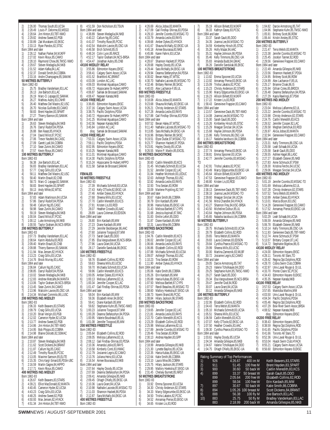2) 2:26.00 Thomas South,83,UCSA 3) 2:28.49 Louis-P. Delorme, 83, MEGO<br>4) 2:28.64 Jim Hinton, 83, TBT-NWO<br>5) 2:29.82 Andrew Sweet 82 PGB 4) 2:28.64 Jim Hinton,83,TBT-NWO 5) 2:29.82 Andrew Sweet,82,PGB 6) 2:30.89 Zak Murakami,82,EKSC 7) 2:33.13 Ryan Pandos,82,STSC Born 1984 and later 1) 2:26.12 Nathan Parker,84,MJKFF 2) 2:27.02 Kevin Rioux,85,CAMO 3) 2:28.10 Raymond Chow,86,TMSC-NWO 4) 2:29.67 Steven Medaglia,84,NKB 5) 2:31.52 Adam Kafka,84,LAC 6) 2:32.37 Donald Smith,84,COBRA 7) 2:33.16 Andre Champagne,85,SAMAK **50 METRES BUTTERFLY** Born 1982-83 1) 25.75 Bradley Vanderkam,83,LAC 2) 26.13 Joe Bartoch,83,LAC 3) 26.19 Marc-O. Lepage,82,SAMAK 4) 26.27 Mathieu Aubry,83,CNHR<br>5) 26.40 Matthew Del Mastro,82,U:<br>6) 26.70 Nicolas Guillotte.83.CAM 5) 26.40 Matthew Del Mastro,82,USC 6) 26.70 Nicolas Guillotte,83,CAMO 7) 58.83 Brent Hayden,83,SPART 8) 27.27 Thierry Bannon,83,SAMAK<br>Born 1984 and later 1984 and later 1) 26.63 Steven Medaglia,84,NKB 2) 26.76 Darryl Rudolf, 84, PDSA<br>3) 26.88 Ben Keast 85 HYACK 3) 26.88 Ben Keast,85,HYACK 4) 27.04 David Milot,87,PCSC 5) 27.06 Trevor Neufeld, 84, CASC<br>6) 27.09 Garett Lyall. 84. COBRA 27.09 Garett Lyall,84,COBRA 7) 27.10 Sean Zunini,84,CAMO Kevin Rioux, 85, CAMO **100 METRES BUTTERFLY** Born 1982-83 1) 56.38 Joe Bartoch,83,LAC 2) 56.83 Bradley Vanderkam, 83, LAC<br>3) 57.77 Craig Gillis, 83, UCSA 3) 57.77 Craig Gillis,83,UCSA<br>4) 58.11 Matthew Del Mastro 8 4) 58.11 Matthew Del Mastro, 82, USC<br>5) 58.40 Martin Fnault. 82.CNB 5) 58.40 Martin Enault,82,CNB 6) 58.73 Marc-O. Lepage,82,SAMAK 7) 58.83 Brent Hayden,83,SPART 8) 59.13 Andy White,82,WTSC<br>Born 1984 and later 1984 and later 1) 57.83 Adam Martinson, 84, UCSA<br>2) 57.86 Darryl Rudolf 84 PDSA 2) 57.86 Darryl Rudolf,84,PDSA 3) 58.48 Callum Ng,85,CASC 58.98 Sean Zunini,84,CAMO 5) 59.19 Steven Medaglia,84,NKB 6) 1:00.04 David Milot,87,PCSC 7) 1:00.12 Luke Armstrong,84,NKB 8) 1:00.55 Taylor Graham,84,NCS-BRSA **200 METRES BUTTERFLY** Born 1982-83<br>1) 2:07.73 1) 2:07.73 Bradley Vanderkam,83,LAC 2) 2:08.64 Karim Abdulla,83,ROD 3) 2:09.40 Martin Enault,82,CNB 4) 2:09.88 Thierry Bannon,83,SAMAK 5) 2:11.94 Max Jensen,82,HYACK 6) 2:13.23 Craig Gillis,83,UCSA 7) 2:14.76 Brock Murray,83,LASC Born 1984 and later<br>1) 2:06.84 Callu 1) 2:06.84 Callum Ng,85,CASC 2:08.85 Darryl Rudolf,84,PDSA<br>2:10.02 Steven Medaglia.84.NK Steven Medaglia,84,NKB 4) 2:12.83 Andrew Metcalfe, 84, MANTA<br>5) 2:13.06 Taylor Graham 84 NCS-BRS 5) 2:13.06 Taylor Graham,84, NCS-BRSA<br>6) 2:13.45 Sean Zunini,84, CAMO<br>7) 2:13.96 Malcolm Lavoie 85, OSC-LIA 2:13.45 Sean Zunini,84,CAMO 2:13.96 Malcolm Lavoie,85,OSC-UA 8) 2:14.34 Michael Commito,86,LUSC **200 METRES IND.MEDLEY** Born 1982-83<br>1) 2:06.33 1) 2:06.33 Keith Beavers,83,STARS 2) 2:09.79 Craig Gillis,83,UCSA 3) 2:10.20 Brian Verigin,83,PGB 4) 2:12.02 Cameron Hyder,82,UCSA 5) 2:13.77 Andrew Sweet,82,PGB<br>6) 2:14.86 Jim Hinton,84,TBT-NW<br>7) 2:14.95 Bob Phinns 83 COBRA 6) 2:14.86 Jim Hinton,84,TBT-NWO 2:14.95 Bob Phipps,83,COBRA 8) 2:14.98 Blaine Dolcetti,82,SSMAC Born 1984 and later 2:10.87 Steven Medaglia,84,NKB 2) 2:11.62 Scott Dickens,84,BRANT 3) 2:11.87 Callum Ng,85,CASC 4) 2:12.49 Timothy Ruse,85,PCSC 5) 2:13.05 Maxime Samson, 85, ELITE<br>6) 2:15.35 Chris Kargl-Simard, 85, PDSA<br>7) 2:16.59 Martin Ganne 84 HIPPO 6) 2:15.35 Chris Kargl-Simard,85,PDSA-UBC 2:16.59 Martin Gagne,84, HIPPO 8) 2:17.71 Kevin Rioux,85,CAMO **400 METRES IND.MEDLEY** Born 1982-83 1) 4:26.67 Keith Beavers,83,STARS 2) 4:39.21 Elliot MacDonald, 82, MANTA<br>3) 4:40.45 Cameron Hyder 82 UCSA 3) 4:40.45 Cameron Hyder,82,UCSA 4) 4:43.23 Craig Gillis,83,UCSA 5) 4:48.25 Andrew Sweet,82,PGB 6) 4:50.93 Max Jensen,82,HYACK

8) 4:51.59 Don Nicholson,83,TSUN Born 1984 and later<br>1) 4:38.89 Steve 1) 4:38.89 Steven Medaglia,84,NKB<br>2) 4:40.22 Callum Ng 85 CASC 4:40.22 Callum Ng,85,CASC<br>4:41.07 Timothy Ruse.85.PC 3) 4:41.07 Timothy Ruse, 85, PCSC<br>4) 4:42.54 Malcolm Lavoie, 85, OS<br>5) 4:46.58 Erich Schmitt. 85. IS Malcolm Lavoie,85,OSC-UA 5) 4:46.58 Erich Schmitt,85,IS 6) 4:48.24 Colin Lyon,85,RACE Taylor Graham, 84, NCS-BRSA 8) 4:54.47 Jonathan Aubry,85,CNB **4X100 MEDLEY RELAY** 1) 3:55.86 Edmonton Keyano,EKSC 2) 3:58.41 Calgary Swim Assoc, UCSA<br>3) 4:01.52 Brantford AC, BRANT<br>4) 4:03.09 London AC.LAC 3) 4:01.52 Brantford AC,BRANT 4) 4:03.09 London AC, LAC<br>5) 4:06.03 Montreal Aquatic 5) 4:06.03 Montreal Aquatique,CAMO<br>6) 4:06.72 Hippocame St-Hubert,HIPP<br>7) 4:06.87 Samak de Brossard.SAMA 6) 4:06.72 Hippocame St-Hubert,HIPPO 7) 4:06.87 Samak de Brossard,SAMAK 4:08.47 Nepean Kanata, NKB **4X100 FREE RELAY**<br>1) 3:36.65 Edmont<br>2) 3:37.16 Calgary 1) 3:36.65 Edmonton Keyano,EKSC 2) 3:37.16 Calgary Swim Assoc,UCSA 3) 3:38.75 Pacific Dolphins, PDSA<br>4) 3:40.72 Hippocame St-Hubert, F<br>5) 3:41.25 Montreal Aquatique.CA 4) 3:40.72 Hippocame St-Hubert,HIPPO 5) 3:41.25 Montreal Aquatique,CAMO 6) 3:42.56 Nepean Kanata, NKB<br>7) 3:45.84 London AC.LAC 3:45.84 London AC,LAC disg Samak de Brossard, SAMAK **4X200 FREE RELAY** 1) 7:53.31 Calgary Swim Assoc, UCSA<br>2) 7:59.11 Pacific Dolphins PDSA 2) 7:59.11 Pacific Dolphins,PDSA 3) 8:02.95 Edmonton Keyano,EKSC 4) 8:10.25 Nepean Kanata, NKB<br>5) 8:11.01 Montreal Aquatique. Montreal Aquatique,CAMO 6) 8:14.30 Pacific Dolphins B,PDSA 7) 8:15.24 Hippocame St-Hubert,HIPPO 8) 8:21.58 Samak de Brossard,SAMAK **FEMALES 50 METRES FREESTYLE** Born 1982-83<br>1) 27.39<br>2) 27.43 27.39 Michaela Schmidt 83, UCSA 2) 27.43 Kelly O'Toole,82,EKSC-UA<br>2) 27.43 Kelly O'Toole,82,EKSC-UA<br>3) 27.46 Amber Dykes,83,HYACK 3) 27.46 Amber Dykes,83,HYACK<br>4) 27.68 Sheena Mills,83,UCSC<br>5) 27.70 Caitlin Meredith.83.KCS 27.68 Sheena Mills,83,UCSC 5) 27.70 Caitlin Meredith,83,KCS 6) 27.91 Kristen Lis, 83, ROD<br>7) 28.07 Heather Crowdis, 83, 7) 28.07 Heather Crowdis, 83, AAC<br>8) 28.89 Laura Coleman 83 EDSO 8) 28.89 Laura Coleman, 83, EDSON<br>Born 1984 and later 1984 and later 1) 26.80 Erin Kardash,85,MM 27.23 Diane Kardash 85 MM 3) 27.29 Jennifer Beckberger, 86, AAC<br>4) 27.60 Julianne Toogood, 87, MM<br>5) 27.73 Sarah Gault, 85, DDO 4) 27.60 Julianne Toogood,87,MM 5) 27.73 Sarah Gault,85,DDO 6) 27.85 Elsa Vangoudoever,85,NCS-BRSA 7) 27.96 Laura Grant,84,UCSA 8) 28.17 Danielle Sandulak,86,EKSC **100 METRES FREESTYLE** Born 1982-83<br>1) 58.76 58.76 Elizabeth Collins,82,ROD<br>59.63 Sheena Mills,83,UCSC 2) 59.63 Sheena Mills,83,UCSC 3) 59.70 Michaela Schmidt,83,UCSA<br>4) 59.96 Caitlin Meredith 83 KCS 4) 59.96 Caitlin Meredith,83,KCS<br>5) 1:00.05 Amber Dykes,83,HYACK 5) 1:00.05 Amber Dykes, 83, HYACK<br>6) 1:00.13 Melissa Laflamme, 82, UL<br>7) 1:00.34 Jennifer Cooper. 82. I AC 6) 1:00.13 Melissa Laflamme,82,UL 1:00.34 Jennifer Cooper,82,LAC 8) 1:01.47 Gail Findlay-Shirras,83,PDSA<br>Born 1984 and later 1984 and later 1) 58.04 Erin Kardash,85,MM 2) 59.36 Elizabeth Amer, 84, EKSC<br>3) 59.41 Diane Kardash, 85, MM 3) 59.41 Diane Kardash, 85, MM<br>4) 59.82 Stephanie Kuhn 85 TM 59.82 Stephanie Kuhn 85, TMSC-NWO 5) 1:00.23 Julianne Toogood,87,MM<br>6) 1:00.28 Deanna Stefanyshyn,84,PI<br>7) 1:00.95 Valerie Boudreault.85.UL Deanna Stefanyshyn,84,PDSA 7) 1:00.95 Valerie Boudreault,85,UL Jennifer Toogood,85,MM **200 METRES FREESTYLE** Born 1982-83 1) 2:05.64 Elizabeth Collins,82,ROD<br>2) 2:08.05 Melissa Laflamme,82,UL<br>3) 2:08.12 Gail Findlav-Shirras.83.P 2) 2:08.05 Melissa Laflamme,82,UL 3) 2:08.12 Gail Findlay-Shirras,83,PDSA<br>4) 2:10.36 Amanda Leslie,83,RAYS<br>5) 2:10.58 Kimberly Conti.83.HWAC Amanda Leslie,83,RAYS 5) 2:10.58 Kimberly Conti,83,HWAC 6) 2:12.79 Josianne Legris,82,CAMO 7) 2:13.76 Juliana Heinz,83,UCSA 8) 2:16.54 Aimee Bourassa,83,NKB Born 1984 and later 1) 2:07.64 Hayley Doody,85,UCSA 2) 2:07.69 Deanna Stefanyshyn,84,PDSA 3) 2:09.41 Amanda Gillespie,85,NKB 4) 2:09.45 Orlagh O'Kelly,85,EKSC-UA<br>5) 2:10.36 Laura Grant,84,UCSA<br>6) 2:10.98 Nathalie Lacoste.85.MSSAC Laura Grant,84,UCSA 6) 2:10.98 Nathalie Lacoste,85,MSSAC-TO 7) 2:11.03 Shannon Hackett,86,PDSA Sara McNally,84,EKSC-UA **400 METRES FREESTYLE**

1) 4:26.69 Alicia Jobse,83,MANTA 2) 4:27.09 Gail Findlay-Shirras,83,PDSA<br>3) 4:29.10 Jennifer Coombs,83,MSSAC-TC<br>4) 4:33.79 Amanda Leslie.83.RAYS Jennifer Coombs,83,MSSAC-TO 4) 4:33.79 Amanda Leslie,83,RAYS 5) 4:39.68 Amber Dykes, 83, HYACK<br>6) 4:41.67 Shauna McNally, 82, EKS<br>7) 4:45.18 Aimee Bourassa. 83. NKB Shauna McNally,82,EKSC-UA 7) 4:45.18 Aimee Bourassa,83,NKB 8) 4:45.86 Karen Fahrni,83,UCSA Born 1984 and later<br>1) 4:28.67 Shan 1) 4:28.67 Shannon Hackett,87,PDSA 2) 4:28.68 Hayley Doody,85,UCSA<br>3) 4:29.44 Sara McNally,84,EKSC-I<br>4) 4:29.94 Deanna Stefanyshyn.84. 3) 4:29.44 Sara McNally,84,EKSC-UA 4) 4:29.94 Deanna Stefanyshyn,84,PDSA 5) 4:30.02 Bevan Haley, 87, WTSC<br>6) 4:30.70 Nathalie Lacoste, 85, MS<br>7) 4:32.46 Brittany Reimer. 88. SKS 6) 4:30.70 Nathalie Lacoste,85,MSSAC-TO 7) 4:32.46 Brittany Reimer,88,SKSC 4:40.03 Alex Lachance-F,85,UL **800 METRES FREESTYLE** Born 1982-83<br>1) 9:18.08 1) 9:18.08 Alicia Jobse,83, MANTA<br>2) 9:23.68 Shauna McNally,82, EKS<br>3) 9:26.21 Christy Anderson 82 ST 2) 9:23.68 Shauna McNally,82,EKSC-UA 3) 9:26.21 Christy Anderson,82, STARS<br>4) 9:27.28 Amanda Leslie,83, RAYS<br>5) 9:27.88 Gail Findlay-Shirras.83.PDS. 4) 9:27.28 Amanda Leslie,83,RAYS 5) 9:27.88 Gail Findlay-Shirras,83,PDSA Born 1984 and later 1) 9:07.52 Bevan Haley, 87, WTSC<br>2) 9:11.40 Nathalie Lacoste, 85, M<br>3) 9:13.85 Sara McNally 84 FKSC 2) 9:11.40 Nathalie Lacoste,85,MSSAC-TO 3) 9:13.85 Sara McNally,84,EKSC-UA 4) 9:16.96 Brittany Reimer, 88, SKSC<br>5) 9:19.51 Elyse Dudar, 87, MSSAC-<br>6) 9:23.77 Shannon Hackett, 87, PDS 9:19.51 Elyse Dudar, 87, MSSAC-TO 6) 9:23.77 Shannon Hackett,87,PDSA 7) 9:23.81 Hayley Doody,85,UCSA 8) 9:26.55 Marie-P. Martin,85,EXCEL **50 METRES BACKSTROKE** Born 1982-83<br>1) 30.60<br>2) 31.45 1) 30.60 Caitlin Meredith,83,KCS 2) 31.45 Michaela Schmidt,83,UCSA<br>3) 31.52 Jennifer Cooper,82,LAC 3) 31.52 Jennifer Cooper, 82, LAC<br>4) 31.84 Heather McIntosh 83.1 FI 4) 31.84 Heather McIntosh, 83, LEDUC<br>5) 32.63 Ashleigh Thomas. 83, USC 5) 32.63 Ashleigh Thomas,83,USC 6) 32.82 Amanda Leslie,83,RAYS<br>7) 32.93 Tina Sestan,83,ROW<br>8) 33.09 Marlene Przykling 82.TA 7) 32.93 Tina Sestan,83,ROW 8) 33.09 Marlene Przykling,82,TAT Born 1984 and later<br>1) 30.67 Katie<br>2) 30.79 Frin 1) 30.67 Katie Smith,86,COBRA 2) 30.07 Ratic Smith, 00,000<br>2) 30.79 Erin Kardash, 85, MM<br>3) 30.96 Hania Kubas, 85, EKSO 3) 30.96 Hania Kubas, 85, EKSC-UA<br>4) 31.43 Melissa Bartlett, 87, CYPS<br>5) 31.68 Jessica Aspinall, 87, RAC Melissa Bartlett,87,CYPS 5) 31.68 Jessica Aspinall, 87, RAC<br>6) 31.83 Emilie Lefort, 85, DDO<br>7) 31.87 Diane Kardash 85 MM 6) 31.83 Emilie Lefort,85,DDO 31.87 Diane Kardash, 85, MM 8) 32.31 Laura Wise,86,COBRA **100 METRES BACKSTROKE** Born 1982-83<br>1) 1:04.76 1) 1:04.76 Caitlin Meredith,83,KCS 2) 1:06.02 Jennifer Cooper, 82, LAC<br>3) 1:06.66 Amanda Leslie, 83, RAYS<br>4) 1:06.86 Elizabeth Collins, 82, ROI 3) 1:06.66 Amanda Leslie,83,RAYS 4) 1:06.86 Elizabeth Collins,82,ROD 5) 1:07.88 Michaela Schmidt,83,UCSA<br>6) 1:09.07 Ashleigh Thomas,83,USC<br>7) 1:10.23 Tina Sestan,83,ROW 6) 1:09.07 Ashleigh Thomas,83,USC 7) 1:10.23 Tina Sestan,83,ROW 8) 1:11.90 Amber Dykes,83,HYACK Born 1984 and later<br>1) 1:05.06 Katie 1) 1:05.06 Katie Smith,86,COBRA 2) 1:05.26 Erin Kardash,85,MM<br>3) 1:05.88 Hania Kubas,85,EKS<br>4) 1:07.50 Melissa Bartlett 87 C 3) 1:05.88 Hania Kubas,85,EKSC-UA 4) 1:07.50 Melissa Bartlett,87,CYPS 5) 1:07.57 Randi Beaulieu,85,MSSAC-TO<br>6) 1:08.60 Mallory Hoekstra,87,EKSC-UA<br>7) 1:08.73 Noemi Brand.86,PCSC 6) 1:08.60 Mallory Hoekstra,87,EKSC-UA 7) 1:08.73 Noemi Brand,86,PCSC Hilary Jackson,96,STARS **200 METRES BACKSTROKE** Born 1982-83 1) 2:19.65 Jennifer Cooper,82,LAC<br>2) 2:21.81 Amanda Leslie,83,RAYS<br>3) 2:22.70 Caitlin Meredith,83,KCS 2) 2:21.81 Amanda Leslie,83,RAYS 3) 2:22.70 Caitlin Meredith, 83, KCS<br>4) 2:23.29 Elizabeth Collins, 82, ROI<br>5) 2:25.98 Melissa Laflamme, 82, UI 2:23.29 Elizabeth Collins, 82, ROD<br>2:25.98 Melissa Laflamme 82 UL 5) 2:25.98 Melissa Laflamme,82,UL 6)  $2:27.89$  Jennifer Coombs,83,MSSAC-TO<br>7)  $2:28.46$  Tina Sestan,83,ROW<br>8)  $2:30.13$  Andrea Havden 83,GPP 7) 2:28.46 Tina Sestan,83,ROW 8) 2:30.13 Andrea Hayden,83,GPP Born 1984 and later<br>1) 2:18.99 Amar 1) 2:18.99 Amanda Gillespie, 85, NKB<br>2) 2:21.30 Lynette Bayliss, 85, UCSA<br>3) 2:22.35 Hania Kubas. 85. EKSC-UA 2) 2:21.30 Lynette Bayliss,85,UCSA 3) 2:22.35 Hania Kubas, 85, EKSC-UA<br>
4) 2:22.64 Katie Smith, 86, COBRA<br>
5) 2:23.10 Laura Wise, 86, COBRA<br>
6) 2:25.75 Hilary Jackson, 86, STARS 4) 2:22.64 Katie Smith,86,COBRA 2:23.10 Laura Wise,86,COBRA 6) 2:25.75 Hilary Jackson,86,STARS 2:29.95 Mallory Hoekstra, 87, EKSC-UA<br>2:31.45 Chelsey Burnett 85, NRST Chelsey Burnett,85,NRST **50 METRES BREASTSTROKE** Born 1982-83<br>1) 33.92 1) 33.92 Emma Spooner, 83, UCSA<br>2) 34.30 Christy Anderson 82.STA 2) 34.30 Christy Anderson,82,STARS 3) 34.33 Marcy Edgecumbe,83,EKSC-UA<br>4) 34.50 Trisha Lakatos,82,PCSC<br>5) 34.52 Annamay Pierse,83,EKSC-UA Trisha Lakatos,82,PCSC 5) 34.52 Annamay Pierse, 83, EKSC-UA<br>6) 34.65 Kristen Lis, 83, ROD 34.65 Kristen Lis, 83, ROD

7) 35.19 Allison Birkett,83,MJKFF 8) 36.33 Kathryn Easey,83,PCSC Born 1984 and later<br>1) 33.37 Sara 33.37 Sarah Gault 85, DDO 2) 34.35 Joanna Lee,84,MSSAC-TO<br>3) 34.59 Kimberley Hirsch,85,STSC<br>4) 35.26 Holly Mazar 84 AAC 34.59 Kimberley Hirsch,85,STSC 4) 35.26 Holly Mazar,84,AAC 5) 35.31 Haylee Johnson,86,PDSA 6) 35.46 Kelly Timmons,86,OSC-UA 7) 35.83 Amanda Budd,84,GMAC 8) 36.26 Danielle Sandulak,86,EKSC **100 METRES BREASTSTROKE** Born 1982-83 1) 1:13.82 Emma Spooner, 83, UCSA<br>2) 1:13.92 Annamay Pierse, 83, EKSC<br>3) 1:15.09 Trisha Lakatos. 82, PCSC 1:13.92 Annamay Pierse,83,EKSC-UA<br>1:15.09 Trisha Lakatos.82.PCSC 3) 1:15.09 Trisha Lakatos,82,PCSC<br>4) 1:15.23 Christy Anderson,82,STA<br>5) 1:15.90 Marcy Edgecumbe 83.EK 4) 1:15.23 Christy Anderson,82,STARS 5) 1:15.90 Marcy Edgecumbe,83,EKSC-UA 6) 1:16.23 Allison Birkett,83,MJKFF 7) 1:17.22 Kristen Lis,83,ROD 8) 1:58.43 Genevieve Frappier,83,CAMO<br>Rorn 1984 and later Born 1984 and later<br>1) 1:13.57 Gene 1) 1:13.57 Genevieve Dack, 85, TBT-NWO<br>2) 1:14.08 Joanna Lee, 84, MSSAC-TO<br>3) 1:15.00 Sarah Gault 85, DDO 2) 1:14.08 Joanna Lee,84,MSSAC-TO 3) 1:15.00 Sarah Gault,85,DDO 4) 1:15.26 Kimberley Hirsch,85,STSC<br>5) 1:15.29 Meagan Sinclair,84,UCSA<br>6) 1:15.68 Haylee Johnson 86 PDSA 5) 1:15.29 Meagan Sinclair,84,UCSA 6) 1:15.68 Haylee Johnson,86,PDSA 7) 1:15.86 Kelly Timmons,86,OSC-UA 8) 1:16.17 Natasha Iacobucci,84,COBRA **200 METRES BREASTSTROKE** Born 1982-83<br>1) 2:37.74 1) 2:37.74 Annamay Pierse, 83, EKSC-UA<br>2) 2:38.81 Fmma Spooner. 83. UCSA 2) 2:38.81 Emma Spooner,83,UCSA 3) 2:42.77 Jennifer Coombs,83,MSSAC- $\frac{3}{10}$ <br>4) 4) 2:42.91 Trisha Lakatos,82,PCSC 5) 2:43.49 Marcy Edgecumbe,83,EKSC-UA 6) 2:45.64 Allison Birkett,83,MJKFF 5) 2:43.49 Marcy Edgecumbe,83,EKSC-U<br>6) 2:45.64 Allison Birkett,83,MJKFF<br>7) 2:47.53 Genevieve Frappier,83,CAMO 2:48.80 Kristen Lis,83, ROD Born 1984 and later 1) 2:38.13 Genevieve Dack,85,TBT-NWO 2) 2:38.16 Joanna Lee,84,MSSAC-TO 3) 2:39.60 Meagan Sinclair, 84, UCSA<br>4) 2:41.56 Mitra Chandler 84 HYACK 2:41.56 Mitra Chandler, 84, HYACK<br>2:43.27 Shannon Frey.84, KSC-BRS 5) 2:43.27 Shannon Frey,84, KSC-BRSA<br>6) 2:43.50 Micheline Dufour, 85, UL<br>7) 2:43.64 Havlee Johnson 86 PDSA 6) 2:43.50 Micheline Dufour,85,UL 2:43.64 Haylee Johnson, 86, PDSA<br>2:45.65 Natasha Jacobucci 84 COI 8) 2:45.65 Natasha Iacobucci,84,COBRA **50 METRES BUTTERFLY** Born 1982-83 1) 28.75 Michaela Schmidt,83,UCSA 2) 28.79 Elizabeth Collins, 82, ROD<br>3) 29.65 Terra Welsh, 83, MANTA 3) 29.65 Terra Welsh,83,MANTA<br>4) 29.83 Laura Coleman,83,EDS<br>5) 29.84 Cynthia Pearce.83.MSS 29.83 Laura Coleman,83,EDSON<br>29.84 Cynthia Pearce.83.MSSA 5) 29.84 Cynthia Pearce, 83, MSSAC-TO<br>6) 29.99 Sheena Mills. 83. UCSC 6) 29.99 Sheena Mills, 83, UCSC<br>7) 30.00 Martina Zamecnik, 83, W 7) 30.00 Martina Zamecnik,83,WLBF 8) 30.72 Josianne Legris, 82, CAMO<br>Born 1984 and later Born 1984 and later<br>1) 29.05 Darci 1) 29.05 Darcie Armstrong,85,TAT<br>2) 29.23 Valerie Tcholkayan,84,DI<br>3) 29.25 Stephanie Kuhn 85 TMS 2) 29.23 Valerie Tcholkayan,84,DDO 3) 29.25 Stephanie Kuhn,85,TMSC-NWO 4) 29.27 Sarah Gault, 85, DDO<br>5) 29.34 Elsa Vangoudoever, 85<br>6) 29.47 Jennifer Graf. 84. ROD 5) 29.34 Elsa Vangoudoever,85,NCS-BRSA 6) 29.47 Jennifer Graf,84,ROD 7) 30.07 Laura Grant, 84, UCSA<br>8) 30.12 Amanda Gillesnie 85 Amanda Gillespie,85,NKB **100 METRES BUTTERFLY** Born 1982-83<br>1) 1:02.06 1) 1:02.06 Elizabeth Collins, 82, ROD<br>2) 1:04.43 Terra Welsh 83 MANTA 2) 1:04.43 Terra Welsh,83,MANTA 3) 1:05.10 Michaela Schmidt,83,UCSA<br>4) 1:05.51 Sheena Mills,83,UCSC<br>5) 1:06.59 Caitlin Meredith.83.KCS Sheena Mills,83,UCSC 5) 1:06.59 Caitlin Meredith,83,KCS 6) 1:07.07 Kelly O'Toole,82,EKSC-UA 7) 1:07.50 Heather Crowdis,83,AAC 8) 1:09.30 Cynthia Pearce,83,MSSAC-TO Born 1984 and later<br>1) 1:03.61 Hayle<br>2) 1:04.34 Amar 1) 1:03.61 Hayley Doody,85,UCSA 2) 1:04.34 Amanda Gillespie, 85, NKB<br>3) 1:04.67 Valerie Tcholkayan, 84, DD<br>4) 1:04.75 Orlagh O'Kelly 85 EKSC-L 3) 1:04.67 Valerie Tcholkayan,84,DDO 4) 1:04.75 Orlagh O'Kelly,85,EKSC-UA Born 1982-83<br>1) 2:21.47 Born 1982-83<br>1) 2:23.04 Born 1982-83<br>1) 5:01.19 Rating Summary of Top Performances<br>1) 926 4:26.67 400 im M<br>2) 911 51.45 100 free M 1) 926 4:26.67 400 im M Keith Beavers,83,STARS<br>2) 911 51.45 100 free M Brent Hayden,83,SPART<br>3) 990 30.60 50 back W Caitlin Meredith,83,KCS<br>4) 899 33.37 50 breast W Sarah Gault,85,DDO 2) 911 51.45 100 free M Brent Hayden,83,SPART 3) 900 30.60 50 back W Caitlin Meredith,83,KCS 4) 899 33.37 50 breast W Sarah Gault, 85, DDC<br>899 2:05.64 200 free W Flizabeth Collins 82. 899 2:05.64 200 free W Elizabeth Collins,82,ROD 899 58.04 100 free W Erin Kardash, 85, MM<br>897 50 back W Katie Smith, 86, COBR 7) 897 30.67 50 back W Katie Smith,86,COBRA<br>8) 894 1:05.26 100 breast M Scott Dickens,84,BRAN<br>9) 888 56.38 100 fly M Joe Bartoch,83,LAC 894 1:05.26 100 breast M Scott Dickens,84,BRANT<br>888 56.38 100 fly M Joe Bartoch,83,LAC 9) 888 56.38 100 fly M Joe Bartoch,83,LAC 1000 883 25.75 50 fly M Bradley Vanderkam, 83, LAC<br>1000 883 2:18.99 200 back W Amanda Gillespie, 85, NKB 883 2:18.99 200 back W Amanda Gillespie,85,NKB

5) 1:04.82 Darcie Armstrong,85,TAT 6) 1:04.96 Stephanie Kuhn, 85, TMSC-NWO<br>7) 1:05.91 Brittney Scott, 86, ROW 7) 1:05.91 Brittney Scott,86,ROW 8) 1:06.44 Kristin Anstey,85,STSC **200 METRES BUTTERFLY** 1) 2:21.47 Terra Welsh,83,MANTA 2) 2:23.38 Jennifer Coombs,83,MSSAC-TO 3) 2:25.45 Jocelyn Tanner,82,ROD 4) 2:29.56 Genevieve Frappier,83,CAMO Born 1984 and later 1) 2:22.49 Amanda Gillespie, 85, NKB<br>2) 2:23.56 Shannon Hackett, 87, PDSA 2) 2:23.56 Shannon Hackett,87,PDSA<br>3) 2:24.95 Brittney Scott,86,ROW<br>4) 2:24.99 Alex Lachance-F.85.UL 3) 2:24.95 Brittney Scott,86,ROW 4) 2:24.99 Alex Lachance-F,85,UL 5) 2:25.17 Brianne Cloak, 86, IS<br>6) 2:25.94 Gillian Coles, 85, BR  $6$  2:25.94 Gillian Coles, 85, BROCK<br>  $7$   $2.2648$  Deanna Stefanyshyn 84 7) 2:26.48 Deanna Stefanyshyn,84,PDSA 8) 2:27.29 Kayla Rawlings,87,PSW **200 METRES IND.MEDLEY** 1991 Melissa Laflamme, 82, UL<br>2:23.04 Melissa Laflamme, 82, UL<br>2:23.22 Jennifer Coombs. 83, MSSA 2) 2:23.22 Jennifer Coombs,83,MSSAC-TO<br>3) 2:23.98 Christy Anderson,82,STARS<br>4) 2:24.75 Caitlin Meredith.83.KCS 3) 2:23.98 Christy Anderson,82,STARS 4) 2:24.75 Caitlin Meredith,83,KCS 5) 2:26.52 Jennifer Cooper,82,LAC<br>6) 2:26.58 Meghan Demchuk,83,R<br>7) 2:26.97 Alicia Jobse.83.MANTA 6) 2:26.58 Meghan Demchuk,83,ROD 7) 2:26.97 Alicia Jobse,83,MANTA 8) 2:32.94 Genevieve Frappier,83,CAMO Born 1984 and later<br>1) 2:23.31 Kelly 1) 2:23.31 Kelly Timmons,86,OSC-UA 2) 2:25.58 Leah Schaab,84,UCSA 3) 2:25.58 Sarah Gault,85,DDO 4) 2:26.55 Ashlee Hagel,86,LASC<br>5) 2:27.27 Elizabeth Osterer,85,NI 5) 2:27.27 Elizabeth Österer,85,NKB<br>6) 2:27.83 Anne Schmuck,87,PSW<br>7) 2:28.30 Kristina Fercho.84.UCSC 6) 2:27.83 Anne Schmuck,87,PSW 7) 2:28.30 Kristina Fercho,84,UCSC 8) 2:29.06 Meagan Sinclair,84,UCSA **400 METRES IND.MEDLEY** 1) 5:01.19 Jennifer Coombs,83,MSSAC-TO<br>2) 5:01.69 Melissa Laflamme,82,UL<br>3) 5:07.28 Christy Anderson,82,STARS 2) 5:01.69 Melissa Laflamme,82,UL 3) 5:07.28 Christy Anderson,82, STARS<br>4) 5:07.52 Terra Welsh,83, MANTA 4) 5:07.52 Terra Welsh,83,MANTA<br>5) 5:10.99 Amber Dykes,83,HYACK<br>6) 5:13.01 Marcia Bryon,83,USC Amber Dykes,83,HYACK 6) 5:13.01 Marcia Bryon,83,USC 7) 5:14.28 Genevieve Frappier, 83, CAMO<br>8) 5:17.52 Annamay Pierse 83 EKSC-UA 8) 5:17.52 Annamay Pierse,83,EKSC-UA Born 1984 and later 1) 5:02.29 Leah Schaab,84,UCSA 2) 5:06.59 Amanda Gillespie, 85, NKB<br>3) 5:06.78 Elizabeth Osterer. 85. NKB 5:06.78 Flizabeth Osterer 85,NKB 4) 5:10.14 Kelly Timmons,86,OSC-UA 5) 5:11.93 Genevieve Dack, 85, TBT-NWO<br>6) 5:12.74 Anne Schmuck, 87, PSW 6) 5:12.74 Anne Schmuck,87,PSW 7) 5:13.57 Brittany Cooper,87,LAC 8) 5:14.72 Stephanie Bigelow,86,IS **4X100 MEDLEY RELAY** 1) 4:24.00 Edmonton Keyano, EKSC<br>2) 4:28.11 Toronto All Stars TO 2) 4:28.11 Toronto All Stars,TO 3) 4:28.42 Regina Opt.Dolphins,ROD 4) 4:28.70 Cobra Swim Club,COBRA<br>5) 4:32.97 Univ.Laval Rouge & Or,UL<br>6) 4:33.70 Pointe Claire SC,PCSC 5) 4:32.97 Univ.Laval Rouge & Or,UL 6) 4:33.70 Pointe Claire SC,PCSC 7) 4:34.43 Edmonton Keyano B,EKSC<br>8) 4:35.35 Nenean Kanata NKR Nepean Kanata,NKB **4X100 FREE RELAY** 1) 3:57.53 Calgary Swim Assoc, UCSA<br>2) 3:57.65 Manitoba Marlins, MM  $\frac{2}{3}$  3:57.65 Manitoba Marlins, MM<br>3) 4:03.50 Univ Laval Rouge & Or 3) 4:03.50 Univ.Laval Rouge & Or,UL 4) 4:04.34 Pacific Dolphins, PDSA<br>5) 4:05.46 Regina Opt. Dolphins. RO 5) 4:05.46 Regina Opt.Dolphins, ROD<br>6) 4:07.29 Bow River Swim Assoc.BR 6) 4:07.29 Bow River Swim Assoc,BRSA 7) 4:08.52 Nepean Kanata,NKB Edmonton Keyano,EKSC **4X200 FREE RELAY** 1) 8:38.43 Edmonton Keyano,EKSC 2) 8:38.59 Regina Opt.Dolphins,ROD<br>3) 8:41.65 Pacific Dolphins,PDSA 3) 8:41.65 Pacific Dolphins,PDSA 4) 8:41.66 Toronto All Stars, TO<br>5) 8:52.36 Univ. Laval Rouge & C<br>6) 8:53.04 Hyack Swim Club. HY. 5) 8:52.36 Univ.Laval Rouge & Or,UL 6) 8:53.04 Hyack Swim Club, HYACK<br>7) 8:55.21 Calgary Swim Assoc, UCS<br>8) 8:56.60 Edmonton Kevano B.EKS 8:55.21 Calgary Swim Assoc,UCSA 8:56.60 Edmonton Keyano B.EKSC

**SWIM**NEWS / AUGUST-SEPTEMBER 2001 11

Born 1982-83

7) 4:51.34 Jim Hinton,84,TBT-NWO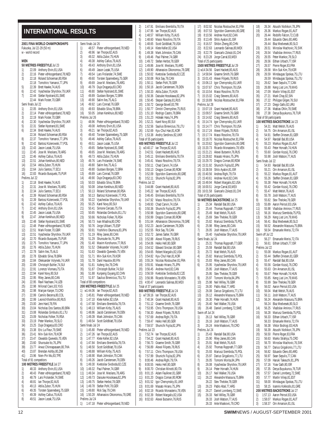### **INTERNATIONAL RESULTS**

|            |                    | 2001 FINA WORLD CHAMPIONSHIPS                                         |            | Semi finals Jul 26      |                                                                      |
|------------|--------------------|-----------------------------------------------------------------------|------------|-------------------------|----------------------------------------------------------------------|
|            | w - world record   | Fukuoka, Jul 22-29 (50 m)                                             | 1)<br>2)   |                         | 48.57 Pieter vdHoogenband, 78, NED<br>48.96 Ian Thorpe, 82, AUS      |
|            |                    |                                                                       | 3)         |                         | 49.32 Attila Zubor, 75, HUN                                          |
| MEN        |                    |                                                                       | 4)         |                         | 49.38 Ashley Callus, 79, AUS                                         |
|            |                    | 50 METRES FREESTYLE Jul 23                                            | 5)         |                         | 49.43 Anthony Ervin, 81, USA                                         |
| 1)<br>2)   |                    | 22.09 Anthony Ervin, 81, USA<br>22.16 Pieter vdHoogenband, 78, NED    | 6)<br>7)   |                         | 49.49 Jason Lezak, 75, USA<br>49.54 Lars Frolander, 74, SWE          |
| 3)         |                    | 22.18 Roland Schoeman, 80, RSA                                        | 8)         |                         | 49.60 Torsten Spanneberg, 75, GER                                    |
|            |                    | 22.18 Tomohiro Yamanoi, 77, JPN                                       | 9)         |                         | 49.69 Jose M. Meolans, 78, ARG                                       |
| 5)         |                    | 22.39 Brett Hawke, 74, AUS                                            | 10)        |                         | 49.79 Duje Draganja,83,CRO                                           |
| 6)<br>7)   |                    | 22.42 Vyacheslav Shyrshov, 79, UKR<br>22.44 Stefan Nystrand, 81, SWE  | 11)<br>12) |                         | 49.80 Stefan Nystrand, 81, SWE<br>49.89 Gustavo Borges, 72, BRA      |
|            |                    | 22.44 Mark Foster, 70, GBR                                            | 13)        |                         | 49.90 Salim Iles, 75, ALG                                            |
|            | Semi finals Jul 22 |                                                                       | 14)        |                         | 49.92 Lars Conrad, 76, GER                                           |
| 1)<br>2)   |                    | 22.05 Anthony Ervin, 81, USA<br>22.14 Pieter vdHoogenband, 78, NED    | 15)<br>16) |                         | 49.93 Edvaldo Silva, 78, BRA<br>50.05 Johan Kenkhuis, 80, NED        |
| 3)         |                    | 22.19 Mark Foster, 70, GBR                                            |            | Prelims Jul 26          |                                                                      |
| 4)         |                    | 22.30 Vyacheslav Shyrshov, 79, UKR                                    | 1)         |                         | 48.96 Pieter vdHoogenband, 78, NED                                   |
| 5)         |                    | 22.31 Stefan Nystrand, 81, SWE<br>22.34 Brett Hawke, 74, AUS          | 2)         |                         | 49.08 Anthony Ervin, 81, USA                                         |
| 6)         |                    | 22.34 Roland Schoeman, 80, RSA                                        | 3)<br>4)   |                         | 49.21 Ian Thorpe, 82, AUS<br>49.40 Torsten Spanneberg, 75, GER       |
| 8)         |                    |                                                                       | 5)         |                         | 49.46 Ashley Callus, 79, AUS                                         |
| 9)         |                    | 22.37 Tomohiro Yamanoi, 77, JPN<br>22.42 Bartosz Kizierowski, 77, POL | 6)         | 49.51                   | Jason Lezak, 75, USA                                                 |
| 10)        |                    | 22.43 Jason Lezak, 75, USA<br>22.45 Jose M. Meolans, 78, ARG          | 7)         |                         | 49.65 Stefan Nystrand, 81, SWE                                       |
| 11)<br>12) |                    | 22.46 Ashley Callus, 79, AUS                                          | 8)<br>9)   |                         | 49.65 Jose M. Meolans, 78, ARG<br>49.73 Attila Zubor, 75, HUN        |
| 13)        |                    | 22.51 Johan Kenkhuis, 80, NED                                         | 10)        |                         | 49.76 Lars Frolander, 74, SWE                                        |
| 14)        |                    | 22.54 Attila Zubor, 75, HUN                                           | 11)        |                         | 49.80 Salim Iles, 75, ALG                                            |
| 15)<br>16) |                    | 22.64 Julio Santos, 77, ECU<br>22.83 Ricardo Busquets, 75, PUR        | 12)<br>13) |                         | 49.80 Gustavo Borges, 72, BRA<br>49.89 Lars Conrad, 76, GER          |
|            | Prelims Jul 22     |                                                                       | 14)        |                         | 49.90 Duje Draganja, 83, CRO                                         |
| 1)         |                    | 22.18 Brett Hawke, 74, AUS                                            | 15)        |                         | 50.03 Edvaldo Silva, 78, BRA                                         |
| 2)         |                    | 22.31 Jose M. Meolans, 78, ARG                                        | 16)        |                         | 50.08 Johan Kenkhuis, 80, NED                                        |
| 3)<br>4)   |                    | 22.34 Julio Santos, 77, ECU<br>22.39 Roland Schoeman, 80, RSA         | 17)<br>18) |                         | 50.13 Roland Schoeman, 80, RSA<br>50.13 Bartosz Kizierowski, 77, POL |
| 5)         |                    | 22.39 Bartosz Kizierowski, 77, POL                                    | 19)        |                         | 50.22 Vyacheslav Shyrshov, 79, UKR                                   |
| 6)         |                    | 22.42 Ashley Callus, 79, AUS                                          | 20)        |                         | 50.25 Karel Novy, 80, SUI                                            |
| 7)<br>8)   |                    | 22.42 Anthony Ervin, 81, USA<br>22.45 Jason Lezak, 75, USA            | 21)<br>22) |                         | 50.41 Simone Cercato, 75, ITA<br>50.65 Rolandas Gimbutis, 81, LTU    |
| 9)         |                    | 22.47 Johan Kenkhuis, 80, NED                                         | 23)        |                         | 50.66 Nicholas Folker, 76, RSA                                       |
| 10)        |                    | 22.48 Stefan Nystrand, 81, SWE                                        | 24)        |                         | 50.73 Ivan Mladina, 80, CRO                                          |
| 11)        |                    | 22.48 Pieter vdHoogenband, 78, NED                                    | 25)        |                         | 50.76 Jorge Ulibarri, 75, ESP                                        |
| 12)<br>13) |                    | 22.51 Mark Foster, 70, GBR<br>22.51 Vyacheslav Shyrshov, 79, UKR      | 26)<br>27) |                         | 50.91 Yoshihiro Okumura, 83, JPN<br>51.19 Riley Janes, 80, CAN       |
| 14)        |                    | 22.70 Ricardo Busquets, 75, PUR                                       | 28)        |                         | 51.29 Shunsuke Ito, 76, JPN                                          |
| 15)        |                    | 22.75 Tomohiro Yamanoi, 77, JPN                                       | 29)        |                         | 51.40 Maxim Korshunov, 77, RUS                                       |
| 16)<br>17) |                    | 22.76 Attila Zubor, 75, HUN<br>22.78 Salim Iles, 75, ALG              | 30)<br>31) |                         | 51.52 Oleksander Volynets, 74, UKR<br>51.63 Oswaldo Quevedo, 75, VEN |
| 18)        |                    | 22.78 Edvaldo Silva, 78, BRA                                          | 32)        |                         | 51.71 Min-Suk Kim, 79, KOR                                           |
| 19)        |                    | 22.84 Oleksander Volynets, 74, UKR                                    | 33)        |                         | 51.78 Danil Haustov, 80, FIN                                         |
| 20)        |                    | 22.89 Christoph Buhler, 74, SUI                                       | 34)        | 51.81                   | Xufeng Xie, 78, CHN                                                  |
| 21)<br>22) |                    | 22.91 Lorenzo Vismara, 75, ITA<br>22.94 Karel Novy, 80, SUI           | 35)<br>36) |                         | 51.87 Christoph Buhler, 74, SUI<br>51.88 Kunpeng Ouyang, 82, CHN     |
| 23)        |                    | 22.95 Riley Janes, 80, CAN                                            | 37)        |                         | 51.97 Saulius Binevicius, 79, LTU                                    |
| 24)        |                    | 22.95 Ravil Nachaev, 74, UZB                                          |            | Total of 88 competitors |                                                                      |
| 25)<br>26) |                    | 22.98 Milorad Cavic, 83, YUG<br>22.98 Marijan Kanjer,73,CRO           | 1)         |                         | 200 METRES FREESTYLE Jul 25<br>w1:44.06 lan Thorpe,82,AUS            |
| 27)        |                    | 22.99 Camilo Becerra, 80, COL                                         | 2)         |                         | 1:45.81 Pieter vdHoogenband, 78, NED                                 |
| 28)        |                    | 22.99 Leonid Khokhlov, 80, RUS                                        | 3)         |                         | 1:47.10 Klete Keller, 82, USA                                        |
| 29)        |                    | 23.00 Jere Hard, 78, FIN<br>23.04 Nicholas Dos Santos, 80, BRA        | 4)<br>5)   |                         | 1:47.58 Emiliano Brembilla, 78, ITA                                  |
| 30)<br>31) |                    | 23.08 Rolandas Gimbutis, 81, LTU                                      | 6)         | 1:48.86                 | 1:48.13 William Kirby, 75, AUS<br>Jacob Carstensen, 78, DEN          |
| 32)        |                    | 23.09 Nicholas Folker, 76, RSA                                        | 7)         | 1:49.39                 | Mark Johnston, 79, CAN                                               |
| 33)        |                    | 23.19 Peter Mankoc, 78, SLO                                           | 8)         | 1:49.54                 | Scott Goldblatt, 79, USA                                             |
| 34)<br>35) |                    | 23.25 Duje Draganja, 83, CRO<br>23.38 Eric La Fleur, 79, SWE          | 1)         | Semi finals Jul 24      | 1:45.80 Pieter vdHoogenband, 78, NED                                 |
| 36)        |                    | 23.41 Min-Suk Kim, 79, KOR                                            | 2)         |                         | 1:47.26 Ian Thorpe,82,AUS                                            |
| 37)        |                    | 23.47 Oswaldo Quevedo, 75, VEN                                        | 3)         | 1:47.77                 | Klete Keller, 82, USA                                                |
| 38)        |                    | 23.60 Shunsuke Ito, 76, JPN                                           | 4)         |                         | 1:47.84 Emiliano Brembilla, 78, ITA                                  |
| 39)<br>40) |                    | 23.77 Arwut Chinnapasaen, 80, THA<br>23.87 Brendan Ashby, 80, ZIM     | 5)<br>6)   | 1:48.50                 | Scott Goldblatt, 79, USA<br>1:48.88 William Kirby, 75, AUS           |
| 41)        |                    | 23.96 Nien-Pin Wu,83,TPE                                              | 7)         |                         | 1:48.90 Mark Johnston, 79, CAN                                       |
|            |                    | Total of 91 competitors                                               | 8)         | 1:49.26                 | Jacob Carstensen, 78, DEN                                            |
|            |                    | 100 METRES FREESTYLE Jul 27                                           | 9)         |                         | 1:49.30 Kvetoslav Svoboda, 82, CZE                                   |
| 1)<br>2)   |                    | 48.33 Anthony Ervin,81,USA<br>48.43 Pieter vdHoogenband, 78, NED      | 10)<br>11) | 1:49.34                 | 1:49.32 Paul Palmer, 74, GBR<br>Jose M. Meolans, 78, ARG             |
| 3)         |                    | 48.79 Lars Frolander, 74, SWE                                         | 12)        |                         | 1:49.73 Daisuke Hosokawa, 82, JPN                                    |
| 4)         |                    | 48.81 lan Thorpe, 82, AUS                                             | 13)        | 1:49.75                 | Stefan Herbst, 78, GER                                               |
| 5)<br>6)   | 49.35              | 49.13 Attila Zubor, 75, HUN<br>Torsten Spanneberg, 75, GER            | 14)<br>15) | 1:49.80                 | 1:49.78 Stefan Pohl, 78, GER<br>Rick Say, 79, CAN                    |
| 7)         |                    | 49.39 Ashley Callus, 79, AUS                                          | 16)        |                         | 1:50.28 Athanasios Oikonomou, 78, GRE                                |
| 8)         | 49.51              | Jason Lezak, 75, USA                                                  |            | Prelims Jul 24          |                                                                      |
|            |                    |                                                                       | 1)         |                         | 1:47.18 Pieter vdHoogenband, 78, NED                                 |

|                                                 | 2)                                     | 1:47.91                                   |
|-------------------------------------------------|----------------------------------------|-------------------------------------------|
|                                                 | 3)<br>4)                               | 1:47.95<br>1:48.57                        |
|                                                 | 5)                                     | 1:48.60                                   |
|                                                 | 6)                                     | 1:48.65                                   |
| vdHoogenband, 78, NED                           | 7)                                     | 1:49.14                                   |
| orpe,82,AUS                                     | 8)                                     | 1:49.38                                   |
| Zubor, 75, HUN                                  | 9)                                     | 1:49.46                                   |
| y Callus, 79, AUS<br>ny Ervin,81,USA            | 10)<br>11)                             | 1:49.72<br>1:49.86                        |
| Lezak,75,USA                                    |                                        | 12) 1:49.90                               |
| rolander,74,SWE                                 | 13)                                    | 1:50.02                                   |
| en Spanneberg,75,GER                            | 14)                                    | 1:50.08                                   |
| VI. Meolans, 78, ARG                            |                                        | $15$ ) $1:50.11$<br>$16$ ) $1:50.16$      |
| Draganja,83,CRO                                 |                                        |                                           |
| Nystrand,81,SWE ו                               | 17)                                    | 1:50.33                                   |
| vo Borges,72,BRA                                |                                        | 1:50.36<br>18) 1:50.36<br>19) 1:50.45     |
| les, 75, ALG<br>Conrad, 76, GER                 | 20)                                    | 1:50.72                                   |
| do Silva,78,BRA                                 | 21)                                    | 1:50.77                                   |
| Kenkhuis,80,NED                                 |                                        | $22)$ 1:51.10                             |
|                                                 | 23)                                    | 1:51.23                                   |
| vdHoogenband, 78, NED                           |                                        | 24) 1:52.21<br>25) 1:52.56<br>26) 1:52.69 |
| ny Ervin,81,USA                                 |                                        |                                           |
| orpe,82,AUS<br>en Spanneberg,75,GER             |                                        | 27) 1:53.38                               |
| y Callus,79,AUS                                 |                                        | Total of 55 par                           |
| Lezak, 75, USA                                  |                                        | 400 METRES                                |
| Nystrand,81,SWE                                 |                                        | 1) w3:40.17                               |
| VI. Meolans, 78, ARG                            | $\begin{pmatrix} 2 \\ 3 \end{pmatrix}$ | 3:42.51                                   |
| Zubor, 75, HUN                                  |                                        | 3:45.11                                   |
| rolander, 74, SWE                               | $\binom{4}{5}$                         | 3:45.41                                   |
| Iles, 75, ALG<br>vo Borges, 72, BRA             | 6)                                     | 3:50.11<br>3:50.13                        |
| Conrad, 76, GER                                 | 7)                                     | 3:52.09                                   |
| Draganja,83,CRO                                 | 8)                                     | 3:52.11                                   |
| do Silva,78,BRA                                 |                                        | Prelims Jul 22                            |
| Kenkhuis,80,NED                                 |                                        | $1)$ $3:44.88$                            |
| d Schoeman, 80, RSA                             | $\begin{pmatrix} 2 \\ 3 \end{pmatrix}$ | 3:45.22                                   |
| sz Kizierowski,77,POL<br>ieslav Shyrshov,79,UKR |                                        | 3:46.45<br>3:47.92                        |
| Novy,80,SUI                                     | 4)                                     | 3:49.93                                   |
| he Cercato, 75, ITA                             | 5)<br>6)                               | 3:50.36                                   |
| das Gimbutis,81,LTU                             | 7)                                     | 3:50.98                                   |
| las Folker, 76, RSA                             | 8)                                     | 3:50.99                                   |
| /lladina,80,CRO                                 | 9)                                     | 3:51.64                                   |
| Ulibarri, 75, ESP                               | 10)                                    | 3:52.23                                   |
| hiro Okumura,83,JPN<br>Janes, 80, CAN           | 11)<br>12)                             | 3:52.55<br>3:52.72                        |
| suke Ito,76,JPN                                 | 13)                                    | 3:52.88                                   |
| n Korshunov,77,RUS                              | 14)                                    | 3:54.06                                   |
| ander Volynets,74,UKR                           | 15)                                    | 3:54.52                                   |
| Ido Quevedo, 75, VEN                            | 16)                                    | 3:54.65                                   |
| Suk Kim,79,KOR                                  | 17)                                    | 3:54.82                                   |
| Haustov, 80, FIN<br>g Xie,78,CHN                | 18)<br>19)                             | 3:55.24<br>3:55.91                        |
| toph Buhler,74,SUI                              | 20)                                    | 3:56.45                                   |
| eng Ouyang,82,CHN                               | 21)                                    | 3:56.59                                   |
| us Binevicius,79,LTU                            | 22)                                    | 3:56.96                                   |
| rs                                              | 23)                                    | 4:00.47                                   |
| STYLE Jul 25                                    |                                        | Total of 37 par                           |
| orpe,82,AUS<br>vdHoogenband, 78, NED            | 1)                                     | 800 METRES<br>w7:39.16                    |
| Keller,82,USA                                   | 2)                                     | 7:40.34                                   |
| ano Brembilla.78.ITA                            | 3)                                     | 7:51.12                                   |
| m Kirby,75,AUS                                  | 4)                                     | 7:53.95                                   |
| Carstensen, 78, DEN                             | 5)                                     | 7:56.30                                   |
| Johnston, 79, CAN                               | 6)                                     | 7:57.69                                   |
| Goldblatt, 79, USA                              | 7)<br>8)                               | 7:59.47<br>7:59.57                        |
| vdHoogenband, 78, NED                           |                                        | Prelims Jul 23                            |
| orpe,82,AUS                                     | 1)                                     | 7:52.74                                   |
| Keller,82,USA                                   | 2)                                     | 7:54.22                                   |
| ano Brembilla,78,ITA                            | 3)                                     | 7:56.73                                   |
| Goldblatt, 79, USA                              | 4)                                     | 7:56.89                                   |
| m Kirby, 75, AUS<br>Johnston, 79, CAN           | 5)                                     | 7:57.11<br>7:57.99                        |
| Carstensen, 78, DEN                             | 6)<br>7)                               | 8:00.46                                   |
| slav Svoboda,82,CZE                             | 8)                                     | 8:00.55                                   |
| Palmer, 74, GBR                                 | 9)                                     | 8:00.70                                   |
| VI. Meolans, 78, ARG                            | 10)                                    | 8:01.15                                   |
| ke Hosokawa,82,JPN                              | 11)                                    | 8:01.20                                   |
| Herbst, 78, GER                                 | 12)                                    | 8:01.52                                   |
| Pohl,78,GER<br>Say, 79, CAN                     | 13)<br>14)                             | 8:01.69<br>8:02.19                        |
| asios Oikonomou, 78, GRE                        | 15)                                    | 8:02.39                                   |
|                                                 |                                        | 16) 8:02.63                               |

| 2)         |                                                                | 1:47.91 Emiliano Brembilla, 78, ITA                                                                                                                                                                                                                 |
|------------|----------------------------------------------------------------|-----------------------------------------------------------------------------------------------------------------------------------------------------------------------------------------------------------------------------------------------------|
| 3)         | 1:47.95                                                        | lan Thorpe, 82, AUS                                                                                                                                                                                                                                 |
| 4)         | 1:48.57                                                        | William Kirby, 75, AUS                                                                                                                                                                                                                              |
| 5)         |                                                                | 1:48.60 Massi Rosolino, 78, ITA                                                                                                                                                                                                                     |
| 6)         |                                                                | Scott Goldblatt, 79, USA                                                                                                                                                                                                                            |
| 7)         |                                                                | 1:48.65 Scott Goldblatt, 79, L<br>1:49.14 Klete Keller, 82, USA                                                                                                                                                                                     |
| 8)         |                                                                | 1:49.38 Mark Johnston, 79, CAN                                                                                                                                                                                                                      |
| 9)         |                                                                | 1:49.46 Paul Palmer, 74, GBR                                                                                                                                                                                                                        |
| $\dot{10}$ |                                                                | 1:49.46 Paul Palmer,74,GBR<br>1:49.72 Stefan Herbst,78,GER                                                                                                                                                                                          |
| 11)        | 1:49.86                                                        | Jose M. Meolans, 78, ARG                                                                                                                                                                                                                            |
| 12)        |                                                                | 1:49.90 Athanasios Oikonomou, 78, GRE                                                                                                                                                                                                               |
| 13)        |                                                                | 1:50.02 Kvetoslav Svoboda, 82, CZE                                                                                                                                                                                                                  |
| 14)        |                                                                | 1:50.08 Rick Say, 79, CAN                                                                                                                                                                                                                           |
| 15)        |                                                                | 1:50.11 Stefan Pohl, 78, GER                                                                                                                                                                                                                        |
| 16)        |                                                                | 1:50.16 Jacob Carstensen, 78, DEN                                                                                                                                                                                                                   |
| 17)        |                                                                | 1:50.33 Attila Zubor, 75, HUN                                                                                                                                                                                                                       |
| 18)        |                                                                | 1:50.36 Daisuke Hosokawa, 82, JPN                                                                                                                                                                                                                   |
| 19)        |                                                                |                                                                                                                                                                                                                                                     |
| 20)        |                                                                | 1:50.45 Stepan Ganzey,81,RUS<br>1:50.72 George Bovell,83,TRI                                                                                                                                                                                        |
| 21)        |                                                                |                                                                                                                                                                                                                                                     |
| 22)        |                                                                | 1:50.77 Dimitri Chernyshev, 75, RUS<br>1:51.10 Rodrigo Castro, 78, BRA<br>1:51.23 Hideaki Hara, 74, JPN<br>1:52.21 Karel Novy, 80, SUI                                                                                                              |
| 23)        |                                                                |                                                                                                                                                                                                                                                     |
| 24)        |                                                                |                                                                                                                                                                                                                                                     |
|            |                                                                | 25) 1:52.56 Saulius Binevicius, 79, LTU                                                                                                                                                                                                             |
|            |                                                                |                                                                                                                                                                                                                                                     |
|            |                                                                | 20) 1:52.69 Kyu-Chul Han,81,KOR<br>27) 1:53.38 Andriy Serdinov,82,UKR                                                                                                                                                                               |
|            | Total of 55 participants                                       |                                                                                                                                                                                                                                                     |
|            |                                                                | 400 METRES FREESTYLE Jul 22                                                                                                                                                                                                                         |
|            |                                                                | 1) w3:40.17 Ian Thorpe,82,AUS                                                                                                                                                                                                                       |
|            |                                                                |                                                                                                                                                                                                                                                     |
|            |                                                                | 3:42.51 Grant Hackett, 80, AUS<br>3:45.11 Emiliano Brembilla, 78, ITA                                                                                                                                                                               |
|            |                                                                |                                                                                                                                                                                                                                                     |
|            |                                                                |                                                                                                                                                                                                                                                     |
|            |                                                                |                                                                                                                                                                                                                                                     |
|            |                                                                | 7. (2008)<br>2) 3:45.11 Emiliano Brembina, (2008)<br>3) 3:45.41 Massi Rosolino, 78, ITA<br>5) 3:50.11 Chad Carvin, 74, USA<br>6) 3:50.13 Dragos Coman, 80, ROM<br>3.50.13 Dragos Coman, 80, ROM<br>3.50.13 Dragos Coman, 80, ROM<br><sup>3.45</sup> |
|            |                                                                | Spyridon Gianniotis, 80, GRE                                                                                                                                                                                                                        |
|            |                                                                |                                                                                                                                                                                                                                                     |
|            | Prelims Jul 22                                                 |                                                                                                                                                                                                                                                     |
| 1)         |                                                                | 3:44.88 Grant Hackett,80,AUS<br>3:45.22 Ian Thorpe,82,AUS                                                                                                                                                                                           |
| 2)         |                                                                |                                                                                                                                                                                                                                                     |
| 3)         |                                                                | 3:46.45 Emiliano Brembilla, 78, ITA                                                                                                                                                                                                                 |
| 4)         |                                                                | 3:47.92 Massi Rosolino, 78, ITA                                                                                                                                                                                                                     |
| 5)         |                                                                | 3:49.93 Chad Carvin, 74, USA<br>3:50.36 Shunichi Fujita, 82, JF                                                                                                                                                                                     |
| 6)         |                                                                | Shunichi Fujita, 82, JPN                                                                                                                                                                                                                            |
| 7)         | 3:50.98                                                        | Spyridon Gianniotis, 80, GRE                                                                                                                                                                                                                        |
|            |                                                                | 3:50.99 Dragos Coman, 80, ROM<br>8)      3:50.99    Dragos Coman,80,ROM<br>9)      3:51.64   Athanasios Oikonomou,78,GRE                                                                                                                            |
|            |                                                                |                                                                                                                                                                                                                                                     |
| 10)        | 3:52.23                                                        | Jacob Carstensen, 78, DEN                                                                                                                                                                                                                           |
|            | $\begin{bmatrix} 11 \\ 2 \end{bmatrix}$ 3:52.55<br>12) 3:52.72 | Rick Say,79,CAN                                                                                                                                                                                                                                     |
|            |                                                                | James Salter, 76, GBR                                                                                                                                                                                                                               |
| 13)        |                                                                | 3:52.88 Alexei Filipets, 78, RUS                                                                                                                                                                                                                    |
| 14)        |                                                                | 3:54.06 Heiko Hell, 80, GER                                                                                                                                                                                                                         |
| 15)        |                                                                | 3:54.52 Edward Sinclair, 80, GBR                                                                                                                                                                                                                    |
| 16)        |                                                                | 3:54.65 Robert Margalis, 82, USA                                                                                                                                                                                                                    |
| 17)        |                                                                |                                                                                                                                                                                                                                                     |
| 18)        |                                                                | 3:54.82 Kyu-Chul Han,81,KOR<br>3:55.24 Nicolas Rostoucher,81,FRA<br>3:55.94 Nicolas Rostoucher,81,FRA<br>3:55.91 Masato Hirano,75,JPN                                                                                                               |
| 19)        |                                                                |                                                                                                                                                                                                                                                     |
| 20)        |                                                                | 3:56.45 Andrew Hurd,82,CAN                                                                                                                                                                                                                          |
| 21)        | 3:56.59                                                        | Kvetoslav Svoboda, 82, CZE                                                                                                                                                                                                                          |
| 22)        | 3:56.96                                                        | Ricardo Monasterio, 78, VEN                                                                                                                                                                                                                         |
| 23)        | 4:00.47                                                        | Leonardo Salinas, 80, MEX                                                                                                                                                                                                                           |
|            | Total of 37 participants                                       |                                                                                                                                                                                                                                                     |
|            |                                                                | 800 METRES FREESTYLE Jul 24                                                                                                                                                                                                                         |
| 1)         | w7:39.16                                                       | lan Thorpe, 82, AUS                                                                                                                                                                                                                                 |
| 2)         | 7:40.34                                                        | Grant Hackett, 80, AUS                                                                                                                                                                                                                              |
| 3)         | 7:51.12                                                        | Graeme Smith, 76, GBR                                                                                                                                                                                                                               |
| 4)         | 7:53.95                                                        | Chris Thompson, 78, USA                                                                                                                                                                                                                             |
| 5)         | 7:56.30                                                        | Alexei Filipets, 78, RUS                                                                                                                                                                                                                            |
| 6)         | 7:57.69                                                        | Andrea Righi, 79, ITA                                                                                                                                                                                                                               |
| 7)         | 7:59.47                                                        | Heiko Hell,80,GER                                                                                                                                                                                                                                   |
| 8)         | 7:59.57                                                        | Shunichi Fujita, 82, JPN                                                                                                                                                                                                                            |
|            | Prelims Jul 23                                                 |                                                                                                                                                                                                                                                     |
| 1)         | 7:52.74                                                        | lan Thorpe, 82, AUS                                                                                                                                                                                                                                 |
| 2)         | 7:54.22                                                        | Grant Hackett, 80, AUS                                                                                                                                                                                                                              |
| 3)         | 7:56.73                                                        | Graeme Smith, 76, GBR                                                                                                                                                                                                                               |
| 4)         | 7:56.89                                                        | Alexei Filipets, 78, RUS                                                                                                                                                                                                                            |
| 5)         | 7:57.11                                                        | Chris Thompson, 78, USA                                                                                                                                                                                                                             |
| 6)         | 7:57.99                                                        | Shunichi Fujita,82,JPN                                                                                                                                                                                                                              |
| 7)         | 8:00.46                                                        | Andrea Righi, 79, ITA                                                                                                                                                                                                                               |
| 8)         | 8:00.55                                                        | Heiko Hell,80,GER                                                                                                                                                                                                                                   |
| 9)         | 8:00.70                                                        | Christian Minotti, 80, ITA                                                                                                                                                                                                                          |
| 10)        | 8:01.15                                                        | Adam Faulkner, 81, GBR                                                                                                                                                                                                                              |
| 11)        | 8:01.20                                                        | Dragos Coman, 80, ROM                                                                                                                                                                                                                               |
| 12)        | 8:01.52                                                        | Igor Chervynskiy, 81, UKR                                                                                                                                                                                                                           |
| 13)        | 8:01.69                                                        | Masato Hirano, 75, JPN                                                                                                                                                                                                                              |
| 14)        | 8:02.19                                                        | Ricardo Monasterio, 78, VEN                                                                                                                                                                                                                         |
| 15)        | 8:02.39                                                        | Robert Margalis, 82, USA                                                                                                                                                                                                                            |
|            |                                                                |                                                                                                                                                                                                                                                     |
| 16)        | 8:02.63                                                        | Alexei Butsenin, 76, RUS                                                                                                                                                                                                                            |

| 17) |                          | 8:02.92 Nicolas Rostoucher, 81, FRA      | 18) |                          | 26.34 Atsushi Nishikori, 78, JI                               |
|-----|--------------------------|------------------------------------------|-----|--------------------------|---------------------------------------------------------------|
| 18) |                          | 8:07.53 Spyridon Gianniotis, 80, GRE     | 19) |                          | 26.36 Markus Rogan, 81, AUT                                   |
| 19) |                          | 8:10.56 Andrew Hurd, 82, CAN             | 20) |                          | 26.44 Rodolfo Falcon, 72, CUI                                 |
| 20) |                          | 8:13.49 Shilo Ayalon, 81, ISR            |     |                          | 26.44 Eduardo Otero, 80, ARG                                  |
| 21) |                          | 8:16.57 Shibin Zheng, 80, CHN            |     |                          | 26.44 Blaz Medvesek, 80, SLC                                  |
| 22) |                          | 8:22.63 Leonardo Salinas, 80, MEX        | 23) |                          | 26.51 Miroslav Machovic, 76                                   |
|     |                          |                                          |     |                          | 26.54 Vladislav Aminov, 77, R                                 |
| 23) |                          | 8:22.79 Giancarlo Zolezzi, 81, CHI       | 24) |                          |                                                               |
| 24) |                          | 8:23.28 Jorge Carral, 83, MEX            | 25) |                          | 26.55 Peter Mankoc, 78, SLO                                   |
|     | Total of 25 participants |                                          | 26) |                          | 26.56 Eithan Urbach, 77, ISR                                  |
|     |                          | 1500 METRES FREESTYLE Jul 29             | 27) |                          | 26.57 Pierre Roger, 83, FRA                                   |
|     |                          | 1) w14:34.56 Grant Hackett,80,AUS        | 28) |                          | 26.58 Min-Suk Kim, 79, KOR                                    |
| 2)  |                          | 14:58.94 Graeme Smith, 76, GBR           | 29) |                          | 26.59 Mindaugas Spokas, 75                                    |
| 3)  |                          | 15:01.43 Alexei Filipets, 78, RUS        |     |                          | 26.59 Mindaugas Spokas, 75                                    |
| 4)  |                          | 15:06.13 Igor Chervynskiy,81,UKR         | 31) |                          | 26.62 Sean Sepulis, 77, CAN                                   |
| 5)  |                          | 15:07.67 Chris Thompson, 78, USA         | 33) |                          | 26.88 Keng Liat Lim, 79, MAS                                  |
| 6)  |                          | 15:10.54 Massi Rosolino, 78, ITA         | 34) |                          | 27.09 Martin Viilep, 81, EST                                  |
| 7)  |                          | 15:15.02 Craig Stevens, 80, AUS          | 35) |                          | 27.21 Mark Chay, 82, SIN                                      |
| 8)  |                          | 15:18.89 Nicolas Rostoucher, 81, FRA     | 36) |                          | 27.22 Philippe Gilgen, 76, SU                                 |
|     | Prelims Jul 28           |                                          | 37) |                          | 27.23 Diego Gallo, 82, URU                                    |
| 1)  |                          | 15:07.19 Grant Hackett, 80, AUS          | 38) |                          | 27.36 Mattias Ohlin, 78, SWE                                  |
| 2)  |                          | 15:09.57 Graeme Smith, 76, GBR           | 39) |                          | 27.38 Derya Buyukuncu, 76, T                                  |
|     |                          |                                          |     |                          |                                                               |
| 3)  |                          | 15:14.62 Craig Stevens, 80, AUS          |     | Total of 58 participants |                                                               |
| 4)  |                          | 15:14.74 Igor Chervynskiy, 81, UKR       |     |                          | 100 METRES BACKSTROKE Jul 23                                  |
| 5)  |                          | 15:14.77 Chris Thompson, 78, USA         | 1)  |                          | 54.31 Matt Welsh, 76, AUS                                     |
| 6)  |                          | 15:17.24 Alexei Filipets, 78, RUS        | 2)  |                          | 54.75 Orn Arnarson, 81, ISL                                   |
| 7)  |                          | 15:17.74 Massi Rosolino, 78, ITA         | 3)  |                          | 54.91 Steffen Driesen, 81, GEF                                |
| 8)  |                          | 15:18.70 Nicolas Rostoucher, 81, FRA     | 4)  |                          | 54.97 Randall Bal,80,USA                                      |
| 9). |                          | 15:20.62 Spyridon Gianniotis, 80, GRE    | 5)  |                          | 55.23 Markus Rogan, 81, AUT                                   |
|     |                          | 10) 15:20.73 Ricardo Monasterio, 78, VEN | 6)  |                          | 55.43 Peter Horvath, 74, HUN                                  |
|     | 11) 15:21.21             | Alexei Butsenin, 76, RUS                 | 7)  |                          | 55.60 Gordan Kozulj, 76, CRO                                  |
|     |                          | 12) 15:28.82 Masato Hirano, 75, JPN      | 8)  |                          | 55.98 Josh Watson, 77, AUS                                    |
|     |                          | 13) 15:29.70 Dragos Coman,80,ROM         |     | Semi finals Jul 22       |                                                               |
|     | 14) 15:31.92             | Shunichi Fujita, 82, JPN                 | 1)  |                          | 54.93 Randall Bal, 80, USA                                    |
|     |                          | 15) 15:38.59 Shilo Ayalon, 81, ISR       | 2)  |                          | 55.21 Orn Arnarson, 81, ISL                                   |
|     |                          | 16) 15:40.56 Andrea Righi, 79, ITA       | 3)  |                          | 55.22 Markus Rogan, 81, AUT                                   |
|     | 17) 15:40.61             | Andrew Hurd, 82, CAN                     |     |                          | 55.26 Steffen Driesen, 81, GEF                                |
|     |                          |                                          | 4)  |                          |                                                               |
|     |                          | 18) 15:49.94 Robert Margalis, 82, USA    | 5)  |                          | 55.38 Peter Horvath, 74, HUN                                  |
|     | 19) 16:00.51             | Jorge Carral, 83, MEX                    | 6)  |                          | 55.42 Gordan Kozulj, 76, CRO                                  |
|     |                          | 20) 16:01.58 Giancarlo Zolezzi,81,CHI    | 7)  |                          | 55.47 Matt Welsh, 76, AUS                                     |
|     | Total of 26 participants |                                          | 8)  |                          | 55.78 Josh Watson, 77, AUS                                    |
|     |                          | <b>50 METRES BACKSTROKE</b> Jul 25       | 9)  |                          | 55.82 Stev Theloke, 78, GER                                   |
| 1)  |                          | 25.34 Randall Bal,80,USA                 | 10) |                          | 55.89 Aaron Peirsol, 83, USA                                  |
| 2)  |                          | 25.44 Thomas Rupprath, 77, GER           | 11) |                          | 55.98 Vladislav Aminov, 77, R                                 |
| 3)  |                          | 25.49 Matt Welsh, 76, AUS                | 12) |                          | 56.16 Mariusz Siembida, 75, F                                 |
| 4)  |                          | 25.69 Stev Theloke, 78, GER              | 13) |                          | 56.29 Keng Liat Lim, 79, MAS                                  |
| 5)  |                          | 25.82 Mariusz Siembida, 75, POL          | 14) |                          | 56.41 Blaz Medvesek, 80, SLC                                  |
| 6)  |                          | 25.98 Riley Janes, 80, CAN               | 15) |                          | 56.52 Alexandre Massura, 75                                   |
| 7)  |                          | 26.05 Josh Watson, 77, AUS               | 16) |                          | 56.54 Emanuele Merisi, 72, IT                                 |
| 8)  |                          | 26.40 Vyacheslav Shyrshov, 79, UKR       |     | Swim off Jul 22          |                                                               |
|     | Semi finals Jul 24       |                                          | 1)  |                          | 56.27 Emanuele Merisi, 72, IT                                 |
| 1)  |                          | 25.31 Thomas Rupprath, 77, GER           | 2)  |                          | 56.61 Eithan Urbach, 77, ISR                                  |
| 2)  |                          | 25.59 Randall Bal,80,USA                 |     | Prelims Jul 22           |                                                               |
|     |                          |                                          |     |                          |                                                               |
| 3)  |                          | 25.72 Matt Welsh, 76, AUS                | 1)  |                          | 55.08 Markus Rogan, 81, AUT<br>55.44 Steffen Driesen, 81, GEF |
| 4)  |                          | 25.82 Mariusz Siembida, 75, POL          | 2)  |                          |                                                               |
| 5)  |                          | 25.83 Riley Janes, 80, CAN               | 3)  |                          | 55.47 Randall Bal, 80, USA                                    |
| 6)  | 25.95                    | Vyacheslav Shyrshov, 79, UKR             | 4)  |                          | 55.56 Gordan Kozulj, 76, CRO                                  |
|     |                          | 25.95 Josh Watson, 77, AUS               | 5)  |                          | 55.63 Orn Arnarson,81,ISL                                     |
|     | 25.95                    | Stev Theloke, 78, GER                    | 6)  | 55.67                    | Peter Horvath, 74, HUN                                        |
| 9)  | 25.97                    | Tomomi Morita, 84, JPN                   | 7)  | 55.85                    | Keng Liat Lim, 79, MAS                                        |
| 10) | 25.98                    | Neil Willey, 76, GBR                     | 8)  | 55.99                    | Stev Theloke, 78, GER                                         |
| 11) | 26.00                    | Pablo Abal, 77, ARG                      | 9)  | 56.02                    | Aaron Peirsol, 83, USA                                        |
| 12) |                          | 26.08 Darius Grigalionis, 77, LTU        | 10) | 56.04                    | Matt Welsh, 76, AUS                                           |
| 13) | 26.12                    | Alexandre Massura, 75, BRA               | 11) | 56.11                    | Josh Watson, 77, AUS                                          |
| 14) |                          | 26.30 Peter Horvath, 74, HUN             | 12) | 56.24                    | Alexandre Massura, 75                                         |
| 15) | 26.40                    | Neil Walker, 76, USA                     |     | 56.24                    | Blaz Medvesek, 80, SLC                                        |
| 16) | 26.48                    | Daniel Lonnberg, 72, SWE                 | 14) | 56.25                    | Vladislav Aminov, 77, R                                       |
|     | Swim off Jul 24          |                                          | 15) |                          | 56.28 Mariusz Siembida, 75, F                                 |
| 1)  | 26.13                    | Neil Willey, 76, GBR                     | 16) | 56.33                    | Eithan Urbach, 77, ISR                                        |
| 2)  | 26.16                    | Josh Watson, 77, AUS                     |     | 56.33                    | Emanuele Merisi, 72, IT                                       |
|     | 26.24                    | Ante Maskovic, 79, CRO                   | 18) | 56.38                    | Viktor Bodrogi, 83, HUN                                       |
| 3)  | Prelims Jul 24           |                                          |     |                          |                                                               |
|     |                          |                                          | 19) | 56.39                    | Atsushi Nishikori, 78, JI                                     |
| 1)  | 25.43                    | Randall Bal,80,USA                       | 20) |                          | 56.50 Pierre Roger, 83, FRA                                   |
| 2)  | 25.90                    | Riley Janes, 80, CAN                     | 21) | 56.63                    | Marko Strahija, 75, CRO                                       |
| 3)  | 25.91                    | Matt Welsh, 76, AUS                      | 22) |                          | 56.70 Miroslav Machovic, 76                                   |
| 4)  | 25.92                    | Thomas Rupprath, 77, GER                 | 23) | 56.77                    | Darius Grigalionis, 77, I                                     |
| 5)  | 25.93                    | Mariusz Siembida, 75, POL                | 24) | 56.82                    | Eduardo Otero, 80, ARG                                        |
| 6)  | 25.97                    | Darius Grigalionis, 77, LTU              | 25) |                          | 56.97 Sean Sepulis, 77, CAN                                   |
| 7)  | 26.05                    | Tomomi Morita, 84, JPN                   | 26) | 57.09                    | Haruki Takeuchi, 81, JP                                       |
| 8)  | 26.08                    | Vyacheslav Shyrshov, 79, UKR             | 27) | 57.16                    | Yoav Gath, 80, ISR                                            |
| 9)  | 26.14                    | Peter Horvath, 74, HUN                   | 28) |                          | 57.35 Derya Buyukuncu, 76, T                                  |
| 10) | 26.17                    | Neil Walker, 76, USA                     | 29) | 57.57                    | Daniel Lonnberg, 72, SV                                       |
| 11) | 26.22                    | Alexandre Massura, 75, BRA               | 30) | 57.77                    | Martin Viilep, 81, EST                                        |
|     | 26.22                    | Stev Theloke, 78, GER                    | 31) | 58.00                    | Mindaugas Spokas, 75                                          |
| 13) |                          |                                          |     |                          | loannis Kokkodis,81,G                                         |
|     | 26.23                    | Pablo Abal, 77, ARG                      | 32) | 58.15                    |                                                               |
| 14) | 26.27                    | Daniel Lonnberg, 72, SWE                 |     |                          | 200 METRES BACKSTROKE Jul 27                                  |
| 15) | 26.33                    | Neil Willey, 76, GBR                     | 1)  | 1:57.13                  | Aaron Peirsol, 83, USA                                        |
|     | 26.33                    | Josh Watson, 77, AUS                     | 2)  | 1:58.07                  | Markus Rogan, 81, AUT                                         |
|     |                          | 26.33 Ante Maskovic, 79, CRO             | 3)  |                          | 1:58.37 Orn Arnarson, 81, ISL                                 |

| 18) | 26.34                    | Atsushi Nishikori, 78, JPN                    |
|-----|--------------------------|-----------------------------------------------|
| 19) | 26.36                    | Markus Rogan, 81, AUT                         |
| 20) | 26.44                    | Rodolfo Falcon, 72, CUB                       |
|     |                          | 26.44 Eduardo Otero, 80, ARG                  |
|     | 26.44                    | Blaz Medvesek, 80, SLO                        |
| 23) | 26.51                    | Miroslav Machovic, 76, SVK                    |
| 24) | 26.54                    | Vladislav Aminov, 77, RUS                     |
| 25) | 26.55                    | Peter Mankoc, 78, SLO                         |
| 26) | 26.56                    | Eithan Urbach, 77, ISR                        |
| 27) | 26.57                    | Pierre Roger, 83, FRA                         |
| 28) | 26.58                    | Min-Suk Kim,79,KOR                            |
| 29) | 26.59                    | Mindaugas Spokas, 75, LTU                     |
|     | 26.59                    | Mindaugas Spokas, 75, LTU                     |
| 31) | 26.62                    | Sean Sepulis, 77, CAN                         |
| 33) | 26.88                    | Keng Liat Lim, 79, MAS                        |
| 34) | 27.09                    | Martin Viilep, 81, EST                        |
| 35) | 27.21                    | Mark Chay, 82, SIN                            |
| 36) | 27.22                    | Philippe Gilgen, 76, SUI                      |
| 37) | 27.23                    | Diego Gallo, 82, URU                          |
| 38) | 27.36                    | Mattias Ohlin, 78, SWE                        |
| 39) | 27.38                    | Derya Buyukuncu, 76, TUR                      |
|     | Total of 58 participants |                                               |
|     |                          | 100 METRES BACKSTROKE Jul 23                  |
| 1)  | 54.31                    | Matt Welsh, 76, AUS                           |
| 2)  | 54.75                    | Orn Arnarson, 81, ISL                         |
| 3)  | 54.91                    | Steffen Driesen, 81, GER                      |
| 4)  | 54.97                    | Randall Bal, 80, USA                          |
| 5)  |                          | 55.23 Markus Rogan, 81, AUT                   |
| 6)  | 55.43                    | Peter Horvath, 74, HUN                        |
| 7)  | 55.60                    | Gordan Kozulj, 76, CRO                        |
| 8)  | 55.98                    | Josh Watson, 77, AUS                          |
|     | Semi finals Jul 22       |                                               |
| 1)  | 54.93                    | Randall Bal, 80, USA                          |
| 2)  | 55.21                    | Orn Arnarson, 81, ISL                         |
| 3)  | 55.22                    | Markus Rogan, 81, AUT                         |
| 4)  | 55.26                    | Steffen Driesen, 81, GER                      |
|     | 55.38                    | Peter Horvath, 74, HUN                        |
| 5)  |                          |                                               |
| 6)  | 55.42<br>55.47           | Gordan Kozulj, 76, CRO<br>Matt Welsh, 76, AUS |
| I)  |                          | Josh Watson, 77, AUS                          |
| 8)  | 55.78                    |                                               |
| 9)  | 55.82                    | Stev Theloke, 78, GER                         |
| 10) | 55.89                    | Aaron Peirsol, 83, USA                        |
| 11) | 55.98                    | Vladislav Aminov, 77, RUS                     |
| 12) | 56.16                    | Mariusz Siembida, 75, POL                     |
| 13) | 56.29                    | Keng Liat Lim, 79, MAS                        |
| 14) | 56.41                    | Blaz Medvesek, 80, SLO                        |
| 15) | 56.52                    | Alexandre Massura, 75, BRA                    |
| 16) | 56.54                    | Emanuele Merisi, 72, ITA                      |
|     | Swim off Jul 22          |                                               |
| 1)  | 56.27                    | Emanuele Merisi, 72, ITA                      |
| 2)  | 56.61                    | Eithan Urbach, 77, ISR                        |
|     | Prelims Jul 22           |                                               |
| 1)  | 55.08                    | Markus Rogan, 81, AUT                         |
| 2)  | 55.44                    | Steffen Driesen, 81, GER                      |
| 3)  | 55.47                    | Randall Bal, 80, USA                          |
| 4)  | 55.56                    | Gordan Kozulj, 76, CRO                        |
| 5)  | 55.63                    | Orn Arnarson, 81, ISL                         |
| 6)  | 55.67                    | Peter Horvath, 74, HUN                        |
| 7)  | 55.85                    | Keng Liat Lim,79,MAS                          |
| 8)  | 55.99                    | Stev Theloke, 78, GER                         |
| 9)  | 56.02                    | Aaron Peirsol,83,USA                          |
| 10) | 56.04                    | Matt Welsh, 76, AUS                           |
| 11) | 56.11                    | Josh Watson, 77, AUS                          |
| 12) | 56.24                    | Alexandre Massura, 75, BRA                    |
|     | 56.24                    | Blaz Medvesek, 80, SLO                        |
| 14) | 56.25                    | Vladislav Aminov, 77, RUS                     |
| 15) | 56.28                    | Mariusz Siembida, 75, POL                     |
| 16) | 56.33                    | Eithan Urbach, 77, ISR                        |
|     | 56.33                    | Emanuele Merisi,72,ITA                        |
| 18) | 56.38                    | Viktor Bodrogi, 83, HUN                       |
| 19) | 56.39                    | Atsushi Nishikori,78,JPN                      |
| 20) | 56.50                    | Pierre Roger, 83, FRA                         |
| 21) | 56.63                    | Marko Strahija, 75, CRO                       |
| 22) | 56.70                    | Miroslav Machovic, 76, SVK                    |
| 23) | 56.77                    | Darius Grigalionis, 77, LTU                   |
| 24) | 56.82                    | Eduardo Otero, 80, ARG                        |
| 25) | 56.97                    | Sean Sepulis, 77, CAN                         |
| 26) | 57.09                    | Haruki Takeuchi, 81, JPN                      |
| 27) | 57.16                    | Yoav Gath, 80, ISR                            |
| 28) | 57.35                    | Derya Buyukuncu, 76, TUR                      |
| 29) | 57.57                    | Daniel Lonnberg, 72, SWE                      |
| 30) | 57.77                    | Martin Viilep, 81, EST                        |
| 31) | 58.00                    | Mindaugas Spokas, 75, LTU                     |
| 32) | 58.15                    | loannis Kokkodis,81,GRE                       |
|     |                          | 200 METRES BACKSTROKE Jul 27                  |
| 1)  | 1:57.13                  | Aaron Peirsol,83,USA                          |
| 2)  | 1:58.07                  | Markus Rogan 81 AUT                           |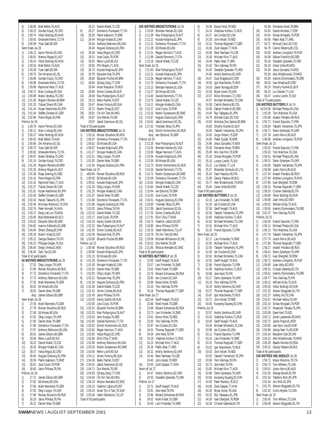4) 1:58.80 Matt Welsh,76,AUS 5) 1:59.23 Gordan Kozulj,76,CRO 6) 1:59.74 Viktor Bodrogi,83,HUN 7) 1:59.83 Emanuele Merisi,72,ITA 8) 2:00.09 Yoav Gath,80,ISR Semi finals Jul 26 1) 1:58.12 Aaron Peirsol,83,USA 2) 1:58.91 Markus Rogan,81,AUT 3) 1:59.24 Viktor Bodrogi,83,HUN 4) 1:59.34 Matt Welsh, 76, AUS<br>5) 1:59.39 Yoav Gath. 80. ISR 5) 1:59.39 Yoav Gath,80,ISR 6) 1:59.75 Orn Arnarson,81,ISL 7) 1:59.80 Gordan Kozulj,76,CRO 1:59.98 Emanuele Merisi,72,ITA 9) 1:59.99 Raymond Hass, 77, AUS<br>10) 2:00.72 Marc Lindsav.80.USA 2:00.72 Marc Lindsay, 80, USA 11) 2:00.98 Marko Strahija,75,CRO 12) 2:01.05 Rogerio Romero,69,BRA 2:01.33 Tobias Oriwol, 85, CAN 14) 2:01.34 Kozan Hashimoto,80,JPN 15) 2:01.54 Steffen Driesen,81,GER 2:02.98 Pierre Roger,83,FRA Prelims Jul 26 1) 1:59.79 Aaron Peirsol,83,USA 2) 2:00.12 Marc Lindsay,80,USA 3) 2:00.27 Viktor Bodrogi,83,HUN 4) 2:00.63 Matt Welsh,76,AUS 5) 2:00.66 Orn Arnarson, 81, ISL<br>6) 2:00.72 Yoay Gath 80 ISR 2:00.72 Yoav Gath,80,ISR 7) 2:00.82 Emanuele Merisi,72,ITA 8) 2:00.97 Marko Strahija, 75, CRO<br>9) 2:01.19 Gordan Kozuli 76 CRO 9) 2:01.19 Gordan Kozulj,76,CRO 10) 2:01.30 Rogerio Romero,69,BRA 11) 2:01.35 Markus Rogan,81,AUT 12) 2:01.36 Klaas Zwering,81,NED 13) 2:01.41 Pierre Roger 83 FRA 14) 2:01.42 Raymond Hass,77,AUS 15) 2:01.57 Tobias Oriwol,85,CAN 2:01.61 Kozan Hashimoto 80, JPN 17) 2:02.40 Steffen Driesen,81,GER 18) 2:02.43 Haruki Takeuchi 81, JPN 19) 2:02.48 Miroslav Machovic, 76, SVK 20) 2:02.74 Peter Horvath,74,HUN 21) 2:03.17 Keng Liat Lim,79,MAS 22) 2:03.45 Blaz Medvesek,80,SLO 23) 2:03.81 Eduardo Otero,80,ARG 24) 2:04.82 Ioannis Kokkodis,81,GRE 25) 2:04.94 Shibin Zheng,80,CHN 26) 2:05.19 Martin Viilep,81,EST 27) 2:05.21 George Gleason,79,ISV 28) 2:05.23 Philippe Gilgen, 76, SUI<br>29) 2:06.04 Diego Urreta 81 MEX 2:06.04 Diego Urreta,81,MEX 30) 2:06.45 Gary Tan,82,SIN Total of 42 participants **50 METRES BREASTSTROKE** Jul 29 1) 27.52 Oleg Lisogor,79,UKR 2) 27.60 Roman Sloudnov,80,RUS 3) 27.72 Domenico Fioravanti, 77, ITA<br>4) 27.73 Anthony Robinson 80 USA 4) 27.73 Anthony Robinson,80,USA 5) 27.93 Mark Warnecke,70,GER 6) 28.02 Ed Moses,80,USA 7) 28.05 Darren Mew,79,GBR disq James Gibson,80,GBR Semi finals Jul 28 1) 27.59 Mark Warnecke,70,GER 2) 27.78 Roman Sloudnov, 80, RUS<br>3) 27.90 Ed Moses, 80, USA 3) 27.90 Ed Moses,80,USA 4) 27.92 Oleg Lisogor, 79, UKR<br>5) 27.95 Darren Mew. 79. GBR 27.95 Darren Mew, 79, GBR 6) 27.96 Domenico Fioravanti, 77, ITA<br>7) 27.97 Anthony Robinson. 80.USA  $\frac{7}{2}$  27.97 Anthony Robinson,80,USA<br>8) 28.01 James Gibson.80.GBR 28.01 James Gibson, 80, GBR 9) 28.06 Remo Lutolf,80,SUI<br>10) 28.23 Daniel Malek,73,CZE 28.23 Daniel Malek, 73, CZE 11) 28.33 Morgan Knabe,81,CAN 12) 28.37 Vanja Rogulj,82,CRO 28.40 Hugues Duboscq,81,FRA 14) 28.59 Patrik Isaksson, 73, SWE<br>15) 28.62 Jose Couto. 78, POR 28.62 Jose Couto,78,POR 16) 28.65 Jarno Pihlava,78,FIN Prelims Jul 28 1) 27.71 James Gibson,80,GBR 2) 27.82 Ed Moses, 80, USA<br>3) 27.86 Mark Warnecke 70 3) 27.86 Mark Warnecke,70,GER 4) 27.92 Oleg Lisogor,79,UKR 5) 27.98 Roman Sloudnov,80,RUS 6) 28.18 Jarno Pihlava,78,FIN 7) 28.22 Darren Mew,79,GBR

28.22 Daniel Malek 73 CZE 9) 28.27 Domenico Fioravanti,77,ITA 10) 28.28 Patrik Isaksson,73,SWE 11) 28.44 Morgan Knabe,81,CAN 28.44 Anthony Robinson,80,USA 28.44 Hugues Duboscq,81,FRA 14) 28.49 Vanja Rogulj,82,CRO 15) 28.51 Jose Couto,78,POR 28.55 Remo Lutolf,80,SUI 17) 28.65 Phil Rogers, 71, AUS<br>18) 28.73 Kosuke Kitaiima. 82. 18) 28.73 Kosuke Kitajima,82,JPN 28.78 Ryosuke Imai, 78, JPN 20) 28.80 Eduardo Fischer, 80, BRA<br>21) 28.84 Qiliang Zeng, 77, CHN 28.84 Qiliang Zeng, 77, CHN 28.84 Arsen Malyarov,79,RUS 23) 28.89 Simon Cowley, 80, AUS<br>24) 29.09 Max Podoprigora, 78, AI 29.09 Max Podoprigora,78,AUT 25) 29.13 Raiko Pachel, 74, EST<br>26) 29.47 Alvaro Fortuny, 80, GL 26) 29.47 Alvaro Fortuny,80,GUA 27) 29.72 Martin Viilep,81,EST 28) 29.81 Chi Kin Tam, 80, HKG<br>29) 29.87 Dov Melnik 78.ISR 29) 29.87 Dov Melnik,78,ISR 29.87 Jakob Sveinsson,82,ISL Total of 58 participants **100 METRES BREASTSTROKE** Jul 24 1) 1:00.16 Roman Sloudnov,80,RUS<br>2) 1:00.47 Domenico Fioravanti.77.1 2) 1:00.47 Domenico Fioravanti,77,ITA 3) 1:00.61 Ed Moses, 80, USA<br>4) 1:00.67 Kosuke Kitajima 82 4) 1:00.67 Kosuke Kitajima,82,JPN 5) 1:01.27 Morgan Knabe,81,CAN 6) 1:01.51 Oleg Lisogor,79,UKR 7) 1:01.92 Darren Mew,79,GBR 8) 1:01.94 Hugues Duboscq,81,FRA Semi finals Jul 23 1) w59.94 Roman Sloudnov,80,RUS 2) 1:00.55 Ed Moses,80,USA 3) 1:00.61 Kosuke Kitajima,82,JPN 4) 1:01.24 Oleg Lisogor,79,UKR 5) 1:01.25 Morgan Knabe,81,CAN 6) 1:01.47 Darren Mew,79,GBR 7) 1:01.66 Domenico Fioravanti,77,ITA 8) 1:01.96 Hugues Dubosca.81.FRA 9) 1:02.02 Jarno Pihlava,78,FIN 10) 1:02.10 Daniel Malek,73,CZE 11) 1:02.17 Jose Couto,78,POR 12) 1:02.18 Karoly Guttler 68 HUN 13) 1:02.22 Max Podoprigora,78,AUT 14) 1:02.35 Simon Cowley,80,AUS 15) 1:02.49 Ryosuke Imai,78,JPN 16) 1:03.08 Eduardo Fischer,80,BRA Prelims Jul 23<br>1) 1:00.40 1) 1:00.40 Roman Sloudnov,80,RUS 2) 1:00.95 Kosuke Kitajima,82,JPN 3) 1:01.12 Ed Moses,80,USA 4) 1:01.29 Domenico Fioravanti, 77, ITA<br>5) 1:01.50 Morgan Knabe 81 CAN 5) 1:01.50 Morgan Knabe,81,CAN 6) 1:01.93 Darren Mew,79,GBR 7) 1:02.03 Oleg Lisogor,79,UKR 8) 1:02.21 Ryosuke Imai,78,JPN 9) 1:02.34 Hugues Duboscq,81,FRA<br>10) 1:02.38 Daniel Malek,73,CZE 1:02.38 Daniel Malek, 73, CZE 11) 1:02.42 Simon Cowley,80,AUS 12) 1:02.49 Jarno Pihlava,78,FIN 1:02.50 Karoly Guttler,68,HUN 1:02.50 Jose Couto,78,POR 15) 1:02.51 Eduardo Fischer,80,BRA 16) 1:02.52 Max Podoprigora, 78, AUT<br>17) 1:02.54 Jens Kruppa, 76, GER 17) 1:02.54 Jens Kruppa,76,GER 1:02.60 Davide Rummolo,77,ITA 19) 1:02.62 Dimitri Komornikov,81,RUS 20) 1:02.65 Regan Harrison, 77, AUS<br>21) 1:02.83 Vania Roguli 82 CRO 21) 1:02.83 Vanja Rogulj,82,CRO 22) 1:02.88 Elvin Chia, 77, MAS<br>23) 1:02.98 Anthony Robinson. 23) 1:02.98 Anthony Robinson,80,USA 24) 1:03.33 Martin Gustavsson,80,SWE 25) 1:03.56 Remo Lutolf,80,SUI<br>26) 1:04.11 Alvaro Fortuny.80.G 26) 1:04.11 Alvaro Fortuny,80,GUA 27) 1:04.36 Raiko Pachel,74,EST 28) 1:04.41 Jakob Sveinsson,82,ISL 29) 1:04.71 Dov Melnik,78,ISR 30) 1:04.93 Qiliang Zeng,77,CHN 31) 1:04.94 Chi Kin Tam,80,HKG 32) 1:05.10 Wickus Nienaber 82, SWZ 33) 1:05.15 Vladimir Labzin,83,EST 34) 1:05.24 Ansel Tjin A Tam,79,SUR 35) 1:05.36 Valeri Kalmikovs,73,LAT Total of 59 participants

|          |                          | 200 METRES BREASTSTROKE Jul 26                                                                                                                                                                                                               |
|----------|--------------------------|----------------------------------------------------------------------------------------------------------------------------------------------------------------------------------------------------------------------------------------------|
| 1)       |                          | 2:10.69 Brendan Hansen, 81, USA                                                                                                                                                                                                              |
|          |                          |                                                                                                                                                                                                                                              |
|          |                          |                                                                                                                                                                                                                                              |
|          |                          |                                                                                                                                                                                                                                              |
|          |                          |                                                                                                                                                                                                                                              |
|          |                          | 7)<br>21 211.09 Max Podoprigora, 78 AUT<br>3) 2:11.21 Kosuke Kitajima, 82, JPN<br>4) 2:11.31 Domenico Fioravanti, 77, ITA<br>5) 2:11.31 Domenico Fioravanti, 77, ITA<br>6) 2:11.51 Regan Harrison, 77, AUS<br>7) 2:13.19 Davide Rummolo, 7   |
|          |                          |                                                                                                                                                                                                                                              |
|          | Semi finals Jul 25       | Semi finals Jul 25<br>1) 2:11.65 Max Podoprigora,78,AUT<br>2:12.21 Kosuke Kitajima,82,JPN<br>2:12.21 Kosuke Kitajima,82,JPN<br>3) 2:12.34 Regan Harrison,77,AUS<br>4) 2:13.37 Ed Moses,80,USA<br>6) 2:13.37 Ed Moses,80,USA<br>7) 2:13.40 Da |
|          |                          |                                                                                                                                                                                                                                              |
|          |                          |                                                                                                                                                                                                                                              |
|          |                          |                                                                                                                                                                                                                                              |
|          |                          |                                                                                                                                                                                                                                              |
|          |                          |                                                                                                                                                                                                                                              |
|          |                          |                                                                                                                                                                                                                                              |
|          |                          |                                                                                                                                                                                                                                              |
|          |                          |                                                                                                                                                                                                                                              |
|          |                          |                                                                                                                                                                                                                                              |
|          |                          |                                                                                                                                                                                                                                              |
|          |                          |                                                                                                                                                                                                                                              |
|          |                          |                                                                                                                                                                                                                                              |
|          |                          |                                                                                                                                                                                                                                              |
|          | disq                     | lam Edmond, 78, GBR                                                                                                                                                                                                                          |
| 1)       | Prelims Jul 25           |                                                                                                                                                                                                                                              |
|          |                          | 2:12.26 Max Podoprigora, 78, AUT<br>2:13.35 Brendan Hansen, 81, USA                                                                                                                                                                          |
|          |                          |                                                                                                                                                                                                                                              |
|          |                          |                                                                                                                                                                                                                                              |
|          |                          |                                                                                                                                                                                                                                              |
|          |                          |                                                                                                                                                                                                                                              |
|          |                          |                                                                                                                                                                                                                                              |
|          |                          |                                                                                                                                                                                                                                              |
|          |                          |                                                                                                                                                                                                                                              |
|          |                          |                                                                                                                                                                                                                                              |
|          |                          |                                                                                                                                                                                                                                              |
|          |                          |                                                                                                                                                                                                                                              |
|          |                          |                                                                                                                                                                                                                                              |
|          |                          |                                                                                                                                                                                                                                              |
|          |                          | 10. 2:12.26 Max Podoprigora, 78, AUT<br>2:12.26 Max Podoprigora, 78, AUT<br>2:13.35 Brendan Hansen, 81, USA<br>2:13.56 Regan Harison, 77, AUS<br>2:13.56 Kosuke Kitajima, 82, JPN<br>2:13.58 Ed Moses, 80, USA<br>6) 2:13.73 Dimitri Komo    |
|          |                          |                                                                                                                                                                                                                                              |
|          |                          |                                                                                                                                                                                                                                              |
|          |                          |                                                                                                                                                                                                                                              |
|          |                          |                                                                                                                                                                                                                                              |
|          |                          |                                                                                                                                                                                                                                              |
|          |                          | 23) 2:20.09 Michael Williamson,81,IRL<br>24) 2:20.52 Dov Melnik,78,ISR<br>25) 2:21.85 Wickus Nienaber,82,SWZ                                                                                                                                 |
|          |                          |                                                                                                                                                                                                                                              |
|          | Total of 40 participants |                                                                                                                                                                                                                                              |
|          |                          | 50 METRES BUTTERFLY Jul 28                                                                                                                                                                                                                   |
| 1)       |                          | 23.50 Geoff Huegill,79,AUS<br>23.57 Lars Frolander,74,SWE<br>23.62 Mark Foster,70,GBR                                                                                                                                                        |
| 2)<br>3) |                          |                                                                                                                                                                                                                                              |
| 4)       | 23.76                    | Roland Schoeman, 80, RSA                                                                                                                                                                                                                     |
| 5)       | 23.85                    | lan Crocker, 82, USA                                                                                                                                                                                                                         |
| 6)       | 23.99                    | Ewout Holst, 78, NED                                                                                                                                                                                                                         |
| 7)       | 24.10                    | Tero Valimaa, 78, FIN                                                                                                                                                                                                                        |
| 8)       | 24.16                    | Thomas Rupprath, 77, GER                                                                                                                                                                                                                     |
| 1)       | Semi finals Jul 27       | w23.44 Geoff Huegill, 79, AUS                                                                                                                                                                                                                |
| 2)       | 23.66                    | Mark Foster, 70, GBR                                                                                                                                                                                                                         |
| 3)       | 23.68                    | Roland Schoeman, 80, RSA                                                                                                                                                                                                                     |
| 4)       | 23.73                    | Lars Frolander, 74, SWE                                                                                                                                                                                                                      |
| 5)       | 23.91                    | Ewout Holst, 78, NED                                                                                                                                                                                                                         |
| 6)       | 23.93                    | Tero Valimaa, 78, FIN                                                                                                                                                                                                                        |
| 7)       | 23.97                    | lan Crocker, 82, USA                                                                                                                                                                                                                         |
| 8)<br>9) | 24.01<br>24.04           | Thomas Rupprath, 77, GER<br>Jere Hard, 78, FIN                                                                                                                                                                                               |
| 10)      | 24.18                    | Vladislav Kulikov, 71, RUS                                                                                                                                                                                                                   |
| 11)      | 24.23                    | Michael Klim, 77, AUS                                                                                                                                                                                                                        |
| 12)      | 24.26                    | Pablo Abal, 77, ARG                                                                                                                                                                                                                          |
| 13)      | 24.31                    | Andriy Serdinov, 82, UKR                                                                                                                                                                                                                     |
| 14)      | 24.40                    | Ravil Nachaev, 74, UZB                                                                                                                                                                                                                       |
|          | 24.40                    | Joris Keizer, 79, NED                                                                                                                                                                                                                        |
| 16)      | 24.45<br>Swim off Jul 27 | Zsolt Gaspar, 77, HUN                                                                                                                                                                                                                        |
| 1)       | 24.47                    | Andriy Serdinov, 82, UKR                                                                                                                                                                                                                     |
| 2)       | 24.50                    | Oswaldo Quevedo, 75, VEN                                                                                                                                                                                                                     |
|          | Prelims Jul 27           |                                                                                                                                                                                                                                              |
| 1)       | 23.71                    | Geoff Huegill, 79, AUS                                                                                                                                                                                                                       |
| 2)       | 23.91                    | Jere Hard, 78, FIN                                                                                                                                                                                                                           |
| 3)<br>4) | 23.96<br>24.02           | Roland Schoeman, 80, RSA<br>Mark Foster, 70, GBR                                                                                                                                                                                             |
| 5)       |                          | 24.03 Lars Frolander, 74, SWE                                                                                                                                                                                                                |

| 6)                                          |                         |                                                                                                                                                                                                                                                                                                                                                                                                                                                                                      |
|---------------------------------------------|-------------------------|--------------------------------------------------------------------------------------------------------------------------------------------------------------------------------------------------------------------------------------------------------------------------------------------------------------------------------------------------------------------------------------------------------------------------------------------------------------------------------------|
| 7)                                          |                         | 24.08 Ewout Holst, 78, NED<br>24.14 Vladislav Kulikov, 71, RUS                                                                                                                                                                                                                                                                                                                                                                                                                       |
| 8)                                          |                         | 24.27 lan Crocker, 82, USA                                                                                                                                                                                                                                                                                                                                                                                                                                                           |
| 9)                                          |                         | 24.28 Joris Keizer, 79, NED<br>24.31 Thomas Rupprath, 7                                                                                                                                                                                                                                                                                                                                                                                                                              |
| 10)                                         |                         | Thomas Rupprath, 77, GER                                                                                                                                                                                                                                                                                                                                                                                                                                                             |
|                                             |                         |                                                                                                                                                                                                                                                                                                                                                                                                                                                                                      |
|                                             |                         |                                                                                                                                                                                                                                                                                                                                                                                                                                                                                      |
|                                             |                         | $\begin{array}{ll}\n & \text{if } \mathcal{L}_1 \cup \mathcal{L}_2 \cup \mathcal{L}_3 \cup \mathcal{L}_4 \cup \mathcal{L}_5 \cup \mathcal{L}_5 \cup \mathcal{L}_6 \cup \mathcal{L}_7 \cup \mathcal{L}_7 \cup \mathcal{L}_7 \cup \mathcal{L}_7 \cup \mathcal{L}_8 \cup \mathcal{L}_7 \cup \mathcal{L}_7 \cup \mathcal{L}_8 \cup \mathcal{L}_7 \cup \mathcal{L}_7 \cup \mathcal{L}_7 \cup \mathcal{L}_7 \cup \mathcal{L}_7 \cup \mathcal{L}_7 \cup \mathcal{L}_7 \cup \mathcal{L}_7 \$ |
|                                             |                         |                                                                                                                                                                                                                                                                                                                                                                                                                                                                                      |
|                                             |                         | 24.45 Oswaldo Quevedo, 75, VEN                                                                                                                                                                                                                                                                                                                                                                                                                                                       |
| 18)                                         |                         | 24.45 Andriy Serdinov, 82, UKR<br>24.47 Duje Draganja, 83, CRO                                                                                                                                                                                                                                                                                                                                                                                                                       |
| 19)                                         |                         | 24.50 Igor Marchenko, 75, RUS                                                                                                                                                                                                                                                                                                                                                                                                                                                        |
| 20)                                         |                         | 24.50 Igor Marchenko, 75, RU<br>24.53 Javier Noriega, 80, ESP                                                                                                                                                                                                                                                                                                                                                                                                                        |
| 21)                                         |                         | 24.55 Bryan Jones, 78, USA<br>24.57 Milos Milosevic, 72, CRO                                                                                                                                                                                                                                                                                                                                                                                                                         |
| 22)                                         |                         |                                                                                                                                                                                                                                                                                                                                                                                                                                                                                      |
|                                             |                         | 24.57 Michael Mintenko, 75, CAN                                                                                                                                                                                                                                                                                                                                                                                                                                                      |
| 24)<br>25)                                  |                         | 24.58 Camilo Becerra, 80, COL                                                                                                                                                                                                                                                                                                                                                                                                                                                        |
|                                             |                         | 25) 24.59 Fabian Friedrich, 80, GER<br>26) 24.64 Ryo Takayasu, 81, JPN<br>27) 24.79 Milorad Cavic, 83, YUG                                                                                                                                                                                                                                                                                                                                                                           |
| 27)<br>28)                                  |                         |                                                                                                                                                                                                                                                                                                                                                                                                                                                                                      |
|                                             |                         | 24.83 Nicholas Dos Santos, 80, BRA                                                                                                                                                                                                                                                                                                                                                                                                                                                   |
|                                             |                         | 24.83 Dmytriy Koshel, 81, BLR<br>24.83 Takashi Yamamoto, 78, JPN                                                                                                                                                                                                                                                                                                                                                                                                                     |
|                                             |                         |                                                                                                                                                                                                                                                                                                                                                                                                                                                                                      |
|                                             |                         |                                                                                                                                                                                                                                                                                                                                                                                                                                                                                      |
|                                             |                         |                                                                                                                                                                                                                                                                                                                                                                                                                                                                                      |
|                                             |                         | 31) 24.93 Jorge Dilbarry.c.,<br>32) 24.95 Petter Sjodal, 79, NOR<br>33) 24.96 Jesus Gonzalez, 74, MEX<br>25.05 Fernando Alves, 79, BRA                                                                                                                                                                                                                                                                                                                                               |
|                                             |                         |                                                                                                                                                                                                                                                                                                                                                                                                                                                                                      |
|                                             |                         |                                                                                                                                                                                                                                                                                                                                                                                                                                                                                      |
|                                             |                         | 35) $25.75$ Fernando Alves, $(3, 9)$ , $25.09$ Min-Suk Kim, 79, KOR<br>35) $25.09$ Min-Suk Kim, 79, KOR<br>36) $25.18$ Simao Morgado, 79, POR<br>37) $25.19$ Lorenz Liechti, 75, SUI<br>38) $25.21$ Luc Decker, 77, LUX<br>39) $25.27$ Roland                                                                                                                                                                                                                                        |
|                                             |                         |                                                                                                                                                                                                                                                                                                                                                                                                                                                                                      |
|                                             |                         |                                                                                                                                                                                                                                                                                                                                                                                                                                                                                      |
|                                             |                         |                                                                                                                                                                                                                                                                                                                                                                                                                                                                                      |
| 42)                                         |                         | 42) 25.77 Alex Miladinovski, 79, MKD<br>43) 25.84 Cesar Uribe, 80, MEX                                                                                                                                                                                                                                                                                                                                                                                                               |
|                                             |                         | Total of 80 participants                                                                                                                                                                                                                                                                                                                                                                                                                                                             |
|                                             |                         | 100 METRES BUTTERFLY Jul 26                                                                                                                                                                                                                                                                                                                                                                                                                                                          |
| 1)                                          |                         | 52.10 Lars Frolander, 74, SWE                                                                                                                                                                                                                                                                                                                                                                                                                                                        |
| $\begin{pmatrix} 2 \\ 3 \\ 4 \end{pmatrix}$ |                         | 52.25 Ian Crocker, 82, USA<br>52.36 Geoff Huegill, 79, AUS                                                                                                                                                                                                                                                                                                                                                                                                                           |
|                                             |                         |                                                                                                                                                                                                                                                                                                                                                                                                                                                                                      |
|                                             |                         |                                                                                                                                                                                                                                                                                                                                                                                                                                                                                      |
| 5)                                          |                         |                                                                                                                                                                                                                                                                                                                                                                                                                                                                                      |
| 6)                                          |                         | 52.56 Takashi Yamamoto, 78, JPN<br>52.69 Vladislav Kulikov, 71, RUS                                                                                                                                                                                                                                                                                                                                                                                                                  |
| 7)                                          |                         |                                                                                                                                                                                                                                                                                                                                                                                                                                                                                      |
| 8)                                          |                         | 52.82 Michael Mintenko, 75, CAN<br>52.91 Michael Klim, 77, AUS<br>53.33 Franck Esposito, 71, FRA                                                                                                                                                                                                                                                                                                                                                                                     |
|                                             | Semi finals Jul 25      |                                                                                                                                                                                                                                                                                                                                                                                                                                                                                      |
| 2)                                          |                         | 1) 52.17 Lars Frolander, 74, SWE<br>52.50 Michael Klim, 77, AUS                                                                                                                                                                                                                                                                                                                                                                                                                      |
|                                             |                         |                                                                                                                                                                                                                                                                                                                                                                                                                                                                                      |
| $\frac{2}{3}$<br>4)                         |                         | 52.55 Takashi Yamamoto, 78, JPN<br>52.63 Ian Crocker, 82, USA                                                                                                                                                                                                                                                                                                                                                                                                                        |
| 5)                                          |                         |                                                                                                                                                                                                                                                                                                                                                                                                                                                                                      |
| 6)                                          |                         | 52.81 Michael Mintenko, 75, CAN<br>52.91 Geoff Huegill, 79, AUS                                                                                                                                                                                                                                                                                                                                                                                                                      |
| 7).<br>8)                                   |                         | 52.96 Franck Esposito, 71, FRA<br>52.98 Vladislav Kulikov, 71, RUS                                                                                                                                                                                                                                                                                                                                                                                                                   |
| 9)                                          | 53.08                   | Jere Hard, 78, FIN                                                                                                                                                                                                                                                                                                                                                                                                                                                                   |
| 10)                                         | 53.17                   | Denis Sylantyev, 76, UKR                                                                                                                                                                                                                                                                                                                                                                                                                                                             |
| 11)                                         | 53.19                   | Tero Valimaa,78,FIN                                                                                                                                                                                                                                                                                                                                                                                                                                                                  |
| 13)                                         | 53.19<br>53.27          | Andriy Serdinov,82,UKR<br>Thomas Rupprath, 77, GER                                                                                                                                                                                                                                                                                                                                                                                                                                   |
| 14)                                         | 53.67                   | Igor Marchenko, 75, RUS                                                                                                                                                                                                                                                                                                                                                                                                                                                              |
| 15)                                         | 53.72                   | Joris Keizer, 79, NED                                                                                                                                                                                                                                                                                                                                                                                                                                                                |
| 16)                                         | 54.00                   | Kunpeng Ouyang,82,CHN                                                                                                                                                                                                                                                                                                                                                                                                                                                                |
| 1)                                          | Prelims Jul 25<br>52.97 | Andriy Serdinov, 82, UKR                                                                                                                                                                                                                                                                                                                                                                                                                                                             |
| 2)                                          | 53.03                   | Vladislav Kulikov, 71, RUS                                                                                                                                                                                                                                                                                                                                                                                                                                                           |
| 3)                                          | 53.04                   | Geoff Huegill,79,AUS                                                                                                                                                                                                                                                                                                                                                                                                                                                                 |
|                                             | 53.04                   | Michael Mintenko,75,CAN                                                                                                                                                                                                                                                                                                                                                                                                                                                              |
| 5)                                          | 53.08                   | lan Crocker,82,USA                                                                                                                                                                                                                                                                                                                                                                                                                                                                   |
| 6)<br>7)                                    | 53.11<br>53.14          | Franck Esposito, 71, FRA<br>Lars Frolander, 74, SWE                                                                                                                                                                                                                                                                                                                                                                                                                                  |
| 8)                                          | 53.31                   | Thomas Rupprath, 77, GER                                                                                                                                                                                                                                                                                                                                                                                                                                                             |
| 9)                                          | 53.52                   | Igor Marchenko,75,RUS                                                                                                                                                                                                                                                                                                                                                                                                                                                                |
| 10)                                         | 53.53                   | Joris Keizer, 79, NED                                                                                                                                                                                                                                                                                                                                                                                                                                                                |
|                                             | 53.53                   | Takashi Yamamoto, 78, JPN                                                                                                                                                                                                                                                                                                                                                                                                                                                            |
| 12)<br>13)                                  | 53.66<br>53.73          | Tero Valimaa,78,FIN<br>Jere Hard, 78, FIN                                                                                                                                                                                                                                                                                                                                                                                                                                            |
| 14)                                         | 53.83                   | Michael Klim, 77, AUS                                                                                                                                                                                                                                                                                                                                                                                                                                                                |
| 15)                                         | 53.86                   | Denis Sylantyev, 76, UKR                                                                                                                                                                                                                                                                                                                                                                                                                                                             |
| 16)                                         | 53.94                   | Kunpeng Ouyang,82,CHN                                                                                                                                                                                                                                                                                                                                                                                                                                                                |
| 17)                                         | 54.03                   | Peter Mankoc, 78, SLO                                                                                                                                                                                                                                                                                                                                                                                                                                                                |
| 18)<br>19)                                  | 54.06<br>54.20          | Zsolt Gaspar, 77, HUN<br>Bryan Jones,78,USA                                                                                                                                                                                                                                                                                                                                                                                                                                          |
| 20)                                         | 54.22                   | Ryo Takayasu,81,JPN                                                                                                                                                                                                                                                                                                                                                                                                                                                                  |
| 21)<br>22)                                  | 54.26<br>54.36          | Ioan Gherghel, 78, ROM<br>Cristian Galenda, 82, ITA                                                                                                                                                                                                                                                                                                                                                                                                                                  |

|          | 54.36                    | Fernando Alves, 79, BRA                        |
|----------|--------------------------|------------------------------------------------|
| 24)      | 54.50                    | Daniel Morales, 77, ESP                        |
| 25)      | 54.54                    | Simao Morgado, 79, POR                         |
| 26)      | 54.65                    | Pablo Abal, 77, ARG                            |
| 27)      | 54.71                    | Milorad Cavic, 83, YUG                         |
| 28)      | 54.79                    | Camilo Becerra, 80, COL                        |
| 29)      | 54.93                    | Andrew Livingston, 78, PUR                     |
| 30)      | 54.98                    | Fabian Friedrich, 80, GER                      |
| 31)      | 55.18                    | Oswaldo Quevedo, 75, VEN                       |
| 32)      | 55.19                    | Cesar Uribe, 80, MEX                           |
| 33)      | 55.30                    | Jesus Gonzalez, 74, MEX                        |
|          | 55.30                    | Alex Miladinovski, 79, MKD                     |
| 35)      | 55.95                    | Ioannis Drymonakos, 79, GRE                    |
| 36)      | 56.03                    | Ivan Mladina, 80, CRO                          |
| 37)      | 56.19                    | Dmytriy Koshel,81,BLR                          |
| 38)      | 56.23                    | Luc Decker, 77, LUX                            |
| 39)      | 56.47                    | Lorenz Liechti, 75, SUI                        |
|          | Total of 74 participants |                                                |
|          |                          | 200 METRES BUTTERFLY Jul 24                    |
| 1)       | w1:54.58                 | Michael Phelps,85,USA                          |
| 2)       | 1:55.28                  | Tom Malchow, 76, USA                           |
| 3)       | 1:55.68                  | Anatoli Poliakov, 80, RUS                      |
| 4)       | 1:55.71                  | Franck Esposito, 71, FRA                       |
| 5)       | 1:55.84                  | Takashi Yamamoto,78,JPN                        |
| 6)       | 1:56.71                  | Denis Sylantyev,76,UKR                         |
| 7)       | 1:57.18                  | Justin Norris, 80, AUS                         |
| 8)       | 1:58.68                  | Andrew Livingston, 78, PUR                     |
|          | Semi finals Jul 23       |                                                |
| 1)       | 1:55.03                  | Franck Esposito, 71, FRA                       |
|          | 1:55.03                  | Tom Malchow, 76, USA                           |
| 3)       | 1:56.41                  | Michael Phelps,85,USA                          |
| 4)       | 1:56.51                  | Denis Sylantyev,76,UKR                         |
| 5)       | 1:56.85                  | Takashi Yamamoto.78.JPN                        |
| 6)       | 1:56.98                  | Justin Norris,80,AUS                           |
| 7)       | 1:57.34                  | Anatoli Poliakov, 80, RUS                      |
| 8)       | 1:57.94                  | Andrew Livingston, 78, PUR                     |
| 9)       | 1:57.96                  | Ioan Gherghel, 78, ROM                         |
| 10)      | 1:58.15                  | Thomas Rupprath, 77, GER                       |
| 11)      | 1:58.20                  | Cristian Galenda, 82, ITA                      |
| 12)      | 1:58.60                  | Viktor Bodrogi,83,HUN                          |
| 13)      | 1:59.06                  | Juan Veloz, 82, MEX                            |
| 14)      | 1:59.52                  | William Kirby,75,AUS                           |
| 15)      | 1:59.56                  | Ioannis Drymonakos,79,GRE                      |
| 16)      | 2:01.37                  | Tero Valimaa,78,FIN                            |
| 1)       | Prelims Jul 23           | Franck Esposito, 71, FRA                       |
| 2)       | 1:56.05<br>1:56.11       | Michael Phelps,85,USA                          |
| 3)       | 1:56.13                  | Tom Malchow, 76, USA                           |
| 4)       | 1:57.76                  | Takashi Yamamoto,78,JPN                        |
| 5)       | 1:57.79                  | Justin Norris, 80, AUS                         |
| 6)       | 1:57.80                  | Thomas Rupprath, 77, GER                       |
| 7)       | 1:58.27                  | Anatoli Poliakov, 80, RUS                      |
| 8)       | 1:58.41                  | Denis Sylantyev, 76, UKR                       |
| 9)       | 1:58.71                  | Ioan Gherghel, 78, ROM                         |
| 10)      | 1:58.72                  | Andrew Livingston, 78, PUR                     |
| 11)      | 1:58.85                  | Juan Veloz, 82, MEX                            |
| 12)      | 1:59.31                  | Cristian Galenda,82,ITA                        |
| 13)      | 1:59.41                  | Ioannis Drymonakos,79,GRE                      |
| 14)      | 1:59.77                  | Tero Valimaa, 78, FIN                          |
| 15)      | 2:00.12                  | William Kirby, 75, AUS                         |
| 16)      | 2:00.54                  | Viktor Bodrogi, 83, HUN                        |
| 17)      | 2:01.32                  | Alessio Boggiatto, 81, ITA                     |
| 18)      | 2:01.37                  | Xufeng Xie, 78, CHN                            |
| 19)      | 2:01.67                  | Michael Halika, 78, ISR                        |
| 20)      | 2:02.10                  | Simao Morgado, 79, POR                         |
| 21)      | 2:02.72                  | Hisayoshi Tanaka, 79, JPN                      |
| 22)      | 2:03.09                  | Dean Kent, 79, NZL                             |
| 23)      | 2:03.71                  | Zoran Lazarevski.80.MKD                        |
| 24)      | 2:03.72                  | Jacob Frayre,81,MEX                            |
| 25)      | 2:03.95                  | Jae-Hyon Joe,82,KOR                            |
| 26)      | 2:03.96                  | Jeong-Nam Yu,83,KOR                            |
| 27)      | 2:04.19                  | Benjamin Gan,83,SIN                            |
| 28)      | 2:04.22                  | Alex Miladinovski.79.MKD                       |
| 29)      | 2:05.29                  | Raazik Nordien, 82, RSA                        |
| 30)      | 2:05.31                  | Georgi Palazov, 80, BUL                        |
|          | Total of 40 participants |                                                |
|          |                          | 200 METRES IND.MEDLEY Jul 26                   |
| 1)       | 1:59.71                  | Massi Rosolino, 78, ITA                        |
| 2)<br>3) | 2:00.73                  | Tom Wilkens, 75, USA<br>Justin Norris, 80, AUS |
| 4)       | 2:00.91<br>2:01.50       | George Bovell, 83, TRI                         |
| 5)       | 2:01.54                  | Takahiro Mori,80,JPN                           |
|          | 2:01.54                  | Jiro Miki, 83, JPN                             |
| 7)       | 2:01.76                  | Alessio Boggiatto, 81, ITA                     |
| 8)       | 2:02.42                  | Curtis Myden, 73, CAN                          |
|          | Semi finals Jul 25       |                                                |
| 1)       | 2:00.45                  | Tom Wilkens, 75, USA                           |
| 2)       | 2:00.49                  | Alessio Boggiatto, 81, ITA                     |

#### **SWIM**NEWS / AUGUST-SEPTEMBER 2001 13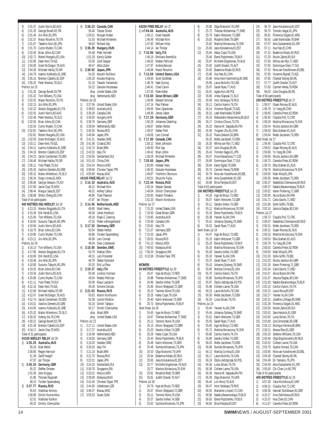|            |                           | Justin Norris, 80, AUS                                          |
|------------|---------------------------|-----------------------------------------------------------------|
| 3)<br>4)   | 2:01.07<br>2:01.35        | George Bovell, 83, TRI                                          |
| 5)         | 2:01.46                   | Jiro Miki, 83, JPN                                              |
| 6)         | 2:01.57                   | Massi Rosolino, 78, ITA                                         |
| 7)         | 2:01.67                   | Takahiro Mori, 80, JPN                                          |
| 8)         | 2:01.70                   | Curtis Myden, 73, CAN                                           |
| 9)         | 2:02.45                   | Brian Johns, 82, CAN                                            |
| 10)<br>11) | 2:02.71<br>2:02.85        | Robert Margalis, 82, USA<br>Dean Kent, 79, NZL                  |
| 12)        |                           | 2:04.00 Grant McGregor, 78, AUS                                 |
| 13)        | 2:04.38                   | Michael Halika, 78, ISR                                         |
| 14)        | 2:04.79                   | Ioannis Kokkodis, 81, GRE                                       |
| 15)        | 2:05.15                   | Brenton Cabello, 81, ESP                                        |
| 16)        | 2:05.20                   | Peter Mankoc, 78, SLO                                           |
| 1)         | Prelims Jul 25<br>2:01.35 | George Bovell, 83, TRI                                          |
| 2)         | 2:01.42                   | Tom Wilkens, 75, USA                                            |
| 3)         | 2:02.02                   | Massi Rosolino, 78, ITA                                         |
| 4)         | 2:02.13                   | Jiro Miki, 83, JPN                                              |
| 5)         | 2:02.22                   | Alessio Boggiatto, 81, ITA                                      |
| 6)         | 2:02.42                   | Justin Norris, 80, AUS                                          |
| 7)<br>8)   | 2:02.48<br>2:02.55        | Peter Mankoc, 78, SLO<br>Brian Johns, 82, CAN                   |
|            | 2:02.55                   | Curtis Myden, 73, CAN                                           |
| 10)        | 2:02.81                   | Takahiro Mori, 80, JPN                                          |
|            |                           | 2:02.81 Robert Margalis, 82, USA                                |
| 12)        |                           | 2:02.93 Grant McGregor, 78, AUS                                 |
| 13)        |                           | 2:03.11 Dean Kent, 79, NZL<br>2:04.11 Ioannis Kokkodis, 81, GRE |
| (14)       |                           | 2:04.19 Brenton Cabello, 81, ESP                                |
| 15)<br>16) | 2:04.23                   | Jacob Carstensen, 78, DEN                                       |
| 17)        |                           | 2:04.48 Michael Halika, 78, ISR                                 |
| 18)        | 2:05.11                   | Yves Platel, 79, SUI                                            |
| 19)        | 2:05.35                   | Vasilios Demetis, 83, GRE                                       |
| 20)        |                           | 2:05.52 Marko Milenkovic, 76, SLO                               |
| 21)        |                           | 2:06.34 Diego Urreta,81, MEX                                    |
| 22)<br>23) |                           | 2:06.66 George Gleason, 79, ISV                                 |
| 24)        | 2:07.80<br>2:08.44        | Javier Diaz, 79, MEX<br>Margus Saia, 81, EST                    |
| 25)        | 2:08.88                   | Shibin Zheng, 80, CHN                                           |
|            | Total of 44 participants  |                                                                 |
|            |                           | 400 METRES IND.MEDLEY Jul 29                                    |
|            |                           | Alessio Boggiatto, 81, ITA                                      |
| 1)         | 4:13.15                   |                                                                 |
| 2)         | 4:15.36                   | Erik Vendt, 81, USA                                             |
| 3)         | 4:15.94                   | Tom Wilkens, 75, USA                                            |
| 4)         | 4:18.05                   | Susumu Tabuchi, 80, JPN                                         |
| 5)<br>6)   | 4:18.56<br>4:19.75        | Justin Norris, 80, AUS<br>Brian Johns, 82, CAN                  |
| 7)         | 4:19.80                   | Curtis Myden, 73, CAN                                           |
| 8)         | 4:23.11                   | Jiro Miki,83,JPN                                                |
|            | Prelims Jul 29            |                                                                 |
| 1)         | 4:16.13                   | Tom Wilkens, 75, USA                                            |
| 2)         | 4:17.86                   | Alessio Boggiatto, 81, ITA                                      |
| 3)<br>4)   | 4:18.48                   | 4:18.09 Erik Vendt, 81, USA<br>Jiro Miki, 83, JPN               |
| 5)         | 4:18.90                   | Susumu Tabuchi, 80, JPN                                         |
| 6)         |                           | 4:19.25 Brian Johns, 82, CAN                                    |
| 7)         | 4:19.34                   | Justin Norris, 80, AUS                                          |
| 8)         | 4:20.88                   | Curtis Myden, 73, CAN                                           |
| 9)         | 4:21.11                   | Yves Platel, 79, SUI                                            |
| 10)<br>11) | 4:22.18<br>4:22.66        | Dean Kent, 79, NZL<br>Michael Halika, 78, ISR                   |
| 12)        | 4:22.67                   | Grant McGregor, 78, AUS                                         |
| 13)        | 4:22.74                   | Jacob Carstensen, 78, DEN                                       |
| 14)        | 4:24.01                   | Vasilios Demetis, 83, GRE                                       |
| 15)        | 4:24.55                   | Ioannis Kokkodis, 81, GRE                                       |
| 16)        | 4:25.32                   | Marko Milenkovic, 76, SLO                                       |
| 17)<br>18) | 4:26.32<br>4:30.22        | Xufeng Xie, 78, CHN<br>George Bovell, 83, TRI                   |
| 19)        | 4:31.58                   | Brenton Cabello, 81, ESP                                        |
| 20)        | 4:34.17                   | Javier Diaz, 79, MEX                                            |
|            | Total of 31 participants  |                                                                 |
|            |                           | 4X100 MEDLEY RELAY Jul 28                                       |
| 1)         | 3:35.35                   | Australia, AUS                                                  |
|            | 55.19<br>1:00.80          | Matt Welsh<br>Regan Harrison                                    |
|            | 51.39                     | Geoff Huegill                                                   |
|            | 47.97                     | lan Thorpe                                                      |
| 2)         | 3:36.34                   | Germany, GER                                                    |
|            | 55.22                     | Steffen Driesen                                                 |
|            | 1:01.06                   | Jens Kruppa                                                     |
|            | 51.96<br>48.10            | Thomas Rupprath<br>Torsten Spanneberg                           |
| 3)         | 3:37.77                   | Russia, RUS                                                     |
|            | 55.63                     | Vladislav Aminov                                                |
|            | 1:00.90<br>52.01          | Dimitri Komornikov<br>Vladislav Kulikov                         |

| 4)  | 3:38.23        | Canada, CAN                                                                               |
|-----|----------------|-------------------------------------------------------------------------------------------|
|     | 56.46          | <b>Tobias Oriwol</b>                                                                      |
|     |                |                                                                                           |
|     |                | 1:00.51 Morgan Knabe<br>51.63 Michael Mintenko                                            |
|     |                |                                                                                           |
| 5)  |                | 49.63 Richard Say<br>3:38.29 Hungary, HUN<br>55.48 Peter Horvath                          |
|     |                |                                                                                           |
|     | 1:01.29        | Karoly Guttler                                                                            |
|     | 53.05          | Zsolt Gaspar                                                                              |
|     | 48.47          | Attila Zubor                                                                              |
| 6)  | 3:38.92        | Japan, JPN                                                                                |
|     | 54.33          | Atsushi Nichikori                                                                         |
|     |                |                                                                                           |
|     |                | 1:00.18 Kosuke Kitajima<br>52.19 Takashi Yamamoto                                         |
|     | 50.22          | Daisuke Hosokawa                                                                          |
|     | disq           | <b>United States, USA</b>                                                                 |
|     | disq           | Netherlands, NED                                                                          |
|     | Prelims Jul 28 |                                                                                           |
| 1)  | 3:37.56        | United States, USA                                                                        |
| 2)  | 3:38.83        | Australia, AUS                                                                            |
|     |                |                                                                                           |
| 3)  | 3:39.26        | Canada,CAN                                                                                |
| 4)  |                |                                                                                           |
| 5)  |                | 3:39.50 Hungary, HUN<br>3:39.78 Germany, GER<br>3:39.94 Netherlands, NED                  |
| 6)  |                |                                                                                           |
| 7)  |                | 3:40.35 Russia, RUS                                                                       |
| 8)  | 3:40.84        | Japan, JPN                                                                                |
| 9)  | 3:41.31        | Sweden, SWE                                                                               |
| 10) | 3:41.98        | Croatia, CRO                                                                              |
| 11) |                |                                                                                           |
| 12) |                | 3:42.74 Brazil, BRA<br>3:43.32 Italy, ITA                                                 |
| 13) | 3:50.56        | Switzerland, SUI                                                                          |
| 14) |                | 3:51.43 China, CHN<br>3:54.24 Mexico, MEX                                                 |
| 15) |                |                                                                                           |
| 16) | 3:59.94        | Chinese Taipei, TPE                                                                       |
| 17) | 4:05.85        | Macau, MAC                                                                                |
|     |                | 4X100 FREE RELAY Jul 22                                                                   |
| 1)  |                | 3:14.10 Australia, AUS                                                                    |
|     | 49.12          | Michael Klim                                                                              |
|     | 48.31          | Ashley Calkus                                                                             |
|     |                | 48.5.<br>48.80 Todd i J<br>17.87 Tan Thorpe<br><b>herlar</b><br><b>Todd Pearson</b>       |
|     |                |                                                                                           |
| 2)  |                |                                                                                           |
|     |                |                                                                                           |
|     |                | 3:14.56 Netherlands, NED<br>49.80 Mark Veens<br>48.56 Johan Kenkhuis                      |
|     |                |                                                                                           |
|     |                | 49.18 Klaas E. Zwering<br>47.02 Pieter vdHoogenband<br>3:17.52 Germany, GER               |
|     |                |                                                                                           |
| 3)  |                |                                                                                           |
|     | 50.54          | Stefan Herbst                                                                             |
|     |                | 48.86 Torsten Spanneb<br>49.08 Lars Conrad<br>49.04 Sven Lodziewski<br>Torsten Spanneberg |
|     |                |                                                                                           |
|     |                |                                                                                           |
| 4)  |                | 3:18.00 Sweden, SWE<br>50.70 Mattias Ohlin<br>48.31 Lars Frolander                        |
|     |                |                                                                                           |
|     |                |                                                                                           |
|     | 48.79          | Stefan Nystrand                                                                           |
|     | 50.20          | Erik La Fleur                                                                             |
| 5)  | 3:19.37        | Italy,ITA                                                                                 |
|     | 50.49          | Lorenzo Vismara                                                                           |
|     | 49.54          | Matteo Pelliciari                                                                         |
|     | 50.06          | Klaus Lanzarini                                                                           |
|     | 49.28          | Simone Cercato                                                                            |
| 6)  | 3:21.63        | Russia, RUS                                                                               |
|     | 50.92          | Maxim Korshunov                                                                           |
|     | 50.38          | Leonid Khoklov                                                                            |
|     | 50.16          | Dimitri Talepov                                                                           |
|     | 50.17          | Dimitri Chernyshev                                                                        |
|     | disq           | Brazil, BRA                                                                               |
|     | disg           | United States, USA                                                                        |
|     | Prelims Jul 22 |                                                                                           |
| 1)  | 3:17.11        | United States, USA                                                                        |
| 2)  | 3:17.27        | Australia, AUS                                                                            |
| 3)  | 3:18.48        | Netherlands, NED                                                                          |
| 4)  | 3:18.60        | Germany, GER                                                                              |
| 5)  | 3:19.20        | Sweden, SWE                                                                               |
| 6)  | 3:20.03        | Italy, ITA                                                                                |
| 7)  | 3:21.19        | Brazil, BRA                                                                               |
| 8)  | 3:21.70        | Russia, RUS                                                                               |
| 9)  | 3:22.01        | Japan, JPN                                                                                |
| 10) | 3:24.10        | Switzerland, SUI                                                                          |
| 11) | 3:30.78        | Singapore, SIN                                                                            |
| 12) | 3:32.01        | Mexico, MEX                                                                               |
| 13) |                | Malaysia, MAS                                                                             |
|     | 3:39.09        |                                                                                           |
| 14) | 3:42.40        | Chinese Taipei, TPE<br>Uzbekistan, UZB                                                    |
| 15) |                |                                                                                           |
|     | 3:44.30        |                                                                                           |
| 16) | 3:49.37        | Macau, MAC                                                                                |
| 17) | 3:55.53        | Guam, GUM                                                                                 |

|            |                    | 4X200 FREE RELAY Jul 27                                                                                                                                                                  |
|------------|--------------------|------------------------------------------------------------------------------------------------------------------------------------------------------------------------------------------|
|            |                    | 1) w7:04.66 Australia, AUS                                                                                                                                                               |
|            |                    | 1.46.11 Grant Hackett<br>1.46.11 Grant Hackett<br>1.46.19 William Kirby<br>1.44.14 Ian Thorpe<br><b>7.10.86 Italy,ITA</b><br>1.48.19 Emiliano Brembilla                                  |
|            |                    |                                                                                                                                                                                          |
|            |                    |                                                                                                                                                                                          |
| 2)         |                    |                                                                                                                                                                                          |
|            |                    |                                                                                                                                                                                          |
|            |                    | 1:48.02 Matteo Pelliciari<br>1:47.97 Andrea Beccari<br>1:46.68 Massi Rosolino                                                                                                            |
|            |                    |                                                                                                                                                                                          |
|            |                    |                                                                                                                                                                                          |
| 3)         |                    | <b>7:13.69 United States, USA</b><br>1:49.00 Scott Goldblatt<br>1:48.78 Nate Dusing<br>1:48.41 Chad Carvin                                                                               |
|            |                    |                                                                                                                                                                                          |
|            |                    |                                                                                                                                                                                          |
|            |                    |                                                                                                                                                                                          |
|            |                    | 1:47.50 Klete Keller                                                                                                                                                                     |
| 4)         |                    | 7:15.60 Great Britain, GBR<br>1:49.95 Edward Simclair                                                                                                                                    |
|            |                    |                                                                                                                                                                                          |
|            |                    | 1:47.14 Paul Palmer<br>1:47.14 Paul Palmer<br>1:49.55 Marc Spackman<br>1:48.96 James Salter                                                                                              |
|            |                    |                                                                                                                                                                                          |
| 5)         |                    | 1.40.70<br>T.17.29 Germany, GER<br>1.50.29 Johannes Osterling<br>1.48.87 Stefan Herbst<br>1.49.06 Lars Conrad<br>1.17.80 Canada, CAN<br>1.1.30.12 Mark Johnston<br>1.50.12 Mark Johnston |
|            |                    |                                                                                                                                                                                          |
|            |                    |                                                                                                                                                                                          |
|            |                    |                                                                                                                                                                                          |
|            |                    |                                                                                                                                                                                          |
| 6)         |                    |                                                                                                                                                                                          |
|            |                    |                                                                                                                                                                                          |
|            |                    | 1:49.00 Rick Say<br>1:49.00 Rick Say<br>1:49.42 Brian Johns<br>1:49.26 Michael Mintenko                                                                                                  |
|            |                    |                                                                                                                                                                                          |
| 7)         |                    | 7:20.60 Japan, JPN                                                                                                                                                                       |
|            |                    |                                                                                                                                                                                          |
|            |                    | 1:50.90 Hideaki Hara<br>1:49.32 Daisuke Hosokawa                                                                                                                                         |
|            |                    |                                                                                                                                                                                          |
|            |                    |                                                                                                                                                                                          |
| 8)         |                    | 1:49.87 Yoshihiro Okumura<br>1:50.51 Shunichi Fujita<br><b>7:22.44 Russia, RUS</b><br>1:50.24 Stepan Ganzey                                                                              |
|            |                    |                                                                                                                                                                                          |
|            |                    | 1:49.04 Dimitri Chernyshev<br>1:50.83 Anatoli Poliakov<br>1:52.33 Maxim Korshunov                                                                                                        |
|            |                    |                                                                                                                                                                                          |
|            | Prelims Jul 27     |                                                                                                                                                                                          |
| 1)         |                    | 7:15.20 United States, USA<br>7:19.50 Great Britain, GBR                                                                                                                                 |
| 2)         |                    |                                                                                                                                                                                          |
| 3)         |                    | 7:19.85 Australia, AUS                                                                                                                                                                   |
| 4)         |                    | 7:20.69 Canada,CAN                                                                                                                                                                       |
| 5)         |                    | 7:20.81 Italy, ITA<br>7:21.07 Germany, GER                                                                                                                                               |
| 6)         |                    |                                                                                                                                                                                          |
| 7)<br>8)   |                    | 7:22.03 Japan, JPN                                                                                                                                                                       |
| 9) -       |                    | 7:29.53 Russia, RUS<br>7:41.12 Mexico, MEX                                                                                                                                               |
|            |                    |                                                                                                                                                                                          |
|            |                    |                                                                                                                                                                                          |
|            |                    | 10) 7:49.63 Malaysia, MAS<br>11) 7:58.33 Singapore, SIN<br>12) 8:10.58 Chinese Taiei, TPE                                                                                                |
|            |                    |                                                                                                                                                                                          |
|            | WOMEN              |                                                                                                                                                                                          |
|            |                    | 50 METRES FREESTYLE Jul 29                                                                                                                                                               |
| 2)         | 24.88              | 1) 24.47 Inge de Bruijn, 73, NED<br>Therese Alshammar, 77, SWE                                                                                                                           |
| 3)         | 24.96              | Sandra Volker, 74, GER                                                                                                                                                                   |
| 4)         | 25.00              | Alison Sheppard, 72, GBR                                                                                                                                                                 |
| 5)         | 25.10              | Tammie Stone, 76, USA                                                                                                                                                                    |
| 6)         | 25.25              | Haley Cope, 79, USA                                                                                                                                                                      |
| 7)         | 25.40              | Katrin Meissner, 73, GER                                                                                                                                                                 |
| 8)         | 25.73              | Elena Poptchenko, 79, BLR                                                                                                                                                                |
|            | Semi finals Jul 28 |                                                                                                                                                                                          |
| 1)         | 24.45              | Inge de Bruijn,73,NED                                                                                                                                                                    |
| 2)<br>3)   | 24.87<br>25.11     | Therese Alshammar, 77, SWE<br>Tammie Stone, 76, USA                                                                                                                                      |
| 4)         | 25.13              | Alison Sheppard, 72, GBR                                                                                                                                                                 |
| 5)         | 25.20              | Sandra Volker, 74, GER                                                                                                                                                                   |
| 6)         | 25.26              | Haley Cope, 79, USA                                                                                                                                                                      |
| 7)         | 25.45              | Elena Poptchenko, 79, BLR                                                                                                                                                                |
| 8)         | 25.48              | Katrin Meissner,73,GER                                                                                                                                                                   |
| 9)         | 25.49              | Sumika Minamoto, 79, JPN                                                                                                                                                                 |
| 10)        | 25.53              | Olga Mukomol, 79, UKR                                                                                                                                                                    |
| 11)        | 25.64              | Ekaterina Kibalo, 82, RUS                                                                                                                                                                |
| 12)<br>13) | 25.65              | Jana Kolukanova,81,EST                                                                                                                                                                   |
|            | 25.77<br>25.77     | Michelle Engelsman, 79, AUS<br>Martina Moravcova, 76, SVK                                                                                                                                |
| 15)        | 25.81              | Rosalind Brett, 79, GBR                                                                                                                                                                  |
| 16)        | 25.81              | Judith Draxler, 70, AUT                                                                                                                                                                  |
|            | Prelims Jul 28     |                                                                                                                                                                                          |
| 1)         | 24.79              | Inge de Bruijn,73,NED                                                                                                                                                                    |
| 2)         | 25.07              | Alison Sheppard, 72, GBR                                                                                                                                                                 |
| 3)         | 25.11              | Tammie Stone, 76, USA                                                                                                                                                                    |
| 4)         | 25.37              | Sandra Volker, 74, GER                                                                                                                                                                   |
| 5)         | 25.62              | Sumika Minamoto, 79, JPN                                                                                                                                                                 |

| 6)   | 25.68              | Olga Mukomol, 79, UKR           | 24)  | 56.73           |
|------|--------------------|---------------------------------|------|-----------------|
| 7)   | 25.72              | Therese Alshammar, 77, SWE      | 25)  | 56.75           |
| 8)   | 25.79              | Katrin Meissner.73.GER          | 26)  | 56.91           |
| 9)   | 25.82              | Rosalind Brett, 79, GBR         | 27)  | 56.93           |
|      |                    |                                 |      |                 |
|      | 25.82              | Martina Moravcova, 76, SVK      | 28)  | 57.07           |
| 11)  | 25.83              | Jana Kolukanova, 81, EST        | 29)  | 57.11           |
| 12)  | 25.84              | Haley Cope, 79, USA             | 30)  | 57.31           |
|      | 25.84              | Elena Poptchenko, 79, BLR       | 31)  | 57.33           |
|      |                    |                                 |      |                 |
| 14)  | 25.87              | Michelle Engelsman, 79, AUS     | 32)  | 57.50           |
| 15)  | 25.92              | Judith Draxler, 70, AUT         | 33)  | 57.50           |
| 16)  | 25.93              | Ekaterina Kibalo, 82, RUS       | 34)  | 57.53           |
| 17)  | 25.95              | Xue Han, 81, CHN                | 35)  | 57.59           |
|      |                    |                                 |      |                 |
| 18)  | 25.96              | Anna-Karin Kammerling.80.SWE    | 36)  | 57.65           |
|      | 25.96              | Laura Nicholls, 78, CAN         | 37)  | 57.77           |
| (20) | 25.97              | Sarah Ryan, 77, AUS             | 38)  | 57.83           |
|      |                    |                                 |      |                 |
| 21)  | 26.01              | Agata Korc, 86, POL             | 39)  | 58.02           |
| 22)  | 26.06              | Urska Slapsak, 72, SLO          |      | Total of 60 par |
| 23)  | 26.09              | Inna Yaitskaya, 79, RUS         |      | 200 METRES      |
| 24)  | 26.11              | Cecilia Vianini, 76, ITA        | 1)   | 1:58.57         |
|      |                    |                                 |      |                 |
| 25)  | 26.14              | Vivienne Rignall, 73, NZL       | 2)   | 1:58.78         |
| 26)  | 26.15              | Leah Martindale, 78, BAR        | 3)   | 1:58.85         |
| 27)  | 26.16              | Aleksandra Herasimenia, 85, BLR | 4)   | 1:58.92         |
| 28)  | 26.17              | Cristina Chiuso, 73, ITA        | 5)   | 1:59.29         |
|      |                    |                                 |      |                 |
| 29)  | 26.23              | Hanna-M. Seppala, 84, FIN       | 6)   | 1:59.44         |
| 30)  | 26.30              | Yingwen Zhu,81,CHN              | 7)   | 1:59.63         |
| 31)  | 26.32              | Flavia Delaroli, 83, BRA        | 8)   | 1:59.64         |
|      |                    |                                 |      |                 |
|      | 26.32              | Mette Jacobsen, 73, DEN         |      | Semi finals Jul |
| 33)  | 26.35              | Wilma van Rijn, 71, NED         | 1)   | 1:59.45         |
| 34)  | 26.37              | Julie Douglas, 80, IRL          | 2)   | 1:59.62         |
| 35)  | 26.43              | Tomoko Nagai, 81, JPN           | 3)   | 1:59.68         |
|      |                    |                                 |      |                 |
| 36)  | 26.57              | Ilona Hlavackova, 77, CZE       | 4)   | 1:59.68         |
| 37)  | 26.60              | Dominique Diezi, 77, SUI        | 5)   | 1:59.73         |
| 38)  | 26.64              | Karen Egdal, 78, DEN            | 6)   | 1:59.75         |
| 39)  |                    | 26.74 Carmen Herea, 79, ROM     | 7)   | 1:59.76         |
|      |                    |                                 |      |                 |
| 40)  | 26.79              | Nina van Koeckhoven, 83, BEL    | 8)   | 2:00.05         |
| 41)  | 26.86              | Ania Gustamelski,81,ISR         |      | 2:00.05         |
| 42)  | 26.99              | Elina Partyka, 83, EST          | 10)  | 2:00.37         |
|      |                    | Total of 63 participants        |      | 2:00.37         |
|      |                    |                                 |      |                 |
|      |                    | 100 METRES FREESTYLE Jul 25     | 12)  | 2:00.52         |
| 1)   |                    | 54.18 Inge de Bruijn, 73, NED   | 13)  | 2:00.95         |
| 2)   | 55.07              | Katrin Meissner, 73, GER        | (14) | 2:01.71         |
|      |                    |                                 |      |                 |
| 3)   | 55.11              | Sandra Volker, 74, GER          | 15)  | 2:01.80         |
| 4)   | 55.12              | Martina Moravcova, 76, SVK      | 16)  | 2:02.16         |
| 5)   |                    | 55.19 Elena Poptchenko, 79, BLR |      | Prelims Jul 27  |
| 6)   | 55.38              | Yanwei Xu,84,CHN                | 1)   | 1:59.73         |
|      |                    |                                 |      |                 |
| 7)   | 55.42              | Johanna Sjoberg, 78, SWE        | 2)   | 2:00.07         |
| 8)   | 55.53              | Sarah Ryan, 77, AUS             | 3)   | 2:00.31         |
|      | Semi finals Jul 24 |                                 | 4)   | 2:00.31         |
| 1)   | 54.47              | Inge de Bruijn, 73, NED         | 5)   | 2:00.32         |
|      |                    |                                 |      |                 |
| 2)   | 55.15              | Katrin Meissner, 73, GER        | 6)   | 2:00.53         |
| 3)   | 55.19              | Elena Poptchenko, 79, BLR       | 7)   | 2:00.78         |
|      | 55.19              | Martina Moravcova, 76, SVK      | 8)   | 2:00.82         |
|      |                    |                                 |      | 2:00.93         |
| 5)   | 55.28              | Sandra Volker, 74, GER          | 9)   |                 |
| 6)   | 55.33              | Yanwei Xu,84,CHN                | 10)  | 2:01.03         |
| 7)   | 55.37              | Sarah Ryan, 77, AUS             | 11)  | 2:01.03         |
| 8)   | 55.43              | Johanna Sjoberg, 78, SWE        | 12)  | 2:01.35         |
|      |                    |                                 |      |                 |
| 9)   | 55.60              | Maritza Correia,81,USA          | 13)  | 2:01.64         |
| 10)  | 55.70              | Cecilia Vianini, 76, ITA        | 14)  | 2:01.67         |
| 11)  | 55.90              | Sumika Minamoto, 79, JPN        | 15)  | 2:01.67         |
| 12)  | 55.97              | Otylia Jedrzejczak, 83, POL     | 16)  | 2:01.83         |
|      |                    |                                 |      |                 |
| 13)  | 55.98              | Colleen Lanne, 79, USA          | 17)  | 2:02.15         |
| 14)  | 56.23              | Laura Nicholls, 78, CAN         | 18)  | 2:02.23         |
| 15)  | 56.30              | Mette Jacobsen.73.DEN           | 19)  | 2:02.27         |
| 16)  | 56.33              | Luisa Striani, 78, ITA          | 20)  | 2:02.31         |
|      | Prelims Jul 24     |                                 |      |                 |
|      |                    |                                 | 21)  | 2:02.39         |
| 1)   | 55.44              | Yanwei Xu,84,CHN                | 22)  | 2:02.60         |
| 2)   | 55.44              | Johanna Sjoberg, 78, SWE        | 23)  | 2:02.62         |
| 3)   | 55.51              | Katrin Meissner, 73, GER        | 24)  | 2:02.65         |
|      |                    |                                 |      |                 |
| 4)   | 55.55              | Sarah Ryan,77,AUS               | 25)  | 2:02.66         |
| 5)   | 55.65              | Inge de Bruijn, 73, NED         | 26)  | 2:03.13         |
| 6)   | 55.72              | Martina Moravcova, 76, SVK      | 27)  | 2:03.21         |
| 7)   | 55.80              | Cecilia Vianini, 76, ITA        | 28)  | 2:03.33         |
|      |                    |                                 |      |                 |
| 8)   | 55.89              | Sandra Volker, 74, GER          | 29)  | 2:03.46         |
| 9)   | 56.03              | Mette Jacobsen, 73, DEN         | 30)  | 2:03.52         |
| 10)  | 56.08              | Sumika Minamoto, 79, JPN        | 31)  | 2:03.75         |
| 11)  | 56.13              | Maritza Correia, 81, USA        | 32)  | 2:03.95         |
|      |                    |                                 |      |                 |
| 12)  | 56.17              | Laura Nicholls, 78, CAN         | 33)  | 2:04.38         |
| 13)  | 56.24              | Otylia Jedrzejczak, 83, POL     | 34)  | 2:04.48         |
| 14)  | 56.36              | Luisa Striani, 78, ITA          | 35)  | 2:04.59         |
| 15)  | 56.38              | Colleen Lanne, 79, USA          | 36)  | 2:05.50         |
|      |                    |                                 |      |                 |
| 16)  | 56.39              | Hanna-M. Seppala, 84, FIN       |      | Total of 43 par |
| 17)  | 56.39              | Olga Mukomol, 79, UKR           |      | 400 METRES      |
| 18)  | 56.44              | Lori Munz, 79, AUS              | 1)   | 4:07.30         |
| 19)  |                    |                                 |      |                 |
|      | 56.47              | Inna Yaitskaya, 79, RUS         | 2)   | 4:09.15         |
| 20)  | 56.55              | Marianne Limpert, 72, CAN       | 3)   | 4:09.36         |
| 21)  | 56.56              | Natalia Baranovskaya, 79, BLR   | 4)   | 4:10.17         |
| 22)  | 56.63              | Elena Poptchenko, 79, BLR       | 5)   | 4:10.37         |
|      |                    |                                 |      |                 |
| 23)  | 56.65              | Elina Partyka,83,EST            | 6)   | 4:11.67         |

Jana Kolukanova,81,EST 25) 56.75 Tomoko Nagai,81,JPN Florencia Szigeti,81,ARG Leah Martindale,78,BAR Ania Gustamelski,81,ISR Xue Han,81,CHN Ekaterina Kibalo,82,RUS Nicole Zahnd,80,SUI Wilma van Rijn,71,NED Dominique Diezi,77,SUI Nina van Koeckhoven,83,BEL Vivienne Rignall,73,NZL Chantal Gibney, 80, IRL Judith Draxler,70,AUT Carmen Herea,79,ROM Julie Douglas,80,IRL ticipants **FREESTYLE** Jul 27 Giaan Rooney,82,AUS Yu Yang,86,CHN Camelia Potec,82,ROM Claudia Poll,72,CRC Martina Moravcova,76,SVK Nicola Jackson,84,GBR Elka Graham,81,AUS Mette Jacobsen,73,DEN  $\overline{27}$ Claudia Poll,72,CRC Giaan Rooney,82,AUS Yu Yang,86,CHN Nicola Jackson,84,GBR Camelia Potec,82,ROM Elka Graham,81,AUS Martina Moravcova,76,SVK Maki Mita,83,JPN Mette Jacobsen,73,DEN Nadezhda Chemezova,80,RUS Natalia Baranovskaya,79,BLR Karen Pickering,71,GBR Alicia Bozon,84,FRA Carla Geurts,71,NED Sofie Goffin,79,BEL Jessica Deglau,80,CAN Claudia Poll,72,CRC Nadezhda Chemezova,80,RUS Mette Jacobsen, 73, DEN Giaan Rooney,82,AUS Martina Moravcova,76,SVK Elka Graham,81,AUS Yu Yang,86,CHN Camelia Potec,82,ROM Maki Mita,83,JPN Sofie Goffin,79,BEL Nicola Jackson,84,GBR Karen Pickering,71,GBR Carla Geurts,71,NED Alicia Bozon,84,FRA Jessica Deglau,80,CAN Natalia Baranovskaya,79,BLR Cecilia Vianini,76,ITA Laura Roca,80,ESP Yanwei Xu,84,CHN Josefine Lillhage,80,SWE Florencia Szigeti,81,ARG Nicole Zahnd,80,SUI Sara Harstick,81,GER Luisa Striani,78,ITA Zoe Dimoshaki,85,GRE Monique Ferreira,80,BRA Alessa Ries,81,GER Stefanie Williams,79,USA Olga Bogoslovenko,85,RUS Colleen Lanne,79,USA Sophie Simard,78,CAN Nina van Koeckhoven,83,BEL Chantal Gibney, 80, IRL Eri Yamanoi,78,JPN 35) 2:04.59 Ania Gustamelski,81,ISR Chi-Chan Lin,80,TPE ticinants **400 METRES FREESTYLE** Jul 29 Yana Klochkova.82.UKR Claudia Poll,72,CRC Hannah Stockbauer,82,GER Irina Oufimtseva, 85, RUS Hua Chen.82.CHN 6) 4:11.67 Camelia Potec,82,ROM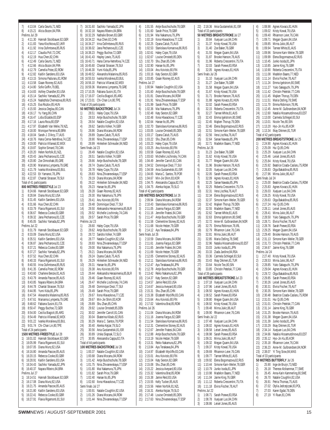7) 4:13.04 Carla Geurts,71,NED 8) 4:15.21 Alicia Bozon,84,FRA Prelims Jul 29 1) 4:11.30 Hannah Stockbauer,82,GER 2) 4:11.83 Yana Klochkova, 82, UKR<br>3) 4:11.92 Irina Qufimtseva 85 RUS 3) 4:11.92 Irina Oufimtseva,85,RUS 4) 4:12.17 Claudia Poll,72,CRC 5) 4:12.19 Hua Chen, 82, CHN<br>6) 4:12.49 Carla Geurts. 71. NE 6) 4:12.49 Carla Geurts,71,NED 7) 4:12.66 Alicia Bozon,84,FRA 8)  $4:12.79$  Camelia Potec, 82, ROM<br>9)  $4:12.82$  Kaitlin Sandeno 83, USA 9) 4:12.82 Kaitlin Sandeno,83,USA 10) 4:13.15 Simona Paduraru,81,ROM 11) 4:13.58 Giaan Rooney,82,AUS 12) 4:14.80 Sofie Goffin,79,BEL 13) 4:14.83 Ashley Chandler,83,USA 14) 4:15.14 Sachiko Yamada,82,JPN 15) 4:15.24 Nadezhda Chemezova,80,RUS 16) 4:15.25 Eva Risztov,85,HUN 17) 4:15.93 Jessica Deglau,80,CAN 18) 4:16.17 Yu Yang,86,CHN 19) 4:16.47 Lidia Elizalde,83,ESP 20) 4:17.16 Laura Roca,80,ESP 21) 4:17.97 Elizabeth Van Welie,79,NZL 22) 4:18.00 Monique Ferreira,80,BRA<br>23) 4:18.04 Sarah- I D'Arcy 77 AUS 23) 4:18.04 Sarah-J. D'Arcy, 77, AUS<br>24) 4:18.76 Hana Cerna-Netrefova.7 24) 4:18.76 Hana Cerna-Netrefova,74,CZE<br>25) 4:19.00 Patricia Villareal,82,MEX 25) 4:19.00 Patricia Villareal, 82, MEX<br>26) 4:19.87 Sophie Simard 78 CAN 26) 4:19.87 Sophie Simard,78,CAN 27) 4:20.20 Helen Norfolk, 81, NZL<br>28) 4:20.43 Jana Pechanova, 81, Ci 28) 4:20.43 Jana Pechanova, 81, CZE<br>29) 4:20.80 Zoe Dimoshaki 85. GRE 29) 4:20.80 Zoe Dimoshaki,85,GRE 30) 4:20.90 Marianna Lymperta,79,GRE 31) 4:21.79 Ivanka Moralieva,83,BUL 32) 4:22.53 Eri Yamanoi,78,JPN 33) 4:22.87 Chantal Strasser, 78, SUI Total of 41 participants **800 METRES FREESTYLE** Jul 23 1) 8:24.66 Hannah Stockbauer, 82, GER 2) 8:28.84 Diana Munz,82,USA 3) 8:31.45 Kaitlin Sandeno,83,USA 4) 8:31.66 Hua Chen,82,CHN 5) 8:33.79 Flavia Rigamonti,81,SUI 6) 8:36.67 Rebecca Cooke,83,GBR 7) 8:39.32 Jana Pechanova,81,CZE 8) 8:45.05 Sachiko Yamada,82,JPN Prelims Jul 22 1) 8:31.79 Hannah Stockbauer,82,GER 2) 8:33.09 Diana Munz,82,USA 3) 8:35.51 Kaitlin Sandeno,83,USA 4) 8:36.87 Jana Pechanova, 81, CZE<br>5) 8:37.21 Rebecca Conke 83 GRR 5) 8:37.21 Rebecca Cooke,83,GBR 6) 8:37.27 Sachiko Yamada,82,JPN 8:37.52 Hua Chen.82.CHN 8) 8:40.33 Flavia Rigamonti, 81, SUI<br>9) 8:40.55 Irina Oufimiseva 85 RUS 9) 8:40.55 Irina Oufimtseva,85,RUS<br>10) 8:41.35 Camelia Potec 82 ROM 8:41.35 Camelia Potec,82,ROM 11) 8:43.60 Charlene Benzie,81,AUS 12) 8:43.79 Amanda Pascoe,85,AUS 13) 8:43.85 Nayara Ribeiro,84,BRA 14) 8:44.78 Chantal Strasser,78,SUI 15) 8:44.95 Yumi Kida,85,JPN 16) 8:47.54 Alexandra Malanina,85,RUS 17) 8:47.61 Marianna Lymperta,79,GRE<br>18) 8:48.62 Fabiana Susini.81.ITA 18) 8:48.62 Fabiana Susini,81,ITA 19) 8:50.47 Peggy Buchse,72,GER 8:54.00 Cecilia Biagioli, 85, ARG 21) 8:54.49 Patricia Villareal, 82, MEX<br>22) 9:01.22 Ivanka Moralieva.83.BUL 9:01.22 Ivanka Moralieva,83,BUL 23) 9:01.74 Chi-Chan Lin,80,TPE Total of 24 participants **1500 METRES FREESTYLE** Jul 28 1) 16:01.02 Hannah Stockbauer,82,GER 2) 16:05.99 Flavia Rigamonti,81,SUI 3) 16:07.05 Diana Munz,82,USA 4) 16:16.80 Amanda Pascoe,85,AUS 5) 16:20.15 Rebecca Cooke,83,GBR 6) 16:28.91 Kaitlin Sandeno,83,USA 7) 16:34.43 Sachiko Yamada,82,JPN 8) 16:40.37 Nayara Ribeiro,84,BRA Prelims Jul 27 1) 16:14.51 Hannah Stockbauer,82,GER 2) 16:17.08 Diana Munz,82,USA 3) 16:21.75 Amanda Pascoe,85,AUS 4) 16:21.80 Kaitlin Sandeno,83,USA 5) 16:22.41 Rebecca Cooke,83,GBR 6) 16:27.91 Flavia Rigamonti,81,SUI

7) 16:31.60 Sachiko Yamada,82,JPN 8) 16:32.18 Navara Ribeiro 84 BRA 9) 16:32.29 Nathalie Brown 83 GBR 10) 16:34.22 Hua Chen,82,CHN 11) 16:34.27 Irina Oufimtseva,85,RUS 12) 16:36.02 Jana Pechanova,81,CZE 13) 16:38.23 Peggy Buchse,72,GER 14) 16:41.43 Hayley Lewis,75,AUS 15) 16:43.71 Hana Cerna-Netrefova,74,CZE 16) 16:45.60 Chantal Strasser,78,SUI 17) 16:46.30 Yumi Kida,85,JPN 18) 16:49.52 Alexandra Malanina,85,RUS 19) 16:55.53 Ivanka Moralieva,83,BUL 20) 16:56.10 Patricia Villareal,82,MEX 21) 16:59.36 Marianna Lymperta,79,GRE<br>22) 17:10.35 Fabiana Susini.81.ITA 22) 17:10.35 Fabiana Susini,81,ITA 23) 17:16.07 Cecilia Biagioli,85,ARG 24) 17:23.01 Chi-Chan Lin,80,TPE Total of 26 participants **50 METRES BACKSTROKE** Jul 24 1) 28.51 Haley Cope,79,USA 2) 28.53 Antje Buschschulte,78,GER 3) 28.54 Natalie Coughlin,82,USA<br>4) 28.62 Sandra Volker.74.GER 28.62 Sandra Volker, 74, GER 5) 28.86 Diana Mocanu,84,ROM 6) 28.89 Dyana Calub,75,AUS 28.90 Nina Zhivanevskaya, 77, ESP 8) 28.99 Hinkelien Schreuder, 84, NED<br>Semi finals Jul 23 finals Jul 23 1) 28.49 Natalie Coughlin,82,USA 2) 28.51 Sandra Volker, 74, GER<br>3) 28.66 Antie Buschschulte, 78. 3) 28.66 Antje Buschschulte,78,GER 4) 28.74 Dyana Calub,75,AUS 28.78 Haley Cope, 79, USA 6) 28.83 Nina Zhivanevskaya,77,ESP 7) 29.19 Diana Mocanu,84,ROM 8) 29.22 Hinkelien Schreuder,84,NED 9) 29.23 Hanae Ito, 85, JPN<br>10) 29.28 Giaan Rooney 82 29.28 Giaan Rooney, 82, AUS 11) 29.30 Mai Nakamura,79,JPN 12) 29.41 Anu Koivisto,80,FIN 13) 29.48 Dominique Diezi,77,SUI 14) 29.50 Aleksandra Herasimenia,85,BLR 15) 29.52 Michelle Lischinsky,74,CAN 16) 29.57 Sarah Price,79,GBR Prelims Jul 23 1) 28.60 Haley Cope,79,USA 2) 28.62 Antje Buschschulte,78,GER 3) 28.72 Sandra Volker,74,GER 4) 28.77 Natalie Coughlin,82,USA<br>5) 28.93 Nina Zhivanevskava.77.E 5) 28.93 Nina Zhivanevskaya,77,ESP 6) 29.00 Mai Nakamura,79,JPN 7) 29.21 Diana Mocanu,84,ROM 29.24 Dyana Calub, 75, AUS 9) 29.29 Hinkelien Schreuder, 84, NED<br>10) 29.31 Hanae Ito, 85, JPN 10) 29.31 Hanae Ito,85,JPN 29.38 Anu Koivisto,80,FIN 12) 29.44 Aleksandra Herasimenia,85,BLR 29.46 Giaan Rooney, 82, AUS 14) 29.47 Michelle Lischinsky, 74, CAN<br>15) 29.48 Dominique Diezi, 77, SUI 15) 29.48 Dominique Diezi,77,SUI 29.49 Sarah Price, 79, GBR 17) 29.67 Ilona Hlavackova, 77, CZE<br>18) 29.67 Min-Jie Shim, 83, KOR 18) 29.67 Min-Jie Shim,83,KOR 19) 29.89 Shu Zhan, 85, CHN<br>20) 29.92 Louise Ornstedt, 85 20) 29.92 Louise Ornstedt, 85, DEN<br>21) 30.02 Jennifer Carroll. 81. CAN 21) 30.02 Jennifer Carroll,81,CAN 22) 30.04 Ekaterina Kibalo,82,RUS<br>23) 30.29 Maria C. Santos,78,POR 23) 30.29 Maria C. Santos,78,POR 24) 30.40 Alenka Kejzar, 79, SLO<br>25) 30.56 Ania Gustamelski. 81. IS 25) 30.56 Ania Gustamelski,81,ISR 30.89 Urska Slapsak,72,SLO 27) 30.95 Alessandra Cappa,82,ITA Total of 44 participants **100 METRES BACKSTROKE** Jul 28 1) 1:00.37 Natalie Coughlin,82,USA 2) 1:00.68 Diana Mocanu,84,ROM 3) 1:01.42 Antie Buschschulte, 78, GER 4) 1:01.75 Nina Zhivanevskaya,77,ESP 5) 1:01.80 Mai Nakamura,79,JPN 6) 1:01.82 Sarah Price,79,GBR 7) 1:02.40 Hanae Ito,85,JPN 8) 1:02.60 Ilona Hlavackova,77,CZE Semi finals Jul 27 1) 1:00.91 Natalie Coughlin,82,USA 2) 1:01.26 Diana Mocanu,84,ROM 3) 1:01.44 Nina Zhivanevskaya,77,ESP

| 4)                                     | 1:01.55                  | Antje Buschschulte, 78, GER                                                                                                                                                                                                                  |
|----------------------------------------|--------------------------|----------------------------------------------------------------------------------------------------------------------------------------------------------------------------------------------------------------------------------------------|
| 5)                                     | 1:01.60                  | Sarah Price, 79, GBR                                                                                                                                                                                                                         |
| 6)                                     |                          | 1:01.94 Mai Nakamura, 79, JPN<br>1:02.19 Ilona Hlavackova, 77, CZE                                                                                                                                                                           |
| 7)                                     |                          |                                                                                                                                                                                                                                              |
|                                        |                          |                                                                                                                                                                                                                                              |
|                                        |                          | 9)<br>1:02.25 Dyana Calub, 75, AUS<br>9) 1:02.53 Stanislava Komarova, 86, RUS<br>10) 1:02.61 Haley Cope, 79, USA                                                                                                                             |
|                                        |                          |                                                                                                                                                                                                                                              |
|                                        |                          | 11) 1:02.67 Louise Ornstedt, 85, DEN<br>12) 1:02.70 Shu Zhan, 85, CHN<br>13) 1:02.90 Hanae Ito, 85, JPN                                                                                                                                      |
|                                        |                          |                                                                                                                                                                                                                                              |
| 14)                                    |                          | 1:03.04 Anu Koivisto, 80, FIN                                                                                                                                                                                                                |
| 15)                                    |                          | 1:03.16 Katy Sexton, 82, GBR                                                                                                                                                                                                                 |
|                                        |                          | 16) 1:03.85 Giaan Rooney, 82, AUS                                                                                                                                                                                                            |
|                                        | Prelims Jul 27           |                                                                                                                                                                                                                                              |
| 1)                                     |                          | 1:00.94 Natalie Coughlin,82,USA                                                                                                                                                                                                              |
| 2)                                     |                          | 1:01.60 Antje Buschschulte, 78, GER<br>1:01.81 Diana Mocanu, 84, ROM                                                                                                                                                                         |
| 3)                                     |                          |                                                                                                                                                                                                                                              |
|                                        |                          |                                                                                                                                                                                                                                              |
|                                        |                          |                                                                                                                                                                                                                                              |
|                                        |                          |                                                                                                                                                                                                                                              |
|                                        |                          | 3)<br>$(10, 19)$ Diana Zhivanevskaya, 77, ESP<br>$(10, 19)$ Diana Zhivanevskaya, 77, ESP<br>$(10, 19)$ Sarah Price, 79, GBR<br>$(10, 248)$ Raty Sexton, 82, GBR<br>$(10, 248)$ Raty Sexton, 82, GBR<br>$(10, 240)$ Hanae Ito, 85, JPN<br>$($ |
|                                        |                          |                                                                                                                                                                                                                                              |
|                                        |                          |                                                                                                                                                                                                                                              |
|                                        |                          |                                                                                                                                                                                                                                              |
|                                        |                          | 11) 1:03.05 Louise Ornstedt, 85, DEN<br>12) 1:03.17 Dyana Calub, 75, AUS<br>13) 1:03.22 Shu Zhan, 85, CHN                                                                                                                                    |
|                                        |                          |                                                                                                                                                                                                                                              |
|                                        |                          | 14) 1:03.23 Haley Cope, 79, USA<br>15) 1:03.25 Anu Koivisto, 80, FIN<br>16) 1:03.58 Giaan Rooney, 82, AUS                                                                                                                                    |
|                                        |                          |                                                                                                                                                                                                                                              |
|                                        |                          |                                                                                                                                                                                                                                              |
|                                        |                          | 17) 1:03.63 Michelle Lischinsky, 74, CAN<br>17) 1:03.63 Michelle Lischinsky, 74, CAN<br>18) 1:04.49 Jennifer Carroll, 81, CAN<br>19) 1:04.59 Ania Gustamelski, 81, ISBN<br>2019 1:04.65 Maria C. Santos, 78, POR<br>22) 1:04.65 Maria C.     |
|                                        |                          |                                                                                                                                                                                                                                              |
|                                        |                          |                                                                                                                                                                                                                                              |
|                                        |                          |                                                                                                                                                                                                                                              |
|                                        |                          |                                                                                                                                                                                                                                              |
|                                        |                          | 24) 1:04.75 Alenka Kejzar, 79, SLO                                                                                                                                                                                                           |
|                                        | Total of 42 participants |                                                                                                                                                                                                                                              |
|                                        |                          | 200 METRES BACKSTROKE Jul 26                                                                                                                                                                                                                 |
|                                        |                          |                                                                                                                                                                                                                                              |
|                                        |                          |                                                                                                                                                                                                                                              |
|                                        |                          |                                                                                                                                                                                                                                              |
|                                        |                          |                                                                                                                                                                                                                                              |
|                                        |                          | 1) 2:09.94 Diana Mocanu, 84, ROM<br>22 2:10.43 Stanislava Komarova, 86, RUS<br>3) 2:11.05 Joanna Fargus, 82, GBR<br>4) 2:11.16 Jennifer Fratesi, 84, CAN<br>2:11.47 Antje Buschschulte, 78, GER                                              |
| $\begin{bmatrix} 5 \\ 6 \end{bmatrix}$ |                          | 2:11.58 Clementine Stoney, 82, AUS                                                                                                                                                                                                           |
| 7)                                     |                          | 2:11.68 Nicole Hetzer, 79, GER                                                                                                                                                                                                               |
| 8)                                     | Semi finals Jul 26       | 2:14.12 Aya Terakawa,84,JPN                                                                                                                                                                                                                  |
| 1)                                     |                          | 2:10.59 Diana Mocanu,84,ROM                                                                                                                                                                                                                  |
|                                        |                          |                                                                                                                                                                                                                                              |
|                                        |                          |                                                                                                                                                                                                                                              |
|                                        |                          |                                                                                                                                                                                                                                              |
|                                        |                          |                                                                                                                                                                                                                                              |
|                                        |                          | 2) 2:11.61 Joanna rargus, pr. 2016<br>3) 2:11.65 Jennifer Fratesi, 84, CAN<br>4) 2:11.69 Nicole Helzer, 79, GER<br>5) 2:12.05 Clementine Stoney, 82, AUS<br>3:12.11 Stanislava Komarova, 86, RL                                              |
|                                        |                          | 6)      2:12.11    Stanislava Komarova,86,RUS<br>7)      2:12.47    Aya Terakawa,84,JPN<br>8)      2:12.78    Antje Buschschulte,78,GER                                                                                                      |
| 9)                                     |                          | 2:13.42 Reiko Nakamura, 82, JPN                                                                                                                                                                                                              |
| 10)                                    | 2:14.37                  | Katy Sexton,82,GBR                                                                                                                                                                                                                           |
| 11)                                    | 2:14.57<br>2:14.67       | Jamie Reid,83,USA                                                                                                                                                                                                                            |
| 12)<br>13)                             | 2:15.31                  | Jessica Aveyard, 80, USA<br>Shu Zhan, 85, CHN                                                                                                                                                                                                |
| 14)                                    | 2:15.38                  | Elizabeth Wycliffe,83,CAN                                                                                                                                                                                                                    |
| 15)                                    | 2:15.64                  | Anu Koivisto,80,FIN                                                                                                                                                                                                                          |
| 16)                                    | 2:17.02                  | Valentina Brat, 85, ROM                                                                                                                                                                                                                      |
|                                        | Prelims Jul 26           |                                                                                                                                                                                                                                              |
| 1)                                     | 2:11.04<br>2:11.16       | Diana Mocanu, 84, ROM                                                                                                                                                                                                                        |
| 2)<br>3)                               | 2:11.54                  | Joanna Fargus, 82, GBR<br>Stanislava Komarova, 86, RUS                                                                                                                                                                                       |
| 4)                                     | 2:12.31                  | Clementine Stoney, 82, AUS                                                                                                                                                                                                                   |
| 5)                                     | 2:12.67                  | Jennifer Fratesi, 84, CAN                                                                                                                                                                                                                    |
| 6)                                     | 2:12.88                  | Antje Buschschulte, 78, GER                                                                                                                                                                                                                  |
| 7)                                     | 2:13.19                  | Nicole Hetzer, 79, GER                                                                                                                                                                                                                       |
| 8)<br>9)                               | 2:13.31<br>2:13.84       | Reiko Nakamura,82,JPN<br>Aya Terakawa,84,JPN                                                                                                                                                                                                 |
| 10)                                    | 2:14.97                  | Elizabeth Wycliffe,83,CAN                                                                                                                                                                                                                    |
| 11)                                    | 2:15.01                  | Anu Koivisto, 80, FIN                                                                                                                                                                                                                        |
| 12)                                    | 2:15.04                  | Katy Sexton, 82, GBR                                                                                                                                                                                                                         |
| 13)                                    | 2:15.08                  | Shu Zhan, 85, CHN                                                                                                                                                                                                                            |
| 14)<br>15)                             | 2:15.22<br>2:15.32       | Jessica Aveyard, 80, USA<br>Valentina Brat, 85, ROM                                                                                                                                                                                          |
| 16)                                    | 2:15.38                  | Jamie Reid,83,USA                                                                                                                                                                                                                            |
| 17)                                    | 2:15.55                  | Kelly Tucker, 85, AUS                                                                                                                                                                                                                        |
| 18)                                    | 2:15.56                  | Helen Norfolk,81,NZL                                                                                                                                                                                                                         |
| 19)                                    | 2:16.31                  | Alenka Kejzar, 79, SLO                                                                                                                                                                                                                       |
| 20)<br>21)                             | 2:17.48<br>2:17.63       | Louise Ornstedt, 85, DEN<br>Nina Zhivanevskaya,77,ESP                                                                                                                                                                                        |

|                                                         |                          | 22) 2:18.36 Ania Gustamelski, 81, ISR                                                                                                                                                                                      |
|---------------------------------------------------------|--------------------------|----------------------------------------------------------------------------------------------------------------------------------------------------------------------------------------------------------------------------|
|                                                         | Total of 33 participants | 50 METRES BREASTSTROKE Jul 27                                                                                                                                                                                              |
| 1)                                                      |                          |                                                                                                                                                                                                                            |
| $\begin{pmatrix} 2 \\ 2 \\ 2 \end{pmatrix}$             |                          | 30.84 Xuejuan Luo, 84, CHN<br>31.37 Kristy Kowal, 78, USA<br>31.40 Zoe Baker, 76, GBR                                                                                                                                      |
|                                                         |                          |                                                                                                                                                                                                                            |
| 4)<br>5)                                                |                          | 31.55 Megan Quann, 84, USA<br>31.55 Megan Quann, 84, USA<br>31.87 Brooke Hanson, 78, AUS<br>31.96 Roberta Crescentini, 75, ITA<br>32.03 Sarah Poewe, 83, RSA                                                               |
| 6)                                                      |                          |                                                                                                                                                                                                                            |
| 7)<br>8)                                                |                          | 32.05 Agnes Kovacs, 81, HUN                                                                                                                                                                                                |
|                                                         | Semi finals Jul 26       |                                                                                                                                                                                                                            |
| 1)                                                      |                          | 31.10 Xuejuan Luo, 84, CHN                                                                                                                                                                                                 |
| 2)<br>3)                                                |                          | 31.27 Zoe Baker, 76, GBR                                                                                                                                                                                                   |
| 4)                                                      |                          | 31.58 Megan Quann, 84, USA<br>31.67 Kristy Kowal, 78, USA                                                                                                                                                                  |
| 5)                                                      |                          | 31.71 Brooke Hanson, 78, AUS<br>31.88 Agnes Kovacs, 81, HUN                                                                                                                                                                |
| 6)<br>7)                                                |                          | 32.02 Sarah Poewe, 83, RSA                                                                                                                                                                                                 |
| 8)                                                      |                          | 32.15 Roberta Crescentini, 75, ITA                                                                                                                                                                                         |
| 9)                                                      |                          | 32.27 Tarnee White, 81, AUS<br>32.43 Emma Igelstrom, 80, SWE                                                                                                                                                               |
|                                                         |                          | 10) 32.43 Emma Igelstrom, 80, SW<br>11) 32.45 Majken Thorup, 79, DEN<br>13) 33.46 Eline Bergressey 03.5                                                                                                                    |
| $\begin{pmatrix} 1 & 2 \\ 1 & 3 \\ 3 & 1 \end{pmatrix}$ |                          |                                                                                                                                                                                                                            |
|                                                         |                          | 32.46 Elena Bogomazova, 82, RUS<br>32.51 Simone Karn-Weiler, 78, GER<br>32.56 Vera Lischka, 76, AUT                                                                                                                        |
| 14)<br>15)                                              | 32.64                    | Sanae Nawata, 85, JPN                                                                                                                                                                                                      |
| 16)                                                     |                          | 32.71 Madelon Baans, 77, NED                                                                                                                                                                                               |
|                                                         | Prelims Jul 26           |                                                                                                                                                                                                                            |
| 1)                                                      |                          | 31.23 Zoe Baker, 76, GBR<br>31.62 Kristy Kowal, 78, USA                                                                                                                                                                    |
| $\begin{pmatrix} 2 \\ 3 \\ 4 \end{pmatrix}$             |                          | 31.77 Megan Quann, 84, USA                                                                                                                                                                                                 |
| 4)                                                      |                          | 31.96 Brooke Hanson, 78, AUS                                                                                                                                                                                               |
| 5)                                                      | 32.05                    | Xuejuan Luo, 84, CHN<br>32.05 Sarah Poewe, 83, RSA                                                                                                                                                                         |
| 6)<br>7)                                                |                          | 32.09 Agnes Kovacs, 81, HUN                                                                                                                                                                                                |
| 8)                                                      |                          | 32.25 Sanae Nawata, 85, JPN                                                                                                                                                                                                |
| 9)                                                      |                          | 32.25 Roberta Crescentini, 75, ITA                                                                                                                                                                                         |
| 10)<br>11)                                              |                          | 32.31 Vera Lischka, 76, AUT<br>32.34 Elena Bogomazova, 82, RUS                                                                                                                                                             |
|                                                         |                          | 32.37 Simone Karn-Weiler, 78, GER                                                                                                                                                                                          |
|                                                         |                          |                                                                                                                                                                                                                            |
|                                                         |                          |                                                                                                                                                                                                                            |
|                                                         |                          | 11)<br>20.37 Striven.<br>13) 32.42 Majken Thorup, 79, 20.1<br>14) 32.55 Madelon Baans, 77, NED<br>22.62 Tarnee White, 81, AUS<br>20.50 Tarnee Monte, 81, AUS<br>20.50 Tarnee Monte, 81, AUS<br>32.63 Emma Igelstrom,80,SWE |
| 17)                                                     |                          | 32.72 Anne-M. Gulbrandsen, 84, NOR                                                                                                                                                                                         |
| 18)<br>19)                                              |                          | 32.75 Emma Robinson, 78, IRL<br>32.79 Rhiannon Leier, 76, CAN                                                                                                                                                              |
| 20)                                                     |                          | 32.81 Mirna Jukic, 86, AUT                                                                                                                                                                                                 |
| 21)                                                     |                          | 32.85 Maria Ostling, 78, SWE                                                                                                                                                                                               |
| 22)                                                     |                          | 32.96 Natalia Hissamutdinova, 83, EST                                                                                                                                                                                      |
| 23)<br>24)                                              |                          | 33.03 Junko Isoda, 81, JPN<br>33.33 Ziada Jardine, 84, RSA<br>22.34 Carmela Schlegel, 83.                                                                                                                                  |
|                                                         |                          |                                                                                                                                                                                                                            |
|                                                         |                          | 25) 33.36 Carmela Schlegel, 83, SUI<br>26) 33.43 Ilkay Dikmen, 81, TUR<br>27) 33.64 Nicole Teo, 80, SIN                                                                                                                    |
| 28)                                                     |                          | 33.85 Christin Petelski, 77, CAN                                                                                                                                                                                           |
|                                                         | Total of 39 participants |                                                                                                                                                                                                                            |
|                                                         |                          | 100 METRES BREASTSTROKE Jul 23                                                                                                                                                                                             |
| 1)<br>2)                                                | 1:07.18<br>1:07.96       | Xuejuan Luo,84,CHN<br>Leisel Jones, 85, AUS                                                                                                                                                                                |
| 3)                                                      | 1:08.50                  | Agnes Kovacs, 81, HUN                                                                                                                                                                                                      |
| 4)                                                      | 1:08.52                  | Sarah Poewe, 83, RSA                                                                                                                                                                                                       |
| 5)<br>6)                                                | 1:08.80<br>1:08.92       | Megan Quann, 84, USA<br>Kristy Kowal, 78, USA                                                                                                                                                                              |
| 7)                                                      | 1:09.48                  | Mirna Jukic,86,AUT                                                                                                                                                                                                         |
| 8)                                                      | 1:09.90                  | Rhiannon Leier, 76, CAN                                                                                                                                                                                                    |
|                                                         | Semi finals Jul 22       |                                                                                                                                                                                                                            |
| 1)<br>2)                                                | 1:07.48<br>1:08.02       | Xuejuan Luo, 84, CHN<br>Agnes Kovacs, 81, HUN                                                                                                                                                                              |
| 3)                                                      | 1:08.58                  | Leisel Jones, 85, AUS                                                                                                                                                                                                      |
| 4)                                                      | 1:08.98                  | Sarah Poewe, 83, RSA                                                                                                                                                                                                       |
| 5)<br>6)                                                | 1:09.31<br>1:09.32       | Mirna Jukic, 86, AUT<br>Megan Quann, 84, USA                                                                                                                                                                               |
| 7)                                                      | 1:09.37                  | Kristy Kowal, 78, USA                                                                                                                                                                                                      |
| 8)                                                      | 1:09.69                  | Rhiannon Leier, 76, CAN                                                                                                                                                                                                    |
| 9)<br>10)                                               | 1:09.77<br>1:09.92       | Tarnee White, 81, AUS<br>Elena Bogomazova, 82, RUS                                                                                                                                                                         |
| 11)                                                     | 1:10.44                  | Simone Karn-Weiler, 78, GER                                                                                                                                                                                                |
| 12)                                                     | 1:10.79                  | Junko Isoda,81,JPN                                                                                                                                                                                                         |
| 13)<br>14)                                              | 1:10.98<br>1:11.04       | Madelon Baans, 77, NED<br>Jaime King, 76, GBR                                                                                                                                                                              |
| 15)                                                     | 1:11.12                  | Roberta Crescentini, 75, ITA                                                                                                                                                                                               |
| 16)                                                     | 1:11.18                  | Elvira Fischer, 78, AUT                                                                                                                                                                                                    |
| 1)                                                      | Prelims Jul 22           | Sarah Poewe, 83, RSA                                                                                                                                                                                                       |
| 2)                                                      | 1:08.71<br>1:08.78       | Xuejuan Luo, 84, CHN                                                                                                                                                                                                       |
| 3)                                                      |                          | 1:08.86 Leisel Jones, 85, AUS                                                                                                                                                                                              |

| 4)       | 1:08.98                  | Agnes Kovacs, 81, HUN                        |
|----------|--------------------------|----------------------------------------------|
| 5)       | 1:09.02                  | Kristy Kowal, 78, USA                        |
| 6)       | 1:09.40                  | Rhiannon Leier, 76, CAN                      |
| 7)       | 1:09.71                  | Megan Quann, 84, USA                         |
| 8)       | 1:09.85                  | Mirna Jukic,86,AUT                           |
| 9)       | 1:09.94                  | Tarnee White, 81, AUS                        |
| 10)      | 1:09.96                  | Simone Karn-Weiler, 78, GER                  |
| 11)      | 1:09.99                  | Elena Bogomazova, 82, RUS                    |
| 12)      | 1:10.45                  | Junko Isoda,81,JPN                           |
| 13)      | 1:10.85                  | Jaime King, 76, GBR                          |
| 14)      | 1:10.90                  | Roberta Crescentini, 75, ITA                 |
| 15)      | 1:11.08                  | Madelon Baans, 77, NED                       |
| 16)      | 1:11.14                  | Elvira Fischer, 78, AUT                      |
| 17)      | 1:11.24                  | Emma Igelstrom, 80, SWE                      |
| 18)      | 1:11.27                  | Yuko Sakaguchi, 79, JPN                      |
| 19)      | 1:11.42                  | Christin Petelski, 77, CAN                   |
| 20)      | 1:11.45                  | Majken Thorup, 79, DEN                       |
| 21)      | 1:11.51                  | Maria Ostling, 78, SWE                       |
| 22)      | 1:11.70                  | Emma Robinson, 78, IRL                       |
| 23)      | 1:12.45                  | Anne-M. Gulbrandsen, 84, NOR                 |
| 24)      |                          | 1:12.60 Natalia Hissamutdinova, 83, EST      |
| 25)      | 1:13.00                  | Carmela Schlegel, 83, SUI                    |
| 26)      | 1:13.01                  | Nicole Teo,80,SIN                            |
| 27)      | 1:13.20                  | Hyo-Jin Ku,85,KOR                            |
| 28)      |                          | 1:13.34 Ilkay Dikmen,81,TUR                  |
|          | Total of 42 participants |                                              |
|          |                          | 200 METRES BREASTSTROKE Jul 25               |
| 1)       |                          |                                              |
|          | 2:24.90                  | Agnes Kovacs, 81, HUN                        |
| 2)       | 2:25.09                  | Hui Qi,85,CHN<br>Xuejuan Luo, 84, CHN        |
| 3)       | 2:25.29                  |                                              |
| 4)       | 2:25.46                  | Leisel Jones, 85, AUS                        |
| 5)       | 2:25.84                  | Kristy Kowal, 78, USA                        |
| 6)       | 2:25.92                  | Beatrice Coada-Caslaru, 75, ROM              |
| 7)       | 2:26.83                  | Olga Bakaldina, 85, RUS                      |
| 8)       | 2:27.96                  | Mirna Jukic,86,AUT                           |
|          | Semi finals Jul 24       |                                              |
| 1)       | 2:25.00                  | Beatrice Coada-Caslaru, 75, ROM              |
| 2)       | 2:25.83                  | Agnes Kovacs, 81, HUN                        |
| 3)       | 2:26.03                  | Xuejuan Luo,84,CHN                           |
| 4)       | 2:26.25                  | Kristy Kowal, 78, USA                        |
| 5)       | 2:26.63                  | Olga Bakaldina, 85, RUS                      |
| 6)       | 2:27.24                  | Hui Qi,85,CHN                                |
| 7)       | 2:28.11                  | Leisel Jones, 85, AUS                        |
| 8)       | 2:28.41                  | Mirna Jukic,86,AUT                           |
| 9)       | 2:28.50                  | Yuko Sakaguchi, 79, JPN                      |
| 10)      | 2:28.71                  | Elvira Fischer, 78, AUT                      |
| 11)      | 2:28.76                  | Sarah Poewe, 83, RSA                         |
| 12)      | 2:29.25                  | Megan Quann, 84, USA                         |
| 13)      | 2:29.40                  | Brooke Hanson, 78, AUS                       |
| 14)      | 2:31.13                  | Simone Karn-Weiler, 78, GER                  |
| 15)      | 2:31.73                  | Christin Petelski, 77, CAN                   |
| 16)      | 2:34.67                  | Jaime King, 76, GBR                          |
|          | Prelims Jul 24           |                                              |
| 1)       | 2:27.40                  | Kristy Kowal, 78, USA                        |
| 2)       | 2:28.53                  | Mirna Jukic,86,AUT                           |
| 3)       | 2:28.85                  | Yuko Sakaguchi, 79, JPN                      |
| 4)       | 2:29.04                  | Agnes Kovacs, 81, HUN                        |
| 5)       | 2:29.72                  | Olga Bakaldina, 85, RUS                      |
| 6)       | 2:29.85                  | Sarah Poewe, 83, RSA                         |
| 7)       | 2:30.26                  | Leisel Jones, 85, AUS                        |
| 8)       | 2:30.31                  | Elvira Fischer, 78, AUT                      |
| 9)       | 2:30.35                  | Simone Karn-Weiler, 78, GER                  |
| 10)      | 2:30.48                  | Beatrice Coada-Caslaru, 75, ROM              |
| 11)      | 2:31.01                  | Hui Qi,85,CHN                                |
| 12)      | 2:31.01                  | Christin Petelski, 77, CAN                   |
| 13)      | 2:31.14                  | Jaime King, 76, GBR                          |
| 14)      |                          |                                              |
|          | 2:31.25                  | Brooke Hanson, 78, AUS                       |
| 15)      | 2:31.38                  | Megan Quann, 84, USA                         |
| 16)      | 2:31.39                  | Junko Isoda, 81, JPN                         |
| 17)      | 2:33.29                  | Ilkay Dikmen,81,TUR                          |
| 18)      | 2:34.14                  | Xuejuan Luo, 84, CHN                         |
| 19)      | 2:34.66                  | Natalia Hissamutdinova, 83, EST              |
| 20)      | 2:35.12                  | Hyo-Jin Ku,85,KOR                            |
| 21)      | 2:35.18                  | Rhiannon Leier, 76, CAN                      |
| 22)      | 2:36.23                  | Anne-M. Gulbrandsen, 84, NOR                 |
| 23)      | 2:38.07                  | Yi Ting Siow, 84, MAS                        |
|          | Total of 33 participants |                                              |
|          |                          | 50 METRES BUTTERFLY Jul 26                   |
| 1)       | 25.90                    | Inge de Bruijn,73,NED                        |
| 2)       | 26.18                    | Therese Alshammar, 77, SWE                   |
| 3)       | 26.45                    | Anna-Karin Kammerling, 80, SWE               |
| 4)       | 26.70                    | Natalie Coughlin,82,USA                      |
| 5)       | 26.91                    | Petria Thomas, 75, AUS                       |
| 6)       | 27.02                    | Otylia Jedrzejczak,83,POL                    |
| 7)<br>8) | 27.03                    | Karen Egdal, 78, DEN<br>27.19 Yi Ruan.81.CHN |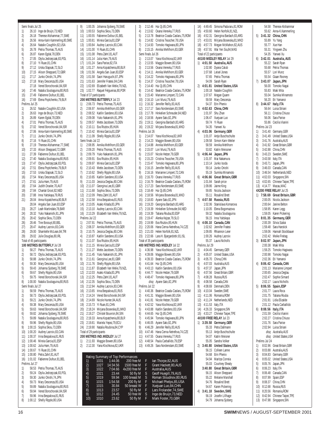Semi finals Jul 25 1) 26.10 Inge de Bruijn,73,NED 2) 26.18 Therese Alshammar,77,SWE 3) 26.56 Anna-Karin Kammerling,80,SWE 4) 26.64 Natalie Coughlin,82,USA 5) 26.78 Petria Thomas,75,AUS 6) 26.87 Karen Egdal,78,DEN 7) 27.05 Otylia Jedrzejczak,83,POL 8) 27.10 Yi Ruan,81,CHN 9) 27.12 Urska Slapsak,72,SLO 10) 27.15 Alison Sheppard,72,GBR 11) 27.17 Junko Onishi,74,JPN 27.18 Mary Descenza, 85, USA 27.18 Vered Borochovski,84,ISR 14) 27.46 Natalia Soutiaguina,80,RUS 15) 27.49 Fabienne Dufour,81,BEL 16) 27.69 Elena Poptchenko,79,BLR Prelims Jul 25 1) 26.52 Natalie Coughlin,82,USA 2) 26.63 Inge de Bruijn,73,NED<br>3) 26.89 Karen Egdal,78,DEN 26.89 Karen Egdal, 78, DEN 4) 27.01 Petria Thomas, 75, AUS 5) 27.02 Vered Borochovski,84,ISR 6) 27.06 Anna-Karin Kammerling,80,SWE 7) 27.11 Junko Onishi,74,JPN 8) 27.16 Yi Ruan,81,CHN 9) 27.19 Therese Alshammar, 77, SWE<br>10) 27.33 Alison Sheppard, 72, GBR 27.33 Alison Sheppard, 72, GBR 11) 27.39 Fabienne Dufour,81,BEL 12) 27.40 Natalia Soutiaguina,80,RUS 13) 27.47 Otylia Jedrzejczak,83,POL 14) 27.51 Elena Poptchenko, 79, BLR<br>15) 27.53 Urska Slapsak, 72. SLO 27.53 Urska Slapsak,72,SLO 16) 27.54 Mary Descenza,85,USA 17) 27.61 Julia Ham,79,AUS 18) 27.64 Judith Draxler,70,AUT 19) 27.84 Chantal Groot,82,NED 20) 27.88 Inna Yaitskaya,79,RUS 21) 28.04 Anna Kopatchenia,80,BLR 28.04 Angela San Juan,83,ESP 23) 28.27 Leah Martindale,78,BAR 24) 28.32 Yuko Nakanishi,81,JPN 25) 28.42 Sophia Skou, 73, DEN<br>26) 28.46 Tine Bossuyt, 80, BEL 26) 28.46 Tine Bossuyt,80,BEL 27) 28.47 Audrey Lacroix,83 CAN 28) 29.00 Sharntelle McLean, 84, TRI 29) 29.02 Julie Douglas,80,IRL Total of 45 participants **100 METRES BUTTERFLY** Jul 28 1) 58.27 Petria Thomas, 75 AUS 2) 58.72 Otylia Jedrzejczak,83,POL 3) 58.88 Junko Onishi,74,JPN 4) 59.30 Mary Descenza, 85, USA<br>5) 59.43 Johanna Sioberg, 78. SW 5) 59.43 Johanna Sjoberg,78,SWE 6) 59.67 Shelly Ripple,80,USA 7) 59.75 Vered Borochovski,84,ISR 8) 1:00.00 Natalia Soutiaguina,80,RUS Semi finals Jul 27 1) 58.59 Petria Thomas,75,AUS 2) 58.73 Otylia Jedrzejczak,83,POL 3) 59.21 Junko Onishi,74,JPN 4) 59.38 Mary Descenza,85,USA 5) 59.63 Vered Borochovski,84,ISR 6) 59.82 Johanna Sjoberg,78,SWE 7) 59.89 Natalia Soutiaguina,80,RUS 8) 59.96 Shelly Ripple, 80, USA 9) 1:00.15 Sophia Skou,73,DEN 10) 1:00.20 Audrey Lacroix,83,CAN 11) 1:00.37 Irina Bespalova,81,RUS 12) 1:00.46 Mireia Garcia,81,ESP 13) 1:00.62 Julia Ham,79,AUS 14) 1:00.67 Yi Ruan,81,CHN 15) 1:00.80 Petra Zahrl,81,AUT 16) 1:01.02 Fabienne Dufour,81,BEL Prelims Jul 27 1) 58.53 Petria Thomas,75,AUS 2) 59.24 Otylia Jedrzejczak,83,POL 3) 59.30 Junko Onishi,74,JPN 4) 59.73 Mary Descenza,85,USA 5) 59.89 Natalia Soutiaguina, 80, RUS<br>6) 59.94 Vered Borochovski, 84, ISR 6) 59.94 Vered Borochovski,84,ISR 7) 59.96 Irina Bespalova,81,RUS<br>8) 1:00.12 Shelly Ripple.80.USA 8) 1:00.12 Shelly Ripple,80,USA

9) 1:00.35 Johanna Sjoberg,78,SWE 10) 1:00.53 Sophia Skou,73,DEN 11) 1:00.55 Fabienne Dufour,81,BEL 12) 1:00.81 Mireia Garcia,81,ESP 13) 1:00.84 Audrey Lacroix,83,CAN 14) 1:01.00 Yi Ruan,81,CHN 15) 1:01.08 Petra Zahrl,81,AUT 16) 1:01.14 Julia Ham,79,AUS 17) 1:01.24 Sara Parise,82,ITA 18) 1:01.27 Anna Kopatchenia,80,BLR 19) 1:01.56 Angela San Juan,83,ESP 20) 1:01.58 Saori Haruguchi, 87, JPN<br>21) 1:01.63 Jennifer Fratesi 84 CAN 21) 1:01.63 Jennifer Fratesi,84,CAN 22) 1:02.69 Elizabeth Van Welie,79,NZL 23) 1:02.77 Raquel Felgueiras,80,POR Total of 37 participants **200 METRES BUTTERFLY** Jul 23 1) 2:06.73 Petria Thomas,75,AUS 2) 2:06.97 Annika Mehlhorn,83,GER 3) 2:08.52 Kaitlin Sandeno,83,USA 4) 2:09.08 Yuko Nakanishi,81,JPN 5) 2:09.57 Mette Jacobsen,73,DEN 6) 2:10.11 Eva Risztov,85,HUN 7) 2:10.42 Mireia Garcia,81,ESP 8) 2:11.09 Shelly Ripple,80,USA Semi finals Jul 22 1) 2:08.95 Annika Mehlhorn,83,GER 2) 2:09.20 Petria Thomas,75,AUS 3) 2:09.79 Yuko Nakanishi 81, JPN 4) 2:09.91 Eva Risztov,85,HUN 5) 2:09.97 Mireia Garcia,81,ESP 6) 2:10.43 Mette Jacobsen,73,DEN 7) 2:10.62 Shelly Ripple,80,USA 8) 2:10.65 Kaitlin Sandeno,83,USA 9) 2:11.03 Jessica Deglau,80,CAN 10) 2:11.07 Georgina Lee,81,GBR 11) 2:11.68 Sophia Skou,73,DEN 12) 2:12.09 Petra Zahrl,81,AUT 13) 2:12.58 Irina Bespalova,81,RUS 14) 2:13.05 Asako Kitada,83,JPN 15) 2:13.10 Audrey Lacroix,83,CAN 16) 2:13.29 Elizabeth Van Welie,79,NZL Prelims Jul 22 1) 2:07.91 Petria Thomas,75,AUS 2) 2:08.37 Annika Mehlhorn,83,GER 3) 2:10.75 Jessica Deglau,80,CAN 4) 2:10.87 Kaitlin Sandeno,83,USA 5) 2:11.07 Eva Risztov,85,HUN 6) 2:11.15 Mireia Garcia,81,ESP 7) 2:11.27 Mette Jacobsen,73,DEN 8) 2:11.45 Yuko Nakanishi,81,JPN 9) 2:11.61 Georgina Lee,81,GBR 10) 2:11.76 Shelly Ripple,80,USA 11) 2:11.87 Elizabeth Van Welie,79,NZL 12) 2:12.03 Asako Kitada,83,JPN 13) 2:12.25 Petra Zahrl,81,AUT 14) 2:12.35 Sophia Skou,73,DEN 2:12.94 Audrey Lacroix,83,CAN 16) 2:13.65 Irina Bespalova,81,RUS 17) 2:14.24 Vered Borochovski,84,ISR 18) 2:14.69 Nicole Hunter,84,AUS 19) 2:15.73 Yi Ruan,81,CHN 20) 2:18.24 Mirjana Bosevska,81,MKD 21) 2:19.27 Christel Bouvron,84,SIN 22) 2:19.33 Anna Kopatchenia,80,BLR 23) 2:19.81 Mariela Yepez,79,ECU 24) 2:19.90 Natalia Roubina,84,CYP Total of 29 participants **200 METRES IND.MEDLEY** Jul 27 1) 2:11.93 Maggie Bowen,80,USA 2) 2:12.30 Yana Klochkova,82,UKR Rating Summary of Top Performance<br>
1) 1031 1:44.06 200 ff<br>
2) 1022 1:434.56 1500 fr<br>
3) 1022 7:04.66 4x200 fr<br>
4) 1021 23.44 105 0<br>
5) 1015 5:54.58 200<br>
7) 1015 30.84 50 bres<br>
8) 1013 23.57 50<br>
9) 1012 24.45 50 fr<br>
9) 1010 1031 1:44.06 200 fr<br>1027 14:34.56 1500 fr 3) 1022 7:04.66 4x200 free<br>1021 23.44 50<br>1019 59.94 100 bree

|                    | 1:00.35 Johanna Sjoberg, 78, SWE                                    | 3)         |                          | 2:12.46 Hui Qi,85,CHN                                                               |  |
|--------------------|---------------------------------------------------------------------|------------|--------------------------|-------------------------------------------------------------------------------------|--|
|                    | 1:00.53 Sophia Skou, 73, DEN                                        | 4)         |                          | 2:13.62 Oxana Verevka, 77, RUS                                                      |  |
|                    | 1:00.55 Fabienne Dufour,81,BEL<br>1:00.81 Mireia Garcia,81,ESP      |            |                          | 5) 2:13.78 Beatrice Coada-Caslaru, 75, ROM<br>6) 2:14.82 Cristina Teuscher, 78, USA |  |
|                    | 1:00.84 Audrey Lacroix, 83, CAN                                     | 7)         |                          | 2:14.93 Tomoko Hagiwara, 80, JPN                                                    |  |
|                    | 1:01.00 Yi Ruan, 81, CHN                                            | 8)         |                          | 2:15.15 Annika Mehlhorn, 83, GER                                                    |  |
|                    | 1:01.08 Petra Zahrl,81,AUT                                          |            | Semi finals Jul 26       |                                                                                     |  |
|                    | 1:01.14 Julia Ham, 79, AUS                                          | 1)         |                          | 2:13.07 Yana Klochkova, 82, UKR                                                     |  |
|                    | 1:01.24 Sara Parise, 82, ITA                                        |            |                          | 2) 2:13.55 Maggie Bowen, 80, USA                                                    |  |
|                    | 1:01.27 Anna Kopatchenia,80,BLR<br>1:01.56 Angela San Juan, 83, ESP | 4)         |                          | 3) 2:13.56 Oxana Verevka, 77, RUS<br>2:14.11 Annika Mehlhorn, 83, GER               |  |
|                    | 1:01.58 Saori Haruguchi, 87, JPN                                    |            |                          | 5) 2:14.22 Tomoko Hagiwara, 80, JPN                                                 |  |
|                    | 1:01.63 Jennifer Fratesi, 84, CAN                                   | 6)         |                          | 2:14.37 Cristina Teuscher, 78, USA                                                  |  |
|                    | 1:02.69 Elizabeth Van Welie, 79, NZL                                | 7)         |                          | 2:14.40 Hui Qi,85,CHN                                                               |  |
|                    | 1:02.77 Raquel Felgueiras, 80, POR                                  | 8)         |                          | 2:14.42 Beatrice Coada-Caslaru, 75, ROM                                             |  |
| of 37 participants |                                                                     | 9)         |                          | 2:15.40 Marianne Limpert, 72, CAN                                                   |  |
|                    | <b>METRES BUTTERFLY Jul 23</b><br>2:06.73 Petria Thomas, 75, AUS    |            |                          | 10) 2:16.10 Lori Munz, 79, AUS                                                      |  |
|                    | 2:06.97 Annika Mehlhorn, 83, GER                                    |            |                          | 11) 2:16.32 Jennifer Reilly, 83, AUS<br>12) 2:17.17 Sara Nordenstam, 83, SWE        |  |
|                    | 2:08.52 Kaitlin Sandeno, 83, USA                                    |            |                          | 13) 2:17.78 Hinkelien Schreuder, 84, NED                                            |  |
|                    | 2:09.08 Yuko Nakanishi, 81, JPN                                     |            |                          | 14) 2:18.56 Ayane Sato, 82, JPN                                                     |  |
|                    | 2:09.57 Mette Jacobsen, 73, DEN                                     |            |                          | 15) 2:19.11 Georgina Bardach, 83, ARG                                               |  |
|                    | 2:10.11 Eva Risztov, 85, HUN                                        |            |                          | 16) 2:19.22 Mirjana Bosevska, 81, MKD                                               |  |
|                    | 2:10.42 Mireia Garcia,81,ESP                                        |            | Prelims Jul 26           |                                                                                     |  |
| finals Jul 22      | 2:11.09 Shelly Ripple, 80, USA                                      | 1)<br>2)   |                          | 2:14.07 Yana Klochkova, 82, UKR<br>2:14.23 Maggie Bowen, 80, USA                    |  |
|                    | 2:08.95 Annika Mehlhorn, 83, GER                                    | 3)         |                          | 2:14.88 Annika Mehlhorn, 83, GER                                                    |  |
|                    | 2:09.20 Petria Thomas, 75, AUS                                      |            |                          | 4) 2:15.07 Lori Munz, 79, AUS                                                       |  |
|                    | 2:09.79 Yuko Nakanishi,81,JPN                                       |            |                          | 5) 2:15.07 Nicole Hetzer, 79, GER                                                   |  |
|                    | 2:09.91 Eva Risztov, 85, HUN                                        | 6)         |                          | 2:15.23 Cristina Teuscher, 78, USA                                                  |  |
|                    | 2:09.97 Mireia Garcia, 81, ESP                                      |            |                          | 7) 2:15.47 Tomoko Hagiwara, 80, JPN                                                 |  |
|                    | 2:10.43 Mette Jacobsen, 73, DEN                                     | 8)         |                          | 2:16.15 Jennifer Reilly, 83, AUS                                                    |  |
|                    | 2:10.62 Shelly Ripple, 80, USA<br>2:10.65 Kaitlin Sandeno, 83, USA  | 9)         |                          | 2:16.16 Marianne Limpert, 72, CAN<br>10) 2:16.70 Oxana Verevka, 77, RUS             |  |
|                    | 2:11.03 Jessica Deglau, 80, CAN                                     |            |                          | 11) 2:16.79 Beatrice Coada-Caslaru, 75, ROM                                         |  |
|                    | 2:11.07 Georgina Lee,81,GBR                                         |            |                          | 12) 2:17.23 Sara Nordenstam, 83, SWE                                                |  |
|                    | 2:11.68 Sophia Skou, 73, DEN                                        |            |                          | 13) 2:18.49 Hui Qi,85,CHN                                                           |  |
|                    | 2:12.09 Petra Zahrl, 81, AUT                                        |            |                          | 14) 2:18.56 Mirjana Bosevska, 81, MKD                                               |  |
|                    | 2:12.58 Irina Bespalova, 81, RUS                                    |            |                          | 15) 2:18.83 Ayane Sato, 82, JPN                                                     |  |
|                    | 2:13.05 Asako Kitada, 83, JPN<br>2:13.10 Audrey Lacroix, 83, CAN    |            |                          | 16) 2:19.20 Georgina Bardach, 83, ARG<br>17) 2:19.39 Hinkelien Schreuder, 84, NED   |  |
|                    | 2:13.29 Elizabeth Van Welie, 79, NZL                                |            |                          | 18) 2:19.39 Tatiana Rouba, 83, ESP                                                  |  |
| ns Jul 22          |                                                                     |            |                          | 19) 2:19.47 Alenka Kejzar, 79, SLO                                                  |  |
|                    | 2:07.91 Petria Thomas, 75, AUS                                      |            |                          | 20) 2:19.99 Eva Risztov, 85, HUN                                                    |  |
|                    | 2:08.37 Annika Mehlhorn, 83, GER                                    |            |                          | 21) 2:20.06 Hana Cerna-Netrefova, 74, CZE                                           |  |
|                    | 2:10.75 Jessica Deglau,80,CAN                                       |            |                          | 22) 2:21.03 Helen Norfolk, 81, NZL                                                  |  |
|                    | 2:10.87 Kaitlin Sandeno, 83, USA                                    |            | Total of 35 participants | 23) 2:22.66 Lara H. Bjargardottir,81,ISL                                            |  |
|                    | 2:11.07 Eva Risztov, 85, HUN<br>2:11.15 Mireia Garcia,81,ESP        |            |                          | 400 METRES IND.MEDLEY Jul 22                                                        |  |
|                    | 2:11.27 Mette Jacobsen, 73, DEN                                     | 1)         |                          | 4:36.98 Yana Klochkova, 82, UKR                                                     |  |
|                    | 2:11.45 Yuko Nakanishi, 81, JPN                                     | 2)         |                          | 4:39.06 Maggie Bowen, 80, USA                                                       |  |
|                    | 2:11.61 Georgina Lee, 81, GBR                                       |            |                          | 3) 4:39.33 Beatrice Coada-Caslaru, 75, ROM                                          |  |
|                    | 2:11.76 Shelly Ripple, 80, USA                                      |            |                          | 4) 4:41.64 Hui Qi,85,CHN                                                            |  |
|                    | 2:11.87 Elizabeth Van Welie, 79, NZL                                | 5)         |                          | 4:43.13 Kaitlin Sandeno, 83, USA                                                    |  |
| 2:12.25            | 2:12.03 Asako Kitada, 83, JPN<br>Petra Zahrl,81,AUT                 | 6)<br>7)   |                          | 4:44.77 Nicole Hetzer, 79, GER<br>4:48.47 Tomoko Hagiwara,80,JPN                    |  |
| 2:12.35            | Sophia Skou, 73, DEN                                                |            |                          | disq Ayane Sato, 82, JPN                                                            |  |
|                    | 2:12.94 Audrey Lacroix, 83, CAN                                     |            | Prelims Jul 22           |                                                                                     |  |
|                    | 2:13.65 Irina Bespalova, 81, RUS                                    | 1)         |                          | 4:40.36 Beatrice Coada-Caslaru, 75, ROM                                             |  |
|                    | 2:14.24 Vered Borochovski,84,ISR                                    | 2)         | 4:41.31                  | Maggie Bowen, 80, USA                                                               |  |
|                    | 2:14.69 Nicole Hunter, 84, AUS                                      | 3)         | 4:41.81                  | Nicole Hetzer, 79, GER                                                              |  |
|                    | 2:15.73 Yi Ruan, 81, CHN<br>2:18.24 Mirjana Bosevska, 81, MKD       | 4)<br>5)   |                          | 4:42.52 Yana Klochkova, 82, UKR<br>4:43.88 Kaitlin Sandeno, 83, USA                 |  |
|                    | 2:19.27 Christel Bouvron, 84, SIN                                   | 6)         |                          | 4:44.65 Hui Qi,85,CHN                                                               |  |
|                    | 2:19.33 Anna Kopatchenia, 80, BLR                                   | 7)         |                          | 4:45.94 Tomoko Hagiwara,80,JPN                                                      |  |
|                    | 2:19.81 Mariela Yepez, 79, ECU                                      | 8)         |                          | 4:46.05 Ayane Sato, 82, JPN                                                         |  |
|                    | 2:19.90 Natalia Roubina, 84, CYP                                    | 9)         |                          | 4:46.29 Jennifer Reilly, 83, AUS                                                    |  |
| of 29 participants |                                                                     | 10)        |                          | 4:47.46 Hana Cerna-Netrefova, 74, CZE                                               |  |
|                    | <b>METRES IND.MEDLEY Jul 27</b>                                     | 11)        |                          | 4:47.55 Oxana Verevka, 77, RUS                                                      |  |
|                    | 2:11.93 Maggie Bowen, 80, USA<br>2:12.30 Yana Klochkova, 82, UKR    | 12)<br>13) |                          | 4:48.54 Paula Carballido, 79, ESP<br>4:49.26 Sara Nordenstam, 83, SWE               |  |
|                    |                                                                     |            |                          |                                                                                     |  |
|                    |                                                                     |            |                          |                                                                                     |  |
|                    | Rating Summary of Top Performances<br>1031<br>1:44.06<br>200 free M |            | F                        | lan Thorpe,82,AUS                                                                   |  |
|                    | 14:34.56<br>1500 free M<br>1027                                     |            |                          | Grant Hackett, 80, AUS                                                              |  |
|                    | 1022<br>7:04.66<br>4x200 free M                                     |            | F<br>F<br>S              | Australia, AUS                                                                      |  |
|                    | 1021<br>23.44<br>50 fly M<br>1019<br>59.94<br>100 breast M          |            | S                        | Geoff Huegill, 79, AUS<br>Roman Sloudnov, 80, RUS                                   |  |
|                    | 1015<br>1:54.58<br>200 fly M                                        |            |                          | Michael Phelps,85,USA                                                               |  |
|                    | 1015<br>30.84<br>50 breast W                                        |            |                          | Xuejuan Luo,84,CHN                                                                  |  |
| 1)2)3)4)5)6)7)8)9) | 1013<br>23.57<br>50 fly M                                           |            | F<br>F<br>F<br>S         | Lars Frolander, 74, SWE                                                             |  |
| 10)                | 1012<br>24.45<br>50 free W<br>1010<br>23.62<br>50 fly M             |            | F                        | Inge de Bruijn, 73, NED<br>Mark Foster, 70, GBR                                     |  |
|                    |                                                                     |            |                          |                                                                                     |  |

|     |                          | 14) 4:49.45 Simona Paduraru,81,ROM            |
|-----|--------------------------|-----------------------------------------------|
|     |                          | 15) 4:50.60 Helen Norfolk, 81, NZL            |
| 16) |                          | 4:52.31 Georgina Bardach, 83, ARG             |
| 17) |                          | 4:53.01 Mirjana Bosevska, 81, MKD             |
|     |                          |                                               |
| 18) | 4:57.73                  | Megan McMahon, 82, AUS                        |
| 19) |                          | 4:57.91 Wai Yen Sia,84,MAS                    |
|     | Total of 22 participants |                                               |
|     |                          | 4X100 MEDLEY RELAY Jul 29                     |
|     |                          |                                               |
| 1)  |                          | 4:01.50 Australia, AUS                        |
|     |                          | 1:02.80 Dyana Calub                           |
|     |                          | 1:07.68 Leisel Jones                          |
|     |                          | 57.65 Petria Thomas                           |
|     | 54.09                    | Sarah Ryan                                    |
|     |                          |                                               |
| 2)  |                          | 4:01.81 United States, USA                    |
|     |                          | 1:00.18 Natalie Coughlin                      |
|     |                          | 1:07.67 Megan Quann                           |
|     |                          | 59.59 Mary Descenza                           |
|     |                          |                                               |
|     |                          | 54.37 Erin Phenix                             |
| 3)  |                          | 4:02.63 China, CHN                            |
|     |                          | 1:01.97 Shu Zhan                              |
|     | 1:06.47                  | Xuejuan Luo                                   |
|     | 59.74                    | Yi Ruan                                       |
|     |                          |                                               |
|     | 54.35                    | Yanwei Xu                                     |
| 4)  |                          | 4:03.06 Germany, GER                          |
|     |                          | 1:01.07 Antje Buschschulte                    |
|     | 1:09.58                  | Simon Karn-Weiler                             |
|     |                          |                                               |
|     | 58.59                    | Annika Mehlhorn                               |
|     | 53.82                    | Katrin Meissner                               |
| 5)  | 4:06.44                  | Japan, JPN                                    |
|     |                          | 1:01.97 Mai Nakamura                          |
|     |                          | 1:10.14 Junko Isoda                           |
|     |                          |                                               |
|     | 59.14                    | Junko Onishi                                  |
|     |                          | 55.19 Sumika Minamoto                         |
| 6)  |                          | 4:06.66 Great Britain, GBR                    |
|     |                          | 1:01.84 Sarah price                           |
|     |                          |                                               |
|     |                          | 1:09.86 Jaime King                            |
|     |                          | 59.85 Nicola Jackson                          |
|     |                          | 55.11 Rosalind Brett                          |
| 7)  |                          | 4:07.58 Russia, RUS                           |
|     |                          |                                               |
|     |                          | 1:02.06 Stanislava Komarova                   |
|     |                          | 1:10.05 Elena Bogomazova                      |
|     |                          | 59.32 Natalia Soutiaquina                     |
|     |                          | 56.15 Inna Yaitskaya                          |
| 8)  |                          | 4:08.10 Canada, CAN                           |
|     |                          |                                               |
|     | 1:02.62                  | Jennifer Fratesi                              |
|     | 1:09.85                  | Rhiannon Leier                                |
|     | 1:00.26                  | Audrey Lacroix                                |
|     | 55.37                    | Laura Nicholls                                |
|     |                          |                                               |
|     | Prelims Jul 29           |                                               |
| 1)  |                          | 4:04.45 Germany, GER                          |
| 2)  |                          | 4:05.07 United States, USA                    |
| 3)  |                          | 4:05.70 China, CHN                            |
|     |                          | 4:07.03 Australia, AUS                        |
| 4)  |                          |                                               |
| 5)  | 4:07.37                  | Japan, JPN                                    |
| 6)  | 4:07.56                  | Great Britain, GBR                            |
| 7)  |                          | 4:08.28 Russia, RUS                           |
| 8)  |                          | 4:08.58 Canada,CAN                            |
|     |                          |                                               |
| 9)  |                          | 4:08.69 Denmark, DEN                          |
| 10) |                          | 4:10.04 Sweden, SWE                           |
| 11) |                          | 4:11.06 Romania, ROM                          |
| 12) |                          | 4:11.24 Netherlands, NED                      |
| 13) | 4:11.53 Italy, ITA       |                                               |
| 14) | 4:26.33                  |                                               |
|     |                          | Singapore, SIN                                |
| 15) | 4:33.27                  | Chinese Taipei, TPE                           |
|     |                          | 4X100 FREE RELAY Jul 23                       |
| 1)  | 3:39.58                  | Germany, GER                                  |
|     |                          | 55.33 Petra Dallmann                          |
|     |                          |                                               |
|     |                          | 55.13 Antje Buschschulte                      |
|     |                          | 54.07 Katrin Meisner                          |
|     |                          | 55.05 Sandra Volker                           |
| 2)  |                          | 3:40.80 United States, USA                    |
|     |                          | 56.15 Colleen Lanne                           |
|     |                          |                                               |
|     |                          | 54.68 Erin Phenix                             |
|     |                          | 54.94 Maritza Correia                         |
|     |                          | 55.03 Courtney Shealy                         |
|     |                          | 3:40.80 Great Britain, GBR                    |
|     |                          |                                               |
|     |                          | 56.15 Alison Sheppard                         |
|     |                          | 55.22 Melanie Marshall                        |
|     |                          |                                               |
|     |                          | 54.76 Rosalind Brett                          |
|     |                          |                                               |
|     |                          | 54.67 Karen Pickering                         |
| 4)  |                          | 3:41.18 Sweden, SWE<br>56.19 Josefin Lillhage |

54.79 Johanna Sjoberg

|                                        |                    | 54.58 Therese Alshammar                                                                                                                                                                               |
|----------------------------------------|--------------------|-------------------------------------------------------------------------------------------------------------------------------------------------------------------------------------------------------|
|                                        |                    | 55.62 Anna-K.Kammerling                                                                                                                                                                               |
| 5)                                     |                    |                                                                                                                                                                                                       |
|                                        |                    |                                                                                                                                                                                                       |
|                                        |                    |                                                                                                                                                                                                       |
|                                        |                    | <b>3:41.32 China, CHN</b><br>55.89 Yu Yang<br>55.77 Xue Han<br>55.31 Yingwen Zhu                                                                                                                      |
|                                        |                    |                                                                                                                                                                                                       |
|                                        |                    | 54.35 Yanwei Xu<br><b>3:42.01 Australia, AUS</b><br>55.22 Sarah Ryan                                                                                                                                  |
| 6)                                     |                    |                                                                                                                                                                                                       |
|                                        |                    |                                                                                                                                                                                                       |
|                                        |                    | 55.68 Petria Thomas                                                                                                                                                                                   |
|                                        |                    | 55.57 Lori Munz<br>55.54 Giaan Rooney                                                                                                                                                                 |
|                                        |                    |                                                                                                                                                                                                       |
| 7).                                    |                    | 3:43.07 Japan, JPN<br>56.00 Tomoko Nagai                                                                                                                                                              |
|                                        |                    |                                                                                                                                                                                                       |
|                                        |                    |                                                                                                                                                                                                       |
|                                        |                    | 55.83   Maki Mita<br>55.04    Sumika Minamoto<br>56.20    Eri Yamanoi                                                                                                                                 |
|                                        |                    |                                                                                                                                                                                                       |
| 8)                                     |                    |                                                                                                                                                                                                       |
|                                        |                    | <b>3:44.67 Italy, ITA</b><br>56.64 Luisa Striani<br>56.11 Cristina Chiuso                                                                                                                             |
|                                        |                    |                                                                                                                                                                                                       |
|                                        |                    |                                                                                                                                                                                                       |
|                                        |                    | 56.06 Sara Parise                                                                                                                                                                                     |
|                                        |                    | 55.86 Cecilia Vianini                                                                                                                                                                                 |
|                                        | Prelims Jul 23     |                                                                                                                                                                                                       |
| 1)                                     |                    | 3:41.40 Germany, GER                                                                                                                                                                                  |
| 2)                                     |                    | 3:41.49 United States, USA                                                                                                                                                                            |
| $\begin{pmatrix} 3 \\ 4 \end{pmatrix}$ |                    | 3:41.76 Australia, AUS                                                                                                                                                                                |
|                                        |                    | 3:41.92 Great Britain, GBR                                                                                                                                                                            |
| 5)                                     |                    | 3:42.88 China, CHN                                                                                                                                                                                    |
| 6)                                     |                    | 3:43.23 Sweden, SWE                                                                                                                                                                                   |
|                                        |                    |                                                                                                                                                                                                       |
|                                        |                    |                                                                                                                                                                                                       |
|                                        |                    |                                                                                                                                                                                                       |
|                                        |                    |                                                                                                                                                                                                       |
|                                        |                    |                                                                                                                                                                                                       |
|                                        |                    |                                                                                                                                                                                                       |
|                                        |                    |                                                                                                                                                                                                       |
|                                        |                    | 07<br>7) 3:43.58 Italy.11.<br>8) 3:43.71 Japan, JPN<br>9) 3:46.03 Canada, CAN<br>10) 3:46.54 Netherlands, NED<br>11) 4:02.03 Singapore, SIN<br>12) 4:02.65 Chinese Taipei, TPE<br>11, 4:07 Macau, MAC |
|                                        |                    | 4X200 FREE RELAY Jul 25                                                                                                                                                                               |
| 1)                                     |                    | 7:58.69 Great Britain, GBR                                                                                                                                                                            |
|                                        |                    | 2:00.05 Nicola Jackson                                                                                                                                                                                |
|                                        |                    | 2:00.64 Janine Belton                                                                                                                                                                                 |
|                                        |                    | 1:58.95 Karen Legg                                                                                                                                                                                    |
|                                        |                    | 1:59.05 Karen Pickering                                                                                                                                                                               |
| 2)                                     |                    | 8:01.35 Germany, GER                                                                                                                                                                                  |
|                                        |                    | 2:00.39 Silvia Szalai                                                                                                                                                                                 |
|                                        |                    | 1:59.48 Sara Harstick                                                                                                                                                                                 |
|                                        |                    | 1:59.06 Hannah Stockbauer                                                                                                                                                                             |
|                                        |                    | 2:02.42 Meike Freitag                                                                                                                                                                                 |
| 3)                                     |                    | 8:02.97 Japan, JPN                                                                                                                                                                                    |
|                                        |                    | 2:00.38 Maki Mita<br>1:59.25 Tomoko Hagiwara                                                                                                                                                          |
|                                        |                    |                                                                                                                                                                                                       |
|                                        |                    | 2:00.98 Tomoko Nagai<br>2:02.36 Eri Yamanoi                                                                                                                                                           |
|                                        |                    |                                                                                                                                                                                                       |
|                                        |                    | 4) 8:06.42 Canada, CAN                                                                                                                                                                                |
|                                        |                    | 2:01.13 Marianne Limpert                                                                                                                                                                              |
|                                        |                    | 2:00.65 Jessica Deglau                                                                                                                                                                                |
|                                        |                    | 2:02.47 Sophie Simard                                                                                                                                                                                 |
|                                        |                    | 2:02.17 Laura Nicholls                                                                                                                                                                                |
| 5)                                     | 8:06.55            | Spain, ESP                                                                                                                                                                                            |
|                                        |                    | 2:01.77 Laura Roca                                                                                                                                                                                    |
|                                        |                    | Tatiana Rouba                                                                                                                                                                                         |
|                                        | 2:01.75            | 2:01.91 Lidia Elizalde                                                                                                                                                                                |
|                                        |                    |                                                                                                                                                                                                       |
|                                        |                    | 2:01.12 Paula Carballido                                                                                                                                                                              |
| 6)                                     |                    | 8:08.56 Italy, ITA                                                                                                                                                                                    |
|                                        |                    | 2:01.59 Cecilia Vianini                                                                                                                                                                               |
|                                        |                    | 2:02.27 Cristina Chiuso                                                                                                                                                                               |
|                                        | 2:01.76            | Sara Parise                                                                                                                                                                                           |
|                                        |                    | 2:02.94 Luisa Striani                                                                                                                                                                                 |
|                                        |                    | disq Australia, AUS                                                                                                                                                                                   |
|                                        |                    | disg United States, USA                                                                                                                                                                               |
|                                        | Prelims Jul 24     |                                                                                                                                                                                                       |
| 1)                                     | 8:02.96            | Great Britain, GBR                                                                                                                                                                                    |
| 2)                                     | 8:03.88            | Australia, AUS                                                                                                                                                                                        |
| 3)                                     |                    | 8:04.83 Germany, GER                                                                                                                                                                                  |
| 4)                                     | 8:05.02            | United States, USA                                                                                                                                                                                    |
| 5)                                     | 8:05.76            | Japan, JPN                                                                                                                                                                                            |
| 6)                                     | 8:06.23 Italy, ITA |                                                                                                                                                                                                       |
| 7)                                     |                    | 8:06.48 Canada,CAN                                                                                                                                                                                    |
| 8)                                     | 8:07.99            | Spain, ESP                                                                                                                                                                                            |
| 9)                                     |                    | 8:08.37 China, CHN                                                                                                                                                                                    |
| 10)                                    |                    | 8:12.68 Russia, RUS                                                                                                                                                                                   |
|                                        |                    |                                                                                                                                                                                                       |
|                                        |                    |                                                                                                                                                                                                       |
|                                        |                    | 11) 8:20.56 Romania, ROM                                                                                                                                                                              |
| 12)<br>13)                             |                    | 8:42.94 Chinese Taipei, TPE<br>8:47.98 Singapore, SIN                                                                                                                                                 |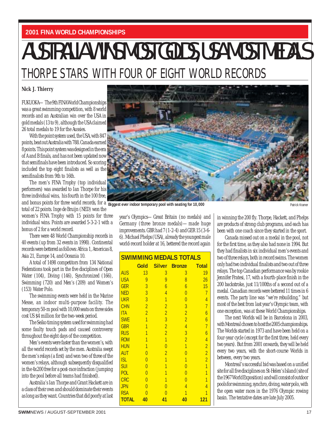#### **2001 FINA WORLD CHAMPIONSHIPS**

## AUSTRALIA WINS MOST GOLDS, USA MOST MEDALS THORPE STARS WITH FOUR OF EIGHT WORLD RECORDS

#### **Nick J. Thierry**

FUKUOKA—The 9th FINA World Championships was a great swimming competition, with 8 world records and an Australian win over the USA in gold medals (13 to 9), although the USA claimed 26 total medals to 19 for the Aussies.

With the point system used, the USA, with 847 points, beat out Australia with 788. Canada earned 8 points. This point system was designed in the era of A and B finals, and has not been updated now that semifinals have been introduced. So scoring included the top eight finalists as well as the semifinalists from 9th to 16th.

and bonus points for three world records, for a Biggest ever indoor temporary pool with seating for 10,000 The men's FINA Trophy (top individual performers) was awarded to Ian Thorpe for his three individual wins, his fourth in the 100 free,

total of 22 points. Inge de Bruijn (NED) won the women's FINA Trophy with 15 points for three individual wins. Points are awarded 5-3-2-1 with a bonus of 2 for a world record.

There were 48 World Championship records in 40 events (up from 32 events in 1998). Continental records were bettered as follows: Africa 1, Americas 8, Asia 21, Europe 14, and Oceania 10.

A total of 1498 competitors from 134 National Federations took part in the five disciplines of Open Water (104), Diving (146), Synchronized (166), Swimming (720) and Men's (209) and Women's (153) Water Polo.

The swimming events were held in the Marine Messe, an indoor multi-purpose facility. The temporary 50-m pool with 10,000 seats on three sides cost US \$4 million for the two-week period.

The Seiko timing system used for swimming had some faulty touch pads and caused controversy throughout the eight days of the competition.

Men's events were faster than the women's, with all the world records set by the men. Australia swept the men's relays (a first) and won two of three of the women's relays, although subsequently disqualified in the 4x200 free for a post-race infraction (jumping into the pool before all teams had finished).

Australia's Ian Thorpe and Grant Hackett are in a class of their own and should dominate their events as long as they want. Countries that did poorly at last

| ith seating for 10,000                       |                                                                            |
|----------------------------------------------|----------------------------------------------------------------------------|
| itain (no medals) and<br>nedals) — made huge | in winning the 200 fly. Thorpe, Hao<br>are products of strong club program |

year's Olympics-Great Bri Germany (three bronze m improvements. GBR had 7 (1-2-4) and GER 15 (3-6- 6). Michael Phelps (USA), already the youngest male world-record holder at 16, bettered the record again

|              |                |                | <b>SWIMMING MEDALS TOTALS</b> |                |
|--------------|----------------|----------------|-------------------------------|----------------|
|              | Gold           | <b>Silver</b>  | <b>Bronze</b>                 | <b>Total</b>   |
| AUS          | 13             | 3              | 3                             | 19             |
| <b>USA</b>   | 9              | 9              | 8                             | 26             |
| <b>GER</b>   | $\overline{3}$ | 6              | 6                             | 15             |
| <b>NED</b>   | $\overline{3}$ | $\overline{4}$ | $\overline{0}$                | 7              |
| <b>UKR</b>   | $\overline{3}$ | 1              | $\overline{0}$                | 4              |
| <b>CHN</b>   | $\overline{2}$ | $\overline{2}$ | $\overline{3}$                | 7              |
| ITA          | $\overline{2}$ | $\overline{2}$ | $\overline{2}$                | 6              |
| <b>SWE</b>   | $\overline{1}$ | $\overline{3}$ | $\overline{2}$                | 6              |
| <b>GBR</b>   | 1              | $\overline{2}$ | $\overline{4}$                | 7              |
| <b>RUS</b>   | 1              | $\overline{2}$ | $\overline{3}$                | 6              |
| <b>ROM</b>   | 1              | 1              | $\overline{2}$                | 4              |
| <b>HUN</b>   | 1              | $\overline{0}$ | $\overline{1}$                | $\overline{2}$ |
| <b>AUT</b>   | $\Omega$       | $\overline{2}$ | $\overline{0}$                | $\overline{2}$ |
| <b>ISL</b>   | $\overline{0}$ | $\overline{1}$ | 1                             | $\overline{2}$ |
| <b>SUI</b>   | $\Omega$       | 1              | $\overline{0}$                | 1              |
| POL          | $\Omega$       | 1              | $\overline{0}$                |                |
| <b>CRC</b>   | 0              | 1              | $\overline{0}$                |                |
| <b>JPN</b>   | $\Omega$       | $\overline{0}$ | $\overline{4}$                | 4              |
| <b>RSA</b>   | 0              | Λ              | 1                             |                |
| <b>TOTAL</b> | 40             | 41             | 40                            | 121            |

ckett, and Phelps are products of strong club programs, and each has been with one coach since they started in the sport.

Patrick Kramer

Canada missed out on a medal in the pool, not for the first time, as they also had none in 1994. But they had finalists in six individual men's events and two of three relays, both in record swims. The women only had two individual finalists and two out of three relays. The top Canadian performance was by rookie Jennifer Fratesi, 17, with a fourth-place finish in the 200 backstroke, just 11/100ths of a second out of a medal. Canadian records were bettered 11 times in 6 events. The party line was "we're rebuilding," but most of the best from last year's Olympic team, with one exception, was at these World Championships.

The next Worlds will be in Barcelona in 2003, with Montreal chosen to host the 2005 championships. The Worlds started in 1973 and have been held on a four-year cycle (except for the first three, held every two years). But from 2001 onwards, they will be held every two years, with the short-course Worlds in between, every two years.

Montreal's successful bid was based on a unified site for all five disciplines on St-Helen's Island (site of the 1967 World Exposition) and will consist of outdoor pools for swimming, synchro, diving, water polo, with the open water races in the 1976 Olympic rowing basin. The tentative dates are late July 2005.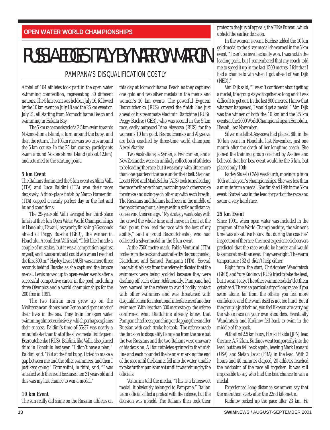## RUSSIA EDGES ITALY BY NARROW MARGIN

#### PAMPANA'S DISQUALIFICATION COSTLY

A total of 104 athletes took part in the open water swimming competition, representing 30 different nations. The 5 km event was held on July 16, followed by the 10 km event on July 18 and the 25 km event on July 21, all starting from Momochihama Beach and swimming in Hakata Bay.

The 5 km race consisted of a 2.5 km swim towards Nokonoshima Island, a turn around the buoy, and then the return. The 10 km race was two trips around the 5 km course. In the 25 km course, participants swam around Nokonoshima Island (about 12.km) and returned to the starting point.

#### **5 km Event**

The Italians dominated the 5 km event as Alina Valli (ITA) and Luca Baldini (ITA) won their races decisively. A third-place finish by Marco Formentini (ITA) capped a nearly perfect day in the hot and humid conditions.

The 29-year-old Valli avenged her third-place finish at the 5 km Open Water World Championships in Honolulu, Hawaii, last year by finishing 26 seconds ahead of Peggy Busche (GER), the winner in Honolulu. A confident Valli said, "I felt like I made a couple of mistakes, but it was a competition against myself, and I was sure that I could win when I reached the first 300 m." Hayley Lewis (AUS) was a mere three seconds behind Busche as she captured the bronze medal. Lewis moved up to open-water events after a successful competitive career in the pool, including three Olympics and a world championships for the 200 free in 1991.

The two Italian men grew up on the Mediterranean shores near Genoa and spent most of their lives in the sea. They train for open water swimming almost exclusively, which perhaps explains their success. Baldini's time of 55:37 was nearly a minute faster than that of the silver medallist Evgueni Bezroutchenko (RUS). Baldini, like Valli, also placed third in Honolulu last year. "I didn't have a plan," Baldini said. "But at the first buoy, I tried to make a gap between me and the other swimmers, and then I just kept going." Formentini, in third, said, "I was satisfied with the result because I am 31 years old and this was my last chance to win a medal."

#### **10 km Event**

The sun really did shine on the Russian athletes on

this day at Momochihama Beach as they captured one gold and two silver medals in the men's and women's 10 km events. The powerful Evgueni Bezroutchenko (RUS) crossed the finish line just ahead of his teammate Vladimir Diattchine (RUS). Peggy Buchse (GER), who was second in the 5 km race, easily outpaced Irina Abyssova (RUS) for the women's 10 km gold. Bezroutchenko and Abyssova are both coached by three-time world champion Alexei Akatiev.

Two Australians, a Syrian, a Frenchman, and a New Zealander were an unlikely collection of athletes to be leading the race, but it was early, with little more than one quarter of the race under their belt. Stephan Lecat (FRA) and Mark Saliba (AUS) took turns leading the race for the next hour, matching each other stroke for stroke and sizing each other up with each breath. The Russians and Italians had been in the middle of the pack throughout, always within striking distance, conserving their energy. "My strategy was to stay with the crowd the whole time and move in front at the final point, then lead the race with the best of my ability," said a proud Bezroutchenko, who had collected a silver medal in the 5 km event.

At the 7500 metre mark, Fabio Venturini (ITA) broke from the pack and was trailed by Bezroutchenko, Diattchine, and Samuel Pampana (ITA). Several loud whistle blasts from the referee indicated that the swimmers were being scolded because they were drafting off each other. Additionally, Pampana had been warned by the referee to avoid bodily contact with other swimmers and was threatened with disqualification for intentional interference of another swimmer. With less than 300 metres to go, the referee confirmed what Diattchine already knew, that Pampana had been punching or slapping the smaller Russian with each stroke he took. The referee made the decision to disqualify Pampana from the race but the two Russians and the two Italians were unaware of his decision. All four athletes sprinted to the finish line and each pounded the banner marking the end of the race until the banner fell into the water, unable to take further punishment until it was rehung by the officials.

Venturini told the media, "This is a bittersweet medal, it obviously belonged to Pampana." Italian team officials filed a protest with the referee, but the decision was upheld. The Italians then took their protest to the jury of appeals, the FINA Bureau, which upheld the earlier decision.

In the women's event, Buchse added the 10 km gold medal to the silver medal she earned in the 5 km event. "I can't believe I actually won. I was not in the leading pack, but I remembered that my coach told me to speed it up in the last 1500 metres. I felt that I had a chance to win when I got ahead of Van Dijk (NED)."

Van Dijk said, "I wasn't confident about getting a medal, the group stayed together so long and it was difficult to get out. In the last 900 metres, I knew that whatever happened, I would get a medal." Van Dijk was the winner of both the 10 km and the 25 km events at the 2000 World Championships in Honolulu, Hawaii, last November.

Silver medallist Abyssova had placed 8th in the 10 km event in Honolulu last November, just one month after the death of her longtime coach. She joined the training group coached by Akatiev and believed that her best event would be the 5 km, but placed only 10th.

Karley Stuzel (CAN) was fourth, moving up from 10th at last year's championships. She was less than a minute from a medal. She finished 19th in the 5 km event. Stutzel was in the lead for part of the race and swam a very hard race.

#### **25 km Event**

Since 1991, when open water was included in the program of the World Championships, the winner's time was about five hours. But during the coaches' inspection of the race, the most experienced observers predicted that the race would be harder and would take more time than ever. They were right. The warm temperature (32 c) didn't help either.

Right from the start, Christopher Wandratsch (GER) and Yury Kudinov (RUS) tried to take the lead, but it wasn't easy. The other swimmers didn't let them get ahead. There is a particularity of long races: if you swim alone, far from the others, you feel more confidence and the swim itself is not too hard. But if the group is just behind, you feel like you are carrying the whole race on your own shoulders. Eventually Wandratsch and Kudinov fell back to swim in the middle of the pack.

At the first 2.5 km buoy, Hiroki Hikida (JPN) lead the race. At 7.2 km, Kudinov went temporarily into the lead, but then fell back again, leaving Mark Leonard (USA) and Stefan Lecat (FRA) in the lead. With 2 hours and 40 minutes elapsed, 20 athletes reached the midpoint of the race all together. It was still impossible to say who had the best chance to win a medal.

Experienced long-distance swimmers say that the marathon starts after the 22nd kilometre.

Kudinov picked up the pace after 23 km. He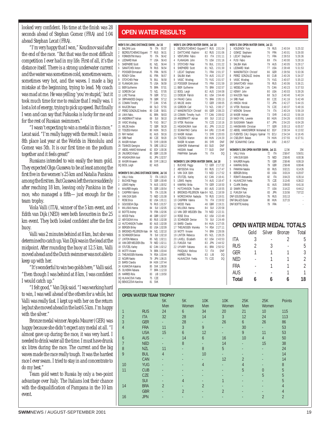looked very confident. His time at the finish was 28 seconds ahead of Stephan Gomez (FRA) and 1:04 ahead Stephan Lecat (FRA).

"I'm very happy that I won," Koudinov said after the end of the race. "But that was the most difficult competition I ever had in my life. First of all, it's the distance itself. There is a strong underwater current and the water was sometimes cold, sometimes warm, sometimes very hot, and the waves. I made a big mistake at the beginning, trying to lead. My coach was mad at me. He was yelling 'you're stupid,' but it took much time for me to realize that I really was. I lost a lot of energy, trying to pick up speed. But finally I won and can say that Fukuoka is lucky for me and for the rest of Russian swimmers."

"I wasn't expecting to win a medal in this race," Lecat said. "I'm really happy with the result. I was in 8th place last year at the Worlds in Honolulu and Gomez was 5th. It is our first time on the podium together and it feels great!"

Russians intended to win easily the team gold. They expected Olga Gusseva to be at least among the first five in the women's 25 km and Natalia Pankina among the first ten. But Gusseva left the race suddenly after reaching 18 km, leaving only Pankina in the race, who managed a fifth—just enough for the team trophy.

Viola Valli (ITA), winner of the 5 km event, and Edith van Dijk (NED) were both favourites in the 25 km event. They both looked confident after the first buoy.

Valli was 2 minutes behind at 8 km, but she was determined to catch up. Van Dijk was in the lead at the midpoint. After rounding the buoy at 12.5 km, Valli moved ahead and the Dutch swimmer was not able to keep up with her.

"It's wonderful to win two golds here," Valli said. "Even though I was behind at 8 km, I was confident I would catch up."

"I felt good," Van Dijk said. "I was working hard to win, I was well ahead of the others for a while, but Valli was really fast. I kept up with her on the return leg but she moved ahead in the last 6.5 km. I'm happy with the silver."

Bronze medal winner Angela Maurer (GER) was happy because she didn't expect any medal at all. "I almost gave up during the race, it was very hard. I needed to drink water all the time. I must have drunk six litres during the race. The current and the big waves made the race really tough. It was the hardest race I ever swam. I tried to stay in and concentrate to do my best."

Team gold went to Russia by only a two-point advantage over Italy. The Italians lost their chance with the disqualification of Pampana in the 10 km event.

#### **OPEN WATER RESULTS**

|    | MEN'S 5K LONG DISTANCE SWIM, Jul 16                                                                                                                                                                                                          |        |                                                |                                  |  |
|----|----------------------------------------------------------------------------------------------------------------------------------------------------------------------------------------------------------------------------------------------|--------|------------------------------------------------|----------------------------------|--|
| 1  | <b>BALDINI Luca</b>                                                                                                                                                                                                                          | 76     | ITA                                            | 55:37                            |  |
| 2  | BEZROUTCHENKO Evgueni                                                                                                                                                                                                                        | 77     | <b>RUS</b>                                     | 56:31                            |  |
| 3  | FORMENTINI Marco                                                                                                                                                                                                                             | 70     | ITA                                            | 56:42                            |  |
|    |                                                                                                                                                                                                                                              |        | 77 USA                                         | 56:43                            |  |
|    | 4 LEONARD Mark<br>5 SHEPHERD Sco<br>SHEPHERD Scott                                                                                                                                                                                           |        | 70 ITA<br>77 USA<br>81 NZL<br>78 RUS<br>75 FRA | 56:44                            |  |
|    | 6 SANATCHEV Anton<br>7 POISSIER Emmanuel                                                                                                                                                                                                     |        |                                                | 56:54                            |  |
|    |                                                                                                                                                                                                                                              |        |                                                | 56:55                            |  |
| 8  | <b>RONDY Gilles</b>                                                                                                                                                                                                                          | 81     | FRA                                            | 56:57                            |  |
| 9  | STOYCHEV Petar                                                                                                                                                                                                                               |        |                                                | 56:58                            |  |
|    |                                                                                                                                                                                                                                              |        | 76 b.<br>75 USA<br>75 BRA<br>73 NZL            | 56:59                            |  |
|    | 10 FLANAGAN John<br>11 BIER Guilherme                                                                                                                                                                                                        |        |                                                | 57:01                            |  |
|    | 12 GORDON Carl                                                                                                                                                                                                                               |        |                                                | 57:05                            |  |
|    | 13 LURZ Thomas                                                                                                                                                                                                                               | 79     | GER                                            | 57:11                            |  |
|    | 14 ORPHANDES Gregory 78 GBR<br>15 COWAN Timothy 77 CAN<br>16 MAJCEN Nace<br>17 PEREZ GONZALEZ Andres 80 SLO<br>17 PEREZ GONZALEZ Andres 80 CUB<br>18 I MA Fahin                                                                              |        |                                                | 57:12                            |  |
|    |                                                                                                                                                                                                                                              |        |                                                | 57:45                            |  |
|    |                                                                                                                                                                                                                                              |        |                                                | 57:55                            |  |
|    |                                                                                                                                                                                                                                              |        |                                                | 58:01                            |  |
|    | 18 LIMA Fabio,                                                                                                                                                                                                                               |        | 81 BRA                                         | 58:03                            |  |
|    |                                                                                                                                                                                                                                              |        |                                                |                                  |  |
|    |                                                                                                                                                                                                                                              |        |                                                |                                  |  |
|    |                                                                                                                                                                                                                                              |        |                                                |                                  |  |
|    |                                                                                                                                                                                                                                              |        |                                                |                                  |  |
|    | 18 LIMA Fabio, 81 BRA 58:03<br>19 ANDERMATT Adrian 69 SUI 68:10<br>20 VASIC Miodrag 75 YUG 58:17<br>21 WILDE Andre 72 GER 58:28<br>22 TOSZEGI Marton 80 HUN 59:15<br>23 RAY Herbort 81 AUS 69:16<br>24 SRB Pavel<br>25 MASRI Hisham 73 SYR 1 |        |                                                |                                  |  |
|    |                                                                                                                                                                                                                                              |        |                                                |                                  |  |
|    |                                                                                                                                                                                                                                              |        |                                                |                                  |  |
|    |                                                                                                                                                                                                                                              |        |                                                |                                  |  |
|    |                                                                                                                                                                                                                                              |        |                                                |                                  |  |
|    |                                                                                                                                                                                                                                              |        |                                                | 85 GBR 1:01:09                   |  |
|    |                                                                                                                                                                                                                                              |        |                                                | JPN 1:02:57                      |  |
|    |                                                                                                                                                                                                                                              |        |                                                | SYR 1:08:13                      |  |
|    | DQ BOOL Leigh                                                                                                                                                                                                                                | 82     | AUS                                            |                                  |  |
|    |                                                                                                                                                                                                                                              |        |                                                |                                  |  |
|    | WOMEN'S 5K LONG DISTANCE SWIM, Jul 16                                                                                                                                                                                                        |        |                                                |                                  |  |
| 1  | VALLI Viola                                                                                                                                                                                                                                  | 72     |                                                | ITA 1:00:23                      |  |
|    |                                                                                                                                                                                                                                              |        |                                                |                                  |  |
|    |                                                                                                                                                                                                                                              | 72     |                                                | GER 1:00:49                      |  |
|    |                                                                                                                                                                                                                                              |        |                                                | 74 AUS 1:00:52                   |  |
|    |                                                                                                                                                                                                                                              | $75\,$ |                                                | GER 1:00:54                      |  |
|    |                                                                                                                                                                                                                                              |        |                                                | ITA 1:01:06                      |  |
|    |                                                                                                                                                                                                                                              | $76\,$ |                                                | 73 NED 1:01:08                   |  |
|    |                                                                                                                                                                                                                                              |        |                                                | 82 USA 1:01:11                   |  |
|    | 2 BUCHSE Peggy<br>3 LEWIS Hayley<br>4 MAURER Angela<br>5 CASPRINI Valeria<br>6 VAN DUK Edith<br>7 ROSE Erica                                                                                                                                 |        |                                                | 76 RUS 1:01:57                   |  |
|    |                                                                                                                                                                                                                                              |        |                                                | SUI 1:02:05                      |  |
|    |                                                                                                                                                                                                                                              |        |                                                | FRA 1:02:06                      |  |
|    |                                                                                                                                                                                                                                              |        |                                                |                                  |  |
|    |                                                                                                                                                                                                                                              | 48     |                                                | GBR 1:02:07                      |  |
|    | 7 ROSE Erica 82<br>8 GOUSSEVA Olga 76<br>9 MILUSKA Hanna 84<br>10 BOITTE Andrey 79<br>11 WOOD Pavla 48<br>12 ABYSSOVA Irina 80<br>12 ABYSSOVA Irina                                                                                          |        |                                                | 80 RUS 1:02:08                   |  |
|    | 13 HUTCHINSON Trudee                                                                                                                                                                                                                         |        |                                                | 80 AUS 1:02:09                   |  |
|    | 14 BERGEN Briley                                                                                                                                                                                                                             |        |                                                | 83 USA 1:02:09                   |  |
|    | 15 BROOKES-PELERSON Kate 84 NZL 1:02:10                                                                                                                                                                                                      |        |                                                |                                  |  |
|    | 16 SCHRADER Denise                                                                                                                                                                                                                           |        |                                                |                                  |  |
|    | 17 LINTON Rebecca                                                                                                                                                                                                                            |        |                                                | 78 SUI 1:02:10<br>85 NZL 1:02:11 |  |
|    |                                                                                                                                                                                                                                              |        |                                                | 79 NED 1:02:11                   |  |
|    | 18 VAN DER WELDEN Etta<br>19 STUTZEL Karley<br>20 MOTTI Viviane                                                                                                                                                                              |        |                                                | 82 CAN 1:02:12                   |  |
|    | 20 MOTTI Viviane                                                                                                                                                                                                                             |        |                                                | 74 BRA 1:03:44                   |  |
| 21 |                                                                                                                                                                                                                                              |        |                                                | 74 RSA 1:03:44                   |  |
|    | MOTH viviane<br>THEUNISSEN Marieka<br>The Maries<br>22 NOJIRI Naoko                                                                                                                                                                          | $79\,$ |                                                | JPN 1:06:15                      |  |
|    | 23 BARSI Clavdia                                                                                                                                                                                                                             |        |                                                | 84 HUN 1:07:44                   |  |
|    |                                                                                                                                                                                                                                              |        |                                                |                                  |  |
|    | 23 BARSI Clavala<br>24 KUNIKOVA Katarina<br>25 OLIVEIRA Fabiana                                                                                                                                                                              |        |                                                | 85 SVK 1:08:58<br>77 BRA 1:12:33 |  |
|    | 26 HARRES Rola                                                                                                                                                                                                                               |        |                                                | LIB 1:19:50                      |  |
|    | DQ HLAVACOVA Yvetta<br>DQ BENOCZOVA Karolina                                                                                                                                                                                                 | 81     | 83 LIB<br>75 CZE<br>SVK                        |                                  |  |

|                |                                       | MEN'S 10K OPEN WATER SWIM, Jul 18                                                                                                                                                                                                          |        |                                                |                          |                                                                                  | MEN'S 25K OPEN WATER SWIM, Jul 21                                                                                                             |        |                               |                          |                    |                |
|----------------|---------------------------------------|--------------------------------------------------------------------------------------------------------------------------------------------------------------------------------------------------------------------------------------------|--------|------------------------------------------------|--------------------------|----------------------------------------------------------------------------------|-----------------------------------------------------------------------------------------------------------------------------------------------|--------|-------------------------------|--------------------------|--------------------|----------------|
|                | 1                                     | BEZROUTCHENKO Evqueni77 RUS 2:01:04                                                                                                                                                                                                        |        |                                                |                          |                                                                                  | 1 KOUDINOV Yury                                                                                                                               |        | 79 RUS                        | 2:40:04                  | 5:25:32            |                |
|                | $\overline{2}$                        | DIATTCHINE Vladimir                                                                                                                                                                                                                        |        | 82 RUS 2:01:06                                 | $\overline{2}$           |                                                                                  |                                                                                                                                               |        | 76 FRA                        | 2:40:01                  | 5:26:00            |                |
|                | 3                                     | VENTURINI Fabio                                                                                                                                                                                                                            |        | 83 ITA 2:01:11                                 | 3                        |                                                                                  | GOMEZ Stephane<br>LECAT Stephane                                                                                                              |        | 71 FRA                        | 2:39:53                  | 5:26:36            |                |
|                | 4                                     | FLANAGAN John                                                                                                                                                                                                                              |        | 75 USA 2:01:16                                 | $\overline{4}$           | FUSI Fabio                                                                       |                                                                                                                                               |        | 69 ITA                        | 2:40:00                  | 5:28:16            |                |
|                | STOYCHEV Petar<br>5                   |                                                                                                                                                                                                                                            |        | 76 BUL 2:01:22                                 | 5                        | SALIBA Mark                                                                      |                                                                                                                                               |        | 79 AUS                        | 2:40:05                  | 5:29:17            |                |
|                | SHEPHERD Scott<br>ĥ                   |                                                                                                                                                                                                                                            | 81 NZL | 2:01:30                                        | 6                        | LEONARD Mark                                                                     |                                                                                                                                               |        | 77 USA                        | 2:39:48                  | 5:31:53            |                |
|                |                                       |                                                                                                                                                                                                                                            |        |                                                |                          |                                                                                  | 7 WANDRATSCH Christof<br>8 PEREZ GONZALEZ Andres                                                                                              |        | 66 GER                        | 2:39:56                  | 5:33:36            |                |
|                |                                       |                                                                                                                                                                                                                                            |        |                                                |                          |                                                                                  |                                                                                                                                               |        |                               | 2:40:26                  | 5:34:37            |                |
|                |                                       |                                                                                                                                                                                                                                            |        |                                                | 9                        | VASIC Miodrag                                                                    |                                                                                                                                               |        |                               | 2:40:07                  | 5:35:22            |                |
|                |                                       |                                                                                                                                                                                                                                            |        |                                                |                          | 10 SANATCHEV Anton                                                               |                                                                                                                                               |        |                               | 2:40:06                  | 5:36:21            |                |
|                |                                       | 7 IECAT Stephane 71 FRA 2:01:37<br>7 IECAT Stephane 71 FRA 2:01:37<br>8 SALIBA Mark 79 AUS 2:01:37<br>9 VASIC: Miodrag 75 YUG 2:01:57<br>10 POISSER Emmanuel 75 FRA 2:01:57<br>11 DIBENG Wilheme 75 BRA 2:02:57<br>12 DIDEUM Patrick 81 US |        |                                                |                          | 11 WESELOH Liam                                                                  | This<br>78 Rus<br>178 Rus<br>175 CAN<br>80 USA<br>68 SLO<br>68 SLO<br>27                                                                      |        |                               | 2:40:23                  | 5:37:53            |                |
|                |                                       |                                                                                                                                                                                                                                            |        |                                                |                          | 12 KENNY John                                                                    |                                                                                                                                               |        |                               | 2:40:03                  | 5:39:26            |                |
|                |                                       |                                                                                                                                                                                                                                            |        |                                                |                          | 13 MAJCEN Nace                                                                   | $\begin{array}{cc}\n 68 & \text{SLO} \\  68 & \text{SLO} \\  80 & \text{CZE} \\  \hline\n 72 & \text{IDN}\n \end{array}$                      |        |                               | 2:40:40                  | 5:40:24            |                |
|                | 14 PAVAO Carlos                       |                                                                                                                                                                                                                                            | 75 BRA | 2:05:13                                        |                          | 14 SRB Pavel                                                                     |                                                                                                                                               |        |                               | 2:41:16                  | 5:42:49            |                |
|                | 15 WILDE Andre                        |                                                                                                                                                                                                                                            |        | 72 GER 2:08:05                                 |                          | 15 HIKIDA Hiroki                                                                 |                                                                                                                                               |        | 72 JPN                        | 2:42:27                  | 5:44:15            |                |
|                | 16 GORDON Carl                        | 73 NZL 2:08:17                                                                                                                                                                                                                             |        |                                                |                          | 16 VITEK Rostislav                                                               |                                                                                                                                               |        | 76 C.7F                       | 2:40:37                  | 5:48:16            |                |
|                |                                       | 17 WANDRATSCH Christof 66 GER 2:08:23                                                                                                                                                                                                      |        |                                                |                          | 17 MENONI Simone                                                                 |                                                                                                                                               | 74     | <b>ITA</b>                    | 2:40:24                  | 5:56:19            |                |
|                |                                       | 18 COWAN Timothy huch 77 CAN 2:09:02                                                                                                                                                                                                       |        |                                                |                          | 18 MASRI Hisham                                                                  |                                                                                                                                               |        | 73 SYR                        | 2:40:22                  | 5:56:19            |                |
|                |                                       | 19 ANDERMATT Adrian 69 SUI 2:10:12                                                                                                                                                                                                         |        |                                                |                          | 19 NAGY-PAL Levente                                                              |                                                                                                                                               |        | 80 HUN                        | 2:54:26                  | 6:00:03            |                |
|                | 20 VITEK Rostislav                    |                                                                                                                                                                                                                                            |        | voluze 2:10:16<br>81 JPN 2:15:22<br>64 JJDU 2: |                          | 20 SUGISAWA Takashi                                                              |                                                                                                                                               |        | 67 JPN                        | 2:54:20                  | 6:04:28            |                |
|                | 21 HIGASHIJIMA Issei                  |                                                                                                                                                                                                                                            |        |                                                |                          | 21 HANSMANN Christian                                                            |                                                                                                                                               |        | 77 GER                        | 3:00:13                  | 6:05:57            |                |
|                | 22 SCANAYINO Carlos                   |                                                                                                                                                                                                                                            |        | 64 URU 2:15:48                                 |                          |                                                                                  | 22 ABDEL HAMIDSRROR Mohamed 82 EGY                                                                                                            |        |                               | 2:58:34                  | 6:13:02            |                |
|                | 23 MASRI Hisham                       |                                                                                                                                                                                                                                            |        | 73 SYR 2:20:03                                 |                          |                                                                                  | 23 FUENTES CALI Gregory hjalmar 70 ECU                                                                                                        |        |                               | 2:54:34                  | 6:16:45            |                |
|                |                                       | 24 TOSZEGI Marton                                                                                                                                                                                                                          | 80 HUN | 2:24:20                                        |                          | 24 CSELENYI Balazs                                                               |                                                                                                                                               |        | 79 HUN                        | 2:57:55                  | 6:37:51            |                |
| ļ              |                                       | MASRI M.na'eem                                                                                                                                                                                                                             | 86 SYR | DNF                                            |                          | DNF SCANAYINO Carlos                                                             |                                                                                                                                               |        | 64 URU                        | 2:46:57                  |                    |                |
| $\overline{ }$ |                                       | 80 SUD<br>SANHORI Mahammad                                                                                                                                                                                                                 |        | DNF                                            |                          |                                                                                  |                                                                                                                                               |        |                               |                          |                    |                |
| j              |                                       | <b>HASSAN Asaad</b>                                                                                                                                                                                                                        | 77 SUD | DNF                                            |                          |                                                                                  | WOMEN'S 25K OPEN WATER SWIM, Jul 21                                                                                                           |        |                               | 12.5K                    | 25K                |                |
| ļ              |                                       | PAMPANA Samuele                                                                                                                                                                                                                            | 76 ITA | D <sub>0</sub>                                 | 1.                       | VALLI Viola                                                                      |                                                                                                                                               | 72     | ITA                           | 2:58:47                  | 5:56:51            |                |
| 7              |                                       |                                                                                                                                                                                                                                            |        |                                                | $\overline{\phantom{a}}$ | VAN DIJK Edith                                                                   |                                                                                                                                               |        | 73 NFD                        | 2:58:45                  | 6:00:36            |                |
| ł              |                                       | WOMEN'S 10K OPEN WATER SWIM, Jul 18                                                                                                                                                                                                        |        |                                                | 3                        | MAURER Angela                                                                    |                                                                                                                                               | 75     | GER                           | 2:58:46                  | 6:06:19            |                |
|                | 1.<br><b>BUCHSE Peggy</b>             | 72 GER 2:17:32                                                                                                                                                                                                                             |        | 80 RUS 2:17:47                                 | 4<br>5                   | KAMRAU Britta                                                                    |                                                                                                                                               | 79     | GER<br>83 RUS                 | 2:58:49                  | 6:08:46            |                |
| í              | $\overline{2}$<br>ABYSSOVA Irina<br>3 |                                                                                                                                                                                                                                            | 73 NED | 2:17:52                                        | 6                        | PANKINA Natalia                                                                  |                                                                                                                                               |        | 83 USA                        | 3:02:21<br>3:03:24       | 6:14:26<br>6:20:07 |                |
|                | VAN DIJK Edith<br>4                   | STUTZEL Karley                                                                                                                                                                                                                             | 82 CAN | 2:18:41                                        | $\overline{1}$           | <b>BERGEN Briley</b><br>ROMITI Alessandra                                        |                                                                                                                                               |        |                               | 3:04:23                  | 6:35:14            |                |
| ļ              | LEWIS Hayley<br>5                     |                                                                                                                                                                                                                                            | 74 AUS | 2:18:47                                        | 8                        | <b>HLAVACOVA Yvetta</b>                                                          |                                                                                                                                               |        |                               | 3:13:45                  | 6:36:22            |                |
|                | 6 KAMRAU Britta                       |                                                                                                                                                                                                                                            |        | 79 GER 2:18:50                                 | 9                        | <b>CLARK Shelley</b>                                                             |                                                                                                                                               |        |                               | 3:09:00                  | 6:41:16            |                |
|                | $\overline{1}$                        | HUTCHINSON Trudee                                                                                                                                                                                                                          | 80 AUS | 2:18:55                                        |                          | 10 SAWIN Tiffany                                                                 |                                                                                                                                               |        |                               | 3:14:22                  | 6:44:12            |                |
|                | 8                                     | BROOKES-PELERSON Kate 84 NZL 2:18:59                                                                                                                                                                                                       |        |                                                |                          | 11 FUKUDA Yuki                                                                   | $\begin{array}{r} 75 & C_{\ell L} \\ 81 & \text{AUS} \\ 77 & \text{USA} \\ 83 & \text{JPN} \\ 76 & \text{RUS} \\ 76 & \text{RUS} \end{array}$ |        |                               | 3:15:56                  | 7:07:22            |                |
| ₹              |                                       | 9 MOROCHKINA Nadejda 78 RUS 2:19:01                                                                                                                                                                                                        |        |                                                |                          |                                                                                  |                                                                                                                                               |        | $\frac{76}{80}$ RUS<br>80 HUN | 3:01:13                  | ×                  |                |
|                |                                       |                                                                                                                                                                                                                                            |        |                                                |                          |                                                                                  |                                                                                                                                               |        |                               | 3:27:15                  |                    |                |
|                | 11 WOOD Pavla                         | 10 CASPRINI Valeria 76 ITA 2:19:02                                                                                                                                                                                                         |        | 48 GBR 2:19:21                                 |                          | THE GOUSSEVA Olga<br>DNF BALAZS Eszter<br>DNF ROITTE Andrey<br>DNF BOITTE Andrey |                                                                                                                                               |        | 79 FRA                        |                          |                    |                |
|                |                                       | 12 MILUSKA Hanna                                                                                                                                                                                                                           |        | 84 SUI 2:20:58                                 |                          |                                                                                  |                                                                                                                                               |        |                               |                          |                    |                |
|                |                                       | 13 VAN DER WEIJDEN Etta 79 NED                                                                                                                                                                                                             |        | 2:22:31                                        |                          |                                                                                  |                                                                                                                                               |        |                               |                          |                    |                |
|                | 14 ROSE Erica                         |                                                                                                                                                                                                                                            |        | 82 USA 2:22:49                                 |                          |                                                                                  |                                                                                                                                               |        |                               |                          |                    |                |
|                |                                       |                                                                                                                                                                                                                                            |        | 2:24:49                                        |                          |                                                                                  |                                                                                                                                               |        |                               |                          |                    |                |
|                |                                       | 15 SCHRADER Denise 78 SUI<br>16 BARSI Clavdia 84 HUN                                                                                                                                                                                       |        | 84 HUN 2:27:05                                 |                          |                                                                                  |                                                                                                                                               |        |                               |                          |                    |                |
|                |                                       |                                                                                                                                                                                                                                            |        |                                                |                          |                                                                                  | <b>OPEN WATER MEDAL TOTALS</b>                                                                                                                |        |                               |                          |                    |                |
|                |                                       |                                                                                                                                                                                                                                            |        |                                                |                          |                                                                                  | Gold                                                                                                                                          | Silver |                               | <b>Bronze</b>            | Total              |                |
|                |                                       | 19 LINTON Rebecca<br>20 LAVELL Elizabeth 82 USA 2:43:53                                                                                                                                                                                    |        |                                                |                          |                                                                                  |                                                                                                                                               |        |                               |                          |                    |                |
|                |                                       |                                                                                                                                                                                                                                            |        |                                                |                          | <b>ITA</b>                                                                       | 3                                                                                                                                             |        | $\overline{a}$                | $\overline{2}$           |                    | 5              |
|                | 21 FUKUDA Yuki                        |                                                                                                                                                                                                                                            | 83 JPN | 2:44:52                                        |                          |                                                                                  |                                                                                                                                               |        |                               |                          |                    |                |
|                |                                       |                                                                                                                                                                                                                                            |        | 2:50:52                                        |                          | <b>RUS</b>                                                                       | $\overline{2}$                                                                                                                                |        | 3                             | $\overline{\phantom{a}}$ |                    | 5              |
|                |                                       |                                                                                                                                                                                                                                            |        | DNF                                            |                          | GER                                                                              | $\overline{1}$                                                                                                                                |        | $\overline{1}$                | 1                        |                    | 3              |
|                |                                       |                                                                                                                                                                                                                                            |        | D <sub>0</sub>                                 |                          |                                                                                  |                                                                                                                                               |        |                               |                          |                    |                |
|                |                                       |                                                                                                                                                                                                                                            |        | D <sub>0</sub>                                 |                          | NED                                                                              |                                                                                                                                               |        | 1                             | $\mathbf{1}$             |                    | $\overline{2}$ |
|                |                                       |                                                                                                                                                                                                                                            |        |                                                |                          |                                                                                  |                                                                                                                                               |        |                               |                          |                    |                |
|                |                                       |                                                                                                                                                                                                                                            |        |                                                |                          | FRA                                                                              |                                                                                                                                               |        | 1                             | $\mathbf{1}$             |                    | $\overline{2}$ |
|                |                                       |                                                                                                                                                                                                                                            |        |                                                |                          | AUS                                                                              |                                                                                                                                               |        |                               | $\overline{1}$           |                    | 1              |
|                |                                       |                                                                                                                                                                                                                                            |        |                                                |                          |                                                                                  |                                                                                                                                               |        |                               |                          |                    |                |
|                |                                       |                                                                                                                                                                                                                                            |        |                                                |                          | Total                                                                            | 6                                                                                                                                             |        | 6                             | 6                        | 18                 |                |
|                |                                       |                                                                                                                                                                                                                                            |        |                                                |                          |                                                                                  |                                                                                                                                               |        |                               |                          |                    |                |

| 1                   | MEN'S 25K OPEN WATER SWIM, Jul 21                        |                | 79       |                   |                    |                |                    |  |
|---------------------|----------------------------------------------------------|----------------|----------|-------------------|--------------------|----------------|--------------------|--|
| $\overline{2}$      | KOUDINOV Yury<br>GOMEZ Stephane                          |                | 76       | <b>RUS</b><br>FRA | 2:40:04<br>2:40:01 |                | 5:25:32<br>5:26:00 |  |
| 3                   | LECAT Stephane                                           |                | 71       | FRA               | 2:39:53            |                | 5:26:36            |  |
| 4                   | FUSI Fabio                                               |                | 69       | <b>ITA</b>        | 2:40:00            |                | 5:28:16            |  |
| 5                   | SALIBA Mark                                              |                | 79       | AUS               | 2:40:05            |                | 5:29:17            |  |
| 6                   | LEONARD Mark                                             |                | 77       | <b>USA</b>        | 2:39:48            |                | 5:31:53            |  |
| 7                   | WANDRATSCH Christof                                      |                | 66       | GER               | 2:39:56            |                | 5:33:36            |  |
| 8<br>9              | PEREZ GONZALEZ Andres<br>VASIC Miodrag                   |                | 80<br>75 | CUB<br>YUG        | 2:40:26<br>2:40:07 |                | 5:34:37<br>5:35:22 |  |
|                     | 10 SANATCHEV Anton                                       |                | 78       | <b>RUS</b>        | 2:40:06            |                | 5:36:21            |  |
|                     | 11 WESELOH Liam                                          |                | 75       | CAN               | 2:40:23            |                | 5:37:53            |  |
|                     | 12 KFNNY John                                            |                | 80       | <b>USA</b>        | 2:40:03            |                | 5:39:26            |  |
|                     | 13 MAJCEN Nace                                           |                | 68       | SI <sub>0</sub>   | 2:40:40            |                | 5:40:24            |  |
|                     | 14 SRB Pavel                                             |                | 80       | C7F               | 2:41:16            |                | 5:42:49            |  |
|                     | 15 HIKIDA Hiroki<br>16 VITFK Rostislav                   |                | 72<br>76 | JPN<br>C7F        | 2:42:27            |                | 5:44:15            |  |
|                     | 17 MENONI Simone                                         |                | 74       | <b>ITA</b>        | 2:40:37<br>2:40:24 |                | 5:48:16<br>5:56:19 |  |
|                     | 18 MASRI Hisham                                          |                | 73       | <b>SYR</b>        | 2:40:22            |                | 5:56:19            |  |
|                     | 19 NAGY-PAL Levente                                      |                | 80       | <b>HUN</b>        | 2:54:26            |                | 6:00:03            |  |
|                     | 20 SUGISAWA Takashi                                      |                | 67       | <b>JPN</b>        | 2:54:20            |                | 6:04:28            |  |
|                     | 21 HANSMANN Christian                                    |                | 77       | GER               | 3:00:13            |                | 6:05:57            |  |
|                     | 22 ABDEL HAMIDSRROR Mohamed 82                           |                |          | EGY               | 2:58:34            |                | 6:13:02            |  |
|                     | 23 FUENTES CALI Gregory hjalmar 70<br>24 CSELENYI Balazs |                | 79       | ECU<br>HUN        | 2:54:34<br>2:57:55 |                | 6:16:45<br>6:37:51 |  |
|                     | DNF SCANAYINO Carlos                                     |                | 64       | URU               | 2:46:57            |                |                    |  |
|                     |                                                          |                |          |                   |                    |                |                    |  |
|                     | WOMEN'S 25K OPEN WATER SWIM, Jul 21                      |                |          |                   | 12.5K              |                | 25K                |  |
| 1                   | VALLI Viola                                              |                | 72       | ITA               | 2:58:47            |                | 5:56:51            |  |
| $\overline{2}$<br>3 | VAN DIJK Edith                                           |                | 73       | NFD<br>GER        | 2:58:45            |                | 6:00:36            |  |
| 4                   | MAURER Angela<br><b>KAMRAU Britta</b>                    |                | 75<br>79 | GER               | 2:58:46<br>2:58:49 |                | 6:06:19<br>6:08:46 |  |
| 5                   | PANKINA Natalia                                          |                | 83       | <b>RUS</b>        | 3:02:21            |                | 6:14:26            |  |
| 6                   | <b>BERGEN Briley</b>                                     |                | 83       | <b>USA</b>        | 3:03:24            |                | 6:20:07            |  |
| 7                   | ROMITI Alessandra                                        |                | 82       | <b>ITA</b>        | 3:04:23            |                | 6:35:14            |  |
| 8                   | <b>HLAVACOVA Yvetta</b>                                  |                | 75       | CZE               | 3:13:45            |                | 6:36:22            |  |
| 9                   | <b>CLARK Shellev</b>                                     |                | 81       | AUS               | 3:09:00            |                | 6:41:16            |  |
|                     | 10 SAWIN Tiffany                                         |                | 77<br>83 | <b>USA</b><br>JPN | 3:14:22            |                | 6:44:12            |  |
|                     | 11 FUKUDA Yuki<br>DNF GOUSSEVA Olga                      |                | 76       | <b>RUS</b>        | 3:15:56<br>3:01:13 |                | 7:07:22            |  |
|                     | <b>DNF BALAZS Eszter</b>                                 |                | 80       | <b>HUN</b>        | 3:27:15            |                |                    |  |
|                     | <b>DNF BOITTE Andrev</b>                                 |                | 79       | FRA               |                    |                |                    |  |
|                     |                                                          |                |          |                   |                    |                |                    |  |
|                     |                                                          |                |          |                   |                    |                |                    |  |
|                     |                                                          |                |          |                   |                    |                |                    |  |
|                     | <b>OPEN WATER MEDAL TOTALS</b>                           |                |          |                   |                    |                |                    |  |
|                     |                                                          |                |          |                   |                    |                |                    |  |
|                     |                                                          | Gold           |          | Silver            | <b>Bronze</b>      |                | Total              |  |
|                     | ITA                                                      | 3              |          |                   |                    | 2              | 5                  |  |
|                     |                                                          |                |          |                   |                    |                |                    |  |
|                     | <b>RUS</b>                                               | $\overline{2}$ |          | 3                 |                    | $\overline{a}$ | 5                  |  |
|                     | GER                                                      | 1              |          | 1                 |                    | 1              | $\frac{3}{2}$      |  |
|                     | NED                                                      |                |          | 1                 |                    | 1              |                    |  |
|                     |                                                          |                |          |                   |                    |                |                    |  |
|                     | FRA                                                      |                |          | 1                 |                    | 1              | $\overline{2}$     |  |

|                | <b>OPEN WATER TEAM TROPHY</b> |                |                          |                |                          |                |                          |                |  |  |  |
|----------------|-------------------------------|----------------|--------------------------|----------------|--------------------------|----------------|--------------------------|----------------|--|--|--|
|                |                               | 5K             | 5K                       | <b>10K</b>     | <b>10K</b>               | 25K            | 25K                      | Points         |  |  |  |
|                |                               | Men            | Women                    | Men            | Women                    | Men            | Women                    |                |  |  |  |
|                | <b>RUS</b>                    | 24             | 6                        | 34             | 20                       | 21             | 10                       | 115            |  |  |  |
| $\overline{2}$ | <b>ITA</b>                    | 32             | 28                       | 14             | 3                        | 12             | 24                       | 113            |  |  |  |
| 3              | <b>GER</b>                    | ۰              | 28                       | ٠              | 26                       | $\overline{6}$ | 26                       | 86             |  |  |  |
| $\overline{4}$ | <b>FRA</b>                    | 11             | 3                        | 9              | $\overline{\phantom{a}}$ | 30             | $\overline{\phantom{a}}$ | 53             |  |  |  |
|                | <b>USA</b>                    | 15             | 6                        | 12             | ۰                        | 9              | 11                       | 53             |  |  |  |
| 6              | <b>AUS</b>                    | ٠              | 14                       | 6              | 16                       | 10             | $\overline{4}$           | 50             |  |  |  |
| 7              | <b>NED</b>                    |                | 8                        | ٠              | 14                       |                | 15                       | 38             |  |  |  |
| 8              | <b>NZL</b>                    | 11             | ٠                        | 8              | 5                        |                | ٠                        | 24             |  |  |  |
| 9              | <b>BUL</b>                    | 4              |                          | 10             | ۰.                       |                |                          | 14             |  |  |  |
|                | CAN                           |                |                          |                | 12                       | $\overline{2}$ |                          | 14             |  |  |  |
| 10             | YUG                           |                |                          | 4              |                          | 4              |                          | 8              |  |  |  |
| 11             | <b>CUB</b>                    |                |                          |                |                          | 5              | $\Omega$                 | 5              |  |  |  |
|                | <b>CZE</b>                    |                |                          |                |                          |                | 5                        | 5              |  |  |  |
|                | <b>SUI</b>                    | ٠              | 4                        |                |                          |                |                          | 5              |  |  |  |
| 14             | <b>BRA</b>                    | $\overline{2}$ |                          | $\overline{2}$ |                          |                |                          | 4              |  |  |  |
|                | <b>GBR</b>                    |                | $\overline{\phantom{a}}$ |                | $\overline{\phantom{a}}$ |                |                          | $\overline{4}$ |  |  |  |
| 16             | <b>JPN</b>                    |                |                          |                |                          |                | $\mathfrak{D}$           | $\overline{2}$ |  |  |  |
|                |                               |                |                          |                |                          |                |                          |                |  |  |  |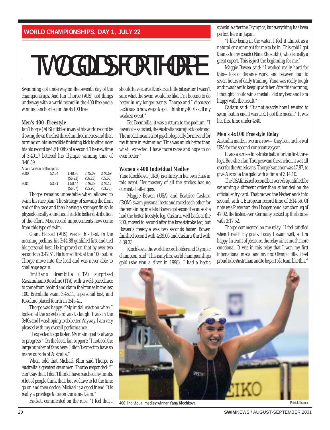# TWO GOLDS FOR THORPE

Swimming got underway on the seventh day of the championships. And Ian Thorpe (AUS) got things underway with a world record in the 400 free and a winning anchor leg in the 4x100 free.

#### **Men's 400 Freestyle**

Ian Thorpe (AUS) nibbled away at his world record by slowing down the first three hundred metres and then turning on his incredible finishing kick to slip under his old record by 42/100ths of a second. The new time of 3:40.17 bettered his Olympic winning time of 3:40.59.

.<br>A comparison of the specific

| m1                      |       | 1.11    |         |         |
|-------------------------|-------|---------|---------|---------|
|                         |       | (56.67) | (55.95) | (53.78) |
| 2001                    | 53.81 | 1:50.44 | 2:46.39 | 3:40.17 |
|                         |       | (56.22) | (56.23) | (55.60) |
| 2000                    | 52.64 | 1:48.86 | 2:45.09 | 3:40.59 |
| A COMPANY IS THE SPILE. |       |         |         |         |

Thorpe remains unbeatable when allowed to swim his race plan. The strategy of slowing the front end of the race and then having a stronger finish is physiologically sound, as it leads to better distribution of the effort. Most record improvements now come from this type of swim.

Grant Hackett (AUS) was at his best. In the morning prelims, his 3:44.88 qualified first and tied his personal best. He improved on that by over two seconds to 3:42.51. He turned first at the 100 but let Thorpe move into the lead and was never able to challenge again.

Emiliano Brembilla (ITA) surprised Massimiliano Rosolino (ITA) with a well-paced race to come from behind and claim the bronze in the last 100. Brembilla swam 3:45.11, a personal best, and Rosolino placed fourth in 3:45.41.

Thorpe was happy. "My initial reaction when I looked at the scoreboard was to laugh. I was in the 3:40s and I was hoping to do better. Anyway, I am very pleased with my overall performance.

"I expected to go faster. My main goal is always to progress." On the local fan support: "I noticed the large number of fans here. I didn't expect to have so many outside of Australia."

When told that Michael Klim said Thorpe is Australia's greatest swimmer, Thorpe responded: "I can't say that. I don't think I have reached my limits. A lot of people think that, but we have to let the time go on and then decide. Michael is a good friend. It is really a privilege to be on the same team."

Hackett commented on the race: "I feel that I

should have started the kick a little bit earlier. I wasn't sure what the swim would be like. I'm hoping to do better in my longer events. Thorpe and I discussed tactics as to how we go to go. I think my 400 is still my weakest event."

For Brembilla, it was a return to the podium. "I have to be satisfied, the Australians are just too strong. The medal means a lot psychologically for me and for my future in swimming. This was much better than what I expected. I have more races and hope to do even better."

#### **Women's 400 Individual Medley**

Yana Klochkova (UKR) is entirely in her own class in this event. Her mastery of all the strokes has no current challengers.

Maggie Bowen (USA) and Beatrice Caslaru (ROM) swam personal bests and raced each other for the remaining medals. Bowen got second because she had the better freestyle leg. Caslaru, well back at the 200, moved to second after the breaststroke leg, but Bowen's freestyle was two seconds faster. Bowen finished second with 4:39.06 and Caslaru third with 4:39.33.

Klochkova, the world record holder and Olympic champion, said "This is my first world championships gold (she won a silver in 1998). I had a hectic

schedule after the Olympics, but everything has been perfect here in Japan.

"I like being in the water, I feel it almost as a natural environment for me to be in. This gold I got thanks to my coach (Nina Khozukh), who is really a great expert. This is just the beginning for me."

Maggie Bowen said: "I worked really hard for this—lots of distance work, and between four to seven hours of daily training. Yana was really tough and it was hard to keep up with her. After this morning, I thought I could win a medal. I did my best and I am happy with the result."

Caslaru said: "It's not exactly how I wanted to swim, but in end it was O.K. I got the medal." It was her first time under 4:40.

#### **Men's 4x100 Freestyle Relay**

Australia made it two in a row—they beat arch-rival USA for the second consecutive year.

It was a stroke-for-stroke battle for the first three legs. But when Ian Thorpe swam the anchor, it was all over for the Americans. Thorpe's anchor was 47.87, to give Australia the gold with a time of 3:14.10.

The USA finished second but were disqualified for swimming a different order than submitted on the official entry card. That moved the Netherlands into second, with a European record time of 3:14.56. Of note was Pieter van den Hoogenband's anchor leg of 47.02, the fastest ever. Germany picked up the bronze with 3:17.52.

Thorpe commented on the relay: "I feel satisfied when I reach my goals. Today I swam well, so I'm happy. In terms of pleasure, the relay win is much more emotional. It was in this relay that I won my first international medal and my first Olympic title. I feel proud to be Australian and to be part of a team like this."



**400 individual medley winner Yana Klochkova Patrick Kramer Patrick Kramer Patrick Kramer Patrick Kramer Patrick Kramer**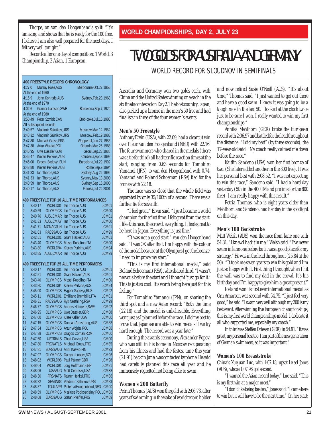Thorpe, on van den Hoogenband's split: "It's **WORLD CHAMPIONSHIPS, DAY 2, JULY 23** amazing and shows that he is ready for the 100 free. I believe I am also well prepared for the next days. I felt very well tonight."

Records after one day of competition: 1 World, 3 Championship, 2 Asian, 1 European.

| <b>400 FREESTYLE RECORD CHRONOLOGY</b> |                    |                                    |                                                  |                |  |  |  |
|----------------------------------------|--------------------|------------------------------------|--------------------------------------------------|----------------|--|--|--|
| 4:27.0                                 |                    | Murray Rose, AUS                   | Melbourne, Oct. 27, 1956                         |                |  |  |  |
|                                        | At the end of 1960 |                                    |                                                  |                |  |  |  |
| 4:15.9                                 |                    | John Konrads, AUS                  | Sydney, Feb. 23, 1960                            |                |  |  |  |
|                                        | At the end of 1970 |                                    |                                                  |                |  |  |  |
| 4:02.6                                 |                    | <b>Gunnar Larsson, SWE</b>         | Barcelona, Sep. 7, 1970                          |                |  |  |  |
|                                        | At the end of 1980 |                                    |                                                  |                |  |  |  |
|                                        | 3:50.49            | Peter Szmidt, CAN                  | Etobicoke, Jul. 15, 1980                         |                |  |  |  |
|                                        |                    | All subsequent records             |                                                  |                |  |  |  |
|                                        | 3:49.57            | Vladimir Salnikov, URS             | Moscow, Mar 12, 1982                             |                |  |  |  |
| 3:48.32                                |                    | <b>Vladimir Salnikov.URS</b>       | Moscow, Feb. 19, 1983                            |                |  |  |  |
|                                        | 3:47.80            | Michael Gross, FRG                 | Wuppertal, Jun. 27, 1985                         |                |  |  |  |
| 3:47.38                                |                    | Artur Wojdat, POL                  | Orlando, Mar. 25, 1988                           |                |  |  |  |
|                                        | 3:46.95            | Uwe Dassler, GDR                   | Seoul, Sep. 23, 1988                             |                |  |  |  |
|                                        | 3:46.47            | Kieren Perkins, AUS                | Canberra, Apr. 3, 1992                           |                |  |  |  |
| 3:45.00                                |                    | Evgeni Sadovyi, EUN                | Barcelona, Jul. 29, 1992                         |                |  |  |  |
| 3:43.80                                |                    | Kieren Perkins, AUS                | Rome, Sep. 9, 1994                               |                |  |  |  |
| 3:41.83                                |                    | lan Thorpe, AUS                    | Sydney, Aug 22, 1999                             |                |  |  |  |
|                                        | 3:41.33            | lan Thorpe, AUS                    | Sydney, May 13, 2000                             |                |  |  |  |
| 3:40.59                                |                    | lan Thorpe, AUS                    | Sydney, Sep 16, 2000                             |                |  |  |  |
| 3:40.17                                |                    | lan Thorpe, AUS                    | Fukoka, Jul 22, 2001                             |                |  |  |  |
|                                        |                    |                                    |                                                  |                |  |  |  |
|                                        |                    |                                    | 400 FREESTYLE TOP 10 ALL TIME PERFORMANCES       |                |  |  |  |
| 1                                      | 3:40.17            | WORLD01                            | lan Thorpe, AUS                                  | LCM01          |  |  |  |
| $\overline{2}$                         | 3:40.59            | <b>OLYMPICS</b>                    | lan Thorpe, AUS                                  | LCM00          |  |  |  |
| 3                                      | 3:40.76            | <b>AUSLCMAR</b>                    | lan Thorpe, AUS                                  | LCM01          |  |  |  |
| 4                                      | 3:41.33            | <b>AUSLCMAY</b>                    | lan Thorpe, AUS                                  | LCM00          |  |  |  |
| 5                                      | 3:41.71            | <b>MONACJUN</b>                    | lan Thorpe, AUS                                  | LCM01          |  |  |  |
| 6                                      | 3:41.83            | PAC99AUG                           | lan Thorpe, AUS                                  | LCM99          |  |  |  |
| 7                                      | 3:42.51            | WORLD01                            | <b>Grant Hackett, AUS</b>                        | LCM01          |  |  |  |
| 8                                      | 3:43.40            | <b>OLYMPICS</b>                    | Massi Rosolino, ITA                              | LCM00          |  |  |  |
| 9                                      | 3:43.80            | WORLD94                            | Kieren Perkins, AUS                              | LCM94          |  |  |  |
| 10                                     | 3:43.85            | <b>AUSLCMAR</b>                    | lan Thorpe, AUS                                  | LCM99          |  |  |  |
|                                        |                    |                                    |                                                  |                |  |  |  |
|                                        |                    |                                    | 400 FREESTYLE TOP 25 ALL TIME PERFORMERS         |                |  |  |  |
| 1<br>$\overline{2}$                    | 3:40.17            | WORLD01                            | lan Thorpe, AUS                                  | LCM01          |  |  |  |
|                                        | 3:42.51            | WORLD01                            | <b>Grant Hackett, AUS</b><br>Massi Rosolino, ITA | LCM01          |  |  |  |
| 3<br>$\overline{4}$                    | 3:43.40            | <b>OLYMPICS</b><br>WORLD94         | Kieren Perkins, AUS                              | LCM00          |  |  |  |
| 5                                      | 3:43.80            |                                    |                                                  | LCM94          |  |  |  |
|                                        | 3:45.00            | <b>OLYMPICS</b><br>WORLD01         | Evgeni Sadovyi, RUS<br>Emiliano Brembilla, ITA   | LCM92          |  |  |  |
| 6<br>7                                 | 3:45.11<br>3:46.31 | PAC99AUG                           | Ryk Neethling, RSA                               | LCM01<br>LCM99 |  |  |  |
| 8                                      | 3:46.77            | <b>OLYMPICS</b>                    | Anders Holmertz, SWE                             | LCM92          |  |  |  |
| 9                                      |                    |                                    | Uwe Dassler, GDR                                 | LCM88          |  |  |  |
| 10                                     | 3:46.95            | <b>OLYMPICS</b>                    |                                                  | LCM00          |  |  |  |
| 11                                     | 3:47.00<br>3:47.15 | <b>OLYMPICS</b><br><b>OLYMPICS</b> | Klete Keller, USA                                | LCM88          |  |  |  |
|                                        |                    |                                    | Duncan Armstrong, AUS                            |                |  |  |  |
| 12                                     | 3:47.34            | <b>OLYMPICS</b>                    | Artur Wojdat, POL                                | LCM88          |  |  |  |
| 13                                     | 3:47.38            | <b>OLYMPICS</b>                    | Dragos Coman, ROM                                | LCM00          |  |  |  |
| 14                                     | 3:47.50            | <b>USTRIALS</b>                    | Chad Carvin, USA                                 | LCM00          |  |  |  |
| 15                                     | 3:47.80            | FRGNATLS                           | Michael Gross, FRG                               | LCM85          |  |  |  |
| 16                                     | 3:47.81            | EUR93AUG                           | Antti Kasvio, FIN                                | LCM93          |  |  |  |
| 17                                     | 3:47.97            | <b>OLYMPICS</b>                    | Danyon Loader, NZL                               | LCM96          |  |  |  |
| 18                                     | 3:48.02            | WORLD98                            | Paul Palmer, GBR                                 | LCM98          |  |  |  |
| 19                                     | 3:48.04            | WORLD91                            | Jorg Hoffmann, GER                               | LCM91          |  |  |  |
| 20                                     | 3:48.06            | <b>USAAUG</b>                      | Matt Cetlinski, USA                              | LCM88          |  |  |  |
| 21                                     | 3:48.30            | FRGNATS                            | Rainer Henkel.FRG                                | LCM86          |  |  |  |
| 22                                     | 3:48.32            | SEASN83                            | Vladimir Salnikov, URS                           | LCM83          |  |  |  |
| 23                                     | 3:48.37            | TOULAPR                            | Pieter vdHoogenband, NED LCM00                   |                |  |  |  |
| 24                                     | 3:48.59            | OLYMPICS                           | Mariusz Podkoscielny, POLLCM88                   |                |  |  |  |
| 25                                     | 3:48.68            | EUR89AUG                           | Stefan Pfeiffer, FRG                             | LCM89          |  |  |  |

### TWO GOLDS FOR AUSTRALIA AND GERMANY WORLD RECORD FOR SLOUDNOV IN SEMIFINALS

Australia and Germany won two golds each, with China and the United States winning one each in the six finals contested on Day 2. The host country, Japan, also picked up a bronze in the men's 50 free and had finalists in three of the four women's events.

#### **Men's 50 Freestyle**

Anthony Ervin (USA), with 22.09, had a clearcut win over Pieter van den Hoogenband (NED) with 22.16. The four swimmers who shared in the medals (there was a tie for third) all had terrific reaction times at the start, ranging from 0.63 seconds for Tomohiro Yamanoi (JPN) to van den Hoogenband with 0.74. Yamanoi and Roland Schoeman (RSA) tied for the bronze with 22.18.

The race was so close that the whole field was separated by only 35/100th of a second. There was a further tie for seventh.

"I feel great," Ervin said. "I just became a world champion for the first time. I felt great from the start. I like this race, the crowd, everything. It feels great to be here in Japan. Everything is just fine."

"It was not a good start," van den Hoogenband said. "I was OK after that. I'm happy with the colour of the medal because at the Olympics I got the bronze. I need to improve my start."

"This is my first international medal," said Roland Schoeman (RSA), who shared third. "I wasn't nervous before the start and I thought 'just go for it.' This is just so cool. It's worth being here just for this feeling."

For Tomohiro Yamanoi (JPN), on sharing the third spot and a new Asian record: "Both the time (22.18) and the medal is unbelievable. Everything went just as I planned before the race. I did my best to prove that Japanese are able to win medals if we try hard enough. The record was a year late."

During the awards ceremony, Alexander Popov, who was still in his home in Moscow recuperating from his illness and had the fastest time this year (21.91) back in June, was contacted by phone. He said had carefully planned this race all year and he immensely regretted not being able to swim.

#### **Women's 200 Butterfly**

Petria Thomas (AUS) won the gold with 2:06.73, after years of swimming in the wake of world record holder and now retired Susie O'Neill (AUS). "It's about time," Thomas said. "I just wanted to get out there and have a good swim. I knew it was going to be a tough race in the last 50. I looked at the clock twice just to be sure I won. I really wanted to win my first championships."

Annika Mehlhorn (GER) broke the European record with 2:06.97 and battled for the lead throughout the distance. "I did my best" (by three seconds), the 17-year-old said. "My coach really calmed me down before the race."

Kaitlin Sandeno (USA) won her first bronze of two. (She later added another in the 800 free). It was her personal best with 2:08.52. "I was not expecting to win this race," Sandeno said. "I had a hard day yesterday (5th in the 400 IM and prelims for the 800 free). I am really happy with this result."

Petria Thomas, who is eight years older than Mehlhorn and Sandeno, had her day in the spotlight on this day.

#### **Men's 100 Backstroke**

Matt Welsh (AUS) won the race from lane one with 54.31. "I knew I had it in me," Welsh said. "I've never swam in lane one before but it was a good place for my strategy." He was in the lead throughout (25.84 at the 50). "It took me seven years to win this gold and I'm just so happy with it. First thing I thought when I hit the wall was to find my dad in the crowd. It's his birthday and I'm happy to give him a great present."

Iceland won its first ever international medal as Orn Arnarson was second with 54.75. "I just feel very good," he said. "I swam very well although my 200 is my best event. After winning five European championships, this is my first world championships medal. I dedicate it all who supported me, especially my coach."

In third was Steffen Driesen (GER) in 54.91. "It was great, my personal best too. I am part of the new generation of German swimmers, so it was important."

#### **Women's 100 Breaststroke**

China's Xuejuan Luo, with 1:07.18, upset Leisel Jones (AUS), whose 1:07.96 got second.

"I wanted the Asian record today," Luo said. "This is my first win at a major meet."

"I don't like being beaten," Jones said. "I came here to win but it will have to be the next time." On her start: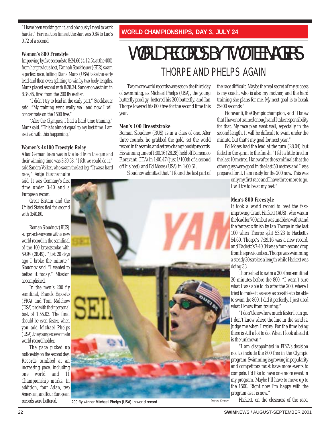"I have been working on it, and obviously I need to work harder." Her reaction time at the start was 0.84 to Luo's 0.72 of a second.

#### **Women's 800 Freestyle**

Improving by five seconds to 8:24.66 (4:12.54 at the 400) from her previous best, Hannah Stockbauer (GER) swam a perfect race, letting Diana Munz (USA) take the early lead and then even splitting to win by two body lengths. Munz placed second with 8:28.34. Sandeno was third in 8:34.45, tired from the 200 fly earlier.

"I didn't try to lead in the early part," Stockbauer said. "My training went really well and now I will concentrate on the 1500 free."

"After the Olympics, I had a hard time training," Munz said. "This is almost equal to my best time. I am excited with this happening."

#### **Women's 4x100 Freestyle Relay**

A fast German team was in the lead from the gun and their winning time was 3:39.58. "I felt we could do it," said Sandra Volker, who swam the last leg. "It was a hard

race," Antje Buschschulte said. It was Germany's first time under 3:40 and a European record.

Great Britain and the United States tied for second with 3:40.80.

Roman Sloudnov (RUS) surprised everyone with a new world record in the semifinal of the 100 breaststroke with 59.94 (28.49). "Just 20 days ago I broke the minute," Sloudnov said. "I wanted to better it today." Mission accomplished.

In the men's 200 fly semifinal, Franck Esposito (FRA) and Tom Malchow (USA) tied with their personal best of 1:55.03. The final should be even faster, when you add Michael Phelps (USA), the youngest ever male world record holder.

The pace picked up noticeably on the second day. Records tumbled at an increasing pace, including one world and 11 Championship marks. In addition, four Asian, two American, and four European records were bettered.

**WORLD CHAMPIONSHIPS, DAY 3, JULY 24**

### WORLD RECORDS BY TWO TEENAGERS THORPE AND PHELPS AGAIN

Two more world records were set on the third day of swimming, as Michael Phelps (USA), the young butterfly prodigy, bettered his 200 butterfly, and Ian Thorpe lowered his 800 free for the second time this year.

#### **Men's 100 Breaststroke**

Roman Sloudnov (RUS) is in a class of one. After three rounds, he grabbed the gold, set the world record in the semis, and set two championship records. His winning time of 1:00.16 (28.28) held off Domenico Fioravanti (ITA) in 1:00.47 (just 1/100th of a second off his best) and Ed Moses (USA) in 1:00.61.

Sloudnov admitted that "I found the last part of



Patrick Kramer **200 fly winner Michael Phelps (USA) in world record**

the race difficult. Maybe the real secret of my success is my coach, who is also my mother, and the hard training she plans for me. My next goal is to break 59.00 seconds."

Fioravanti, the Olympic champion, said "I knew that I have not trained enough and I take responsibility for that. My race plan went well, especially in the second length. It will be difficult to swim under the minute, but that's my goal for next year."

Ed Moses had the lead at the turn (28.04) but faded in the sprint to the finish. "I felt a little tired in the last 10 metres. I knew after the semifinals that the other guys were good in the last 50 metres and I was prepared for it. I am ready for the 200 now. This was

> only my first race and I have three more to go. I will try to be at my best."

#### **Men's 800 Freestyle**

It took a world record to beat the fastimproving Grant Hackett (AUS), who was in the lead for 700 m but was unable to withstand the fantastic finish by Ian Thorpe in the last 100 when Thorpe split 53.23 to Hackett's 54.60. Thorpe's 7:39.16 was a new record, and Hackett's 7:40.34 was a four-second drop from his previous best. Thorpe was swimming a steady 30 strokes a length while Hackett was doing 33.

Thorpe had to swim a 200 free semifinal 20 minutes before the 800. "I wasn't sure what I was able to do after the 200, where I tried to make it as easy as possible to be able to swim the 800. I did it perfectly. I just used what I know from training."

"I don't know how much faster I can go. I don't know where the line in the sand is. Judge me when I retire. For the time being there is still a lot to do. When I look ahead it is the unknown."

"I am disappointed in FINA's decision not to include the 800 free in the Olympic program. Swimming is growing in popularity and competitors must have more events to compete. I'd like to have one more event in my program. Maybe I'll have to move up to the 1500. Right now I'm happy with the program as it is now."

Hackett, on the closeness of the race,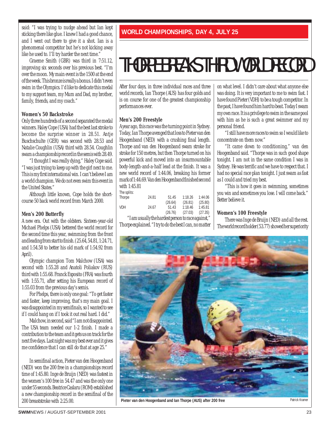said: "I was trying to nudge ahead but Ian kept sticking there like glue. I knew I had a good chance, and I went out there to give it a shot. Ian is a phenomenal competitor but he's not kicking away like he used to. I'll try harder the next time."

Graeme Smith (GBR) was third in 7:51.12, improving six seconds over his previous best. "I'm over the moon. My main event is the 1500 at the end of the week. This bronze is really a bonus. I didn't even swim in the Olympics. I'd like to dedicate this medal to my support team, my Mum and Dad, my brother, family, friends, and my coach."

#### **Women's 50 Backstroke**

Only three hundreds of a second separated the medal winners. Haley Cope (USA) had the best last stroke to become the surprise winner in 28.51. Antje Buschschulte (GER) was second with 28.53 and Natalie Coughlin (USA) third with 28.54. Coughlin swam a championship record in the semis with 28.49.

"I thought I was really dying," Haley Cope said. "I was just trying to keep up with the girl next to me. This is my first international win. I can't believe I am a world champion. We do not even swim this event in the United States."

Although little known, Cope holds the shortcourse 50 back world record from March 2000.

#### **Men's 200 Butterfly**

A new era. Out with the oldsters. Sixteen-year-old Michael Phelps (USA) bettered the world record for the second time this year, swimming from the front and leading from start to finish. (25.64, 54.81, 1:24.71, and 1:54.58 to better his old mark of 1:54.92 from April).

Olympic champion Tom Malchow (USA) was second with 1:55.28 and Anatoli Poliakov (RUS) third with 1:55.68. Franck Esposito (FRA) was fourth with 1:55.71, after setting his European record of 1:55.03 from the previous day's semis.

For Phelps, there is only one goal: "To get faster and faster, keep improving, that's my main goal. I was disappointed in my semifinals, so I wanted to see if I could hang on if I took it out real hard. I did."

Malchow, in second, said "I am not disappointed. The USA team needed our 1-2 finish. I made a contribution to the team and it gets us on track for the next five days. Last night was my best ever and it gives me confidence that I can still do that at age 25."

In semifinal action, Pieter van den Hoogenband (NED) won the 200 free in a championships record time of 1:45.80. Inge de Bruijn (NED) was fastest in the women's 100 free in 54.47 and was the only one under 55 seconds. Beatrice Caslaru (ROM) established a new championship record in the semifinal of the 200 breaststroke with 2:25.00.

#### **WORLD CHAMPIONSHIPS, DAY 4, JULY 25**

## THORPE BREAKS THIRD WORLD RECORD

After four days, in three individual races and three world records, Ian Thorpe (AUS) has four golds and is on course for one of the greatest championship performances ever.

#### **Men's 200 Freestyle**

A year ago, this race was the turning point in Sydney. Today, Ian Thorpe avenged that loss to Pieter van den Hoogenband (NED) with a crushing final length. Thorpe and van den Hoogenband swam stroke for stroke for 150 metres, but then Thorpe turned on his powerful kick and moved into an insurmountable body-length-and-a-half lead at the finish. It was a new world record of 1:44.06, breaking his former mark of 1:44.69. Van den Hoogenband finished second with 1:45.81

| The splits: |       |         |         |         |
|-------------|-------|---------|---------|---------|
| Thorpe      | 24.81 | 51.45   | 1:18.26 | 1:44.06 |
|             |       | (26.64) | (26.81) | (25.80) |
| <b>VDH</b>  | 24.67 | 51.43   | 1:18.46 | 1:45.81 |
|             |       | (26.76) | (27.03) | (27.35) |

"I am usually the hardest person to race against," Thorpe explained. "I try to do the best I can, no matter on what level. I didn't care about what anyone else was doing. It is very important to me to swim fast. I have found Pieter (VDH) to be a tough competitor. In the past, I have found him hard to beat. Today I swam my own race. It is a privilege to swim in the same pool with him as he is such a great swimmer and my personal friend.

"I still have more races to swim so I would like to concentrate on them now."

"It came down to conditioning," van den Hoogenband said. "Thorpe was in such good shape tonight. I am not in the same condition I was in Sydney. He was terrific and we have to respect that. I had no special race plan tonight. I just swam as fast as I could and tried my best.

"This is how it goes in swimming, sometimes you win and sometimes you lose. I will come back." Better believe it.

#### **Women's 100 Freestyle**

There was Inge de Bruijn (NED) and all the rest. The world record holder (53.77) showed her superiority



Pieter van den Hoogenband and Ian Thorpe (AUS) after 200 free<br>
Patrick Krame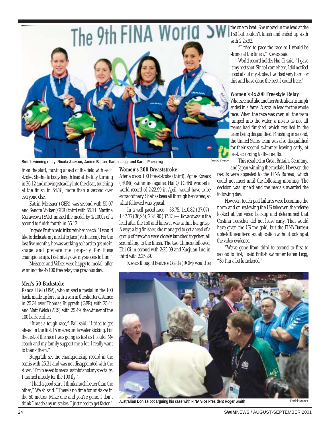

**British winning relay: Nicola Jackson, Janine Belton, Karen Legg, and Karen Pickering**

from the start, moving ahead of the field with each stroke. She had a body-length lead at the fifty, turning in 26.12 and moving steadily into the clear, touching at the finish in 54.18, more than a second over everyone else.

Katrin Meissner (GER) was second with 55.07 and Sandra Volker (GER) third with 55.11. Martina Moravcova (SVK) missed the medal by 1/100th of a second to finish fourth in 55.12.

Inge de Bruijn paid tribute to her coach. "I would like to dedicate my medal to Jaco (Verhaeren). For the last five months, he was working so hard to get me in shape and prepare me properly for these championships. I definitely owe my success to him."

Meissner and Volker were happy to medal, after winning the 4x100 free relay the previous day.

#### **Men's 50 Backstoke**

Randall Bal (USA), who missed a medal in the 100 back, made up for it with a win in the shorter distance in 25.34 over Thomas Rupprath (GER) with 25.44 and Matt Welsh (AUS) with 25.49, the winner of the 100 back earlier.

"It was a tough race," Ball said. "I tried to get ahead in the first 15 metres underwater kicking. For the rest of the race I was going as fast as I could. My coach and my family support me a lot, I really want to thank them."

Rupprath set the championship record in the semis with 25.31 and was not disappointed with the silver. "I'm pleased to medal as this is not my specialty. I trained mostly for the 100 fly."

"I had a good start, I think much better than the other," Welsh said. "There's no time for mistakes in the 50 metres. Make one and you're gone. I don't think I made any mistakes. I just need to get faster."

#### **Women's 200 Breaststroke**

After a so-so 100 breaststroke (third), Agnes Kovacs (HUN), swimming against Hui Qi (CHN) who set a world record of 2:22.99 in April, would have to be extraordinary. She has been all through her career, so what followed was typical.

In a well-paced race—33.75, 1:10.82 (37.07), 1:47.77 (36,95), 2:24.90 (37.13)—Kovacs was in the lead after the 150 and knew it was within her grasp. Always a big finisher, she managed to get ahead of a group of five who were closely bunched together, all scrambling to the finish. The two Chinese followed, Hui Qi in second with 2:25.09 and Xuejuan Luo in third with 2:25.29.

Kovacs thought Beatrice Coada (ROM) would be

the one to beat. She moved in the lead at the 150 but couldn't finish and ended up sixth with 2:25.92.

"I tried to pace the race so I would be strong at the finish," Kovacs said.

World record holder Hui Qi said, "I gave it my best shot. Since I came here, I did not feel good about my stroke. I worked very hard for this and have done the best I could here."

#### **Women's 4x200 Freestyle Relay**

What seemed like another Australian triumph ended in a farce. Australia lead for the whole race. When the race was over, all the team jumped into the water, a no-no as not all teams had finished, which resulted in the team being disqualified. Finishing in second, the United States team was also disqualified for their second swimmer leaving early, at least according to the results.

Patrick Kramer

This resulted in Great Britain, Germany, and Japan winning the medals. However, the

results were appealed to the FINA Bureau, which could not meet until the following morning. The decision was upheld and the medals awarded the following day.

However, touch pad failures were becoming the norm and on reviewing the US takeover, the referee looked at the video backup and determined that Cristina Teuscher did not leave early. That would have given the US the gold, but the FINA Bureau upheld the earlier disqualification without looking at the video evidence.

"We've gone from third to second to first to second to first," said British swimmer Karen Legg, "So I'm a bit knackered!"



**Australian Don Talbot arguing his case with FINA Vice President Roger Smith**

Patrick Kram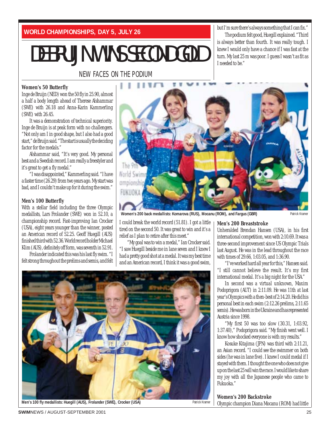**WORLD CHAMPIONSHIPS, DAY 5, JULY 26**

## DE BRUIJN WINS SECOND GOLD

NEW FACES ON THE PODIUM

#### **Women's 50 Butterfly**

Inge de Bruijn (NED) won the 50 fly in 25.90, almost a half a body length ahead of Therese Alshammar (SWE) with 26.18 and Anna-Karin Kammerling (SWE) with 26.45.

It was a demonstration of technical superiority. Inge de Bruijn is at peak form with no challengers. "Not only am I in good shape, but I also had a good start," de Bruijn said. "The start is usually the deciding factor for the medals."

Alshammar said, "It's very good. My personal best and a Swedish record. I am really a freestyler and it's great to get a fly medal."

"I was disappointed," Kammerling said. "I have a faster time (26.29) from two years ago. My start was bad, and I couldn't make up for it during the swim."

#### **Men's 100 Butterfly**

With a stellar field including the three Olympic medallists, Lars Frolander (SWE) won in 52.10, a championship record. Fast-improving Ian Crocker (USA), eight years younger than the winner, posted an American record of 52.25. Geoff Huegill (AUS) finished third with 52.36. World record holder Michael Klim (AUS), definitely off form, was seventh in 52.91.

Frolander indicated this was his last fly swim. "I felt strong throughout the prelims and semis, and felt



I needed to be."

**Women's 200 back medallists: Komarova (RUS), Mocanu (ROM), and Fargus (GBR)**

I could break the world record (51.81). I got a little tired on the second 50. It was great to win and it's a relief as I plan to retire after this meet."

"My goal was to win a medal," Ian Crocker said. "I saw Huegill beside me in lane seven and I knew I had a pretty good shot at a medal. It was my best time and an American record, I think it was a good swim,

**Men's 200 Breaststroke**

but I'm sure there's always something that I can fix." The podium felt good, Huegill explained. "Third is always better than fourth. It was really tough. I knew I would only have a chance if I was fast at the turn. My last 25 m was poor. I guess I wasn't as fit as

Unheralded Brendan Hansen (USA), in his first international competition, won with 2:10.69. It was a three-second improvement since US Olympic Trials last August. He was in the lead throughout the race with times of 29.66, 1:03.05, and 1:36.90.

"I've worked hard all year for this," Hansen said. "I still cannot believe the result. It's my first international medal. It's a big night for the USA."

In second was a virtual unknown, Maxim Podoprigora (AUT) in 2:11.09. He was 11th at last year's Olympics with a then-best of 2:14.20. He did his personal best in each swim (2:12.26 prelims, 2:11.65 semis). He was born in the Ukraine and has represented Austria since 1998.

"My first 50 was too slow (30.31, 1:03.92, 1:37.40)," Podoprigora said. "My finish went well. I know how shocked everyone is with my results."

Kosuke Kitajima (JPN) was third with 2:11.21, an Asian record. "I could see the swimmer on both sides (he was in lane five). I knew I could medal if I stayed with them. I thought the one who does not give up on the last 25 will win the race. I would like to share my joy with all the Japanese people who came to Fukuoka."

#### **Women's 200 Backstroke**

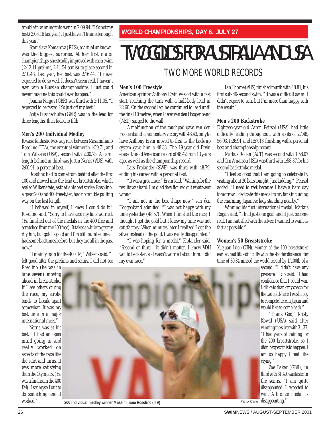trouble in winning this event in 2:09.94. "It's not my best (2:08.16 last year). I just haven't trained enough this year."

Stanislava Komarova (RUS), a virtual unknown, was the biggest surprise. At her first major championships, she steadily improved with each swim (2:12.11 prelims, 2:11.54 semis) to place second in 2:10.43. Last year, her best was 2:16.44. "I never expected to do so well. It doesn't seem real, I haven't even won a Russian championships. I just could never imagine this could ever happen."

Joanna Fargus (GBR) was third with 2:11.05. "I expected to be faster. It's just off my best."

Antje Buschschulte (GER) was in the lead for three lengths, then faded to fifth.

#### **Men's 200 Individual Medley**

It was a fantastic two-way race between Massimiliano Rosolino (ITA), the eventual winner in 1:59.71, and Tom Wilkens (USA), second with 2:00.73. An arm length behind in third was Justin Norris (AUS) with 2:00.91, a personal best.

Rosolino had to come from behind after the first 100 and moved into the lead on breaststroke, which sealed Wilkens fate, as that's his best stroke. Rosolino, a great 200 and 400 freestyler, had no trouble pulling way on the last length.

"I believed in myself, I knew I could do it," Rosolino said. "Sorry to have kept my fans worried. (He finished out of the medals in the 400 free and scratched from the 200 free). It takes a while to get my rhythm, but gold is gold and I'm still number one. I had some bad times before, but they are all in the past now."

"I mainly train for the 400 IM," Wilkens said. "I felt good after the prelims and semis. I did not see

Rosolino (he was in lane seven) moving ahead in breaststroke. If I see others during the race, my stroke tends to break apart somewhat. It was my best time in a major international meet."

Norris was at his best. "I had an open mind going in and really worked on aspects of the race like the start and turns. It was more satisfying than the Olympics. (He was a finalist in the 400 IM). I set myself out to do something and it



worked." **200 individual medley winner Massimiliano Rosolino (ITA)** 

**WORLD CHAMPIONSHIPS, DAY 6, JULY 27**

## TWO GOLDS FOR AUSTRALIA AND USA

### TWO MORE WORLD RECORDS

#### **Men's 100 Freestyle**

American sprinter Anthony Ervin was off with a fast start, reaching the turn with a half-body lead in 22.60. On the second leg, he continued to lead until the final 10 metres, when Pieter van den Hoogenband (NED) surged to the wall.

A malfunction of the touchpad gave van den Hoogenband a momentary victory with 48.43, only to have Anthony Ervin moved to first as the back-up system gave him a 48.33. The 19-year-old Ervin erased the old American record of 48.42 from 13 years ago, as well as the championship record.

Lars Frolander (SWE) was third with 48.79, ending his career with a personal best.

"It was a great race," Ervin said. "Waiting for the results was hard. I'm glad they figured out what went wrong."

"I am not in the best shape now," van den Hoogenband admitted. "I was not happy with my time yesterday (48.57). When I finished the race, I thought I got the gold but I knew my time was not satisfactory. When minutes later I realized I got the silver instead of the gold, I was really disappointed."

"I was hoping for a medal," Frolander said. "Second or third—it didn't matter. I knew VDH would be faster, so I wasn't worried about him. I did my own race."

Ian Thorpe (AUS) finished fourth with 48.81, his first sub-49-second swim. "It was a difficult swim. I didn't expect to win, but I'm more than happy with the result."

#### **Men's 200 Backstroke**

Eighteen-year-old Aaron Peirsol (USA) had little difficulty leading throughout, with splits of 27.48, 56.93, 1:26.91, and 1:57.13, finishing with a personal best and championship record.

Markus Rogan (AUT) was second with 1:58.07 and Orn Arnarson (ISL) was third with 1:58.37 for his second backstroke medal.

"I feel so good that I am going to celebrate by visiting about 20 bars tonight. Just kidding." Peirsol added, "I need to rest because I have a hard day tomorrow. I dedicate this medal to my fans including the charming Japanese lady standing nearby."

Winning his first international medal, Markus Rogan said, "I had just one goal and it just become real. I am satisfied with the silver. I wanted to swim as fast as possible."

#### **Women's 50 Breaststroke**

Xuejuan Luo (CHN), winner of the 100 breaststroke earlier, had little difficulty with the shorter distance. Her time of 30.84 missed the world record by 1/100th of a

> second. "I didn't have any pressure," Luo said. "I had confidence that I could win. I'd like to thank my coach for the two golds here. I was happy to compete here in Japan and would like to come back."

"Thank God," Kristy Kowal (USA) said after winning the silver with 31.37. "I had years of training for the 200 breaststroke, so I didn't expect this to happen. I am so happy I feel like crying."

Zoe Baker (GBR), in third with 31.40, was faster in the semis. "I am quite disappointed. I expected to win. A bronze medal is Patrick Kramer disappointing."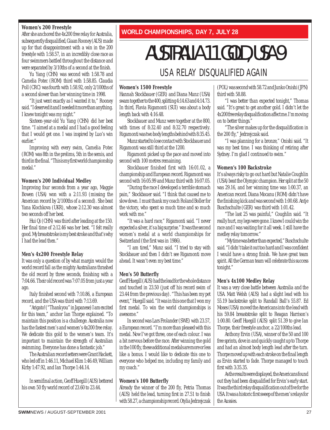#### **Women's 200 Freestyle**

After she anchored the 4x200 free relay for Australia, subsequently disqualified, Giaan Rooney (AUS) made up for that disappointment with a win in the 200 freestyle with 1:58.57, in an incredibly close race as four swimmers battled throughout the distance and were separated by 3/10ths of a second at the finish.

Yu Yang (CHN) was second with 1:58.78 and Camelia Potec (ROM) third with 1:58.85. Claudia Poll (CRC) was fourth with 1:58.92, only 2/100ths of a second slower than her winning time in 1998.

"It just went exactly as I wanted it to," Rooney said. "I deserved it and I needed it more than anything. I knew tonight was my night."

Sixteen-year-old Yu Yang (CHN) did her best time. "I aimed at a medal and I had a good feeling that I would get one. I was inspired by Luo's win earlier."

Improving with every swim, Camelia Potec (ROM) was 8th in the prelims, 5th in the semis, and third in the final. "This is my first world championship medal."

#### **Women's 200 Individual Medley**

Improving four seconds from a year ago, Maggie Bowen (USA) won with a 2:11.93 (missing the American record by 2/100ths of a second). She beat Yana Klochkova (UKR), whose 2:12.30 was almost two seconds off her best.

Hui Qi (CHN) was third after leading at the 150. Her final time of 2:12.46 was her best. "I felt really good. My breaststroke is my best stroke and that's why I had the lead then."

#### **Men's 4x200 Freestyle Relay**

It was only a question of by what margin would the world record fall as the mighty Australians thrashed the old record by three seconds, finishing with a 7:04.66. Their old record was 7:07.05 from just a year ago.

Italy finished second with 7:10.86, a European record, and the USA was third with 7:13.69.

"Arigato! ("Thank you" in Japanese) I am excited for this team," anchor Ian Thorpe explained. "To maintain this position is a challenge. Australia now has the fastest men's and women's 4x200 free relay. We dedicate this gold to the women's team. It's important to maintain the strength of Australian swimming. Everyone has done a fantastic job."

The Australian record setters were Grant Hackett, who led off in 1:46.11, Michael Klim 1:46.49, William Kirby 1:47.92, and Ian Thorpe 1:44.14.

In semifinal action, Geoff Huegill (AUS) bettered his own 50 fly world record of 23.60 to 23.44.

**WORLD CHAMPIONSHIPS, DAY 7, JULY 28**

# AUSTRALIA 11 GOLD, USA 9

### USA RELAY DISQUALIFIED AGAIN

#### **Women's 1500 Freestyle**

Hannah Stockbauer (GER) and Diana Munz (USA) swam together to the 400, splitting 4:14.63 and 4:14.73. In third, Flavia Rigamonti (SUI) was about a body length back with 4:16.48.

Stockbauer and Munz were together at the 800, with times of 8:32.40 and 8:32.70 respectively. Rigamonti was two body lengths behind with 8:35.45.

Munz started to lose contact with Stockbauer and Rigamonti was still third at the 1200.

Rigamonti picked up the pace and moved into second with 100 metres remaining.

Stockbauer finished first with 16:01.02, a championship and European record. Rigamonti was second with 16:05.99 and Munz third with 16:07.05.

"During the race I developed a terrible stomach pain," Stockbauer said. "I think that caused me to slow down. I must thank my coach Roland Boller for the victory, who spent so much time and so much work with me."

"It was a hard race," Rigamonti said. "I never expected a silver, it's a big surprise." It was the second women's medal at a world championships for Switzerland (the first was in 1986).

"I am tired," Munz said. "I tried to stay with Stockbauer and then I didn't see Rigamonti move ahead. It wasn't even my best time."

#### **Men's 50 Butterfly**

Geoff Huegill (AUS) had the lead for the whole distance and touched in 23.50 (just off his record swim of 23.44 from the previous day). "This has been my pet event," Huegill said. "It was in this one that I won my first medal. To win the world championships is awesome."

In second was Lars Frolander (SWE) with 23.57, a European record. "I'm more than pleased with this medal. Now I've got three, one of each colour. I was a bit nervous before the race. After winning the gold in the 100 fly, these additional medals are more or less like a bonus. I would like to dedicate this one to everyone who helped me, including my family and my coach."

#### **Women's 100 Butterfly**

Already the winner of the 200 fly, Petria Thomas (AUS) held the lead, turning first in 27.51 to finish with 58.27, a championship record. Otylia Jedrzejczak (POL) was second with 58.72 and Junko Onishi (JPN) third with 58.88.

"I was better than expected tonight," Thomas said. "It's great to get another gold. I didn't let the 4x200 free relay disqualification affect me. I'm moving on to better things."

"The silver makes up for the disqualification in the 200 fly," Jedrzejczak said.

"I was planning for a bronze," Onishi said. "It was my best time. I was thinking of retiring after Sydney. I'm glad I continued to swim."

#### **Women's 100 Backstroke**

It's always risky to go out hard but Natalie Coughlin (USA) beat the Olympic champion. Her split at the 50 was 29.16, and her winning time was 1:00.37, an American record. Diana Mocanu (ROM) didn't have the finishing kick and was second with 1:00.68. Antje Buschschulte (GER) was third with 1:01.42.

"The last 25 was painful," Coughlin said. "It really hurt, my legs were gone. I knew I could win the race and I was waiting for it all week. I still have the medley relay tomorrow."

"My time was better than expected," Buschschulte said. "I didn't take it out too hard and I was confident I would have a strong finish. We have great team spirit. All the German team will celebrate this success tonight."

#### **Men's 4x100 Medley Relay**

It was a very close battle between Australia and the USA. Matt Welsh (AUS) had a slight lead with his 55.19 backstroke split to Randall Ball's 55.87. Ed Moses (USA) moved the Americans into the lead with his 59.84 breaststroke split to Reagan Harrison's 1:00.80. Geoff Huegill (AUS) split 51.39 to give Ian Thorpe, their freestyle anchor, a 22/100ths lead.

Anthony Ervin (USA), winner of the 50 and 100 free sprints, dove in and quickly caught up to Thorpe and had an almost body length lead after the turn. Thorpe moved up with each stroke on the final length as Ervin started to fade. Thorpe managed to touch first with 3:35.35.

As the results were displayed, the Americans found out they had been disqualified for Ervin's early start. It was the third relay disqualification out of five for the USA. It was a historic first sweep of the men's relays for the Aussies.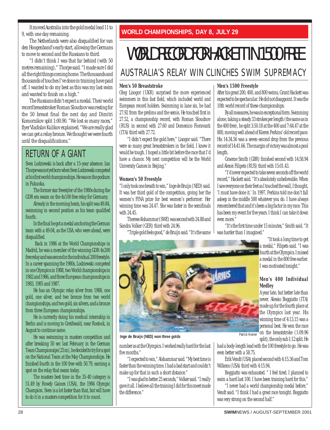It moved Australia into the gold medal lead 11 to 9, with one day remaining.

The Netherlands were also disqualified for van den Hoogenband's early start, allowing the Germans to move to second and the Russians to third.

"I didn't think I was that far behind (with 50 metres remaining)," Thorpe said. "I made sure I did all the right things coming home. The thousands and thousands of touches I've done in training have paid off. I wanted to do my best as this was my last swim and wanted to finish on a high."

The Russians didn't expect a medal. Their world record breaststroker Roman Sloudnov was resting for the 50 breast final the next day and Dimitri Komornikov split 1:00.90. "We lost so many races," flyer Vladislav Kulikov explained. "We are really glad we can get a relay bronze. We thought we were fourth until the disqualifications."

### RETURN OF A GIANT

Sven Lodziewski is back after a 15-year absence. Ian Thorpe was not yet born when Sven Lodziewski competed at his first world championships. He was on the podium in Fukuoka.

The former star freestyler of the 1980s during the GDR era swam on the 4x100 free relay for Germany.

Already in the morning heats, his split was 49.84, swimming in second position as his team qualified fourth.

In the final he got a medal anchoring the German team with a 49.04, as the USA, who were ahead, were disqualified.

Back in 1986 at the World Championships in Madrid, he was a member of the winning GDR 4x200 free relay and was second in the individual 200 freestyle. In a career spanning the 1980s, Lodziewski competed in one Olympics in 1988, two World championships in 1982 and 1986, and three European championships in 1983, 1985 and 1987.

He has an Olympic relay silver from 1988, one gold, one silver, and two bronze from two world championships, and two gold, six silvers, and a bronze from three European championships.

He is currently doing his medical internship in Berlin and is moving to Greifswald, near Rostock, in August to continue same.

He was swimming in masters competition and after breaking 50 sec last February in the German Team Championsips (25 m), he decided to try for a spot on the National Team at the May Championships. He finished fourth in the 100 free with 50.79, earning a spot on the relay that swam today.

The masters best time in the 35-40 category is 51.49 by Rowdy Gaines (USA), the 1984 Olympic Champion. Sven is a lot faster than that, but will have to do it in a masters competition for it to count.

#### **WORLD CHAMPIONSHIPS, DAY 8, JULY 29**

### WORLD RECORD FOR HACKETT IN 1500 FREE AUSTRALIA'S RELAY WIN CLINCHES SWIM SUPREMACY

#### **Men's 50 Breaststroke**

Oleg Lisogor (UKR) surprised the more experienced swimmers in this fast field, which included world and European record holders. Swimming in lane six, he had 27.92 from the prelims and the semis. He touched first in 27.52, a championship record, with Roman Sloudnov (RUS) in second with 27.60 and Domenico Fioravanti (ITA) third with 27.72.

"I didn't expect the gold here," Lisogor said. "There were so many great breaststrokers in the field, I knew it would be tough. I hoped a little bit before the race that I'd have a chance. My next competition will be the World University Games in Beijing."

#### **Women's 50 Freestyle**

"I only took one breath to win," Inge de Bruijn (NED) said. It was her third gold of the competition, giving her the women's FINA prize for best women's performer. Her winning time was 24.47. She was faster in the semifinals with 24.45.

Therese Alshammar (SWE) was second with 24.88 and Sandra Volker (GER) third with 24.96.

"Triple gold feels good," de Bruijn said. "It's the same



**Inge de Bruijn (NED) won three golds** Patrick Kramer

number as at the Olympics. I worked really hard for the last five months."

"I expected to win," Alshammar said. "My best time is faster than the winning time. I had a bad start and couldn't make up for that in such a short distance."

"I was glad to better 25 seconds," Volker said. "I really gave it all. I believe all the training I did for this meet made the difference."

#### **Men's 1500 Freestyle**

After his great 200, 400, and 800 swims, Grant Hackett was expected to be spectacular. He did not disappoint. It was the 10th world record of these championships.

By all measures, he was in exceptional form. Swimming alone, taking a steady 33 strokes per length (the same as in the 400 free), he split 3:50.18 at the 400 and 7:44.47 at the 800, moving well ahead of Kieren Perkins' old record pace. His 14:34.56 was a seven-second drop from the previous record of 14:41.66. The margin of victory was almost a pool length.

Graeme Smith (GBR) finished second with 14:58.94 and Alexei Filipets (RUS) third with 15:01.43.

"I'd never expected to take seven seconds off the world record," Hackett said. "It's absolutely unbelievable. When I saw everyone on their feet as I touched the wall, I thought, 'I must have done it.' In 1997, Perkins told me don't fall asleep in the middle 500 whatever you do. I have always remembered that and it's been a big factor in my race. This has been my event for five years. I think I can take it down even more."

"It's the first time under 15 minutes," Smith said. "It was harder than I imagined."

> "It took a long time to get a medal," Filipets said. "I was fourth at the Olympics. I missed a medal in the 800 free earlier. I was motivated tonight."

#### **Men's 400 Individual Medley**

A year late, but better late than never. Alessio Boggiatto (ITA) made up for the fourth place at the Olympics last year. His winning time of 4:13.15 was a personal best. He won the race on the breaststroke (1:09.96 split), the only sub 1:12 split. He

had a body-length lead with the 100 freestyle to go. He was even better with a 58.75.

Erik Vendt (USA) placed second with 4:15.36 and Tom Wilkens (USA) third with 4:15.94.

Boggiatto was exhausted. " I feel tired. I planned to swim a hard last 100. I have been training hard for this."

"I never had a world championship medal before," Vendt said. "I think I had a great race tonight. Boggiatto was very strong on the second half."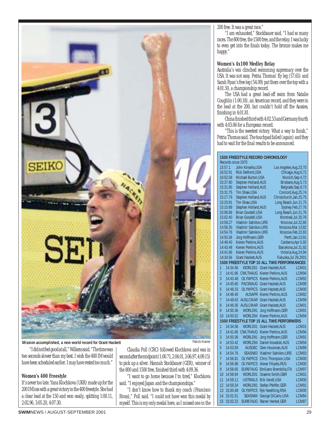

#### **Mission accomplished, a new world record for Grant Hackett Patrick Kramer Patrick Kramer**

"I did not feel good at all," Wilkens said. "The time was two seconds slower than my best. I wish the 400 IM would have been scheduled earlier. I may have rested too much."

#### **Women's 400 Freestyle**

It's never too late. Yana Klochkova (UKR) made up for the 200 IM loss with a great victory in the 400 freestyle. She had a clear lead at the 150 and won easily, splitting 1:00.11, 2:02.96, 3:05.20, 4:07.30.

Claudia Poll (CRC) followed Klochkova and was in second after the midpoint (1:00.71, 2:04.01, 3:06.97, 4:09.15) to pick up a silver. Hannah Stockbauer (GER), winner of the 800 and 1500 free, finished third with 4:09.36.

"I want to go home because I'm tired," Klochkova said. "I enjoyed Japan and the championships."

"I don't know how to thank my coach (Francisco Rivas)," Poll said. "I could not have won this medal by myself. This is my only medal here, as I missed one in the 200 free. It was a great race."

"I am exhausted," Stockbauer said. "I had so many races. The 800 free, the 1500 free, and the relay. I was lucky to even get into the finals today. The bronze makes me happy."

#### **Women's 4x100 Medley Relay**

Australia's win clinched swimming supremacy over the USA. It was not easy. Petria Thomas' fly leg (57.65) and Sarah Ryan's free leg (54.09) put them over the top with a 4:01.50, a championship record.

The USA had a great lead-off swim from Natalie Coughlin (1:00.18), an American record, and they were in the lead at the 200, but couldn't hold off the Aussies, finishing in 4:01.81.

China finished third with 4:02.53 and Germany fourth with 4:03.06 for a European record.

"This is the sweetest victory. What a way to finish," Petria Thomas said. The touchpad failed (again) and they had to wait for the final results to be announced.

#### **1500 FREESTYLE RECORD CHRONOLOGY** Records since 1970

| <b>INCOOLUS SILIUG 1770</b>                                          |                                             |
|----------------------------------------------------------------------|---------------------------------------------|
| 15:57.1<br>John Kinsella, USA                                        | Los Angeles, Aug. 23, 70                    |
| 16:52.91<br><b>Rick DeMont, USA</b>                                  | Chicago, Aug. 6, 72                         |
| 16:52.58<br>Michael Burton, USA                                      | Munich, Sep. 4, 72<br>Brisbane, Aug. 5, 73  |
| 15:37.80<br>Stephen Holland, AUS<br>15:31.85<br>Stephen Holland, AUS | Belgrade, Sep.8,73                          |
| 15:31.75<br>Tim Shaw, USA                                            | Concord, Aug. 25, 74                        |
| 15:27.79<br>Stephen Holland, AUS                                     | Christchurch, Jan. 25, 75                   |
| Tim Shaw, USA<br>15:20.91                                            | Long Beach, Jun. 21, 75                     |
| Stephen Holland, AUS<br>15:10.89                                     | Sydney, Feb.27, 76                          |
| <b>Brian Goodell, USA</b><br>15:06.66                                | Long Beach, Jun. 21, 76                     |
| <b>Brian Goodell, USA</b><br>15:02.40                                | Montreal, Jul.20,76                         |
| Vladimir Salnikov, URS<br>14:58.27                                   | Moscow, Jul.22,80                           |
| <b>Vladimir Salnikov, URS</b><br>14:56.35                            | Moscow,Mar.13,82                            |
| <b>Vladimir Salnikov, URS</b><br>14:54.76                            | Moscow, Feb. 22, 83                         |
| Jorg Hoffmann, GER<br>14:50.36                                       | Perth, Jan. 13, 91                          |
| Kieren Perkins, AUS<br>14:48.40                                      | Canberra, Apr. 5,92                         |
| Kieren Perkins, AUS<br>14:43.48                                      | Barcelona, Jul.31,92                        |
| <b>Kieren Perkins, AUS</b><br>14:41.66                               | Victoria, Aug. 24, 94                       |
| <b>Grant Hackett, AUS</b><br>14:34.56                                | Fukuoka, Jul 29, 2001                       |
|                                                                      | 1500 FREESTYLE TOP 10 ALL TIME PERFORMANCES |
| 14:34.56<br>WORLD01<br>1                                             | <b>Grant Hackett, AUS</b><br>LCM01          |
| $\overline{2}$<br>CWLTHAUG<br>14:41.66                               | Kieren Perkins, AUS<br>LCM94                |
| 3<br><b>OLYMPICS</b><br>14:43.48                                     | Kieren Perkins,AUS<br>LCM92                 |
| 4<br>PAC99AUG<br>14:45.60                                            | Grant Hackett, AUS<br>LCM99                 |
| 5<br><b>OLYMPICS</b><br>14:48.33                                     | <b>Grant Hackett, AUS</b><br>LCM00          |
| 6<br>14:48.40<br><b>AUSAPR</b>                                       | Kieren Perkins, AUS<br>LCM92                |
| 7<br>14:48.63<br><b>AUSLCMAR</b>                                     | Grant Hackett, AUS<br>LCM99                 |
| 8<br><b>AUSLCMAR</b><br>14:49.30                                     | Grant Hackett, AUS<br>LCM01                 |
| 9<br>WORLD91<br>14:50.36                                             | Jorg Hoffmann, GER<br>LCM91                 |
| 10<br>14:50.52<br>WORLD94                                            | Kieren Perkins, AUS<br>LCM94                |
|                                                                      | 1500 FREESTYLE TOP 15 ALL TIME PERFORMERS   |
| 1<br>14:34.56<br>WORLD01                                             | <b>Grant Hackett.AUS</b><br>LCM01           |
| $\overline{2}$<br>CWLTHAUG<br>14:41.66                               | Kieren Perkins, AUS<br>LCM94                |
| 3<br>14:50.36<br>WORLD91                                             | Jorg Hoffmann, GER<br>LCM91                 |
| 4<br>14:53.42<br>WORLD94                                             | Daniel Kowalski, AUS<br>LCM94               |
| 5<br>14:53.59<br><b>AUSDEC</b>                                       | Glen Housman, AUS<br>LCM89                  |
| 6<br>SEASN83<br>14:54.76                                             | Vladimir Salnikov, URS<br>LCM83             |
| 7<br>14:56.81<br><b>OLYMPICS</b>                                     | Chris Thompson, USA<br>LCM00                |
| 8<br>14:56.88<br>OLYMPICS                                            | Alexei Filipets, RUS<br>LCM00               |
| 9<br>14:58.65<br>EUR97AUG                                            | Emiliano Brembilla, ITA<br>LCM97            |
| 10<br>14:58.94<br>WORLD01                                            | <b>Graeme Smith, GBR</b><br>LCM01           |
| 11<br>14:59.11<br><b>USTRIALS</b>                                    | Erik Vendt, USA<br>LCM00                    |
| 12<br>14:59.34<br>WORLD91                                            | Stefan Pfeiffer, GER<br>LCM91               |
| 13<br>15:00.48<br>OLYMPICS                                           | Ryk Neethling, RSA<br>LCM00                 |
| 14<br>15:01.51<br>SEASN84                                            | George DiCarlo, USA<br>LCM84                |
| 15<br>15:02.23<br>EUR87AUG                                           | Rainer Henkel, GER<br>LCM87                 |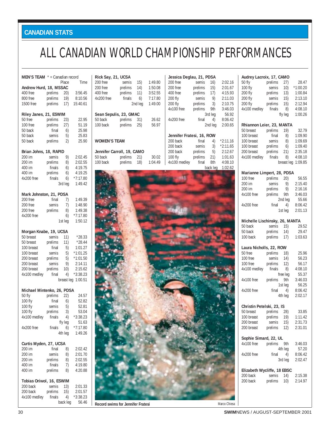### **CANADIAN STATS**

### ALL CANADIAN WORLD CHAMPIONSHIP PERFORMANCES

| <b>MEN'S TEAM</b> $* =$ Canadian record |                        |                        |                       |
|-----------------------------------------|------------------------|------------------------|-----------------------|
|                                         |                        | Place                  | Time                  |
| Andrew Hurd, 18, MSSAC                  |                        |                        |                       |
| 400 free                                |                        |                        | prelims 20) 3:56.45   |
| 800 free                                |                        |                        | prelims 19) 8:10.56   |
| 1500 free                               |                        |                        | prelims 17) 15:40.61  |
|                                         |                        |                        |                       |
| Riley Janes, 21, ESWIM                  |                        |                        |                       |
| 50 free                                 | prelims                | 23)                    | 22.95                 |
| 100 free                                | prelims                | 27)                    | 51.19                 |
| 50 back                                 |                        | 6)                     | 25.98                 |
| 50 back                                 | final<br>semis         | 5)                     | 25.83                 |
|                                         |                        |                        |                       |
| 50 back                                 | prelims                | 2)                     | 25.90                 |
|                                         |                        |                        |                       |
| Brian Johns, 18, RAPID                  |                        |                        |                       |
| 200 im                                  | semis                  | 9)<br>$\overline{8}$ ) | 2:02.45               |
| 200 im                                  | prelims                |                        | 2:02.55               |
| 400 im                                  | finals                 | 6)                     | 4:19.75               |
| 400 im                                  | prelims                | 6)                     | 4:19.25               |
| 4x200 free                              | finals                 | 6)                     | $*7:17.80$            |
|                                         |                        | 3rd leg                | 1:49.42               |
|                                         |                        |                        |                       |
| Mark Johnston, 21, PDSA                 |                        |                        |                       |
| 200 free                                | final                  | 7)                     | 1:49.39               |
| 200 free                                | semis                  | 7)                     | 1:48.90               |
| 200 free                                | prelims                | 8)                     | 1:49.38               |
| 4x200 free                              |                        | 6)                     | $*7:17.80$            |
|                                         |                        | 1st leg                | 1:50.12               |
|                                         |                        |                        |                       |
| Morgan Knabe, 19, UCSA                  |                        |                        |                       |
| 50 breast                               | semis                  | 11)                    | $*28.33$              |
| 50 breast                               | prelims                | 11)                    | $*28.44$              |
| 100 breast                              | final                  | 5)                     | 1:01.27               |
| 100 breast                              | semis                  | 5)                     | $*1:01.25$            |
| 200 breast                              | prelims                | 5)                     | $*1:01.50$            |
| 200 breast                              | semis                  | 9)                     | 2:14.11               |
| 200 breast                              | prelims                | 10)                    | 2:15.62               |
| 4x100 medley                            | final                  | 4)                     | $*3:38.23$            |
|                                         |                        |                        | breast leg 1:00.51    |
|                                         |                        |                        |                       |
| Michael Mintenko, 26, PDSA              |                        |                        |                       |
| 50 fly                                  | prelims                | 22)                    | 24.57                 |
| 100 fly                                 | final                  | 6)                     | 52.82                 |
| 100 fly                                 | semis                  | 5)                     | 52.81                 |
| 100 fly                                 | prelims                | 3)                     | 53.04                 |
| 4x100 medley                            | finals                 | 4)                     | $*3:38.23$            |
|                                         |                        |                        | 51.63                 |
|                                         | fly leg<br>$finals$ 6) |                        |                       |
| 4x200 free                              |                        | 4th leg                | $*7:17.80$<br>1:49.26 |
|                                         |                        |                        |                       |
|                                         |                        |                        |                       |
| Curtis Myden, 27, UCSA                  |                        |                        |                       |
| 200 im<br>200 im                        | final                  | 8)                     | 2:02.42               |
|                                         | semis                  | 8)                     | 2:01.70               |
| 200 im                                  | prelims                | 8)                     | 2:02.55               |
| 400 im                                  | finals                 | 7)                     | 4:19.80               |
| 400 im                                  | prelims                | 8)                     | 4:20.88               |
|                                         |                        |                        |                       |
| Tobias Oriwol, 16, ESWIM                |                        |                        |                       |
| 200 back                                | semis 13)              |                        | 2:01.33               |
| 200 back                                | prelims                | 15)                    | 2:01.57               |
| 4x100 medley                            | finals                 | 4)                     | $*3:38.23$            |
|                                         |                        |                        | back leg 56.46        |

| Rick Say, 21, UCSA                             |                                                  |                         |                                          |                                             | Jessica Deglau, 21, PDSA                                        |                                          |
|------------------------------------------------|--------------------------------------------------|-------------------------|------------------------------------------|---------------------------------------------|-----------------------------------------------------------------|------------------------------------------|
| 200 free<br>200 free<br>400 free<br>4x200 free | semis<br>prelims<br>prelims<br>finals            | 15)<br>14)<br>11)<br>6) | 1:49.80<br>1:50.08<br>3:52.55<br>7:17.80 | 200 free<br>200 free<br>400 free<br>200 fly | semis<br>16)<br>prelims<br>15)<br>prelims<br>17)<br>semis<br>9) | 2:02.16<br>2:01.67<br>4:15.93<br>2:11.03 |
|                                                | Sean Sepulis, 23, GMAC                           | 2nd leg                 | 1:49.00                                  | 200 fly<br>4x100 free                       | prelims<br>3)<br>prelims<br>9th<br>3rd leg                      | 2:10.75<br>3:46.03<br>56.92              |
| 50 back<br>100 back                            | prelims<br>prelims                               | 31)<br>25)              | 26.62<br>56.97                           | 4x200 free                                  | final<br>4)<br>2nd leg                                          | 8:06.42<br>2:00.65                       |
| <b>WOMEN'S TEAM</b>                            |                                                  |                         |                                          | 200 back<br>200 back                        | Jennifer Fratesi, 16, ROW<br>final<br>4)<br>semis<br>3)         | $*2:11.16$<br>$*2:11.65$                 |
| 50 back<br>100 back                            | Jennifer Carroll, 19, CAMO<br>prelims<br>prelims | 21)<br>18)              | 30.02<br>1:04.49                         | 200 back<br>100 fly<br>4x100 medley         | prelims<br>5)<br>prelims<br>21)<br>final<br>8th<br>back leg     | 2:12.67<br>1:01.63<br>4:08.10<br>1:02.62 |
|                                                |                                                  |                         |                                          |                                             |                                                                 |                                          |
|                                                |                                                  |                         |                                          |                                             |                                                                 |                                          |
|                                                |                                                  |                         |                                          |                                             |                                                                 |                                          |
|                                                |                                                  |                         |                                          |                                             |                                                                 |                                          |
|                                                |                                                  |                         |                                          |                                             |                                                                 |                                          |
|                                                |                                                  |                         |                                          |                                             |                                                                 |                                          |
|                                                |                                                  |                         |                                          |                                             |                                                                 |                                          |
|                                                |                                                  |                         |                                          |                                             |                                                                 |                                          |
|                                                |                                                  |                         |                                          |                                             |                                                                 |                                          |
|                                                |                                                  |                         |                                          |                                             |                                                                 |                                          |
|                                                |                                                  |                         |                                          |                                             |                                                                 |                                          |
|                                                |                                                  |                         |                                          |                                             |                                                                 |                                          |
|                                                |                                                  |                         |                                          |                                             |                                                                 |                                          |
|                                                |                                                  |                         |                                          |                                             |                                                                 |                                          |
|                                                |                                                  |                         |                                          |                                             |                                                                 |                                          |
|                                                |                                                  |                         |                                          |                                             |                                                                 |                                          |
|                                                |                                                  |                         |                                          |                                             |                                                                 |                                          |
|                                                |                                                  |                         |                                          |                                             |                                                                 |                                          |
|                                                |                                                  |                         |                                          |                                             |                                                                 |                                          |
|                                                | Record swims for Jennifer Fratesi                |                         |                                          |                                             |                                                                 | Marco Chiesa                             |

| Audrey Lacroix, 17, CAMO<br>50 fly                         |                                                             | 27)      | 28.47                                |
|------------------------------------------------------------|-------------------------------------------------------------|----------|--------------------------------------|
| 100 fly                                                    | prelims<br>semis<br>prelims                                 | 10)      | $*1:00.20$                           |
|                                                            |                                                             |          |                                      |
| 200 fly                                                    |                                                             | 13)      | 1:00.84                              |
| 200 fly<br>200 fly prelims<br>4x100 medley finals          |                                                             | 15)      | 2:13.10                              |
|                                                            |                                                             | 15)      | 2:12.94                              |
|                                                            |                                                             | 8)       | 4:08.10                              |
|                                                            |                                                             | fly leg  | 1:00.26                              |
| Rhiannon Leier, 23, MANTA                                  |                                                             |          |                                      |
| 50 breast                                                  | prelims 19)                                                 |          | 32.79                                |
| 100 breast final<br>100 breast semis<br>100 breast prelims |                                                             |          | $\frac{3}{2}$ 1:09.90                |
|                                                            |                                                             | 8)       | 1:09.69                              |
|                                                            |                                                             | 6)       | 1:09.40                              |
| 200 breast prelims 21)                                     |                                                             |          | 2:35.18                              |
| 4x100 medley                                               | finals                                                      | 8)       | 4:08.10                              |
|                                                            |                                                             |          | breast leg 1:09.85                   |
|                                                            |                                                             |          |                                      |
| Marianne Limpert, 28, PDSA<br>100 free                     |                                                             |          |                                      |
| 200 im                                                     | prelims 20) 56.55<br>semis 9) 2:15.40<br>prelims 9) 2:16.16 |          |                                      |
| 200 im                                                     |                                                             |          |                                      |
| 4x100 free prelims 9th                                     |                                                             |          | 3:46.03                              |
|                                                            |                                                             |          |                                      |
|                                                            |                                                             | 2nd leg  | 55.66<br>$4)$ 8:06.42                |
| 4x200 free                                                 | final                                                       |          |                                      |
|                                                            |                                                             | 1st leg  | 2:01.13                              |
| Michelle Lischinsky, 26, MANTA                             |                                                             |          |                                      |
| 50 back                                                    |                                                             |          | semis 15) 29.52<br>prelims 14) 29.47 |
| 50 back                                                    | prelims                                                     |          |                                      |
| 100 back                                                   | prelims                                                     | 17)      | 1:03.63                              |
| Laura Nicholls, 22, ROW                                    |                                                             |          |                                      |
| 50 free                                                    | prelims 18)<br>semis 14)                                    |          | 25.96                                |
| 100 free                                                   |                                                             | 14)      | 56.23                                |
| 100 free                                                   |                                                             | 12)      |                                      |
| 4x100 medley finals                                        | prelims                                                     |          | 56.17                                |
|                                                            |                                                             | 8)       | 4:08.10                              |
|                                                            |                                                             | free leg | 55.37                                |
| 4x100 free prelims 9th                                     |                                                             |          | 3:46.03                              |
|                                                            |                                                             | 1st leg  |                                      |
| 4x200 free                                                 | final                                                       | 4)       | 56.25<br>8:06.42                     |
|                                                            |                                                             | 4th leg  | 2:02.17                              |
| Christin Petelski, 23, IS                                  |                                                             |          |                                      |
| 50 breast                                                  | prelims 28)                                                 |          | 33.85                                |
| 100 breast                                                 | prelims                                                     | 19)      | 1:11.42                              |
| 200 breast                                                 | semis                                                       | 15)      | 2:31.73                              |
| 200 breast                                                 | prelims                                                     | 12)      | 2:31.01                              |
|                                                            |                                                             |          |                                      |
| Sophie Simard, 22, UL                                      |                                                             |          |                                      |
| 4x100 free                                                 | prelims                                                     | 9th      | 3:46.03                              |
|                                                            |                                                             | 4th leg  | 57.20                                |
|                                                            |                                                             | 4)       | 8:06.42                              |
| 4x200 free                                                 | final                                                       |          |                                      |
|                                                            |                                                             | 3rd leg  | 2:02.47                              |
|                                                            |                                                             |          |                                      |
| Elizabeth Wycliffe, 18 EBSC                                |                                                             |          |                                      |
| 200 back<br>200 back                                       | semis<br>prelims                                            | 14)      | 2:15.38<br>10) 2:14.97               |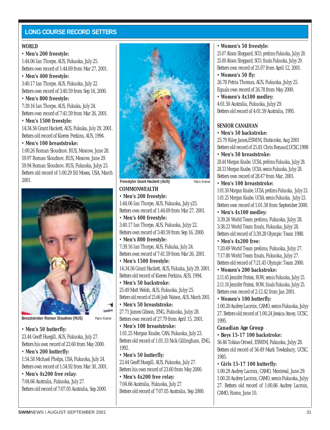#### **LONG COURSE RECORD SETTERS**

#### **WORLD**

#### • **Men's 200 freestyle:**

1:44.06 Ian Thorpe, AUS, Fukuoka, July 25. Betters own record of 1:44.69 from Mar 27, 2001.

• **Men's 400 freestyle:**

3:40.17 Ian Thorpe, AUS, Fukuoka, July 22. Betters own record of 3:40.59 from Sep 16, 2000.

#### • **Men's 800 freestyle:**

7:39.16 Ian Thorpe, AUS, Fukuka, July 24. Betters own record of 7:41.59 from Mar 26, 2001.

• **Men's 1500 freestyle:**

14:34.56 Grant Hackett, AUS, Fukuka, July 29, 2001. Betters old record of Kieren Perkins, AUS, 1994.

#### • **Men's 100 breaststroke:**

1:00.26 Roman Sloudnov, RUS, Moscow, June 28. 59.97 Roman Sloudnov, RUS, Moscow, June 29. 59.94 Roman Sloudnov, RUS, Fukuoka, Julyy 23. Betters old record of 1:00.29 Ed Moses, USA, March 2001.



**Breaststroker Roman Sloudnov (RUS)** Patric Kramer

#### • **Men's 50 butterfly:**

23.44 Geoff Huegill, AUS, Fukuoka, July 27. Betters his own record of 23.60 from May 2000.

#### • **Men's 200 butterfly:**

1:54.58 Michael Phelps, USA, Fukuoka, July 24. Betters own record of 1:54.92 from Mar 30, 2001.

#### • **Men's 4x200 free relay:**

7:04.66 Australia, Fukuoka, July 27. Betters old record of 7:07.05 Australia, Sep 2000.



**COMMONWEALTH Freestyler Grant Hackett (AUS)** Patric Kramer

#### • **Men's 200 freestyle:**

1:44.06 Ian Thorpe, AUS, Fukuoka, July y25. Betters own record of 1:44.69 from Mar 27, 2001.

• **Men's 400 freestyle:** 3:40.17 Ian Thorpe, AUS, Fukuoka, Julyy 22. Betters own record of 3:40.59 from Sep 16, 2000.

• **Men's 800 freestyle:** 7:39.16 Ian Thorpe, AUS, Fukuka, July 24.

Betters own record of 7:41.59 from Mar 26, 2001.

- **Men's 1500 freestyle:** 14:34.56 Grant Hackett, AUS, Fukuka, July 29, 2001. Betters old record of Kieren Perkins, AUS, 1994.
- **Men's 50 backstroke:** 25.49 Matt Welsh, AUS, Fukuoka, Julyy 25. Betters old record of 25.66 Josh Watson, AUS, March 2001.

• **Men's 50 breaststroke:** 27.71 James Gibson, ENG, Fukuoka, Julyy 28. Betters own record of 27.79 from April 15, 2001.

- **Men's 100 breaststroke:** 1:01.25 Morgan Knabe, CAN, Fukuoka, July 23. Betters old record of 1:01.33 Nick Gillingham, ENG, 1992.
- **Men's 50 butterfly:**

23.44 Geoff Huegill, AUS, Fukuoka, July 27. Betters his own record of 23.60 from May 2000.

• **Men's 4x200 free relay:** 7:04.66 Australia, Fukuoka, July 27. Betters old record of 7:07.05 Australia, Sep 2000.

#### • **Women's 50 freestyle:**

25.07 Alison Sheppard, SCO, prelims Fukuoka, Julyy 28. 25.00 Alison Sheppard, SCO, finals Fukuoka, Julyy 29. Betters own record of 25.07 from April 12, 2001.

#### • **Women's 50 fly:**

26.78 Petria Thomas, AUS, Fukuoka, Julyy 25. Equals own record of 26.78 from May 2000.

• **Women's 4x100 medley:** 4:01.50 Australia, Fukuoka, Julyy 29. Betters old record of 4:01.59 Australia, 1995.

#### **SENIOR CANADIAN**

• **Men's 50 backstroke:**

25.79 Riley Janes,ESWIM, Etobicoke, Aug 2001 Betters old record of 25.81 Chris Renaud,UCSC,1998

#### • **Men's 50 breaststroke:**

28.44 Morgan Knabe, UCSA, prelims Fukuoka, Julyy 28. 28.33 Morgan Knabe, UCSA, semis Fukuoka, Julyy 28. Betters own record of 28.47 from Mar, 2001.

#### • **Men's 100 breaststroke:**

1:01.50 Morgan Knabe, UCSA, prelims Fukuoka, Julyy 23. 1:01.25 Morgan Knabe, UCSA, semis Fukuoka, Julyy 23. Betters own record of 1:01.58 from September 2000.

#### • **Men's 4x100 medley:**

3:39.26 World Team prelims, Fukuoka, Julyy 28. 3:38.23 World Team finals, Fukuoka, Julyy 28. Betters old record of 3:39.28 Olympic Team 1988.

#### • **Men's 4x200 free:**

7:20.69 World Team prelims, Fukuoka, Julyy 27. 7:17.80 World Team finals, Fukuoka, Julyy 27. Betters old record of 7:21.45 Olympic Team 2000.

#### • **Women's 200 backstroke:**

2:11.65 Jennifer Fratesi, ROW, semis Fukuoka, Julyy 25. 2:11.16 Jennifer Fratesi, ROW, finals Fukuoka, Julyy 25. Betters own record of 2:12.42 from Jan 2001.

#### • **Women's 100 butterfly:**

1:00.20 Audrey Lacroix, CAMO, semis Fukuoka, Julyy 27. Betters old record of 1:00.24 Jessica Amey, UCSC, 1995.

#### *Canadian Age Group*

#### • **Boys 15-17 100 backstroke:**

56.46 Tobias Oriwol, ESWIM, Fukuoka, Julyy 28. Betters old record of 56.49 Mark Tewksbury, UCSC, 1985.

#### • **Girls 15-17 100 butterfly:**

1:00.29 Audrey Lacroix, CAMO, Montreal, June 29. 1:00.20 Audrey Lacroix, CAMO, semis Fukuoka, Julyy 27. Betters old record of 1:00.86 Audrey Lacroix, CAMO, Rome, June 10.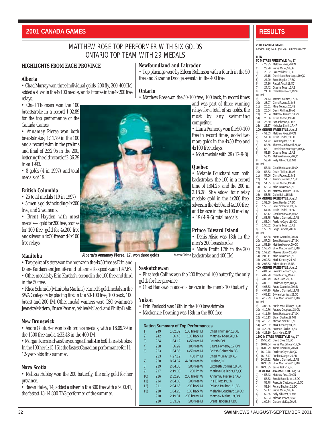#### **2001 CANADA GAMES RESULTS**

#### MATTHEW ROSE TOP PERFORMER WITH SIX GOLDS ONTARIO TOP TEAM WITH 29 MEDALS

**Ontario**

#### **HIGHLIGHTS FROM EACH PROVINCE**

#### **Newfoundland and Labrador**

• Matthew Rose won the 50-100 free, 100 back, in record times

competitor.

4x100 free relays.

**Quebec**

**Alberta**

• Chad Murray won three individual golds: 200 fly, 200-400 IM, added a silver in the 4x100 medley and a bronze in the 4x200 free relays.

• Chad Thomsen won the 100 breaststroke in a record 1:02.89 for the top performance of the Canada Games.

• Annamay Pierse won both breaststrokes, 1:11.79 in the 100 and a record swim in the prelims and final of 2:32.95 in the 200, bettering the old record of 2:36.29 from 1993.

• 8 golds (4 in 1997) and total medals of 19.

#### **British Columbia**

• 25 total medals (19 in 1997) • 5 men's golds including 4x200 free, and 2 women's.

• Brent Hayden with most medals—gold for 200 free, bronze for 100 free, gold for 4x200 free and silvers in 4x50 free and 4x100 free relays.

#### **Manitoba**

• Two pairs of sisters won the bronze in the 4x50 free as Erin and Diane Kardash and Jennifer and Julianne Toogood swam 1:47.67. • Other medals by Erin Kardash, second in the 100 free and third in the 50 free.

• Rhea Schmidt (Manitoba Marlins) earned 5 gold medals in the SWAD category by placing first in the 50-100 free, 100 back, 100 breast and 200 IM. Other medal winners were CSO swimmers Jeanette Mattern, Bruce Penner, Ashlee McLeod, and Philip Bialk.

#### **New Brunswick**

• Andre Couturier won both bronze medals, with a 16:09.79 in the 1500 free and a 4:33.48 in the 400 IM.

• Morgan Kierstead was the youngest finalist in both breaststrokes. In the 100 her 1:15.16 is the fastest Canadian performance for 11- 12-year-olds this summer.

#### **Nova Scotia**

• Melissa Hubley won the 200 butterfly, the only gold for her province.

• Bevan Haley, 14, added a silver in the 800 free with a 9:00.41, the fastest 13-14 800 TAG performer of the summer.

**Alberta's Annamay Pierse, 17, won three golds**

#### **Saskatchewan**

• Elizabeth Collins won the 200 free and 100 butterfly, the only golds for her province.

Marco Chiesa backstroke and 400 IM.

• Chad Hankewich added a bronze in the men's 100 butterfly.

#### **Yukon**

- Erin Pasloski was 16th in the 100 breaststroke
- Mackenzie Downing was 18th in the 800 free

|  |  | <b>Rating Summary of Top Performances</b> |
|--|--|-------------------------------------------|
|  |  |                                           |

| 1)  | 949 | 1:02.89 | 100 breast M | Chad Thomsen, 18, AB      |
|-----|-----|---------|--------------|---------------------------|
| 2)  | 942 | 56.43   | 100 back M   | Matthew Rose.20.ON        |
| 3)  | 934 | 1:34.12 | 4x50 free M  | Ontario.ON                |
| 4)  | 928 | 56.92   | 100 free W   | Laura Pomeroy, 17, ON     |
| 5)  | 923 | 1:34.85 | 4x50 free M  | British Columbia, BC      |
|     | 923 | 4:27.19 | 400 im M     | Chad Murray, 19, AB       |
| 7)  | 920 | 8:24.57 | 4x200 free W | Quebec.OC                 |
| 8)  | 919 | 2:04.00 | 200 free W   | Elizabeth Collins. 18. SK |
| 9)  | 917 | 2:19.00 | 200 im W     | Marieve De Blois, 17, QC  |
| 10) | 916 | 2:32.95 | 200 breast W | Annamay Pierse, 17, AB    |
| 11) | 914 | 2:04.35 | 200 free W   | Iris Elliott.19.0N        |
| 12) | 911 | 2:04.66 | 200 back M   | Roland Bauhart.21.BC      |
| 13) | 910 | 1:04.25 | 100 back W   | Melanie Bouchard.19.QC    |
|     | 910 | 2:19.81 | 200 breast M | Matthew Mains.19.0N       |
|     | 910 | 1:53.09 | 200 free M   | Brent Hayden, 17, BC      |

#### **2001 CANADA GAMES**

London, Aug 14-17 (50 M)  $\bullet$  = Games record

```
MEN
50 METRES FREESTYLE, Aug 17
```

| 1)             |                      | <b>JOINLINES INCLUITEL, AUG 17</b><br>• 23.35 Matthew Rose, 20, ON                                                                                                                                                                              |
|----------------|----------------------|-------------------------------------------------------------------------------------------------------------------------------------------------------------------------------------------------------------------------------------------------|
| 2)             |                      | 23.70 Kurtis Miller, 16.0N<br>23.70 Kurtis Miller, 16.0N<br>23.82 Paul Wilkins, 19,BC<br>24.20 Brent Hayden, 17,BC<br>24.20 Brent Hayden, 17,BC                                                                                                 |
| 3)             |                      |                                                                                                                                                                                                                                                 |
| 4)             |                      |                                                                                                                                                                                                                                                 |
| 5)<br>6)       |                      |                                                                                                                                                                                                                                                 |
| 7)             |                      |                                                                                                                                                                                                                                                 |
| 8)             |                      | 24.26 Pascal Anctil, 19, QC<br>24.42 Graeme Tozer, 16, AB<br>24.58 Chad Hankewich, 19, SK                                                                                                                                                       |
| <b>B</b> Final |                      |                                                                                                                                                                                                                                                 |
| 9)             |                      | a<br>24.73 Trevor Coulman, 17, SK<br>25.07 Chris Razeau, 21, MB<br>25.51 Mike Terauds, 20, NS<br>25.54 Devin Phillips, 16, AB<br>25.54 Matthew Terauds, 18, NS<br>25.66 Justin Gioret, 19, NB<br>25.66 Justin Gioret, 19, NB                    |
| 10)<br>11)     |                      |                                                                                                                                                                                                                                                 |
| 12)            |                      |                                                                                                                                                                                                                                                 |
| 13)            |                      |                                                                                                                                                                                                                                                 |
| 14)            |                      |                                                                                                                                                                                                                                                 |
| 15)            |                      | 25.80 Ben Johnson, 17, MB<br>25.87 Nicholas Smith, 17, NF                                                                                                                                                                                       |
| 16)            |                      |                                                                                                                                                                                                                                                 |
|                |                      | 100 METRES FREESTYLE, Aug 15                                                                                                                                                                                                                    |
|                |                      |                                                                                                                                                                                                                                                 |
|                |                      |                                                                                                                                                                                                                                                 |
|                |                      | 10 WELFT-7 THELE THAT THE TRUSH 1910<br>11 • 51.53 Matthew Rose, 20, 0N<br>21 • 51.53 Matthew Rose, 20, 0N<br>31 • 52.65 Thomas Zochowski, 21, 0N<br>51.65 Thomas Zochowski, 21, 0N<br>51.5 67aeme Tozer, 16, AB<br>61 • 53.45 Matthew He       |
|                |                      |                                                                                                                                                                                                                                                 |
|                |                      |                                                                                                                                                                                                                                                 |
| 8)             |                      | 53.70 Kelly Albrecht, 20, MB                                                                                                                                                                                                                    |
| <b>B</b> Final |                      |                                                                                                                                                                                                                                                 |
|                |                      |                                                                                                                                                                                                                                                 |
|                |                      |                                                                                                                                                                                                                                                 |
|                |                      |                                                                                                                                                                                                                                                 |
|                |                      |                                                                                                                                                                                                                                                 |
|                |                      |                                                                                                                                                                                                                                                 |
|                |                      |                                                                                                                                                                                                                                                 |
|                |                      | 9) 53.48 Chad Hankewich, 19, SK<br>10) 53.83 Devin Phillips, 16, AB<br>11) 54.06 Chris Razeau, 21, MB<br>12) 54.57 Trevor Coulman, 17, SK<br>13) 54.85 Justin Gionet, 19, NB<br>15) 55.19 Matthew Terauds, 20, NS<br>200 METTER CHRIS 2000, Ban |
|                |                      | 200 METRES FREESTYLE, Aug 14                                                                                                                                                                                                                    |
|                |                      | 200 WIE HERS PREES PITCH, And 14<br>11 1:53.09 Brent Hayden, 17, BC<br>2) 1:53.37 Peter Szafiarski 20, ON<br>13 1:53.37 Peter Szafiarski 20, ON<br>4) 1:55.12 Chad Hankewich, 19, SK<br>5) 1:56.52 Chaeme Tozer, 18, QC<br>6) 1:56.52 Grae      |
|                |                      |                                                                                                                                                                                                                                                 |
|                |                      |                                                                                                                                                                                                                                                 |
|                |                      |                                                                                                                                                                                                                                                 |
|                |                      |                                                                                                                                                                                                                                                 |
|                |                      |                                                                                                                                                                                                                                                 |
|                |                      |                                                                                                                                                                                                                                                 |
| <b>B</b> Final |                      |                                                                                                                                                                                                                                                 |
|                |                      | <b>b 1.65.38</b> Andre Coulurier, 20,190<br>9) 1:55.38 Andre Coulurier, 20,190<br>10) 1:57.08 Brent Hankewich, 17, SK<br>11) 1:58.73 Elliot MacDonald, 18, MB<br>13) 1:59.92 Marcus Blouw, 21, MB<br>14) 2:00.11 Mike Terauds, 20, NS<br>151 2: |
|                |                      |                                                                                                                                                                                                                                                 |
|                |                      |                                                                                                                                                                                                                                                 |
|                |                      |                                                                                                                                                                                                                                                 |
|                |                      |                                                                                                                                                                                                                                                 |
| 15)<br>16)     |                      |                                                                                                                                                                                                                                                 |
|                | 2:03.53              | Adam Moore, 18, NB<br>400 METRES FREESTYLE, Aug 16                                                                                                                                                                                              |
|                |                      | 400 With THE ACTE TO 401.84 PM<br>1) 4:01.84 Bent O'Connor, 17, BC<br>2) 4:02.28 Chad Murray, 19, AB<br>4:02.49 David Creel, 20, BC<br>4:03.51 Frederic Cayen, 18, OC<br>4:03.51 Frederic Cayen, 18, OC<br>6) 4:05.12 Sylvain Lemieux, 21,      |
|                |                      |                                                                                                                                                                                                                                                 |
|                |                      |                                                                                                                                                                                                                                                 |
|                |                      |                                                                                                                                                                                                                                                 |
|                |                      |                                                                                                                                                                                                                                                 |
|                |                      |                                                                                                                                                                                                                                                 |
|                |                      |                                                                                                                                                                                                                                                 |
| <b>B</b> Final |                      |                                                                                                                                                                                                                                                 |
|                |                      | 9) 4:08.36 Kurtis MacGillivary, 17, ON                                                                                                                                                                                                          |
| 10)            | 4:11.30              | 4:10.76 Andrew Coupland, 18, ON<br>Brent Hankewich, 17, SK                                                                                                                                                                                      |
| 11)<br>12)     | 4:15.13              | Stuart Starkey, 19, MB                                                                                                                                                                                                                          |
| 13)            | 4:18.21              | Michael Smith, 18, NS                                                                                                                                                                                                                           |
| 14)            | 4:20.62              | Mark Kennedy, 24, NS                                                                                                                                                                                                                            |
| 15)            | 4:20.85              | Brendon Clarke, 17, SK                                                                                                                                                                                                                          |
| 16)            | 4:28.10              | Josh Hare, 20, NF                                                                                                                                                                                                                               |
|                |                      | 1500 METRES FREESTYLE, Aug 17                                                                                                                                                                                                                   |
| 1)<br>2)       | 15:56.72<br>16:02.54 | David Creel, 20, BC<br>Kurtis MacGillivary, 17, ON                                                                                                                                                                                              |
| 3)             | 16:09.79             | Andre Couturier, 20, NB                                                                                                                                                                                                                         |
| 4)             | 16:10.78             | Frederic Cayen, 18, QC                                                                                                                                                                                                                          |
| 5)             | 16:16.77             | Robbie Stanger, 20, AB                                                                                                                                                                                                                          |
| 6)             | 16:24.32             | Richard Cormack, 19, AB                                                                                                                                                                                                                         |
| 7)<br>8)       | 16:30.89<br>16:35.35 | Elliot MacDonald, 18, MB<br>Jesse Jacks, 19, BC                                                                                                                                                                                                 |
|                |                      | 100 METRES BACKSTROKE, Aug 14                                                                                                                                                                                                                   |
| 1)             | 56.43<br>٠           | Matthew Rose, 20, ON                                                                                                                                                                                                                            |
| 2)             | 58.63                | Benoit Banville-A., 18, QC                                                                                                                                                                                                                      |
| 3)             | 58.78                | Francois Castonguay, 18, QC                                                                                                                                                                                                                     |
| 4)             | 59.24                | Roland Bauhart, 21, BC                                                                                                                                                                                                                          |
| 5)<br>6)       | 59.47<br>59.65       | Kurtis Miller, 16, ON<br>Kelly Albrecht, 20, MB                                                                                                                                                                                                 |
| 7)             | 59.93                | Michael Power, 20, AB                                                                                                                                                                                                                           |
| 8)             |                      | 1:00.64 Gordon McKay.20.AB                                                                                                                                                                                                                      |



### • Top placings were by Eileen Robinson with a fourth in the 50 free and Suzanne Drodge seventh in the 400 free.

and was part of three winning relays for a total of six golds, the most by any swimming

• Laura Pomeroy won the 50-100 free in record times, added two more golds in the 4x50 free and

• Most medals with 29 (12-9-8)

• Melanie Bouchard won both backstrokes, the 100 in a record time of 1:04.25, and the 200 in 2:18.28. She added four relay medals: gold in the 4x200 free, silvers in the 4x50 and 4x100 free, and bronze in the 4x100 medley.  $\bullet$  19 (4-9-6) total medals.

**Prince Edward Island** • Denis Alisic was 18th in the men's 200 breaststroke. • Maria Profit 17th in the 200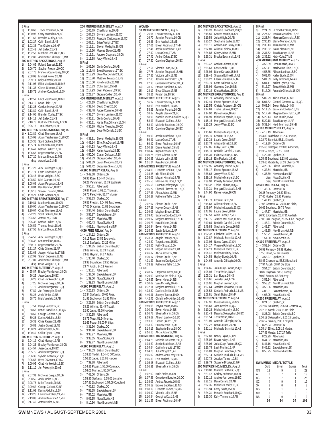B Final<br>9) 1 1:00.68 Trevor Coulman,17,SK 10) 1:00.93 Gerry Martselos, 21, BC<br>11) 1:01.66 Brendan Curley 17 SK 1:01.66 Brendan Curley,17,SK 12) 1:02.27 Colin Baird, 15, NB<br>13) 1:02.38 Tim Cibbons 16, N 13) 1:02.38 Tim Gibbons,16,NF 14) 1:02.43 Jeff Bailey,21,NS 15) 1:02.53 Matthew Terauds,18,NS 1:02.82 Andrew McGillivray, 18, MB **200 METRES BACKSTROKE**, Aug 16 1) 2:04.66 Roland Bauhart, 21, BC<br>2) 2:06.70 Stephen Preston. 19.0 2) 2:06.70 Stephen Preston,19,QC 3) 2:07.76 Francois Castonguay,18,QC 4) 2:08.03 Michael Power,20,AB 5) 2:09.11 Kelly Albrecht,20,NB 6) 2:11.06 Elliot MacDonald, 18, MB<br>7) 2:11.36 Ciaran Dickson, 17, SK 2:11.36 Ciaran Dickson,17,SK 8) 2:15.72 Andrew Coupland,18,ON B Final 9) 2:12.57 Elliot MacDonald,18,MB 2:13.16 Noah Pink,18,NS 11) 2:13.25 Gordon McKay,20,AB 12) 2:13.89 Colin Baird,15,NB 13) 2:14.05 Brendan Curley, 17, SK<br>14) 2:14.18 Leff Bailey 21 NS 2:14.18 Jeff Bailey, 21, NS 15) 2:18.76 Kurtis MacGillivary, 17, ON<br>16) 2:25.12 Tim Cibbons 16 NE 16) 2:25.13 Tim Gibbons,16,NF **100 METRES BREASTSTROKE**, Aug 15 1) • 1:02.89 Chad Thomsen, 18, AB<br>2) 1:05.02 Adam Taschereau-C... 2) 1:05.02 Adam Taschereau-C., 20, QC<br>3) 1:05.35 Scott Dickens 16.0N 3) 1:05.35 Scott Dickens, 16, ON<br>4) 1:05.74 Matthew Mains 19 O 4) 1:05.74 Matthew Mains,19,ON 5) 1:06.47 Nathan Parker,17,SK 6) 1:06.58 Roger Boucher,20,SK 7) 1:07.20 Marcus Blouw,21,MB disq Aaron Lee,21,NB B Final<br>9) 1:<br>10) 1: 9) 1:07.28 Alex Boulanger,19,QC .<br>10) 1:07.71 Garth Coxford, 20, AB<br>11) 1:08.48 Brian Verigin 17 BC 1:08.48 Brian Verigin, 17, BC 12) 1:08.50 Nick Graham,19,NS 1:08.69 Adam Ferguson,18,NB 14) 1:08.84 Ken Hamilton,18,BC 15) 1:09.16 Steven Thornhill,18,NF 16) 1:09.27 Chris Grimes,21,NF **200 METRES BREASTSTROKE**, Aug 17 1) 2:19.81 Matthew Mains,19,ON 2) 2:20.00 Adam Taschereau-C.,20,QC  $\begin{bmatrix} 3 \\ 4 \end{bmatrix}$  2:20.64 Chad Thomsen, 18, AB<br>4) 2:22.28 Scott Dickens 16, ON 4) 2:22.28 Scott Dickens,16,ON 5) 2:24.62 Aaron Lee, 21, NB<br>6) 2:25.32 Nathan Parker 17 6) 2:25.32 Nathan Parker,17,SK 7) 2:26.52 Thomas South,18,AB 8) 2:27.56 Marcus Blouw,21,MB B Final<br>9) 2:24.52 Alex Boulanger, 19, QC 9) 2:24.52 Alex Boulanger,19,QC 10) 2:28.32 Ken Hamilton,18,BC 11) 2:30.15 Roger Boucher, 20, SK<br>12) 2:31.27 Chris Grimes 21 NF 12) 2:31.27 Chris Grimes,21,NF 13) 2:32.68 Joseph Holownia,17,NB 2:32.99 Stefan Dagenais,18,NS 15) 2:37.07 Andrew McGillivray 18 MB disq Brian Verigin,17,BC **100 METRES BUTTERFLY**, Aug 16 1) • 55.87 Bradley Vanderkam,18,ON 2) 56.25 Jesse Jacks, 19, BC<br>3) 56.28 Chad Hankewich. 1 3) 56.28 Chad Hankewich,19,SK 4) 57.25 Nicholas Dargus,20,ON 5) 57.70 Andrew Dragunas, 19, QC<br>6) 57.89 Jan Pelechytik. 20.AB 6) 57.89 Jan Pelechytik, 20, AB<br>7) 58.28 Andy White, 19.NS 7) 58.28 Andy White, 19, NS<br>8) 58.70 Niels Versfeld 19.4 8) 58.70 Niels Versfeld,19,AB  $\begin{array}{c} B \overline{P}$  Final<br>9)<br>10) 57.51 Darryl Rudolf, 17, BC 10) 58.68 Benoit Bany<br>10) 58.68 Benoit Banyille-A.,18,QC<br>11) 58.69 George Colbert,20,NF 11) 58.69 George Colbert, 20, NF<br>12) 59.26 Karim Abdulla 18.SK 12) 59.26 Karim Abdulla,18,SK 13) 59.32 Chris Razeau, 21, MB<br>14) 59.82 Justin Gionet, 19, NB 14) 59.82 Justin Gionet, 19, NB<br>15) 1:00 21 Aaron Butler 17 NB 15) 1:00.21 Aaron Butler,17,NB 16) 1:00.49 Collin Gyles,19,MB **200 METRES BUTTERFLY**, Aug 14 1) 2:04.19 Chad Murray, 19, AB<br>2) 2:04.26 Bradley Vanderkam 2) 2:04.26 Bradley Vanderkam, 18, ON<br>3) 2:04.57 Jesse Jacks, 19, BC  $\begin{array}{ll}\n 3 & 2:04.57 & \text{Jesse Jackson} \\
 4 & 2:05.75 & \text{Andrew Dracunas}\n \end{array}$ 4) 2:05.75 Andrew Dragunas,19,QC 5) 2:06.36 Sylvain Lemieux,21,QC 6) 2:06.56 Brent O'Connor,17,BC  $7)$  2:09.95 Chad Hankewich, 19, SK<br>8) 2:11.10 Jan Pelechytik 20 AB 8) 2:11.10 Jan Pelechytik,20,AB  $\overline{B}$  Final<br>9) 2: 9) 2:07.31 Nicholas Dargus,20,ON 10) 2:08.55 Andy White,19,NS 11) 2:08.78 Mike Terauds,20,NS 12) 2:09.62 George Colbert,20,NF 13) 2:11.08 Karim Abdulla,18,SK 2:13.26 Lawrence Cohen,19,MB 15) 2:13.88 Andrew Metcalfe, 17, MB<br>16) 2:17.40 Aaron Butler 17 NB 2:17.40 Aaron Butler,17,NB

**200 METRES IND.MEDLEY**, Aug 17 1) 2:06.79 Chad Murray,19,AB 2) 2:07.53 Sylvain Lemieux,21,QC 3) 2:07.73 Francois Castonguay,18,QC 4) 2:08.61 Brian Verigin,17,BC 5) 2:11.11 Steven Medaglia,16,ON 6) 2:12.20 Marcus Blouw,21,MB 7) 2:13.61 Andrew Coupland,18,ON 2:13.88 Andy White, 19, NS  $\begin{bmatrix} B & F \\ 9 & 2 \end{bmatrix}$ 9) 2:09.20 Garth Coxford, 20, AB<br>10) 2:13.48 Brent Hankewich, 17, 2:13.48 Brent Hankewich,17,SK 11) 2:13.93 Dave MacDonald, 21, BC<br>12) 2:15.70 Matthew Terauds. 18.NS 2:15.70 Matthew Terauds,18,NS 13) 2:16.50 Kyle Murphy,20,MB 14) 2:16.83 Colin Baird,15,NB 15) 2:17.93 Sean Pederson,19,SK 16) 2:21.87 George Colbert,20,NF **400 METRES IND.MEDLEY**, Aug 15 1) 4:27.19 Chad Murray,19,AB 2) 4:32.74 David Creel,20,BC 3) 4:33.48 Andre Couturier,20,NB 4) 4:33.57 Sylvain Lemieux, 21, QC<br>5) 4:35.81 Garth Coxford 20 AB 5) 4:35.81 Garth Coxford,20,AB 6) 4:36.21 Kurtis MacGillivary,17,ON 7) 4:36.39 Michel Tremblay,20,QC disq Dave McDonald,21,BC B Final<br>9)  $4$ 9) 4:38.81 Steven Medaglia,16,ON 10) 4:42.14 Elliot MacDonald, 18, MB 11) 4:44.33 Andy White, 19, NS<br>12) 4:48.59 Karim Abdulla.18.1 12) 4:48.59 Karim Abdulla,18,SK 13) 4:50.06 Ciaran Dickson, 17, SK<br>14) 4:51.83 George Colbert 20 NE 14) 4:51.83 George Colbert,20,NF 15) 5:01.39 Jason Meadows,20,NS 16) 5:01.42 Sebastien Sirois,17,NB **4X100 MEDLEY RELAY**, Aug 17 1) • 3:49.38 Ontario,ON 56.93 Rose, 1:04.44 Dickens, 56.22 Vanderkam, 51.79 Szaflarski<br>2) 3:50.81 Alberta.AB 2) 3:50.81 Alberta,AB 59.87 Power, 1:02.51 Thomsen, 56.76 Pelechytik, 51,77 Murray 3) 3:53.33 Quebec,QC 59.53 Preston, 1:04.92 Taschereau, 57.05 Dragunas, 51.83 Bourdages 4) 3:54.46 British Columbia, BC 5) 3:56.87 Saskatchewan,SK 6) 4:00.37 Manitoba,MB 7) 4:00.43 Nova Scotia, NS<br>8) 4:03.91 Newfoundland. 8) 4:03.91 Newfoundland,NF **4X50 FREE RELAY**, Aug 14 1) • 1:34.12 Ontario,ON 24.15 Rose, 23.56 Zochowski, 23.15 Szaflarski, 23.26 Miller<br>2) 1:34.85 British Columbia 2) 1:34.85 British Columbia,BC 23.62 Wilkins, 23.33 Tisdall, 23.63 Hayden, 24.27 Jacks<br>3) 1:35.40 Ouebec.QC 3) 1:35.40 Quebec,QC 23.98 Bourdages, 23.55 Heroux, 23.74 Anctil, 24.13 Preston 4) 1:35.81 Alberta,AB 5) 1:37.00 Saskatchewan,SK 6) 1:39.50 Nova Scotia,NS 7) 1:39.83 New Brunswick,NB **4X100 FREE RELAY**, Aug 16 1) • 3:26.83 Ontario,ON 52.34 Szaflarski, 50.65 Rose, 51.92 Zochowski, 51.92 Miller<br>2) 3:28.88 British Columbia. 2) 3:28.88 British Columbia,BC 53.23 Wilkins, 51.45 Tisdall, 52.90 Jacks, 51.30 Hayden 3) 3:30.95 Alberta,AB 53.75 Tozer. 51.54 Murray, 52.66 Power, 53.00 Phillips<br>4) 3:31.36 Ouebec.OC 4) 3:31.36 Quebec,QC 5) 3:34.40 Saskatchewan SK 6) 3:38.27 Manitoba,MB 3:38.65 Nova Scotia,NS 8) 3:39.77 New Brunswick,NB **4X200 FREE RELAY**, Aug 15 1) • 7:37.53 British Columbia,BC 1:53.23 Tisdall, 1:54.40 O'Connor. 1:56.25 Jacks, 1:53.65 Hayden 2) 7:39.88 Alberta,AB 1:54.81 Power, 1:55.06 Cormack, 1:54.01 Murray, 1:56.00 Tozer 3) 7:41.00 Ontario,ON 1:53.95 Szaflarski, 1:55.05 Loiselle, 1:57.91 Zochowski, 1;54.09 Coupland<br>4) 7:46.92 Ouebec OC 4) 7:46.92 Quebec,QC 5) 7:51.25 Saskatchewan SK 6) 7:57.02 Manitoba,MB 7) 8:02.95 Nova Scotia, NS<br>8) 8:10.96 New Brunswick,

|                      | WOMEN              |                                                                                                                                                                                                                                                                                      |
|----------------------|--------------------|--------------------------------------------------------------------------------------------------------------------------------------------------------------------------------------------------------------------------------------------------------------------------------------|
|                      |                    | 50 METRES FREESTYLE, Aug 17<br><b>SO METRES PRESENTED.</b><br>1) $\bullet$ 26.04 Laura Pomeroy, 17, 0N<br>2) 26.70 Jennifer Porenta, 16, 0N<br>3) 26.86 Erin Kardash, 15, MB<br>5) 27.41 Jessie Bradshaw, 17, AB<br>5) 27.42 Laura Grant, 17, AB<br>6) 27.42 Amber Dykes, 17, BC<br> |
|                      |                    |                                                                                                                                                                                                                                                                                      |
|                      |                    |                                                                                                                                                                                                                                                                                      |
|                      |                    |                                                                                                                                                                                                                                                                                      |
|                      |                    |                                                                                                                                                                                                                                                                                      |
|                      |                    |                                                                                                                                                                                                                                                                                      |
| 8)<br><b>B</b> Final |                    | 27.50 Caroline Clapham, 20, BC                                                                                                                                                                                                                                                       |
| 9)                   |                    | 27.61 Victoria Poon, 16, QC                                                                                                                                                                                                                                                          |
|                      |                    | 27.61 victoria compared to 2011 (6.10)<br>27.75 Jennifer Toogood, 16.018<br>27.75 Jennifer Toogood, 16.018<br>27.83 Victoria Lally, 18, NB<br>27.93 Geneview Boucher, 20, 02.<br>44) 28.12 Brooke Buckland, 12, NS<br>28.21 Kristen Lis,                                             |
|                      |                    |                                                                                                                                                                                                                                                                                      |
|                      |                    |                                                                                                                                                                                                                                                                                      |
|                      |                    |                                                                                                                                                                                                                                                                                      |
|                      |                    |                                                                                                                                                                                                                                                                                      |
|                      |                    | 100 METRES FREESTYLE, Aug 15                                                                                                                                                                                                                                                         |
|                      |                    | 10 WE FREES PRECEST TEL, Ang 13<br>11 $\cdot$ 56.92 Laura Pomeroy, 17, 0N<br>22 58.09 Erin Kardash, 15, MB<br>33 6.66 Jennifer Porenta, 16, 0N<br>4) 58.87 Angela Sianley, 21, BC<br>5) 58.93 Elizabeth Collins, 18, SK<br>6) 58.93 Elizabet                                         |
|                      |                    |                                                                                                                                                                                                                                                                                      |
|                      |                    |                                                                                                                                                                                                                                                                                      |
|                      |                    |                                                                                                                                                                                                                                                                                      |
|                      |                    |                                                                                                                                                                                                                                                                                      |
|                      |                    |                                                                                                                                                                                                                                                                                      |
| <b>B</b> Final       |                    |                                                                                                                                                                                                                                                                                      |
|                      |                    | Final 59.90 Jessie Bradshaw, 17, AB<br>10 59.91 Laura Grant, 17, AB<br>12 1:00.27 Eliane Robinson, 16, NF<br>12 1:00.27 Diane Kardash, 15, MB<br>13 1:00.42 Kayla Graham, 14, NS<br>14 1:00.75 Elyse Gibson, 17, NS<br>15 1:00.85 Victori                                            |
|                      |                    |                                                                                                                                                                                                                                                                                      |
|                      |                    |                                                                                                                                                                                                                                                                                      |
|                      |                    |                                                                                                                                                                                                                                                                                      |
|                      |                    |                                                                                                                                                                                                                                                                                      |
|                      |                    |                                                                                                                                                                                                                                                                                      |
|                      |                    | 200 METRES FREESTYLE, Aug 14                                                                                                                                                                                                                                                         |
|                      |                    | 200 McLassic Factor (1915)<br>2010 Clizabeth Collins, 18, SK<br>202 2:04:35 Tris Elliott, 19, ON<br>2:05.06 Megan Kinsella, 19, AB<br>4) 2:05:50 Mariee De Blois, 17, OC<br>5) 2:05:52 Chana Stefanyshyn, 16, BC<br>6) 2:05:72 Chanal Char                                           |
|                      |                    |                                                                                                                                                                                                                                                                                      |
|                      |                    |                                                                                                                                                                                                                                                                                      |
|                      |                    |                                                                                                                                                                                                                                                                                      |
|                      |                    |                                                                                                                                                                                                                                                                                      |
|                      |                    |                                                                                                                                                                                                                                                                                      |
| <b>B</b> Final       |                    |                                                                                                                                                                                                                                                                                      |
|                      |                    | 9) 2:07.07 Sienna Quirk, 18, NB                                                                                                                                                                                                                                                      |
|                      |                    |                                                                                                                                                                                                                                                                                      |
|                      |                    |                                                                                                                                                                                                                                                                                      |
|                      |                    |                                                                                                                                                                                                                                                                                      |
|                      |                    |                                                                                                                                                                                                                                                                                      |
|                      |                    |                                                                                                                                                                                                                                                                                      |
|                      |                    |                                                                                                                                                                                                                                                                                      |
|                      |                    | 20.7.07 Stania dulin, io, io, 20.7.26 Hayley Doody, 16, AB<br>11) 2:07.26 Hayley Doody, 16, AB<br>11) 2:09.03 Meghan Brown, 17, BC<br>12) 2:09.97 Meghan Denchuk, 17, SK<br>14) 2:10.73 Kara Folsom, 20, NB<br>16) 2:10.94 Bevan Haley, 14,<br>400 METRES FREESTYLE, Aug 16          |
|                      |                    |                                                                                                                                                                                                                                                                                      |
|                      |                    |                                                                                                                                                                                                                                                                                      |
|                      |                    |                                                                                                                                                                                                                                                                                      |
|                      |                    |                                                                                                                                                                                                                                                                                      |
|                      |                    | 4.24.32 Taryn Lencoe, 15, BC<br>20 4.24.32 Taryn Lencoe, 15, BC<br>31 4.25.55 Kathy Studia, 15, DN<br>4.26.21 Megan Kinsella, 19, AB<br>4.26.87 Alicia Jobse, 17, MB<br>51 4.30.17 Summo Quirk, 18, NB<br>4.31.10 Summo Quirk, 18, NB<br>31.                                         |
|                      |                    |                                                                                                                                                                                                                                                                                      |
| <b>B</b> Final       |                    | 2) 4:31.29 Suzanne Drodge, 21, NF<br>8) 4:33.32 Katherine Telfer, 16, ON                                                                                                                                                                                                             |
|                      |                    | 9) 4:28.97 Stephanie Barbe, 18, QC                                                                                                                                                                                                                                                   |
| 10)                  | 4:29.00            | Marieve De Blois, 17, QC                                                                                                                                                                                                                                                             |
| 11)<br>12)           | 4:29.67<br>4:30.02 | Bevan Haley, 14, NS<br>Sara McNally, 16, AB                                                                                                                                                                                                                                          |
| 13)                  | 4:37.14            | Meghan Demchuk, 17, SK                                                                                                                                                                                                                                                               |
| 14)                  | 4:38.32            | Daniele Smith, 16, NS                                                                                                                                                                                                                                                                |
| 15)<br>16)           | 4:40.41<br>4:42.45 | Jocelyn Tanner, 19, SK<br>Christine McKinley, 16, MB                                                                                                                                                                                                                                 |
|                      |                    | 800 METRES FREESTYLE, Aug 17                                                                                                                                                                                                                                                         |
| 1)                   | 8:59.08            | Taryn Lencoe, 15, BC                                                                                                                                                                                                                                                                 |
| 2)<br>3)             | 9:00.41<br>9:06.78 | Bevan Haley, 14, NS                                                                                                                                                                                                                                                                  |
| 4)                   | 9:09.67            | Sheena Martin, 16, ON<br>Allison Laidlow, 16, BC                                                                                                                                                                                                                                     |
| 5)                   | 9:13.38            | Sienna Quirk, 18, NB                                                                                                                                                                                                                                                                 |
| 6)                   | 9:13.62            | Rosie Meade, 17, ON                                                                                                                                                                                                                                                                  |
| 7)<br>8)             | 9:14.13<br>9:16.10 | Stephanie Barbe, 18, QC                                                                                                                                                                                                                                                              |
|                      |                    | Alicia Jobse, 17, MB<br>100 METRES BACKSTROKE, Aug 14                                                                                                                                                                                                                                |
| 1)                   |                    | • 1:04.25 Melanie Bouchard, 19, QC                                                                                                                                                                                                                                                   |
| 2)                   | 1:04.60<br>1:04.64 | Jessie Bradshaw, 17, AB<br>Caitlin Meredith, 17, BC                                                                                                                                                                                                                                  |
| 3)<br>4)             | 1:04.70            | Julia Wright, 20, AB                                                                                                                                                                                                                                                                 |
| 5)                   | 1:05.02            | Andree-Ann Leroy, 19, BC                                                                                                                                                                                                                                                             |
| 6)                   |                    | 1:05.30 Erin Kardash, 15, MB                                                                                                                                                                                                                                                         |
| 7)<br>8)             | 1:06.31            | 1:05.95 Elizabeth Collins, 18, SK<br>Sheena Martin, 16, ON                                                                                                                                                                                                                           |
| <b>B</b> Final       |                    |                                                                                                                                                                                                                                                                                      |
| 9)                   | 1:07.02            | Katie Smith, 15, ON                                                                                                                                                                                                                                                                  |
| 10)<br>11)           | 1:07.56<br>1:08.07 | Genevieve Boucher, 20, QC<br>Andrea Roberts, 16, NS                                                                                                                                                                                                                                  |
| 12)                  | 1:08.12            | Brooke Buckland, 12, NS                                                                                                                                                                                                                                                              |
| 13)                  | 1:08.19            | Elizabeth Cleven, 16, MB                                                                                                                                                                                                                                                             |
| 14)<br>15)           | 1:09.42            | Victoria Lally, 18, NB<br>1:10.84 Georgina Cox, 16, NB                                                                                                                                                                                                                               |

| 1)                   |                                                                 | 200 METRES BACKSTROKE, Aug 16<br>2:18.28 Melanie Bouchard, 19, QC                                                                                                                                      |
|----------------------|-----------------------------------------------------------------|--------------------------------------------------------------------------------------------------------------------------------------------------------------------------------------------------------|
| 2)                   | 2:18.56                                                         | Sheena Martin, 16, ON                                                                                                                                                                                  |
| 3)                   |                                                                 |                                                                                                                                                                                                        |
| 4)                   |                                                                 | 2:19.54 Julia Wright, 20, AB<br>2:20.27 Stephanie Barbe, 18, QC<br>2:21.11 Andree-Ann Leroy, 19, BC<br>2:22.89 Allison Laidlow, 16, BC                                                                 |
| 5)                   |                                                                 |                                                                                                                                                                                                        |
| 6)                   |                                                                 |                                                                                                                                                                                                        |
| 7)<br>8)             | 2:24.88<br>2:26.31                                              | Cindy Jobse, 15, MB<br>Brooke Buckland, 12, NS                                                                                                                                                         |
| <b>B</b> Final       |                                                                 |                                                                                                                                                                                                        |
| 9)                   | 2:23.42                                                         | Andrea Roberts, 16, NS                                                                                                                                                                                 |
|                      |                                                                 | 10) 2:25.63 Katie Smith, 15, ON<br>11) 2:26.98 Diane Kardash, 15, MB<br>12) 2:29.46 Shawna Bothwell, 17, AB<br>13) 2:30.22 Eileen Robinson, 17, NF                                                     |
|                      |                                                                 |                                                                                                                                                                                                        |
|                      |                                                                 |                                                                                                                                                                                                        |
| (14)                 |                                                                 | 2:33.79 Kaere Ballman, 17, SK                                                                                                                                                                          |
| 15)                  | 2:36.94                                                         | Georgina Cox, 16, NB                                                                                                                                                                                   |
| 16)                  | 2:37.19                                                         | Krista Haslund, 15, SK                                                                                                                                                                                 |
|                      |                                                                 | 100 METRES BREASTSTROKE, Aug 15                                                                                                                                                                        |
| 1)                   |                                                                 | 1:11.79 Annamay Pierse, 17, AB<br>1:12.49 Emma Spooner, 18, AB<br>1:13.55 Christy Anderson, 18, ON                                                                                                     |
| 2)<br>3)             |                                                                 |                                                                                                                                                                                                        |
| 4)                   | 1:14.69                                                         | Trisha Lakatos, 18, QC                                                                                                                                                                                 |
| $\binom{5}{1}$       |                                                                 |                                                                                                                                                                                                        |
| 6)                   |                                                                 | 1:14.90 Renee Hober, 16, AB<br>1:14.99 Michelle Laprade, 20, QC<br>1:15.16 Morgan Kierstead, 12, NB                                                                                                    |
| 7)                   |                                                                 |                                                                                                                                                                                                        |
| <b>B</b> Final       | 8) 1:15.29                                                      | Jenny Wear, 20, BC                                                                                                                                                                                     |
| 9)                   |                                                                 | 1:15.66 Michelle Mange, 14, BC                                                                                                                                                                         |
| 10)                  |                                                                 | 1:15.00 IVIRTICIO<br>1:15.70 Kristen Lis,18,SK                                                                                                                                                         |
|                      |                                                                 | 11) 1:17.34 Laurie Green, 20, NF<br>12) 1:17.74 Allison Birkett, 18, S<br>13) 1:17.85 Kirby Cote, 17, MB<br>1419, 15, 18, Nicht Cote, 11, 00                                                           |
|                      |                                                                 | Allison Birkett, 18, SK                                                                                                                                                                                |
| 14)                  |                                                                 | 1:18.15 Daniella Garofoli, 21, MB                                                                                                                                                                      |
|                      |                                                                 | Elaine Munroe, 17, NS                                                                                                                                                                                  |
|                      | $\begin{bmatrix} 15 \\ 16 \end{bmatrix}$ 1:18.36<br>16) 1:19.18 | Erin Pasloski, 16, YK                                                                                                                                                                                  |
|                      |                                                                 | 200 METRES BREASTSTROKE, Aug 17                                                                                                                                                                        |
|                      | 1) i 2:32.95                                                    | Annamay Pierse, 17, AB                                                                                                                                                                                 |
| 2)<br>$\frac{27}{3}$ | 2:36.17                                                         | Emma Spooner, 18, AB                                                                                                                                                                                   |
| 4)                   |                                                                 | 2.30.19<br>2.38.68 Jemy Wear, 20, BC<br>2.39.19 Michelle Mange, 14, BC<br>2.39.98 Christy Anderson, 18, ON<br>2.40.32 Trisha Lakatos, 18, QC<br>2.43.31 Morgan Kierstead, 12, NB                       |
| 5)                   |                                                                 |                                                                                                                                                                                                        |
| 6)                   |                                                                 |                                                                                                                                                                                                        |
| 7)                   |                                                                 |                                                                                                                                                                                                        |
| 8)<br><b>B</b> Final | 2:44.90                                                         | Renee Hober, 16, ON                                                                                                                                                                                    |
| 9)                   | 2:43.73                                                         | Kristen Lis, 18, SK                                                                                                                                                                                    |
|                      |                                                                 |                                                                                                                                                                                                        |
|                      |                                                                 |                                                                                                                                                                                                        |
|                      |                                                                 | <sup>1</sup> , 2:45.68 Allison Birkett, 10, 36<br>11) 2:45.97 Michelle Laprade, 20, 0C<br>12) 2:47.05 Laurie Green, 20, NF<br>13) 2:47.53 Alicia Jobse, 17, MB<br>14, 2:47.75 Lessica McLellan, 16, NS |
|                      |                                                                 |                                                                                                                                                                                                        |
| 15)                  | 2:49.69                                                         | Daniella Garofoli, 21, NB                                                                                                                                                                              |
| 16)                  | 2:49.83                                                         | Stephanie Cross, 16, NS                                                                                                                                                                                |
|                      |                                                                 | 100 METRES BUTTERFLY, Aug 16                                                                                                                                                                           |
| 2)                   | $1) \cdot 1:02.37$<br>1:02.87                                   | Elizabeth Collins, 18, SK<br>Michaela Schmidt, 17, AB                                                                                                                                                  |
| 3)                   | 1:03.95                                                         | Nancy Gajos, 17, ON                                                                                                                                                                                    |
| 4)                   | 1:03.95<br>1:04.17                                              | Virginie Robitaille, 19, QC                                                                                                                                                                            |
| 5)                   |                                                                 | 1:04.19 Michelle Landry, 16, BC                                                                                                                                                                        |
| 6)                   |                                                                 |                                                                                                                                                                                                        |
| 7)<br>8)             |                                                                 | 1:04.41 Melissa Hubley, 20, NS<br>1:04.54 Hayley Doody, 16, AB<br>1:04.65 Amanda Gillespie, 16, ON                                                                                                     |
| <b>B</b> Final       |                                                                 |                                                                                                                                                                                                        |
| 9)                   | 1:04.65                                                         | Julia Guay-Racine, 15, QC                                                                                                                                                                              |
| 10)                  | 1:05.93                                                         | Terra Welsh, 18, MB                                                                                                                                                                                    |
| 11)<br>12)           | 1:06.31                                                         | Lori Borgal, 20, NS                                                                                                                                                                                    |
| 13)                  | 1:06.61<br>1:06.91                                              | Jennifer Graf, 17, SK<br>Meghan Brown, 17, BC                                                                                                                                                          |
| 14)                  | 1:07.64                                                         | Jennifer Alexander, 19, NB                                                                                                                                                                             |
| 15)                  | 1:08.53                                                         | Stefanie Andruchuk, 14, MB                                                                                                                                                                             |
| 16)                  | 1:08.81                                                         | Sarah Button, 19, NF                                                                                                                                                                                   |
| 1)                   | 2:17.91                                                         | 200 METRES BUTTERFLY, Aug 14<br>Melissa Hubley, 20, NS                                                                                                                                                 |
| 2)                   | 2:18.68                                                         | Joan Bernier, 16, QC                                                                                                                                                                                   |
| 3)                   | 2:19.23                                                         | Michelle Landry, 16, BC                                                                                                                                                                                |
| 4)                   | 2:21.43                                                         | Deanna Stefanyshyn, 16, BC                                                                                                                                                                             |
| 5)                   | 2:21.54                                                         | Terra Welsh, 18, MB                                                                                                                                                                                    |
| 6)<br>7)             | 2:21.96<br>2:22.27                                              | Amanda Gillespie, 16, ON<br>Dena Durand, 20, AB                                                                                                                                                        |
| 8)                   | 2:31.11                                                         | Michaela Schmidt, 17, AB                                                                                                                                                                               |
| <b>B</b> Final       |                                                                 |                                                                                                                                                                                                        |
| 9)                   | 2:22.83                                                         | Nancy Gajos, 17, ON                                                                                                                                                                                    |
| 10)                  | 2:25.02                                                         | Bevan Haley, 14, NS                                                                                                                                                                                    |
| 11)<br>12)           | 2:25.06<br>2:26.74                                              | Julia Guay-Racine, 15, QC<br>Leah Murrin, 15, NF                                                                                                                                                       |
| 13)                  | 2:26.89                                                         | Meghan Demchuk, 17, SK                                                                                                                                                                                 |
| 14)                  | 2:27.14                                                         | Stefanie Anrduchuk,14,MB                                                                                                                                                                               |
| 15)                  | 2:27.72                                                         | Jocelyn Tanner, 19, SK                                                                                                                                                                                 |
| 16)                  | 2:29.79                                                         | Suzanne Drodge, 21, NF                                                                                                                                                                                 |
| 1)                   | 2:19.00                                                         | 200 METRES IND. MEDLEY, Aug 17<br>Marieve De Blois, 17, QC                                                                                                                                             |
| 2)                   | 2:21.47                                                         | Christy Anderson, 18, ON                                                                                                                                                                               |
| 3)                   | 2:22.12                                                         | Andree-Ann Leroy, 19, BC                                                                                                                                                                               |
| 4)                   | 2:22.15                                                         | Dena Durand, 20, AB                                                                                                                                                                                    |
| 5)                   | 2:22.35                                                         | Michelle Landry, 16, BC                                                                                                                                                                                |
| 6)<br>7)             | 2:23.94<br>2:24.31                                              | Kathy Siuda, 15, ON<br>Melanie Bouchard, 19, QC                                                                                                                                                        |
| 8)                   | 2:25.30                                                         | Kelly Timmons, 14, AB                                                                                                                                                                                  |
|                      |                                                                 |                                                                                                                                                                                                        |

| <b>B</b> Final<br>9) |                    | 2:24.59 Elizabeth Collins, 18, SK                                                                                                                                                                                                                   |         |                      |
|----------------------|--------------------|-----------------------------------------------------------------------------------------------------------------------------------------------------------------------------------------------------------------------------------------------------|---------|----------------------|
| 10)                  | 2:27.72            | Jessica McLellan, 16, NS                                                                                                                                                                                                                            |         |                      |
|                      |                    | 12, 2:28.74 Meghan Demchuk, 17<br>12, 2:30.13 Elaine Munroe, 17, NS<br>13) 2:30.13 Terra Welsh, 18, MB<br>14) 2:32.52 Kara Folsom, 20, NB<br>Meghan Demchuk, 17, SK                                                                                 |         |                      |
|                      |                    |                                                                                                                                                                                                                                                     |         |                      |
| 14)<br>15)           |                    | 2:33.52 Kara Folsom, 20, NB<br>Tara Blakney, 14, NB                                                                                                                                                                                                 |         |                      |
| 16)                  |                    | 2:34.52 Tara Blakney, 14, N<br>2:35.92 Kirby Cote, 17, MB                                                                                                                                                                                           |         |                      |
|                      |                    | 400 METRES IND.MEDLEY, Aug 15                                                                                                                                                                                                                       |         |                      |
| 1)<br>2)             |                    | 4:56.89 Dena Durand, 20, AB<br>4:58.41 Marieve De Blois, 17, QC<br>4:58.75 Allison Laidlow, 16, BC                                                                                                                                                  |         |                      |
| 3)                   |                    |                                                                                                                                                                                                                                                     |         |                      |
| 4)<br>5)             |                    | 1.5:01.75<br>5:01.75<br>Kathy Siuda, 15.0N<br>5:01.89<br>Kelly Timmons, 14, AB<br>5:04.11<br>Amber Dykes, 17, BC<br>5:14.06<br>Amanda Gillespie, 16, ON<br>1.11<br>1.106<br>Amanda Gillespie, 16, ON                                                |         |                      |
| 6)                   |                    |                                                                                                                                                                                                                                                     |         |                      |
| 7)                   |                    |                                                                                                                                                                                                                                                     |         |                      |
| 8)<br><b>B</b> Final |                    |                                                                                                                                                                                                                                                     |         |                      |
|                      |                    | $\overrightarrow{P}$ Solo 5.02.29 Alicia Jobse, 17, MB<br>10) 5:04.82 Chanell Charron-W., 17, OC<br>11 5:04.82 Chanel Holaron-W., 17, OC<br>12) 5:11.85 Jessica McLellan, 16, NS<br>13) 5:17.70 Meghan Demchuk, 17, SK<br>14) 5:22.38 Lead Murrison |         |                      |
|                      |                    |                                                                                                                                                                                                                                                     |         |                      |
|                      |                    |                                                                                                                                                                                                                                                     |         |                      |
|                      |                    |                                                                                                                                                                                                                                                     |         |                      |
|                      |                    |                                                                                                                                                                                                                                                     |         |                      |
|                      |                    |                                                                                                                                                                                                                                                     |         |                      |
|                      |                    | 4X100 MEDLEY RELAY, Aug 17<br>1) • 4:18.19 Alberta, AB                                                                                                                                                                                              |         |                      |
|                      |                    | 1:04.80 Bradshaw, 1:12.49 Pierse,                                                                                                                                                                                                                   |         |                      |
|                      |                    | 1:02.79 Schmidt, 58.11 Kinsella                                                                                                                                                                                                                     |         |                      |
| 2)                   |                    | 4:19.39 Ontario, ON                                                                                                                                                                                                                                 |         |                      |
|                      |                    | 1:05.66 Gillespie, 1:13.06 Anderson,<br>1:03.52 Gajos, 57.15 Elliott                                                                                                                                                                                |         |                      |
| 3)                   |                    | 4:20.40 Quebec, QC                                                                                                                                                                                                                                  |         |                      |
|                      |                    | 1:05.45 Bouchard, 1:13.96 Lakatos,<br>1:03.66 Robitaille, 57.33 Charron-W.                                                                                                                                                                          |         |                      |
|                      |                    |                                                                                                                                                                                                                                                     |         |                      |
|                      |                    | 4) 4:20.56 British Columbia, BC<br>5) 4:32.54 Manitoba, MB<br>6) 4:36.69 Newfoundland, NF                                                                                                                                                           |         |                      |
|                      |                    | disq Nova Scotia, NS<br>disq New Brunswick, NB                                                                                                                                                                                                      |         |                      |
|                      |                    | 4X50 FREE RELAY, Aug 14                                                                                                                                                                                                                             |         |                      |
| 1)                   |                    | $\cdot$ 1:46.06 Ontario, ON                                                                                                                                                                                                                         |         |                      |
|                      |                    | 26.35 Pomeroy, 26.39 Elliott,                                                                                                                                                                                                                       |         |                      |
| 2)                   |                    | 27.46 Hoeber, 25.96 Porenta<br>1:47.13 Quebec, QC                                                                                                                                                                                                   |         |                      |
|                      |                    | 27.06 Charron-W., 26.66 De Blois,                                                                                                                                                                                                                   |         |                      |
| 3)                   |                    | 26.62 Bouchard, 26.79 Poon<br>1:47.67 Manitoba, MB                                                                                                                                                                                                  |         |                      |
|                      |                    | 26.90 E.Kardash, 26.77 D.Kardash,                                                                                                                                                                                                                   |         |                      |
|                      |                    | 27.05 Jen Toogood, 26.95 Julie Toogood                                                                                                                                                                                                              |         |                      |
| 4)<br>5)             |                    | 1.48.21 British Columbia, BC<br>1.48.27 Alberta, AB<br>1.48.35 New Brunswick, NB<br>1.50.71 Saskatchewan, SK<br>1.51.00 Nova Scotia, NS                                                                                                             |         |                      |
| 6)                   |                    |                                                                                                                                                                                                                                                     |         |                      |
| 7)<br>8)             |                    |                                                                                                                                                                                                                                                     |         |                      |
|                      |                    | 4X100 FREE RELAY, Aug 16                                                                                                                                                                                                                            |         |                      |
| 1)                   |                    | $\bullet$ 3:51.34 Ontario, ON<br>56.99 Pomeroy, 58.99 Hoeber,                                                                                                                                                                                       |         |                      |
|                      |                    | 57.50 Elliott, 57.86 Porenta                                                                                                                                                                                                                        |         |                      |
| 2)                   |                    | 3:53.27 Quebec, QC                                                                                                                                                                                                                                  |         |                      |
|                      |                    | 58.46 Charron-W, 58.83 Bouchard,<br>57.94 Ascah, 58.04 De Blois                                                                                                                                                                                     |         |                      |
|                      |                    | 3) 3:54.67 British Columbia, BC                                                                                                                                                                                                                     |         |                      |
|                      |                    | 58.87 Clapham, 58.58 Landry,<br>59.02 Stanley, 58.20 Leroy                                                                                                                                                                                          |         |                      |
| 4)                   |                    | 3:55.24 Alberta, AB                                                                                                                                                                                                                                 |         |                      |
| 5)<br>6)             |                    | 3:58.32 New Brunswick, NB<br>3:58.36 Manitoba, MB                                                                                                                                                                                                   |         |                      |
| 7)                   | 4:03.01            | Saskatchewan, SK                                                                                                                                                                                                                                    |         |                      |
| 8)                   | 4:03.05            | Nova Scotia, NS                                                                                                                                                                                                                                     |         |                      |
| 1)                   |                    | 4X200 FREE RELAY, Aug 15<br>8:24.57 Quebec, QC                                                                                                                                                                                                      |         |                      |
|                      |                    | 2:07.07 Bouchard, 2:06.61 Charron-W,                                                                                                                                                                                                                |         |                      |
| 2)                   |                    | 2:07.15 Ascah, 2:04.15 De Blois<br>8:26.08 British Columbia, BC                                                                                                                                                                                     |         |                      |
|                      |                    | 2:06.19 Stefanyshyn, 2:05.15 Landry,                                                                                                                                                                                                                |         |                      |
|                      |                    | 2:06.57 Stanley, 2:08.17 Dykes                                                                                                                                                                                                                      |         |                      |
| 3)                   | 8:28.03            | Ontario, ON<br>2:05.14 Elliott, 2:08.16 Martin,                                                                                                                                                                                                     |         |                      |
|                      |                    | 2:07.46 Meade, 2:07.27 Telfer                                                                                                                                                                                                                       |         |                      |
| 4)<br>5)             | 8:29.29<br>8:44.02 | Alberta, AB<br>Manitoba, MB                                                                                                                                                                                                                         |         |                      |
| 6)                   |                    | 8:44.16 Nova Scotia, NS                                                                                                                                                                                                                             |         |                      |
| 7)                   |                    | 8:45.22 Saskatchewan, SK                                                                                                                                                                                                                            |         |                      |
| 8)                   | 8:55.75            | Newfoundland, NF                                                                                                                                                                                                                                    |         |                      |
|                      |                    |                                                                                                                                                                                                                                                     |         |                      |
|                      | Gold               | SWIMMING MEDAL TOTALS<br>Silver                                                                                                                                                                                                                     | Bronze  | Total                |
| ON                   | 12                 | 9                                                                                                                                                                                                                                                   | 8       | 29                   |
| AB                   | 8                  | 7                                                                                                                                                                                                                                                   | 4       | 19                   |
| BC<br>QC             | 7<br>4             | 7<br>9                                                                                                                                                                                                                                              | 11<br>6 | 25<br>19             |
| SK                   | 2                  | 0                                                                                                                                                                                                                                                   | 1       | 3                    |
| ΝS<br>MΒ             | 1<br>0             | 1<br>1                                                                                                                                                                                                                                              | 0<br>2  | $\overline{2}$       |
| NΒ                   | 0<br>34            | 0<br>34                                                                                                                                                                                                                                             | 2<br>34 | $\frac{3}{2}$<br>102 |
|                      |                    |                                                                                                                                                                                                                                                     |         |                      |

8:10.96 New Brunswick, NB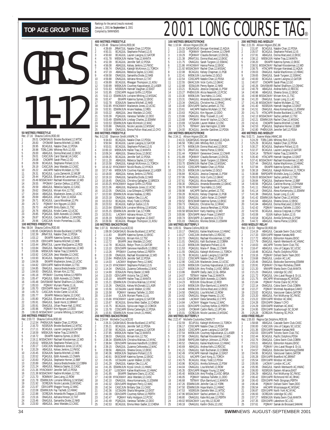|                                                              |                                                                                                                                                                                                                                                | 400<br>Rec: |
|--------------------------------------------------------------|------------------------------------------------------------------------------------------------------------------------------------------------------------------------------------------------------------------------------------------------|-------------|
|                                                              | 1<br>2                                                                                                                                                                                                                                         |             |
|                                                              | 3                                                                                                                                                                                                                                              |             |
|                                                              | 4<br>5                                                                                                                                                                                                                                         |             |
|                                                              | 6<br>7                                                                                                                                                                                                                                         |             |
|                                                              | 8                                                                                                                                                                                                                                              |             |
|                                                              | 9<br>10                                                                                                                                                                                                                                        |             |
|                                                              | 11<br>12                                                                                                                                                                                                                                       |             |
|                                                              | 13                                                                                                                                                                                                                                             |             |
|                                                              | 14<br>15                                                                                                                                                                                                                                       |             |
|                                                              | 16<br>17                                                                                                                                                                                                                                       |             |
|                                                              | 18                                                                                                                                                                                                                                             |             |
|                                                              | 19<br>20                                                                                                                                                                                                                                       |             |
|                                                              | 21<br>22                                                                                                                                                                                                                                       |             |
|                                                              | 23                                                                                                                                                                                                                                             |             |
|                                                              | 24<br>25                                                                                                                                                                                                                                       |             |
| 50 METRES FREESTYLE<br>Shauna Collins, ROD, 90<br>Rec: 27.16 |                                                                                                                                                                                                                                                | 800         |
| 1                                                            | 28.01 CAGMSAUG Brooke Buckland, 12, WTSC<br>1                                                                                                                                                                                                  | Rec:        |
| $\overline{2}$<br>28.83<br>3<br>28.95                        | OYOMAR Seanna Mitchell, 12, NKB<br>$\overline{2}$<br>3<br>BCAGJUL Natalie Chan, 12, PDSA                                                                                                                                                       |             |
| 4<br>28.98<br>5<br>29.00                                     | TORLCJAN Whitney Rich, 12, ISS<br>4                                                                                                                                                                                                            |             |
| 6<br>29.01                                                   | ABAGJUL Donna MacLeod, 12, EKSC<br>5<br>CASCJUN Carol Starratt.14.CASC<br>6                                                                                                                                                                    |             |
| 7<br>29.08<br>8<br>29.09                                     | CNOAPR Sarah Phee, 12, GO<br>7<br>BCAGJUL Stephanie Pollard, 12, IS<br>8                                                                                                                                                                       |             |
| 9<br>29.19                                                   | CASCJUN Jessi Wardale, 12, CASC<br>9                                                                                                                                                                                                           |             |
| 10<br>29.22<br>29.31<br>11                                   | AACAPR Nadine McAdam, 12, TSC<br>10<br>BCAGJUL Lucia Zamecnik, 12, WLBF<br>11                                                                                                                                                                  |             |
| 29.44<br>12<br>13                                            | PQAGJUL Elianne de Larochellier, 12, UL<br>12<br>29.49 MSSACMAY Rachael Kloosterman, 12, WD<br>13                                                                                                                                              |             |
| 14<br>29.55                                                  | PPOMAY Carolyn Delkus, 12, BTSC<br>14                                                                                                                                                                                                          |             |
| 15<br>29.59<br>29.62<br>16                                   | ABAGJUL Rebecca Sayles, 12, CASC<br>15<br>ONAGJUL Miriam Kim, 12, TSC<br>16                                                                                                                                                                    |             |
| 17<br>29.64<br>18<br>29.69                                   | ABAGJUL Mackenzie Jones, 12, UCSC<br>17<br>18                                                                                                                                                                                                  |             |
| 29.71<br>19                                                  | ABAGJUL Jillian Tyler, 12, ASSA<br>BCAGJUL Laura Woodman, 12, PN<br>POIMAY Kim Nguyen, 12, DDO<br>19                                                                                                                                           |             |
| 29.72<br>20<br>29.73<br>21                                   | 20<br>21                                                                                                                                                                                                                                       |             |
| 22<br>29.76<br>23<br>29.85                                   | 22<br>23                                                                                                                                                                                                                                       |             |
| 24<br>29.87                                                  | ACAPR Emily Easto, 11, TSC<br>ABAGJUL Kristie Carter, 12, UCSC<br>POAGJUL Edith Acevedo, 12, CNMN<br>BCAGJUL Cecilie Balfour, 11, WVOSC<br>24                                                                                                  |             |
|                                                              | 25 29.96 CASCJUN Kristin Pomerleau, 11, DEL<br>100 METRES FREESTYLE<br>25                                                                                                                                                                      | 100         |
| Rec: 58.04<br>Shauna Collins, ROD, 90<br>1                   | 1:00.95 CAGMSAUG Brooke Buckland, 12, WTSC<br>1                                                                                                                                                                                                | Rec:        |
| $\overline{a}$<br>1:02.39<br>3<br>1:03.12                    | JRNATJUL Natalie Chan, 12, PDSA<br>2<br>EKIAPR Katerina Symes, 12, EKSC<br>3                                                                                                                                                                   |             |
| 4<br>1:03.28                                                 | ODIV1APR Seanna Mitchell, 12, NKB<br>4                                                                                                                                                                                                         |             |
| 5<br>1:03.44<br>6<br>1:03.84                                 | 5<br>JRNATJUL Lauren MacQuarrie, 12, ROD<br>ONAGJUL Rachael Kloosterman, 12, WD<br>6                                                                                                                                                           |             |
| 7<br>1:03.86<br>8<br>1:03.92                                 | MBSKJUN Hailee Traa,12,MANTA<br>7                                                                                                                                                                                                              |             |
| 9<br>1:03.93                                                 | CASCJUN Jessi Wardale, 12, CASC<br>8<br>BCAGJUL Stephanie Pollard, 12, IS<br>9                                                                                                                                                                 |             |
| 10<br>1:04.06<br>11<br>1:04.82                               | EKIAPR Mackenzie Jones.12.UCSC<br>10<br>ODIV1APR Nadine McAdam.12.TSC<br>11                                                                                                                                                                    |             |
| 12<br>1:04.85<br>13<br>1:04.93                               | ONAGJUL Jessica Bredschneider, 12, COBRA<br>12<br>ONAGJUL Miriam Kim, 12, TSC                                                                                                                                                                  |             |
| 14<br>1:05.18                                                | 13<br>PPOMAY Courtney Kehoe, 12, PERTH<br>14                                                                                                                                                                                                   |             |
| 15<br>1:05.47<br>16<br>1:05.48                               | PQAGJUL Edith Acevedo, 12, CNMN<br>15<br>DAVISMAR Rachel Shallhorn, 12, OSHAC<br>16                                                                                                                                                            |             |
| 17<br>1:05.53<br>18<br>1:05.70                               | PQIMAY Myriam Plante, 11, UL<br>17<br>DIV3APR Aaryn Fraser, 12, MMS                                                                                                                                                                            |             |
| 19<br>1:05.70                                                | 18<br>CASCJUN Kristie Carter, 12, UCSC<br>19                                                                                                                                                                                                   |             |
| 20<br>1:05.77<br>21                                          | EKIAPR Rebecca Sayles, 12, CASC<br>20<br>21                                                                                                                                                                                                    |             |
| $\overline{22}$<br>23                                        | 1.05.77<br>1.05.80 POAGUL Elianne de Larochellier, 12, UL<br>1.05.91 ONAGUL Sarah Hurst, 12, BRANT<br>1.05.91 ONAGUL Jillian Peace-Hall, 12, RISISC<br>1.05.96 POIMAY Kim Nguyen, 12, DDO<br>1.06.05 MSSACMAY Lorraine Whiting, 12, MSSA<br>22 |             |
| 24                                                           | 23<br>24                                                                                                                                                                                                                                       |             |
| 25<br><b>200 METRES FREESTYLE</b>                            | 25                                                                                                                                                                                                                                             | 200         |
| Rec: 2:03.72<br>1<br>2:12.54                                 | Shauna Collins, ROD, 90<br>PHENXJUN Natalie Chan, 12, PDSA<br>1                                                                                                                                                                                | Rec:        |
| $\frac{2}{3}$<br>2:16.70                                     | NSSRJUN Brooke Buckland, 12, WTSC<br>2                                                                                                                                                                                                         |             |
| 2:17.11<br>4<br>2:18.59                                      | 3<br>BCAGJUL Lauren Lavigna, 12, GATOR<br>4<br>MBSKJUN Hailee Traa, 12, MANTA                                                                                                                                                                  |             |
| 5<br>2:18.72<br>6                                            | EKIAPR Katerina Symes, 12, EKSC<br>5<br>2:19.11 MSSACMAY Rachael Kloosterman, 12, WD<br>6                                                                                                                                                      |             |
| 7<br>2:20.02                                                 | MBSKJUN Stephanie Pollard, 12, IS<br>7                                                                                                                                                                                                         |             |
| 8<br>2:20.17<br>9<br>2:20.29                                 | CASCJUN Mackenzie Jones, 12, UCSC<br>8<br>ABAGJUL Kelsey Jenkins,12,FMSC<br>9                                                                                                                                                                  |             |
| 10<br>2:20.45<br>11<br>2:20.52                               | EOSAJUN Seanna Mitchell, 12, NKB<br>10<br>POAGJUL Edith Acevedo, 12, CNMN<br>11                                                                                                                                                                |             |
| 12<br>2:20.83                                                | POAGJUL Stephanie Horner, 12, BBF<br>ONAGJUL Jessica Bredschneider, 12, COBRA<br>12                                                                                                                                                            |             |
| 13<br>2:20.89<br>14<br>2:21.24                               | 13<br>ABAGJUL Rebecca Sayles, 12, CASC<br>14                                                                                                                                                                                                   |             |
| 15<br>16                                                     | 2:21.36 HYACKMAY Jennifer Self, 12, PDSA<br>15<br>2:21.38 MSSACMAY Nadine McAdam, 12, TSC                                                                                                                                                      |             |
| 17<br>2:21.70                                                | 16<br>ROWMAY Zara Laing, 12, ROW<br>17                                                                                                                                                                                                         |             |
| 18<br>2:21.78<br>19<br>2:21.92                               | ESWIMJUN Lorraine Whiting, 12, MSSAC<br>18<br>OCREJUN Nicole Lacoste, 13, MSSAC<br>19                                                                                                                                                          |             |
| 20<br>21                                                     | 2:21.97 ODIV1APR Maggie Young, 12, WAC<br>2:22.08 ESWIMJUN Fay Yachetti, 12, HWAC<br>20                                                                                                                                                        |             |
| 22<br>2:22.88                                                | 21<br>OCREJUN Amanda McTeague, 11, ESWIM<br>22                                                                                                                                                                                                 |             |
| 23<br>2:23.16<br>24                                          | ONAGJUL Adriana Hinson, 12, TAT<br>ONAGJUL Samantha Diotte, 12, NKB<br>23<br>24                                                                                                                                                                |             |

|                      |                      | 400 METRES FREESTYLE                                          |                                                                                                                                                   |
|----------------------|----------------------|---------------------------------------------------------------|---------------------------------------------------------------------------------------------------------------------------------------------------|
| 1                    | 4:39.69              | Rec: 4:28.48 Shauna Collins, ROD, 90                          | JRNATJUL Natalie Chan, 12, PDSA                                                                                                                   |
| $\overline{a}$       | 4:50.31              |                                                               | BCAGJUL Stephanie Pollard, 12, IS                                                                                                                 |
| 3<br>4               | 4:50.60<br>4:51.78   |                                                               | BCAGJUL Lauren Lavigna, 12, GATOR<br>MBSKJUN Hailee Traa,12,MANTA                                                                                 |
| 5                    | 4:52.39              |                                                               | BCAGJUL Jennifer Self, 12, PDSA<br>ABAGJUL Kelsey Jenkins, 12, FMSC                                                                               |
| 6<br>7               | 4:56.08<br>4:56.74   |                                                               | ONAGJUL Kaleigh McKinnon, 11, TORCH                                                                                                               |
| 8                    | 4:57.19              |                                                               | ABAGJUL Rebecca Sayles, 12, CASC                                                                                                                  |
| 9                    | 4:59.58              |                                                               | ONAGJUL Samantha Diotte, 12, NKB<br>ONAGJUL Adriana Hinson, 12, TAT                                                                               |
| 10<br>11             | 4:59.88<br>4:59.89   |                                                               | BCAGJUL Rheagan Thompson, 11, KISU                                                                                                                |
| 12                   | 5:00.99              |                                                               | MBSKJUN Courtney Kapustianyk, 12, LASER<br>NSSRJUN Hannah Vaughan, 12, EAST                                                                       |
| 13<br>14             | 5:01.63<br>5:01.95   |                                                               | CDSCAPR August Griffin, 12, PDSA                                                                                                                  |
| 15                   | 5:02.13              |                                                               | ESWIMJUN Lorraine Whiting, 12, MSSAC<br>EKIAPR Katerina Symes, 12, EKSC<br>EOSAJUN Seanna Mitchell, 12, NKB                                       |
| 16<br>17             | 5:02.47<br>5:02.78   |                                                               |                                                                                                                                                   |
| 18                   | 5:02.85              |                                                               |                                                                                                                                                   |
| 19<br>20<br>21       | 5:02.91              |                                                               | HYACKMAY Mackenzie Jones, 12, UCSC<br>ESWIMJUN Ariane Nadeau, 12, REG                                                                             |
|                      | 5:03.22<br>5:03.39   |                                                               |                                                                                                                                                   |
|                      | 5:03.49              |                                                               |                                                                                                                                                   |
| 22<br>23<br>24<br>25 | 5:03.53<br>5:03.88   |                                                               |                                                                                                                                                   |
|                      | 5:03.89              |                                                               |                                                                                                                                                   |
|                      |                      | 800 METRES FREESTYLE<br>Rec: 9:12.83 Shannon Smith, VANPK, 74 |                                                                                                                                                   |
| $\frac{1}{2}$        |                      |                                                               |                                                                                                                                                   |
| 3                    |                      |                                                               | 9:34.63 BCAGJUL Natalie Chan, 12, PDSA<br>9:50.94 BCAGJUL Lauren Lavigna, 12, GATOR                                                               |
| 4                    | 9:53.01<br>10:00.10  |                                                               | BCAGJUL Stephanie Pollard, 12, IS<br>MBSKJUN Hailee Traa, 12, MANTA                                                                               |
| 5                    | 10:09.24             |                                                               | ABAGJUL Sheena Gross, 12, EKSC                                                                                                                    |
| 6<br>7               | 10:09.25<br>10:11.20 |                                                               | BCAGJUL Jennifer Self, 12, PDSA<br>ABAGJUL Rebecca Sayles, 12, CASC                                                                               |
| 8                    | 10:15.58             |                                                               | ONAGJUL Kaleigh McKinnon, 11, TORCH                                                                                                               |
| 9<br>10              | 10:16.32<br>10:17.49 |                                                               | HYACKMAY Nicole Routtu, 12, HYACK<br>MBSKJUN Courtney Kapustianyk, 12, LASER                                                                      |
| 11                   | 10:18.00             |                                                               | ABAGJUL Kelsey Jenkins,12,FMSC                                                                                                                    |
| 12<br>13             | 10:19.10<br>10:19.45 |                                                               | ONAGJUL Samantha Diotte, 12, NKB<br>ONAGJUL Christina Gallagher, 12, BROCK                                                                        |
| 14                   |                      |                                                               |                                                                                                                                                   |
| 15                   |                      |                                                               | 10:20.25 HYACKMAY August Griffin, 12, PDSA<br>10:21.06 ABAGJUL Mackenzie Jones, 12, UCSC                                                          |
| 16<br>17             | 10:22.05<br>10:22.60 |                                                               | ONAGJUL Lisa Gillespie, 12, PERTH<br>ESWIMJUN Ariane Nadeau, 12, REG                                                                              |
| 18                   | 10:23.18             |                                                               | ONAGJUL Katelyn Oke, 11, LAC<br>BCAGJUL Hilary Todd, 12, PDSA<br>BCAGJUL Kathryn Sutton, 12, IS                                                   |
| 19<br>20             | 10:23.53<br>10:23.53 |                                                               |                                                                                                                                                   |
|                      | 10:23.64             |                                                               | ESWIMJUN Lorraine Whiting, 12, MSSAC                                                                                                              |
| 21<br>22<br>23<br>24 | 10:25.15<br>10:25.51 |                                                               |                                                                                                                                                   |
|                      | 10:26.19             |                                                               | SWIMDUN Jennifer Cao, 12, MORK<br>LACMAY Adriana Hinson, 12, TAT<br>MSSRJUN Hannah Vaughan, 12, TAT<br>BCAGJUL Rheagan Thompson, 11, KISU         |
|                      |                      | 25 10:26.56 <b>BOOKSTROKE</b><br>100 METRES BACKSTROKE        |                                                                                                                                                   |
|                      |                      |                                                               |                                                                                                                                                   |
| 1                    |                      |                                                               | 7.31 Michelle Cruz, ACE, 93<br>1:08.08 CAGMSAUG Brooke Buckland, 12, WTSC                                                                         |
| $\frac{2}{3}$        | 1:11.83<br>1:12.34   |                                                               | EKIAPR Katerina Symes, 12, EKSC<br>ONAGJUL Miriam Kim, 12, TSC<br>EKIAPP Arai Marti 13, CASC                                                      |
| 4                    | 1:12.72              |                                                               | EKIAPR Jessi Wardale, 12, CASC<br>BCAGJUL Robyn Thom, 11, GATOR                                                                                   |
| 5<br>6               | 1:12.78<br>1:13.10   |                                                               | ODIV2APR Genvieve Handforth, 12, EBSC                                                                                                             |
| 7                    | 1:13.26              |                                                               | PPOMAY Courtney Kehoe, 12, PERTH<br>ONAGJUL Rachael Kloosterman, 12, WD                                                                           |
| 8<br>9               | 1:13.39              |                                                               |                                                                                                                                                   |
| 10                   |                      |                                                               | 1:13.84 PHENXJUN Jennifer Self, 12, PDSA<br>1:14.03 LACMAY Meghann Percy, 12, WAC                                                                 |
| 11<br>12             |                      |                                                               | 1:14.23 HYACKMAY Stephanie Pollard, 12, IS<br>1:14.34 ONAGJUL Zuzanna Celkowska, 12, MAC                                                          |
| 13                   | 1:14.69              |                                                               | EOSAJUN Penny Baxter, 12, NKB                                                                                                                     |
| 14                   | 1:15.03              |                                                               | ODIV1APR Victoria Tan, 12, WAC<br>MMAPR Hailee Traa, 12, MANTA                                                                                    |
| 15<br>16             | 1:15.10<br>1:15.21   |                                                               | ESWIMJUN Christina Malinas, 12, NYAC                                                                                                              |
| 17                   | 1.15.26              |                                                               | ONAGJUL Kelsey McDonald, 12, LASR                                                                                                                 |
| 18<br>19             | 1:15.56<br>1:15.58   |                                                               | UCSAJAN Lauren Walker, 12, OSC<br>PQIMAY Vanessa Taillefer, 11, DDO                                                                               |
| 20                   | 1:15.64              |                                                               | ULJUN Myriam Plante, 11, UL                                                                                                                       |
| 21<br>22             |                      |                                                               |                                                                                                                                                   |
| 23                   |                      |                                                               | 115.66 HYACKMAY Lauren Lavigna, 12, GATOR<br>115.67 BCAGJUL Emma West-Sadler, 12, CHENA<br>115.75 BCAGJUL Sylvia van Hage, 12, COMOX              |
| 24<br>25             |                      |                                                               |                                                                                                                                                   |
|                      | 1:15.78              |                                                               |                                                                                                                                                   |
|                      | 1:15.91              |                                                               | CDSCAPR Emma Cartwright, 12, PDSA<br>ESWIMJUN Kryssi Unruh, 11, HWAC                                                                              |
|                      |                      | 200 METRES BACKSTROKE<br>Rec: 2:24.64 Michelle Cruz, ACE, 93  |                                                                                                                                                   |
|                      |                      |                                                               | 2:26.31 CAGMSAUG Brooke Buckland, 12, WTSC                                                                                                        |
| 1<br>2<br>3          | 2:35.21<br>2:37.58   |                                                               |                                                                                                                                                   |
| 4                    | 2:37.85              |                                                               | BCAGJUL Jennifer Self, 12, PDSA<br>BCAGJUL Lauren Lavigna, 12, GATOR<br>MBSKJUN Hailee Traa, 12, MANTA                                            |
| 5<br>6               | 2:38.03<br>2:38.34   |                                                               | ONAGJUL Miriam Kim, 12, TSC<br>ESWIMJUN Christina Malinas, 12, NYAC                                                                               |
| 7                    | 2:38.84              |                                                               | ODIV2APR Genvieve Handforth, 12, EBSC                                                                                                             |
| 8<br>9               | 2:39.15<br>2:39.56   |                                                               |                                                                                                                                                   |
| 10                   | 2:40.36              |                                                               | ONAGJUL Zuzanna Celkowska, 12, MAC<br>ABAGJUL Sheena Gross, 12, EKSC<br>MBSKJUN Stephanie Pollard, 12, IS                                         |
| 11<br>12             | 2:40.91<br>2:41.05   |                                                               | EKSCMAR Katerina Symes, 12, EKSC<br>UCSAJAN Lauren Walker, 12, OSC                                                                                |
| 13                   | 2:41.29              |                                                               | ONAGJUL Katelyn Oke, 11, LAC                                                                                                                      |
| 14                   | 2:41.35              |                                                               | ESWIMJUN Kryssi Unruh, 11, HWAC                                                                                                                   |
| 15<br>16             | 2:41.87              |                                                               | LUSCMAY Kailee MacKinnon, 12, HWAC                                                                                                                |
| 17                   |                      |                                                               |                                                                                                                                                   |
| 18<br>19             | 2:42.32              |                                                               | 2:41.95 EKIAPR Stephanie Davis, 12, UCSC<br>2:42.08 HYACKMAY Jessi Wardale, 12, CASC<br>2:42.10 ONAGJUL Alexa Komarnycky, 11, ESWIM               |
| 20                   | 2:42.34              |                                                               | ODIV1APR Meghann Percy, 12, WAC<br>CASCJUN Brittany Ozar, 11, CASC                                                                                |
| 21<br>$^{22}$        | 2:42.36<br>2:42.39   |                                                               | UCSAJAN Sharla Wingerter, 12, EXST                                                                                                                |
| 23<br>24             | 2:42.47<br>2:42.49   |                                                               | ODIV2APR Courtney Kehoe, 12, PERTH<br>POIMAY Kelly Hodgson, 12, PCSC<br>PQAGJUL Vanessa Taillefer, 12, DDO<br>BCAGJUL Emma West-Sadler, 12, CHENA |

## TOP AGE GROUP TIMES **REARING SCITTLE PERIOD (FOSURE TRAGE TRAGE TAGE**

|          |                    | <b>100 METRES BREASTSTROKE</b>                                         |                                                                                 |                     |                            | <b>200 METRES IND MEDLEY</b>                                        |                                                                                 |
|----------|--------------------|------------------------------------------------------------------------|---------------------------------------------------------------------------------|---------------------|----------------------------|---------------------------------------------------------------------|---------------------------------------------------------------------------------|
| 1        |                    | Rec: 1:10.94 Allison Higson, ESC, 86                                   | 1:15.16 CAGMSAUG Morgan Kierstead, 12, AQUA                                     | 1                   | 2:31.87                    | Rec: 2:21.55 Allison Higson, ESC, 86                                | BCAGJUL Natalie Chan, 12, PDSA                                                  |
| 2        | 1:19.03            |                                                                        | PQIIIMAY Genevieve Crevier, 12, CNHR                                            | $\overline{a}$      | 2:35.57                    |                                                                     | BCAGJUL Stephanie Pollard, 12, IS                                               |
| 3<br>4   | 1:19.29<br>1:21.38 |                                                                        | PQIIIMAY Claudia Bonsant, 12, EXCEL<br>JRNATJUL Donna MacLeod, 12, EKSC         | 3<br>4              | 2:37.91<br>2:38.12         |                                                                     | ABAGJUL Donna MacLeod, 12, EKSC<br>MBSKJUN Hailee Traa, 12, MANTA               |
| 5        | 1:21.75            |                                                                        | ONAGJUL Sarah Turgeon, 12, SSMAC                                                | 5                   | 2:38.20                    |                                                                     | EKIAPR Katerina Symes, 12, EKSC                                                 |
| 6<br>7   |                    |                                                                        | 1:21.86 HYACKMAY Hanna Pierse, 12, EKSC                                         | 6<br>7              | 2:38.75                    |                                                                     | 2:38.51 MSSACMAY Rachael Kloosterman,12,V                                       |
| 8        | 1:22.08            |                                                                        | 1:21.92 MSSACMAY Rachel Chan, 12, MSSAC<br>BCAGJUL Kelsey Chapman, 11, PGB      | 8                   | 2:39.03                    |                                                                     | HTACAPR Morgan Kierstead, 12, AQU<br>ONAGJUL Kailee MacKinnon, 12, HW/          |
| 9        | 1:22.41            |                                                                        | MBSKJUN Lisa Kenke, 12, GOLD                                                    | 9                   | 2:39.65                    |                                                                     | ONAGJUL Sarah Turgeon, 12, SSMAC                                                |
| 10<br>11 | 1:22.54<br>1:22.55 |                                                                        | CDSCAPR Natalie Chan, 12, PDSA<br>GMACJUN Vicki Curtis, 12, GMAC                | 10<br>11            | 2:40.00<br>2:40.07         |                                                                     | BCAGJUL Lauren Lavigna, 12, GATOR<br>CNOAPR Sarah Phee, 12, GO                  |
| 12       | 1:22.68            |                                                                        | EOSAJUN Penny Baxter, 12, NKB                                                   | 12                  | 2:40.26                    |                                                                     | DAVISMAR Rachel Shallhorn, 12, OSH/                                             |
| 13<br>14 | 1:23.21            |                                                                        | BCAGJUL Jessica Crepjnak, 11, PSW<br>1:23.27 PHENXJUN Alicia Neasmith, 12, PCSC | 13<br>14            | 2:40.79<br>2:40.96         |                                                                     | ABAGJUL Andrea Kells, 12, RDCSC<br>ABAGJUL Sheena Gross, 12, EKSC               |
| 15       | 1:23.30            |                                                                        | MBSKJUN Tara Hahto, 11, CASC                                                    | 15                  |                            |                                                                     | 2:40.98 MSSACMAY Miriam Kim,11,TSC                                              |
| 16<br>17 | 1:23.31<br>1:23.34 |                                                                        | ONAGJUL Amanda Bissonette, 12, GMAC<br>ONAGJUL Christine Hui, 12, RHAC          | 16<br>17            | 2:41.20                    |                                                                     | ONAGJUL Susan Long, 11, LAC<br>2:41.36 MSSACMAY Nadine McAdam,12,TSC            |
| 18       | 1:23.40            |                                                                        | ODIV1APR Sacha Lambert, 12, TSC                                                 | 18                  | 2:41.40                    |                                                                     | NSSRJUN Hannah Vaughan, 12, EAST                                                |
| 19       | 1:23.61            |                                                                        | AACAPR Nadine McAdam.12.TSC                                                     | 19                  | 2:41.51                    |                                                                     | ONAGJUL Alexa Komarnycky, 11, ESV                                               |
| 20<br>21 | 1:23.63<br>1:23.66 |                                                                        | PQAGJUL Kim Nguyen, 12, DDO<br>ONAGJUL Riley Truswell, 11, LAC                  | 20<br>21            | 2:41.73                    |                                                                     | HTACAPR Brooke Buckland, 11, WTSO<br>2:42.13 MSSACMAY Sacha Lambert, 12, TSC    |
| 22       | 1:23.68            |                                                                        | PPOMAY Anne-M Vachon, 12, CNCC                                                  | 22                  |                            |                                                                     | 2:42.21 ESWIMJUN Rachel Chan, 12, MSSAC                                         |
| 23<br>24 | 1:23.69<br>1:23.75 |                                                                        | UCSAJAN Lauren Walker, 12, OSC<br>TBTMAY Jane Harrington, 12, MM                | 23<br>24            | 2:42.41<br>2:42.53         |                                                                     | CNOAPR Seanna Mitchell, 12, NKB<br>POAGJUL Stephanie Horner, 12, BBF            |
| 25       | 1:24.00            |                                                                        | BCAGJUL Jennifer Gardiner, 12, PDSA                                             | 25                  |                            |                                                                     | 2:42.80 PHENXJUN Jennifer Self, 12, PDSA                                        |
|          |                    | <b>200 METRES BREASTSTROKE</b><br>Rec: 2:34.11 Allison Higson, ESC, 86 |                                                                                 |                     |                            | <b>400 METRES IND.MEDLEY</b><br>Rec: 5:02.71 Joanne Malar, HWAC, 88 |                                                                                 |
| 1        |                    |                                                                        | 2:43.31 CAGMSAUG Morgan Kierstead, 12, AQUA                                     | 1                   | 5:24.29                    |                                                                     | TORLCJAN Whitney Rich, 12, ISS                                                  |
| 2        | 2:46.58            |                                                                        | TORLCJAN Whitney Rich, 12, ISS                                                  | $\overline{c}$      | 5:25.29                    |                                                                     | BCAGJUL Natalie Chan, 12, PDSA                                                  |
| 3<br>4   | 2:47.75<br>2:50.73 |                                                                        | MBSKJUN Donna MacLeod, 12, EKSC<br>JRNATJUL Hanna Pierse, 12, EKSC              | 3<br>4              | 5:30.27<br>5:32.37         |                                                                     | BCAGJUL Stephanie Pollard, 12, IS<br>BCAGJUL Lauren Lavigna, 12, GATOR          |
| 5        | 2:51.44            |                                                                        | PQIIIMAY Genevieve Crevier, 12, CNHR                                            | 5                   | 5:34.14                    |                                                                     | TBTMAY Hailee Traa,12,MANTA                                                     |
| 6<br>7   | 2:51.89<br>2:53.37 |                                                                        | PQIIIMAY Claudia Bonsant, 12, EXCEL<br>ONAGJUL Sarah Turgeon, 12, SSMAC         | 6<br>7              | 5:35.40                    |                                                                     | HTACAPR Hannah Vaughan, 12, EAST<br>5:37.41 MSSACMAY Rachael Kloosterman, 12, W |
| 8        |                    |                                                                        | 2:53.70 ESWIMJUN Rachel Chan,12,MSSAC                                           | 8                   | 5:37.44                    |                                                                     | ONAGJUL Kailee MacKinnon, 12, HW/                                               |
| 9        | 2:54.53            |                                                                        | CDSCAPR Natalie Chan, 12, PDSA                                                  | 9<br>10             | 5:37.94                    |                                                                     | EKIAPR Katerina Symes, 12, EKSC                                                 |
| 10<br>11 | 2:55.15<br>2:56.84 |                                                                        | MBSKJUN Lisa Kenke, 12, GOLD<br>BCAGJUL Jessica Crepjnak, 11, PSW               | 11                  | 5:38.18<br>5:38.88         |                                                                     | ONAGJUL Kaleigh McKinnon, 11, TOR<br>RAPIDAPR Michelle Jung, 11, CHENA          |
| 12       | 2:57.06            |                                                                        | ONAGJUL Vicki Curtis, 12, GMAC                                                  | 12                  |                            |                                                                     | 5:39.03 MSSACMAY Sacha Lambert, 12, TSC                                         |
| 13<br>14 | 2:57.61<br>2:58.30 |                                                                        | POAGJUL Alicia Neasmith, 12, PCSC<br>ONAGJUL Amanda Bissonette, 12, GMAC        | 13<br>14            | 5:39.84<br>5:40.56         |                                                                     | POAGJUL Stephanie Horner, 12, BBF<br>PQAGJUL Caroline Murray, 12, DYNA          |
| 15       |                    |                                                                        | 2:58.78 HYACKMAY Tara Hahto, 11, CASC                                           | 15                  | 5:41.11                    |                                                                     | ONAGJUL Sarah Turgeon, 12, SSMAC                                                |
| 16<br>17 | 2:58.98<br>2:59.28 |                                                                        | AACAPR Sacha Lambert, 12, TSC<br>BCAGJUL Kelsey Chapman, 11, PGB                | 16<br>17            | 5:41.14<br>5:41.38         |                                                                     | ONAGJUL Alexa Komarnycky, 11, ESV<br>ONAGJUL Susan Long, 11, LAC                |
| 18       | 2:59.50            |                                                                        | ONAGJUL Caitlin Nolan, 12, CHAMP                                                | 18                  |                            |                                                                     | 5:41.42 ESWIMJUN Rachel Chan, 12, MSSAC                                         |
| 19       | 2:59.52            |                                                                        | EKSCMAR Katerina Symes, 12, EKSC                                                | 19<br>20            | 5:41.64                    |                                                                     | ABAGJUL Sheena Gross, 12, EKSC                                                  |
| 20<br>21 | 2:59.73<br>3:00.31 |                                                                        | ONAGJUL Christine Hui, 12, RHAC<br>BCAGJUL Jessica Renshaw, 12, PDSA            | 21                  | 5:41.84<br>5:42.42         |                                                                     | ABAGJUL Donna MacLeod, 12, EKSC<br>PQIMAY Vanessa Taillefer, 11, DDO            |
| 22       |                    |                                                                        | 3:00.58 MSSACMAY Karly Harding, 12, WD                                          | 22                  | 5:42.55                    |                                                                     | BCAGJUL Jessica Crepjnak, 11, PSW                                               |
| 23<br>24 | 3:00.66<br>3:00.74 |                                                                        | ODIV3APR Aaryn Fraser, 12, MMST<br>ODIV3APR Jy Lawrence, 12, CT33               | 23<br>24            | 5:43.08<br>5:43.54         |                                                                     | ISJUN Kathryn Sutton, 12, IS<br>BCAGJUL Annika Schmuck, 12, PSW                 |
| 25       | 3:01.03            |                                                                        | ONAGJUL Monika Stitski, 11, ESWIM                                               | 25                  | 5:44.72                    |                                                                     | ABAGJUL Hanna Pierse, 12, EKSC                                                  |
|          |                    | <b>100 METRES BUTTERFLY</b><br>Rec: 1:05.51 Shauna Collins, ROD, 90    |                                                                                 |                     | 4X50 MEDLEY RELAY          | Rec: 2:10.53 Regina OD, ROD, 90                                     |                                                                                 |
| 1        | 1:10.17            |                                                                        | ONAGJUL Kailee MacKinnon, 12, HWAC                                              | 1                   | 2:14.19                    |                                                                     | ABAGJUL Cascade Swim Club, CASO                                                 |
| 2<br>3   | 1:10.27<br>1:10.72 |                                                                        | CASCJUN Andrea Kells, 12, RDCSC<br>ONAGJUL Rachael Kloosterman, 12, WD          | $\overline{a}$<br>3 | 2:17.33<br>2:17.72         |                                                                     | ODIV1APR Nepean Kanata, NKB<br>ABAGJUL Edmonton Keyano, EKSC                    |
| 4        | 1:11.01            |                                                                        | ONAGJUL Kalli Buchanan, 12, COBRA                                               | 4                   | 2:17.79                    |                                                                     | ONAGJUL Hamilt-Wentworth AC,HW                                                  |
| 5        | 1:11.22<br>1:11.53 |                                                                        | MBSKJUN Stephanie Pollard, 12, IS<br>POAGJUL Marie-P. Bleau, 12, CNHR           | 5<br>6              | 2:18.03<br>2:18.47         |                                                                     | AACAPR Toronto Swim Club, TSC<br>ABAGJUL Univ.of Calgary SC,UCSC                |
| 6<br>7   | 1:11.55            |                                                                        | ONAGJUL Kaleigh McKinnon, 11, TORCH                                             | 7                   | 2:18.48                    |                                                                     | <b>BCAGJUL Pacific Dolphins, PDSA</b>                                           |
| 8        | 1:11.78            |                                                                        | BCAGJUL Lauren Lavigna, 12, GATOR                                               | 8                   | 2:19.16                    |                                                                     | PQIMAY Dollard Swim Team, DDO                                                   |
| 9<br>10  | 1:12.12<br>1:12.90 |                                                                        | CDSCAPR Natalie Chan, 12, PDSA<br>CASCJUN Mackenzie Jones, 12, UCSC             | 9<br>10             | 2:19.68<br>2:20.46         |                                                                     | ONAGJUL London AC,LAC<br>ONAGJUL Etobicoke Swimming, ESW                        |
| 11       | 1:13.05            |                                                                        | MBSKJUN Courtney Kapustianyk, 12, LASER                                         | 11                  | 2:20.91                    |                                                                     | POIIIMAY CN Haut-Richelieu, CNHR                                                |
| 12<br>13 | 1:13.27<br>1:13.86 |                                                                        | MBSKJUN Amy Findlay, 11, KSC-BRSA<br>EKIAPR Darby Jack, 12, GL-BRSA             | 12<br>13            | 2:21.20<br>2:21.23         |                                                                     | MMAPR Manta Swim Club, MANTA<br>ONAGJUL Uxbridge SC,USC                         |
| 14       | 1:14.07            |                                                                        | TBTMAY Hailee Traa, 12, MANTA                                                   | 14                  | 2:21.72                    |                                                                     | PQAGJUL Univ.Laval Rouge & Or, UL                                               |
| 15<br>16 | 1:14.15<br>1:14.23 |                                                                        | CAMOMAR Edith Acevedo, 12, CNMN<br>RODJUN Erika Brown, 12, ROD                  | 15<br>16            | 2:21.75<br>2:21.84         |                                                                     | AACAPR Mississauga AČ, MSSAC<br>PQIMAY Pointe Claire SC, PCSC                   |
| 17       | 1:14.43            |                                                                        | MBSKJUN Ellyn Barnlund, 11, MANTA                                               | 17                  | 2:22.14                    |                                                                     | ONAGJUL Cobra Swim Club, COBRA                                                  |
| 18<br>19 | 1:14.46            |                                                                        | MBSKJUN DONNA MACLEOD, IZ, EKSU                                                 | 18<br>19            | L.LL.LI                    |                                                                     | PUIMAY Montreal Aquatique,CAMC<br><b>BCAGJUL Vancouver Gators, GATOR</b>        |
| 20       | 1:14.50<br>1:14.62 |                                                                        | ONAGJUL Lisa Mitchell, 12, ROW<br>ONAGJUL Megan Heaney, 12, LSC                 | 20                  | 2:23.02<br>2:23.20         |                                                                     | ABAGJUL Fort McMurray SC, FMSC                                                  |
| 21       | 1:14.80            |                                                                        | LACMAY Dana Serwotka, 12, CYPS                                                  | 21                  | 2:23.22                    |                                                                     | ODIV1APR Windsor AC, WAC                                                        |
| 22<br>23 | 1:14.84<br>1:14.91 |                                                                        | LACMAY Maggie Young, 12, WAC<br>ODIV2APR Courtney Kehoe, 12, PERTH              | 22<br>23            | 2:24.28<br>2:24.29         |                                                                     | ODIV2APR Ottawa Y,OYO<br>ODIV3APR Markham AC, MAC                               |
| 24       | 1:14.93            |                                                                        | OYOMAR Caitlin Reilly, 12, UPCAN                                                | 24                  | 2:24.95                    |                                                                     | ODIV1APR Scarborough SC, SCAR                                                   |
| 25       | 1:15.01            | <b>200 METRES BUTTERFLY</b>                                            | OCREJUN Nicole Lacoste, 13, MSSAC                                               | 25                  | 2:25.28<br>4X50 FREE RELAY |                                                                     | OCREJUN Pickering SC, PICK                                                      |
|          |                    |                                                                        | Rec: 2:22.47 Michelle Coulombe, CNMN, 77                                        |                     |                            | Rec: 1:55.93 Regina Opt.Dolphins,ROD,95                             |                                                                                 |
| 1<br>2   | 2:32.59<br>2:36.17 |                                                                        | ECUPJUL Kaleigh McKinnon, 11, TORCH<br>CDSCAPR Natalie Chan, 12, PDSA           | 1<br>2              | 1:58.68<br>2:00.00         |                                                                     | ABAGJUL Cascade Swim Club, CASC<br>CASCJUN Univ.of Calgary SC, UCSC             |
| 3        | 2:36.63            |                                                                        | CDSCAPR Lauren Lavigna, 12, GATOR                                               | 3                   | 2:01.36                    |                                                                     | ODIV1APR Nepean Kanata, NKB                                                     |
| 4        | 2:37.54            |                                                                        | MBSKJUN Courtney Kapustianyk, 12, LASER                                         | 4                   | 2:02.03                    |                                                                     | ODIV1APR Toronto Swim Club, TSC                                                 |
| 5<br>6   | 2:37.90<br>2:39.68 |                                                                        | ONAGJUL Rachael Kloosterman, 12, WD<br>RAPIDJAN Kathryn Johnson, 12, PDSA       | 5<br>6              | 2:02.44<br>2:02.76         |                                                                     | BCAGJUL Pacific Dolphins, PDSA<br>ONAGJUL Cobra Swim Club, COBRA                |
| 7        | 2:40.52            |                                                                        | ONAGJUL Kailee MacKinnon, 12, HWAC                                              | 7                   | 2:03.21                    |                                                                     | ABAGJUL Edmonton Keyano, EKSC                                                   |
| 8<br>9   | 2:40.69<br>2:41.21 |                                                                        | ABAGJUL Andrea Kells, 12, RDCSC<br>ONAGJUL Kalli Buchanan, 12, COBRA            | 8<br>9              | 2:04.53<br>2:04.57         |                                                                     | PQIMAY Univ.Laval Rouge & Or, UL<br>ONAGJUL Etobicoke Swimming, ESW             |
| 10       | 2:42.49            |                                                                        | HTACAPR Hannah Vaughan, 12, EAST                                                | 10                  | 2:04.95                    |                                                                     | BCAGJUL Vancouver Gators, GATOR                                                 |
| 11<br>12 | 2:42.51<br>2:43.75 |                                                                        | AACAPR Carol Kong, 11, TORCH<br>BCAGJUL Hilary Todd, 12, PDSA                   | 11<br>12            | 2:05.28<br>2:05.54         |                                                                     | ODIV1APR Brantford AC, BRANT<br>ODIV1APR Windsor AC, WAC                        |
| 13       | 2:43.96            |                                                                        | BCAGJUL Annika Schmuck, 12, PSW                                                 | 13                  | 2:05.95                    |                                                                     | LACMAY London AC, LAC                                                           |
| 14       | 2:44.04            |                                                                        | ONAGJUL Lisa Mitchell, 12, ROW                                                  | 14                  | 2:05.95<br>2:06.00         |                                                                     | ONAGJUL Hamilt-Wentworth AC, HW.                                                |
| 15<br>16 | 2:45.35<br>2:45.40 |                                                                        | ODIV1APR Maggie Young, 12, WAC<br>MBSKJUN Amy Findlay, 11, KSC-BRSA             | 15<br>16            | 2:06.29                    |                                                                     | NSSRJUN Eastern Alliance, EAST<br>ABAGJUL Fort McMurray SC, FMSC                |
| 17       | 2:46.05            |                                                                        | PQIMAY Vanessa Taillefer, 11, DDO                                               | 17                  | 2:06.42                    |                                                                     | ODIV1APR Richmond Hill AC, RHAC                                                 |
| 18<br>19 | 2:46.68            |                                                                        | TBTMAY Ellyn Barnlund, 11, MANTA<br>2:47.26 ESWIMJUN Jennifer Cao, 12, YORK     | 18<br>19            | 2:06.43<br>2:06.46         |                                                                     | ODIV2APR Perth Stingrays, PERTH<br>PQIMAY Dollard Swim Team, DDO                |
| 20       |                    |                                                                        | 2:47.50 ESWIMJUN Hope Martin, 11, HWAC                                          | 20                  | 2:06.54                    |                                                                     | AACAPR Mississauga AC,MSSAC                                                     |
| 21<br>22 | 2:47.53            |                                                                        | NSSRJUN Danielle Weir, 11, WTSC<br>2:47.96 MSSACMAY Sacha Lambert, 12, TSC      | 21<br>22            | 2:06.87<br>2:06.93         |                                                                     | ODIV1APR North York AC, NYAC<br>OCREJUN Uxbridge SC,USC                         |
| 23       | 2:48.80            |                                                                        | ONAGJUL Katie McLean, 12, PERTH                                                 | 23                  | 2:07.27                    |                                                                     | MBSKJUN Manta Swim Club, MANTA                                                  |
| 24<br>25 |                    |                                                                        | 2:49.02 MSSACMAY Lucy Wu,12,SCAR<br>2:49.18 ONAGJUL Kaitlin Olidis, 12, USC     | 24<br>25            | 2:07.35<br>2:07.61         |                                                                     | ODIV2APR Lakeshore SC,LSC<br>PQIMAY Samak de Brossard, SAMA                     |
|          |                    |                                                                        |                                                                                 |                     |                            |                                                                     |                                                                                 |

#### **2 IND.MEDLEY** Rec: 2:21.55 Allison Higson,ESC,86 1 2:31.87 BCAGJUL Natalie Chan,12,PDSA 2 2:35.57 BCAGJUL Stephanie Pollard,12,IS 31 ABAGJUL Donna MacLeod,12,EKSC 4 2:38.12 MBSKJUN Hailee Traa,12,MANTA 20 EKIAPR Katerina Symes,12,EKSC 6 2:38.51 MSSACMAY Rachael Kloosterman,12,WD 7 2:38.75 HTACAPR Morgan Kierstead,12,AQUA 8 2:39.03 ONAGJUL Kailee MacKinnon,12,HWAC 9 2:39.65 ONAGJUL Sarah Turgeon,12,SSMAC 10 2:40.00 BCAGJUL Lauren Lavigna,12,GATOR 11 2:40.07 CNOAPR Sarah Phee,12,GO 22 - 240.26 DAVISIMAR Rachel Shallhorn, 12, 05:HAC<br>13 - 2:40.79 - ABAGJUL Andrea Kells, 12, ROCSC<br>14 - 2:40.96 - ABAGJUL Sheena Gross, 12, EKSC<br>15 - 2:41.20 - ONAGJUL Susan Long, 11, LAC<br>2:41.20 - ONAGJUL Susan Long, 11, L 20 2:41.73 HTACAPR Brooke Buckland,11,WTSC 21 2:42.13 MSSACMAY Sacha Lambert,12,TSC .21 ESWIMJUN Rachel Chan,12,MSSAC 23 2:42.41 CNOAPR Seanna Mitchell,12,NKB 24 2:42.53 PQAGJUL Stephanie Horner,12,BBF 25 2:42.80 PHENXJUN Jennifer Self,12,PDSA **400 METRES IND.MEDLEY** Rec: 5:02.71 Joanne Malar,HWAC,88 1 5:24.29 TORLCJAN Whitney Rich,12,ISS 2 5:25.29 BCAGJUL Natalie Chan,12,PDSA 3 5:30.27 BCAGJUL Stephanie Pollard,12,IS 4 5:32.37 BCAGJUL Lauren Lavigna,12,GATOR 5 5:34.14 TBTMAY Hailee Traa,12,MANTA 6 5:35.40 HTACAPR Hannah Vaughan,12,EAST 7 5:37.41 MSSACMAY Rachael Kloosterman,12,WD 8 5:37.44 ONAGJUL Kailee MacKinnon,12,HWAC 9 5:37.94 EKIAPR Katerina Symes,12,EKSC 10 5:38.18 ONAGJUL Kaleigh McKinnon,11,TORCH 11 5:38.88 RAPIDAPR Michelle Jung,11,CHENA 12 5:39.03 MSSACMAY Sacha Lambert,12,TSC 13 5:39.84 PQAGJUL Stephanie Horner,12,BBF 14 5:40.56 PQAGJUL Caroline Murray,12,DYNAM 15 5:41.11 ONAGJUL Sarah Turgeon,12,SSMAC 16 5:41.14 ONAGJUL Alexa Komarnycky,11,ESWIM 17 5:41.38 ONAGJUL Susan Long,11,LAC 18 5:41.42 ESWIMJUN Rachel Chan,12,MSSAC 19 5:41.64 ABAGJUL Sheena Gross,12,EKSC 20 ABAGJUL Donna MacLeod,12,EKSC<br>20 POIMAY Vanessa Taillefer,11,DDO.<br>255 BCAGJUL Jessica Crepinak.11.PSW. 21 5:42.42 PQIMAY Vanessa Taillefer,11,DDO 22 5:42.55 BCAGJUL Jessica Crepjnak,11,PSW 23 5:43.08 ISJUN Kathryn Sutton,12,IS 24 5:43.54 BCAGJUL Annika Schmuck,12,PSW 72 ABAGJUL Hanna Pierse,12,EKSC **EV RELAY** Regina OD,ROD,90<br>19 ABAGJUL Cas 19 ABAGJUL Cascade Swim Club,CASC 2 2:17.33 ODIV1APR Nepean Kanata,NKB 3 2:17.72 ABAGJUL Edmonton Keyano,EKSC 2:17.79 ONAGJUL Hamilt-Wentworth AC,HWAC<br>5 2:18.03 AACAPR Toronto Swim Club,TSC<br>6 2:18.47 ABAGJUL Univ.of Calgary SC,UCSC<br>2:18.48 BCAGJUL Pacific Dolphins PDSA<br>2:19.68 ONAGJUL London AC,LAC<br>9 2:19.68 ONAGJUL London AC,LAC 11 2:20.46 ONAGJUL Etobicoke Swimming,ESWIM<br>191 POIIIMAY CN Haut-Richelieu,CNHR 11 BOW 1996 ENDROING SWITHING, EST<br>191 PQIIIMAY CN Haut-Richelieu, CNHR<br>20 MMAPR Manta Swim Club.MANTA 20 MMAPR Manta Swim Club,MANTA<br>23 DNAGJUL Uxbridge SC,USC<br>72 PQAGJUL Univ.Laval Rouge & Or,UL 13 2:21.23 ONAGJUL Uxbridge SC,USC 14 2:21.72 PQAGJUL Univ.Laval Rouge & Or,UL 15 2:21.75 AACAPR Mississauga AC,MSSAC 16 2:21.84 PQIMAY Pointe Claire SC,PCSC 17 2:22.14 ONAGJUL Cobra Swim Club,COBRA 19 POIMAY Montreal Aquatique,CAMO<br>18 BCAGJUL Vancouver Gators,GATOR 19 19 2:23.02 BCAGJUL Vancouver Gators,GATOR<br>19 20 18 2:23.02 ABAGJUL Fort McMurray SC.FMSC 20 ABAGJUL Fort McMurray SC,FMSC<br>22 ODIV1APR Windsor AC,WAC<br>28 ODIV2APR Ottawa Y,OYO 21 2:23.22 ODIV1APR Windsor AC,WAC 22 2:24.28 ODIV2APR Ottawa Y,OYO 23 2:24.29 ODIV3APR Markham AC,MAC 24 2:24.95 ODIV1APR Scarborough SC,SCAR 25 2:25.28 OCREJUN Pickering SC,PICK **4X50 FREE RELAY** Rec: 1:55.93 Regina Opt.Dolphins,ROD,95 1.68 ABAGJUL Cascade Swim Club,CASC<br>00 CASC JUN Univ of Calgary SC UCSC 2 2:00.00 CASCJUN Univ.of Calgary SC,UCSC 3 2:01.36 ODIV1APR Nepean Kanata,NKB 4 2:02.03 ODIV1APR Toronto Swim Club,TSC .44 BCAGJUL Pacific Dolphins,PDSA<br>76 ONAGJUL Cobra Swim Club,COB 144 BONGOOL Facility Bonney, Bonney<br>1.76 ONAGJUL Cobra Swim Club,COBRA<br>1.21 ABAGJUL Edmonton Keyano,EKSC 21 ABAGJUL Edmonton Keyano,EKSC<br>753 PQIMAY Univ.Laval Rouge & Or,U.<br>757 ONAGJUL Etobicoke Swimming,ES 8 2:04.53 PQIMAY Univ.Laval Rouge & Or,UL 9 2:04.57 ONAGJUL Etobicoke Swimming,ESWIM 10 2:04.95 BCAGJUL Vancouver Gators,GATOR 11 2:05.28 ODIV1APR Brantford AC,BRANT 12 2:05.54 ODIV1APR Windsor AC,WAC 13 LACMAY London AC,LAC<br>195 DNAGJUL Hamilt-Wentwort 14 2:05.000 Discount London<br>14 2:05.95 ONAGJUL Hamilt-Wentworth AC, HWAC<br>14 NSSR JUN Fastern Alliance FAST 00 NSSRJUN Eastern Alliance,EAST<br>29 ABAGJUL Fort McMurray SC,FN<br>42 ODIV1APR Richmond Hill AC,RH. 16 2:06.29 ABAGJUL Fort McMurray SC,FMSC 17 2:06.42 ODIV1APR Richmond Hill AC,RHAC 18 2:06.43 ODIV2APR Perth Stingrays,PERTH 19 2:06.46 PQIMAY Dollard Swim Team,DDO 20 2:06.54 AACAPR Mississauga AC,MSSAC 2012 ODIV1APR North York AC,NYAC<br>2021 OCREJUN Uxbridge SC,USC

25 2:07.61 PQIMAY Samak de Brossard,SAMAK

25 2:23.50 ABAGJUL Jessi Wardale,12,CASC

 $\mathbf{I}$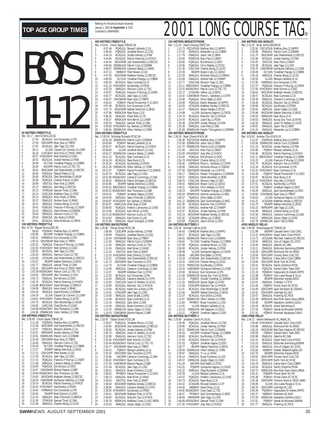|                                                                                                                                                                                                                                                           | 400<br>Rec:                      |
|-----------------------------------------------------------------------------------------------------------------------------------------------------------------------------------------------------------------------------------------------------------|----------------------------------|
|                                                                                                                                                                                                                                                           | 1                                |
|                                                                                                                                                                                                                                                           | $\overline{2}$<br>3              |
|                                                                                                                                                                                                                                                           | 4<br>5                           |
|                                                                                                                                                                                                                                                           | 6                                |
|                                                                                                                                                                                                                                                           | 7<br>8                           |
|                                                                                                                                                                                                                                                           | 9<br>10                          |
|                                                                                                                                                                                                                                                           | 11                               |
|                                                                                                                                                                                                                                                           | 12<br>13                         |
|                                                                                                                                                                                                                                                           | 14                               |
|                                                                                                                                                                                                                                                           | 15<br>16                         |
|                                                                                                                                                                                                                                                           | 17<br>18                         |
|                                                                                                                                                                                                                                                           | 19                               |
|                                                                                                                                                                                                                                                           | 20<br>21                         |
|                                                                                                                                                                                                                                                           | 22<br>23                         |
|                                                                                                                                                                                                                                                           | 24                               |
| <b>50 METRES FREESTYLE</b>                                                                                                                                                                                                                                | 25<br>150                        |
| Rec: 26.17<br>John M.Mills, GO, 92<br>27.43<br>BCAGJUL Kurt Grossman, 12, PN<br>1                                                                                                                                                                         | Rec:                             |
| 2<br>27.59<br>ODIV3APR Ryan Gow,12,TRENT                                                                                                                                                                                                                  | 1<br>$\overline{a}$              |
| 3<br>27.83<br>BCAGJUL Jake Tapp, 12, LOSC<br>4<br>28.11<br>ULJUN Claude Cyr-Cormier,12,LSNR                                                                                                                                                               | 3<br>4                           |
| 5<br>28.18<br>LUSCMAY Nick Price, 12, TMSC-NWO                                                                                                                                                                                                            | 5                                |
| 6<br>HYACKMAY Brett Schmid, 12, CASC<br>28.37<br>7<br>BCAGJUL Jordan Hartney, 12, PSW<br>OLYJUN Yonathan Prajogo, 12, COBRA<br>28.42                                                                                                                      | 6<br>7                           |
| 8<br>28.58<br>9<br>28.59<br>AACAPR Patrick Cuch, 12, TSC-TO                                                                                                                                                                                               | 8<br>9                           |
| 10<br>EKSCMAR Joel Greenshields, 12, RDCSC<br>28.63                                                                                                                                                                                                       | 10                               |
| POAGJUL Pascal Plante, 12, UL<br>11<br>28.66<br>12<br>BCAGJUL Glen Wooldridge, 12, WLBF<br>28.80                                                                                                                                                          | 11<br>12                         |
| POAGJUL Charles Francis, 12, ENC<br>13<br>28.94<br>EASTJUL Marc Pyle, 12, SWAT<br>28.99<br>14                                                                                                                                                             | 13                               |
| 15<br>29.12<br>ABAGJUL Sam Berg, 12, RDCSC<br>STARJUN Samuel Thrall, 12, OAK                                                                                                                                                                              | 14<br>15                         |
| 29.13<br>16<br>CASCJUN Matthew Chan, 12, STSC<br>17<br>29.14                                                                                                                                                                                              | 16<br>17                         |
| CASSOUN Mature Charl, 12,315C<br>ONAGJUL Andrew Suen, 12,RHAC<br>ABAGJUL Andrew Suen, 12,RHAC<br>ABAGJUL Charles Wong, 12,UCSC<br>POAGJUL Francois-P Murray, 12,CNDR<br>29.14<br>18                                                                       | 18                               |
| 29.22<br>19<br>29.23<br>20                                                                                                                                                                                                                                | 19<br>20                         |
| 21<br>29.41<br>22<br>29.43<br>ONAGJUL David Moreno, 12, ESWIM                                                                                                                                                                                             | 21<br>22                         |
| ONAGJUL Harrison Curtis, 12, TSC<br>23<br>29.49                                                                                                                                                                                                           | 23                               |
| 24<br>29.54<br>ONAGJUL Uko Abara,12,RHAC<br>25<br>29.61<br>BCAGJUL Mike Miskiman, 12, ORCA                                                                                                                                                                | 24<br>25                         |
| 100 METRES FREESTYLE<br>Rec: 57.20 Miguel Munoz, ESC, 86                                                                                                                                                                                                  | 100<br>Rec:                      |
| 1<br>58.60<br>PQIIIMAY Mathieu Bois, 12, HIPPO                                                                                                                                                                                                            | 1                                |
| $\overline{a}$<br>AACAPR Yonathan Prajogo, 12, COBRA<br>1:00.08<br>3<br>1:00.31<br>FARWAUG Kurt Grossman, 12, PN                                                                                                                                          | $\overline{a}$<br>$\overline{3}$ |
| 4<br>DAVISMAR Ryan Gow, 12, TRENT<br>1:00.33<br>5<br>PQAGJUL Francois-P Murray, 12, CNDR<br>1:02.33                                                                                                                                                       | 4<br>5                           |
| 6<br>1:02.55<br>HYACKMAY Brett Schmid, 12, CASC                                                                                                                                                                                                           | 6                                |
| 7<br>1:02.55<br>BCAGJUL Jake Tapp, 12, LOSC<br>8<br>1:02.63<br><b>ONAGJUL Harrison Curtis, 12, TSC</b>                                                                                                                                                    | 7<br>8                           |
| 9<br>UCSAJAN Joel Greenshields, 12, RDCSC<br>1:02.66<br>10<br>EKIAPR Nathan Demchuk, 12, EKSC<br>1:02.67                                                                                                                                                  | 9                                |
| ONAGJUL Samuel Thrall, 12, OAK<br>11<br>1:02.77                                                                                                                                                                                                           | 10<br>11                         |
| 12<br>ODIV2APR Nick Price, 12, TMSC-NWO<br>1:03.25<br>13<br>1:03.39 MSSACMAY Patrick Cuch, 12, TSC-TO                                                                                                                                                     | 12<br>13                         |
| ODIV2APR Glen Torontow, 12, OYO<br>14<br>1:03.55<br>15                                                                                                                                                                                                    | 14                               |
| 1:03.72<br>PQAGJUL Erik Brisson, 12, DDO<br>BCAGJUL Patrick Downing, 12, HYACK<br>16<br>1:03.76                                                                                                                                                           | 15<br>16                         |
| BROCKMAY David Mongeri, 12, BROCK<br>17<br>1:03.98<br>18<br>1:04.06                                                                                                                                                                                       | 17<br>18                         |
| ONAGJUL Kevin Kwok, 12, RHAC<br>ONAGJUL David Moreno, 12, ESWIM<br>19<br>1:04.24                                                                                                                                                                          | 19                               |
| 20<br>21                                                                                                                                                                                                                                                  | 20<br>21                         |
| 1.04.29 ULUN Claude Cyr-Cornier, 12.LSNR<br>1.04.41 HYACKMAY Charles Wong, 12.UCSC<br>1.04.76 BCAGUUL Gen Wooldridge, 12.WLBF<br>1.04.85 CASCUUN Chal Michie, 12.CASC<br>1.04.88 MSSACMAY Alex Thompson, 1.2.OAK<br>5.04.2010 CEMPARA MAY ARR<br>22<br>23 | 22<br>23                         |
| 24<br>ESWIMJUN Viktor Verblac, 12, YORK<br>25                                                                                                                                                                                                             | 24                               |
| 1:04.90<br>200 METRES FREESTYLE                                                                                                                                                                                                                           | 25<br>200                        |
| Rec: 2:05.83 Chuck Sayao, TOMAC, 95<br>PQIIIMAY Mathieu Bois, 12, HIPPO<br>1<br>2:11.48                                                                                                                                                                   | Rec:<br>1                        |
| $\overline{2}$<br>EKSCMAR Joel Greenshields, 12, RDCSC<br>2:12.08                                                                                                                                                                                         | $\overline{2}$                   |
| 3<br>2:12.97<br>POAGJUL Renaud Laliberte, 12, UL<br>4<br>2:15.07<br>RAPIDAPR Jordan Hartney, 12, PSW                                                                                                                                                      | 3<br>4                           |
| 5<br>ESWIMJUN Patrick Cuch, 12, ESWIM<br>2:15.91<br>6<br>ODIV3APR Ryan Gow, 12, TRENT<br>2:16.38                                                                                                                                                          | 5<br>6                           |
| 7<br><b>ONAGJUL Harrison Curtis, 12, TSC</b><br>2:16.46                                                                                                                                                                                                   | $\overline{1}$                   |
| 8<br>2:16.48<br>OLYJUN Yonathan Prajogo, 12, COBRA<br>EKIAPR Nathan Demchuk, 12, EKSC<br>9<br>2:17.07                                                                                                                                                     | 8<br>9                           |
| 10<br>2:17.22<br>ODIV1APR Peter Bowen, 12, GO<br>11<br>2:17.28<br>BCAGJUL Jake Tapp, 12, LOSC                                                                                                                                                             | 10<br>11                         |
| 12<br>PQAGJUL Francois-P Murray, 12, CNDR<br>2:17.41                                                                                                                                                                                                      | 12                               |
| 13<br>2:17.69<br>ONAGJUL Cameron Bailey, 11, HWAC<br>POAGJUL Erik Brisson, 12, DDO<br>14<br>2:18.65                                                                                                                                                       | 13<br>14                         |
| 15<br>CAMOMAR Etienne Paquet, 12, BBF<br>2:18.97<br>16                                                                                                                                                                                                    | 15                               |
| 2:18.99 MSSACMAY Alex Thompson, 12, OAK<br>2:19.00 EKSCMAR Matthew Verwey, 12, RDCSC<br>17                                                                                                                                                                | 16<br>17                         |
| CAMOMAR Guillaume Vallieres, 12, CASE<br>18<br>2:19.04<br>19                                                                                                                                                                                              | 18<br>19                         |
| 2:19.14 BCAGJUL Patrick Downing, 12, HYACK<br>2:19.42 HYACKMAY IIya Brotzky, 12, PDSA<br>20<br>FARWAUG Kurt Grossman, 12, PN<br>21<br>2:19.63                                                                                                             | 20                               |
| EKIAPR Brett Schmid, 12, CASC<br>22<br>2:20.83                                                                                                                                                                                                            | 21<br>22                         |
| 23<br>2:21.34<br>ONAGJUL Sean O'Donnell, 12, BROCK<br>STARJUN Samuel Thrall, 12, OAK<br>24<br>2:21.58                                                                                                                                                     | 23<br>24                         |
| 25<br>ABAGJUL Charles Wong, 12, UCSC<br>2:21.58                                                                                                                                                                                                           | 25                               |

|                                   |                         | 400 METRES FREESTYLE                                                      |                                                                                                                                                                                                                                              |
|-----------------------------------|-------------------------|---------------------------------------------------------------------------|----------------------------------------------------------------------------------------------------------------------------------------------------------------------------------------------------------------------------------------------|
|                                   |                         |                                                                           | Rec: 4:19.04 Chuck Sayao, TOMAC, 95<br>1 4:37.49 POAGJUL Renaud Laliberte, 12, UL                                                                                                                                                            |
|                                   |                         |                                                                           |                                                                                                                                                                                                                                              |
| $\overline{a}$                    |                         |                                                                           |                                                                                                                                                                                                                                              |
| 3<br>4                            |                         |                                                                           |                                                                                                                                                                                                                                              |
| 5                                 |                         |                                                                           |                                                                                                                                                                                                                                              |
| 6                                 |                         |                                                                           | 4.38.56 POAGUUL Jonathan Blouin, 12,CSQ<br>4.44.9 BCAGUUL Jordan Hartney, 12,PSW<br>4.44.84 BCAGUUL Partick Downing, 12, PMACK<br>4.45.44 EKSCMAR Joel Greensheids, 12,RDCSC<br>4.45.84 ESWIMUUN Patrick Cuch, 12,ESWIM                      |
| 7                                 | 4:45.87                 |                                                                           | ESWIMUUN "ratruc UCUL, i.2, comune<br>ESWIMUUN Cameron Bailey, 11, HWAC<br>- NKBMAY Peler Bowen, 12, GO<br>EKSCMAR Matthew Verwey, 12, RDCSC<br>- BCAGULI, Ryan Cochrane, 12, IS<br>- PACKMAY Uya Brotky, 12, PDSA<br>- PACKMAY Uya Brotky   |
| 8<br>9                            | $4:47.12$<br>$4:47.33$  |                                                                           |                                                                                                                                                                                                                                              |
| 10                                | 4:49.59                 |                                                                           |                                                                                                                                                                                                                                              |
| 11                                | 4:50.30                 |                                                                           |                                                                                                                                                                                                                                              |
| 12                                | 4:52.15                 |                                                                           |                                                                                                                                                                                                                                              |
| 13                                | 4:52.29                 |                                                                           |                                                                                                                                                                                                                                              |
| 14<br>15                          | 4:53.07                 |                                                                           |                                                                                                                                                                                                                                              |
| 16                                | 4:54.77<br>4:55.67      |                                                                           | BCAGJUL Jake Tapp, 12, LOSC<br>DAVISMAR Ryan Gow, 12, TRENT                                                                                                                                                                                  |
| 17                                | 4:56.41                 |                                                                           | PQIMAY Pascal Provencher-F,12,DDO                                                                                                                                                                                                            |
| 18                                | 4:57.49                 |                                                                           | BCAGJUL Kurt Grossman, 12, PN                                                                                                                                                                                                                |
| 19                                | 4:57.73                 |                                                                           | EKSCMAR Nathan Demchuk, 12, EKSC                                                                                                                                                                                                             |
| 20<br>21                          | 4:57.96<br>4:58.35      |                                                                           | MBSKJUN Ryan Buna, 12, IS<br>ONAGJUL Frank Kelly, 12, TD                                                                                                                                                                                     |
| 22                                | 4:59.27                 |                                                                           | MBSKJUN Nick Berrns,12,LASER                                                                                                                                                                                                                 |
| 23                                | 4:59.33                 |                                                                           | ONAGJUL Samuel Thrall, 12, OAK                                                                                                                                                                                                               |
| 24                                |                         |                                                                           | 5:00.59 HYACKMAY Kyr Getman, 12, WVOSC                                                                                                                                                                                                       |
| 25                                | 5:00.64                 |                                                                           | ESWIMJUN VÍktor Verblac, 12, YORK                                                                                                                                                                                                            |
|                                   |                         | <b>1500 METRES FREESTYLE</b><br>Rec: 17:05.50 Nicholas Richards, PCSC, 84 |                                                                                                                                                                                                                                              |
| 1                                 | 18:32.28                |                                                                           | ESWIMJUN Patrick Cuch, 12, ESWIM                                                                                                                                                                                                             |
| $\overline{c}$                    | 18:43.84                |                                                                           | PQIMAY Renaud Laliberte, 12, UL                                                                                                                                                                                                              |
| 3                                 | 18:54.37                |                                                                           |                                                                                                                                                                                                                                              |
| 4<br>5                            | 18:58.90<br>19:02.37    |                                                                           |                                                                                                                                                                                                                                              |
| 6                                 |                         |                                                                           |                                                                                                                                                                                                                                              |
| 7                                 | 19:12.15<br>19:14.19    |                                                                           |                                                                                                                                                                                                                                              |
| 8                                 | 19:15.20<br>19:21.30    |                                                                           | POINTAIN THE HOLD LAND CONDITION BOOK THAT SERVICE ULTUN DOMENTI BOULD THANGED BOOK THAT IN THE BOACH THANGED BOACH THANGED BOACH THANGED BOACH THANGED BOACH THANGED BOACH THANGED BOACH THANGED BOACH THANGED BOACH THANGED                |
| 9                                 |                         |                                                                           |                                                                                                                                                                                                                                              |
| 10                                | 19:21.97<br>19:25.70    |                                                                           | POIMAY Pascal Provencher-F, 12, GAMIN                                                                                                                                                                                                        |
| $\overline{11}$<br>$\frac{12}{2}$ |                         |                                                                           | 19:25.70 BCAGJUL Jake Tapp, 12, LOSC<br>19:31.68 MSSACMAY Cameron Cummings, 12, OAK<br>19:35.52 MBSKJUN Patrick Errington, 12, RDCSC                                                                                                         |
| 13                                |                         |                                                                           |                                                                                                                                                                                                                                              |
| 14                                | 19:35.96                |                                                                           | EKIAPR Nathan Demchuk, 12, EKSC                                                                                                                                                                                                              |
| 15                                |                         |                                                                           | 19:36.32 BROCKMAY Yonathan Prajogo, 12, COBRA<br>19:50.22 MSSACMAY Alex Thompson, 12, OAK<br>19:54.02 POIMAY Jonathan Gagne 12, DDO<br>19:54.50 PMAC IUL Seap O'Demel 1.12, DDOCK                                                            |
| 16<br>17                          |                         |                                                                           |                                                                                                                                                                                                                                              |
| 18                                |                         |                                                                           |                                                                                                                                                                                                                                              |
| 19                                |                         |                                                                           | 19:54.50 ONAGJUL Sean O'Donnell, 12, BROCK<br>19:54.87 HYACKMAY Kyr Getman, 12, WVOSC                                                                                                                                                        |
| 20                                | 20:03.67                |                                                                           | HWACJUN Drew Gray, 12, OAK                                                                                                                                                                                                                   |
| 21<br>$^{22}$                     | 20:08.05                |                                                                           | POAGJUL Frederic Lamoureux, 12, CASE                                                                                                                                                                                                         |
| 23                                | 20:13.56                |                                                                           | BCAGJUL Kyle Gillich, 12, KISU<br>20:14.18 MSSACMAY Harrison Curtis, 12, TSC                                                                                                                                                                 |
| 24                                | 20:14.63                |                                                                           | ONAGJUL Kyle Orrick, 12, LAC                                                                                                                                                                                                                 |
| 25                                | 20:15.46                |                                                                           | ONAGJUL Xavier Schoppel, 12, ROW                                                                                                                                                                                                             |
|                                   |                         | 100 METRES BACKSTROKE                                                     |                                                                                                                                                                                                                                              |
| 1                                 | Rec: 1:05.60<br>1:06.89 | Tobias Oriwol, PCSC, 98                                                   | CDSCAPR Jordan Hartney, 12, PSW                                                                                                                                                                                                              |
|                                   | 1:09.99                 | POAGJUL                                                                   | Jonathan Blouin, 12, CSQ                                                                                                                                                                                                                     |
| $\frac{2}{3}$                     | 1:10.44                 |                                                                           | DAVISMAR Ryan Gow, 12, TRENT                                                                                                                                                                                                                 |
| 4                                 | 1:11.35                 |                                                                           | ONAGJUL Patrick Cuch, 12, ESWIM                                                                                                                                                                                                              |
| 5                                 |                         |                                                                           |                                                                                                                                                                                                                                              |
|                                   | 1:11.45                 |                                                                           | ONAGJUL Harrison Curtis, 12, TSC                                                                                                                                                                                                             |
| 6                                 |                         |                                                                           |                                                                                                                                                                                                                                              |
| 7                                 |                         |                                                                           |                                                                                                                                                                                                                                              |
| 8<br>9                            |                         |                                                                           |                                                                                                                                                                                                                                              |
| 10                                |                         |                                                                           |                                                                                                                                                                                                                                              |
| 11                                |                         |                                                                           |                                                                                                                                                                                                                                              |
| 12                                |                         |                                                                           |                                                                                                                                                                                                                                              |
| 13<br>14                          |                         |                                                                           |                                                                                                                                                                                                                                              |
| 15                                |                         |                                                                           |                                                                                                                                                                                                                                              |
| 16                                |                         |                                                                           |                                                                                                                                                                                                                                              |
| 17                                | 1:13.89                 |                                                                           | 1:11.45 ONAGUL Harrison Curtis, 12, ISC<br>1:11.94 ONAGUL Matt Miner, 12, HAC<br>1:12.23 EASTJUL Marc Pyle, 12, SWAT<br>1:12.33 HYACKMAY Bett Schmid, 12, CASC<br>1:12.42 UCSAJAN Joel Greenshields, 12, RDCSC<br>1:12.73 ODIV2APR Glen Toro |
| 18<br>19                          | 1:13.94<br>1:14.02      |                                                                           | BCAGJUL Malcolm Tan, 12, HYACK<br>BCAGJUL Karter De La Nuez, 12, PN                                                                                                                                                                          |
| 20                                | 1:14.05                 |                                                                           | CDSCAPR Jake Tapp, 12, LOSC<br>ONAGJUL David Grubb, 12, MAC                                                                                                                                                                                  |
| 21                                | 1:14.09                 |                                                                           | BCAGJUL Ryan Cochrane, 12, IS                                                                                                                                                                                                                |
| 22                                | 1:14.18                 |                                                                           |                                                                                                                                                                                                                                              |
| 23                                | 1:14.28                 |                                                                           | ONAGJUL Záck Zeiler, 12, WD<br>ONAGJUL Bryan Fumerton, 12, USC                                                                                                                                                                               |
| 24<br>25                          | 1:14.33<br>1:14.53      |                                                                           | MBSKJUN Zacary Odger, 12, CASC<br>CAMOMAR Etienne Paquet, 12, BBF                                                                                                                                                                            |
|                                   |                         | 200 METRES BACKSTROKE                                                     |                                                                                                                                                                                                                                              |
|                                   | Rec: 2:18.05            | Tobias Oriwol, PCSC, 98                                                   |                                                                                                                                                                                                                                              |
| 1                                 | 2:28.67                 |                                                                           |                                                                                                                                                                                                                                              |
| $\overline{2}$<br>3               | 2:29.95<br>2:30.00      |                                                                           | PQAGJUL Jonathan Blouin, 12, CSQ<br>EKSCMAR Joel Greenshields, 12, RDCSC                                                                                                                                                                     |
| 4                                 | 2:30.70                 |                                                                           | BCAGJUL Jordan Hartney, 12, PSW<br>ABAGJUL Justin Di Stefano, 12, UCSC                                                                                                                                                                       |
| 5                                 | 2:32.98                 |                                                                           | ONAGJUL Harrison Curtis, 12, TSC                                                                                                                                                                                                             |
|                                   |                         |                                                                           | 2:33.38 HYACKMAY Brett Schmid, 12, CASC                                                                                                                                                                                                      |
| 6<br>7<br>8                       | 2:33.77                 |                                                                           | 2:33.44 MSSACMAY Patrick Cuch, 12, TSC<br>- 10                                                                                                                                                                                               |
| 9                                 | 2:34.41                 |                                                                           | DAVISMAR Ryan Gow, 12, TRENT                                                                                                                                                                                                                 |
| 10                                | 2:35.25                 |                                                                           | POIMAY Renaud Laliberte, 12, UL<br>ODIV2APR Glen Torontow, 12, OYO                                                                                                                                                                           |
| 11                                | 2:35.86                 |                                                                           | AACAPR Cameron Cummings, 12, OAK                                                                                                                                                                                                             |
| 12                                | 2:36.92                 |                                                                           |                                                                                                                                                                                                                                              |
| 13<br>14                          | 2:37.39                 |                                                                           | HYACKMAY Ryan Cochrane, 12, IS<br>CAMOMAR Etienne Paquet, 12, BBF                                                                                                                                                                            |
| 15                                | 2:37.58<br>2:38.01      |                                                                           | BCAGJUL Jake Tapp, 12, LOSC<br>ONAGJUL Bryan Fumerton, 12, USC                                                                                                                                                                               |
| $\frac{16}{2}$                    | 2:38.02                 |                                                                           |                                                                                                                                                                                                                                              |
| $\frac{17}{2}$                    | 2:38.13                 |                                                                           |                                                                                                                                                                                                                                              |
| 18                                | 2:38.63                 |                                                                           |                                                                                                                                                                                                                                              |
| 19                                | 2:38.64                 |                                                                           | DIVANJUL LIVERING PROMAN PASCAL PROMAN PASCAL PROMAN PASCAL PROMANDENCINAL PRODUCT PROMAND PRODUCT PRODUCT PRODUCT PRODUCT PRODUCT PRODUCT PRODUCT PRODUCT PRODUCT PRODUCT PRODUCT PRODUCT PRODUCT PRODUCT PRODUCT PRODUCT PRO               |
| $\frac{20}{1}$<br>$\frac{21}{1}$  |                         |                                                                           |                                                                                                                                                                                                                                              |
| $\frac{22}{1}$                    |                         |                                                                           | 2:38.86 ONAGJUL Cameron Bartlett, 12, CYPS<br>2:39.00 HYACKMAY IIya Brotzky, 12, PDSA<br>2:39.41 EKSCMAR Matthew Chan, 12, STSC                                                                                                              |
| 23<br>24                          | 2:39.66<br>2:39.79      |                                                                           | BCAGJUL Malcolm Tan, 12, HYACK<br>MBSKJUN Matthew Cunes, 12, KSC-BRSA                                                                                                                                                                        |

|                     |                    | 100 METRES BREASTSTROKE              |                                                                                                                                                                                                                                               | 200 MI              |
|---------------------|--------------------|--------------------------------------|-----------------------------------------------------------------------------------------------------------------------------------------------------------------------------------------------------------------------------------------------|---------------------|
| 1                   | 1:12.73            | Rec: 1:12.24 David Cheung, CREST, 94 | PQCUPJUN Mathieu Bois, 12, HIPPO                                                                                                                                                                                                              | Rec: 2:2<br>1       |
| $\overline{2}$<br>3 | 1:17.62<br>1:17.78 |                                      | ONAGJUL Alexander Lai, 12, COBRA                                                                                                                                                                                                              | $\overline{a}$<br>3 |
| 4                   | 1:19.45            |                                      | ONAGJUL Jason Yee, 12, NEW<br>NSSRJUN Marc Pyle, 12, SWAT<br>POAGJUL Erik Brisson, 12, DDO<br>POAGJUL Chris Waldau, 12, PCSC                                                                                                                  | 4                   |
| 5<br>6              | 1:20.65<br>1:20.85 |                                      |                                                                                                                                                                                                                                               | 5<br>6              |
| 7                   | 1:21.36            |                                      | CASCJUN Charles Wong, 12, UCSC                                                                                                                                                                                                                | 7                   |
| 8<br>9              | 1:22.09<br>1:22.30 |                                      | EKIAPR Mason Cully, 12, LEDUC<br>ONAGJUL Nicholas Shoust, 12, SSMAC                                                                                                                                                                           | 8<br>9              |
| 10<br>11            | 1:22.69<br>1:22.77 |                                      | ONAGJUL Andrew Hall, 12, CHAMP<br>CASCJUN Winston Yeap, 12, OSC                                                                                                                                                                               | 10<br>11            |
| 12                  |                    |                                      | 1:23.11 BROCKMAY Yonathan Prajogo, 12, COBRA<br>1:23.15 MSSACMAY Patrick Cuch, 12, TSC-TO                                                                                                                                                     | 12                  |
| 13<br>14            | 1:23.17            |                                      | UCSAJAN Jeffrey Lai, 12, EKSC                                                                                                                                                                                                                 | 13<br>14            |
| 15<br>16            | 1:23.42<br>1:23.90 |                                      | CAMOMAR Pierre-L. Genereux, 12, CNTR<br>PQAGJUL Dillon Babb, 12, DDO                                                                                                                                                                          | 15<br>16            |
| 17                  | 1:24.08            |                                      | PQAGJUL Martin Belanger, 13, HIPPO                                                                                                                                                                                                            | 17                  |
| 18<br>19            | 1:24.25<br>1:24.27 |                                      | UCSAJAN Matthew Verwey, 12, RDCSC<br>ONAGJUL Steven Kalaba, 12, EYSC                                                                                                                                                                          | 18<br>19            |
| 20<br>21            | 1:24.68<br>1:24.74 |                                      | ULJUN Guillaume Gagnon, 12, CNCB<br>BCAGJUL Malcolm Tan, 12, HYACK                                                                                                                                                                            | 20<br>21            |
| $\frac{22}{23}$     | 1:24.78            |                                      | BCAGJUL Justin Ng, 11, PDSA<br>CDSCAPR Jordan Hartney, 12, PSW                                                                                                                                                                                | 22                  |
|                     | 1:25.38<br>1:25.38 |                                      | ONAGJUL Luke Pike, 12, OAK                                                                                                                                                                                                                    | 23<br>24            |
| 24<br>25            | 1:25.58            | 200 METRES BREASTSTROKE              | ESWIMJUN Feodor Tchougainov, 11, ESWIM                                                                                                                                                                                                        | 25<br>400 MI        |
|                     |                    | Rec: 2:36.28 Ryan Chiew, HYACK, 99   |                                                                                                                                                                                                                                               | Rec: 5:0            |
| 1                   |                    |                                      | 2:38.38 PQCUPJUN Mathieu Bois, 12, HIPPO<br>2:51.68 ESWIMJUN Jason Yee, 12, NEW                                                                                                                                                               | 1<br>$\overline{c}$ |
| $\frac{2}{3}$       | 2:51.70            |                                      | ESWIMJUN Patrick Cuch, 12, ESWIM                                                                                                                                                                                                              | 3                   |
| 4<br>5              |                    |                                      | 2:51.70 ESTUDIN PRINCK UCHO, IZESWIM<br>2:51.94 EASTJUL Marc Pyle, 12, SWAT<br>2:53.45 HYACKMAY Joey Wai, 12, HYACK<br>2:53.50 POAGJUL Frik Brisson, 12, DDO<br>2:54.70 HYACKMAY Charles Wong, 12, UCSC<br>2:56.66 ONAGJUL Nicholas Shoust, 1 | 4<br>5              |
| 6<br>7              |                    |                                      |                                                                                                                                                                                                                                               | 6<br>7              |
| 8                   |                    |                                      |                                                                                                                                                                                                                                               | 8                   |
| 9<br>10             |                    |                                      |                                                                                                                                                                                                                                               | 9<br>10             |
| 11<br>12            | 2:58.17<br>2:58.57 |                                      | ONAGJUL Feodor Tchougainov, 11, ESWIM                                                                                                                                                                                                         | 11<br>12            |
| 13                  | 2:58.78            |                                      | ONAGJUL Derek Woodhall, 11, ROW<br>CASCJUN Winston Yeap, 12, OSC                                                                                                                                                                              | 13                  |
| 14<br>15            | 2:59.01<br>2:59.21 |                                      | MBSKJUN Mason Cully, 12, LEDUC<br>POAGJUL Chris Waldau, 12, PCSC                                                                                                                                                                              | 14<br>15            |
| 16<br>17            | 2:59.23            |                                      | AACAPR Yonathan Prajogo, 12, COBRA<br>ESWIMJUN Antoine Lamoureux, 11, REG                                                                                                                                                                     | 16<br>17            |
| 18                  | 3:00.34<br>3:00.57 |                                      | PQAGJUL Dillon Babb, 12, DDO                                                                                                                                                                                                                  | 18                  |
| 19<br>20            | 3:01.12<br>3:01.35 |                                      | ESWIMJUN Zach Summerhayes, 12, RISC<br>BCAGJUL Malcolm Tan, 12, HYACK                                                                                                                                                                         | 19<br>20            |
| 21                  | 3:01.43            |                                      | ONAGJUL Andrew Hall, 12, CHAMP                                                                                                                                                                                                                | 21                  |
| 22<br>23            | 3:01.97<br>3:02.15 |                                      | BCAGJUL Jordan Hartney, 12, PSW<br>EKSCMAR Matthew Verwey, 12, RDCSC                                                                                                                                                                          | 22<br>23            |
| 24<br>25            | 3:02.32<br>3:03.58 |                                      | UCSAJAN Jeffrey Lai, 12, EKSC<br>PQAGJUL Jason Ochiai, 11, DDO                                                                                                                                                                                | 24<br>25            |
|                     |                    | 100 METRES BUTTERFLY                 |                                                                                                                                                                                                                                               | 4X50 N              |
| 1                   | 1:04.93            | Rec: 1:03.26 Michael Calkins, IS, 90 | CNHRJUN Mathieu Bois, 12, HIPPO                                                                                                                                                                                                               | Rec: 2:0<br>1       |
| $\overline{c}$<br>3 | 1:06.27<br>1:06.61 |                                      | BCAGJUL Jake Tapp, 12, LOSC<br>ESWIMJUN Patrick Cuch, 12, ESWIM                                                                                                                                                                               | $\overline{c}$<br>3 |
| 4<br>5              | 1:06.62<br>1:07.89 |                                      | <b>OLYJUN Yonathan Prajogo, 12. COBRA<br/> POAGJUL Jonathan Blouin, 12, CSQ<br/> BCAGJUL Jordan Hartney, 12, PSW<br/> ULJUN Guillaume Gagnon, 12, CNCB<br/> ULJUN Guillaume Gagnon, 12, CNCB</b>                                              | 4<br>5              |
| 6                   | 1:08.38            |                                      |                                                                                                                                                                                                                                               | 6                   |
| 7<br>8              | 1:09.08<br>1:09.68 |                                      | AACAPR Endi Babbi, 12, EYSC                                                                                                                                                                                                                   | 7<br>8              |
| 9                   | 1:10.16            |                                      |                                                                                                                                                                                                                                               | 9                   |
| 10<br>11            | 1:10.25<br>1:10.31 |                                      | UCSAJAN Joel Greenshields, 12, RDCSC<br>CASCJUN Charles Wong, 12, UCSC<br>PHENXJUN IIya Brotzky, 12, PDSA                                                                                                                                     | 10<br>11            |
| 12<br>13            | 1:10.53<br>1:10.65 |                                      | CAMOMAR Guillaume Vallieres, 12, CASE                                                                                                                                                                                                         | 12<br>13            |
| 14                  | 1:11.08            |                                      | BCAGJUL Kurt Grossman, 12, PN<br>ESWIMJUN Kyung Soo Yoon, 10, NYAC                                                                                                                                                                            | 14                  |
| 15<br>16            | IIII.24<br>1:11.25 |                                      | ,SAMAK<br>PQIMAY Vincent Tremblay, 12, SJ<br>MBSKJUN Zacary Odger, 12, CASC                                                                                                                                                                   | 15<br>16            |
| 17<br>18            | 1:11.83<br>1:11.97 |                                      | CDSCAPR Malcolm Tan, 12, HYACK<br>BCAGJUL Glen Wooldridge, 12, WLBF                                                                                                                                                                           | 17<br>18            |
| 19                  | 1:12.46            |                                      | EKIAPR Nathan Demchuk, 12, EKSC                                                                                                                                                                                                               | 19                  |
| 20<br>21            | 1:12.57<br>1:12.67 |                                      | BCAGJUL Kyle Gillich, 12, KISU<br>ESWIMJUN Viktor Verblac, 12, YORK                                                                                                                                                                           | 20<br>21            |
| 22<br>23            | 1:12.84<br>1:12.91 |                                      | PPOMAY Bryan Fumerton, 11, USC<br>ULJUN Renaud Laliberte, 12, UL                                                                                                                                                                              | 22<br>23            |
| 24                  | 1:13.13            |                                      | MBSKJUN Jeff Saganski, 12, GOLD                                                                                                                                                                                                               | 24                  |
| 25                  | 1:13.22            | 200 METRES BUTTERFLY                 | PQIMAY Jonathan Gagne, 12, DDO                                                                                                                                                                                                                | 25<br>4X50F         |
|                     |                    | Rec: 2:19.88 Jonathan Cantin,PLUS,91 |                                                                                                                                                                                                                                               | Rec: 1:5            |
| 1<br>$\overline{c}$ | 2:29.49<br>2:29.95 |                                      | PQAGJUL Jonathan Blouin, 12, CSQ<br>BCAGJUL Jordan Hartney, 12, PSW                                                                                                                                                                           | 1<br>$\frac{2}{3}$  |
| 3<br>4              | 2:30.27<br>2:34.28 |                                      | ESWIMJUN Patrick Cuch, 12, ESWIM<br>AACAPR Yonathan Prajogo, 12, COBRA                                                                                                                                                                        | 4                   |
| 5                   | 2:36.80            |                                      | BCAGJUL IIya Brotzky, 12, PDSA                                                                                                                                                                                                                | 5                   |
| 6<br>7              | 2:37.04<br>2:37.53 |                                      | <b>BCAGJUL Malcolm Tan, 12, HYACK<br/>POIMAY Jonathan Gagne, 12, DDO<br/>EKIAPR Nathan Demchuk, 12, EKSC</b>                                                                                                                                  | 6<br>7              |
| 8<br>9              | 2:39.77<br>2:39.84 |                                      |                                                                                                                                                                                                                                               | 8<br>9              |
| 10                  | 2:39.97            |                                      | ESWIMJUN Viktor Verblac, 12, YORK<br>ONAGJUL Yi Liu, 11, NYAC<br>ONAGJUL Bryan Fumerton, 12, USC                                                                                                                                              | 10                  |
| 11<br>12            | 2:40.14<br>2:40.37 |                                      |                                                                                                                                                                                                                                               | 11<br>12            |
| 13<br>14            | 2:41.30            |                                      | MBSKJUN Zacary Odger, 12, CASC<br>AACAPR Endi Babbi, 12, EYSC                                                                                                                                                                                 | 13<br>14            |
| 15                  | 2:42.01<br>2:42.22 |                                      | POIIAPR Guillaume Gagnon, 12, CNCB<br>ONAGJUL Oleg Murzenko, 12, ESWIM                                                                                                                                                                        | 15                  |
| 16<br>17            | 2:42.39<br>2:43.67 |                                      | ULJUN Renaud Laliberte, 12, UL<br>POAGJUL Frederic Lamoureux, 12, CASE                                                                                                                                                                        | 16<br>17            |
| 18                  | 2:43.73            |                                      | BCAGJUL Ryan Buna, 12, IS                                                                                                                                                                                                                     | 18                  |
| 19<br>20            | 2:44.32<br>2:44.40 |                                      | UCSAJAN McLean Eubank, 12, CP<br>NKBMAY David Plezu, 12, UL                                                                                                                                                                                   | 19<br>20            |
| 21<br>22            |                    |                                      | 2:44.92 MSSACMAY Cody Gault, 12, TSC<br>2:46.47 PPOMAY Zach Summerhayes, 11, RISC                                                                                                                                                             | 21<br>22            |
| 23                  | 2:46.69            |                                      | RAPIDAPR Jake Tapp, 12, LOSC                                                                                                                                                                                                                  | 23                  |
| 24<br>25            |                    |                                      | 2:46.99 MSSACMAY Samuel Thrall, 12, OAK<br>2:47.30 HYACKMAY Joey Wai,12,HYACK                                                                                                                                                                 | 24<br>25            |

## TOP AGE GROUP TIMES **Examings for the period (results received)**<br>Compiled by SWMNEWS **2001 LONG COURSE TAG**

|                     |                            |                                     | œ                                                                                                                                                                         |
|---------------------|----------------------------|-------------------------------------|---------------------------------------------------------------------------------------------------------------------------------------------------------------------------|
|                     |                            | 200 METRES IND.MEDLEY               |                                                                                                                                                                           |
|                     |                            | Rec: 2:21.81 Brian Johns, RACER, 95 |                                                                                                                                                                           |
| 1<br>$\overline{c}$ | 2:25.50<br>2:30.99         |                                     | PQCUPJUN Mathieu Bois, 12, HIPPO<br>ONAGJUL Patrick Cuch, 12, ESWIM                                                                                                       |
| 3                   | 2:31.75                    |                                     | EKSCMAR Joel Greenshields, 12, RDCSC                                                                                                                                      |
| 4                   | 2:32.96                    |                                     | BCAGJUL Jordan Hartney, 12, PSW                                                                                                                                           |
| 5<br>6              | 2:34.25<br>2:35.39         |                                     | EASTJUL Marc Pyle, 12, SWAT<br>BCAGJUL Jake Tapp, 12, LOSC                                                                                                                |
| 7                   | 2:35.70                    |                                     | CAMOMAR Guillaume Vallieres, 12, CASE                                                                                                                                     |
| 8                   | 2:36.09                    |                                     | OLYJUN Yonathan Prajogo, 12, COBRA                                                                                                                                        |
| 9<br>10             | 2:36.18<br>2:36.55         |                                     | ABAGJUL Charles Wong, 12, UCSC<br>ULJUN Renaud Laliberte, 12, UL                                                                                                          |
| 11                  | 2:37.06                    |                                     | FARWAUG Kurt Grossman, 12, PN                                                                                                                                             |
| 12                  | 2:37.47                    |                                     | PQAGJUL Francois-P Murray, 12, CNDR                                                                                                                                       |
| 13<br>14            | 2:38.63                    |                                     | 2:37.55 HYACKMAY Brett Schmid, 12, CASO<br>EKSCMAR Matthew Verwey, 12, RDCSC                                                                                              |
| 15                  | 2:39.07                    |                                     | ENGINE Rain Cochrane, 12,15<br>DRAGJUL Rain Cochrane, 12,15<br>DRAGJUL Malcolm Tan, 12,HYACK<br>BCAGJUL III Ja Brotzky, 12, PDSA<br>ARAG III I Zacary Odger 12 CASC       |
| 16<br>17            | 2:39.30<br>2:39.40         |                                     |                                                                                                                                                                           |
| 18                  | 2:39.80                    |                                     |                                                                                                                                                                           |
| 19                  | 2:39.92                    |                                     |                                                                                                                                                                           |
| 20<br>21            | 2:39.96<br>2:40.02         |                                     | ABAGJUL Zacary Odger, 12, CASC<br>EKSCMAR Nathan Demchuk, 12, EKSC<br>MBSKJUN Ryan Buna, 12, IS                                                                           |
| 22                  | 2:40.03                    |                                     | ONAGJUL Kyung Soo Yoon, 10, NYAC                                                                                                                                          |
| 23                  | 2:40.10                    |                                     | ABAGJUL Jústin Di Stefano, 12, UCSC                                                                                                                                       |
| 24<br>25            | 2:40.61<br>2:41.43         |                                     | ONAGJUL Jason Yee,12,NEW<br>ONAGJUL Alexander Lai,12,COBRA                                                                                                                |
|                     |                            | 400 METRES IND.MEDLEY               |                                                                                                                                                                           |
|                     |                            | Rec: 5:03.60 Andrew Cho, HYACK, 91  |                                                                                                                                                                           |
| 1<br>$\overline{c}$ | 5:12.07<br>5:20.56         |                                     | CNHRJUN Mathieu Bois, 12, HIPPO<br>ESWIMJUN Patrick Cuch, 12, ESWIM                                                                                                       |
| 3                   | 5:21.15                    |                                     | BCAGJUL Jordan Hartney, 12, PSW                                                                                                                                           |
| 4                   | 5:25.96                    |                                     | PQIMAY Renaud Laliberte, 12, UL                                                                                                                                           |
| 5<br>6              | 5:30.46                    |                                     | BCAGJUL Patrick Downing, 12, HYACK<br>5:31.11 BROCKMAY Yonathan Prajogo, 12, COBRA                                                                                        |
| 7                   | 5:31.23                    |                                     | ULJUN Francois-P Murray, 12, CNDR                                                                                                                                         |
| 8<br>9              | 5:31.70<br>5:32.18         |                                     | BCAGJUL Malcolm Tan, 12, HYACK<br>BCAGJUL Kurt Grossman, 12, PN                                                                                                           |
| 10                  | 5:33.31                    |                                     | HYACKMAY Ryan Cochrane, 12, IS                                                                                                                                            |
| 11                  | 5:35.49                    |                                     | POIMAY Pascal Provencher-F,12,DDO                                                                                                                                         |
| 12<br>13            | 5:35.97                    |                                     | BCAGJUL Ryan Buna, 12, IS                                                                                                                                                 |
| 14                  |                            |                                     | 5:36.12 HYACKMAY Jóey Wai,12,HYACK<br>5:37.51 BCAGJUL IIya Brotzky,12,PDSA                                                                                                |
| 15                  | 5:37.59                    |                                     | POIMAY Jonathan Gagne, 12, DDO<br>ONAGJUL Zach Summerhayes, 12, RISC<br>DAVISMAR Ryan Gow, 12, TRENT                                                                      |
| 16<br>17            | 5:39.29<br>5:39.66         |                                     |                                                                                                                                                                           |
| 18                  | 5:40.63                    |                                     | ULJUN Guillaume Gagnon, 12, CNCB                                                                                                                                          |
| 19                  | 5:41.21                    |                                     | UCSAJAN Matthew Verwey, 12, RDCSC                                                                                                                                         |
| 20<br>21            | 5:41.75<br>5:42.23         |                                     | EKIAPR Nathan Demchuk, 12, EKSC                                                                                                                                           |
| 22                  | 5:42.48                    |                                     | RAPIDAPR Jake Tapp, 12, LOSC<br>ABAGJUL Charles Wong, 12, UCSC<br>ONAGJUL Cameron Cummings, 12, OAK<br>MBSKJUN Zacary Odger, 12, CASC<br>CRISK JUN Zacary Odger, 12, CASC |
| 23                  | 5:42.56                    |                                     |                                                                                                                                                                           |
| 24<br>25            | 5:42.57<br>5:42.78         |                                     | ESWIMJUN Jason Yee, 12, NEW                                                                                                                                               |
|                     |                            | 4X50 MEDLEY RELAY                   |                                                                                                                                                                           |
| Rec: 2:06.96<br>1   | 2:12.98                    | Mississauga AC, TOMAC, 92           | EKIAPR Cascade Swim Club, CASC                                                                                                                                            |
| $\overline{a}$      |                            |                                     | 2:14.22 HYACKMAY Hyack Swim Club, HYACK                                                                                                                                   |
| 3<br>4              | 2:14.72                    |                                     | UCSAJAN Red Deer Catalina SC, RDCSC                                                                                                                                       |
| 5                   | 2:16.04<br>2:16.94         |                                     | ABAGJUL Univ.of Calgary SC, UCSC<br>ONAGJUL Oakville AC, OAK                                                                                                              |
| 6                   | 2:18.11                    |                                     | ONAGJUL Etobicoke Swimming, ESWIM                                                                                                                                         |
| 7<br>8              | 2:18.28<br>2:18.54         |                                     | ODIV1APR Richmond Hill AC,RHAC<br>ODIV1APR Toronto Swim Club, TSC                                                                                                         |
| 9                   | 2:18.79                    |                                     | ONAGJUL Cobra Swim Club, COBRA                                                                                                                                            |
| 10                  | 2:18.84                    |                                     | ODIV1APR North York AC, NYAC                                                                                                                                              |
| 11<br>12            | 2:20.41<br>2:21.01         |                                     | <b>BCAGJUL Pacific Dolphins, PDSA</b><br>POAGJUL Dollard Swim Team, DDO                                                                                                   |
| 13                  | 2:22.19                    |                                     | POIIIMAY Hippocame St-Hubert, HIPPO                                                                                                                                       |
| 14<br>15            | 2:22.98<br>2:23.95         |                                     | POIMAY Univ. Laval Rouge & Or, UL                                                                                                                                         |
| 16                  | 2:24.01                    |                                     | EKIAPR Edmonton Keyano, EKSC<br>ONAGJUL Chatham Y, CYPS                                                                                                                   |
| 17                  | 2:24.26                    |                                     | PQIMAY Pointe Claire SC, PCSC                                                                                                                                             |
| 18<br>19            | 2:24.40<br>2:24.91         |                                     | ODIV2APR Sault Ste.Marie AC, SSMAC<br>ODIV1APR Uxbridge SC,USC                                                                                                            |
| 20                  | 2:25.67                    |                                     | ONAGJUL Pickering SC, PICK                                                                                                                                                |
| 21<br>22            | 2:26.39                    |                                     | MBSKJUN Bow River Swim Assoc, BRSA                                                                                                                                        |
| 23                  | 2:26.40<br>2:26.43         |                                     | <b>EKIAPR Saskatoon Goldfins, GOLD<br/>BCAGJUL Island Swimming, IS</b>                                                                                                    |
| 24                  | 2:27.02                    |                                     | PQIMAY Samak de Brossard, SAMAK                                                                                                                                           |
| 25                  | 2:27.42<br>4X50 FREE RELAY |                                     | POIMAT Samak de brossard, SAIWAR<br>POIMAY Montreal Aquatique, CAMO                                                                                                       |
|                     |                            |                                     | Rec: 1:54.21 Hamilt-Wentworth AC, HWAC, 91                                                                                                                                |
| 1                   |                            |                                     |                                                                                                                                                                           |
| $\overline{c}$<br>3 |                            |                                     |                                                                                                                                                                           |
| 4                   | 2:00.55                    |                                     | POIMAY Dollard Swim Team, DDO<br>ONAGJUL Oakville AC, OAK                                                                                                                 |
| 5<br>6              | 2:00.98<br>2:01.41         |                                     | BCAGJUL Hyack Swim Club, HYACK                                                                                                                                            |
| 7                   | 2:01.53                    |                                     | ONAGJUL Etobicoke Swimming, ESWIM                                                                                                                                         |
| 8<br>9              | 2:02.54                    |                                     | ABAGJUL Univ.of Calgary SC, UCSC                                                                                                                                          |
| 10                  | 2:02.66<br>2:02.76         |                                     | NKBMAY Greater Ottawa Kingfish, GO<br>EKIAPR Edmonton Keyano, EKSC                                                                                                        |
| 11                  | 2:02.81                    |                                     | ODIV1APR Toronto Swim Club, TSC                                                                                                                                           |
| 12<br>13            | 2:04.11<br>2:04.19         |                                     | ODIV1APR North York AC, NYAC<br>ONAGJUL Cobra Swim Club, COBRA                                                                                                            |
| 14                  | 2:04.54                    |                                     | BCAGJUL Pacific Dolphins, PDSA                                                                                                                                            |
| 15                  | 2:04.72                    |                                     | MBSKJUN Bow River Swim Assoc, BRSA                                                                                                                                        |
| 16<br>17            | 2:05.31<br>2:05.38         |                                     | PGBAPR Points North SC, PN<br>POIMAY Pointe Claire SC, PCSC                                                                                                               |
| 18                  | 2:05.39                    |                                     | ODIV2APR Timmins Marlins, TMSC-NWO                                                                                                                                        |
| 19                  | 2:05.85                    |                                     | ULJUN Univ.Laval Rouge & Or,UL                                                                                                                                            |
| 20<br>21            | 2:06.19<br>2:06.34         |                                     | ODIV1APR Uxbridge SC,USC<br>PQIIIMAY Hippocame St-Hubert, HIPPO                                                                                                           |
| 22                  | 2:06.72                    |                                     | NKBMAY Markham AC, MAC                                                                                                                                                    |
| 23<br>24            | 2:07.00<br>2:07.01         |                                     | MBSKJUN Saskatoon Goldfins, GOLD                                                                                                                                          |
| 25                  | 2:07.77                    |                                     | POIMAY Samak de Brossard, SAMAK<br>ONAGJUL Pickering SC, PICK                                                                                                             |

**SWIM**NEWS AUGUST-SEPTEMBER 2001 35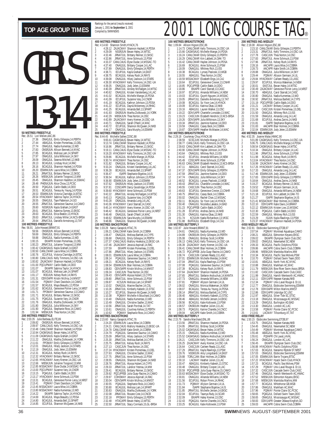|                |                         |                             |                                                                                                                                                                                                                                                  | 400 l               |
|----------------|-------------------------|-----------------------------|--------------------------------------------------------------------------------------------------------------------------------------------------------------------------------------------------------------------------------------------------|---------------------|
|                |                         |                             |                                                                                                                                                                                                                                                  | Rec: 4<br>1         |
|                |                         |                             |                                                                                                                                                                                                                                                  | $\overline{2}$<br>3 |
|                |                         |                             |                                                                                                                                                                                                                                                  | 4<br>5              |
|                |                         |                             |                                                                                                                                                                                                                                                  | 6                   |
|                |                         |                             |                                                                                                                                                                                                                                                  | 7<br>8              |
|                |                         |                             |                                                                                                                                                                                                                                                  | 9<br>10             |
|                |                         |                             |                                                                                                                                                                                                                                                  | 11                  |
|                |                         |                             |                                                                                                                                                                                                                                                  | 12<br>13            |
|                |                         |                             |                                                                                                                                                                                                                                                  | 14                  |
|                |                         |                             |                                                                                                                                                                                                                                                  | 15<br>16            |
|                |                         |                             |                                                                                                                                                                                                                                                  | 17<br>18            |
|                |                         |                             |                                                                                                                                                                                                                                                  | 19                  |
|                |                         |                             |                                                                                                                                                                                                                                                  | 20<br>21            |
|                |                         |                             |                                                                                                                                                                                                                                                  | 22<br>23            |
|                |                         |                             |                                                                                                                                                                                                                                                  | 24<br>25            |
|                | 50 METRES FREESTYLE     |                             |                                                                                                                                                                                                                                                  | 800                 |
| 1              | Rec: 26.51<br>27.36     | Lori Melien,AAC,86          | ONAGJUL Emily Gillespie, 14, PERTH                                                                                                                                                                                                               | Rec: {<br>1         |
| $\frac{2}{3}$  | 27.44<br>27.74          |                             | ABAGJUL Kirsten Pomerleau, 13, DEL                                                                                                                                                                                                               | $\overline{c}$      |
| 4              | 27.83                   |                             | ONAGJUL Nadia Kumentas, 13, WD<br>ONSRJUN Allison Bennett, 14, NYAC                                                                                                                                                                              | 3<br>4              |
| 5<br>6         | 27.85<br>27.97          |                             | BCAGJUL Melissa Lam, 14, SPART                                                                                                                                                                                                                   | 5<br>6              |
| 7<br>8         | 28.09<br>28.13          |                             | ONAGJUL Julia Wilkinson, 14, SKY<br>ONAGJUL Seanna Mitchell, 12, NKB<br>BCAGJUL Lindsay Kruit, 14, RAC                                                                                                                                           | 7                   |
| 9              | 28.16                   |                             | BCAGJUL Shannon Hackett, 14, PDSA                                                                                                                                                                                                                | 8<br>9              |
| 10<br>11       | 28.20<br>28.21          |                             | ESWIMJUN Laura Wise, 14, COBRA<br>JRNATJUL Brittany Reimer, 13, SKSC                                                                                                                                                                             | 10<br>11            |
| 12             | 28.26                   |                             | MBSKJUN Julianne Toogood, 13, MM                                                                                                                                                                                                                 | 12                  |
| 13<br>14       | 28.45<br>28.48          |                             | ONAGJUL Shannon Hazelton, 14, SSMAC<br>PHENXJUN Alice Chow, 13, PCSC                                                                                                                                                                             | 13<br>14            |
| 15<br>16       | 28.50<br>28.51          |                             | PIDENCOUL Cattlin Babb, 14, DDO<br>BCAGJUL Teresa Au Yeung, 14, PDSA<br>ESWIMUJUN Victoria Claridge, 14, BTSC<br>ESWIMUN Victoria Claridge, 14, BTSC<br>ONAGJUL Taye Patterson, 14, CO<br>JRNATJUL Geneview Saumur, 14, CAMO<br>JRNATJUL Genevie | 15<br>16            |
| 17<br>18       | 28.53                   |                             |                                                                                                                                                                                                                                                  | 17                  |
| 19             | 28.54<br>28.55          |                             |                                                                                                                                                                                                                                                  | 18<br>19            |
| 20<br>21       | 28.55<br>28.60          |                             | NSSRJUN Kayla Graham, 14, EAST                                                                                                                                                                                                                   | 20<br>21            |
| 22<br>23       | 28.61<br>28.63          |                             | JRNATJUL Katerina Symes, 13, EKSC<br>BCAGJUL Erica Beaton, 13, HYACK                                                                                                                                                                             | 22<br>23            |
| 24             | 28.63                   |                             | JRNATJUL Lindsey Miller, 14, NCS-BRSA                                                                                                                                                                                                            | 24                  |
| 25             | 28.64                   | <b>100 METRES FREESTYLE</b> | JRNATJUL Danielle Armstrong, 13, TAT                                                                                                                                                                                                             | 25<br>100 l         |
| 1              | Rec: 56.91<br>59.56     | Julie Howard, BRANT, 91     | ONSRJUN Allison Bennett, 14, NYAC                                                                                                                                                                                                                | Rec:<br>1           |
| $\overline{2}$ | 59.69                   |                             | ONAGJUL Emily Gillespie, 14, PERTH                                                                                                                                                                                                               | $\overline{c}$      |
| 3<br>4         | 59.88<br>1:00.15        |                             | ONAGJUL Nadia Kumentas, 13, WD<br>EKIAPR Kirsten Pomerleau, 13, DEL                                                                                                                                                                              | 3<br>4              |
| 5<br>6         | 1:00.23<br>1:00.42      |                             | JRNATJUL Julianne Toogood,13,MM<br>CAGMSAUG Kayla Graham, 14, EAST                                                                                                                                                                               | 5<br>6              |
| 7              | 1:00.50                 |                             | CANLCMAR Laura Wise, 14, COBRA                                                                                                                                                                                                                   | 7                   |
| 8<br>9         | 1:00.76<br>1:00.80      |                             | ECUPJUL Victoria Clarridge, 14, BTSC<br>CANLCAUG Kelly Timmons, 14, OSC-UA                                                                                                                                                                       | 8<br>9              |
| 10<br>11       | 1:00.82<br>1:01.00      |                             | ZAJACMAY Shannon Hackett, 14, PDSA<br>POCUPMAY Caitlin Babb, 14, DDO                                                                                                                                                                             | 10<br>11            |
| 12             | 1:01.07                 |                             | EKIAPR Sabrina Taylor, 14, HYACK                                                                                                                                                                                                                 | 12                  |
| 13<br>14       | 1:01.07<br>1:01.17      |                             | BCAGJUL Melissa Lam, 14, SPART<br>RODJUN Kelsey Rush, 14, RAYS                                                                                                                                                                                   | 13<br>14            |
| 15<br>16       | 1:01.31<br>1:01.54      |                             | ODIV3APR Kristin McIlroy, 14, MMST                                                                                                                                                                                                               | 15<br>16            |
| 17             | 1:01.57                 |                             | PQIMAY Chani Davidson, 14, CAMO<br>BCAGJUL Maya Beaudry, 12, PDSA<br>14.NRST                                                                                                                                                                     | 17                  |
| 18<br>19       | 1:01.62<br>1:01.71      |                             | BCAGJUL Genevieve Poirier-Leroy, 14, NR<br>PPOMAY Genevieve Saumur, 13, CAMO<br>BCAGJUL Brittany Reimer, 13, SKSC                                                                                                                                | 18<br>19            |
| 20<br>21       | 1:01.71<br>1:01.75      |                             |                                                                                                                                                                                                                                                  | 20<br>21            |
| 22<br>23       | 1:01.76<br>1:01.80      |                             | POAGJUL Suzanne Vary, 14, CNDR<br>ONAGJUL Martha Ziolkowski, 14, YORK                                                                                                                                                                            | 22                  |
| 24             | 1:01.90                 |                             | ONAGJUL Julia Wilkinson, 14, SKY<br>PQAGJUL Stephanie Ross, 14, CAMO<br>MBSKJUN Thea Norton, 14, OSC                                                                                                                                             | 23<br>24            |
| 25             | 1:01.94                 | 200 METRES FREESTYLE        |                                                                                                                                                                                                                                                  | 25<br>200 l         |
|                | Rec: 2:03.35<br>2:09.82 | Julie Barbeau, ELITE, 89    |                                                                                                                                                                                                                                                  | Rec: :              |
| 1<br>2         | 2:09.97                 |                             | ONSRJUN Allison Bennett, 14, NYAC<br>CANLCAUG Kelly Timmons, 14, OSC-UA                                                                                                                                                                          | 1<br>2<br>3         |
| 3<br>4         |                         |                             | 2:10.48 CANLCMAR Shannon Hackett, 14, PDSA<br>2:10.94 CAGMSAUG Bevan Haley,14,WTSC                                                                                                                                                               | 4                   |
| 5<br>6         | 2:11.22                 |                             | 2:11.09 CAGMSAUG Kayla Graham, 14, EAST<br>ONAGJUL Martha Ziolkowski, 14, YORK                                                                                                                                                                   | 5                   |
| 7              | 2:11.61                 |                             | PPOMAY Emily Gillespie, 13, PERTH                                                                                                                                                                                                                | 6<br>7              |
| 8<br>9         | 2:12.01<br>2:12.19      |                             | ONAGJUL Hilary Jackson, 14, STARS<br>ONAGJUL Jody Jelen, 13, ESWIM                                                                                                                                                                               | 8<br>9              |
| 10<br>11       | 2:12.31                 |                             | BCAGJUL Kelsey Rush, 14, RAYS<br>2:12.32 HYACKMAY Brittany Reimer, 13, SKSC                                                                                                                                                                      | 10<br>11            |
| 12             |                         |                             | 2:12.65 HYACKMAY Avery Kremer, 14, OSC-UA                                                                                                                                                                                                        | 12                  |
| 13<br>14       |                         |                             | 2:12.66 MBSKJUN Julianne Toogood, 13, MM<br>2:12.85 MSSACMAY Elyse Dudar, 14, MSSAC-TO                                                                                                                                                           | 13<br>14            |
| 15<br>16       |                         |                             | 2:13.00 POCUPMAY Suzanne Vary, 14, CNDR                                                                                                                                                                                                          | 15                  |
| 17             |                         |                             |                                                                                                                                                                                                                                                  | 16<br>17            |
| 18<br>19       |                         |                             |                                                                                                                                                                                                                                                  | 18<br>19            |
| 20<br>21       |                         |                             |                                                                                                                                                                                                                                                  | 20                  |
| 22             |                         |                             | 2:13.00 PUCUPMAY SUZAINE WAY, 41,000<br>2:13.15 POAGUU Caltin Babb, 14,000<br>2:13.17 HYACKMAY Anne Schmuck, 13, PSW<br>2:13.31 BCAGUU Genevier Poires (14,000<br>2:13.41 POIMAY Chani Davidson, 14, CAMO<br>2:13.45 MSSACMAY Nadia Kumentas,    | 21<br>22            |
| 23<br>24       | 2:14.69<br>2:14.80      |                             | BCAGJUL Maya Beaudry, 12, PDSA<br>BCAGJUL Amanda Bell, 13, SPART                                                                                                                                                                                 | 23<br>24            |
| 25             | 2:14.85                 |                             | ECUPJUL Shannon McQueen, 14, NKB                                                                                                                                                                                                                 | 25                  |

|                      |                                                   | 400 METRES FREESTYLE                                                 |                                                                                                                                                                                                                                               |
|----------------------|---------------------------------------------------|----------------------------------------------------------------------|-----------------------------------------------------------------------------------------------------------------------------------------------------------------------------------------------------------------------------------------------|
|                      |                                                   | Rec: 4:14.60 Shannon Smith, HYACK, 76                                |                                                                                                                                                                                                                                               |
| 1                    | 4:28.12                                           |                                                                      | ZAJACMAY Shannon Hackett, 14, PDSA                                                                                                                                                                                                            |
| $\overline{c}$       | 4:29.09                                           |                                                                      | NSSRJUN Bevan Haley, 14, WTSC                                                                                                                                                                                                                 |
| 3<br>4               | 4:32.46<br>4:32.86                                |                                                                      | JRNATJUL Brittany Reimer, 13, SKSC<br>JRNATJUL Anne Schmuck, 13, PSW                                                                                                                                                                          |
| 5                    | 4:33.37                                           |                                                                      | CANLCAUG Elyse Dudar, 14, MSSAC-TO                                                                                                                                                                                                            |
| 6                    | 4:37.40                                           |                                                                      | ONAGJUL Brittany Cooper, 14, LAC                                                                                                                                                                                                              |
| 7                    | 4:37.89                                           |                                                                      | ONAGJUL Emily Gillespie, 14, PERTH                                                                                                                                                                                                            |
| 8                    | 4:38.71                                           |                                                                      | ECUPJUL Kayla Graham, 14, EAST                                                                                                                                                                                                                |
| 9.<br>10             | 4:38.75                                           |                                                                      | BCAGJUL Kelsey Rush, 14, RAYS                                                                                                                                                                                                                 |
| 11                   |                                                   |                                                                      | 4.39.08 ONAGUL Hilary Jackson, 14, STARS<br>4.39.30 HYACKMAY Kelly Timmors, 14, OSC-UA<br>4.39.35 ONAGUL Jody Jelen, 13, ESWIM<br>4.40.39 JRNATJUL Ainsley McFadgen, 14, WTSC<br>4.40.62 ONAGUL Kristen Vandenberg, 14, LAC                   |
| 12                   |                                                   |                                                                      |                                                                                                                                                                                                                                               |
| 13                   |                                                   |                                                                      |                                                                                                                                                                                                                                               |
| 14                   |                                                   |                                                                      |                                                                                                                                                                                                                                               |
| 15<br>16             | $\begin{array}{c} 4:41.02 \\ 4:41.09 \end{array}$ |                                                                      | BCAGJUL Michelle Mange, 14, PDSA<br>ECUPJUL Suzanne Vary, 14, CNDR<br>BCAGJUL Kathryn Johnson, 13, PDSA                                                                                                                                       |
| 17                   | 4:41.19                                           |                                                                      |                                                                                                                                                                                                                                               |
| 18                   |                                                   |                                                                      |                                                                                                                                                                                                                                               |
|                      |                                                   |                                                                      |                                                                                                                                                                                                                                               |
| 19<br>20<br>21       |                                                   |                                                                      |                                                                                                                                                                                                                                               |
|                      |                                                   |                                                                      |                                                                                                                                                                                                                                               |
|                      |                                                   |                                                                      |                                                                                                                                                                                                                                               |
| 22<br>23<br>24<br>25 |                                                   |                                                                      |                                                                                                                                                                                                                                               |
|                      |                                                   |                                                                      | 4:41.22 ECUPJUL Dayna Mokenney, 14, RHAC<br>4:41.22 ECUPJUL Dayna Mokenney, 14, RHAC<br>4:41.25 BCAGJUL Amanda Bell, 13, SPART<br>4:42.29 MBSKJUN Martha Ziolkowski, 14, YORK<br>4:42.29 MBSKJUN Thea Norton, 14, OSC-UA<br>4:43.71 ONAGJUL S |
|                      |                                                   | 800 METRES FREESTYLE                                                 |                                                                                                                                                                                                                                               |
|                      |                                                   | Rec: 8:44.45 Michelle Sallee, CDSC, 88                               |                                                                                                                                                                                                                                               |
| 1<br>$\overline{c}$  |                                                   |                                                                      | 9:00.41 CAGMSAUG Bevan Haley, 14, WTSC<br>9:13.74 CANLCMAR Shannon Hackett, 14, PDSA                                                                                                                                                          |
| 3                    |                                                   |                                                                      |                                                                                                                                                                                                                                               |
| 4                    |                                                   |                                                                      | 9:16.96 JRNATJUL Brittany Reimer, 13, SKSC<br>9:19.11 CANLCAUG Elyse Dudar, 14, MSSAC-TO                                                                                                                                                      |
| 5                    |                                                   |                                                                      | 9:19.20 HYACKMAY Kelly Timmons, 14, OSC-UA                                                                                                                                                                                                    |
| 6<br>7               |                                                   |                                                                      | 9:29.86 BCAGJUL Michelle Mange, 14, PDSA<br>9:30.74 HYACKMAY Thea Norton, 14, OSC                                                                                                                                                             |
| 8                    | 9:31.82                                           |                                                                      |                                                                                                                                                                                                                                               |
| 9.                   | 9:33.24                                           |                                                                      | ONAGJUL Brittany Cooper, 14, LAC<br>ONAGJUL Kristen Vandenberg, 14, LAC                                                                                                                                                                       |
| 10                   | 9:36.28                                           |                                                                      | BCAGJUL Amanda Bell, 13, SPART                                                                                                                                                                                                                |
| 11                   | 9:36.47                                           |                                                                      | ISAPR Stephanie Bigelow, 14, IS                                                                                                                                                                                                               |
| 12                   | 9:36.54                                           |                                                                      | BCAGJUL Kathryn Johnson, 13, PDSA                                                                                                                                                                                                             |
| 13<br>14             | 9:37.62                                           |                                                                      | 9:36.90 ESWIMJUN Jody Jelen, 13, ESWIM                                                                                                                                                                                                        |
| 15                   |                                                   |                                                                      | ONSRJUN Hilary Jackson, 14, STARS                                                                                                                                                                                                             |
| 16                   |                                                   |                                                                      |                                                                                                                                                                                                                                               |
| 17                   |                                                   |                                                                      | 9:37.81 CDSCAPR Darcy Goodridge, 14, PDSA<br>9:39.60 HYACKMAY Anne Schmuck, 13, PSW<br>9:42.22 JRNATJUL Ainsley McFadgen, 14, WTSC                                                                                                            |
| 18                   |                                                   |                                                                      |                                                                                                                                                                                                                                               |
| 19<br>20             |                                                   |                                                                      |                                                                                                                                                                                                                                               |
| 21                   |                                                   |                                                                      |                                                                                                                                                                                                                                               |
| $\overline{22}$      |                                                   |                                                                      |                                                                                                                                                                                                                                               |
| 23                   |                                                   |                                                                      |                                                                                                                                                                                                                                               |
| 24                   |                                                   |                                                                      | 9:48.62 ESWIMJUN Sara Murphy, 14, ESWIM                                                                                                                                                                                                       |
|                      |                                                   |                                                                      |                                                                                                                                                                                                                                               |
| $\frac{25}{1}$       | 9:48.86                                           | ONAGJUL                                                              | Shannon McQueen, 14, NKB                                                                                                                                                                                                                      |
|                      |                                                   | 100 METRES BACKSTROKE                                                |                                                                                                                                                                                                                                               |
|                      |                                                   |                                                                      |                                                                                                                                                                                                                                               |
| $\frac{1}{2}$        | 1:06.47                                           |                                                                      | Rec: 1:03.28 Nancy Garapick, HTAC, 76<br>1 1:06.21 CANLCMAR Katie Smith, 14, COBRA<br>ONAGJUL Melissa Bartlett, 14, CYPS                                                                                                                      |
| 3                    | 1:06.68                                           |                                                                      |                                                                                                                                                                                                                                               |
| 4                    | 1:07.37                                           |                                                                      | ONAGJUL Emily Gillespie, 14, PERTH<br>CANLCAUG Mallory Hoekstra, 13, EKSC-UA                                                                                                                                                                  |
| 5                    | 1:07.46                                           |                                                                      | ZAJACMAY Jessica Aspinall, 14, RAC                                                                                                                                                                                                            |
| 6<br>7               | 1:07.59                                           |                                                                      | EKIAPR Kirsten Pomerleau, 13, DEL                                                                                                                                                                                                             |
| 8                    | 1:07.86                                           |                                                                      | JRNATJUL Hilary Jackson,14,STARS<br>1:08.01 ESWIMJUN Laura Wise, 14, COBRA                                                                                                                                                                    |
| 9                    | 1:08.14                                           |                                                                      | PQAGJUL Genevieve Saumur, 14, CAMO                                                                                                                                                                                                            |
| 10                   | 1:08.21                                           |                                                                      | BCAGJUL Kelsey Rush, 14, RAYS                                                                                                                                                                                                                 |
| 11                   |                                                   |                                                                      | 1:08.54 ESWIMJUN Blair Holmes, 14, COBRA                                                                                                                                                                                                      |
| 12<br>13             | 1:09.24                                           |                                                                      | 1:08.83 ODIV3APR Kristin McIlroy,14,MMST<br>CASCJUN Thea Norton, 14, OSC                                                                                                                                                                      |
| 14                   |                                                   |                                                                      |                                                                                                                                                                                                                                               |
| 15                   | 1:09.80                                           |                                                                      | 1:09.43 ODIV1APR Alyssa Hubert, 13, CYPS<br>JRNATJUL Anne Schmuck, 13, PSW                                                                                                                                                                    |
| 16                   | 1:09.87                                           |                                                                      | KCSJUN Melissa Lam, 14, SPART                                                                                                                                                                                                                 |
| 17                   | 1:10.02                                           |                                                                      | ONAGJUL Maxine Bacher, 14, CSL                                                                                                                                                                                                                |
| 18<br>19             | 1:10.26<br>1:10.27                                |                                                                      | JRNATJUL Kimberly Kabesh, 13, STSC                                                                                                                                                                                                            |
| 20                   | 1:10.38                                           |                                                                      | ECUPJUL Shannon McQueen, 14, NKB<br>PQIMAY Michelle-A Bouchard, 14, CAMO                                                                                                                                                                      |
| 21                   | 1:10.40                                           |                                                                      | ONAGJUL Nadia Kumentas, 13, WD                                                                                                                                                                                                                |
| $\overline{22}$      | 1:10.49                                           |                                                                      |                                                                                                                                                                                                                                               |
| 23                   | 1:10.56                                           |                                                                      | ONAGJUL Christine Sadler, 13, MAC<br>JRNATJUL Sarah Porchak, 14, TAT                                                                                                                                                                          |
|                      |                                                   |                                                                      |                                                                                                                                                                                                                                               |
|                      |                                                   |                                                                      | ONAGJUL Courtney Kehoe, 13, PERTH<br>PQIMAY Stephanie Ross, 14, CAMO                                                                                                                                                                          |
|                      | Rec: 2:15.60                                      | 24 1:10.61 ONAGJUL V<br>25 1:10.62 POIMAY V<br>200 METRES BACKSTROKE |                                                                                                                                                                                                                                               |
|                      | 2:24.20                                           |                                                                      |                                                                                                                                                                                                                                               |
|                      | 2:24.21                                           |                                                                      | Nancy Garapick, HTAC, 76<br>20 ESWIMJUN Laura Wise, 14, COBRA<br>21 CANLCAUG Mallory Hoekstra, 13, EKSC-UA                                                                                                                                    |
| 1<br>2<br>3<br>4     | 2:24.79                                           |                                                                      | 2:24.78 CANLCMAR Katie Smith, 14, COBRA                                                                                                                                                                                                       |
| 5                    | 2:25.09                                           |                                                                      | POAGJUL Genevieve Saumur, 14, CAMO<br>JRNATJUL Hilary Jackson, 14, STARS                                                                                                                                                                      |
| 6                    | 2:25.30                                           |                                                                      | JRNATJUL Melissa Bartlett, 14, CYPS                                                                                                                                                                                                           |
| 7                    | 2:25.75                                           |                                                                      |                                                                                                                                                                                                                                               |
| 8                    | 2:27.13                                           |                                                                      | JRNATJUL Kelsey Rush, 14, RAYS<br>CASCJUN Thea Norton, 14, OSC                                                                                                                                                                                |
| 9                    |                                                   |                                                                      | 2:27.24 HYACKMAY Kirsten Pomerleau, 13, DEL                                                                                                                                                                                                   |
| 10<br>11             | 2:27.63<br>2:27.75                                |                                                                      | ONAGJUL Christine Sadler, 13, MAC<br>JRNATJUL Anne Schmuck, 13, PSW                                                                                                                                                                           |
| 12                   | 2:28.55                                           |                                                                      |                                                                                                                                                                                                                                               |
| 13                   | 2:28.76                                           |                                                                      | ONAGJUL Shannon McQueen, 14, NKB<br>JRNATJUL Alyssa Hubert, 14, CYPS                                                                                                                                                                          |
| 14                   | 2:29.33                                           |                                                                      | JRNATJUL Landice Yestrau, 14, MM                                                                                                                                                                                                              |
| 15                   | 2:29.41                                           |                                                                      | BCAGJUL Brittany Reimer, 13, SKSC                                                                                                                                                                                                             |
| 16<br>17             | 2:29.92<br>2:29.97                                |                                                                      | PQCUPFEB Julia Guay-Racine,14,CAMO                                                                                                                                                                                                            |
| 18                   | 2:30.04                                           |                                                                      | COHOMAY Jessica Aspinall, 14, RAC<br>ODIV3APR Kristin MclIroy, 14, MMST                                                                                                                                                                       |
| 19                   | 2:30.55                                           |                                                                      | PQAGJUL Stephanie Ross, 14, CAMO                                                                                                                                                                                                              |
| 20                   | 2:30.80                                           |                                                                      | BCAGJUL Melissa Lam, 14, SPART                                                                                                                                                                                                                |
| 21                   | 2:30.83                                           |                                                                      | ONAGJUL Martha Ziolkowski, 14, YORK                                                                                                                                                                                                           |
| 22                   | 2:32.08                                           |                                                                      | JRNATJUL Roxane Cote, 14, CNCB                                                                                                                                                                                                                |
| 23<br>24<br>25       | 2:32.18<br>2:32.48                                |                                                                      | PPOMAY Emily Gillespie, 13, PERTH<br>HTACAPR Bevan Haley, 13, WTSC                                                                                                                                                                            |

|                     |                         |                                    | UIVU                                                                                                                                                                                                                                          |                     |              |
|---------------------|-------------------------|------------------------------------|-----------------------------------------------------------------------------------------------------------------------------------------------------------------------------------------------------------------------------------------------|---------------------|--------------|
|                     |                         | 100 METRES BREASTSTROKE            |                                                                                                                                                                                                                                               | 200 METRE           |              |
| 1                   |                         | Rec: 1:09.84 Allison Higson,ESC,86 | 1:14.73 CANLCMAR Kelly Timmons, 14, OSC-UA                                                                                                                                                                                                    | Rec: 2:18.08<br>1   | 2:23         |
| $\overline{2}$      |                         |                                    | 1:15.66 CAGMSAUG Michelle Mange, 14, PDSA                                                                                                                                                                                                     | $\overline{2}$      | 2:23         |
| 3                   |                         |                                    | 1:16.24 CANLCMAR Emily Gillespie, 13, PERTH                                                                                                                                                                                                   | 3                   | 2:27         |
| 4<br>5              | 1:16.42                 |                                    | 1:16.29 CANLCMAR Kim Labbett, 14, OAK-TO<br>CANLCMAR Haylee Johnson, 14, PDSA                                                                                                                                                                 | 4<br>5              | 2:27<br>2:27 |
| 6                   | 1:16.69                 |                                    | BCAGJUL Anne Schmuck, 13, PSW                                                                                                                                                                                                                 | 6                   | 2:28         |
| 7                   | 1:18.09                 |                                    |                                                                                                                                                                                                                                               | 7                   | 2:28         |
| 8<br>9              | 1:18.38<br>1:18.55      |                                    | ONAGJUL Whitney Rich, 13, ISS<br>BCAGJUL Lynsey Pasloski, 13, WGB<br>ABAGJUL Thea Norton, 14, OSC                                                                                                                                             | 8<br>9              | 2:28<br>2:29 |
| 10                  |                         |                                    | 1:18.59 MSSACMAY Elizabeth Engs, 14, CAJ                                                                                                                                                                                                      | 10                  | 2:29         |
| 11<br>12            | 1:18.64                 |                                    | ECUPJUL Genevieve Crevier, 13, CNHR                                                                                                                                                                                                           | 11                  | 2:29         |
| 13                  | 1:18.85<br>1:18.86      |                                    | POCUPFEB Caitlin Babb, 14, DDO<br>EKIAPR Carol Starratt, 13, CASC                                                                                                                                                                             | 12<br>13            | 2:30<br>2:30 |
| 14                  | 1:18.97                 |                                    | ECUPJUL Amanda Williams, 14, NEW                                                                                                                                                                                                              | 14                  | 2:30         |
| 15<br>16            | 1:19.03<br>1:19.05      |                                    | ECUPJUL Quynh Nguyen, 14, MSSAC<br>JRNATJUL Danielle Armstrong, 13, TAT                                                                                                                                                                       | 15<br>16            | 2:30<br>2:30 |
| 17                  | 1:19.08                 |                                    | BCAGJUL So Yoon Lee, 14, HYACK                                                                                                                                                                                                                | 17                  | 2:31         |
| 18                  | 1:19.09                 |                                    | ECUPJUL Katrina Obas, 13, NKB                                                                                                                                                                                                                 | 18                  | 2:31         |
| 19<br>20            | 1:19.16<br>1:19.22      |                                    | ABAGJUL Lauren Walker, 13, OSC<br>ODIV1APR Chantelle Lonsdale, 13, WAC                                                                                                                                                                        | 19<br>20            | 2:31<br>2:31 |
| 21                  | 1:19.23                 |                                    | CASCJUN Elizabeth Hendrick, 13, NCS-BRSA                                                                                                                                                                                                      | 21                  | 2:31         |
| 22                  | 1:19.26                 |                                    | ODIV3APR Julia Wilkinson,13,SKY                                                                                                                                                                                                               | 22                  | 2:31         |
| 23<br>24            | 1:19.34<br>1:19.59      |                                    | JRNATJUL Jasmine Kastner, 14, DDO<br>ONAGJUL Casey Beck, 14, COBRA                                                                                                                                                                            | 23<br>24            | 2:31<br>2:31 |
| 25                  | 1:19.87                 |                                    | ODIV3APR Heather McMaster, 14, MAC                                                                                                                                                                                                            | 25                  | 2:32         |
|                     |                         | 200 METRES BREASTSTROKE            |                                                                                                                                                                                                                                               | 400 METRE           |              |
|                     |                         |                                    | Rec: 2:29.18 Courtenay Chuy,HYACK,98<br>1                2:38.59     SCSCJUN Michelle Mange,14,PDSA                                                                                                                                           | Rec: 4:52.35<br>1   | 5:01         |
| $\overline{c}$      | 2:38.77                 |                                    | CANLCAUG Kelly Timmons, 14, OSC-UA                                                                                                                                                                                                            | $\overline{c}$      | 5:06         |
| 3<br>4              |                         |                                    | 2:39.63 CANLCMAR Kim Labbett, 14, OAK-TO                                                                                                                                                                                                      | 3<br>4              | 5:08         |
| 5                   |                         |                                    |                                                                                                                                                                                                                                               | 5                   | 5:10<br>5:11 |
| 6                   |                         |                                    |                                                                                                                                                                                                                                               | 6                   | 5:11         |
| 7<br>8              |                         |                                    | 2.3439<br>2.40.90 CANLCMAR Haylee Johnson, 14, PDSA<br>2.43.64 - ONAGJUL Whitney Rich, 13, ISS<br>2.43.44 - COUPJUL Amanda Williams, 14, NEW<br>2.45.49 - CDSCAPR Anne Schmuck, 13, PSW<br>2.46.63 - CANLCMAR Elizabeth Hendrick, 13, NCS-BRS | 7<br>8              | 5:13<br>5:16 |
| 9                   | 2:47.11                 |                                    | ABAGJUL Carol Starratt, 14, CASC                                                                                                                                                                                                              | 9                   | 5:17         |
| 10                  | 2:47.37                 |                                    | ODIV2APR Emily Gillespie,13,PERTH                                                                                                                                                                                                             | 10                  | 5:17         |
| 11<br>12            | 2:47.59<br>2:47.74      |                                    | JRNATJUL Jasmine Kastner, 14, DDO<br>ONAGJUL Julia Wilkinson, 14, SKY                                                                                                                                                                         | 11<br>12            | 5:17<br>5:17 |
| 13                  | 2:48.52                 |                                    | BCAGJUL Lynsey Pasloski, 13, WGB                                                                                                                                                                                                              | 13                  | 5:18         |
| 14                  | 2:49.43                 |                                    | JRNATJUL Chantelle Lonsdale, 14, WAC                                                                                                                                                                                                          | 14                  | 5:19         |
| 15<br>16            | 2:49.55<br>2:49.63      |                                    | CASCJUN Thea Norton, 14, OSC<br>ECUPJUL Genevieve Crevier, 13, CNHR                                                                                                                                                                           | 15<br>16            | 5:19<br>5:19 |
| 17                  | 2:49.75                 |                                    | JRNATJUL Casey Beck, 14, COBRA                                                                                                                                                                                                                | 17                  | 5:21         |
| 18<br>19            | 2:50.02<br>2:50.11      |                                    | ONAGJUL Rachel Chan, 12, MSSAC<br>BCAGJUL So Yoon Lee, 14, HYACK                                                                                                                                                                              | 18<br>19            | 5:21<br>5:21 |
| 20                  | 2:50.40                 |                                    | ONAGJUL Nicoletta Lakatos, 14, BAD                                                                                                                                                                                                            | 20                  | 5:22         |
| 21                  | 2:51.23                 |                                    | POCUPFEB Caitlin Babb, 14, DDO                                                                                                                                                                                                                | 21                  | 5:22         |
| 22<br>23            | 2:51.28<br>2:51.30      |                                    | ECUPJUL Andrea Zarins, 14, NKB<br>ONAGJUL Katrina Obas, 13, NKB                                                                                                                                                                               | 22<br>23            | 5:22<br>5:22 |
| 24                  | 2:51.74                 |                                    | KCSJUN Kaela Richardson, 13, VKSC                                                                                                                                                                                                             | 24                  | 5:23         |
| 25                  | 2:51.88                 | <b>100 METRES BUTTERFLY</b>        | BUFFAJUL Elizabeth Engs, 14, CAJ                                                                                                                                                                                                              | 25<br>4X50 MEDL     | 5:23         |
|                     | Rec: 1:02.87            | Julie Howard, BRANT, 91            |                                                                                                                                                                                                                                               | Rec: 2:02.81        |              |
| 1                   | 1:04.61                 |                                    | ONAGJUL Nadia Kumentas, 13, WD                                                                                                                                                                                                                | 1                   | 2:07         |
| $\overline{c}$<br>3 | 1:04.89<br>1:05.08      |                                    | ONSRJUN Emily Gillespie, 14, PERTH<br>ONAGJUL Brittney Scott, 14, ROW                                                                                                                                                                         | $\overline{c}$<br>3 | 2:08<br>2:09 |
| 4                   | 1:06.13                 |                                    | CANLCAUG Kelly Timmons, 14, OSC-UA                                                                                                                                                                                                            | 4                   | 2:09         |
| 5<br>6              | 1:06.39<br>1:06.41      |                                    | ZAJACMAY Avery Kremer, 14, OSC-UA<br>CANLCMAR Blair Holmes, 14, COBRA                                                                                                                                                                         | 5<br>6              | 2:09<br>2:09 |
| 7                   | 1:06.72                 |                                    |                                                                                                                                                                                                                                               | 7                   | 2:09         |
| 8                   | 1:06.74                 |                                    | POCUPFEB Julia Guay-Racine, 14, CAMO<br>CASCJUN Carleen Ready, 13, LASC                                                                                                                                                                       | 8                   | 2:10         |
| 9<br>10             | 1:07.01<br>1:07.04      |                                    | ESWIMJUN Michelle Mendez, 14, MAC<br>JRNATJUL Kayla Rawlings, 13, PSW                                                                                                                                                                         | 9<br>10             | 2:10<br>2:10 |
| 11                  | 1:07.08                 |                                    | POAGJUL Genevieve Saumur, 14, CAMO<br>BCAGJUL Kelsey Rush, 14, RAYS                                                                                                                                                                           | 11                  | 2:10         |
| 12<br>13            | 1:07.39                 |                                    |                                                                                                                                                                                                                                               | 12<br>13            | 2:11         |
| 14                  | 1:07.64<br>1:07.65      |                                    | ZAJACMAY Shannon Hackett, 14, PDSA<br>JRNATJUL Stefanie Andruchuk, 14, MANTA                                                                                                                                                                  | 14                  | 2:11<br>2:11 |
| 15                  | I:U <i>I.I</i> 3        |                                    | UNAGJUL Amanda Williams, 14, NEW                                                                                                                                                                                                              | 15                  | 2:12         |
| 16<br>17            | 1:07.81<br>1:08.02      |                                    | PQIMAY Allyson Germain, 14, UL<br>ONAGJUL Monica Wakeman, 14, NEW                                                                                                                                                                             | 16<br>17            | 2:12<br>2:12 |
| 18                  | 1:08.07                 |                                    | BCAGJUL Teresa Au Yeung,14,PDSA                                                                                                                                                                                                               | 18                  | 2:12         |
| 19                  | 1:08.14                 |                                    | JRNATJUL Melissa Bartlett, 14, CYPS                                                                                                                                                                                                           | 19                  | 2:12         |
| 20<br>21            | 1:08.40<br>1:08.46      |                                    | ABAGJUL Kimberly Kabesh, 13, STSC<br>ABAGJUL Michelle Jensen, 14, EKSC                                                                                                                                                                        | 20<br>21            | 2:12<br>2:13 |
| 22                  | 1:08.56                 |                                    | BCAGJUL Katie Kotlowski, 13, PSW                                                                                                                                                                                                              | 22                  | 2:13         |
| 23<br>24            | 1:08.57<br>1:08.73      |                                    | ONSRJUN Heather Julien, 13, LAC<br>PQAGJUL Karine Charette, 14, CNCC                                                                                                                                                                          | 23<br>24            | 2:13<br>2:13 |
| 25                  | 1:09.04                 |                                    | AACAPR Katie Smith, 14, COBRA                                                                                                                                                                                                                 | 25                  | 2:13         |
|                     |                         | 200 METRES BUTTERFLY               |                                                                                                                                                                                                                                               | 4X50 FREE           |              |
| 1                   | Rec: 2:15.76<br>2:23.56 | Sandra Marchand, ENL, 88           | JRNATJUL Shannon Hackett, 14, PDSA                                                                                                                                                                                                            | Rec: 1:50.15<br>1   | 1:53         |
| $\overline{c}$      | 2:24.95                 |                                    | JRNATJUL Brittney Scott, 14, ROW                                                                                                                                                                                                              | 2                   | 1:54         |
| 3<br>4              | 2:25.15                 |                                    | 2:25.02 CAGMSAUG Bevan Haley, 14, WTSC<br>ONAGJUL Nadia Kumentas, 13, WD                                                                                                                                                                      | 3<br>4              | 1:54<br>1:55 |
| 5                   |                         |                                    | 2:25.52 CAGMSAUG Stefanie Andruchuk, 14, MANTA                                                                                                                                                                                                | 5                   | 1:55         |
| 6                   | 2:26.21                 |                                    | CASCJUN Kelly Timmons, 14, OSC-UA                                                                                                                                                                                                             | 6                   | 1:56         |
| 7<br>8              | 2:26.25<br>2:26.64      |                                    | ZAJACMAY Avery Kremer, 14, OSC-UA<br>CASCJUN Carléen Ready, 13, LASC                                                                                                                                                                          | 7<br>8              | 1:56<br>1:56 |
| 9                   | 2:27.29                 |                                    | JRNATJUL Kayla Rawlings, 13, PSW<br>NSSRJUN Amy Longobardi, 14, EAST                                                                                                                                                                          | 9                   | 1:57         |
| 10                  | 2:29.76                 |                                    |                                                                                                                                                                                                                                               | 10                  | 1:57         |
| 11<br>12            | 2:29.88<br>2:30.10      |                                    | TORLCJAN Blair Holmes, 14, COBRA                                                                                                                                                                                                              | 11<br>12            | 1:57<br>1:57 |
| 13                  | 2:30.47                 |                                    | LACMAY Heather Julien, 13, LAC<br>ABAGJUL Kimberly Kabesh, 13, STSC<br>ONAGJUL Brittany Cooper, 14, LAC                                                                                                                                       | 13                  | 1:57         |
| 14<br>15            | 2:30.48                 |                                    |                                                                                                                                                                                                                                               | 14                  | 1:57         |
| 16                  | 2:30.59                 |                                    | PQCUPFEB Julia Guay-Racine, 15, CAMO                                                                                                                                                                                                          | 15<br>16            | 1:57<br>1:57 |
| 17                  |                         |                                    | 2:30.63 MSSACMAY Elyse Dudar, 14, MSSAC-TO<br>2:30.81 ONAGJUL Amanda Williams, 14, NEW                                                                                                                                                        | 17                  | 1:57         |
| 18<br>19            | 2:31.56<br>2:31.73      |                                    | ECUPJUL Robyn Pimm, 14, RHAC<br>PQIMAY Allyson Germain, 14, UL                                                                                                                                                                                | 18<br>19            | 1:57<br>1:57 |
| 20                  | 2:31.84                 |                                    | ISAPR Stephanie Bigelow, 14, IS                                                                                                                                                                                                               | 20                  | 1:57         |
| 21                  | 2:31.85                 |                                    | JRNATJUL Michelle Jensen, 14, EKSC                                                                                                                                                                                                            | 21                  | 1:57         |
| 22<br>23            | 2:32.04<br>2:32.09      |                                    | ECUPJUL Tawnya Rudy, 14, SCAR<br>EKIAPR Haley Kremer, 13, OSC                                                                                                                                                                                 | 22<br>23            | 1:58<br>1:58 |
| 24                  | 2:32.43                 |                                    | PQAGJUL Karine Charette, 14, CNCC                                                                                                                                                                                                             | 24                  | 1:58         |
| 25                  | 2:33.25                 |                                    | BCAGJUL Katie Kotlowski, 13, PSW                                                                                                                                                                                                              | 25                  | 1:59.        |

| <b>TOP AGE GROUP TIMES</b>                                                                                                                                                                                                                                                                                                                                                                                                                                                                                                                                                                                                                                                                                                                                                                                                                                                                                                                                                                                                                                                                                                                                                                                                                                                                                                                                                                                                                                                                                                                                                                                                                                                                                                                                                                                                                                                                                                                                                                                                                                                                                                                                                                                                                                                                                                                                                                                                                                                                                                            | Rankings for the period (results received)<br>January 1, 2001 to September 1, 2001<br>Compiled by SWIMNEWS                                                                                                                                                                                                                                                                                                                                                                                                                                                                                                                                                                                                                                                                                                                                                                                                                                                                                                                                                                                                                                                                                                                                                                                                                                                                                                                                                                                                                                                                                                                                                                                                                                                                                                                                                                                                                                                                                                                                                                                                                                                                                                                                                                                                                                                                                                                                                                                                                                                                                                                                                                                                                                                                                                                                                                                                                       |                                                                                                                                                                                                                                                                                                                                                                                                                                                                                                                                                                                                                                                                                                                                                                                                                                                                                                                                                                                                                                                                                                                                                                                                                                                                                                                                                                                                                                                                                                                                                                                                                                                                                                                                                                                                                                                                                                                                                                                                                                                                                                                                                                                                                                                                                                                                                                                                                                                                                                                                                                                                                                                                                                                                                                                                                                                                                                                                                                                                 | <b>2001 LONG COURSE TAG®</b>                                                                                                                                                                                                                                                                                                                                                                                                                                                                                                                                                                                                                                                                                                                                                                                                                                                                                                                                                                                                                                                                                                                                                                                                                                                                                                                                                                                                                                                                                                                                                                                                                                                                                                                                                                                                                                                                                                                                                                                                                                                                                                                                                                                                                                                                                                                                                                                                                                                                                                                                                                                                                                                                                                                                                     |
|---------------------------------------------------------------------------------------------------------------------------------------------------------------------------------------------------------------------------------------------------------------------------------------------------------------------------------------------------------------------------------------------------------------------------------------------------------------------------------------------------------------------------------------------------------------------------------------------------------------------------------------------------------------------------------------------------------------------------------------------------------------------------------------------------------------------------------------------------------------------------------------------------------------------------------------------------------------------------------------------------------------------------------------------------------------------------------------------------------------------------------------------------------------------------------------------------------------------------------------------------------------------------------------------------------------------------------------------------------------------------------------------------------------------------------------------------------------------------------------------------------------------------------------------------------------------------------------------------------------------------------------------------------------------------------------------------------------------------------------------------------------------------------------------------------------------------------------------------------------------------------------------------------------------------------------------------------------------------------------------------------------------------------------------------------------------------------------------------------------------------------------------------------------------------------------------------------------------------------------------------------------------------------------------------------------------------------------------------------------------------------------------------------------------------------------------------------------------------------------------------------------------------------------|----------------------------------------------------------------------------------------------------------------------------------------------------------------------------------------------------------------------------------------------------------------------------------------------------------------------------------------------------------------------------------------------------------------------------------------------------------------------------------------------------------------------------------------------------------------------------------------------------------------------------------------------------------------------------------------------------------------------------------------------------------------------------------------------------------------------------------------------------------------------------------------------------------------------------------------------------------------------------------------------------------------------------------------------------------------------------------------------------------------------------------------------------------------------------------------------------------------------------------------------------------------------------------------------------------------------------------------------------------------------------------------------------------------------------------------------------------------------------------------------------------------------------------------------------------------------------------------------------------------------------------------------------------------------------------------------------------------------------------------------------------------------------------------------------------------------------------------------------------------------------------------------------------------------------------------------------------------------------------------------------------------------------------------------------------------------------------------------------------------------------------------------------------------------------------------------------------------------------------------------------------------------------------------------------------------------------------------------------------------------------------------------------------------------------------------------------------------------------------------------------------------------------------------------------------------------------------------------------------------------------------------------------------------------------------------------------------------------------------------------------------------------------------------------------------------------------------------------------------------------------------------------------------------------------------|-------------------------------------------------------------------------------------------------------------------------------------------------------------------------------------------------------------------------------------------------------------------------------------------------------------------------------------------------------------------------------------------------------------------------------------------------------------------------------------------------------------------------------------------------------------------------------------------------------------------------------------------------------------------------------------------------------------------------------------------------------------------------------------------------------------------------------------------------------------------------------------------------------------------------------------------------------------------------------------------------------------------------------------------------------------------------------------------------------------------------------------------------------------------------------------------------------------------------------------------------------------------------------------------------------------------------------------------------------------------------------------------------------------------------------------------------------------------------------------------------------------------------------------------------------------------------------------------------------------------------------------------------------------------------------------------------------------------------------------------------------------------------------------------------------------------------------------------------------------------------------------------------------------------------------------------------------------------------------------------------------------------------------------------------------------------------------------------------------------------------------------------------------------------------------------------------------------------------------------------------------------------------------------------------------------------------------------------------------------------------------------------------------------------------------------------------------------------------------------------------------------------------------------------------------------------------------------------------------------------------------------------------------------------------------------------------------------------------------------------------------------------------------------------------------------------------------------------------------------------------------------------------------------------------------------------------------------------------------------------------|----------------------------------------------------------------------------------------------------------------------------------------------------------------------------------------------------------------------------------------------------------------------------------------------------------------------------------------------------------------------------------------------------------------------------------------------------------------------------------------------------------------------------------------------------------------------------------------------------------------------------------------------------------------------------------------------------------------------------------------------------------------------------------------------------------------------------------------------------------------------------------------------------------------------------------------------------------------------------------------------------------------------------------------------------------------------------------------------------------------------------------------------------------------------------------------------------------------------------------------------------------------------------------------------------------------------------------------------------------------------------------------------------------------------------------------------------------------------------------------------------------------------------------------------------------------------------------------------------------------------------------------------------------------------------------------------------------------------------------------------------------------------------------------------------------------------------------------------------------------------------------------------------------------------------------------------------------------------------------------------------------------------------------------------------------------------------------------------------------------------------------------------------------------------------------------------------------------------------------------------------------------------------------------------------------------------------------------------------------------------------------------------------------------------------------------------------------------------------------------------------------------------------------------------------------------------------------------------------------------------------------------------------------------------------------------------------------------------------------------------------------------------------------|
| GIRLS<br>$\blacksquare$                                                                                                                                                                                                                                                                                                                                                                                                                                                                                                                                                                                                                                                                                                                                                                                                                                                                                                                                                                                                                                                                                                                                                                                                                                                                                                                                                                                                                                                                                                                                                                                                                                                                                                                                                                                                                                                                                                                                                                                                                                                                                                                                                                                                                                                                                                                                                                                                                                                                                                               | <b>400 METRES FREESTYLE</b><br>Rec: 4:14.60 Shannon Smith, HYACK, 76<br>4:28.12 ZAJACMAY Shannon Hackett, 14, PDSA<br>NSSRJUN Bevan Haley, 14, WTSC<br>2<br>4:29.09<br>$\mathbf{3}$<br>JRNATJUL Brittany Reimer, 13, SKSC<br>4:32.46<br>JRNATJUL Anne Schmuck, 13, PSW<br>CANLCAUG Elyse Dudar, 14, MSSAC-TO<br>4<br>4:32.86<br>5<br>4:33.37<br>ONAGJUL Brittany Cooper, 14, LAC<br>6<br>4:37.40<br>ONAGJUL Emily Gillespie, 14, PERTH<br>$\overline{1}$<br>4:37.89<br>8<br>ECUPJUL Kayla Graham, 14, EAST<br>4:38.71<br>9<br>4:38.75<br>BCAGJUL Kelsey Rush, 14, RAYS<br>10<br>4:39.08<br>ONAGJUL Hilary Jackson, 14, STARS<br>HYACKMAY Kelly Timmons, 14, OSC-UA<br>11<br>4:39.30<br>12<br>ONAGJUL Jody Jelen, 13, ESWIM<br>4:39.35<br>13<br>JRNATJUL Ainsley McFadgen, 14, WTSC<br>4:40.39<br>14<br>ONAGJUL Kristen Vandenberg, 14, LAC<br>4:40.62<br>15<br>4:41.02<br>BCAGJUL Michelle Mange, 14, PDSA<br>ECUPJUL Suzanne Vary, 14, CNDR<br>16<br>4:41.09<br>17<br>BCAGJUL Kathryn Johnson, 13, PDSA<br>4:41.19<br>18<br>ECUPJUL Dayna Mckenney, 14, RHAC<br>4:41.22<br>19<br>4:41.25<br>BCAGJUL Amanda Bell, 13, SPART<br>20<br>4:41.93<br>ONSRJUN Martha Ziolkowski, 14, YORK<br>21<br>4:42.29<br>MBSKJUN Thea Norton, 14, OSC<br>22<br>4:42.89<br>ZAJACMAY Avery Kremer, 14, OSC-UA<br>23<br>ONAGJUL Sarah O'Neill, 14, MAC<br>4:43.71<br>24<br>ECUPJUL Shannon McQueen, 14, NKB<br>4:43.72                                                                                                                                                                                                                                                                                                                                                                                                                                                                                                                                                                                                                                                                                                                                                                                                                                                                                                                                                                                                                                                                                                                                                                                                                                                                                                                                                                                                                                                                                                                               | <b>100 METRES BREASTSTROKE</b><br>Rec: 1:09.84 Allison Higson, ESC, 86<br>1:14.73 CANLCMAR Kelly Timmons, 14, OSC-UA<br>1:15.66 CAGMSAUG Michelle Mange, 14, PDSA<br>$\overline{2}$<br>$\overline{3}$<br>1:16.24 CANLCMAR Emily Gillespie, 13, PERTH<br>1:16.29 CANLCMAR Kim Labbett, 14, OAK-TO<br>4<br>1:16.42 CANLCMAR Haylee Johnson, 14, PDSA<br>5<br>BCAGJUL Anne Schmuck, 13, PSW<br>6<br>1:16.69<br>$\overline{1}$<br>1:18.09<br>ONAGJUL Whitney Rich, 13, ISS<br>8<br>BCAGJUL Lynsey Pasloski, 13, WGB<br>1:18.38<br>ABAGJUL Thea Norton, 14, OSC<br>9<br>1:18.55<br>10<br>1:18.59 MSSACMAY Elizabeth Engs, 14, CAJ<br>ECUPJUL Genevieve Crevier, 13, CNHR<br>11<br>1:18.64<br>PQCUPFEB Caitlin Babb, 14, DDO<br>12<br>1:18.85<br>EKIAPR Carol Starratt, 13, CASC<br>13<br>1:18.86<br>14<br>1:18.97<br>ECUPJUL Amanda Williams, 14, NEW<br>15<br>ECUPJUL Quynh Nguyen, 14, MSSAC<br>1:19.03<br>JRNATJUL Danielle Armstrong, 13, TAT<br>16<br>1:19.05<br>BCAGJUL So Yoon Lee, 14, HYACK<br>17<br>1:19.08<br>ECUPJUL Katrina Obas, 13, NKB<br>18<br>1:19.09<br>1:19.16<br>ABAGJUL Lauren Walker, 13, OSC<br>19<br>20<br>ODIV1APR Chantelle Lonsdale, 13, WAC<br>1:19.22<br>21<br>CASCJUN Elizabeth Hendrick, 13, NCS-BRSA<br>1:19.23<br>22<br>1:19.26<br>ODIV3APR Julia Wilkinson, 13, SKY<br>23<br>1:19.34<br>JRNATJUL Jasmine Kastner, 14, DDO<br>24<br>1:19.59<br>ONAGJUL Casey Beck, 14, COBRA                                                                                                                                                                                                                                                                                                                                                                                                                                                                                                                                                                                                                                                                                                                                                                                                                                                                                                                                                                                                                                                                                                                                                                                                                                                                                                                                                                                                                                                                                                                                                                                       | 200 METRES IND.MEDLEY<br>Rec: 2:18.08 Allison Higson, ESC, 88<br>2:23.10 CANLCMAR Emily Gillespie, 13, PERTH<br>JRNATJUL Kelly Timmons, 14, OSC-UA<br>$\overline{2}$<br>2:23.31<br>$\overline{3}$<br>CASCJUN Thea Norton, 14, OSC<br>2:27.78<br>JRNATJUL Anne Schmuck, 13, PSW<br>2:27.83<br>4<br>JRNATJUL Kelsey Rush, 14, RAYS<br>5<br>2:27.96<br>AACAPR Laura Wise, 14, COBRA<br>6<br>2:28.16<br>2:28.73<br>AACAPR Katie Smith, 14, COBRA<br>ONAGJUL Julia Wilkinson, 14, SKY<br>8<br>2:28.88<br>PQIMAY Allyson Germain, 14, UL<br>9<br>2:29.44<br>2:29.84 HYACKMAY Carleen Ready, 13, LASC<br>10<br>ECUPJUL Monica Wakeman, 14, NEW<br>11<br>2:29.97<br>EASTJUL Bevan Haley, 14, WTSC<br>12<br>2:30.01<br>13<br>2:30.49 ZAJACMAY Genevieve Poirier-Leroy, 14, NRST<br>14<br>2:30.70<br>ABAGJUL Carol Starratt, 14, CASC<br>15<br>ONAGJUL Nadia Kumentas, 13, WD<br>2:30.80<br>2:30.92<br>JRNATJUL Melissa Bartlett, 14, CYPS<br>16<br>17<br>2:31.19 PQCUPFEB Caitlin Babb, 14, DDO<br>18<br>LACMAY Brittany Cooper, 14, LAC<br>CASCJUN Kirsten Pomerleau, 13, DEL<br>2:31.21<br>19<br>2:31.24<br>20<br>2:31.50<br>ONAGJUL Whitney Rich, 13, ISS<br>21<br>ONAGJUL Amanda Long, 14, LAC<br>2:31.59<br>22<br>2:31.68<br>ECUPJUL Andrea Zarins, 14, NKB<br>23<br>2:31.81<br>ISAPR Stephanie Bigelow, 14, IS<br>24<br>2:31.83<br>AACAPR Blair Holmes, 14, COBRA                                                                                                                                                                                                                                                                                                                                                                                                                                                                                                                                                                                                                                                                                                                                                                                                                                                                                                                                                                                                                                                                                                                                                                                                                                                                                                                                                                                                                   |
| 0 METRES FREESTYLE<br>ec: 26.51 Lori Melien, AAC, 86<br>ONAGJUL Emily Gillespie, 14, PERTH<br>27.36<br>ABAGJUL Kirsten Pomerleau, 13, DEL<br>27.44<br>ONAGJUL Nadia Kumentas.13.WD<br>27.74<br>27.83<br><b>ONSRJUN Allison Bennett.14.NYAC</b><br>BCAGJUL Melissa Lam, 14, SPART<br>27.85<br>ONAGJUL Julia Wilkinson, 14, SKY<br>27.97<br>ONAGJUL Seanna Mitchell, 12, NKB<br>28.09<br>BCAGJUL Lindsay Kruit, 14, RAC<br>28.13<br>BCAGJUL Shannon Hackett, 14, PDSA<br>28.16<br>ESWIMJUN Laura Wise, 14, COBRA<br>28.20<br>JRNATJUL Brittany Reimer, 13, SKSC<br>28.21<br>MBSKJUN Julianne Toogood, 13, MM<br>28.26<br>ONAGJUL Shannon Hazelton, 14, SSMAC<br>28.45<br>PHENXJUN Alice Chow, 13, PCSC<br>28.48<br>28.50<br>PQAGJUL Caitlin Babb, 14, DDO<br>28.51<br>BCAGJUL Teresa Au Yeung, 14, PDSA<br>ESWIMJUN Victoria Clarridge, 14, BTSC<br>28.53<br>HYACKMAY Sabrina Taylor, 14, HYACK<br>28.54<br>ONAGJUL Taye Patterson, 14, GO<br>28.55<br>JRNATJUL Genevieve Saumur, 14, CAMO<br>28.55<br>NSSRJUN Kayla Graham, 14, EAST<br>28.60<br>JRNATJUL Katerina Symes, 13, EKSC<br>28.61<br>BCAGJUL Erica Beaton, 13, HYACK<br>28.63<br>28.63<br>JRNATJUL Lindsey Miller, 14, NCS-BRSA<br>JRNATJUL Danielle Armstrong, 13, TAT<br>28.64<br>00 METRES FREESTYLE<br>ec: 56.91 Julie Howard, BRANT, 91<br>ONSRJUN Allison Bennett, 14, NYAC<br>59.56<br>ONAGJUL Emily Gillespie, 14, PERTH<br>59.69<br>ONAGJUL Nadia Kumentas, 13, WD<br>59.88<br>1:00.15<br>EKIAPR Kirsten Pomerleau, 13, DEL<br>1:00.23<br>JRNATJUL Julianne Toogood, 13, MM<br>1:00.42 CAGMSAUG Kayla Graham, 14, EAST<br>1:00.50 CANLCMAR Laura Wise, 14, COBRA<br>ECUPJUL Victoria Clarridge, 14, BTSC<br>1:00.76<br>1:00.80 CANLCAUG Kelly Timmons, 14, OSC-UA<br>1:00.82 ZAJACMAY Shannon Hackett, 14, PDSA<br>POCUPMAY Caitlin Babb, 14, DDO<br>1:01.00<br>EKIAPR Sabrina Taylor, 14, HYACK<br>1:01.07<br>BCAGJUL Melissa Lam, 14, SPART<br>1:01.07<br>RODJUN Kelsey Rush, 14, RAYS<br>1:01.17<br>ODIV3APR Kristin McIlroy, 14, MMST<br>1:01.31<br>1:01.54<br>PQIMAY Chani Davidson, 14, CAMO<br>1:01.57<br>BCAGJUL Maya Beaudry, 12, PDSA<br>1:01.62<br>BCAGJUL Genevieve Poirier-Leroy, 14, NRST<br>1:01.71<br>PPOMAY Genevieve Saumur, 13, CAMO<br>1:01.71<br>BCAGJUL Brittany Reimer, 13, SKSC<br>PQAGJUL Suzanne Vary, 14, CNDR<br>1:01.75<br>1:01.76<br>ONAGJUL Martha Ziolkowski, 14, YORK<br>1:01.80<br>ONAGJUL Julia Wilkinson, 14, SKY<br>POAGJUL Stephanie Ross, 14, CAMO<br>1:01.90<br>1:01.94 MBSKJUN Thea Norton, 14, OSC<br>00 METRES FREESTYLE | 25<br>4:44.17<br>ONAGJUL Sara Murphy, 14, ESWIM<br><b>800 METRES FREESTYLE</b><br>Rec: 8:44.45 Michelle Sallee, CDSC, 88<br>9:00.41 CAGMSAUG Bevan Haley, 14, WTSC<br>9:13.74 CANLCMAR Shannon Hackett, 14, PDSA<br>$\overline{2}$<br>$\mathbf{3}$<br>9:16.96 JRNATJUL Brittany Reimer, 13, SKSC<br>9:19.11 CANLCAUG Elyse Dudar, 14, MSSAC-TO<br>4<br>9:19.20 HYACKMAY Kelly Timmons, 14,0SC-UA<br>9:29.86 BCAGJUL Michelle Mange, 14, PDSA<br>9:30.74 HYACKMAY Thea Norton, 14,0SC<br>5<br>6<br>ONAGJUL Brittany Cooper, 14, LAC<br>ONAGJUL Kristen Vandenberg, 14, LAC<br>8<br>9:31.82<br>9<br>9:33.24<br>BCAGJUL Amanda Bell, 13, SPART<br>10<br>9:36.28<br>ISAPR Stephanie Bigelow, 14, IS<br>11<br>9:36.47<br>BCAGJUL Kathryn Johnson, 13, PDSA<br>12<br>9:36.54<br>ESWIMJUN Jody Jelen, 13, ESWIM<br>13<br>9:36.90<br>ONSRJUN Hilary Jackson, 14, STARS<br>CDSCAPR Darcy Goodridge, 14, PDSA<br>14<br>9:37.62<br>15<br>9:37.81<br>HYACKMAY Anne Schmuck, 13, PSW<br>16<br>9:39.60<br>JRNATJUL Ainsley McFadgen, 14, WTSC<br>17<br>9:42.22<br>POAGJUL Suzanne Vary, 14, CNDR<br>18<br>9:43.13<br>ONAGJUL Amanda Long, 14, LAC<br>19<br>9:43.28<br>9:43.36 HYACKMAY Carol Starratt, 14, CASC<br>20<br>9:45.14 HYACKMAY Avery Kremer, 14, OSC-UA<br>21<br>22<br>BCAGJUL Genevieve Poirier-Leroy, 14, NRST<br>9:48.42<br>23<br>ONAGJUL Sarah O'Neill, 14, MAC<br>9:48.48<br>24<br>9:48.62 ESWIMJUN Sara Murphy, 14, ESWIM<br>ONAGJUL Shannon McQueen, 14, NKB<br>25<br>9:48.86<br><b>100 METRES BACKSTROKE</b><br>:03.28 Nancy Garapick, HTAC, 76<br>Rec:<br>1:06.21 CÁNLCMAR Katie Smith, 14, COBRA<br>$\overline{2}$<br>1:06.47<br>ONAGJUL Melissa Bartlett, 14, CYPS<br>ONAGJUL Emily Gillespie, 14, PERTH<br>3<br>1:06.68<br>1:07.37 CANLCAUG Mallory Hoekstra, 13, EKSC-UA<br>4<br>5<br>1:07.46 ZAJACMAY Jessica Aspinall, 14, RAC<br>EKIAPR Kirsten Pomerleau, 13, DEL<br>1:07.59<br>6<br>JRNATJUL Hilary Jackson, 14, STARS<br>1:07.86<br>ESWIMJUN Laura Wise, 14, COBRA<br>8<br>1:08.01<br>PQAGJUL Genevieve Saumur, 14, CAMO<br>9<br>1:08.14<br>10<br>BCAGJUL Kelsey Rush, 14, RAYS<br>1:08.21<br>1:08.54<br>ESWIMJUN Blair Holmes, 14, COBRA<br>11<br>12<br>1:08.83<br>ODIV3APR Kristin McIlroy, 14, MMST<br>13<br>1:09.24<br>CASCJUN Thea Norton, 14, OSC<br>ODIV1APR Alyssa Hubert, 13, CYPS<br>14<br>1:09.43<br>15<br>JRNATJUL Anne Schmuck, 13, PSW<br>1:09.80<br>16<br>1:09.87<br>KCSJUN Melissa Lam, 14, SPART<br>17<br>1:10.02<br>ONAGJUL Maxine Bacher, 14, CSL<br>JRNATJUL Kimberly Kabesh, 13, STSC<br>18<br>1:10.26<br>19<br>ECUPJUL Shannon McQueen, 14, NKB<br>1:10.27<br>20<br>1:10.38<br>PQIMAY Michelle-A Bouchard, 14, CAMO<br>21<br>1:10.40<br>ONAGJUL Nadia Kumentas, 13, WD<br>22<br>ONAGJUL Christine Sadler, 13, MAC<br>1:10.49<br>23<br>1:10.56<br>JRNATJUL Sarah Porchak, 14, TAT<br>24<br>ONAGJUL Courtney Kehoe, 13, PERTH<br>1:10.61<br>25<br>PQIMAY Stephanie Ross, 14, CAMO<br>1:10.62 | 25<br>1:19.87<br>ODIV3APR Heather McMaster, 14, MAC<br>200 METRES BREASTSTROKE<br>Rec: 2:29.18 Courtenay Chuy, HYACK, 98<br>2:38.59 SCSCJUN Michelle Mange, 14, PDSA<br>2:38.77 CANLCAUG Kelly Timmons, 14, OSC-UA<br>$\overline{2}$<br>2:39.63 CANLCMAR Kim Labbett, 14, OAK-TO<br>3<br>2:40.90 CANLCMAR Haylee Johnson, 14, PDSA<br>4<br>ONAGJUL Whitney Rich, 13, ISS<br>5<br>2:43.64<br>ECUPJUL Amanda Williams, 14, NEW<br>6<br>2:44.42<br>CDSCAPR Anne Schmuck, 13, PSW<br>2:45.49<br>7<br>2:46.63 CANLCMAR Elizabeth Hendrick, 13, NCS-BRSA<br>8<br>9<br>2:47.11<br>ABAGJUL Carol Starratt, 14, CASC<br>10<br>ODIV2APR Emily Gillespie, 13, PERTH<br>2:47.37<br>JRNATJUL Jasmine Kastner, 14, DDO<br>11<br>2:47.59<br>ONAGJUL Julia Wilkinson, 14, SKY<br>12<br>2:47.74<br>13<br>2:48.52<br>BCAGJUL Lynsey Pasloski, 13, WGB<br>JRNATJUL Chantelle Lonsdale, 14, WAC<br>14<br>2:49.43<br>15<br>CASCJUN Thea Norton, 14, OSC<br>2:49.55<br>ECUPJUL Genevieve Crevier, 13, CNHR<br>16<br>2:49.63<br>JRNATJUL Casey Beck, 14, COBRA<br>17<br>2:49.75<br>18<br>2:50.02<br>ONAGJUL Rachel Chan, 12, MSSAC<br>19<br>BCAGJUL So Yoon Lee, 14, HYACK<br>2:50.11<br>20<br>2:50.40<br>ONAGJUL Nicoletta Lakatos, 14, BAD<br>21<br>2:51.23<br>PQCUPFEB Caitlin Babb, 14, DDO<br>22<br>ECUPJUL Andrea Zarins, 14, NKB<br>2:51.28<br>23<br>2:51.30<br>ONAGJUL Katrina Obas, 13, NKB<br>24<br>KCSJUN Kaela Richardson, 13, VKSC<br>2:51.74<br>25<br>2:51.88<br>BUFFAJUL Elizabeth Engs, 14, CAJ<br><b>100 METRES BUTTERFLY</b><br>:02.87 Julie Howard, BRANT, 91<br>Rec:<br>ONAGJUL Nadia Kumentas, 13, WD<br>1:04.61<br>ONSRJUN Emily Gillespie, 14, PERTH<br>$\overline{2}$<br>1:04.89<br>ONAGJUL Brittney Scott, 14, ROW<br>3<br>1:05.08<br>1:06.13 CANLCAUG Kelly Timmons, 14, OSC-UA<br>4<br>1:06.39 ZAJACMAY Avery Kremer, 14, OSC-UA<br>5<br>1:06.41 CANLCMAR Blair Holmes, 14, COBRA<br>6<br>1:06.72 PQCUPFEB Julia Guay-Racine, 14, CAMO<br>$\overline{7}$<br>8<br>CASCJUN Carleen Ready, 13, LASC<br>1:06.74<br>$\mathsf{q}$<br>1:07.01 ESWIMJUN Michelle Mendez, 14, MAC<br>10<br>JRNATJUL Kayla Rawlings, 13, PSW<br>1:07.04<br>11<br>1:07.08<br>PQAGJUL Genevieve Saumur, 14, CAMO<br>BCAGJUL Kelsey Rush, 14, RAYS<br>12<br>1:07.39<br>13<br>1:07.64 ZAJACMAY Shannon Hackett, 14, PDSA<br>JRNATJUL Stefanie Andruchuk, 14, MANTA<br>14<br>1:07.65<br>ONAGJUL Amanda Williams, 14, NEW<br>15<br>1:07.73<br>16<br>1:07.81<br>PQIMAY Allyson Germain, 14, UL<br>ONAGJUL Monica Wakeman, 14, NEW<br>17<br>1:08.02<br>BCAGJUL Teresa Au Yeung, 14, PDSA<br>18<br>1:08.07<br>19<br>JRNATJUL Melissa Bartlett, 14, CYPS<br>1:08.14<br>ABAGJUL Kimberly Kabesh, 13, STSC<br>20<br>1:08.40<br>21<br>ABAGJUL Michelle Jensen, 14, EKSC<br>1:08.46<br>22<br>BCAGJUL Katie Kotlowski, 13, PSW<br>1:08.56<br>23<br>1:08.57<br>ONSRJUN Heather Julien, 13, LAC<br>24<br>1:08.73<br>PQAGJUL Karine Charette, 14, CNCC<br>25<br>1:09.04<br>AACAPR Katie Smith, 14, COBRA<br><b>200 METRES BUTTERFLY</b> | 2:32.04 ESWIMJUN Jody Jelen, 13, ESWIM<br>25<br>400 METRES IND.MEDLEY<br>Rec: 4:52.35 Joanne Malar, HWAC, 90<br>5:01.89 CAGMSAUG Kelly Timmons, 14, OSC-UA<br>5:06.75 CANLCAUG Michelle Mange, 14, PDSA<br>$\overline{2}$<br>5:08.54 CAGMSAUG Bevan Haley, 14, WTSC<br>3<br>ONAGJUL Brittany Cooper, 14, LAC<br>JRNATJUL Anne Schmuck, 13, PSW<br>5:10.34<br>4<br>5<br>5:11.96<br>BCAGJUL Kelsey Rush, 14, RAYS<br>6<br>5:11.98<br>5:13.04 HYACKMAY Thea Norton, 14, OSC<br>7<br>5:16.99 ZAJACMAY Avery Kremer, 14, OSC<br>5:17.26 HYACKMAY Carleen Ready, 13, LASC<br>8<br>9<br>10<br>5:17.33 ONAGJUL Amanda Long, 14, LAC<br>5:17.33 ONAGJUL Amanda Long, 14, LAC<br>5:17.46 ESWIMJUN Jody Jelen, 13, ESWIM<br>11<br>12<br>13<br>5:18.64<br>ONAGJUL Andrea Zarins, 14, NKB<br>14<br>BCAGJUL Brittany Reimer, 13, SKSC<br>5:19.27<br>POIMAY Allyson Germain, 14, UL<br>15<br>5:19.52<br>ONAGJUL Amanda Williams, 14, NEW<br>16<br>5:19.68<br>ECUPJUL Kim Labbett, 14, OAK-TO<br>17<br>5:21.18<br>18<br>5:21.27<br>ISAPR Stephanie Bigelow, 14, IS<br>5:21.41 MSSACMAY Blair Holmes, 14, COBRA<br>19<br>20<br>5:22.10 ODIV1APR Katie Davis, 14, BRANT<br>21<br>5:22.12 ESWIMJUN Kristen Low, 13, MSSAC<br>22<br>PQAGJUL Caitlin Babb, 14, DDO<br>5:22.30<br>23<br>5:22.59<br>ONAGJUL Whitney Rich, 13, ISS<br>24<br>5:23.29<br>ISJUN Kayla Rawlings, 13, PSW<br>5:23.37 HYACKMAY Shannon Hackett, 14, PDSA<br>25<br>4X50 MEDLEY RELAY<br>Rec: 2:02.81 Etobicoke Swimming, ETOB, 97<br>PQIMAY Montreal Aquatique, CAMO<br>2:07.54<br>ABAGJUL Edmonton Keyano, EKSC<br>$\overline{2}$<br>2:08.21<br>EKIAPR Olympian Swim Club, OSC<br>2:09.02<br>3<br>ONAGJUL Newmarket SC, NEW<br>2:09.02<br>$\overline{4}$<br>BCAGJUL Pacific Dolphins, PDSA<br>5<br>2:09.33<br>AACAPR Cobra Swim Club, COBRA<br>2:09.86<br>6<br>MBSKJUN Manitoba Marlins, MM<br>2:09.96<br>8<br>BCAGJUL Pacific Sea Wolves, PSW<br>2:10.34<br>9<br>2:10.70<br>PQIMAY Dollard Swim Team, DDO<br>10<br>ABAGJUL North York AC, NYAC<br>2:10.81<br>11<br>2:10.88<br>ONAGJUL Markham AC, MAC<br>12<br>MBSKJUN Bow River Swim Assoc, BRSA<br>2:11.79<br>13<br>CASCJUN Cascade Swim Club, CASC<br>2:11.82<br>ONAGJUL Hamilt-Wentworth AC, HWAC<br>14<br>2:11.99<br>15<br>ODIV1APR Nepean Kanata, NKB<br>PQIMAY Univ.Laval Rouge & Or, UL<br>2:12.11<br>16<br>2:12.34<br>17<br>ONAGJUL Etobicoke Swimming, ESWIM<br>2:12.77<br>ODIV3APR Milton Marlins, MMŠT<br>18<br>2:12.78<br>ODIV1APR Uxbridge SC,USC<br>19<br>2:12.86<br>20<br>ABAGJUL Silver Tide SC, STSC<br>2:12.97<br>21<br>ONAGJUL Mississauga AC, MSSAC<br>2:13.18<br>22<br>ONAGJUL Burlington AD, BAD<br>2:13.29<br>23<br>2:13.30<br>ONAGJUL London AC,LAC<br>24<br>2:13.58<br>PQIMAY Pointe Claire SC, PCSC<br>25<br>LACMAY Tillsonburg AT, TAT<br>2:13.61 |
| ec: 2:03.35 Julie Barbeau, ELITE, 89<br>2:09.82 ONSRJUN Allison Bennett, 14, NYAC<br>2:09.97 CANLCAUG Kelly Timmons, 14, OSC-UA<br>2:10.48 CANLCMAR Shannon Hackett, 14, PDSA<br>2:10.94 CAGMSAUG Bevan Haley, 14, WTSC<br>2:11.09 CAGMSAUG Kayla Graham, 14, EAST<br>ONAGJUL Martha Ziolkowski, 14, YORK<br>2:11.22<br>2:11.61<br>PPOMAY Emily Gillespie, 13, PERTH<br>2:12.01<br>ONAGJUL Hilary Jackson, 14, STARS<br>2:12.19<br>ONAGJUL Jody Jelen, 13, ESWIM<br>BCAGJUL Kelsey Rush, 14, RAYS<br>2:12.31<br>2:12.32 HYACKMAY Brittany Reimer, 13, SKSC<br>2:12.65 HYACKMAY Avery Kremer, 14, OSC-UA<br>2:12.66 MBSKJUN Julianne Toogood, 13, MM<br>2:12.85 MSSACMAY Elyse Dudar, 14, MSSAC-TO<br>2:13.00 PQCUPMAY Suzanne Vary, 14, CNDR<br>POAGJUL Caitlin Babb, 14, DDO<br>2:13.15<br>2:13.17 HYACKMAY Anne Schmuck, 13, PSW<br>BCAGJUL Genevieve Poirier-Leroy, 14, NRST<br>2:13.31<br>2:13.41<br>PQIMAY Chani Davidson, 14, CAMO<br>2:13.45 MSSACMAY Laura Wise, 14, COBRA<br>2:13.80 MSSACMAY Nadia Kumentas, 13, WD<br>2:14.22<br>EKIAPR Sabrina Taylor, 14, HYACK<br>2:14.69<br>BCAGJUL Maya Beaudry, 12, PDSA<br>2:14.80<br>BCAGJUL Amanda Bell, 13, SPART<br>2:14.85<br>ECUPJUL Shannon McQueen, 14, NKB                                                                                                                                                                                                                                                                                                                                                                                                                                                                                                                                                                                                                                                                                                                                                                                                                                                                                                                                                                                                                                                                                                                                                                                                                                                                                                                 | <b>200 METRES BACKSTROKE</b><br>Rec: 2:15.60 Nancy Garapick, HTAC, 76<br>2:24.20 ESWIMJUN Laura Wise, 14, COBRA<br>$\overline{2}$<br>2:24.21 CANLCAUG Mallory Hoekstra, 13, EKSC-UA<br>3<br>2:24.78 CANLCMAR Katie Smith, 14, COBRA<br>POAGJUL Genevieve Saumur, 14, CAMO<br>4<br>2:24.79<br>JRNATJUL Hilary Jackson, 14, STARS<br>5<br>2:25.09<br>JRNATJUL Melissa Bartlett, 14, CYPS<br>2:25.30<br>6<br>JRNATJUL Kelsey Rush, 14, RAYS<br>$\overline{7}$<br>2:25.75<br>CASCJUN Thea Norton, 14, OSC<br>8<br>2:27.13<br>2:27.24 HYACKMAY Kirsten Pomerleau, 13, DEL<br>9<br>ONAGJUL Christine Sadler, 13, MAC<br>10<br>2:27.63<br>11<br>2:27.75<br>JRNATJUL Anne Schmuck, 13, PSW<br>12<br>ONAGJUL Shannon McQueen, 14, NKB<br>2:28.55<br>13<br>JRNATJUL Alyssa Hubert, 14, CYPS<br>JRNATJUL Landice Yestrau, 14, MM<br>2:28.76<br>14<br>2:29.33<br>15<br>BCAGJUL Brittany Reimer, 13, SKSC<br>2:29.41<br>PQCUPFEB Julia Guay-Racine, 14, CAMO<br>16<br>2:29.92<br>17<br>2:29.97<br>COHOMAY Jessica Aspinall, 14, RAC<br>ODIV3APR Kristin MclIroy, 14, MMST<br>18<br>2:30.04<br>19<br>2:30.55<br>PQAGJUL Stephanie Ross, 14, CAMO<br>20<br>BCAGJUL Melissa Lam, 14, SPART<br>2:30.80<br>21<br>ONAGJUL Martha Ziolkowski, 14, YORK<br>2:30.83<br>22<br>2:32.08<br>JRNATJUL Roxane Cote, 14, CNCB<br>23<br>2:32.18<br>PPOMAY Emily Gillespie, 13, PERTH<br>$\frac{24}{25}$<br>2:32.48<br>HTACAPR Bevan Haley, 13, WTSC<br>2:32.50<br>JRNATJUL Stacy Cormack, 15, GL-BRSA                                                                                                                                                                                                                                                                                                                                                                                                                                                                                                                                                                                                                                                                                                                                                                                                                                                                                                                                                                                                                                                                                                                                                                                                                                                                                                                                                                                                                                                          | Rec:<br>2:15.76 Sandra Marchand, ENL, 88<br>2:23.56 JRNATJUL Shannon Hackett, 14, PDSA<br>$\overline{2}$<br>2:24.95<br>JRNATJUL Brittney Scott, 14, ROW<br>3<br>2:25.02 CAGMSAUG Bevan Haley, 14, WTSC<br>$\overline{4}$<br>2:25.15<br>ONAGJUL Nadia Kumentas, 13, WD<br>5<br>2:25.52 CAGMSAUG Stefanie Andruchuk, 14, MANTA<br>CASCJUN Kelly Timmons, 14, OSC-UA<br>6<br>2:26.21<br>2:26.25 ZAJACMAY Avery Kremer, 14, OSC-UA<br>$\overline{7}$<br>CASCJUN Carleen Ready, 13, LASC<br>8<br>2:26.64<br>9<br>JRNATJUL Kayla Rawlings, 13, PSW<br>2:27.29<br>NSSRJUN Amy Longobardi, 14, EAST<br>TORLCJAN Blair Holmes, 14, COBRA<br>10<br>2:29.76<br>11<br>2:29.88<br>LACMAY Heather Julien, 13, LAC<br>12<br>2:30.10<br>ABAGJUL Kimberly Kabesh, 13, STSC<br>ONAGJUL Brittany Cooper, 14, LAC<br>POCUPEE Bulia Guay-Racine, 15, CAMO<br>2:30.47<br>13<br>14<br>2:30.48<br>15<br>2:30.59<br>2:30.63 MSSACMAY Elyse Dudar, 14, MSSAC-TO<br>16<br>ONAGJUL Amanda Williams, 14, NEW<br>17<br>2:30.81<br>ECUPJUL Robyn Pimm, 14, RHAC<br>18<br>2:31.56<br>PQIMAY Allyson Germain, 14, UL<br>19<br>2:31.73<br>ISAPR Stephanie Bigelow, 14, IS<br>20<br>2:31.84<br>21<br>JRNATJUL Michelle Jensen, 14, EKSC<br>2:31.85<br>22<br>ECUPJUL Tawnya Rudy, 14, SCAR<br>2:32.04<br>23<br>2:32.09<br>EKIAPR Haley Kremer, 13, OSC<br>24<br>2:32.43<br>PQAGJUL Karine Charette, 14, CNCC<br>25<br>2:33.25<br>BCAGJUL Katie Kotlowski, 13, PSW                                                                                                                                                                                                                                                                                                                                                                                                                                                                                                                                                                                                                                                                                                                                                                                                                                                                                                                                                                                                                                                                                                                                                                                                                                                                                                                                                                                                                                                                                                                                                                   | <b>4X50 FREE RELAY</b><br>Rec: 1:50.15 Etobicoke Swimming, ETOB, 97<br>1:53.75<br>ONAGJUL Nepean Kanata, NKB<br>$\mathbf{1}$<br>$\overline{2}$<br>1:54.45<br>ONAGJUL Newmarket SC, NEW<br>3<br>1:54.49<br>PQIMAY Montreal Aquatique, CAMO<br>1:55.48<br>ABAGJUL North York AC, NYAC<br>$\overline{4}$<br>PQIIAPR CN Laval, LAVAL<br>5<br>1:55.61<br>ONAGJUL London AC,LAC<br>1:56.24<br>6<br>EKIAPR Olympian Swim Club, OSC<br>$\overline{7}$<br>1:56.45<br>1:56.88 HYACKMAY Pacific Dolphins, PDSA<br>8<br>9<br>BCAGJUL Nanaimo Riptide ST, NRST<br>1:57.03<br>ONAGJUL Etobicoke Swimming, ESWIM<br>10<br>1:57.03<br>1:57.05 ESWIMJUN Barrie Trojans, BTSC<br>11<br>157.22 HYACKMAY Black Swim Club, HYACK<br>157.23 BCAGUUL Pacific Sea Wolves, PSW<br>157.32 POIMAY Univ. Laval Rouge & Or, UL<br>157.32 CASCUUN Cascade Swim Club, CASC<br>157.42 CASCUU Classifie String CLUB, CASCU<br>12<br>13<br>14<br>15<br>ONAGJUL Hamilt-Wentworth AC, HWAC<br>16<br>1:57.46<br>MBSKJUN Edmonton Keyano, EKSC<br>17<br>1:57.52<br>18<br>1:57.68<br>MBSKJUN Manitoba Marlins, MM<br>BCAGJUL Whitehorse GB, WGB<br>19<br>1:57.77<br>20<br>ONAGJUL Markham AC, MAC<br>1:57.86<br>21<br>PQIMAY Pointe Claire SC, PCSC<br>1:57.96<br>22<br>1:58.65<br>PQAGJUL Dollard Swim Team, DDO<br>23<br>1:58.65<br>ONAGJUL Mississauga AC, MSSAC<br>24<br>ODIV1APR Greater Ottawa Kingfish, GO<br>1:58.83<br>25<br>AACAPR Cobra Swim Club, COBRA<br>1:59.03                                                                                                                                                                                                                                                                                                                                                                                                                                                                                                                                                                                                                                                                                                                                                                                                                                                                                                                                                                                                                                                                                                                                                                                                                                                                                                                                          |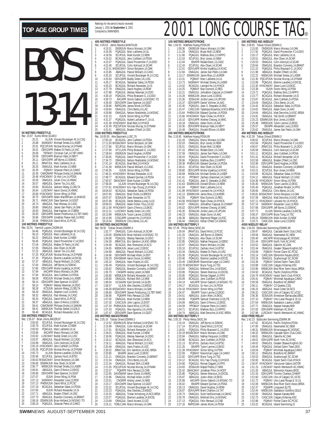|                     |                                                                                                                                              |                     |                               | <b>400 METRES FREESTYLE</b>           |                                                                                                |
|---------------------|----------------------------------------------------------------------------------------------------------------------------------------------|---------------------|-------------------------------|---------------------------------------|------------------------------------------------------------------------------------------------|
|                     |                                                                                                                                              | 1                   | 4:15.51                       | Rec: 4:05.63 Jamie Stevens, MANTA, 89 | ONSRJUN Marco Monaco, 14, C                                                                    |
|                     |                                                                                                                                              | $\overline{2}$<br>3 | 4:16.59<br>4:18.59            |                                       | PQAGJUL Marc Laliberte, 14, U<br>ECUPJUL Mark Kurtzer, 13, NEV                                 |
|                     | YS                                                                                                                                           | 4                   | 4:19.32                       |                                       | BCAGJUL Jens Cuthbert, 14, PD                                                                  |
|                     |                                                                                                                                              | 5<br>6              | 4:22.07<br>4:22.48            |                                       | POAGJUL David Provencher-F<br>ECUPJUL Colin Ackroyd, 14, SO                                    |
|                     |                                                                                                                                              | 7                   |                               |                                       | 4:23.31 MSSACMAY Simon Borjeson, 14,                                                           |
|                     |                                                                                                                                              | 8<br>9              | 4:23.85<br>4:25.20            |                                       | ABAGJUL Pascal Wollach, 13, 0<br>ECUPJUL Vincent Boulanger-M                                   |
|                     |                                                                                                                                              | 10<br>11            | 4:25.93<br>4:26.17            |                                       | ODIV2APR Buddy Green, 14, LU!<br>BCAGJUL Sebastian Salas, 14,1                                 |
|                     |                                                                                                                                              | 12                  | 4:26.33                       |                                       | BCAGJUL Richard Alexander, 1                                                                   |
|                     |                                                                                                                                              | 13<br>14            | 4:27.79<br>4:27.88            |                                       | ONAGJUL David Hughes, 14, RO<br>PQAGJUL Wesley Newman, 14,                                     |
|                     |                                                                                                                                              | 15                  | 4:28.19                       |                                       | POAGJUL Philip Brassard-G., 1                                                                  |
|                     |                                                                                                                                              | 16<br>17            | 4:28.73<br>4:29.40            |                                       | AACAPR Simon Gabsch, 14, M<br>ODIV2APR Dave Spencer, 14, GO                                    |
|                     |                                                                                                                                              | 18                  | 4:29.66                       |                                       | RAPIDJAN James Monk, 14, PD!                                                                   |
|                     |                                                                                                                                              | 19<br>20            | 4:29.84<br>4:29.98            |                                       | ONAGJUL Chris Bento, 14, LAC<br>ONAGJUL Nelson Niedzielski, 1                                  |
|                     |                                                                                                                                              | 21                  | 4:31.15                       |                                       | ISJUN Simon Wing, 14, PSV                                                                      |
|                     |                                                                                                                                              | 22<br>23            | 4:31.37                       |                                       | PQAGJUL Aubert Lachance-F.,<br>4:31.38 HYACKMAY Brad Reid, 14, HYACI                           |
|                     |                                                                                                                                              | 24<br>25            | 4:31.51                       |                                       | 4:31.49 PQCUPJUN Nicolas Murray, 14, [<br>ABAGJUL Braden O'Neill, 14, O'                       |
|                     | 50 METRES FREESTYLE                                                                                                                          |                     |                               | <b>1500 METRES FREESTYLE</b>          |                                                                                                |
| 1                   | Rec: 23.97 Kurtis Miller, SCAR, 0<br>25.21<br>ULJUN Vincent Boulanger-M, 14, CSQ                                                             | 1                   | 17:00.18                      | Rec: 16:00.93 Alex Baumann, LUSC, 79  | BCAGJUL Jens Cuthbert, 14, PD                                                                  |
| $\overline{c}$<br>3 | 25.88<br>SASKMAY Michael Smela, 14, LASER<br>25.91                                                                                           | 2                   |                               |                                       | 17:11.93 MSSACMAY Simon Borjeson,14,                                                           |
| 4                   | PQCUPJUN Nicolas Murray, 14, DYNAM<br>26.01<br>ODIV2APR Matteo Di Paolo,14,VAC                                                               | 3<br>4              | 17:17.86<br>17:27.90          |                                       | ECUPJUL Marco Monaco, 14, C<br>VIT11JUN Philip Brassard-G., 1                                  |
| 5<br>6              | 26.06<br>TBTMAY Christian Carl, 14, TBT-NWO<br>26.09<br>ODIV2APR Brannyn Hale, 14, NBYT                                                      | 5<br>6              | 17:28.64                      |                                       | ONSRJUN David Hughes, 14, RO                                                                   |
| 7                   | 26.11<br>ODIV2APR Jeff Byrne, 13, SSMAC                                                                                                      | 7                   | 17:30.65<br>17:34.72          |                                       | PQAGJUL David Provencher-F<br>ONAGJUL Nelson Niedzielski,1                                     |
| 8<br>9              | 26.11<br>JRNATJUL Marc Laliberte, 14, UL<br>26.25<br>ONAGJUL Mark Kurtzer, 13, NEW                                                           | 8<br>9              | 17:41.14<br>17:41.58          |                                       | BCAGJUL Brad Reid, 14, HYACI<br>MBSKJUN Pascal Wollach, 13, 0                                  |
| 10                  | 26.35<br>PQIMAY Octavian Petre, 14, CAMO                                                                                                     | 10                  | 17:45.35                      |                                       | ISJUN Simon Wing, 14, PSV                                                                      |
| 11<br>12            | 26.39<br>CAMOMAR Philippe Drolet, 14, SAMAK<br>26.48 HYACKMAY Gi-Hun Lim,14,PDSA                                                             | 11<br>12            | 17:48.77                      |                                       | 17:48.31 HYACKMAY Richard Alexander,1<br>BCAGJUL Edward Quinlan, 14, I                         |
| 13                  | 26.50<br>ONAGJUL Julian Cino, 14, HWAC                                                                                                       | 13                  | 17:50.57                      |                                       | GMACMAY Mark Kurtzer, 13, NEV                                                                  |
| 14<br>15            | 26.57<br>ABAGJUL Darren Tso.14.LASC<br>26.60<br>BCAGJUL Jackson Wang, 13, DELTA                                                              | 14<br>15            | 17:56.00                      |                                       | ULJUN Vincent Boulanger-M<br>17:57.81 HYACKMAY Kris Yap-Chung, 13,                             |
| 16<br>17            | 26.64<br>LUSCMAY Aaron Donst, 14, HWAC<br>26.68 HYACKMAY Simon Wing, 14, PSW                                                                 | 16<br>17            | 18:04.63                      |                                       | BCAGJUL Sebastian Salas, 14,1                                                                  |
| 18                  | ODIV3APR Adam MacWilliam,14,MAKOS<br>26.70                                                                                                   | 18                  | 18:07.65<br>18:07.67          |                                       | ONAGJUL Brad Childs, 14, BRO<br>EOSAJUN Sean Alexander, 14, 1                                  |
| 19<br>20            | 26.71<br>HWACJUN Dave Spencer, 14, GGST<br>26.74<br>ABAGJUL Paul Mereau, 14, CASC                                                            | 19<br>20            | 18:07.68<br>18:09.53          |                                       | BCAGJUL Derek Westra-Luney<br>ONAGJUL Adam Fisher-Titus, 1                                     |
| 21                  | 26.80<br>ONAGJUL James San Pedro, 14, OAK                                                                                                    | 21                  |                               |                                       | 18:11.69 HYACKMAY Gavin D'Amico,13,E                                                           |
| 22<br>23            | ONAGJUL Matt Kapitan, 14, COBRA<br>26.83<br>26.93<br>ODIV2APR Steven Posthumus, 13, TBT-NWO                                                  | 22<br>23            | 18:12.31<br>18:13.89          |                                       | LUSCMAY Buddy Green, 14, LU!<br>MBSKJUN Tyson Larone, 13, EK                                   |
| 24                  | 26.96<br>ODIV3APR Jonathan Peace-Hall, 14, RISC                                                                                              | 24                  | 18:13.99                      |                                       | CDSCAPR Leonard Ho, 13, HYA                                                                    |
| 25                  | 26.96 PHENXJUN David Milot, 13, PCSC<br>100 METRES FREESTYLE                                                                                 | 25                  | 18:14.04                      | 100 METRES BACKSTROKE                 | ONSRJUN Chris Bento, 14, LAC                                                                   |
| 1                   | Rec: 52.91 Yannick Lupien, CAGRA, 94<br>54.46<br>PQAGJUL Vincent Boulanger-M, 14, CSQ                                                        | 1                   | 1:02.77                       | Rec: 58.92 Tobias Oriwol, ESWIM, 0    | ONAGJUL Colin Ackroyd, 14, SO                                                                  |
| $\overline{2}$      | POAGJUL Marc Laliberte, 14, UL<br>56.10                                                                                                      | $\overline{c}$      | 1:03.00                       |                                       | ESWIMJUN Brian Holland, 14, M!                                                                 |
| 3<br>4              | 56.22<br>ONAGJUL Mark Kurtzer, 13, NEW<br>56.46<br>PQAGJUL David Provencher-F,14,DDO                                                         | 3<br>4              | 1:04.08<br>1:04.39            |                                       | PQAGJUL Wesley Newman, 14,<br>JRNATJUL Eric Gendron, 14, KS                                    |
| 5<br>6              | 57.04<br>ONAGJUL Matteo Di Paolo, 14, VAC<br>57.05<br>ONAGJUL Alex Olsen, 14, SCAR                                                           | 5                   | 1:04.58                       |                                       | BCAGJUL Alex Sherwood, 14, K                                                                   |
| 7                   | 57.22<br>ABAGJUL Darren Tso, 14, LASC                                                                                                        | 6<br>7              | 1:04.65<br>1:04.89            |                                       | MBSKJUN Jesse Lund,13,EKSO<br>ABAGJUL Pascal Wollach, 13, 0                                    |
| 8<br>9              | 57.25<br>PQCUPJUN Nicolas Murray, 14, DYNAM<br>57.33<br>PQAGJUL Etienne Lavallee, 14, EXCEL                                                  | 8<br>9              | 1:04.96<br>1:05.29            |                                       | ODIV3APR Michael Allain, 14, B!<br>DAVISMAR Aaron Donst, 14, HW.                               |
| 10                  | 57.37<br>ABAGJUL Pascal Wollach, 13, CASC                                                                                                    | 10                  | 1:05.32                       |                                       | ONAGJUL Hans Fracke.14.USC                                                                     |
| 11<br>12            | 57.64<br>ONAGJUL Jeff Byrne, 14, SSMAC<br>57.85<br>ODIV1APR Misha Vujaklija,14,NYAC                                                          | 11                  | 1:05.49                       |                                       | PQAGJUL Vincent Boulanger-M                                                                    |
| 13                  |                                                                                                                                              |                     |                               |                                       |                                                                                                |
|                     | 57.94<br>AACAPR Marco Monaco, 14, OAK                                                                                                        | 12<br>13            | 1:05.62<br>1:05.70            |                                       | <b>ONAGJUL Brandon Connerty, 1</b><br>CNOAPR Andrej Lenert, 14, NK                             |
| 14<br>15            | 57.94<br>BCAGJUL Jens Cuthbert, 14, PDSA<br>58.09<br>RODJUN Michael Smela, 14, LASER                                                         | 14<br>15            | 1:05.80<br>1:05.80            |                                       | MBSKJUN Richard Alexander, 1<br>ONAGJUL Richard Shih, 13, NKI                                  |
| 16                  | 58.14<br>ODIV2APR Dave Spencer, 14, GGST                                                                                                     | 16                  | 1:06.04                       |                                       | UCSAJAN Kyle Sorrenti, 14, GLI                                                                 |
| 17<br>18            | 58.14<br>PQIMAY Wesley Newman, 14, DDO<br>58.28<br>KCSJUN Jackson Wang, 13, DELTA                                                            | 17<br>18            | 1:06.57                       |                                       | ULJUN Alex Desilets, 13, ME<br>1:06.58 MSSACMAY Marco Monaco, 14, C                            |
| 19                  | 58.29<br>ONAGJUL Stephen Louli, 14, MAC                                                                                                      | 19                  |                               |                                       | 1:06.66 ODIV2APR Steven Posthumus,1                                                            |
| 20<br>21            | 58.32<br>ABAGJUL Paul Mereau, 14, CASC<br>58.34<br>PQAGJUL David Milot, 13, PCSC                                                             | 20<br>21            | 1:06.90<br>1:07.05            |                                       | PQIIAPR Felix Renaud, 13, CN<br>ONAGJUL Mark Kurtzer, 13, NEV                                  |
| 22<br>23            | 58.37<br>ABAGJUL Gavin D'Amico, 13, EKSC<br>CAMOMAR Philippe Drolet, 14, SAMAK<br>58.41                                                      | 22<br>23            | 1:07.20                       |                                       | CASCJUN John Lapins, 13, EXS<br>1:07.20 PHENXJUN David Milot, 13, PCS                          |
| 24                  | MBSKJUN Thomas Seibel, 14, GOLD<br>58.41                                                                                                     | 24                  | 1:07.43                       |                                       |                                                                                                |
| 25                  | BCAGJUL Richard Alexander, 14, IS<br>58.48<br>200 METRES FREESTYLE                                                                           | 25                  | 1:07.47                       | <b>200 METRES BACKSTROKE</b>          | POAGJUL Alex Agostino, 14, LA<br>ODIV2APR Dave Spencer, 14, GO                                 |
| 1                   | Rec: 1:55.97 Brian Johns, RACER, 97<br>ECUPJUL Vincent Boulanger-M,14,CSQ<br>2:00.50                                                         |                     |                               | Rec: 2:05.16 Tobias Oriwol, ESWIM, 0  |                                                                                                |
| $\overline{c}$      | ECUPJUL Mark Kurtzer, 13, NEW<br>2:00.79                                                                                                     | 1                   | 2:15.98                       |                                       | 2:13.52 ESWIMJUN Brian Holland, 14, M!<br>ONAGJUL Colin Ackroyd, 14, SO                        |
| 3<br>4              | POAGJUL Marc Laliberte, 14, UL<br>2:00.93<br>AACAPR Marco Monaco, 14, OAK<br>2:03.86                                                         | $\frac{2}{3}$<br>4  | 2:17.61<br>2:18.01            |                                       | BCAGJUL Richard Alexander, 1                                                                   |
| 5                   | 2:03.92                                                                                                                                      | 5                   | 2:18.06                       |                                       | ONAGJUL Mark Kurtzer, 13, NEV<br>PQAGJUL Wesley Newman, 14,                                    |
| 6<br>7              | LUSCMAY Buddy Green, 14, LUSC<br>ABAGJUL Pascal Wollach, 13, CASC<br>2:03.97<br>ONAGJUL Colin Ackroyd, 14, SCAR<br>2:04.98                   | 6<br>7              | 2:18.12<br>2:19.11            |                                       | BCAGJUL Alex Sherwood, 14, K<br>ABAGJUL Pascal Wollach, 13, 0                                  |
| 8<br>9              | 2:05.19 HYACKMAY Jens Cuthbert, 14, PDSA                                                                                                     | 8                   | 2:20.48                       |                                       | ONAGJUL Hans Fracke, 14, USO                                                                   |
| 10                  | 2:05.36 PQCUPJUN Nicolas Murray, 14, DYNAM<br>ULJUN Etienne Lavallee, 13, EXCEL<br>2:05.73                                                   | 9<br>10             | 2:20.52<br>2:20.85            |                                       | JRNATJUL Eric Gendron, 14, KS<br>EKIAPR Jesse Lund, 13, EKSO                                   |
| 11<br>12            | 2:05.96<br>ECUPJUL Zachary Hurd, 14, BTSC                                                                                                    | 11                  | 2:21.21                       |                                       | <b>ONAGJUL Brandon Connerty, 1</b>                                                             |
| 13                  | 2:06.63 MSSACMAY Simon Borjeson, 14, OAK<br>2:06.66 ESWIMJUN Alex Olsen, 14, SCAR                                                            | 12<br>13            | 2:21.54<br>2:21.54            |                                       | ONAGJUL Chris Bento, 14, LAC<br>ONAGJUL Richard Shih, 13, NKI                                  |
| 14<br>15            | MBSKJUN Michael Smela,14,LASER<br>2:06.77<br>2:06.91<br>ABAGJUL Gavin D'Amico, 13, EKSC                                                      | 14<br>15            | 2:22.07                       |                                       | 2:21.55 PQCUPJUN Nicolas Murray, 14, [<br>PQIIAPR Felix Renaud, 13, CN                         |
| 16                  | 2:06.96<br>ODIV2APR Dave Spencer, 14, GGST                                                                                                   | 16                  | 2:22.85                       |                                       | DAVISMAR Aaron Donst, 14, HW                                                                   |
| 17<br>18            | ISJUN Simon Wing, 14, PSW<br>2:07.07<br>SASKMAY Alexander Love, 13, ROD<br>2:07.13                                                           | 17<br>18            | 2:22.86<br>2:23.01            |                                       | ONAGJUL Michael Allain, 14, B!<br>CNOAPR Andrej Lenert, 14, NK                                 |
| 19<br>20            | 2:07.13 PHENXJUN David Milot, 13, PCSC<br>2:07.18<br>BCAGJUL Sebastian Salas, 14, PDSA                                                       | 19                  | 2:23.17                       |                                       | ODIV2APR Dave Spencer, 14, GO                                                                  |
| 21                  | ISJUN Richard Alexander, 14, IS<br>2:07.65                                                                                                   | 20<br>21            | 2:23.22<br>2:23.23            |                                       | ECUPJUL Vincent Boulanger-M<br>PQAGJUL Alex Desilets, 13, ME                                   |
| 22<br>23<br>24      | 2:07.71<br>ABAGJUL Braden O'Neill, 14, OSC<br>2:07.73<br>ONAGJUL Brandon Connerty, 14, BRANT<br>2:08.16 ESWIMJUN Brian Holland, 14, MSSAC-TO | 22<br>$23\,$<br>24  | 2:23.25<br>2:23.57<br>2:23.68 |                                       | ABAGJUL Tristan Armstrong, 14<br>POAGJUL Etienne Lavallee, 14,<br>ONAGJUL David Arcand, 13, GC |

|                           |                                     | 400 METRES FREESTYLE                                          |                                                                                                                                                                                                                                                 |
|---------------------------|-------------------------------------|---------------------------------------------------------------|-------------------------------------------------------------------------------------------------------------------------------------------------------------------------------------------------------------------------------------------------|
|                           |                                     | Rec: 4:05.63 Jamie Stevens, MANTA, 89                         |                                                                                                                                                                                                                                                 |
| 1                         | 4:15.51                             |                                                               | ONSRJUN Marco Monaco, 14, OAK                                                                                                                                                                                                                   |
| $\frac{1}{2}$             | 4:16.59                             |                                                               | POAGJUL Marc Laliberte, 14, UL                                                                                                                                                                                                                  |
| 3<br>4                    |                                     |                                                               |                                                                                                                                                                                                                                                 |
| 5                         |                                     |                                                               | 14,DDO                                                                                                                                                                                                                                          |
| 6                         |                                     |                                                               | 1992 ECUPJUL Mark Kurtzer, 13, NEW<br>4:19.32 BCAGJUL Jens Cuthert, 13, NEW<br>4:22.07 POAGJUL David Provencher-F, 14, 22.43<br>ECUPJUL Colin Ackroyd, 14, SCAR                                                                                 |
| 7                         |                                     |                                                               | 4:23.31 MSSACMAY Simon Borjeson, 14.0AK<br>4:23.35 ABAGJUL Pascal Wollach, 13, CASC<br>4:25.20 ECUPJUL Vincent Boulanger-M, 14, CSQ                                                                                                             |
| 8                         |                                     |                                                               |                                                                                                                                                                                                                                                 |
| 9<br>10                   |                                     |                                                               |                                                                                                                                                                                                                                                 |
| $\frac{11}{2}$            |                                     |                                                               |                                                                                                                                                                                                                                                 |
| 12                        |                                     |                                                               | 4.25.20<br>4.25.93 CDIV2APR Buddy Green, 14.1USC<br>4.25.93 BCAGUUL Sebastian Salas, 14.PDSA<br>4.26.33 BCAGUUL Richard Alexander, 14.1SC<br>4.27.79 ONAGUUL Novid Hughes, 14.ROW<br>4.27.88 POAGUUL Wesley Newman, 14.DDO<br>4.28.19 POAGUUL W |
| 13                        |                                     |                                                               |                                                                                                                                                                                                                                                 |
| 14                        | $4:28.19$<br>$4:28.73$<br>$4:29.73$ |                                                               |                                                                                                                                                                                                                                                 |
| 15<br>16                  |                                     |                                                               |                                                                                                                                                                                                                                                 |
| 17                        |                                     |                                                               | AACAPR Simon Gabsch, 14, MSSAC-TO<br>4:29.40 ODIV2APR Dave Spencer, 14, GGST                                                                                                                                                                    |
| 18                        |                                     |                                                               | 4:29.66 RAPIDJAN James Monk, 14, PDSA                                                                                                                                                                                                           |
| 19                        | 4:29.84                             |                                                               | ONAGJUL Chris Bento, 14, LAC                                                                                                                                                                                                                    |
| 20                        | 4:29.98                             |                                                               | ONAGJUL Nelson Niedzielski, 14, MSSAC                                                                                                                                                                                                           |
| 21                        | 4:31.15                             |                                                               | ISJUN Simon Wing, 14, PSW<br>POAGJUL Aubert Lachance-F., 14, UL                                                                                                                                                                                 |
| 22<br>23                  | 4:31.37                             |                                                               | 4:31.38 HYACKMAY Brad Reid, 14, HYACK                                                                                                                                                                                                           |
| 24                        |                                     |                                                               | 4:31.49 PQCUPJUN Nicolas Murray, 14, DYNAM                                                                                                                                                                                                      |
| 25                        | 4:31.51                             |                                                               | ABAGJUL Braden O'Neill, 14, OSC                                                                                                                                                                                                                 |
|                           |                                     | <b>1500 METRES FREESTYLE</b>                                  |                                                                                                                                                                                                                                                 |
| 1                         |                                     | Rec: 16:00.93 Alex Baumann, LUSC, 79                          |                                                                                                                                                                                                                                                 |
| $\overline{2}$            |                                     |                                                               | 17:00.18 BCAGJUL Jens Cuthbert, 14, PDSA<br>17:11.93 MSSACMAY Simon Borjeson, 14, OAK                                                                                                                                                           |
| 3                         | 17:17.86                            |                                                               | ECUPJUL Marco Monaco, 14, OAK                                                                                                                                                                                                                   |
| 4                         | 17:27.90                            |                                                               | VIT11JUN Philip Brassard-G., 14, DDO                                                                                                                                                                                                            |
| 5                         | 17:28.64                            |                                                               | ONSRJUN David Hughes, 14, ROW                                                                                                                                                                                                                   |
| 6<br>7                    | 17:30.65<br>17:34.72                |                                                               | PQAGJUL David Provencher-F,14,DDO<br>ONAGJUL Nelson Niedzielski, 14, MSSAC                                                                                                                                                                      |
| 8                         | 17:41.14                            |                                                               | BCAGJUL Brad Reid, 14, HYACK                                                                                                                                                                                                                    |
| 9                         | 17:41.58                            |                                                               | MBSKJUN Pascal Wollach, 13, CASC                                                                                                                                                                                                                |
| 10                        |                                     |                                                               |                                                                                                                                                                                                                                                 |
| 11                        |                                     |                                                               |                                                                                                                                                                                                                                                 |
| 12<br>13                  |                                     |                                                               |                                                                                                                                                                                                                                                 |
| 14                        |                                     |                                                               | UILIUN Vincent Boulanger-M, 14, CSQ<br>HYACKMAY Kris Yap-Chung, 13, HYACK<br>BCAGJUL Sebastian Salas, 14, PDSA<br>ONAGJUL Brad Childs, 14, BROCK<br>NAGJUL Brad Childs, 14, BROCK                                                               |
| 15                        | 17:57.81                            |                                                               |                                                                                                                                                                                                                                                 |
| 16                        | 18:04.63                            |                                                               |                                                                                                                                                                                                                                                 |
| 17                        | 18:07.65                            |                                                               |                                                                                                                                                                                                                                                 |
| 18<br>19                  | 18:07.67<br>18:07.68                |                                                               | EOSAJUN Sean Alexander, 14, TD<br>BCAGJUL Derek Westra-Luney, 14, IS                                                                                                                                                                            |
| 20                        | 18:09.53                            |                                                               | ONAGJUL Adam Fisher-Titus, 14, GO                                                                                                                                                                                                               |
| 21                        |                                     |                                                               | 18:11.69 HYACKMAY Gavin D'Amico, 13, EKSC                                                                                                                                                                                                       |
| $^{22}$                   | 18:12.31                            |                                                               | LUSCMAY Buddy Green, 14, LUSC<br>MBSKJUN Tyson Larone, 13, EKSC                                                                                                                                                                                 |
| 23<br>24                  | 18:13.89<br>18:13.99                |                                                               | CDSCAPR Leonard Ho, 13, HYACK                                                                                                                                                                                                                   |
| 25                        | 18:14.04                            |                                                               | ONSRJUN Chris Bento, 14, LAC                                                                                                                                                                                                                    |
|                           |                                     |                                                               |                                                                                                                                                                                                                                                 |
|                           |                                     | <b>100 METRES BACKSTROKE</b>                                  |                                                                                                                                                                                                                                                 |
|                           | Rec: 58.92                          | Tobias Oriwol, ESWIM, 0                                       |                                                                                                                                                                                                                                                 |
| 1                         | 1:02.77                             |                                                               | ONAGJUL Colin Ackroyd, 14, SCAR                                                                                                                                                                                                                 |
| $\overline{\mathbf{c}}$   |                                     |                                                               | 1:03.00 ESWIMJUN Brian Holland, 14, MSSAC-TO                                                                                                                                                                                                    |
| 3<br>4                    |                                     |                                                               |                                                                                                                                                                                                                                                 |
| 5                         | 1:04.58                             |                                                               | 1:04.08 POAGJUL Wesley Newman, 14, DDO<br>1:04.39 JRNATJUL Eric Gendron, 14, KSC-BRSA<br>1:04.58 BCACJUL Alex Sharvood 14, KCS<br>BCAGJUL Alex Sherwood, 14, KCS                                                                                |
|                           | 1:04.65                             |                                                               | MBSKJUN Jesse Lund, 13, EKSC                                                                                                                                                                                                                    |
| 6<br>7                    | 1:04.89                             |                                                               | ABAGJUL Pascal Wollach, 13, CASC                                                                                                                                                                                                                |
| 8.                        | 1:04.96                             |                                                               | ODIV3APR Michael Allain, 14, BST                                                                                                                                                                                                                |
| 9                         |                                     |                                                               | 1:05.29 DAVISMAR Aaron Donst, 14, HWAC                                                                                                                                                                                                          |
| 10<br>11                  | 1:05.32<br>1:05.49                  |                                                               | ONAGJUL Hans Fracke, 14, USC<br>POAGJUL Vincent Boulanger-M, 14, CSO                                                                                                                                                                            |
| 12                        | 1:05.62                             |                                                               |                                                                                                                                                                                                                                                 |
| 13                        | 1:05.70                             |                                                               |                                                                                                                                                                                                                                                 |
| 14<br>15                  | 1:05.80                             |                                                               |                                                                                                                                                                                                                                                 |
| 16                        | 1:05.80<br>1:06.04                  |                                                               | PUAGJUL VIncent Boulanger-M, 14,CSC<br>ONAGJUL Brandon Connerty, 14,BRANT<br>MBSKJUN Richard Alexander, 14,IS<br>MBSKJUN Richard Alexander, 14,IS<br>ONAGJUL Richard Shih,13,NKB                                                                |
| 17                        |                                     |                                                               | UCSAJAN Kyle Sorrenti, 14, GLEN                                                                                                                                                                                                                 |
| 18                        |                                     |                                                               |                                                                                                                                                                                                                                                 |
|                           |                                     |                                                               | 1:06.57 ULJUN Alex Desilets, 13, MEGO<br>1:06.58 MSSACMAY Marco Monaco, 14, OAK<br>1:06.66 ODIV2APR Steven Posthumus, 13, TBT-NWO                                                                                                               |
| 19<br>20                  | 1:06.90<br>1:07.05                  |                                                               | POIIAPR Felix Renaud, 13, CNB                                                                                                                                                                                                                   |
| $\frac{21}{2}$<br>$^{22}$ | 1:07.20                             |                                                               | ONAGJUL Mark Kurtzer, 13, NEW<br>CASCJUN John Lapins, 13, EXST                                                                                                                                                                                  |
| 23                        | 1:07.20                             |                                                               | PHENXJUN David Milot, 13, PCSC                                                                                                                                                                                                                  |
| 24                        | 1:07.43                             |                                                               | POAGJUL Alex Agostino, 14, LAVAL                                                                                                                                                                                                                |
| 25                        | 1:07.47                             |                                                               | ODIV2APR Dave Spencer, 14, GGST                                                                                                                                                                                                                 |
|                           |                                     | 200 METRES BACKSTROKE<br>Rec: 2:05.16 Tobias Oriwol, ESWIM, 0 |                                                                                                                                                                                                                                                 |
| 1                         | 2:13.52                             |                                                               | ESWIMJUN Brian Holland, 14, MSSAC-TO                                                                                                                                                                                                            |
| $\overline{2}$            | 2:15.98                             |                                                               | ONAGJUL Colin Ackroyd, 14, SCAR                                                                                                                                                                                                                 |
| 3<br>4                    | 2:17.61<br>2:18.01                  |                                                               | BCAGJUL Richard Alexander, 14, IS<br>ONAGJUL Mark Kurtzer, 13, NEW                                                                                                                                                                              |
| 5                         | 2:18.06                             |                                                               | PQAGJUL Wesley Newman, 14, DDO                                                                                                                                                                                                                  |
| 6                         | 2:18.12                             |                                                               | BCAGJUL Alex Sherwood, 14, KCS                                                                                                                                                                                                                  |
| 7                         | 2:19.11                             |                                                               | ABAGJUL Pascal Wollach, 13, CASC                                                                                                                                                                                                                |
| 8<br>9                    | 2:20.48                             |                                                               | ONAGJUL Hans Fracke, 14, USC                                                                                                                                                                                                                    |
| 10                        | 2:20.52<br>2:20.85                  |                                                               | JRNATJUL Eric Gendron, 14, KSC-BRSA                                                                                                                                                                                                             |
| 11                        | 2:21.21                             |                                                               | EKIAPR Jesse Lund, 13, EKSC<br>ONAGJUL Brandon Connerty, 14, BRANT                                                                                                                                                                              |
| 12                        | 2:21.54                             |                                                               | ONAGJUL Chris Bento, 14, LAC                                                                                                                                                                                                                    |
| 13                        | 2:21.54                             |                                                               | ONAGJUL Richard Shih, 13, NKB                                                                                                                                                                                                                   |
| 14                        | 2:21.55                             |                                                               |                                                                                                                                                                                                                                                 |
| 15<br>16                  | 2:22.07<br>2:22.85                  |                                                               | POCUPJUN Nicolas Murray, 14, DYNAM<br>POIIAPR Felix Renaud, 13, CNB                                                                                                                                                                             |
| 17                        | 2:22.86                             |                                                               |                                                                                                                                                                                                                                                 |
| 18                        | 2:23.01                             |                                                               |                                                                                                                                                                                                                                                 |
| 19                        | 2:23.17                             |                                                               | DAVISMAR Aaron Donst, 14, HWAC<br>ONAGJUL Michael Allain, 14, BST<br>CNOAPR Andrej Lenert, 14, NKB<br>ODIVZAPR Dave Spencer, 14, GGST<br>CLID III                                                                                               |
|                           | 2:23.22                             |                                                               |                                                                                                                                                                                                                                                 |
| 20<br>21<br>22<br>23      | 2:23.23<br>2:23.25                  |                                                               | ECUPJUL Vincent Boulanger-M,14,CSQ<br>POAGJUL Alex Desilets,13,MEGO<br>ABAGJUL Tristan Armstrong,14,NCS-BRSA<br>POAGJUL Etienne Lavallee,14,EXCEL                                                                                               |

25 2:24.11 TORLCJAN Marco Monaco,14,OAK

## TOP AGE GROUP TIMES **Exacting for the period (results received**)<br>2001 LONG COURSE TAG®

|                     |                    | 100 METRES BREASTSTROKE              |                                                                                                                                                                                                                                               | 200 N               |
|---------------------|--------------------|--------------------------------------|-----------------------------------------------------------------------------------------------------------------------------------------------------------------------------------------------------------------------------------------------|---------------------|
|                     |                    | Rec: 1:04.53 Matthew Huang, PDSA, 99 |                                                                                                                                                                                                                                               | Rec: 2              |
| 1<br>$\overline{c}$ | 1:09.36<br>1:11.28 |                                      | ONSRJUN Marco Monaco, 14, OAK                                                                                                                                                                                                                 | 1<br>$\overline{c}$ |
| 3                   | 1:11.66            |                                      |                                                                                                                                                                                                                                               |                     |
| 4                   | 1:12.03            |                                      |                                                                                                                                                                                                                                               | $\frac{3}{4}$       |
| 5                   | 1:12.04            |                                      |                                                                                                                                                                                                                                               | 5                   |
| 6<br>7              | 1:12.43            |                                      | ONAGJUL Bryan Mell, 13, NEW<br>POAGJUL Mathieu Bois, 13, HIPPO<br>ECUPJUL Bryn Jones, 14, NEW<br>EKIAPR Rodale Estor, 13, CASC<br>COIVITAL AIRS OISEN, 14, SCAR<br>ONIVITADE Micha Vitaklija, 14, NYA                                         | 6<br>7              |
| 8                   | 1:12.51<br>1:12.84 |                                      | ODIV1APR Misha Vujaklija,14,NYAC                                                                                                                                                                                                              | 8                   |
| 9                   | 1:13.17            |                                      | ONAGJUL James San Pedro, 14, OAK<br>ESWIMJUN Jamie Ross, 12, AUROR<br>POIMAY Marc Laliberte, 14, UL                                                                                                                                           | 9                   |
| 10                  | 1:13.31            |                                      |                                                                                                                                                                                                                                               | 10                  |
| 11                  | 1:13.73            |                                      | SASKMAY Michael Smela, 14, LASER                                                                                                                                                                                                              | 11                  |
| 12<br>13            | 1:14.02<br>1:14.25 |                                      | BCAGJUL Leonard Ho, 14, HYACK<br>PQIMAY Max Dumont, 12, REG                                                                                                                                                                                   | 12<br>13            |
| 14                  | 1:15.21            |                                      | ONAGJUL Johnathon Caquiat, 14, CHAMP                                                                                                                                                                                                          | 14                  |
| 15                  | 1:15.28            |                                      | MBSKJUN Jesse Lund, 13, EKSC<br>EOSAJUN Jordie Lewis, 14, UPCAN                                                                                                                                                                               | 15                  |
| 16                  | 1:15.36            |                                      |                                                                                                                                                                                                                                               | 16                  |
| 17                  | 1:15.37            |                                      | ODIV3APR Daniel Vollmer, 14, AAC                                                                                                                                                                                                              | 17                  |
| 18<br>19            | 1:15.45<br>1:15.47 |                                      | PQAGJUL Jean-S. Despatie, 14, ENC<br>CASCJUN Tadamasa Miyashita, 14, NCS-BRSA                                                                                                                                                                 | 18<br>19            |
| 20                  | 1:15.64            |                                      | PHENXJUN Edward Quinlan, 14, PDSA                                                                                                                                                                                                             | 20                  |
| 21                  |                    |                                      | 1:15.66 HYACKMAY Ryan Chiew, 14, HYACK                                                                                                                                                                                                        | 21                  |
| 22                  | 1:16.10            |                                      | ODIV1APR Andrew Cheung, 14, WAC                                                                                                                                                                                                               | 22                  |
| 23<br>24            | 1:16.18<br>1:16.36 |                                      | ONAGJUL Adam Dunn, 14, AAC<br>ODIV2APR Brannyn Hale, 14, NBYT                                                                                                                                                                                 | 23<br>24            |
| 25                  | 1:16.49            |                                      | ONAGJUL Donald Ellison, 14, NEW                                                                                                                                                                                                               | 25                  |
|                     |                    | 200 METRES BREASTSTROKE              |                                                                                                                                                                                                                                               | 400 N               |
|                     |                    | Rec: 2:19.95 Matthew Huang, PDSA, 99 |                                                                                                                                                                                                                                               | Rec: 4              |
| $\frac{1}{2}$       | 2:31.43            |                                      | ONAGJUL Marco Monaco, 14, OAK<br>ONAGJUL Bryn Jones, 14, NEW                                                                                                                                                                                  | 1                   |
| 3                   | 2:32.03            |                                      |                                                                                                                                                                                                                                               | $\overline{c}$<br>3 |
| 4                   |                    |                                      |                                                                                                                                                                                                                                               | 4                   |
| 5                   |                    |                                      |                                                                                                                                                                                                                                               | 5                   |
| 6                   |                    |                                      |                                                                                                                                                                                                                                               | $\frac{6}{7}$       |
| 7<br>8              |                    |                                      |                                                                                                                                                                                                                                               | 8                   |
| 9                   |                    |                                      | 2:32.03 – ONAGUL Byn Jones, 14, New<br>2:35.51 – ONAGUL Byan Mell, 13, NEW<br>2:37.59 – ONAGUL Byan Mell, 13, NEW<br>2:37.59 – ONAGUL James San Pedro, 14, OAK<br>2:38.43 – POAGUL David Provencher-F, 14, DDO<br>2:38.96 – POAGUL Mahrieu Bo | 9                   |
| 10                  |                    |                                      |                                                                                                                                                                                                                                               | 10                  |
| 11                  | 2:40.69            |                                      | MBSKJUN Michael Smela, 14, LASER<br>PPOMAY Zachary Glassman, 14, CAMO<br>POAGJUL Jean-S. Despatie, 14, ENC                                                                                                                                    | 11                  |
| 12                  | 2:41.41            |                                      |                                                                                                                                                                                                                                               | 12                  |
| 13<br>14            | 2:41.41<br>2:41.63 |                                      | ESWIMJUN Donald Ellison, 14, NEW                                                                                                                                                                                                              | 13<br>14            |
| 15                  | 2:41.64            |                                      | PQIMAY Marc Laliberte, 14, UL                                                                                                                                                                                                                 | 15                  |
| 16                  |                    |                                      | 2:41.99 HYACKMAY Leonard Ho, 14, HYACK                                                                                                                                                                                                        | 16                  |
| 17                  | 2:42.13            |                                      | ESWIMJUN Jamie Ross, 13, AUROR                                                                                                                                                                                                                | 17                  |
| 18<br>19            | 2:42.55            |                                      | PQIMAY Max Dumont, 13, REG<br>2:43.56 HYACKMAY Ryan Chiew, 14, HYACK                                                                                                                                                                          | 18<br>19            |
| 20                  | 2:44.87            |                                      | ONAGJUL Johnathon Caquiat, 14, CHAMP                                                                                                                                                                                                          | 20                  |
| 21                  | 2:45.02            |                                      | ODIV1APR Andrew Cheung, 14, WAC                                                                                                                                                                                                               | 21                  |
| 22                  | 2:45.30            |                                      | EOSAJUN Jordie Lewis, 14, UPCAN                                                                                                                                                                                                               | 22                  |
| 23                  | 2:46.23            |                                      | ONAGJUL Adam Dunn, 14, AAC                                                                                                                                                                                                                    | 23<br>24            |
| 24<br>25            | 2:46.39<br>2:46.44 |                                      | ABAGJUL Raymond Rieger, 14, KSC<br>ONAGJUL Kellan O'Neill, 14, SSMAC                                                                                                                                                                          | 25                  |
|                     |                    | 100 METRES BUTTERFLY                 |                                                                                                                                                                                                                                               | 4X50                |
|                     |                    | Rec: 57.45 Philip Weiss, SKSC, 94    |                                                                                                                                                                                                                                               | Rec: 1              |
| 1                   | 1:00.04            |                                      | JRNATJUL David Milot, 13, PCSC                                                                                                                                                                                                                | 1                   |
| 2<br>3              | 1:01.20<br>1:02.72 |                                      | ONAGJUL Jeff Byrne, 14, SSMAC<br>ONAGJUL Alex Olsen, 14, SCAR                                                                                                                                                                                 | $\frac{2}{3}$       |
| 4                   | 1:02.85            |                                      | ONAGJUL Nathan Ferguson, 14, EBSC                                                                                                                                                                                                             | 4                   |
| 5                   | 1:02.97            |                                      | ONAGJUL Marco Monaco, 14, OAK                                                                                                                                                                                                                 | 5                   |
| 6<br>7              |                    |                                      | 1:03.30 ORAGOLI Marto Mortal (14,815C<br>1:03.30 ONAGUL Matteo Di Paolo, 14,916C<br>1:03.36 ONAGUL Matteo Di Paolo, 14,916C<br>1:03.36 POAGUL Vincent Boulange-M, 14,CSQ<br>1:03.46 CAMOMAR Maximilian Leger, 14,CAMO<br>1:03.78 MSSACMAY Bry | 6                   |
| 8                   |                    |                                      |                                                                                                                                                                                                                                               | $\overline{1}$<br>8 |
| 9                   |                    |                                      |                                                                                                                                                                                                                                               | 9                   |
| 10                  |                    |                                      |                                                                                                                                                                                                                                               | 10                  |
| 11                  |                    |                                      |                                                                                                                                                                                                                                               | 11                  |
| 12<br>13            |                    |                                      |                                                                                                                                                                                                                                               | 12<br>13            |
| 14                  |                    |                                      |                                                                                                                                                                                                                                               | 14                  |
| 15                  |                    |                                      | <b>103.89 POAGJUL Results Direct ALA, MSSACE</b><br>1.03.95 POAGJUL Revent Marcoux, 14, EXCEL<br>1.03.95 POAGJUL Revent Digital, 14, PPO<br>1.04.14 AACAPR Simon Gabsch, 14, MSSAC-TO<br>1.04.17 RCAC III CL Line Line 14, PPC                | 15                  |
| 16                  |                    |                                      |                                                                                                                                                                                                                                               | 16                  |
| 17                  |                    |                                      | 1:04.17 BCAGJUL Gi-Hun Lim,14,PDSA<br>1:04.18 HYACKMAY Simon Wing, 14, PSW                                                                                                                                                                    | 17                  |
| 18<br>19            | 1:04.47            |                                      | EKIAPR Tyson Larone, 13, EKSC                                                                                                                                                                                                                 | 18<br>19            |
| 20                  | 1:04.51            |                                      | ABAGJUL Justin Allen, 14, EKSC                                                                                                                                                                                                                | 20                  |
| 21                  | 1:04.56            |                                      | PQIIAPR Samuel Chartrand, 13, ELITE                                                                                                                                                                                                           | 21                  |
| 22                  | 1:04.58            |                                      | ABAGJUL Gavin D'Amico, 13, EKSC                                                                                                                                                                                                               | 22                  |
| 23<br>24            | 1:04.59<br>1:04.71 |                                      | PPOMAY Octavian Petre, 14, CAMO<br>ECUPJUL Mathieu Bois.13.HIPPO                                                                                                                                                                              | 23<br>24            |
| 25                  | 1:04.74            |                                      | ABAGJUL Matt Derochie, 14, KSC-BRSA                                                                                                                                                                                                           | 25                  |
|                     |                    | 200 METRES BUTTERFLY                 |                                                                                                                                                                                                                                               | 4X50                |
|                     |                    | Rec: 2:05.20 Philip Weiss, SKSC, 94  |                                                                                                                                                                                                                                               | Rec: 1              |
| 1<br>$\overline{c}$ | 2:16.19<br>2:17.14 |                                      | ONAGJUL Jeff Byrne, 14, SSMAC<br>ECUPJUL David Milot, 13, PCSC                                                                                                                                                                                | 1<br>2              |
| 3                   | 2:18.91            |                                      | PQAGJUL Philip Brassard-G., 14, DDO                                                                                                                                                                                                           | 3                   |
| 4                   |                    |                                      | 2:20.19 MSSACMAY Marco Monaco, 14, OAK                                                                                                                                                                                                        | 4                   |
| 5                   | 2:20.84            |                                      | ONAGJUL Nathan Ferguson, 14, EBSC                                                                                                                                                                                                             | 5                   |
| 6<br>7              | 2:20.96<br>2:21.13 |                                      | BCAGJUL Jens Cuthbert, 14, PDSA<br>ECUPJUL Zachary Hurd, 14, BTSC                                                                                                                                                                             | 6<br>7              |
| 8                   | 2:21.26            |                                      | EKIAPR Tyson Larone, 13, EKSC                                                                                                                                                                                                                 | 8                   |
| 9                   |                    |                                      | 2:21.39 HYACKMAY Simon Wing, 14, PSW                                                                                                                                                                                                          | 9                   |
| 10                  | 2:22.09            |                                      | POIMAY Maximilian Leger<br>,14,CAMO                                                                                                                                                                                                           | 10                  |
| 11<br>12            | 2:22.82            |                                      | ODIV1APR Bryce Tung,14,TSC                                                                                                                                                                                                                    | 11<br>12            |
| 13                  | 2:24.12<br>2:24.66 |                                      | BCAGJUL KrÍs Yap-Čhung, 13, HYACK<br>POAGJUL Roman Dagash, 14, PPO<br>EOSAJUN Majed Piedra, 17, NKB                                                                                                                                           | 13                  |
| 14                  | 2:24.83            |                                      |                                                                                                                                                                                                                                               | 14                  |
| 15                  | 2:25.42            |                                      | GMACMAY Jonathan Pilon, 14, HOST<br>POAGJUL Steven Marcoux, 14, EXCEL                                                                                                                                                                         | 15                  |
| 16                  | 2:25.86            |                                      |                                                                                                                                                                                                                                               | 16                  |
| 17<br>18            | 2:25.87<br>2:25.89 |                                      | ABAGJUL Justin Allen, 14, EKSC<br>AACAPR Simon Gabsch, 14, MSSAC-TO                                                                                                                                                                           | 17<br>18            |
| 19                  | 2:26.02            |                                      | EKIAPR Edward Quinlan, 14, PDSA                                                                                                                                                                                                               | 19                  |
| $\overline{20}$     | 2:26.13            |                                      | ONAGJUL David Hughes, 14, ROW                                                                                                                                                                                                                 | 20                  |
| 21                  | 2:26.61            |                                      | ODIV1APR Brent Charlton, 14, TAT                                                                                                                                                                                                              | 21                  |
| 22<br>23            | 2:26.73<br>2:26.78 |                                      | ONAGJUL Scott VanDoormaal, 14, GMAC<br>ONAGJUL Mehmet Dinc, 14, MSSAC                                                                                                                                                                         | 22<br>23            |
|                     |                    |                                      |                                                                                                                                                                                                                                               |                     |
| 24                  | 2:27.13            |                                      | PQAGJUL Felix Renaud, 13, CNB                                                                                                                                                                                                                 | 24                  |

**200 METRES IND.MEDLEY** P.09.65 Tobias Oriwol, ESWIM, 0.<br>2:15.83 ONSR JUN Marcol 1 2:15.83 ONSRJUN Marco Monaco,14,OAK 2 2:17.92 PQAGJUL David Provencher-F,14,DDO 2:20.17 PQAGJUL Marc Laliberte, 14, UL<br>2:20.51 ONAG JUL Alex Olsen 14 SCAR 4 2:20.51 ONAGJUL Alex Olsen,14,SCAR 5 2:20.53 ONAGJUL Colin Ackroyd,14,SCAR 6 2:20.64 ONAGJUL Brandon Connerty,14,BRANT 7 2:21.22 PQAGJUL Philip Brassard-G.,14,DDO 8 2:21.96 ABAGJUL Braden O'Neill,14,OSC 9 2:22.22 MBSKJUN Michael Smela,14,LASER 2:22.30 PQCUPJUN Nicolas Murray,14,DYNAM<br>2:22.89 POAGJUL Flienne Lavallee.14.EXCEL 11 2:22.89 PQAGJUL Etienne Lavallee,14,EXCEL 2:23.30 HYACKMAY Jesse Lund,13,EKSC<br>2:23.38 ISJUN Simon Wing,14,PSW 2:23.38 ISJUN Simon Wing,14,PSW<br>2:23.38 ISJUN Simon Wing,14,PSW 14 2:23.71 PQAGJUL Mathieu Bois,13,HIPPO 15 2:23.77 BCAGJUL Richard Alexander,14,IS 16 2:23.87 BCAGJUL Jens Cuthbert,14,PDSA 17 2:24.04 ONAGJUL Chris Bento,14,LAC 18 2:24.42 BCAGJUL Sebastian Salas,14,PDSA 19 2:24.62 ONAGJUL Adam Dunn,14,AAC 20 2:24.64 ABAGJUL Matt Derochie,14,KSC-BRSA 21 2:24.91 ONAGJUL Ted Smith,14,BRANT 2:25.23 ESWIMJUN Bryn Jones,14,NEW<br>2:25.48 MBSKJUN Tyson Larone,13,EK<br>2:25.57 EKIAPR Alexander Love,13,F 23 2:25.48 MBSKJUN Tyson Larone,13,EKSC 24 2:25.57 EKIAPR Alexander Love,13,ROD 25 2:25.62 ONAGJUL James San Pedro,14,OAK **400 METRES IND.MEDLEY** Rec: 4:32.39 Tobias Oriwol,ESWIM,0 1 4:46.62 ECUPJUL Marco Monaco,14,OAK 2 4:52.64 PQAGJUL David Provencher-F,14,DDO 3 4:56.67 JRNATJUL Philip Brassard-G.,14,DDO 4 5:00.58 ONAGJUL Colin Ackroyd,14,SCAR 5 5:01.11 BCAGJUL Jens Cuthbert,14,PDSA 5:01.41 BCAGJUL Richard Alexander, 14, IS<br>5:02.59 ARAGJUL Rraden O'Neill 14, OSC 5:02.59 ABAGJUL Braden O'Neill,14,0SC<br>5:02.99 ODIV1APR David Hughes,14,ROW 8 5:02.99 ODIV1APR David Hughes, 14, ROW<br>5:03.11 ONAGJUL Brandon Connerty. 14. B 9 5:03.11 ONAGJUL Brandon Connerty,14,BRANT 10 5:03.21 ECUPJUL Bryn Jones,14,NEW 11 5:03.66 BCAGJUL Sebastian Salas,14,PDSA 12 5:04.11 ABAGJUL Pascal Wollach,13,CASC 13 5:04.36 HYACKMAY Simon Wing,14,PSW 14 5:05.40 MBSKJUN Tyson Larone,13,EKSC 15 5:05.40 PQAGJUL Jonathan Rinaldi,14,PPO 16 5:06.66 ONAGJUL Chris Bento,14,LAC 17 5:06.81 MSSACMAY Simon Borjeson,14,OAK 18 5:07.08 ABAGJUL Matt Derochie,14,KSC-BRSA 19 5:07.11 HYACKMAY Leonard Ho,14,HYACK 20 5:07.14 SASKMAY Alexander Love,13,ROD 21 5:07.68 ODIV2APR Jeff Byrne,13,SSMAC 22 5:07.73 ULJUN Etienne Lavallee,13,EXCEL 23 5:08.37 ODIV1APR Bryce Tung,14,TSC 24 5:09.24 ESWIMJUN Mark Kurtzer,13,NEW 5:10.71 CASCJUN Jesse Lund.13.EKSC **MEDLEY RELAY** Rec: 1:54.59 Etobicoke Swimming,ESWIM,98 1 1:59.47 ABAGJUL Cascade Swim Club,CASC 2 1:59.58 ONAGJUL Newmarket SC,NEW 3 2:00.40 AACAPR Mississauga AC,MSSAC 4 2:01.44 ODIV1APR North York AC,NYAC 5 2:02.02 ONAGJUL Oakville AC,OAK 6 2:02.44 ONAGJUL Greater Ottawa Kingfish,GO 2:03.08 PQIMAY Pointe Claire SC, PCSC<br>2:03.14 CASCJUN Edmonton Keyano, EKS 8 2:03.14 CASCJUN Edmonton Keyano,EKSC 9 2:03.16 ONAGJUL Scarborough SC,SCAR 10 2:03.39 PQIMAY Dollard Swim Team,DDO 2:03.88 CASCJUN Calgary Killarney, KSC<br>2:03.96 MBSKJUN Bow River Swim Assoc 12 2:03.96 MBSKJUN Bow River Swim Assoc,BRSA 13 2:04.50 BCAGJUL Pacific Dolphins,PDSA 14 2:04.79 HYACKMAY Hyack Swim Club,HYACK 15 2:05.41 PQIMAY Montreal Aquatique,CAMO 16 2:05.58 ONAGJUL Brantford AC,BRANT 17 2:06.11 PQIMAY CS Quebec,CSQ 2:06.15 ABAGJUL Nose Creek SA, NCS<br>2:06.31 CASCJUN Univ.of Calgary SC, 19 2:06.31 CASCJUN Univ.of Calgary SC,UCSC 20 2:06.36 EOSAJUN Ernestown Barracudas,EBSC 2:07.10 PQIMAY Univ.Laval Rouge & Or, UL<br>2:07.64 MBSKJUN Saskatoon Lasers, LASER 22 2:07.64 MBSKJUN Saskatoon Lasers,LASER 23 2:07.71 ONAGJUL Nepean Kanata,NKB 24 2:07.83 ODIV3APR Markham AC,MAC 25 2:07.99 LUSCMAY Hamilt-Wentworth AC,HWAC **FREE RELAY** Rec: 1:42.23 Etobicoke Swimming,ESWIM,98 1 1:47.62 BCAGJUL Pacific Dolphins,PDSA 2 1:47.85 ONAGJUL Newmarket SC,NEW 3 1:48.31 ESWIMJUN Mississauga AC,MSSAC 4 1:48.32 MBSKJUN Cascade Swim Club,CASC 5 1:48.81 ONAGJUL Oakville AC,OAK 6 1:49.01 ODIV1APR North York AC,NYAC 7 1:49.02 ONAGJUL Greater Ottawa Kingfish,GO 8 1:49.44 PQAGJUL Dollard Swim Team,DDO 9 1:50.04 PQIMAY Montreal Aquatique,CAMO 1:50.12 ONAGJUL Brantford AC, BRANT<br>1:50.53 ONAGJUL Scarborough SC SC 11 1:50.53 ONAGJUL Scarborough SC,SCAR 12 1:50.93 BCAGJUL Hyack Swim Club,HYACK 13 1:50.97 HYACKMAY Vancouver Gators,GATOR 1:51.15 LUSCMAY Hamilt-Wentworth AC,HWAC<br>1:51.15 LUSCMAY Hamilt-Wentworth AC,HWAC<br>1:51.20 ABAGJUL Edmonton Kevano.EKSC 15 1:51.20 ABAGJUL Edmonton Keyano, EKSC<br>16 1:51.43 ODIVIAPR Toronto Champs, CHAMP<br>17 1:51.60 CASCJUN Univ.or Calgary SC, UCSC<br>18 1:51.72 POIMAY Univ.Laval Rouge & Or, UL<br>19 1:52.37 POIIAPR Longueuil ELITE<br>20 1:52.37 POIIA 1:52.44 MBSKJUN Saskatoon Goldfins,GOLD<br>1:52.60 ONAGJUL Nepean Kanata,NKB 1:52.60 ONAGJUL Nepean Kanata, NKB<br>1:52.60 ONAGJUL Nepean Kanata, NKB<br>1:52.73 CASCJUN Calgary Killarney, KS 23 1:52.73 CASCJUN Calgary Killarney,KSC 24 1:52.88 PQIMAY Pointe Claire SC,PCSC

**SWIM**NEWS AUGUST-SEPTEMBER 2001 37

24 1:52.88 PQIMAY Pointe Claire SC, PC<br>25 1:53.22 BCAGJUL Island Swimming, IS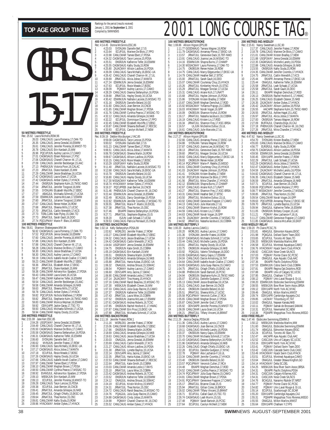|                          |                               | 50 METRES FREESTYLE         |                                                                                                                                             |  |
|--------------------------|-------------------------------|-----------------------------|---------------------------------------------------------------------------------------------------------------------------------------------|--|
| Rec: 25.92<br>1          | 26.03                         | Laura Nicholls, ROW, 96     | CANLCAUG Laura Pomeroy, 17, OAK-TO                                                                                                          |  |
| $\overline{a}$<br>3<br>4 | 26.35<br>26.61<br>26.78       |                             | CANLCAUG Jenna Gresdal, 16, ESWIM<br>CANLCAUG Jennifer Porenta, 16, MMST-TO<br>CANLCAUG Erin Kardash, 15, MM                                |  |
| 5<br>6                   | 26.96                         |                             | PQCUPJUN Audrey Lacroix, 17, CAMO<br>27.01 CAGMSAUG Eileen Robinson, 17, PSC                                                                |  |
| 7<br>8                   | 27.09                         |                             | 27.06 CAGMSAUG Chanell Charron-W.,17,UL<br>CANLCAUG Jennifer Beckberger, 15, AAC                                                            |  |
| 9<br>10                  | 27.13<br>27.23                |                             | PHENXJUN Victoria Poon, 16, CALAC<br>JRNATJUL Diane Kardash, 15, MM                                                                         |  |
| 11<br>12<br>13           |                               |                             | 27.29 CANLCMAR Jessie Bradshaw, 16, UCSA<br>27.42 CAGMSAUG Laura Grant, 17, UCSA<br>27.42 CAGMSAUG Amber Dykes, 17, HYACK                   |  |
| 14<br>15                 | 27.44<br>27.54                |                             | ONSRJUN Stephanie Kuhn, 15, TMSC-NWO<br>JRNATJUL Jennifer Toogood, 16, MM                                                                   |  |
| 16<br>17                 | 27.55<br>27.57                |                             | SYDNJAN Elizabeth Wycliffe, 17, EBSC<br>ABAGJUL Michaela Schmidt, 17, UCSA                                                                  |  |
| 18<br>19<br>20           | 27.59<br>27.60<br>27.67       |                             | ESWIMJUN Joanna McLean, 17, ESWIM<br>JRNATJUL Julianne Toogood, 13, MM<br>CANLCAUG Renee Hober, 16, ROW                                     |  |
| 21<br>22                 | 27.68<br>27.70                |                             | JRNATJUL Sheena Mills, 17, UC<br>JRNATJUL Caitlin Meredith. 17<br>:SC<br>Caitlin Meredith, 17, KC                                           |  |
| 23<br>24                 | 27.73<br>27.73                |                             | TORLCJAN Kate Plyley, 15, OAK-TO<br>JRNATJUL Sarah Ğault, 16, DDO                                                                           |  |
| 25                       |                               | 100 METRES FREESTYLE        | 27.74 POCUPMAY Marie-P. Blais, 15, MEGO                                                                                                     |  |
| Rec: 56.61<br>1          |                               | Shannon Shakespeare, MM, 94 | 56.92 CAGMSAUG Laura Pomeroy, 17, OAK-TO                                                                                                    |  |
| $\frac{2}{3}$<br>4       | 57.52<br>57.60<br>57.88       |                             | POCUPJUN Jenna Gresdal, 16, ESWIM<br>CANLCAUG Jennifer Porenta, 16, MMST-TO<br>CANLCAUG Erin Kardash, 15, MM                                |  |
| 5<br>6                   | 57.88<br>58.28                |                             | CANLCAUG Chanell Charron-W., 17, UL<br>CANLCAUG Marieve De Blois, 17, CAMO                                                                  |  |
| 7<br>8                   | 58.30<br>58.30                |                             | CANLCAUG Jessie Bradshaw, 17, UCSA<br>CANLCAUG Audrey Lacroix, 17, CAMO                                                                     |  |
| 9                        |                               |                             |                                                                                                                                             |  |
| 10                       | 59.19<br>59.23                |                             | CANLCAUG Isabelle Ascah-Coallier, 17, CAMO<br>CANLCMAR Elizabeth Wycliffe, 17, EBSC                                                         |  |
| 11<br>12<br>13           | 59.36<br>59.37                |                             | JRNATJUL Elizabeth Amer, 17, EKSC<br>JRNATJUL Diane Kardash, 15, MM                                                                         |  |
| 14<br>15                 | 59.43<br>59.47                |                             | 59.38 CANLCMAR Adriana Koc-Spadaro, 17, PDSA<br>CANLCMAR Laura Grant, 16, UCSA<br>CANLCMAR Katherine Telfer, 16, ESWIM                      |  |
| 16<br>17                 | 59.54                         |                             | 59.54 CANLCAUG Jennifer Beckberger, 15, AAC<br>59.58 CANLCMAR Amanda Gillespie, 16, NKB                                                     |  |
| 18<br>19                 | 59.63<br>59.78                |                             | JRNATJUL Sheena Mills, 17, UCSO<br>CANLCAUG Amber Dykes, 17, HYACK                                                                          |  |
| 20<br>21                 | 59.82<br>59.82                |                             | PQCUPJUN Nichola Matthews, 17, ROW<br>JRNATJUL Stephanie Kuhn, 16, TMSC-NWO                                                                 |  |
| 22<br>23<br>24           | 59.92<br>59.93                |                             | 59.83 CANLCMAR Monica Wejman, 16, ESWIM<br>ODIV1APR Jackie Garay, 17, TSC-TO<br>CANLCAUG Michaela Schmidt, 17, UCSA                         |  |
| 25                       |                               | <b>200 METRES FREESTYLE</b> | 59.94 CANLCMAR Hayley Doody, 15, UCSA                                                                                                       |  |
| Rec: 2:01.08<br>1        |                               | Jane Kerr, ESC, 85          |                                                                                                                                             |  |
| 2<br>3<br>4              |                               |                             | 1.00 236 USGP1MAY Jenna Gresdal, 16, ESWIM<br>2:04.49 CANLCAUG Chanell Charron-W., 17, UL<br>2:05.50 CAGMSAUG Marieve De Blois, 17, CAMO    |  |
| 5<br>6                   | 2:06.60                       |                             | 2:05.58 CAGMSAUG Deanna Stefanyshyn,16,PDSA<br>2:06.31 CAGMSAUG Katherine Telfer,16,ESWIM<br>SYDNJAN Danielle Bell, 17, IS                  |  |
| 7<br>8                   | 2:06.62<br>2:06.93            |                             | MVNJUN Jennifer Fratesi, 17, ROW                                                                                                            |  |
| 9<br>10                  | 2:07.18                       |                             | 2:06.93 CANLCAUG Sara McNally, 16, EKSC-UA<br>2:07.17 CAGMSAUG Alicia Jobse, 17, MANTA<br>ECUPJUL Rosie Meade, 17, BOSC                     |  |
| 11<br>12<br>13           | 2:07.66<br>2:07.97            |                             | 2:07.26 CAGMSAUG Hayley Doody, 16, UCSA<br>CANLCAUG Isabelle Ascah-Coallier, 17, CAMO<br>CANLCMAR Tamee Ebert, 17, PDSA                     |  |
| 14<br>15                 |                               |                             | 2:08.10 CANLCMAR Meghan Brown, 17, PDSA<br>2:08.50 CANLCMAR Cynthia Pearce,17,MSSAC-TO                                                      |  |
| 16<br>17                 | 2:08.92<br>2:09.10            |                             | EVANSJUL Adriana Koc-Spadaro, 17, PDSA<br>MBSKJUN Erin Kardash, 15, MM                                                                      |  |
| 18<br>19<br>20           | 2:09.13<br>2:09.28<br>2:09.38 |                             | ECUPJUL Jennifer Porenta, 16, MMST-TO<br>CANLCAUG Taryn Lencoe, 15, PDSA                                                                    |  |
| 21<br>22<br>23           | 2:09.41<br>2:09.45<br>2:09.64 |                             | ECUPJUL Joan Bernier, 16, CNCB<br>JRNATJUL Amanda Gillespie, 16, NKB<br>JRNATJUL Orlagh O'Kelly, 15, EKSC-UA<br>JRNATJUL Thea Norton,15,0SC |  |

|                            |                    | 400 METRES FREESTYLE                   |                                                                                                                                                                                                                                               |
|----------------------------|--------------------|----------------------------------------|-----------------------------------------------------------------------------------------------------------------------------------------------------------------------------------------------------------------------------------------------|
|                            |                    | Rec: 4:14.45 Donna McGinnis,ESC,86     |                                                                                                                                                                                                                                               |
| 1<br>$\overline{c}$        | 4:23.03<br>4:23.64 |                                        | SYDNJAN Danielle Bell, 17, IS<br>ECUPJUL Marieve De Blois, 17, PPO                                                                                                                                                                            |
| 3                          |                    |                                        | 4:23.98 CANLCMAR Tamee Ebert, 17, PDSA<br>4:24.32 CAGMSAUG Taryn Lencoe, 15, PDSA<br>4:25.51 ONSRJUN Katherine Telfer, 16, ESWIM                                                                                                              |
| 4                          |                    |                                        |                                                                                                                                                                                                                                               |
| 5<br>6                     |                    |                                        |                                                                                                                                                                                                                                               |
| 7                          |                    |                                        | 4.25.55 CAGMSAUG Kathy Sluda,15,ROW<br>4.25.55 CAGMSAUG Kathy Sluda,15,ROW<br>4.25.69 CANACAMY Allison Laidlow,16,PDSA<br>4.26.42 CANLCAUG Chanell Charron-W.,17,UL<br>4.26.69 JRNATJUL Alicia Jobse,17,MANTA<br>4.27.24 SSMATJULA Licla Jobs |
| 8                          |                    |                                        |                                                                                                                                                                                                                                               |
| 9                          |                    |                                        |                                                                                                                                                                                                                                               |
| 10<br>11                   | 4:27.24            |                                        |                                                                                                                                                                                                                                               |
| 12                         | 4:27.63            |                                        |                                                                                                                                                                                                                                               |
| 13                         | 4:28.09            |                                        | ESWIMJUN Jenna Gresdal, 16, ESWIM<br>ECUPJUL Rosie Meade, 17, BOSC<br>POIMAY Audrey Lacroix, 17, CAMO<br>CANLCAUG Deanna Stefanyshyn, 16, PDSA                                                                                                |
| 14<br>15                   | 4:28.29            |                                        |                                                                                                                                                                                                                                               |
| 16                         | 4:28.68            |                                        | JRNATJUL Hayley Doody, 16, UCSA<br>4:30.42 ESWIMJUN Nathalie Lacoste, 15, MSSAC-TO                                                                                                                                                            |
| 17                         | 4:31.16            |                                        | ONSRJUN Danielle Beland, 16, GO                                                                                                                                                                                                               |
| 18                         |                    |                                        | 4:31.60 CANLCAUG Joan Bernier, 16, CNCB<br>4:31.65 CANLCMAR Meghan Brown, 17, PDSA                                                                                                                                                            |
| 19<br>20                   |                    |                                        |                                                                                                                                                                                                                                               |
| 21                         |                    |                                        | 4:31.76 CANLCMAR Cynthia Pearce, 17, MSSAC-TO<br>4:32.12 CANLCAUG Amanda Gillespie, 16, NKB                                                                                                                                                   |
| 22                         | 4:32.22            |                                        | ECUPJUL Dominique Charron, 17, PPO                                                                                                                                                                                                            |
| 23                         |                    |                                        | 4:32.45 CANLCMAR Elizabeth Wycliffe, 17, EBSC                                                                                                                                                                                                 |
| 24<br>25                   | 4:33.93            |                                        | 4:33.87 CANLCMAR Shawna Bothwell, 17, RDCSC<br>ECUPJUL Carolyn McNeill, 17, NEW                                                                                                                                                               |
|                            |                    | 800 METRES FREESTYLE                   |                                                                                                                                                                                                                                               |
|                            |                    |                                        | Rec: 8:39.19 Debbie Wurzburger,LYAC,85<br>1 8:59.08 CAGMSAUG Taryn Lencoe,15,PDSA                                                                                                                                                             |
| $\overline{c}$             | 9:00.02            |                                        | SYDNJAN Danielle Bell, 17, IS                                                                                                                                                                                                                 |
| 3                          |                    |                                        |                                                                                                                                                                                                                                               |
| 4                          |                    |                                        | 9:01.23 CANLCMAR Tamee Ebert, 17, PDSA<br>9:06.51 CANLCAUG Alicia Jobse, 17, MANTA                                                                                                                                                            |
| 5                          |                    |                                        |                                                                                                                                                                                                                                               |
| 6<br>7                     |                    |                                        | 9:06.78 CAGMSAUG Sheena Martin,16,ROW<br>9:09.67 CAGMSAUG Allison Laidlow,16,PDSA<br>9:10.15 CANLCAUG Rosie Meade,17,BOSC                                                                                                                     |
| 8                          |                    |                                        |                                                                                                                                                                                                                                               |
| 9                          |                    |                                        |                                                                                                                                                                                                                                               |
| 10                         |                    |                                        |                                                                                                                                                                                                                                               |
| 11<br>12                   |                    |                                        |                                                                                                                                                                                                                                               |
| 13                         |                    |                                        | 9:10.15 CANLCAUG Rosie Meade, 1/, BOSC<br>9:10.29 USGPIMAY Kathy Siuda, 15, ROV<br>9:11.40 JRNATJUL Nathalie Lacoste, 16, MSSAC-TO<br>9:15.78 CANLCAUG Sara McNally, 16, EKSC-UA<br>9:15.78 ONSRUM Danielle Beland, 16, GO<br>9:15.78 ONSRCMA |
| 14                         |                    |                                        |                                                                                                                                                                                                                                               |
| 15<br>16                   | 9:19.37            |                                        | 9:19.37 POCUPFEB Joan Bernier, 16, CNCB<br>9:21.46 PHENXJUN Chanell Charron-W., 16, CNO<br>9:22.44 ESWIMJUN Jenna Gresdal, 16, ESWIM                                                                                                          |
| 17                         |                    |                                        |                                                                                                                                                                                                                                               |
| 18                         |                    |                                        |                                                                                                                                                                                                                                               |
| 19<br>20                   |                    |                                        | 9:22.49 BCAGJUL Darcy Goodridge, 15, PDSA<br>9:22.82 ESWIMJUN Jennifer Coombs, 17, MSSAC-TO<br>9:26.55 JRNATJUL Marie-P. Martin, 16, EXCEL                                                                                                    |
| 21                         | 9:27.38            |                                        | JRNATJUL Thea Norton, 15, OSC                                                                                                                                                                                                                 |
| 22                         | 9:27.46            |                                        | EKIAPR Deanna Stefanyshyn, 16, PDSA                                                                                                                                                                                                           |
| 23                         | 9:27.71            |                                        | JRNATJUL Stephanie Bigelow, 15, IS                                                                                                                                                                                                            |
| 24<br>25                   | 9:28.20            |                                        | ISJUN Leah Schaab, 17, UCSA<br>9:29.53 CANLCAUG Patricia Perreault, 15, CNCB                                                                                                                                                                  |
|                            |                    | <b>100 METRES BACKSTROKE</b>           |                                                                                                                                                                                                                                               |
|                            |                    | Rec: 1:02.14 Kelly Stefanyshyn,PDSA,99 |                                                                                                                                                                                                                                               |
| 1                          | 1:02.62            |                                        | WORLD01 Jennifer Fratesi,17,ROW<br>1:03.27 CANLCMAR Elizabeth Wycliffe, 17, EBSC                                                                                                                                                              |
| $\frac{2}{3}$              | 1:04.32            |                                        | CANLCAUG Jessie Bradshaw, 17, UCSA                                                                                                                                                                                                            |
| 4                          |                    |                                        | 1:04.42 CAGMSAUG Caitlin Meredith, 17, KCS<br>1:04.64 USGP1MAY Jenna Gresdal, 16, ESWIM                                                                                                                                                       |
| 5                          |                    |                                        |                                                                                                                                                                                                                                               |
|                            |                    |                                        |                                                                                                                                                                                                                                               |
| 6                          | 1:04.75            |                                        | ONSRJUN Katie Smith, 15, COBRA                                                                                                                                                                                                                |
| 7<br>8                     |                    |                                        | 1:05.19 CAGMSAUG Erin Kardash, 15, MM                                                                                                                                                                                                         |
| 9                          |                    |                                        |                                                                                                                                                                                                                                               |
| 10                         |                    |                                        | 1:05.51 ONSRJUN Sheena Martin, 16, ROW<br>1:05.66 CAGMSAUG Amanda Gillespie, 16, NKB                                                                                                                                                          |
| 11                         |                    |                                        |                                                                                                                                                                                                                                               |
| 12<br>13                   |                    |                                        |                                                                                                                                                                                                                                               |
| 14                         |                    |                                        |                                                                                                                                                                                                                                               |
| 15                         |                    |                                        |                                                                                                                                                                                                                                               |
| 16<br>17                   |                    |                                        | 1:05.88 JRNATJUL Hania Kultas TSEKSC-UA<br>1:05.88 JRNATJUL Hania Kubas, 15, EKSC-UA<br>1:06.54 DNAGJUL Andrea Shoust, 15, SSMAC<br>1:06.60 ODIVIAPR Amy Jacina, 17, CMAC<br>1:06.60 ODIVIAPR Amy Jacina, 17, CMAC<br>1:07.14 ZAJACMAY Tina H |
| 18                         | 1:01.30<br>1:07.33 |                                        | MBSKJUN Elizabeth Cleven, 16, MM<br>CANLCAUG Julia Guay-Racine, 15, CAMO                                                                                                                                                                      |
| 19                         | 1:07.37            |                                        | ONSRJUN Katherine Telfer, 16, ESWIM                                                                                                                                                                                                           |
| 20                         | 1:07.43            |                                        | JRNATJUL Laura Wise, 15, COBRA                                                                                                                                                                                                                |
| 21<br>22                   |                    |                                        |                                                                                                                                                                                                                                               |
| 23                         | 1:07.85            |                                        | 1:07.52 ONSRJUN Joanna McLean, 17, ESWIM<br>1:07.61 CAGMSAUG Andrea Roberts, 16, TCSC<br>ONSRJUN Rachel Hosford-E., 17, HWAC                                                                                                                  |
| 24                         |                    |                                        | 1:07.87 CANLCMAR Erin Prout, 15, EKSC-UA                                                                                                                                                                                                      |
| 25                         | 1:07.88            | 200 METRES BACKSTROKE                  | JRNATJUL Michaela Schmidt, 17, UCSA                                                                                                                                                                                                           |
|                            |                    | Rec: 2:11.16 Jennifer Fratesi, ROW, 1  |                                                                                                                                                                                                                                               |
| 1                          | 2:11.16            |                                        | WORLD01 Jennifer Fratesi, 17, ROW                                                                                                                                                                                                             |
| $\overline{2}$             | 2:17.66            |                                        | 2:15.06 CANLCMAR Elizabeth Wycliffe, 17, EBSC                                                                                                                                                                                                 |
| 3<br>4                     | 2:18.69            |                                        |                                                                                                                                                                                                                                               |
| 5                          | 2:19.63            |                                        | ONSRJUN Sheena Martin, 16, ROW<br>CANLCAUG Amanda Gillespie, 16, NKB<br>CANLCAUG Jessie Bradshaw, 17, UCSA                                                                                                                                    |
| 6                          | 2:20.03            |                                        | ONAGJUL Jenna Gresdal, 16, ESWIM                                                                                                                                                                                                              |
| 7<br>8                     | 2:20.69<br>2:21.27 |                                        | CANLCAUG Caitlin Meredith, 17, KCS<br>CANLCAUG Allison Laidlow, 16, PDSA                                                                                                                                                                      |
| 9                          | 2:21.30            |                                        |                                                                                                                                                                                                                                               |
| 10                         | 2:22.14            |                                        | JRNATJUL Lynette Bayliss, 15, UCSA<br>ODIV1APR Amy Jacina, 17, GMAC                                                                                                                                                                           |
| 11                         | 2:22.35            |                                        | JRNATJUL Hania Kubas, 15, EKSC-UA                                                                                                                                                                                                             |
| 12<br>13                   | 2:22.64            |                                        | 2:22.53 CANLCMAR Shawna Bothwell, 17, RDCSC                                                                                                                                                                                                   |
| 14                         | 2:23.03            |                                        | JRNATJUL Katie Smith, 15, COBRA<br>CANLCMAR Amanda Leslie, 17, RAYS                                                                                                                                                                           |
| 15                         |                    |                                        |                                                                                                                                                                                                                                               |
| 16                         |                    |                                        |                                                                                                                                                                                                                                               |
| 17<br>18                   |                    |                                        |                                                                                                                                                                                                                                               |
| 19                         |                    |                                        |                                                                                                                                                                                                                                               |
| $\frac{20}{1}$             |                    |                                        |                                                                                                                                                                                                                                               |
| $\frac{21}{1}$             |                    |                                        | 2.23.10 JRNATJUL Laura Wise, 15, COBRA<br>2.23.10 JRNATJUL Laura Wise, 15, COBRA<br>2.23.10 JRNATJUL Laura Wise, 15, COBRA<br>2.23.52 ONSRUIN Katherine Telfer, 16, ESMIN<br>2.24.12 ONAGJUL Andrea Shoust, 16, SSMAC<br>2.24.13 JRNATJUL The |
| $\frac{22}{1}$<br>23<br>24 |                    |                                        | 2:24.76    PQAGJUL Julia Guay-Racine,15,CAMO<br>2:24.88    CAGMSAUG Cindy Jobse,15,MANTA<br>2:24.98 PQIMAY Chanell Charron-W., 16, CNO<br>2:25.52 CANLCAUG Amber Dykes, 17, HYACK                                                             |

|         |                                                                                                                                                                                                                                                                |                                                                                                                           | 200 I                                                                                                                                                                                                                                                                                                                                                                                                                                                                                                                                                                                                                                                                                                                                                                                                                                                                                                                                                                                                                                                                                                                                                                                                                                                                                                                                                                                                                                                                                                                                                                                                                                                                                                                                                                                                                                                                                                                                                                                                                                                                                                                                                                                                                                                                                                                                                                                                                                                                                                                                                                                                                                                                                                                                                                                                                                                                                                                                                                                                                                                                                                                                                                                                                                                                                                                                                                                                                                                                                                                                                                                                                                                                                                                                                                                                                                                                                                                                                                                                                                                                                                                                                                                                                                                                                                                                                                                                                              |
|---------|----------------------------------------------------------------------------------------------------------------------------------------------------------------------------------------------------------------------------------------------------------------|---------------------------------------------------------------------------------------------------------------------------|------------------------------------------------------------------------------------------------------------------------------------------------------------------------------------------------------------------------------------------------------------------------------------------------------------------------------------------------------------------------------------------------------------------------------------------------------------------------------------------------------------------------------------------------------------------------------------------------------------------------------------------------------------------------------------------------------------------------------------------------------------------------------------------------------------------------------------------------------------------------------------------------------------------------------------------------------------------------------------------------------------------------------------------------------------------------------------------------------------------------------------------------------------------------------------------------------------------------------------------------------------------------------------------------------------------------------------------------------------------------------------------------------------------------------------------------------------------------------------------------------------------------------------------------------------------------------------------------------------------------------------------------------------------------------------------------------------------------------------------------------------------------------------------------------------------------------------------------------------------------------------------------------------------------------------------------------------------------------------------------------------------------------------------------------------------------------------------------------------------------------------------------------------------------------------------------------------------------------------------------------------------------------------------------------------------------------------------------------------------------------------------------------------------------------------------------------------------------------------------------------------------------------------------------------------------------------------------------------------------------------------------------------------------------------------------------------------------------------------------------------------------------------------------------------------------------------------------------------------------------------------------------------------------------------------------------------------------------------------------------------------------------------------------------------------------------------------------------------------------------------------------------------------------------------------------------------------------------------------------------------------------------------------------------------------------------------------------------------------------------------------------------------------------------------------------------------------------------------------------------------------------------------------------------------------------------------------------------------------------------------------------------------------------------------------------------------------------------------------------------------------------------------------------------------------------------------------------------------------------------------------------------------------------------------------------------------------------------------------------------------------------------------------------------------------------------------------------------------------------------------------------------------------------------------------------------------------------------------------------------------------------------------------------------------------------------------------------------------------------------------------------------------------------------------------|
|         |                                                                                                                                                                                                                                                                |                                                                                                                           | Rec: 1<br>1                                                                                                                                                                                                                                                                                                                                                                                                                                                                                                                                                                                                                                                                                                                                                                                                                                                                                                                                                                                                                                                                                                                                                                                                                                                                                                                                                                                                                                                                                                                                                                                                                                                                                                                                                                                                                                                                                                                                                                                                                                                                                                                                                                                                                                                                                                                                                                                                                                                                                                                                                                                                                                                                                                                                                                                                                                                                                                                                                                                                                                                                                                                                                                                                                                                                                                                                                                                                                                                                                                                                                                                                                                                                                                                                                                                                                                                                                                                                                                                                                                                                                                                                                                                                                                                                                                                                                                                                                        |
|         |                                                                                                                                                                                                                                                                |                                                                                                                           | $\overline{a}$                                                                                                                                                                                                                                                                                                                                                                                                                                                                                                                                                                                                                                                                                                                                                                                                                                                                                                                                                                                                                                                                                                                                                                                                                                                                                                                                                                                                                                                                                                                                                                                                                                                                                                                                                                                                                                                                                                                                                                                                                                                                                                                                                                                                                                                                                                                                                                                                                                                                                                                                                                                                                                                                                                                                                                                                                                                                                                                                                                                                                                                                                                                                                                                                                                                                                                                                                                                                                                                                                                                                                                                                                                                                                                                                                                                                                                                                                                                                                                                                                                                                                                                                                                                                                                                                                                                                                                                                                     |
|         |                                                                                                                                                                                                                                                                |                                                                                                                           | 3<br>4                                                                                                                                                                                                                                                                                                                                                                                                                                                                                                                                                                                                                                                                                                                                                                                                                                                                                                                                                                                                                                                                                                                                                                                                                                                                                                                                                                                                                                                                                                                                                                                                                                                                                                                                                                                                                                                                                                                                                                                                                                                                                                                                                                                                                                                                                                                                                                                                                                                                                                                                                                                                                                                                                                                                                                                                                                                                                                                                                                                                                                                                                                                                                                                                                                                                                                                                                                                                                                                                                                                                                                                                                                                                                                                                                                                                                                                                                                                                                                                                                                                                                                                                                                                                                                                                                                                                                                                                                             |
|         |                                                                                                                                                                                                                                                                |                                                                                                                           | 5                                                                                                                                                                                                                                                                                                                                                                                                                                                                                                                                                                                                                                                                                                                                                                                                                                                                                                                                                                                                                                                                                                                                                                                                                                                                                                                                                                                                                                                                                                                                                                                                                                                                                                                                                                                                                                                                                                                                                                                                                                                                                                                                                                                                                                                                                                                                                                                                                                                                                                                                                                                                                                                                                                                                                                                                                                                                                                                                                                                                                                                                                                                                                                                                                                                                                                                                                                                                                                                                                                                                                                                                                                                                                                                                                                                                                                                                                                                                                                                                                                                                                                                                                                                                                                                                                                                                                                                                                                  |
|         |                                                                                                                                                                                                                                                                |                                                                                                                           | 6<br>7                                                                                                                                                                                                                                                                                                                                                                                                                                                                                                                                                                                                                                                                                                                                                                                                                                                                                                                                                                                                                                                                                                                                                                                                                                                                                                                                                                                                                                                                                                                                                                                                                                                                                                                                                                                                                                                                                                                                                                                                                                                                                                                                                                                                                                                                                                                                                                                                                                                                                                                                                                                                                                                                                                                                                                                                                                                                                                                                                                                                                                                                                                                                                                                                                                                                                                                                                                                                                                                                                                                                                                                                                                                                                                                                                                                                                                                                                                                                                                                                                                                                                                                                                                                                                                                                                                                                                                                                                             |
|         |                                                                                                                                                                                                                                                                |                                                                                                                           | 8<br>9                                                                                                                                                                                                                                                                                                                                                                                                                                                                                                                                                                                                                                                                                                                                                                                                                                                                                                                                                                                                                                                                                                                                                                                                                                                                                                                                                                                                                                                                                                                                                                                                                                                                                                                                                                                                                                                                                                                                                                                                                                                                                                                                                                                                                                                                                                                                                                                                                                                                                                                                                                                                                                                                                                                                                                                                                                                                                                                                                                                                                                                                                                                                                                                                                                                                                                                                                                                                                                                                                                                                                                                                                                                                                                                                                                                                                                                                                                                                                                                                                                                                                                                                                                                                                                                                                                                                                                                                                             |
| 1:15.00 |                                                                                                                                                                                                                                                                |                                                                                                                           | 10                                                                                                                                                                                                                                                                                                                                                                                                                                                                                                                                                                                                                                                                                                                                                                                                                                                                                                                                                                                                                                                                                                                                                                                                                                                                                                                                                                                                                                                                                                                                                                                                                                                                                                                                                                                                                                                                                                                                                                                                                                                                                                                                                                                                                                                                                                                                                                                                                                                                                                                                                                                                                                                                                                                                                                                                                                                                                                                                                                                                                                                                                                                                                                                                                                                                                                                                                                                                                                                                                                                                                                                                                                                                                                                                                                                                                                                                                                                                                                                                                                                                                                                                                                                                                                                                                                                                                                                                                                 |
|         |                                                                                                                                                                                                                                                                |                                                                                                                           | 11<br>12                                                                                                                                                                                                                                                                                                                                                                                                                                                                                                                                                                                                                                                                                                                                                                                                                                                                                                                                                                                                                                                                                                                                                                                                                                                                                                                                                                                                                                                                                                                                                                                                                                                                                                                                                                                                                                                                                                                                                                                                                                                                                                                                                                                                                                                                                                                                                                                                                                                                                                                                                                                                                                                                                                                                                                                                                                                                                                                                                                                                                                                                                                                                                                                                                                                                                                                                                                                                                                                                                                                                                                                                                                                                                                                                                                                                                                                                                                                                                                                                                                                                                                                                                                                                                                                                                                                                                                                                                           |
|         |                                                                                                                                                                                                                                                                |                                                                                                                           | 13                                                                                                                                                                                                                                                                                                                                                                                                                                                                                                                                                                                                                                                                                                                                                                                                                                                                                                                                                                                                                                                                                                                                                                                                                                                                                                                                                                                                                                                                                                                                                                                                                                                                                                                                                                                                                                                                                                                                                                                                                                                                                                                                                                                                                                                                                                                                                                                                                                                                                                                                                                                                                                                                                                                                                                                                                                                                                                                                                                                                                                                                                                                                                                                                                                                                                                                                                                                                                                                                                                                                                                                                                                                                                                                                                                                                                                                                                                                                                                                                                                                                                                                                                                                                                                                                                                                                                                                                                                 |
|         |                                                                                                                                                                                                                                                                |                                                                                                                           | 14<br>15                                                                                                                                                                                                                                                                                                                                                                                                                                                                                                                                                                                                                                                                                                                                                                                                                                                                                                                                                                                                                                                                                                                                                                                                                                                                                                                                                                                                                                                                                                                                                                                                                                                                                                                                                                                                                                                                                                                                                                                                                                                                                                                                                                                                                                                                                                                                                                                                                                                                                                                                                                                                                                                                                                                                                                                                                                                                                                                                                                                                                                                                                                                                                                                                                                                                                                                                                                                                                                                                                                                                                                                                                                                                                                                                                                                                                                                                                                                                                                                                                                                                                                                                                                                                                                                                                                                                                                                                                           |
| 1:15.86 |                                                                                                                                                                                                                                                                |                                                                                                                           | 16                                                                                                                                                                                                                                                                                                                                                                                                                                                                                                                                                                                                                                                                                                                                                                                                                                                                                                                                                                                                                                                                                                                                                                                                                                                                                                                                                                                                                                                                                                                                                                                                                                                                                                                                                                                                                                                                                                                                                                                                                                                                                                                                                                                                                                                                                                                                                                                                                                                                                                                                                                                                                                                                                                                                                                                                                                                                                                                                                                                                                                                                                                                                                                                                                                                                                                                                                                                                                                                                                                                                                                                                                                                                                                                                                                                                                                                                                                                                                                                                                                                                                                                                                                                                                                                                                                                                                                                                                                 |
|         |                                                                                                                                                                                                                                                                |                                                                                                                           | 17<br>18                                                                                                                                                                                                                                                                                                                                                                                                                                                                                                                                                                                                                                                                                                                                                                                                                                                                                                                                                                                                                                                                                                                                                                                                                                                                                                                                                                                                                                                                                                                                                                                                                                                                                                                                                                                                                                                                                                                                                                                                                                                                                                                                                                                                                                                                                                                                                                                                                                                                                                                                                                                                                                                                                                                                                                                                                                                                                                                                                                                                                                                                                                                                                                                                                                                                                                                                                                                                                                                                                                                                                                                                                                                                                                                                                                                                                                                                                                                                                                                                                                                                                                                                                                                                                                                                                                                                                                                                                           |
|         |                                                                                                                                                                                                                                                                |                                                                                                                           | 19<br>20                                                                                                                                                                                                                                                                                                                                                                                                                                                                                                                                                                                                                                                                                                                                                                                                                                                                                                                                                                                                                                                                                                                                                                                                                                                                                                                                                                                                                                                                                                                                                                                                                                                                                                                                                                                                                                                                                                                                                                                                                                                                                                                                                                                                                                                                                                                                                                                                                                                                                                                                                                                                                                                                                                                                                                                                                                                                                                                                                                                                                                                                                                                                                                                                                                                                                                                                                                                                                                                                                                                                                                                                                                                                                                                                                                                                                                                                                                                                                                                                                                                                                                                                                                                                                                                                                                                                                                                                                           |
| 1:16.17 |                                                                                                                                                                                                                                                                |                                                                                                                           | 21                                                                                                                                                                                                                                                                                                                                                                                                                                                                                                                                                                                                                                                                                                                                                                                                                                                                                                                                                                                                                                                                                                                                                                                                                                                                                                                                                                                                                                                                                                                                                                                                                                                                                                                                                                                                                                                                                                                                                                                                                                                                                                                                                                                                                                                                                                                                                                                                                                                                                                                                                                                                                                                                                                                                                                                                                                                                                                                                                                                                                                                                                                                                                                                                                                                                                                                                                                                                                                                                                                                                                                                                                                                                                                                                                                                                                                                                                                                                                                                                                                                                                                                                                                                                                                                                                                                                                                                                                                 |
|         |                                                                                                                                                                                                                                                                |                                                                                                                           | 22<br>23                                                                                                                                                                                                                                                                                                                                                                                                                                                                                                                                                                                                                                                                                                                                                                                                                                                                                                                                                                                                                                                                                                                                                                                                                                                                                                                                                                                                                                                                                                                                                                                                                                                                                                                                                                                                                                                                                                                                                                                                                                                                                                                                                                                                                                                                                                                                                                                                                                                                                                                                                                                                                                                                                                                                                                                                                                                                                                                                                                                                                                                                                                                                                                                                                                                                                                                                                                                                                                                                                                                                                                                                                                                                                                                                                                                                                                                                                                                                                                                                                                                                                                                                                                                                                                                                                                                                                                                                                           |
| 1:16.57 |                                                                                                                                                                                                                                                                |                                                                                                                           | 24                                                                                                                                                                                                                                                                                                                                                                                                                                                                                                                                                                                                                                                                                                                                                                                                                                                                                                                                                                                                                                                                                                                                                                                                                                                                                                                                                                                                                                                                                                                                                                                                                                                                                                                                                                                                                                                                                                                                                                                                                                                                                                                                                                                                                                                                                                                                                                                                                                                                                                                                                                                                                                                                                                                                                                                                                                                                                                                                                                                                                                                                                                                                                                                                                                                                                                                                                                                                                                                                                                                                                                                                                                                                                                                                                                                                                                                                                                                                                                                                                                                                                                                                                                                                                                                                                                                                                                                                                                 |
|         |                                                                                                                                                                                                                                                                |                                                                                                                           | 25<br>400 I                                                                                                                                                                                                                                                                                                                                                                                                                                                                                                                                                                                                                                                                                                                                                                                                                                                                                                                                                                                                                                                                                                                                                                                                                                                                                                                                                                                                                                                                                                                                                                                                                                                                                                                                                                                                                                                                                                                                                                                                                                                                                                                                                                                                                                                                                                                                                                                                                                                                                                                                                                                                                                                                                                                                                                                                                                                                                                                                                                                                                                                                                                                                                                                                                                                                                                                                                                                                                                                                                                                                                                                                                                                                                                                                                                                                                                                                                                                                                                                                                                                                                                                                                                                                                                                                                                                                                                                                                        |
|         |                                                                                                                                                                                                                                                                |                                                                                                                           | Rec:<br>1                                                                                                                                                                                                                                                                                                                                                                                                                                                                                                                                                                                                                                                                                                                                                                                                                                                                                                                                                                                                                                                                                                                                                                                                                                                                                                                                                                                                                                                                                                                                                                                                                                                                                                                                                                                                                                                                                                                                                                                                                                                                                                                                                                                                                                                                                                                                                                                                                                                                                                                                                                                                                                                                                                                                                                                                                                                                                                                                                                                                                                                                                                                                                                                                                                                                                                                                                                                                                                                                                                                                                                                                                                                                                                                                                                                                                                                                                                                                                                                                                                                                                                                                                                                                                                                                                                                                                                                                                          |
| 2:34.88 |                                                                                                                                                                                                                                                                |                                                                                                                           | $\overline{2}$                                                                                                                                                                                                                                                                                                                                                                                                                                                                                                                                                                                                                                                                                                                                                                                                                                                                                                                                                                                                                                                                                                                                                                                                                                                                                                                                                                                                                                                                                                                                                                                                                                                                                                                                                                                                                                                                                                                                                                                                                                                                                                                                                                                                                                                                                                                                                                                                                                                                                                                                                                                                                                                                                                                                                                                                                                                                                                                                                                                                                                                                                                                                                                                                                                                                                                                                                                                                                                                                                                                                                                                                                                                                                                                                                                                                                                                                                                                                                                                                                                                                                                                                                                                                                                                                                                                                                                                                                     |
|         |                                                                                                                                                                                                                                                                |                                                                                                                           | 3<br>4                                                                                                                                                                                                                                                                                                                                                                                                                                                                                                                                                                                                                                                                                                                                                                                                                                                                                                                                                                                                                                                                                                                                                                                                                                                                                                                                                                                                                                                                                                                                                                                                                                                                                                                                                                                                                                                                                                                                                                                                                                                                                                                                                                                                                                                                                                                                                                                                                                                                                                                                                                                                                                                                                                                                                                                                                                                                                                                                                                                                                                                                                                                                                                                                                                                                                                                                                                                                                                                                                                                                                                                                                                                                                                                                                                                                                                                                                                                                                                                                                                                                                                                                                                                                                                                                                                                                                                                                                             |
|         |                                                                                                                                                                                                                                                                |                                                                                                                           | 5                                                                                                                                                                                                                                                                                                                                                                                                                                                                                                                                                                                                                                                                                                                                                                                                                                                                                                                                                                                                                                                                                                                                                                                                                                                                                                                                                                                                                                                                                                                                                                                                                                                                                                                                                                                                                                                                                                                                                                                                                                                                                                                                                                                                                                                                                                                                                                                                                                                                                                                                                                                                                                                                                                                                                                                                                                                                                                                                                                                                                                                                                                                                                                                                                                                                                                                                                                                                                                                                                                                                                                                                                                                                                                                                                                                                                                                                                                                                                                                                                                                                                                                                                                                                                                                                                                                                                                                                                                  |
|         |                                                                                                                                                                                                                                                                |                                                                                                                           | 6<br>7                                                                                                                                                                                                                                                                                                                                                                                                                                                                                                                                                                                                                                                                                                                                                                                                                                                                                                                                                                                                                                                                                                                                                                                                                                                                                                                                                                                                                                                                                                                                                                                                                                                                                                                                                                                                                                                                                                                                                                                                                                                                                                                                                                                                                                                                                                                                                                                                                                                                                                                                                                                                                                                                                                                                                                                                                                                                                                                                                                                                                                                                                                                                                                                                                                                                                                                                                                                                                                                                                                                                                                                                                                                                                                                                                                                                                                                                                                                                                                                                                                                                                                                                                                                                                                                                                                                                                                                                                             |
|         |                                                                                                                                                                                                                                                                |                                                                                                                           | 8                                                                                                                                                                                                                                                                                                                                                                                                                                                                                                                                                                                                                                                                                                                                                                                                                                                                                                                                                                                                                                                                                                                                                                                                                                                                                                                                                                                                                                                                                                                                                                                                                                                                                                                                                                                                                                                                                                                                                                                                                                                                                                                                                                                                                                                                                                                                                                                                                                                                                                                                                                                                                                                                                                                                                                                                                                                                                                                                                                                                                                                                                                                                                                                                                                                                                                                                                                                                                                                                                                                                                                                                                                                                                                                                                                                                                                                                                                                                                                                                                                                                                                                                                                                                                                                                                                                                                                                                                                  |
|         |                                                                                                                                                                                                                                                                |                                                                                                                           | 9<br>10                                                                                                                                                                                                                                                                                                                                                                                                                                                                                                                                                                                                                                                                                                                                                                                                                                                                                                                                                                                                                                                                                                                                                                                                                                                                                                                                                                                                                                                                                                                                                                                                                                                                                                                                                                                                                                                                                                                                                                                                                                                                                                                                                                                                                                                                                                                                                                                                                                                                                                                                                                                                                                                                                                                                                                                                                                                                                                                                                                                                                                                                                                                                                                                                                                                                                                                                                                                                                                                                                                                                                                                                                                                                                                                                                                                                                                                                                                                                                                                                                                                                                                                                                                                                                                                                                                                                                                                                                            |
| 2:41.41 |                                                                                                                                                                                                                                                                |                                                                                                                           | 11<br>12                                                                                                                                                                                                                                                                                                                                                                                                                                                                                                                                                                                                                                                                                                                                                                                                                                                                                                                                                                                                                                                                                                                                                                                                                                                                                                                                                                                                                                                                                                                                                                                                                                                                                                                                                                                                                                                                                                                                                                                                                                                                                                                                                                                                                                                                                                                                                                                                                                                                                                                                                                                                                                                                                                                                                                                                                                                                                                                                                                                                                                                                                                                                                                                                                                                                                                                                                                                                                                                                                                                                                                                                                                                                                                                                                                                                                                                                                                                                                                                                                                                                                                                                                                                                                                                                                                                                                                                                                           |
| 2:41.56 |                                                                                                                                                                                                                                                                |                                                                                                                           | 13                                                                                                                                                                                                                                                                                                                                                                                                                                                                                                                                                                                                                                                                                                                                                                                                                                                                                                                                                                                                                                                                                                                                                                                                                                                                                                                                                                                                                                                                                                                                                                                                                                                                                                                                                                                                                                                                                                                                                                                                                                                                                                                                                                                                                                                                                                                                                                                                                                                                                                                                                                                                                                                                                                                                                                                                                                                                                                                                                                                                                                                                                                                                                                                                                                                                                                                                                                                                                                                                                                                                                                                                                                                                                                                                                                                                                                                                                                                                                                                                                                                                                                                                                                                                                                                                                                                                                                                                                                 |
| 2:42.12 |                                                                                                                                                                                                                                                                |                                                                                                                           | 14<br>15                                                                                                                                                                                                                                                                                                                                                                                                                                                                                                                                                                                                                                                                                                                                                                                                                                                                                                                                                                                                                                                                                                                                                                                                                                                                                                                                                                                                                                                                                                                                                                                                                                                                                                                                                                                                                                                                                                                                                                                                                                                                                                                                                                                                                                                                                                                                                                                                                                                                                                                                                                                                                                                                                                                                                                                                                                                                                                                                                                                                                                                                                                                                                                                                                                                                                                                                                                                                                                                                                                                                                                                                                                                                                                                                                                                                                                                                                                                                                                                                                                                                                                                                                                                                                                                                                                                                                                                                                           |
|         |                                                                                                                                                                                                                                                                |                                                                                                                           | 16                                                                                                                                                                                                                                                                                                                                                                                                                                                                                                                                                                                                                                                                                                                                                                                                                                                                                                                                                                                                                                                                                                                                                                                                                                                                                                                                                                                                                                                                                                                                                                                                                                                                                                                                                                                                                                                                                                                                                                                                                                                                                                                                                                                                                                                                                                                                                                                                                                                                                                                                                                                                                                                                                                                                                                                                                                                                                                                                                                                                                                                                                                                                                                                                                                                                                                                                                                                                                                                                                                                                                                                                                                                                                                                                                                                                                                                                                                                                                                                                                                                                                                                                                                                                                                                                                                                                                                                                                                 |
|         |                                                                                                                                                                                                                                                                |                                                                                                                           | 17<br>18                                                                                                                                                                                                                                                                                                                                                                                                                                                                                                                                                                                                                                                                                                                                                                                                                                                                                                                                                                                                                                                                                                                                                                                                                                                                                                                                                                                                                                                                                                                                                                                                                                                                                                                                                                                                                                                                                                                                                                                                                                                                                                                                                                                                                                                                                                                                                                                                                                                                                                                                                                                                                                                                                                                                                                                                                                                                                                                                                                                                                                                                                                                                                                                                                                                                                                                                                                                                                                                                                                                                                                                                                                                                                                                                                                                                                                                                                                                                                                                                                                                                                                                                                                                                                                                                                                                                                                                                                           |
|         |                                                                                                                                                                                                                                                                |                                                                                                                           | 19                                                                                                                                                                                                                                                                                                                                                                                                                                                                                                                                                                                                                                                                                                                                                                                                                                                                                                                                                                                                                                                                                                                                                                                                                                                                                                                                                                                                                                                                                                                                                                                                                                                                                                                                                                                                                                                                                                                                                                                                                                                                                                                                                                                                                                                                                                                                                                                                                                                                                                                                                                                                                                                                                                                                                                                                                                                                                                                                                                                                                                                                                                                                                                                                                                                                                                                                                                                                                                                                                                                                                                                                                                                                                                                                                                                                                                                                                                                                                                                                                                                                                                                                                                                                                                                                                                                                                                                                                                 |
|         |                                                                                                                                                                                                                                                                |                                                                                                                           | 20<br>21                                                                                                                                                                                                                                                                                                                                                                                                                                                                                                                                                                                                                                                                                                                                                                                                                                                                                                                                                                                                                                                                                                                                                                                                                                                                                                                                                                                                                                                                                                                                                                                                                                                                                                                                                                                                                                                                                                                                                                                                                                                                                                                                                                                                                                                                                                                                                                                                                                                                                                                                                                                                                                                                                                                                                                                                                                                                                                                                                                                                                                                                                                                                                                                                                                                                                                                                                                                                                                                                                                                                                                                                                                                                                                                                                                                                                                                                                                                                                                                                                                                                                                                                                                                                                                                                                                                                                                                                                           |
|         |                                                                                                                                                                                                                                                                |                                                                                                                           | 22<br>23                                                                                                                                                                                                                                                                                                                                                                                                                                                                                                                                                                                                                                                                                                                                                                                                                                                                                                                                                                                                                                                                                                                                                                                                                                                                                                                                                                                                                                                                                                                                                                                                                                                                                                                                                                                                                                                                                                                                                                                                                                                                                                                                                                                                                                                                                                                                                                                                                                                                                                                                                                                                                                                                                                                                                                                                                                                                                                                                                                                                                                                                                                                                                                                                                                                                                                                                                                                                                                                                                                                                                                                                                                                                                                                                                                                                                                                                                                                                                                                                                                                                                                                                                                                                                                                                                                                                                                                                                           |
| 2:44.79 |                                                                                                                                                                                                                                                                |                                                                                                                           | 24                                                                                                                                                                                                                                                                                                                                                                                                                                                                                                                                                                                                                                                                                                                                                                                                                                                                                                                                                                                                                                                                                                                                                                                                                                                                                                                                                                                                                                                                                                                                                                                                                                                                                                                                                                                                                                                                                                                                                                                                                                                                                                                                                                                                                                                                                                                                                                                                                                                                                                                                                                                                                                                                                                                                                                                                                                                                                                                                                                                                                                                                                                                                                                                                                                                                                                                                                                                                                                                                                                                                                                                                                                                                                                                                                                                                                                                                                                                                                                                                                                                                                                                                                                                                                                                                                                                                                                                                                                 |
|         |                                                                                                                                                                                                                                                                |                                                                                                                           | 25<br>4X50                                                                                                                                                                                                                                                                                                                                                                                                                                                                                                                                                                                                                                                                                                                                                                                                                                                                                                                                                                                                                                                                                                                                                                                                                                                                                                                                                                                                                                                                                                                                                                                                                                                                                                                                                                                                                                                                                                                                                                                                                                                                                                                                                                                                                                                                                                                                                                                                                                                                                                                                                                                                                                                                                                                                                                                                                                                                                                                                                                                                                                                                                                                                                                                                                                                                                                                                                                                                                                                                                                                                                                                                                                                                                                                                                                                                                                                                                                                                                                                                                                                                                                                                                                                                                                                                                                                                                                                                                         |
|         |                                                                                                                                                                                                                                                                |                                                                                                                           | Rec:<br>1                                                                                                                                                                                                                                                                                                                                                                                                                                                                                                                                                                                                                                                                                                                                                                                                                                                                                                                                                                                                                                                                                                                                                                                                                                                                                                                                                                                                                                                                                                                                                                                                                                                                                                                                                                                                                                                                                                                                                                                                                                                                                                                                                                                                                                                                                                                                                                                                                                                                                                                                                                                                                                                                                                                                                                                                                                                                                                                                                                                                                                                                                                                                                                                                                                                                                                                                                                                                                                                                                                                                                                                                                                                                                                                                                                                                                                                                                                                                                                                                                                                                                                                                                                                                                                                                                                                                                                                                                          |
| 1:01.36 |                                                                                                                                                                                                                                                                |                                                                                                                           | 2                                                                                                                                                                                                                                                                                                                                                                                                                                                                                                                                                                                                                                                                                                                                                                                                                                                                                                                                                                                                                                                                                                                                                                                                                                                                                                                                                                                                                                                                                                                                                                                                                                                                                                                                                                                                                                                                                                                                                                                                                                                                                                                                                                                                                                                                                                                                                                                                                                                                                                                                                                                                                                                                                                                                                                                                                                                                                                                                                                                                                                                                                                                                                                                                                                                                                                                                                                                                                                                                                                                                                                                                                                                                                                                                                                                                                                                                                                                                                                                                                                                                                                                                                                                                                                                                                                                                                                                                                                  |
|         |                                                                                                                                                                                                                                                                |                                                                                                                           | 3<br>4                                                                                                                                                                                                                                                                                                                                                                                                                                                                                                                                                                                                                                                                                                                                                                                                                                                                                                                                                                                                                                                                                                                                                                                                                                                                                                                                                                                                                                                                                                                                                                                                                                                                                                                                                                                                                                                                                                                                                                                                                                                                                                                                                                                                                                                                                                                                                                                                                                                                                                                                                                                                                                                                                                                                                                                                                                                                                                                                                                                                                                                                                                                                                                                                                                                                                                                                                                                                                                                                                                                                                                                                                                                                                                                                                                                                                                                                                                                                                                                                                                                                                                                                                                                                                                                                                                                                                                                                                             |
| 1:03.61 |                                                                                                                                                                                                                                                                |                                                                                                                           | 5                                                                                                                                                                                                                                                                                                                                                                                                                                                                                                                                                                                                                                                                                                                                                                                                                                                                                                                                                                                                                                                                                                                                                                                                                                                                                                                                                                                                                                                                                                                                                                                                                                                                                                                                                                                                                                                                                                                                                                                                                                                                                                                                                                                                                                                                                                                                                                                                                                                                                                                                                                                                                                                                                                                                                                                                                                                                                                                                                                                                                                                                                                                                                                                                                                                                                                                                                                                                                                                                                                                                                                                                                                                                                                                                                                                                                                                                                                                                                                                                                                                                                                                                                                                                                                                                                                                                                                                                                                  |
| 1:03.92 |                                                                                                                                                                                                                                                                |                                                                                                                           | $\frac{6}{7}$                                                                                                                                                                                                                                                                                                                                                                                                                                                                                                                                                                                                                                                                                                                                                                                                                                                                                                                                                                                                                                                                                                                                                                                                                                                                                                                                                                                                                                                                                                                                                                                                                                                                                                                                                                                                                                                                                                                                                                                                                                                                                                                                                                                                                                                                                                                                                                                                                                                                                                                                                                                                                                                                                                                                                                                                                                                                                                                                                                                                                                                                                                                                                                                                                                                                                                                                                                                                                                                                                                                                                                                                                                                                                                                                                                                                                                                                                                                                                                                                                                                                                                                                                                                                                                                                                                                                                                                                                      |
|         |                                                                                                                                                                                                                                                                |                                                                                                                           | 8<br>9                                                                                                                                                                                                                                                                                                                                                                                                                                                                                                                                                                                                                                                                                                                                                                                                                                                                                                                                                                                                                                                                                                                                                                                                                                                                                                                                                                                                                                                                                                                                                                                                                                                                                                                                                                                                                                                                                                                                                                                                                                                                                                                                                                                                                                                                                                                                                                                                                                                                                                                                                                                                                                                                                                                                                                                                                                                                                                                                                                                                                                                                                                                                                                                                                                                                                                                                                                                                                                                                                                                                                                                                                                                                                                                                                                                                                                                                                                                                                                                                                                                                                                                                                                                                                                                                                                                                                                                                                             |
|         |                                                                                                                                                                                                                                                                |                                                                                                                           | 10                                                                                                                                                                                                                                                                                                                                                                                                                                                                                                                                                                                                                                                                                                                                                                                                                                                                                                                                                                                                                                                                                                                                                                                                                                                                                                                                                                                                                                                                                                                                                                                                                                                                                                                                                                                                                                                                                                                                                                                                                                                                                                                                                                                                                                                                                                                                                                                                                                                                                                                                                                                                                                                                                                                                                                                                                                                                                                                                                                                                                                                                                                                                                                                                                                                                                                                                                                                                                                                                                                                                                                                                                                                                                                                                                                                                                                                                                                                                                                                                                                                                                                                                                                                                                                                                                                                                                                                                                                 |
|         |                                                                                                                                                                                                                                                                |                                                                                                                           | 11<br>12                                                                                                                                                                                                                                                                                                                                                                                                                                                                                                                                                                                                                                                                                                                                                                                                                                                                                                                                                                                                                                                                                                                                                                                                                                                                                                                                                                                                                                                                                                                                                                                                                                                                                                                                                                                                                                                                                                                                                                                                                                                                                                                                                                                                                                                                                                                                                                                                                                                                                                                                                                                                                                                                                                                                                                                                                                                                                                                                                                                                                                                                                                                                                                                                                                                                                                                                                                                                                                                                                                                                                                                                                                                                                                                                                                                                                                                                                                                                                                                                                                                                                                                                                                                                                                                                                                                                                                                                                           |
|         |                                                                                                                                                                                                                                                                |                                                                                                                           | 13                                                                                                                                                                                                                                                                                                                                                                                                                                                                                                                                                                                                                                                                                                                                                                                                                                                                                                                                                                                                                                                                                                                                                                                                                                                                                                                                                                                                                                                                                                                                                                                                                                                                                                                                                                                                                                                                                                                                                                                                                                                                                                                                                                                                                                                                                                                                                                                                                                                                                                                                                                                                                                                                                                                                                                                                                                                                                                                                                                                                                                                                                                                                                                                                                                                                                                                                                                                                                                                                                                                                                                                                                                                                                                                                                                                                                                                                                                                                                                                                                                                                                                                                                                                                                                                                                                                                                                                                                                 |
| 1:05.07 |                                                                                                                                                                                                                                                                | Danielle Gudgeon, 17, N                                                                                                   | 14<br>15                                                                                                                                                                                                                                                                                                                                                                                                                                                                                                                                                                                                                                                                                                                                                                                                                                                                                                                                                                                                                                                                                                                                                                                                                                                                                                                                                                                                                                                                                                                                                                                                                                                                                                                                                                                                                                                                                                                                                                                                                                                                                                                                                                                                                                                                                                                                                                                                                                                                                                                                                                                                                                                                                                                                                                                                                                                                                                                                                                                                                                                                                                                                                                                                                                                                                                                                                                                                                                                                                                                                                                                                                                                                                                                                                                                                                                                                                                                                                                                                                                                                                                                                                                                                                                                                                                                                                                                                                           |
|         |                                                                                                                                                                                                                                                                |                                                                                                                           | 16<br>17                                                                                                                                                                                                                                                                                                                                                                                                                                                                                                                                                                                                                                                                                                                                                                                                                                                                                                                                                                                                                                                                                                                                                                                                                                                                                                                                                                                                                                                                                                                                                                                                                                                                                                                                                                                                                                                                                                                                                                                                                                                                                                                                                                                                                                                                                                                                                                                                                                                                                                                                                                                                                                                                                                                                                                                                                                                                                                                                                                                                                                                                                                                                                                                                                                                                                                                                                                                                                                                                                                                                                                                                                                                                                                                                                                                                                                                                                                                                                                                                                                                                                                                                                                                                                                                                                                                                                                                                                           |
| 1:05.41 |                                                                                                                                                                                                                                                                |                                                                                                                           | 18                                                                                                                                                                                                                                                                                                                                                                                                                                                                                                                                                                                                                                                                                                                                                                                                                                                                                                                                                                                                                                                                                                                                                                                                                                                                                                                                                                                                                                                                                                                                                                                                                                                                                                                                                                                                                                                                                                                                                                                                                                                                                                                                                                                                                                                                                                                                                                                                                                                                                                                                                                                                                                                                                                                                                                                                                                                                                                                                                                                                                                                                                                                                                                                                                                                                                                                                                                                                                                                                                                                                                                                                                                                                                                                                                                                                                                                                                                                                                                                                                                                                                                                                                                                                                                                                                                                                                                                                                                 |
|         |                                                                                                                                                                                                                                                                |                                                                                                                           | 19<br>20                                                                                                                                                                                                                                                                                                                                                                                                                                                                                                                                                                                                                                                                                                                                                                                                                                                                                                                                                                                                                                                                                                                                                                                                                                                                                                                                                                                                                                                                                                                                                                                                                                                                                                                                                                                                                                                                                                                                                                                                                                                                                                                                                                                                                                                                                                                                                                                                                                                                                                                                                                                                                                                                                                                                                                                                                                                                                                                                                                                                                                                                                                                                                                                                                                                                                                                                                                                                                                                                                                                                                                                                                                                                                                                                                                                                                                                                                                                                                                                                                                                                                                                                                                                                                                                                                                                                                                                                                           |
|         |                                                                                                                                                                                                                                                                |                                                                                                                           | 21                                                                                                                                                                                                                                                                                                                                                                                                                                                                                                                                                                                                                                                                                                                                                                                                                                                                                                                                                                                                                                                                                                                                                                                                                                                                                                                                                                                                                                                                                                                                                                                                                                                                                                                                                                                                                                                                                                                                                                                                                                                                                                                                                                                                                                                                                                                                                                                                                                                                                                                                                                                                                                                                                                                                                                                                                                                                                                                                                                                                                                                                                                                                                                                                                                                                                                                                                                                                                                                                                                                                                                                                                                                                                                                                                                                                                                                                                                                                                                                                                                                                                                                                                                                                                                                                                                                                                                                                                                 |
|         |                                                                                                                                                                                                                                                                |                                                                                                                           | 22<br>23                                                                                                                                                                                                                                                                                                                                                                                                                                                                                                                                                                                                                                                                                                                                                                                                                                                                                                                                                                                                                                                                                                                                                                                                                                                                                                                                                                                                                                                                                                                                                                                                                                                                                                                                                                                                                                                                                                                                                                                                                                                                                                                                                                                                                                                                                                                                                                                                                                                                                                                                                                                                                                                                                                                                                                                                                                                                                                                                                                                                                                                                                                                                                                                                                                                                                                                                                                                                                                                                                                                                                                                                                                                                                                                                                                                                                                                                                                                                                                                                                                                                                                                                                                                                                                                                                                                                                                                                                           |
|         |                                                                                                                                                                                                                                                                |                                                                                                                           | 24<br>25                                                                                                                                                                                                                                                                                                                                                                                                                                                                                                                                                                                                                                                                                                                                                                                                                                                                                                                                                                                                                                                                                                                                                                                                                                                                                                                                                                                                                                                                                                                                                                                                                                                                                                                                                                                                                                                                                                                                                                                                                                                                                                                                                                                                                                                                                                                                                                                                                                                                                                                                                                                                                                                                                                                                                                                                                                                                                                                                                                                                                                                                                                                                                                                                                                                                                                                                                                                                                                                                                                                                                                                                                                                                                                                                                                                                                                                                                                                                                                                                                                                                                                                                                                                                                                                                                                                                                                                                                           |
|         |                                                                                                                                                                                                                                                                |                                                                                                                           | 4X50                                                                                                                                                                                                                                                                                                                                                                                                                                                                                                                                                                                                                                                                                                                                                                                                                                                                                                                                                                                                                                                                                                                                                                                                                                                                                                                                                                                                                                                                                                                                                                                                                                                                                                                                                                                                                                                                                                                                                                                                                                                                                                                                                                                                                                                                                                                                                                                                                                                                                                                                                                                                                                                                                                                                                                                                                                                                                                                                                                                                                                                                                                                                                                                                                                                                                                                                                                                                                                                                                                                                                                                                                                                                                                                                                                                                                                                                                                                                                                                                                                                                                                                                                                                                                                                                                                                                                                                                                               |
|         |                                                                                                                                                                                                                                                                |                                                                                                                           | Rec:<br>1                                                                                                                                                                                                                                                                                                                                                                                                                                                                                                                                                                                                                                                                                                                                                                                                                                                                                                                                                                                                                                                                                                                                                                                                                                                                                                                                                                                                                                                                                                                                                                                                                                                                                                                                                                                                                                                                                                                                                                                                                                                                                                                                                                                                                                                                                                                                                                                                                                                                                                                                                                                                                                                                                                                                                                                                                                                                                                                                                                                                                                                                                                                                                                                                                                                                                                                                                                                                                                                                                                                                                                                                                                                                                                                                                                                                                                                                                                                                                                                                                                                                                                                                                                                                                                                                                                                                                                                                                          |
|         |                                                                                                                                                                                                                                                                |                                                                                                                           | $\overline{c}$<br>3                                                                                                                                                                                                                                                                                                                                                                                                                                                                                                                                                                                                                                                                                                                                                                                                                                                                                                                                                                                                                                                                                                                                                                                                                                                                                                                                                                                                                                                                                                                                                                                                                                                                                                                                                                                                                                                                                                                                                                                                                                                                                                                                                                                                                                                                                                                                                                                                                                                                                                                                                                                                                                                                                                                                                                                                                                                                                                                                                                                                                                                                                                                                                                                                                                                                                                                                                                                                                                                                                                                                                                                                                                                                                                                                                                                                                                                                                                                                                                                                                                                                                                                                                                                                                                                                                                                                                                                                                |
| 2:20.37 |                                                                                                                                                                                                                                                                |                                                                                                                           | 4                                                                                                                                                                                                                                                                                                                                                                                                                                                                                                                                                                                                                                                                                                                                                                                                                                                                                                                                                                                                                                                                                                                                                                                                                                                                                                                                                                                                                                                                                                                                                                                                                                                                                                                                                                                                                                                                                                                                                                                                                                                                                                                                                                                                                                                                                                                                                                                                                                                                                                                                                                                                                                                                                                                                                                                                                                                                                                                                                                                                                                                                                                                                                                                                                                                                                                                                                                                                                                                                                                                                                                                                                                                                                                                                                                                                                                                                                                                                                                                                                                                                                                                                                                                                                                                                                                                                                                                                                                  |
|         |                                                                                                                                                                                                                                                                |                                                                                                                           | 5<br>6                                                                                                                                                                                                                                                                                                                                                                                                                                                                                                                                                                                                                                                                                                                                                                                                                                                                                                                                                                                                                                                                                                                                                                                                                                                                                                                                                                                                                                                                                                                                                                                                                                                                                                                                                                                                                                                                                                                                                                                                                                                                                                                                                                                                                                                                                                                                                                                                                                                                                                                                                                                                                                                                                                                                                                                                                                                                                                                                                                                                                                                                                                                                                                                                                                                                                                                                                                                                                                                                                                                                                                                                                                                                                                                                                                                                                                                                                                                                                                                                                                                                                                                                                                                                                                                                                                                                                                                                                             |
|         |                                                                                                                                                                                                                                                                |                                                                                                                           | 7                                                                                                                                                                                                                                                                                                                                                                                                                                                                                                                                                                                                                                                                                                                                                                                                                                                                                                                                                                                                                                                                                                                                                                                                                                                                                                                                                                                                                                                                                                                                                                                                                                                                                                                                                                                                                                                                                                                                                                                                                                                                                                                                                                                                                                                                                                                                                                                                                                                                                                                                                                                                                                                                                                                                                                                                                                                                                                                                                                                                                                                                                                                                                                                                                                                                                                                                                                                                                                                                                                                                                                                                                                                                                                                                                                                                                                                                                                                                                                                                                                                                                                                                                                                                                                                                                                                                                                                                                                  |
| 2:22.28 |                                                                                                                                                                                                                                                                |                                                                                                                           | 8<br>9                                                                                                                                                                                                                                                                                                                                                                                                                                                                                                                                                                                                                                                                                                                                                                                                                                                                                                                                                                                                                                                                                                                                                                                                                                                                                                                                                                                                                                                                                                                                                                                                                                                                                                                                                                                                                                                                                                                                                                                                                                                                                                                                                                                                                                                                                                                                                                                                                                                                                                                                                                                                                                                                                                                                                                                                                                                                                                                                                                                                                                                                                                                                                                                                                                                                                                                                                                                                                                                                                                                                                                                                                                                                                                                                                                                                                                                                                                                                                                                                                                                                                                                                                                                                                                                                                                                                                                                                                             |
|         |                                                                                                                                                                                                                                                                |                                                                                                                           | 10<br>11                                                                                                                                                                                                                                                                                                                                                                                                                                                                                                                                                                                                                                                                                                                                                                                                                                                                                                                                                                                                                                                                                                                                                                                                                                                                                                                                                                                                                                                                                                                                                                                                                                                                                                                                                                                                                                                                                                                                                                                                                                                                                                                                                                                                                                                                                                                                                                                                                                                                                                                                                                                                                                                                                                                                                                                                                                                                                                                                                                                                                                                                                                                                                                                                                                                                                                                                                                                                                                                                                                                                                                                                                                                                                                                                                                                                                                                                                                                                                                                                                                                                                                                                                                                                                                                                                                                                                                                                                           |
| 2:23.40 |                                                                                                                                                                                                                                                                |                                                                                                                           | 12                                                                                                                                                                                                                                                                                                                                                                                                                                                                                                                                                                                                                                                                                                                                                                                                                                                                                                                                                                                                                                                                                                                                                                                                                                                                                                                                                                                                                                                                                                                                                                                                                                                                                                                                                                                                                                                                                                                                                                                                                                                                                                                                                                                                                                                                                                                                                                                                                                                                                                                                                                                                                                                                                                                                                                                                                                                                                                                                                                                                                                                                                                                                                                                                                                                                                                                                                                                                                                                                                                                                                                                                                                                                                                                                                                                                                                                                                                                                                                                                                                                                                                                                                                                                                                                                                                                                                                                                                                 |
|         |                                                                                                                                                                                                                                                                |                                                                                                                           | 13<br>14                                                                                                                                                                                                                                                                                                                                                                                                                                                                                                                                                                                                                                                                                                                                                                                                                                                                                                                                                                                                                                                                                                                                                                                                                                                                                                                                                                                                                                                                                                                                                                                                                                                                                                                                                                                                                                                                                                                                                                                                                                                                                                                                                                                                                                                                                                                                                                                                                                                                                                                                                                                                                                                                                                                                                                                                                                                                                                                                                                                                                                                                                                                                                                                                                                                                                                                                                                                                                                                                                                                                                                                                                                                                                                                                                                                                                                                                                                                                                                                                                                                                                                                                                                                                                                                                                                                                                                                                                           |
|         |                                                                                                                                                                                                                                                                |                                                                                                                           | 15                                                                                                                                                                                                                                                                                                                                                                                                                                                                                                                                                                                                                                                                                                                                                                                                                                                                                                                                                                                                                                                                                                                                                                                                                                                                                                                                                                                                                                                                                                                                                                                                                                                                                                                                                                                                                                                                                                                                                                                                                                                                                                                                                                                                                                                                                                                                                                                                                                                                                                                                                                                                                                                                                                                                                                                                                                                                                                                                                                                                                                                                                                                                                                                                                                                                                                                                                                                                                                                                                                                                                                                                                                                                                                                                                                                                                                                                                                                                                                                                                                                                                                                                                                                                                                                                                                                                                                                                                                 |
|         |                                                                                                                                                                                                                                                                |                                                                                                                           | 16<br>17                                                                                                                                                                                                                                                                                                                                                                                                                                                                                                                                                                                                                                                                                                                                                                                                                                                                                                                                                                                                                                                                                                                                                                                                                                                                                                                                                                                                                                                                                                                                                                                                                                                                                                                                                                                                                                                                                                                                                                                                                                                                                                                                                                                                                                                                                                                                                                                                                                                                                                                                                                                                                                                                                                                                                                                                                                                                                                                                                                                                                                                                                                                                                                                                                                                                                                                                                                                                                                                                                                                                                                                                                                                                                                                                                                                                                                                                                                                                                                                                                                                                                                                                                                                                                                                                                                                                                                                                                           |
|         |                                                                                                                                                                                                                                                                |                                                                                                                           | 18                                                                                                                                                                                                                                                                                                                                                                                                                                                                                                                                                                                                                                                                                                                                                                                                                                                                                                                                                                                                                                                                                                                                                                                                                                                                                                                                                                                                                                                                                                                                                                                                                                                                                                                                                                                                                                                                                                                                                                                                                                                                                                                                                                                                                                                                                                                                                                                                                                                                                                                                                                                                                                                                                                                                                                                                                                                                                                                                                                                                                                                                                                                                                                                                                                                                                                                                                                                                                                                                                                                                                                                                                                                                                                                                                                                                                                                                                                                                                                                                                                                                                                                                                                                                                                                                                                                                                                                                                                 |
|         |                                                                                                                                                                                                                                                                |                                                                                                                           | 19<br>20                                                                                                                                                                                                                                                                                                                                                                                                                                                                                                                                                                                                                                                                                                                                                                                                                                                                                                                                                                                                                                                                                                                                                                                                                                                                                                                                                                                                                                                                                                                                                                                                                                                                                                                                                                                                                                                                                                                                                                                                                                                                                                                                                                                                                                                                                                                                                                                                                                                                                                                                                                                                                                                                                                                                                                                                                                                                                                                                                                                                                                                                                                                                                                                                                                                                                                                                                                                                                                                                                                                                                                                                                                                                                                                                                                                                                                                                                                                                                                                                                                                                                                                                                                                                                                                                                                                                                                                                                           |
|         |                                                                                                                                                                                                                                                                |                                                                                                                           | 21<br>22                                                                                                                                                                                                                                                                                                                                                                                                                                                                                                                                                                                                                                                                                                                                                                                                                                                                                                                                                                                                                                                                                                                                                                                                                                                                                                                                                                                                                                                                                                                                                                                                                                                                                                                                                                                                                                                                                                                                                                                                                                                                                                                                                                                                                                                                                                                                                                                                                                                                                                                                                                                                                                                                                                                                                                                                                                                                                                                                                                                                                                                                                                                                                                                                                                                                                                                                                                                                                                                                                                                                                                                                                                                                                                                                                                                                                                                                                                                                                                                                                                                                                                                                                                                                                                                                                                                                                                                                                           |
|         |                                                                                                                                                                                                                                                                |                                                                                                                           | 23                                                                                                                                                                                                                                                                                                                                                                                                                                                                                                                                                                                                                                                                                                                                                                                                                                                                                                                                                                                                                                                                                                                                                                                                                                                                                                                                                                                                                                                                                                                                                                                                                                                                                                                                                                                                                                                                                                                                                                                                                                                                                                                                                                                                                                                                                                                                                                                                                                                                                                                                                                                                                                                                                                                                                                                                                                                                                                                                                                                                                                                                                                                                                                                                                                                                                                                                                                                                                                                                                                                                                                                                                                                                                                                                                                                                                                                                                                                                                                                                                                                                                                                                                                                                                                                                                                                                                                                                                                 |
| 2:27.48 |                                                                                                                                                                                                                                                                | PQIMAY Sarah Bartosh, 16, PCSC                                                                                            | 24                                                                                                                                                                                                                                                                                                                                                                                                                                                                                                                                                                                                                                                                                                                                                                                                                                                                                                                                                                                                                                                                                                                                                                                                                                                                                                                                                                                                                                                                                                                                                                                                                                                                                                                                                                                                                                                                                                                                                                                                                                                                                                                                                                                                                                                                                                                                                                                                                                                                                                                                                                                                                                                                                                                                                                                                                                                                                                                                                                                                                                                                                                                                                                                                                                                                                                                                                                                                                                                                                                                                                                                                                                                                                                                                                                                                                                                                                                                                                                                                                                                                                                                                                                                                                                                                                                                                                                                                                                 |
|         | Rec: 1:08.86<br>1:13.57<br>1:13.91<br>1:14.75<br>1:15.68<br>1:16.09<br>1:16.34<br>1:16.61<br>2:37.87<br>2:38.13<br>2:39.82<br>2:39.83<br>2:42.67<br>2:44.92<br>1:00.20<br>1:03.75<br>1:04.94<br>1:05.21<br>1:05.51<br>1:06.21<br>2:19.11<br>2:24.48<br>2:25.17 | 1:14.16<br>1:16.19<br>2:39.60<br>2:41.03<br>2:43.50<br>100 METRES BUTTERFLY<br>ECUPJUL<br>200 METRES BUTTERFLY<br>2:22.26 | 100 METRES BREASTSTROKE<br>Allison Higson, EPS, 88<br>1:11.77 GOODWAUG Tamara Wagner, 16, ROW<br>1:11.79 CAGMSAUG Annamay Pierse, 17, EKSC-UA<br>JRNATJUL Genevieve Dack, 15, TBT-NWO<br>CANLCAUG Joanna Lee, 16, MSSAC-TO<br>ESWIMJUN Shayna Burns, 17, CHAMP<br>1:14.30 MSSACMAY Laura Pomeroy, 17, OAK-TO<br>ONSRJUN Renee Hober, 16, ROW<br>1:14.75 CANLCAUG Marcy Edgecumbe, 17, EKSC-UA<br>1:14.79 CANLCMAR Heather Bell, 17, BTSC<br>JRNATJUL Sarah Gault, 16, DDO<br>1:15.07 CANLCMAR Courtenay Chuy, 15, HYACK<br>1:15.26 JRNATJUL Kimberley Hirsch, 15, STSC<br>1:15.29 JRNATJUL Meagan Sinclair, 17, UCSA<br>1:15.31 CANLCAUG Ariane Kich, 17, UNATT<br>JRNATJUL Haylee Johnson,15,PDSA<br>SYDNJAN Kristen Bradley, 17, NEW<br>1:15.87 CANLCMAR Meghan Demchuk, 17, ROD<br>1:15.92 MSSACMAY Yohanna Prajogo, 15, COBRA<br>1:16.03 HYACKMAY Norah Vogan, 16, GPP<br>ONSRJUN Shannon Kryhul, 15, ROW<br>JRNATJUL Natasha lacobucci, 16, COBRA<br>CANLCAUG Kristen Lis, 17, ROD<br>JRNATJUL Shannon Frey, 17, KSC-BRSA<br>ULJUN Micheline Dufour, 15, UL<br>CANLCAUG Julie Marcotte, 17, UL<br>200 METRES BREASTSTROKE<br>Rec: 2:27.27 Allison Higson,EPS,88<br>2:32.66 CANLCAUG Annamay Pierse, 17, EKSC-UA<br>SYDNJAN Tamara Wagner, 15, ROW<br>CANLCAUG Joanna Lee, 16, MSSAC-TO<br>JRNATJUL Genevieve Dack, 15, TBT-NWO<br>JRNATJUL Meagan Sinclair, 16, UCSA<br>CANLCAUG Marcy Edgecumbe, 17, EKSC-UA<br>ONSRJUN Renee Hober, 16, ROW<br>2:40.14 PQCUPMAY Marie-P. Ratelle, 15, MEGO<br>2:40.61 CANLCMAR Courtenay Chuy, 15, HYACK<br>ZAJACMAY Haylee Johnson, 15, PDSA<br>SYDNJAN Kristen Bradley, 17, NEW<br>2:41.50 PQCUPJUN Marieve De Blois, 17, PPO<br>JRNATJUL Mitra Chandler, 17, HYACK<br>ESWIMJUN Shayna Burns, 17, CHAMP<br>CANLCAUG Ariane Kich, 17, UNATT<br>2:43.27 JRNATJUL Shannon Frey, 17, KSC-BRSA<br>2:43.31 CANLCMAR Heather Bell, 17, BTSC<br>JRNATJUL Micheline Dufour, 15, UL<br>2:43.92 CANLCMAR Genevieve Frappier, 17, CAMO<br>2:44.13 CANLCAUG Julie Marcotte, 17, UL<br>2:44.42 CANLCMAR Shannon Kryhul, 15, ROW<br>2:44.59 CANLCAUG Kristen Lis, 17, ROD<br>2:44.63 CANLCMAR Norah Vogan, 16, GPP<br>ZAJACMAY Jennifer Coombs, 17, MSSAC-TO<br>JRNATJUL Natasha lacobucci,16,COBRA<br>Rec: 1:00.20 Audrey Lacroix,CAMO,1<br>WORLD01 Audrey Lacroix, 17, CAMO<br>SYDNJAN Jennifer Fratesi, 16, ROW<br>1:02.87 CAGMSAUG Michaela Schmidt, 17, UCSA<br>1:03.44 CANLCAUG Michelle Landry, 16, PDSA<br>JRNATJUL Hayley Doody, 16, UCSA<br>ONSRJUN Amanda Gillespie, 16, NKB<br>PQAGJUL Valerie Tcholkayan, 16, DDO<br>1:03.95 CAGMSAUG Nancy Gajos, 17, ESWIM<br>1:04.04 CANLCAUG Darcie Armstrong, 16, TAT<br>1:04.64 CANLCMAR Isabelle Ascah-Coallier, 17, CAMO<br>1:04.65 CAGMSAUG Julia Guay-Racine, 15, CAMO<br>1:04.75 JRNATJUL Orlagh O'Kelly, 15, EKSC-UA<br>1:04.88 PHENXJUN Sarah Bartosh, 16, PCSC<br>ONSRJUN Stephanie Kuhn, 15, TMSC-NWO<br>1:05.13 CANLCMAR Jessie Bradshaw, 16, UCSA<br>CANLCAUG Joan Bernier, 16, CNCB<br>ONSRJUN Danielle Beland, 16, GO<br>Sheena Mills, 17, UCSC<br>1:05.51 JRNATJUL Sheena Mills, 17, UCSC<br>1:05.58 PQCUPMAY Veronick Cullen, 17, RCA<br>1:05.65 CANLCMAR Meghan Brown, 17, PDSA<br>1:05.87 CANLCMAR Jennifer Graf, 17, ROD<br>1:05.92 ODIV3APR Jennifer Porenta, 15, MMST-TO<br>1:06.09 CANLCMAR Laura Grant, 16, UCSA<br>JRNATJUL Tiffany Vincent, 16, BRANT<br>Rec: 2:11.26 Jessica Deglau, PDSA, 98<br>2:11.36 CANLCAUG Audrey Lacroix, 17, CAMO<br>2:18.68 CAGMSAUG Joan Bernier, 16, CNCB<br>CANLCAUG Michelle Landry, 16, PDSA<br>ONSRJUN Nancy Gajos, 16, ESWIM<br>2:20.70 CANLCMAR Michaela Schmidt, 17, UCSA<br>2:21.43 CAGMSAUG Deanna Stefanyshyn, 16, PDSA<br>2:21.96 CAGMSAUG Amanda Gillespie, 16, NKB<br>CANLCAUG Orlagh O'Kelly, 15, EKSC-UA<br>ECUPJUL Danielle Gudgeon, 17, NYAC<br>2:22.78 POIMAY Alex Lachance-F, 16, UL<br>2:23.34 CANLCMAR Jennifer Coombs, 17, HYACK<br>ONSRJUN Danielle Beland, 16, GO<br>2:23.57 PQCUPMAY Veronick Cullen, 17, RCA<br>EKIAPR Meghan Demchuk, 17, ROD<br>2:24.52 CANLCMAR Cynthia Pearce, 17, MSSAC-TO<br>2:24.74 POCUPMAY Julia Guay-Racine, 15, CAMO<br>2:24.81 CANLCMAR Meghan Brown, 17, PDSA<br>2:24.91 POCUPMAY Genevieve Frappier, 17, CAMO<br>2:25.17 JRNATJUL Brianne Cloak, 15, IS<br>2:25.94 JRNATJUL Gillian Coles, 16, BROCK<br>2:26.02 CANLCMAR Tiffany Vincent, 15, BRANT<br>2:26.71 ECUPJUL Callan Gault, 15, TSC-TO<br>2:26.74 CAGMSAUG Leah Murrin, 15, SJL |

## TOP AGE GROUP TIMES **DEPROJECT DESCRIPTION AGE GROUP TIMES**

|          |                |                            | 200 METRES IND.MEDLEY            |                                                                                                                                                                                           |
|----------|----------------|----------------------------|----------------------------------|-------------------------------------------------------------------------------------------------------------------------------------------------------------------------------------------|
|          | 1              | Rec: 2:15.61<br>2:17.37    | Nancy Sweetnam, LLSC, 90         | CANLCAUG Jennifer Fratesi, 17, ROW                                                                                                                                                        |
| UΑ<br>VO | 2<br>3         | 2:18.78                    |                                  | CANLCAUG Marieve De Blois, 17, CAMO<br>2:21.01 CANLCMAR Kristen Bradley, 17, NEW                                                                                                          |
|          | 4              |                            |                                  | 2:21.88 USGP1MAY Jenna Gresdal, 16, ESWIM<br>2:22.35 CAGMSAUG Michelle Landry, 16, PDSA                                                                                                   |
|          | 5<br>6         |                            |                                  | 2:22.88 CANLCAUG Amanda Gillespie, 16, NKB                                                                                                                                                |
|          | 7              | 2:23.55                    |                                  | ONSRJUN Kathy Siuda, 15, ROW                                                                                                                                                              |
| C-UA     | 8<br>9         |                            |                                  | 2:24.35 CANLCMAR Jennifer Coombs, 17, HYACK<br>2:24.35 CANLCMAR Jennifer Coombs, 17, HYACK<br>2:25.44 EKIAPR Annamay Pierse, 17, EKSC-UA                                                  |
|          | 10             |                            |                                  |                                                                                                                                                                                           |
|          | 11<br>12       | 2:25.44<br>2:25.58         |                                  | ONAGJUL Katherine Telfer, 16, ESWIM<br>JRNATJUL Leah Schaab, 17, UCSA<br>JRNATJUL Sarah Gault, 16, DDO<br>EKIAPR Meghan Demchuk, 17, ROD                                                  |
|          | 13             | 2:25.58                    |                                  |                                                                                                                                                                                           |
|          | 14<br>15       | 2:26.11<br>2:26.13         |                                  | ONSRJUN Rachel Hosford-E., 17, HWAC                                                                                                                                                       |
|          | 16<br>17       | 2:26.25                    |                                  |                                                                                                                                                                                           |
| Α        | 18             | 2:26.35<br>2:26.42         |                                  | CANLCAUG Elizabeth Osterer, 15, NKB<br>ZAJACMAY Amber Dykes, 17, HYACK<br>ZAJACMAY Allison Laidlow, 16, PDSA                                                                              |
|          | 19<br>20       | 2:26.55<br>2:26.55         |                                  | AACAPR Stephanie Kuhn, 15, TMSC-NWO<br>JRNATJUL Ashlee Hagel, 15, LASC                                                                                                                    |
| RА       | 21             | 2:26.97                    |                                  | JRNATJUL Alicia Jobse, 17, MANTA                                                                                                                                                          |
| ۶Ă       | 22<br>23       | 2:27.00<br>2:27.09         |                                  | ONSRJUN Tamara Wagner, 16, ROW<br>BUFFAJUL Chandra Engs, 16, CAJ                                                                                                                          |
|          | 24             | 2:27.18                    |                                  | PHENXJUN Chanell Charron-W., 16, CNO                                                                                                                                                      |
|          | 25             | 2:27.26                    | <b>400 METRES IND.MEDLEY</b>     | JRNATJUL Mitra Chandler, 17, HYACK                                                                                                                                                        |
| UΑ       | 1              | Rec: 4:47.62<br>4:54.70    |                                  | Nancy Sweetnam, LLSC, 91<br>70 SYDNJAN Kristen Bradley, 17, NEW                                                                                                                           |
|          | $\overline{2}$ |                            |                                  | 4:55.83 CANLCAUG Marieve De Blois, 17, CAMO                                                                                                                                               |
| VO       | 3<br>4         | 4:56.77                    |                                  | EURJRJUL Kathy Siuda, 15, ROW<br>4:58.75 CAGMSAUG Allison Laidlow, 16, PDSA                                                                                                               |
|          | 5              | 4:59.56                    |                                  | ESWIMJUN Jenna Gresdal, 16, ESWIM                                                                                                                                                         |
| C-UA     | 6<br>7         | 5:00.45<br>5:02.29         |                                  | ODIV1APR Jennifer Fratesi, 17, ROW<br>JRNATJUL Leah Schaab, 17, UCSA                                                                                                                      |
|          | 8              |                            |                                  | 5:02.29 CAGMSAUG Alicia Jobse, 17, MANTA                                                                                                                                                  |
|          | 9<br>10        |                            |                                  | 5:02.47 CAGMSAUG Amber Dykes, 17, HYACK                                                                                                                                                   |
|          | 11             |                            |                                  | 5:04.59 ZAJACMAY Michelle Landy, 16, PDSA<br>5:04.82 CAGMSAUG Chanell Charron-W., 17, UL<br>5:06.35 CANLCAUG Elizabeth Osterer, 15, NKB<br>5:06.59 JRNATJUL Amanda Gillespie, 16, NKB     |
|          | 12<br>13       |                            |                                  |                                                                                                                                                                                           |
|          | 14<br>15       |                            |                                  |                                                                                                                                                                                           |
| ۱À       | 16             |                            |                                  | 5:07.71 ECUPJUL Joan Bernier, 16, CNCB<br>5:08.69 PQCUPMAY Aurelie Meziere, 17, PPO<br>5:08.77 MSSACMAY Jennifer Coombs, 17, MSSAC<br>5:08.85 JRNATJUL Thea Notion, 15, OSC               |
|          | 17<br>18       |                            |                                  | 5:09.54 CANLCMAR Norah Vogan, 16, GPP                                                                                                                                                     |
| ЛO       | 19             |                            |                                  | 5:09.63 PQCUPFEB Annamay Pierse, 17, EKSC-SE                                                                                                                                              |
|          | 20<br>21       | 5:09.70<br>5:09.94         |                                  | JRNATJUL Lynette Bayliss, 15, UCSA<br>ONAGJUL Katherine Telfer, 16, ESWIM                                                                                                                 |
|          | 22<br>23       | 5:11.05<br>5:11.21         |                                  | ONSRJUN Brittany Cooper, 15, LAC<br>POIMAY Alex Lachance-F, 16, UL                                                                                                                        |
| $C-TO$   | 24             |                            |                                  | 5:11.27 CANLCMAR Genevieve Frappier, 17, CAMO                                                                                                                                             |
| RA       | 25             | 4X50 MEDLEY RELAY          |                                  | 5:11.85 CAGMSAUG Jessica McLellan, 16, EAST                                                                                                                                               |
|          |                |                            | Rec: 1:59.20 Pt-Claire, PCSC, 76 |                                                                                                                                                                                           |
|          | 1<br>2         | 2:01.81<br>2:01.98         |                                  | ABAGJUL Edmonton Keyano, EKSC<br>PQAGJUL Dollard Swim Team,DDO                                                                                                                            |
|          | 3<br>4         | 2:03.65<br>2:06.33         |                                  | ECUPJUL Toronto All Stars, TO<br>MBSKJUN Manitoba Marlins, MM                                                                                                                             |
|          | 5              | 2:06.58                    |                                  | ECUPJUL Montreal Aquatique,CAMO                                                                                                                                                           |
|          | 6<br>7         | 2:06.92                    |                                  | 2:06.76 HYACKMAY Hyack Swim Club, HYACK<br>CASCJUN Nose Creek SA, NCS                                                                                                                     |
|          | 8              | 2:07.03                    |                                  | PQIMAY Pointe Claire SC, PCSC                                                                                                                                                             |
| AMO      | 9<br>10        | 2:07.09<br>2:07.36         |                                  | ONAGJUL Ajax Aquatic Club, AAC<br>EKIAPR Pacific Dolphins, PDSA                                                                                                                           |
| 0<br>J   | 11             | 2:07.53                    |                                  | ESWIMJUN Cobra Swim Club, COBRA                                                                                                                                                           |
|          | 12<br>13       | 2:07.81<br>2:07.88         |                                  | EKIAPR Regina Opt.Dolphins,ROD<br>EKIAPR Univ.of Calgary SC, UCSC                                                                                                                         |
| NWO      | 14<br>15       | 2:07.95<br>2:08.12         |                                  | ONAGJUL Chatham Y, CYPS<br>PQIMAY Univ.Laval Rouge & Or, UL                                                                                                                               |
|          | 16             | 2:08.20                    |                                  | ESWIMJUN Etobicoke Swimming, ESWIM                                                                                                                                                        |
|          | 17<br>18       | 2:08.55<br>Z:UY. I Z       |                                  | MBSKJUN Bow River Swim Assoc, BRSA                                                                                                                                                        |
|          | 19             | 2:09.46                    |                                  | ODIV1APR North York AC, NYAC<br>ONAGJUL Milton Marlins, MMST                                                                                                                              |
|          | 20<br>21       | 2:09.74<br>2:09.85         |                                  | ODIV1APR Cambridge Aquajets, CAJ                                                                                                                                                          |
| - TO     | 22<br>23       | 2:10.02<br>2:10.11         |                                  | LACMAY Tillsonburg AT, TAT<br>ONAGJUL Nepean Kanata, NKB                                                                                                                                  |
|          | 24             | 2:10.31                    |                                  | PQIMAY Samak de Brossard, SAMAK<br>ECUPJUL Newmarket SC, NEW                                                                                                                              |
|          | 25             | 2:10.36<br>4X50 FREE RELAY |                                  | PQIIAPR Megophias Trois Rivieres, MEGO                                                                                                                                                    |
|          |                |                            |                                  | Rec: 1:47.46 Etobicoke Swimming, ESWIM, 0                                                                                                                                                 |
|          | 1<br>2         | 1:50.12<br>1:51.60         |                                  | MBSKJUN Manitoba Marlins, MM<br>ONAGJUL Etobicoke Swimming, ESWIM                                                                                                                         |
|          | 3<br>4         | 1:51.74                    |                                  | ABAGJUL Edmonton Keyano, EKSC<br>ECUPJUL Toronto All Stars, TO                                                                                                                            |
| ١        | 5              | 1:52.24<br>1:52.47         |                                  | AACAPR Ajax Aquatic Club, AAC                                                                                                                                                             |
| SA       | 6<br>7         | 1:52.52<br>1:53.16         |                                  | CASCJUN Univ.of Calgary SC,UCSC<br>ODIV1APR North York AC,NYAC                                                                                                                            |
| J        | 8              | 1:53.41                    |                                  | PQIMAY Dollard Swim Team, DDO                                                                                                                                                             |
|          | 9<br>10        | 1:53.42                    |                                  | CASCJUN Cascade Swim Club, CASC<br>1:53.49 HYACKMAY Hyack Swim Club, HYACK                                                                                                                |
| K        | 11             | 1:53.51                    |                                  | ECUPJUL Montreal Aquatique, CAMO                                                                                                                                                          |
|          | 12<br>13       |                            |                                  | 1:53.64 ONAGJUL Greater Ottawa Kingfish, GO<br>1:54.14 HYACKMAY Delta SC, DEL                                                                                                             |
| -TO      | 14<br>15       | 1:54.25<br>1:54.31         |                                  | MBSKJUN Bow River Swim Assoc, BRSA                                                                                                                                                        |
| 0        | 16             | 1:54.31                    |                                  | EKIAPR Pacific Dolphins, PDSA<br>CASCJUN Calgary Killarney, KSC<br>CASCJUN Nose Creek SA, NCS                                                                                             |
| NO       | 17<br>18       | 1:54.31<br>1:54.76         |                                  |                                                                                                                                                                                           |
|          | 19             | 1:54.77                    |                                  | BCAGJUL Nanaimo Riptide ST, NRST<br>PQIMAY Pointe Claire SC, PCSC                                                                                                                         |
|          | 20<br>21       | 1:54.82<br>1:55.14         |                                  | POIMAY Univ. Laval Rouge & Or, UL<br>ECUPJUL Scarborough SC, SCAR<br>ODIV1APR Cambridge Aquajets, CAJ<br>POIMAPR Megophias Trois Rivieres, MEGO<br>NALLAPR Megophias Trois Rivieres, MEGO |
|          | 22             | 1:55.20                    |                                  |                                                                                                                                                                                           |
|          | 23<br>24       | 1:55.31<br>1:55.55         |                                  | ONAGJUL Milton Marlins, MMST                                                                                                                                                              |
|          | 25             | 1:55.64                    |                                  | ODIV1APR Chatham Y, CYPS                                                                                                                                                                  |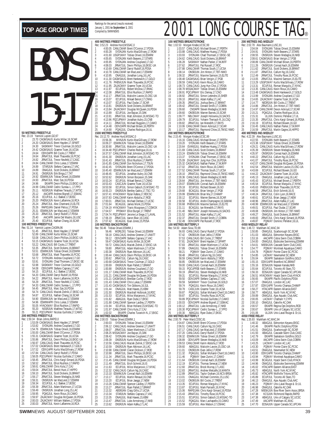|                     |                               |                                                   |                                                                                                                                                                                                                            | 400<br>Rec:<br>1<br>$\overline{2}$ |
|---------------------|-------------------------------|---------------------------------------------------|----------------------------------------------------------------------------------------------------------------------------------------------------------------------------------------------------------------------------|------------------------------------|
|                     |                               |                                                   |                                                                                                                                                                                                                            | 3<br>4<br>5<br>6                   |
|                     |                               |                                                   |                                                                                                                                                                                                                            | 7<br>8<br>9                        |
|                     |                               |                                                   |                                                                                                                                                                                                                            | 10<br>11<br>12<br>13               |
|                     |                               |                                                   |                                                                                                                                                                                                                            | 14<br>15<br>16                     |
|                     |                               |                                                   |                                                                                                                                                                                                                            | 17<br>18<br>19<br>20               |
|                     |                               |                                                   |                                                                                                                                                                                                                            | 21<br>22<br>23                     |
|                     | 50 METRES FREESTYLE           |                                                   |                                                                                                                                                                                                                            | 24<br>25<br>150                    |
| 1<br>$\overline{2}$ | Rec: 23.19                    | Yannick Lupien, GO, 97                            | 23.70 CAGMSAUG Kurtis Miller,16,SCAR<br>24.20 CAGMSAUG Brent Hayden, 17, SPART                                                                                                                                             | Rec:<br>1<br>$\overline{a}$        |
| 3<br>4<br>5         | 24.64                         |                                                   | 24.30 SASKMAY Trevor Coulman, 16, GOLD<br>24.42 CAGMSAUG Graeme Tozer, 16, UCSA<br>ODIV3APR Bill Cocks, 17, TRENT                                                                                                          | 3<br>4<br>5                        |
| 6<br>7<br>8         | 24.64<br>24.82<br>24.84       |                                                   | JRNATJUL Mark Thauvette, 16, PCSC<br>JRNATJUL Trevor Neufeld.17.CASC<br>CANLCMAR Chris Lukas, 17, ESWIM                                                                                                                    | 6<br>7<br>8                        |
| 9<br>10             | 24.89<br>24.89                |                                                   | STARJUN Stefano Caprara, 17, VAC<br>ONAGJUL Scott Dickens, 16, BRANT                                                                                                                                                       | 9<br>10                            |
| 11<br>12<br>13      | 24.91<br>24.92<br>24.93       |                                                   | ONSRJUN Erik Binga, 17, TAT<br>ESWIMJUN Tobias Oriwol, 16, ESWIM<br>JRNATJUL Marc Sze, 16, PDSA                                                                                                                            | 11<br>12<br>13                     |
| 14<br>15<br>16      | 24.96<br>24.99                |                                                   | EKIAPR Devin Phillips, 15, EKSC-UA<br>CANLCMAR Cedric Sureau-L., 17, PPO<br>NSSRJUN Matthew Terauds, 17, WTSC                                                                                                              | 14<br>15                           |
| 17<br>18            | 25.11<br>25.12<br>25.16       |                                                   | AACAPR Andrew Bignell, 17, SSMAC<br>ECUPJUL A.J. Bakker, 17, BOSC<br>PHENXJUN Kevin Laflamme, 16, RCA                                                                                                                      | 16<br>17<br>18                     |
| 19<br>20            | 25.20<br>25.24                |                                                   |                                                                                                                                                                                                                            | 19<br>20                           |
| 21<br>22<br>23      | 25.26<br>25.31<br>25.33       |                                                   | THENWON REVIEW CHARGED IN THE RAPIDJAN<br>SENATJUL AIEX Chartrand, 15, EUTE<br>ESWIMJUN Ian MacLeod, 17, ESWIM<br>JRNATJUL Darryl Rudolf, 17, PDSA<br>AACAPR Januari Del Mastro, 16, USC<br>CCURLIUL Nathan Chana 14, SCAP | 21<br>22<br>23                     |
| 24<br>25            | 25.40<br>25.40                |                                                   | ECUPJUL Nathan Chang, 16, SCAR                                                                                                                                                                                             | 24<br>25                           |
| 1                   | Rec: 51.14<br>51.45           | 100 METRES FREESTYLE<br>Yannick Lupien, CAGRA, 96 | JRNATJUL Brent Hayden, 17, SPART                                                                                                                                                                                           | 100<br>Rec:<br>1                   |
| $\overline{a}$<br>3 | 52.89<br>53.08                |                                                   | CANLCMAR Kurtis Miller, 15, SCAR<br>CANLCAUG Devin Phillips, 16, EKSC-UA                                                                                                                                                   | $\overline{a}$<br>3                |
| 4<br>5<br>6         | 53.22<br>53.35                |                                                   | 53.15 CAGMSAUG Graeme Tozer, 16, UCSA<br>CANLCAUG Bill Cocks, 17, TRENT<br>JRNATJUL Scott Dickens, 16, BRANT                                                                                                               | 4<br>5<br>6                        |
| 7<br>8              | 53.51<br>53.68                |                                                   | ESWIMJUN Tobias Oriwol, 16, ESWIM<br>JRNATJUL Mark Thauvette, 16, PCSC                                                                                                                                                     | 7<br>8                             |
| 9<br>10<br>11       | 53.72<br>53.91<br>53.98       |                                                   | SYDNJAN Andrew Coupland, 17, GO<br>SYDNJAN Chad Thomsen, 17, EKSC-SE<br>SASKMAY Trevor Coulman, 16, GOLD                                                                                                                   | 9<br>10<br>11                      |
| 12<br>13            | 54.08<br>54.15                |                                                   | ODIV2APR Stefano Caprara,17,VAC<br>ECUPJUL A.J. Bakker, 17, BOSC                                                                                                                                                           | 12<br>13                           |
| 14<br>15<br>16      | 54.20<br>54.22<br>54.29       |                                                   | CANLCMAR Darryl Rudolf, 16, PDSA<br>JRNATJUL Kevin Laflamme, 16, RCA<br>JRNATJUL Trevor Neufeld, 17, CASC                                                                                                                  | 14<br>15<br>16                     |
| 17<br>18            | 54.33<br>54.45                |                                                   | CANLCMAR Cedric Sureau-L., 17, PPO<br>JRNATJUL Marc Sze, 16, PDS.                                                                                                                                                          | 17<br>18                           |
| 19<br>20<br>21      | 54.87<br>54.90                |                                                   | 54.74 CANLCAUG Maciek Zielnik, 17, EKSC-UA<br>ECUPJUL Nathan Chang, 16, SCAR<br>ESWIMJUN lan MacLeod, 17, ESWIM                                                                                                            | 19<br>20                           |
| 22<br>23            |                               |                                                   | 54.96 ESWIMAPR Chris Lukas, 17, ESWIM<br>55.05 HYACKMAY Elliot Rushton, 17, RAPID                                                                                                                                          | 21<br>22<br>23                     |
| 24<br>25            |                               | 200 METRES FREESTYLE                              | 55.20 NSSRJUN Matthew Terauds, 17, WTSC<br>55.21 POCUPMAY Nicolas Guillotte, 17, CAMO                                                                                                                                      | 24<br>25                           |
| 1                   | Rec: 1:50.34                  | Brian Johns, RAPID, 0                             | 1:53.09 CAGMSAUG Brent Hayden, 17, SPART                                                                                                                                                                                   | 200<br>Rec:<br>1                   |
| $\overline{c}$<br>3 | 1:53.82<br>1:54.76            |                                                   | SYDNJAN Andrew Coupland, 17, GO<br>ESWIMJUN Tobias Oriwol, 16, ESWIM                                                                                                                                                       | $\overline{a}$<br>3                |
| 4<br>5<br>6         | 1:55.86                       |                                                   | 1:55.00 CANLCMAR Brent O'Connor, 17, PDSA<br>1:55.31 CAGMSAUG Graeme Tozer, 16, UCSA<br>JRNATJUL Devin Phillips, 16, EKSC-UA                                                                                               | 4<br>5<br>6                        |
| 7<br>8<br>9         | 1:56.97                       |                                                   | CANLCAUG Mark Thauvette, 16, PCSC<br>1:57.02 CAGMSAUG Brent Hankewich, 17, GOLD                                                                                                                                            | 7<br>8                             |
| 10<br>11            | 1:57.52<br>1:57.84<br>1:58.05 |                                                   | ODIV1APR Kurtis MacGillivary, 17, ROW<br>CANLCAUG Darryl Rudolf, 17, PDSA<br>PQCUPMAY Nicolas Guillotte, 17, CAMO                                                                                                          | 9<br>10<br>11                      |
| 12<br>13<br>14      | 1:58.45<br>1:58.52            |                                                   | JRNATJUL Chris Kargl-Simard, 16, PDSA<br>JRNATJUL Elliot Rushton, 17, RAPID                                                                                                                                                | 12<br>13                           |
| 15<br>16            | 1:58.61<br>1:59.04<br>1:59.10 |                                                   | CANLCMAR Chris Kula, 17, CAJ<br>JRNATJUL Benoit Huot, 17, HIPPO<br>JRNATJUL Scott Dickens, 16, BRANT                                                                                                                       | 14<br>15<br>16                     |
| 17<br>18            | 1:59.17<br>1:59.31            |                                                   | JRNATJUL Steven Medaglia, 16, NKB<br>ONSRJUN Ian MacLeod, 17, ESWIM                                                                                                                                                        | 17<br>18                           |
| 19<br>20<br>21      | 1:59.34<br>1:59.39<br>1:59.49 |                                                   | ECUPJUL A.J. Bakker, 17, BOSC<br>JRNATJUL Adam Martinson, 17, UCSA<br>ONSRJUN Jonathan Long, 15, LAC                                                                                                                       | 19<br>20<br>21                     |
| 22<br>23            | 1:59.95<br>1:59.97            |                                                   | POAGJUL Kevin Rioux, 16, CAMO<br>ZAJACMAY Douglas McQueen, 16, PDSA                                                                                                                                                        | 22<br>23                           |
| 24<br>25            | 2:00.03<br>2:00.03            |                                                   | ZAJACMAY William Walters, 17, PDSA<br>JRNATJUL Kevin Laflamme, 16, RCA                                                                                                                                                     | 24<br>25                           |

|                                         |                      | 400 METRES FREESTYLE                                                             |                                                                                                                                                                                                                                               |
|-----------------------------------------|----------------------|----------------------------------------------------------------------------------|-----------------------------------------------------------------------------------------------------------------------------------------------------------------------------------------------------------------------------------------------|
|                                         |                      | Rec: 3:52.23 Andrew Hurd,MSSAC,0                                                 |                                                                                                                                                                                                                                               |
| 1<br>$\overline{a}$                     | 4:00.28              |                                                                                  | 4:00.05 CANLCMAR Brent O'Connor, 17, PDSA<br>SYDNJAN Kurtis MacGillivary,17,ROW                                                                                                                                                               |
| 3                                       |                      |                                                                                  | 4:01.60 USGP1MAY Tobias Oriwol, 16, ESWIM                                                                                                                                                                                                     |
| 4                                       | 4:05.65              |                                                                                  | SYDNJAN Keith Beavers, 17, STARS                                                                                                                                                                                                              |
| 5<br>6                                  | 4:05.95<br>4:08.03   |                                                                                  | SYDNJAN Andrew Coupland, 17, GO                                                                                                                                                                                                               |
| 7                                       |                      |                                                                                  | JRNATJUL Devin Phillips, 16, EKSC-UA<br>4:10.69 CANLCMAR Darryl Rudolf, 16, PDSA                                                                                                                                                              |
| 8                                       |                      |                                                                                  | 4:10.78 CANLCMAR Ian MacLeod, 17, ESWIM                                                                                                                                                                                                       |
| 9                                       |                      |                                                                                  | 4:10.95 ONAGJUL Jonathan Long, 16, LAC<br>4:11.30 CAGMSAUG Brent Hankewich, 17, GOLD                                                                                                                                                          |
| 10<br>11                                |                      |                                                                                  | 4:11.76 PHENXJUN Mark Thauvette, 16, PCSC                                                                                                                                                                                                     |
| 12                                      |                      |                                                                                  | 4:11.95 ZAJACMAY Graeme Tozer, 16, UCSA                                                                                                                                                                                                       |
| 13                                      | 4:11.97              |                                                                                  | ECUPJUL Robert McDow, 17, RHAC                                                                                                                                                                                                                |
| 14                                      | 4:12.08              |                                                                                  | JRNATJUL Elliot Rushton, 17, RAPID                                                                                                                                                                                                            |
| 15<br>16                                | 4:12.17<br>4:13.07   |                                                                                  | JRNATJUL Malcolm Lavoie, 15, OSC-UA<br>ECUPJUL Mikael Benoit, 17, CNNG                                                                                                                                                                        |
| 17                                      | 4:13.07              |                                                                                  | ECUPJUL Paul Dudar, 17, SCAR                                                                                                                                                                                                                  |
| 18                                      | 4:13.81              |                                                                                  | ONSRJUN Scott Dickens, 16, BRANT                                                                                                                                                                                                              |
| 19<br>20                                | 4:13.84<br>4:13.89   |                                                                                  | ZAJACMAY Douglas McQueen, 16, PDSA<br>ECUPJUL Joe Bajcar, 15, OAK                                                                                                                                                                             |
| 21                                      |                      |                                                                                  | 4:13.91 JRNATJUL Matt Johnston, 16, MSSAC-TO<br>4:13.96 POCUPMAY Jonathan Aubry, 15, CNB<br>4:14.11 JRNATJUL Michael Ruggiero, 17, CAMO                                                                                                       |
| $\overline{22}$                         |                      |                                                                                  |                                                                                                                                                                                                                                               |
| 23                                      |                      |                                                                                  |                                                                                                                                                                                                                                               |
| 24<br>25                                | 4:14.48<br>4:14.68   |                                                                                  | ODIV2APR Michael Brown, 16, PERTH<br>POAGJUL Charles Rodrigue, 16, UL                                                                                                                                                                         |
|                                         |                      | <b>1500 METRES FREESTYLE</b>                                                     |                                                                                                                                                                                                                                               |
|                                         |                      |                                                                                  | Nec: 15:12.70 Andrew Hurd, MSSAC, 0<br>15:56.36 MWUN Kurtis MacGillivary, 17, ROW<br>2 16:09.27 ESWIMUNI Tobias Oriwol, 16, ESWIM<br>16:30.90 JRNATJUL Malcolm Lavoie, 15, OSC-UA<br>3 16:34.89 POCUPMAY Charles Rodrigue, 16, UL<br>5:43.487 |
|                                         |                      |                                                                                  |                                                                                                                                                                                                                                               |
|                                         |                      |                                                                                  |                                                                                                                                                                                                                                               |
|                                         |                      |                                                                                  |                                                                                                                                                                                                                                               |
| 5                                       |                      |                                                                                  | 16:37.57 CANLCMAR Matt Johnston, 16, MSSAC-TO                                                                                                                                                                                                 |
| 6<br>7                                  | 16:41.30<br>16:41.43 |                                                                                  | ONSRJUN Jonathan Long, 15, LAC<br>JRNATJUL Elliot Rushton, 17, RAPID                                                                                                                                                                          |
| 8                                       |                      |                                                                                  | 16:41.85 CANLCMAR Don Nicholson, 17, TSUN                                                                                                                                                                                                     |
| 9                                       | 16:42.45             |                                                                                  | SYDNJAN Brent O'Connor, 17, PDSA                                                                                                                                                                                                              |
| 10                                      |                      |                                                                                  | 16:45.40 ESWIMJUN lan MacLeod, 17, ESWIM                                                                                                                                                                                                      |
| 11<br>12                                | 16:48.45<br>16:52.62 |                                                                                  | ECUPJUL Jonathan Aubry, 16, CNB<br>ONSRJUN Simon Borjeson, 15, OAK                                                                                                                                                                            |
| 13                                      | 16:53.24             |                                                                                  | ECUPJUL Mikael Benoit, 17, CNNG                                                                                                                                                                                                               |
| 14                                      | 16:53.43             |                                                                                  | CASCJUN Graeme Tozer, 16, UCSA                                                                                                                                                                                                                |
| 15                                      | 16:53.58             |                                                                                  | ECUPJUL Simon Gabsch, 15, MSSAC-TO<br>ONSRJUN Bentley Gaikis, 17, TSC-TO                                                                                                                                                                      |
| 16<br>17                                | 16:55.23             |                                                                                  | 16:57.41 HYACKMAY Rylan Kafara, 17, RDCSC                                                                                                                                                                                                     |
| 18                                      |                      |                                                                                  | 16:57.83 CANLCMAR Karim Abdulla, 17, ROD                                                                                                                                                                                                      |
| 19<br>20                                | 17:00.01             |                                                                                  | JRNATJUL Michael Derban, 17, UCSC                                                                                                                                                                                                             |
|                                         |                      |                                                                                  | 17:01.64 BCAGJUL James Monk, 15, PDSA<br>17:04.19 HYACKMAY Travis Musgrave, 17, COMOX                                                                                                                                                         |
| $\begin{array}{c} 21 \\ 22 \end{array}$ |                      |                                                                                  |                                                                                                                                                                                                                                               |
| 23<br>24                                |                      |                                                                                  | 17:04.57 PROMAY Elliot Burger, 17, TRENT<br>17:04.57 POCUPMAY Jerome Le Siege, 17, LAVAL<br>17:06.19 JRNATJUL Aaron Blair, 16, CASC                                                                                                           |
|                                         |                      |                                                                                  |                                                                                                                                                                                                                                               |
|                                         |                      | 17:07.42 <b>bunder</b><br><b>100 METRES BACKSTROKE</b><br>The Tobias Orivol, ESM | BCAGJUL Evan Jones, 15, PDSA                                                                                                                                                                                                                  |
|                                         |                      | Tobias Oriwol, ESWIM, 1                                                          |                                                                                                                                                                                                                                               |
| 1                                       |                      |                                                                                  | 1 UGUS CONDUCTS TO THE SECTION OF SECTION OF SALE AND CONDUCT SECTION OF SECTION OF STRAINING STRAINING STRAINING STRAINING STRAINING STRAINING STRAINING STRAINING STRAINING STRAINING STRAINING STRAINING STRAINING STRAININ                |
| $\frac{2}{3}$                           |                      |                                                                                  |                                                                                                                                                                                                                                               |
| 4                                       |                      |                                                                                  |                                                                                                                                                                                                                                               |
| 5                                       |                      |                                                                                  |                                                                                                                                                                                                                                               |
| 6                                       | 59.80                |                                                                                  | JRNATJUL Adam Martinson, 17, UCSA<br>ONSRJUN Ryan Atkinson, 16, LAC                                                                                                                                                                           |
| 7<br>8                                  |                      |                                                                                  | 1:00.38 ONSRJUN Ryan Atkinson, 16, LAC<br>1:00.44 CANLCAUG Devin Phillips, 16, EKSC-UA<br>1:00.62 JRNATJUL Callum Ng, 16, CASC<br>Terminal Terminal Accords                                                                                   |
| 9                                       |                      |                                                                                  |                                                                                                                                                                                                                                               |
| 10                                      |                      |                                                                                  |                                                                                                                                                                                                                                               |
|                                         |                      |                                                                                  | 1:00.62 JRNATJUL Callum Ng, 16, CASC<br>1:00.68 CAGMSAUG Trevor Coulman, 17, GOLD                                                                                                                                                             |
| 11                                      |                      |                                                                                  |                                                                                                                                                                                                                                               |
| 12                                      | 1:00.88              |                                                                                  | 1:00.69 ONSRJUN Ryan Pallett, 17, BRANT<br>ONSRJUN Andrew Coupland, 17, GO                                                                                                                                                                    |
| 13<br>14                                |                      |                                                                                  | 1:01.17 CANLCMAR Mark Thauvette, 16, PCSC<br>1:01.21 CANLCMAR Douglas McQueen, 16, PDSA                                                                                                                                                       |
| 15                                      |                      |                                                                                  | 1:01.21 CAGMSAUG Brendan Curley, 17, ROD                                                                                                                                                                                                      |
| 16                                      |                      |                                                                                  | 1:01.43 CANLCMAR Chris Lukas, 17, ESWIM                                                                                                                                                                                                       |
| 17<br>18                                | 1:01.44              |                                                                                  | 1:01.43 CAGMSAUG Tim Gibbons.16.SJI<br>ONAGJUL Matt Hawes, 15, KBM                                                                                                                                                                            |
| 19                                      | 1:01.50              |                                                                                  | ONSRJUN Marshall Holbrook, 16, ROC                                                                                                                                                                                                            |
| 20                                      | 1:01.53              |                                                                                  | ECUPJUL Milos Marjanovic, 17, NYAC                                                                                                                                                                                                            |
| 21                                      | 1:01.82              |                                                                                  | ABAGJUL Ryan Dube, 17, EKSC                                                                                                                                                                                                                   |
| 22<br>23                                | 1:01.94              |                                                                                  | 1:01.88 CANLCMAR Spencer Laidley, 17, PERTH                                                                                                                                                                                                   |
| 24                                      | 1:01.97              |                                                                                  | ECUPJUL Brian Holland, 15, MSSAC-TO<br>CANLCMAR Chris Kula, 17, CAJ                                                                                                                                                                           |
| 25                                      | 1:02.02              |                                                                                  | EKIAPR Charles Turanich-N., 17, EKSC                                                                                                                                                                                                          |
|                                         |                      | 200 METRES BACKSTROKE                                                            |                                                                                                                                                                                                                                               |
|                                         | 2:00.03              | Rec: 2:00.03 Tobias Oriwol,ESWIM,1                                               |                                                                                                                                                                                                                                               |
|                                         | 2:06.12              |                                                                                  | SYDNJAN Tobias Oriwol, 15, ESWIM<br>CANLCAUG Andrew Greener, 17, UNATT                                                                                                                                                                        |
| 123                                     |                      |                                                                                  |                                                                                                                                                                                                                                               |
| 4                                       | 2:08.42              |                                                                                  | 2:08.07 JRNATJUL Adam Martinson, 17, UCSA<br>2:08.25 MSSACMAY Joe Bajcar, 15, OAK                                                                                                                                                             |
| 5<br>6                                  | 2:09.39              |                                                                                  | SSACMAY Joe Bajcar,15,0AK<br>SYDNJAN Andrew Coupland,17,GO                                                                                                                                                                                    |
| 7                                       | 2:10.56              |                                                                                  | ONSRJUN Kurtis MacGillivary, 17, ROW<br>CANLCAUG Maciek Zielnik, 17, EKSC-UA                                                                                                                                                                  |
| 8                                       | 2:10.59              |                                                                                  | ONSRJUN Ryan Atkinson, 16, LAC                                                                                                                                                                                                                |
| 9<br>10                                 | 2:10.98              |                                                                                  | 2:10.98 CANLCMAR Ciaran Dickson, 17, ROD<br>JRNATJUL Devin Phillips, 16, EKSC-UA                                                                                                                                                              |
| 11                                      | 2:11.34              |                                                                                  | JRNATJUL Mark Thauvette, 16, PCSC                                                                                                                                                                                                             |
| 12                                      |                      |                                                                                  | 2:11.45 CANLCMAR Douglas McQueen, 16, PDSA                                                                                                                                                                                                    |
| 13                                      | 2:11.49              |                                                                                  | JRNATJUL Erich Schmitt, 16, IS                                                                                                                                                                                                                |
| 14<br>15                                | 2:11.63<br>2:12.32   |                                                                                  | ECUPJUL Milos Marjanovic, 17, NYAC<br>CANLCAUG Callum Ng, 16, CASC                                                                                                                                                                            |
| 16                                      | 2:13.10              |                                                                                  | ESWIMJUN Conrad Aach, 16, ESWIM                                                                                                                                                                                                               |
| 17                                      | 2:13.17              |                                                                                  | ECUPJUL Martin Renaud, 16, CNB                                                                                                                                                                                                                |
| 18<br>19                                | 2:13.20              |                                                                                  | ECUPJUL Brian Jaeggi, 17, NEW                                                                                                                                                                                                                 |
| 20                                      | 2:13.27              |                                                                                  | 2:13.26 CANLCMAR Spencer Laidley, 17, PERTH<br>JRNATJUL Ryan Pallett, 17, BRANT                                                                                                                                                               |
| 21                                      | 2:13.32              |                                                                                  | ABSRJAN Craig Gillis, 17, UCSA                                                                                                                                                                                                                |
| 22                                      | 2:13.34              |                                                                                  | STARJUN Stefano Caprara, 17, VAC                                                                                                                                                                                                              |
| 23<br>24                                | 2:13.35<br>2:13.47   |                                                                                  | ONAGJUL Matt Hawes, 15, KBM<br>JRNATJUL Luke Armstrong, 17, NKB                                                                                                                                                                               |

#### TOP AGE GROUP TIMES **Exacting for the period (results reached)**<br>2001 LONG COURSE TAG® **100 METRES BREASTSTROKE**<br>
Rec: 1:02.53 Morgan Knabe UCSC,99<br>
1 1:03.57 CANLCAUG Michael Brown,17,PERTH<br>
1 1:03.57 CANLCAUG Michael Brown,17,PEDSA<br>
1:03.93 SYDNJAN Chad Thomsen,17,EKSC-SE<br>
1:04.26 ZANLCAUG SCOtt Dickens,16 108.32 JRNATJUL Maxime Samson,15,ELITE<br>108.48 CAGMSAUG Brian Verigin,17,PGB<br>1108.49 CANLCAUG Kevin Rioux,16,CAMO<br>108.59 CANLCAUG Kevin Rioux,16,CAMO<br>108.73 CANLCAUG Jung Hun Choi,17,PDSA<br>133 108.78 MSSACMAY Tobias Orivol,1 20 1:09.60 ONSRJUN Warren Barnes,15,SCAR<br>21 1:09.77 NBLCMAY Joseph Holownia,16,SACKS<br>22 1:09.79 ECUPJUL Yohann Theriault-R.,16,CSQ<br>23 1:09.82 JRNATJUL Ian Meredith,17,RAYS<br>24 1:10.06 CANLCMAR Devon Ackroyd,17,SCAR **200 METRES IND.MEDLEY** Rec: 2:02.78 Alex Baumann,LUSC,81 1 2:04.04 SYDNJAN Tobias Oriwol,15,ESWIM 2 2:04.91 SYDNJAN Keith Beavers,17,STARS 3 2:08.55 ONSRJUN Steven Medaglia,16,NKB 4 2:08.61 CAGMSAUG Brian Verigin,17,PGB 5 2:08.89 CANLCMAR Michael Brown,16,PERTH 6 2:11.26 ONSRJUN Conrad Aach,16,ESWIM 7 2:11.62 JRNATJUL Scott Dickens,16,BRANT 8 2:11.87 JRNATJUL Callum Ng,16,CASC 9 2:12.49 JRNATJUL Timothy Ruse,16,PCSC 10 2:13.05 JRNATJUL Maxime Samson,15,ELITE 11 2:13.29 USGP1MAY Kurtis MacGillivary,17,ROW 12 2:13.31 ECUPJUL Roman Margulis,17,NYAC 13 2:13.35 CANLCAUG Kevin Rioux,16,CAMO 14 2:13.48 CAGMSAUG Brent Hankewich,17,GOLD 15 2:13.99 SYDNJAN Andrew Coupland,17,GO 16 2:14.65 ZAJACMAY Graeme Tozer,16,UCSA 17 2:14.77 NEORJUN Bill Cocks,17,TRENT 18 2:14.86 JRNATJUL Jim Hinton,17,TBT-NWO 19 2:14.97 CANLCMAR Devon Ackroyd,17,SCAR 20 2:15.21 PQAGJUL Charles Rodrigue,16,UL 21 2:15.31 ULJUN Dominic Pelletier,17,UL

| 25                                      | . I V.VV<br>1:10.17 |                                     | <b>UNITEDIVIAIN DUVUII AUNUYU, LI</b><br>JRNATJUL Raymond Chow, 15, TMSC-NWO            | 25                                    | 1 U.TJ<br>2:16.59        |                                     | <b>CULLCULO MOTION I AND</b><br>JRNATJUL Martin Gagne, 16, HIPPO                                 |
|-----------------------------------------|---------------------|-------------------------------------|-----------------------------------------------------------------------------------------|---------------------------------------|--------------------------|-------------------------------------|--------------------------------------------------------------------------------------------------|
|                                         |                     | <b>200 METRES BREASTSTROKE</b>      |                                                                                         |                                       |                          | 400 METRES IND.MEDLEY               |                                                                                                  |
|                                         |                     | Rec: 2:15.45 Morgan Knabe, UCSC, 99 |                                                                                         |                                       |                          | Rec: 4:22.39 Alex Baumann, LUSC, 81 |                                                                                                  |
| 1                                       |                     |                                     | 2:16.16 CANLCAUG Michael Brown, 17, PERTH                                               |                                       |                          |                                     | 4:22.55 SYDNJAN Keith Beavers, 17, STARS<br>4:23.38 USGP1MAY Tobias Oriwol, 16, ESWIM            |
| $\overline{c}$                          | 2:19.20             |                                     | SYDNJAN Keith Beavers, 17, STARS                                                        | $\overline{a}$                        |                          |                                     |                                                                                                  |
| 3                                       | 2:20.64             |                                     | EVANSJUL Matthew Huang, 17, PDSA                                                        | 3                                     | 4:29.21                  |                                     | CANLCAUG Kurtis MacGillivary, 17, RO                                                             |
| 4<br>5                                  |                     |                                     | 2:21.69 CANLCAUG Scott Dickens, 16, BRANT                                               | 4<br>5                                | 4:35.39                  |                                     | ONSRJUN Steven Medaglia, 16, NKB                                                                 |
|                                         |                     |                                     | 2:23.24 ESWIMJUN Tobias Oriwol, 16, ESWIM                                               |                                       | 4:35.97                  |                                     | ONSRJUN Conrad Aach, 16, ESWIM                                                                   |
| 6<br>7                                  | 2:23.37             |                                     | SYDNJAN Chad Thomsen, 17, EKSC-SE                                                       | 6<br>7                                | 4:40.22                  |                                     | JRNATJUL Callum Ng, 16, CASC                                                                     |
| 8                                       |                     |                                     | 2:25.09 ZAJACMAY Jung Hun Choi, 16, PDSA<br>2:25.32 CAGMSAUG Nathan Parker, 17, MJKFF   | 8                                     |                          |                                     | 4:41.07 JRNATJUL Timothy Ruse, 16, PCSC<br>4:42.07 CANLCMAR Douglas McQueen, 16, PDS             |
| 9                                       | 2:27.02             |                                     | JRNATJUL Kevin Rioux, 16, CAMO                                                          | 9                                     | 4:42.54                  |                                     | JRNATJUL Malcolm Lavoie, 15, OSC-L                                                               |
| 10                                      |                     |                                     | 2:27.52 CANLCMAR Thomas South, 17, UCSA                                                 | 10                                    | 4:43.69                  |                                     | ECUPJUL Richard Bowen, 16, GO                                                                    |
| 11                                      | 2:28.10             |                                     | JRNATJUL Raymond Chow, 15, TMSC-NWO                                                     | 11                                    | 4:44.22                  |                                     | ZAJACMAY Graeme Tozer, 16, UCSA                                                                  |
| 12                                      |                     |                                     | 2:28.36 CANLCAUG Steven Medaglia, 16, NKB<br>2:28.64 JRNATJUL Jim Hinton, 17, TBT-NWO   | 12                                    | 4:45.13                  |                                     | ONAGJUL Jonathan Long, 16, LAC<br>ECUPJUL Michael Brown, 17, PERTH                               |
| 13                                      |                     |                                     |                                                                                         | 13                                    | 4:45.43                  |                                     |                                                                                                  |
| 14                                      | 2:29.07             |                                     | ESWIMJUN Conrad Aach, 16, ESWIM                                                         | 14                                    | 4:45.54                  |                                     | ECUPJUL Roman Margulis, 17, NYAC                                                                 |
| 15<br>16                                | 2:29.18<br>2:29.68  |                                     | ECUPJUL Richard Bowen, 16, GO<br>BCAGJUL Brian Verigin, 17, PGB                         | 15<br>16                              | 4:45.63<br>4:46.58       |                                     | PHENXJUN Mark Thauvette, 16, PCSC<br>JRNATJUL Erich Schmitt, 16, IS                              |
| 17                                      | 2:29.99             |                                     | ESWIMJUN Brian Ma, 17, CHAMP                                                            | 17                                    | 4:48.24                  |                                     | JRNATJUL Colin Lyon, 16, RACE                                                                    |
| 18                                      | 2:30.12             |                                     |                                                                                         | 18                                    | 4:48.61                  |                                     | ECUPJUL Brian Jaeggi, 17, NEW                                                                    |
| 19                                      | 2:30.58             |                                     | ECUPJUL Warren Barnes, 16, SCAR<br>ECUPJUL Andre Champagne, 16, SAMAK                   | 19                                    | 4:48.96                  |                                     |                                                                                                  |
| 20                                      |                     |                                     | 2:30.68 PHENXJUN Maxime Samson, 15, ELITE                                               | 20                                    | 4:48.99                  |                                     | JRNATJUL Adam Kafka, 17, LAC<br>ESWIMJUN lan MacLeod, 17, ESWIM                                  |
| 21                                      | 2:31.11             |                                     | BCAGJUL Ian Meredith, 17, RAYS                                                          | 21                                    | 4:49.01                  |                                     | ECUPJUL Paul Dudar, 17, SCAR                                                                     |
| 22                                      | 2:31.40             |                                     | NBLCMAY Joseph Holownia, 16, SACKS                                                      | 22                                    | 4:49.08                  |                                     | ONSRJUN Jim Hinton, 17, TBT-NWO                                                                  |
| 23                                      | 2:31.52             |                                     | JRNATJUL Adam Kafka, 17, LAC                                                            | 23                                    | 4:49.27                  |                                     | ONAGJUL Scott Dickens, 16, BRANT<br>JRNATJUL Chris Kargl-Simard, 16, PD                          |
| 24                                      | 2:32.37             |                                     | JRNATJUL Donald Smith, 17, COBRA                                                        | 24                                    | 4:49.83                  |                                     |                                                                                                  |
| 25                                      | 2:32.49             | 100 METRES BUTTERFLY                | ODIV2APR Pat Russell, 17, ROC                                                           | 25                                    | 4:49.87                  |                                     | PQIMAY Dominic Pelletier, 16, UL                                                                 |
|                                         |                     | Rec: 54.50 Adam Sioui, TD, 99       |                                                                                         |                                       | <b>4X50 MEDLEY RELAY</b> | Rec: 1:46.72 Markham AC, MAC, 94    |                                                                                                  |
| 1                                       |                     |                                     | 56.93 CANLCAUG Darryl Rudolf, 17, PDSA                                                  | 1                                     | 1:50.85                  |                                     | ONAGJUL Scarborough SC, SCAR                                                                     |
| $\overline{2}$                          |                     |                                     |                                                                                         |                                       | 1:51.03                  |                                     |                                                                                                  |
| $\overline{3}$                          |                     |                                     | 57.42 ONSRJUN Evan Jellie, 17, ROW<br>57.53 CANLCAUG Bill Cocks, 17, TRENT              | $\frac{2}{3}$                         | 1:53.16                  |                                     | ABAGJUL Edmonton Keyano, EKSC<br>AACAPR Cobra Swim Club, COBRA                                   |
| $\frac{4}{5}$                           | 57.81               |                                     | ZAJACMAY Brent Hayden, 17, SPART                                                        | $\begin{array}{c} 4 \\ 5 \end{array}$ | 1:54.00                  |                                     | ONAGJUL Etobicoke Swimming,ESW                                                                   |
|                                         | 57.83               |                                     | JRNATJUL Adam Martinson, 17, UCSA                                                       |                                       | 1:54.01                  |                                     | MBSKJUN Cascade Swim Club, CASC                                                                  |
| 6                                       | 57.89               |                                     | ONAGJUL Tobias Oriwol, 16, ESWIM                                                        | 6                                     | 1:54.77                  |                                     | POIMAY Montreal Aquatique, CAMC<br>POIMAY Pointe Claire SC, PCSC<br>LACMAY Newmarket SC, NEW     |
| $\overline{1}$                          | 58.21               |                                     | PQIMAY Sean Zunini, 17, CAMO<br>JRNATJUL Callum Ng, 16, CASC                            | $\overline{1}$                        | 1:54.78                  |                                     |                                                                                                  |
| 8                                       | 58.48               |                                     |                                                                                         | 8                                     | 1:54.85                  |                                     |                                                                                                  |
| 9                                       | 58.85               |                                     | 58.59 CANLCMAR Karim Abdulla, 17, ROD                                                   | 9                                     | 1:55.04<br>1:55.15       |                                     | EKIAPR Saskatoon Goldfins, GOLD<br>ODIV1APR Brantford AC, BRANT                                  |
| 10<br>11                                | 59.00               |                                     | ONSRJUN lan MacLeod, 17, ESWIM<br>CANLCAUG Conrad Aach, 16, ESWIM                       | 10<br>11                              | 1:55.16                  |                                     | EOSAJUN Nepean Kanata, NKB                                                                       |
| 12                                      | 59.15               |                                     | POCUPFEB Keith Beavers, 17, STARS                                                       | 12                                    | 1:55.64                  |                                     | ECUPJUL Toronto All Stars, TO                                                                    |
| 13                                      | 59.19               |                                     | JRNATJUL Steven Medaglia, 16, NKB                                                       | 13                                    |                          |                                     |                                                                                                  |
| 14                                      | 59.31               |                                     | ECUPJUL Roman Margulis, 17, NYAC                                                        | 14                                    |                          |                                     | 1:56.33 EOSAJUN Upper Canada SC, UPCAN<br>1:56.51 HYACKMAY Hyack Swim Club, HYACK                |
| 15                                      | 59.50               |                                     | ODIV2APR Stefano Caprara, 17, VAC<br>SASKMAY Trevor Coulman, 16, GOLD                   | 15                                    | 1:56.65                  |                                     | EKIAPR Pacific Dolphins, PDSA                                                                    |
| 16                                      | 59.59               |                                     |                                                                                         | 16                                    | 1:57.07                  |                                     | ONAGJUL London AC, LAC                                                                           |
| 17                                      | 59.74               |                                     | PQAGJUL Kevin Rioux, 16, CAMO                                                           | 17                                    | 1:57.87                  |                                     | ODIV1APR Toronto Champs, CHAMP                                                                   |
| 18                                      | 59.78               |                                     | CASCJUN Graeme Tozer, 16, UCSA                                                          | 18                                    | 1:58.27                  |                                     | HTACAPR Eastern Alliance, EAST                                                                   |
| 19<br>20                                | 59.87<br>59.87      |                                     | POAGJUL Sofian Mohand-Cherif, 16, CAMO<br>ECUPJUL Timothy Ruse, 16, PCSC                | 19<br>20                              | 1:58.77<br>1:59.89       |                                     | ABAGJUL North York AC, NYAC                                                                      |
| 21                                      |                     |                                     |                                                                                         | 21                                    | 2:00.05                  |                                     | ONAGJUL Ajax Aquatic Club, AAC<br>LACMAY Chatham Y, CYPS                                         |
| 22                                      | 1:00.03             |                                     | 59.89 POCUPMAY Nicolas Guillotte, 17, CAMO<br>.00.03 ODIV2APR Andrew Bignell, 17, SSMAC | 22                                    | 2:00.10                  |                                     | ONAGJUL Oakville AC, OAK                                                                         |
| 23                                      | 1:00.12             |                                     | JRNATJUL Luke Armstrong, 17, NKB                                                        | 23                                    | 2:00.57                  |                                     | EKIAPR Regina Opt.Dolphins,ROD                                                                   |
| 24                                      |                     |                                     |                                                                                         | 24                                    | 2:00.67                  |                                     |                                                                                                  |
| 25                                      |                     |                                     | 1:00.30 PQCUPMAY Cedric Sureau-L.,17,PPO<br>1:00.30 ABAGJUL Ryan Dube,17,EKSC           | 25                                    | 2:01.06                  |                                     | EKIAPR Univ.of Calgary SC,UCSC<br>ULJUN Univ.Laval Rouge & Or,UL                                 |
|                                         |                     | 200 METRES BUTTERFLY                |                                                                                         |                                       | 4X50 FREE RELAY          |                                     |                                                                                                  |
|                                         |                     | Rec: 2:00.78 Peter Ward, CDSC, 81   |                                                                                         |                                       |                          | Rec: 1:35.93 Markham AC, MAC, 94    |                                                                                                  |
| 1                                       |                     |                                     | 2:04.87 CANLCMAR Brent O'Connor, 17, PDSA                                               | 1                                     | 1:40.32<br>1:41.46       |                                     | ABAGJUL Edmonton Keyano, EKSC                                                                    |
| $\frac{2}{3}$                           |                     |                                     | 2:06.51 CANLCAUG Callum Ng, 16, CASC                                                    | $\frac{2}{3}$                         | 1:41.51                  |                                     | EKIAPR Pacific Dolphins, PDSA<br>ONAGJUL Scarborough SC, SCAR<br>ABAGJUL Cascade Swim Club, CASC |
| $\overline{4}$                          |                     |                                     | 2:07.17 CANLCAUG Ian MacLeod, 17, ESWIM<br>2:07.20 CANLCAUG Darryl Rudolf, 17, PDSA     | $\overline{4}$                        | 1:41.93                  |                                     |                                                                                                  |
|                                         |                     |                                     | 2:08.32 ESWIMJUN Tobias Oriwol, 16, ESWIM                                               |                                       | 1:42.79                  |                                     | EKIAPR Saskatoon Goldfins, GOLD                                                                  |
| 5<br>6                                  | 2:08.89             |                                     | ODIV1APR Steven Medaglia, 16, NKB                                                       | 56                                    | 1:43.09                  |                                     | AACAPR Cobra Swim Club, COBRA                                                                    |
| $\overline{1}$                          |                     |                                     | 2:09.53 CANLCMAR Karim Abdulla, 17, ROD                                                 | $\overline{1}$                        | 1:43.25                  |                                     | LACMAY London AC, LAC                                                                            |
| 8                                       | 2:09.60             |                                     | ABAGJUL Malcolm Lavoie, 15, OSC-UA                                                      | 8                                     | 1:43.30                  |                                     | PQIMAY Pointe Claire SC, PCSC                                                                    |
| 9                                       | 2:11.01             |                                     | ONSRJUN Evan Jellie, 17, ROW                                                            | 9                                     | 1:43.51                  |                                     | ONAGJUL Newmarket SC, NEW                                                                        |
| 10                                      | 2:11.32             |                                     | PQAGJUL Sofian Mohand-Cherif, 16, CAMO                                                  | 10                                    | 1:43.80                  |                                     | ODIV1APR Toronto Champs, CHAMP                                                                   |
| 11<br>12                                | 2:11.46             |                                     | PQIMAY Sean Zunini, 17, CAMO                                                            | 11<br>12                              | 1:43.94                  |                                     | PQIMAY Montreal Aquatique, CAMO                                                                  |
| 13                                      | 2:11.64<br>2:12.19  |                                     | ONSRJUN Conrad Aach, 16, ESWIM<br>ECUPJUL Thomas Senecal, 17, NEW                       | 13                                    | 1:43.99<br>1:44.96       |                                     | BCAGJUL Hyack Swim Club, HYACK                                                                   |
| 14                                      | 2:12.60             |                                     | JRNATJUL Brock Murray, 17, LASC                                                         | 14                                    | 1:45.02                  |                                     | ONAGJUL Etobicoke Swimming,ESW<br>HTACAPR Eastern Alliance, EAST                                 |
| 15                                      | 2:12.83             |                                     | JRNATJUL Andrew Metcalfe, 16, MANTA                                                     | 15                                    | 1:45.73                  |                                     | ABAGJUL North York AC, NYAC                                                                      |
| 16                                      | 2:12.89             |                                     | JRNATJUL Taylor Graham, 16, NCS-BRSA                                                    | 16                                    | 1:45.82                  |                                     | HTACAPR Wolfville Tritons, WTSC                                                                  |
| 17                                      | 2:13.01             |                                     | ONAGJUL Míchael Commito, 15, LUSC                                                       | 17                                    | 1:45.89                  |                                     | ECUPJUL Toronto All Stars, TO                                                                    |
| 18                                      | 2:13.02             |                                     | ONSRJUN Bill Cocks, 17, TRENT                                                           | 18                                    | 1:46.13                  |                                     | ONAGJUL Ajax Aquatic Club, AAC                                                                   |
| 19                                      | 2:13.35             |                                     | ECUPJUL Roman Margulis, 17, NYAC                                                        | 19                                    | 1:46.23                  |                                     | PQIMAY Univ.Laval Rouge & Or, UL                                                                 |
| 20                                      | 2:13.87             |                                     | ECUPJUL Mark Pariselli, 16, NYAC                                                        | 20                                    | 1:46.98                  |                                     | ONAGJUL Oakville AC, OAK                                                                         |
| $\begin{array}{c} 21 \\ 22 \end{array}$ | 2:15.06<br>2:15.43  |                                     | RAPIDJAN Chris Kargl-Simard, 16, PDSA<br>JRNATJUL Timothy Ruse, 16, PCSC                | 21<br>22                              | $1:47.28$<br>$1:47.38$   |                                     | MBSKJUN Bow River Swim Assoc, BR<br>KCSJUN Richmond Rapids, RAPID                                |
| 23                                      | 2:15.51             |                                     | ECUPJUL Simon Gabsch, 15, MSSAC-TO                                                      | 23                                    | 1:47.38                  |                                     | ABAGJUL Univ.of Calgary SC,UCSC                                                                  |
|                                         | 2:15.52             |                                     | PQAGJUL Marc Lachapelle, 15, CAMO                                                       | 24                                    | 1:47.49                  |                                     | AACAPR Markham AC, MAC                                                                           |
| $\frac{24}{25}$                         | 2:15.59             |                                     | ECUPJUL Alex Watson, 17, OSHAC                                                          | 25                                    | 1:47.70                  |                                     | EOSAJUN Upper Canada SC, UPCAN                                                                   |

|                     |                        | 200 METRES IND.MEDLEY               |                                                                                                                                                                                              |
|---------------------|------------------------|-------------------------------------|----------------------------------------------------------------------------------------------------------------------------------------------------------------------------------------------|
| Rec: 2:02.78        |                        | Alex Baumann, LUSC, 81              |                                                                                                                                                                                              |
| 1                   | 2:04.04                | SYDNJAN                             | Tobias Oriwol, 15, ESWIM                                                                                                                                                                     |
| 2                   | 2:04.91                |                                     | SYDNJAN Keith Beavers, 17, STARS                                                                                                                                                             |
| 3                   | 2:08.55                |                                     | ONSRJUN Steven Medaglia, 16, NKB                                                                                                                                                             |
| 4                   |                        |                                     | 2:08.61 CAGMSAUG Brian Verigin, 17, PGB                                                                                                                                                      |
| 5                   |                        |                                     | 2:08.89 CANLCMAR Michael Brown, 16, PERTH                                                                                                                                                    |
| 6                   | 2:11.26                |                                     | ONSRJUN Conrad Aach, 16, ESWIM                                                                                                                                                               |
| 7                   | 2:11.62                |                                     | JRNATJUL Scott Dickens, 16, BRANT                                                                                                                                                            |
| 8                   | 2:11.87                |                                     | JRNATJUL Callum Ng, 16, CASC                                                                                                                                                                 |
| 9                   | 2:12.49                |                                     | JRNATJUL Timothy Ruse, 16, PCSC                                                                                                                                                              |
| 10                  | 2:13.05                |                                     | JRNATJUL Maxime Samson, 15, ELITE                                                                                                                                                            |
| 11                  |                        |                                     | 2:13.29 USGP1MAY Kurtis MacGillivary, 17, ROW                                                                                                                                                |
| 12                  | 2:13.31                |                                     | ECUPJUL Roman Margulis, 17, NYAC                                                                                                                                                             |
| 13                  | 2:13.35                |                                     | CANLCAUG Kevin Rioux, 16, CAMO                                                                                                                                                               |
| 14                  |                        |                                     | 2:13.48 CAGMSAUG Brent Hankewich, 17, GOLD                                                                                                                                                   |
| 15                  | 2:13.99                |                                     | SYDNJAN Andrew Coupland, 17, GO                                                                                                                                                              |
| 16                  | 2:14.65                |                                     | ZAJACMAY Graeme Tozer, 16, UCSA<br>NEORJUN Bill Cocks, 17, TRENT                                                                                                                             |
| 17                  | 2:14.77                |                                     |                                                                                                                                                                                              |
| 18                  | 2:14.86                |                                     | JRNATJUL Jim Hinton, 17, TBT-NWO<br>CANLCMAR Devon Ackroyd, 17, SCAR                                                                                                                         |
| 19                  | 2:14.97                |                                     |                                                                                                                                                                                              |
| 20<br>21            | 2:15.21<br>2:15.31     |                                     | PQAGJUL Charles Rodrigue, 16, UL                                                                                                                                                             |
|                     |                        |                                     | ULJUN Dominic Pelletier, 17, UL                                                                                                                                                              |
| 22<br>23            | 2:15.35<br>2:16.19     |                                     | JRNATJUL Chris Kargl-Simard, 16, PDSA                                                                                                                                                        |
| 24                  | 2:16.45                |                                     | ECUPJUL Richard Bowen, 16, GO<br>CANLCAUG Nathan Parker, 17, MJKFF                                                                                                                           |
| 25                  | 2:16.59                |                                     | JRNATJUL Martin Gagne, 16, HIPPO                                                                                                                                                             |
|                     |                        | 400 METRES IND.MEDLEY               |                                                                                                                                                                                              |
|                     |                        | Rec: 4:22.39 Alex Baumann, LUSC, 81 |                                                                                                                                                                                              |
| 1                   | 4:22.55                |                                     | SYDNJAN Keith Beavers, 17, STARS                                                                                                                                                             |
| $\overline{a}$      |                        |                                     | 4:23.38 USGP1MAY Tobias Oriwol, 16, ESWIM<br>4:29.21 CANLCAUG Kurtis MacGillivary, 17, ROW                                                                                                   |
| 3                   |                        |                                     |                                                                                                                                                                                              |
| 4                   | 4:29.21<br>4:35.39     |                                     |                                                                                                                                                                                              |
| 5                   | 4:35.97                |                                     | ONSRJUN Steven Medaglia, 16, NKB<br>ONSRJUN Conrad Aach, 16, ESWIM                                                                                                                           |
| 6                   | 4:40.22                |                                     | JRNATJUL Callum Ng, 16, CASC<br>JRNATJUL Timothy Ruse, 16, PCSC<br>CANLCMAR Douglas McQueen, 16, PDSA                                                                                        |
| 7                   | 4:41.07                |                                     |                                                                                                                                                                                              |
| 8                   | 4:42.07                |                                     |                                                                                                                                                                                              |
| 9                   | 4:42.54                |                                     | JRNATJUL Malcolm Lavoie, 15, OSC-UA                                                                                                                                                          |
| 10                  | 4:43.69                |                                     | ECUPJUL Richard Bowen, 16, GO                                                                                                                                                                |
| 11                  | 4:44.22                |                                     | ZAJACMAY Graeme Tozer, 16, UCSA                                                                                                                                                              |
| 12                  | 4:45.13                |                                     | ONAGJUL Jonathan Long, 16, LAC                                                                                                                                                               |
| 13                  | 4:45.43                |                                     | ECUPJUL Michael Brown, 17, PERTH                                                                                                                                                             |
| 14<br>15            | 4:45.54                |                                     | ECUPJUL Roman Margulis, 17, NYAC                                                                                                                                                             |
| 16                  |                        |                                     | 4:45.63 PHENXJUN Mark Thauvette, 16, PCSC<br>4:46.58 JRNATJUL Erich Schmitt, 16, IS                                                                                                          |
| 17                  | 4:48.24                |                                     | JRNATJUL Colin Lyon, 16, RACE                                                                                                                                                                |
| 18                  | 4:48.61                |                                     | ECUPJUL Brian Jaeggi, 17, NEW                                                                                                                                                                |
| 19                  | 4:48.96                |                                     | JRNATJUL Adam Kafka,17,LAC                                                                                                                                                                   |
| 20                  | 4:48.99                |                                     | ESWIMJUN lan MacLeod, 17, ESWIM                                                                                                                                                              |
| 21                  | 4:49.01                |                                     | ECUPJUL Paul Dudar, 17, SCAR                                                                                                                                                                 |
| 22                  | 4:49.08                |                                     | ONSRJUN Jim Hinton, 17, TBT-NWO                                                                                                                                                              |
| 23                  | 4:49.27                |                                     | ONAGJUL Scott Dickens, 16, BRANT                                                                                                                                                             |
| 24                  | 4:49.83                |                                     | JRNATJUL Chris Kargl-Simard, 16, PDSA                                                                                                                                                        |
| 25                  | 4:49.87                |                                     | PQIMAY Dominic Pelletier, 16, UL                                                                                                                                                             |
|                     | 4X50 MEDLEY RELAY      |                                     |                                                                                                                                                                                              |
|                     | 1:50.85                | Rec: 1:46.72 Markham AC, MAC, 94    | ONAGJUL Scarborough SC, SCAR                                                                                                                                                                 |
| 1<br>$\overline{a}$ | 1:51.03                |                                     |                                                                                                                                                                                              |
| 3                   | 1:53.16                |                                     | ABAGJUL Edmonton Keyano, EKSC<br>AACAPR Cobra Swim Club, COBRA<br>ONAGJUL Etobicoke Swimming, ESWIM                                                                                          |
|                     |                        |                                     |                                                                                                                                                                                              |
|                     |                        |                                     |                                                                                                                                                                                              |
| 4                   | 1:54.00                |                                     |                                                                                                                                                                                              |
| 5                   | 1:54.01                |                                     | MBSKJUN Cascade Swim Club, CASC                                                                                                                                                              |
| 6                   | 1:54.77                |                                     |                                                                                                                                                                                              |
| 7<br>8              | 1:54.78                |                                     |                                                                                                                                                                                              |
| 9                   | 1:54.85<br>1:55.04     |                                     | <b>POIMAY Montreal Aquatique, CAMO<br/>POIMAY Pointe Claire SC, PCSC<br/>LACMAY Newmarket SC, NEW</b>                                                                                        |
| 10                  |                        |                                     | EKIAPR Saskatoon Goldfins, GOLD                                                                                                                                                              |
| 11                  | 1:55.15<br>1:55.16     |                                     | ODIV1APR Brantford AC, BRANT                                                                                                                                                                 |
| 12                  | 1:55.64                |                                     | EOSAJUN Nepean Kanata, NKB<br>ECUPJUL Toronto All Stars, TO                                                                                                                                  |
| 13                  | 1:56.33                |                                     | EOSAJUN Upper Canada SC, UPCAN                                                                                                                                                               |
| 14                  |                        |                                     | 1:56.51 HYACKMAY Hyack Swim Club, HYACK                                                                                                                                                      |
| 15                  | 1:56.65                |                                     | EKIAPR Pacific Dolphins, PDSA                                                                                                                                                                |
| 16                  | 1:57.07                |                                     | ONAGJUL London AC,LAC                                                                                                                                                                        |
| 17                  | 1:57.87                |                                     | ODIV1APR Toronto Champs,CHAMP                                                                                                                                                                |
| 18                  | 1:58.27                |                                     | HTACAPR Eastern Alliance, EAST                                                                                                                                                               |
| 19                  | 1:58.77                |                                     | ABAGJUL North York AC, NYAC                                                                                                                                                                  |
| 20                  | 1:59.89                |                                     | ONAGJUL Ajax Aquatic Club, AAC                                                                                                                                                               |
| 21                  | 2:00.05                |                                     | LACMAY Chatham Y, CYPS                                                                                                                                                                       |
| 22                  | 2:00.10                |                                     | ONAGJUL Oakville AC,OAK                                                                                                                                                                      |
| 23                  | 2:00.57                |                                     | EKIAPR Regina Opt.Dolphins, ROD                                                                                                                                                              |
| 24<br>25            | 2:00.67<br>2:01.06     |                                     | EKIAPR Univ.of Calgary SC,UCSC                                                                                                                                                               |
|                     | <b>4X50 FREE RELAY</b> |                                     | ULJUN Univ.Laval Rouge & Or,UL                                                                                                                                                               |
| Rec: 1:35.93        |                        | Markham AC, MAC, 94                 |                                                                                                                                                                                              |
| 1                   | 1:40.32                |                                     | ABAGJUL Edmonton Keyano, EKSC                                                                                                                                                                |
| $\overline{c}$      | 1:41.46                |                                     | EKIAPR Pacific Dolphins, PDSA                                                                                                                                                                |
| 3                   | 1:41.51                |                                     | ONAGJUL Scarborough SC<br>SCAR,                                                                                                                                                              |
| 4                   | 1:41.93                |                                     | ABAGJUL Cascade Swim Club, CASC                                                                                                                                                              |
| 5                   | 1:42.79                |                                     | EKIAPR Saskatoon Goldfins, GOLD                                                                                                                                                              |
| 6                   | 1:43.09                |                                     | AACAPR Cobra Swim Club, COBRA                                                                                                                                                                |
| 7                   | 1:43.25                |                                     |                                                                                                                                                                                              |
| 8                   | 1:43.30                |                                     |                                                                                                                                                                                              |
| 9                   | 1:43.51                |                                     |                                                                                                                                                                                              |
| 10                  | 1:43.80                |                                     |                                                                                                                                                                                              |
| 11                  | 1:43.94                |                                     | ANCAPRY COURS WITH CHUI, CONSTANT<br>LACMAY LORIOD AC, LAC<br>POIMAY Pointe Claire SC, PCSC<br>ONAGJUL Newmarket SC, NEW<br>ODIV1APR Toronto Champs, CHAMP<br>POIMAY Montreal Aqualique CAMO |
| 12                  | 1:43.99<br>1:44.96     |                                     |                                                                                                                                                                                              |
| 13<br>14            |                        |                                     | BCAGJUL Hyack Swim Club, HYACK<br>ONAGJUL Etobicoke Swimming, ESWIM                                                                                                                          |
| 15                  | 1:45.02<br>1:45.73     |                                     | HTACAPR Eastern Alliance, EAST<br>ABAGJUL North York AC, NYAC                                                                                                                                |
| 16                  | 1:45.82                |                                     | HTACAPR Wolfville Tritons, WTSC                                                                                                                                                              |
| 17                  | 1:45.89                |                                     | ECUPJUL Toronto All Stars, TO                                                                                                                                                                |
| 18                  | 1:46.13                |                                     | ONAGJUL Ajax Aquatic Club, AAC                                                                                                                                                               |
| 19                  | 1:46.23                |                                     | PQIMAY Univ.Laval Rouge & Or,UL                                                                                                                                                              |
| 20                  | 1:46.98                |                                     | ONAGJUL Oakville AC, OAK                                                                                                                                                                     |
| 21                  | 1:47.28                |                                     | MBSKJUN Bow River Swim Assoc, BRSA                                                                                                                                                           |
| 22                  | 1:47.38                |                                     | KCSJUN Richmond Rapids,RAPID                                                                                                                                                                 |
| 23<br>24            | 1:47.38<br>1:47.49     |                                     | ABAGJUL Univ.of Calgary SC,UCSC<br>AACAPR Markham AC, MAC                                                                                                                                    |

**SWIM**NEWS AUGUST-SEPTEMBER 2001 39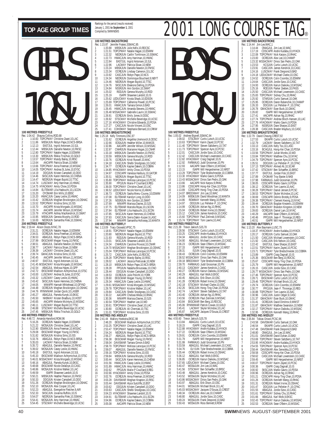|                                                                                            | Rec: 1:04.42                                                                                                                                                                 | <b>100 METRES FREESTYLE</b><br>Shauna Collins, ROD, 88 |                                                                                                                                                                                                                                                                                                                                                                                                                                                                                                                                                                                         |
|--------------------------------------------------------------------------------------------|------------------------------------------------------------------------------------------------------------------------------------------------------------------------------|--------------------------------------------------------|-----------------------------------------------------------------------------------------------------------------------------------------------------------------------------------------------------------------------------------------------------------------------------------------------------------------------------------------------------------------------------------------------------------------------------------------------------------------------------------------------------------------------------------------------------------------------------------------|
| 1<br>$\frac{2}{3}$<br>4<br>5<br>6<br>7<br>8<br>9<br>10<br>11<br>12<br>13<br>14<br>15<br>16 | 1:10.83<br>1:11.86<br>1:12.13<br>1:12.44<br>1:12.80<br>1:13.30<br>1:13.57<br>1:13.64<br>1:13.66<br>1:14.05<br>1:14.19<br>1:14.46<br>1:14.47<br>1:14.74<br>1:14.75<br>1:14.84 |                                                        | TOPCPMAY Christine Zwart, 10, LAC<br>MBSKJUN Robyn Pape, 10, NCS-BRSA<br>EASTJUL Ingrid Antonsen, 10, SJL<br>MBSKJUN Danielle Newton, 10, FMSC<br>TOPCPMAY Natalie Hagan, 10, ESWIM<br>MBSKJUN Rikkia Trischuk, 10, GOLD<br>TOPCPMAY Mandy Bailey, 10, RISC<br>AACAPR Patricia Sloan, 10, NEW<br>TOPCPMAY Anna Freeman, 10, MSSAC<br>TOPCPMAY Andrea St.Jules, 10, EYSC<br>DDOJUN Kristen Campbell, 10, DDO<br>SKSCJUN Karen Hemmes, 10, CHENA<br>NEORJUN Megan Bujold, 10, TTSC<br>LUSCMAY Amy Harriman, 10, HWAC<br>HYACKMAY Amity Chow, 10, PDSA<br>ELITEMAR Lilia Hadouchi,10,LSCDN |
| 17<br>18<br>19<br>20<br>21<br>22<br>23<br>24<br>25                                         | 1:15.20<br>1:15.20<br>1:15.42<br>1:15.52<br>1:15.70<br>1:15.74<br>1:15.79<br>1:15.95<br>1:16.00                                                                              | 200 METRES FREESTYLE                                   | OYOMAR Erin Mills,10,EBSC<br>HWACJUN Casey Leslie, 10, HWAC<br>OCREJUN Meghan Brockington, 10, OSHAC<br>TOPCPMAY Kristina Sims,10,ISS<br>AACAPR Krista Morgado, 10, MSSAC<br>AACAPR Jennifer Wilson,10,MSSAC<br>HTACAPR Ashley MacKendrick, 10, SWAT<br>MBSKJUN Geneva Murphy,10,ROD<br>NEORJUN Samantha Fílek, 10, SSMAC                                                                                                                                                                                                                                                               |
| 1<br>$\overline{a}$                                                                        | Rec: 2:19.44<br>2:31.21<br>2:34.01                                                                                                                                           | Alison Dozzo, NYAC, 78                                 | OCREJUN Natalie Hagan, 10, ESWIM<br>OCREJUN Anna Freeman, 10, MSSAC                                                                                                                                                                                                                                                                                                                                                                                                                                                                                                                     |
| 3<br>4<br>5<br>6<br>7<br>8<br>9                                                            | 2:36.53<br>2:37.99<br>2:38.51<br>2:38.77<br>2:39.39<br>2:39.74<br>2:40.45                                                                                                    |                                                        | ABAGJUL Robyn Pape, 10, NCS-BRSA<br>EKSCMAR Megan Young, 10, FMSC<br>ABAGJUL Danielle Newton, 10, FMSC<br>ACMAY Patricia Sloan, 10, NEW<br>LACMAY Christine Zwart, 10, LAC<br><b>GMACJUN Kristina Sims, 10, ISS</b>                                                                                                                                                                                                                                                                                                                                                                     |
| 10<br>11                                                                                   | 2:40.97<br>2:41.45                                                                                                                                                           |                                                        | AACAPR Jennifer Wilson, 11, MSSAC<br>EASTJUL Ingrid Antonsen, 10, SJL<br>MSSACMAY Krista Morgado, 10, MSSAC                                                                                                                                                                                                                                                                                                                                                                                                                                                                             |
| 12<br>13<br>14<br>15<br>16                                                                 | 2:42.54<br>2:42.72<br>2:43.00<br>2:43.32<br>2:43.42                                                                                                                          |                                                        | ABAGJUL Melissa Hayes, 10, GPP<br>EKSCMAR Madison Achtymichuk, 10, STSC<br>LUSCMAY Andrea St.Jules,10,EYSC<br>LUSCMAY Casey Leslie, 10, HWAC<br>SKSCJUN Karen Hemmes, 10, CHENA                                                                                                                                                                                                                                                                                                                                                                                                         |
| 17<br>18<br>19                                                                             | 2:44.05<br>2:44.48<br>2:44.76                                                                                                                                                |                                                        | MMAPR Hannah Whitehead, 10, GFYND<br>OCREJUN Meghan Brockington, 10, OSHAC<br>RYMMMAR Jordan Quick,10,LASER                                                                                                                                                                                                                                                                                                                                                                                                                                                                             |
| 20<br>21<br>22<br>23<br>24                                                                 | 2:45.27<br>2:45.50<br>2:45.65<br>2:46.11<br>2:46.88                                                                                                                          |                                                        | ABAGJUL Pamela Kunyk, 10, EKSC<br>NKBMAY Kristen Bradbury, 10, HOST<br>AACAPR Melanie McIntyre, 10, MSSAC<br>LUSCMAY Megan Bujold, 10, TTSC<br>STSCMAY Michelle Beveridge, 10, UCSC                                                                                                                                                                                                                                                                                                                                                                                                     |
| 25                                                                                         | 2:47.45                                                                                                                                                                      | <b>400 METRES FREESTYLE</b>                            | MBSKJUN Rikkia Trischuk, 10, GOLD                                                                                                                                                                                                                                                                                                                                                                                                                                                                                                                                                       |
| 1<br>$\overline{2}$                                                                        | Rec: 4:48.72<br>5:16.26                                                                                                                                                      | Amanda Hansford, ROW, 96                               | OCREJUN Natalie Hagan, 10, ESWIM<br>WOSAJUN Christine Žwart, 10, LAC                                                                                                                                                                                                                                                                                                                                                                                                                                                                                                                    |
| 3<br>4<br>5                                                                                | 5:21.22<br>5:22.90<br>5:29.08<br>5:31.82                                                                                                                                     |                                                        | ESWIMJUN Anna Freeman, 10, MSSAC<br>EKSCMAR Megan Young, 10, FMSC<br>WOSAJUN Kristina Sims, 10, ISS                                                                                                                                                                                                                                                                                                                                                                                                                                                                                     |
| 6<br>7                                                                                     | 5:33.76<br>5:35.03                                                                                                                                                           |                                                        | ABAGJUL Robyn Pape, 10, NCS-BRSA                                                                                                                                                                                                                                                                                                                                                                                                                                                                                                                                                        |
| 8<br>9<br>10                                                                               | 5:35.72<br>5:39.02                                                                                                                                                           |                                                        | ABAGUUL NOUTH DESCRIPTION<br>ABAGUUL Danielle Newton, 10, FMSC<br>WOSAJUL Danielle Newton, 10, FMSC<br>COSAJUN Casey Leslie, 10, HWAC                                                                                                                                                                                                                                                                                                                                                                                                                                                   |
| 11<br>12                                                                                   |                                                                                                                                                                              |                                                        | 3.37.02 WORD LIngid Antonsen, 10.5JL<br>5:45.18 EASTJUL Ingid Antonsen, 10.5JL<br>5:45.33 EKSCMAR Madison Achtymichuk, 10.5TSC<br>5:46.01 MSSACMAY Krista Morgado, 10.MSSAC<br>5:48.66 EKSCMAR Nicole Delaloy: 10.EASC<br>5:48.68 EKSCMAR Nic                                                                                                                                                                                                                                                                                                                                           |
| 13<br>14                                                                                   |                                                                                                                                                                              |                                                        |                                                                                                                                                                                                                                                                                                                                                                                                                                                                                                                                                                                         |
| 15<br>16                                                                                   | 5:48.86<br>5:49.59                                                                                                                                                           |                                                        | WOSAJUN Kristine Walker, 10, LAC<br>ISAPR Shawnee Landolt, 10, IS<br>MBSKJUN Heather Pearson, 10, FMSC                                                                                                                                                                                                                                                                                                                                                                                                                                                                                  |
| 17<br>18                                                                                   | 5:50.21<br>5:50.33                                                                                                                                                           |                                                        | DDOJUN Kristen Campbell, 10, DDO                                                                                                                                                                                                                                                                                                                                                                                                                                                                                                                                                        |
| 19<br>20                                                                                   | 5:51.26<br>5:52.10                                                                                                                                                           |                                                        | OCREJUN Meghan Brockington, 10, OSHAC<br>WOSAJUN Alex Cooper, 10, LAC                                                                                                                                                                                                                                                                                                                                                                                                                                                                                                                   |
| 21<br>22                                                                                   | 5:52.23<br>5:52.33                                                                                                                                                           |                                                        | ABAGJUL Evengeline Fletcher, 9, AIR<br>SKSCJUN Jovanna Ruffolo, 10, IS<br>NEORJUN Samantha Filek, 10, SSMAC                                                                                                                                                                                                                                                                                                                                                                                                                                                                             |
| 23<br>24<br>25                                                                             | 5:54.07<br>5:54.41<br>5:54.45                                                                                                                                                |                                                        | WOSAJUN Amy Harriman, 10, HWAC<br>STSCMAY Michelle Beveridge, 10, UCSC                                                                                                                                                                                                                                                                                                                                                                                                                                                                                                                  |

|                       |                    | <b>100 METRES BACKSTROKE</b>            |                                                                                                                                                                                                                                                                                    |
|-----------------------|--------------------|-----------------------------------------|------------------------------------------------------------------------------------------------------------------------------------------------------------------------------------------------------------------------------------------------------------------------------------|
|                       |                    |                                         | Rec: 1:15.87   Jennifer Fratesi,SSMAC,95<br>1           1:20.88    MBSKJUN  Julie Kells,10,RDCSC                                                                                                                                                                                   |
| $\frac{2}{3}$         |                    |                                         | 1:20.88 MBSKJUN Julie Kells, 10, RDCSC<br>1:21.51 TOPCPMAY Nalalie Hagan, 10, ESMM<br>1:22.32 NEORJUN Calilin Tomilinson, 10, SSMAC<br>1:22.73 HVMCJUN Amy Harriman, 10, HVMC<br>1:22.84 EASTJUL Ingrid Antonsen, 10, SJL<br>1:22.84 EAS                                           |
|                       |                    |                                         |                                                                                                                                                                                                                                                                                    |
| 4<br>5                |                    |                                         |                                                                                                                                                                                                                                                                                    |
| 6                     |                    |                                         |                                                                                                                                                                                                                                                                                    |
| 7<br>8                |                    |                                         |                                                                                                                                                                                                                                                                                    |
| 9.                    |                    |                                         |                                                                                                                                                                                                                                                                                    |
| 10                    |                    |                                         |                                                                                                                                                                                                                                                                                    |
| 11<br>12              |                    |                                         |                                                                                                                                                                                                                                                                                    |
| 13                    | 1:24.84            |                                         | NSSRJUN Ann Gordon, 10, SWAT                                                                                                                                                                                                                                                       |
| 14                    | 1:25.02            |                                         | RODJUN Geneva Murphy, 10, ROD                                                                                                                                                                                                                                                      |
| 15<br>16              |                    |                                         | 1:25.19 ISAPR Shawnee Landolt, 10, IS<br>1:25.62 LEDUCMAY Krysta Shack, 10, EDSON                                                                                                                                                                                                  |
| 17                    |                    |                                         | 1:25.69 TOPCPMAY Catherine Powell, 10, PCSC                                                                                                                                                                                                                                        |
| 18                    |                    |                                         | 1:26.01 HWACJUN Tamara Gimon, 9, BAD<br>1:26.45 HWACJUN Amanda Stevens, 10, HWAC                                                                                                                                                                                                   |
| 19<br>20              |                    |                                         | 1:26.48 MSSACMAY Gabrielle Laurin, 10, SSMAC                                                                                                                                                                                                                                       |
| 21                    | 1:26.91            |                                         | OCREJUN Emily Jones, 9, OOSC                                                                                                                                                                                                                                                       |
| 22                    | 1:26.92            |                                         | STSCMAY Michelle Beveridge, 10, UCSC                                                                                                                                                                                                                                               |
| 23<br>24              | 1:27.27            |                                         | 1:27.16 HYACKMAY Christine Edwards, 10, PDSA<br>CASCJUN Nicole Vincent, 10, OSC                                                                                                                                                                                                    |
| 25                    | 1:27.41            |                                         | COHOMAY Stephanie Bernard, 10, CRKW                                                                                                                                                                                                                                                |
|                       |                    | 100 METRES BREASTSTROKE                 |                                                                                                                                                                                                                                                                                    |
|                       |                    | Rec: 1:25.18 Kelly Timmons,OSC,97       |                                                                                                                                                                                                                                                                                    |
| 1<br>2<br>3           |                    |                                         | 1:31.62 OCREJUN Angelika Uremovich, 9, ODSC<br>1:32.66 EOSAJUN Healther Miller, 10, MAKOS<br>1:32.86 AACAPR Jennifer Wilson, 10, MSSAC<br>1:32.97 CNHRJUN Marianne Hogan, 10, CNHR                                                                                                 |
| 4                     |                    |                                         |                                                                                                                                                                                                                                                                                    |
| 5                     |                    |                                         |                                                                                                                                                                                                                                                                                    |
| 6<br>7                |                    |                                         |                                                                                                                                                                                                                                                                                    |
| 8                     |                    |                                         | 1.33.18 MBSKJUN Danielle Newton, 10, FMSC<br>1.33.59 MBSKJUN Geneva Murphy, 10, ROD<br>1.33.76 OCREJUN Kristi Russell, 10, MAC<br>1.34.18 CASCJUN Shelbi Shodgrass, 10, CASC<br>1.34.177 COFULN Keylen Shodgrass, 10, CASC                                                         |
| 9.                    |                    |                                         |                                                                                                                                                                                                                                                                                    |
| 10                    |                    |                                         |                                                                                                                                                                                                                                                                                    |
| 11<br>12              |                    |                                         |                                                                                                                                                                                                                                                                                    |
| 13                    |                    |                                         | 1:34.18<br>1:34.77 OCREUN Kaylee Dakers, 10, COBRA<br>1:34.85 HYACKMAY Amily Chow, 10, PDSA<br>1:34.95 HYACKMAY Amily Chow, 10, PDSA<br>1:35.51 NEORUN Megan Bujold, 10, ITSC<br>1:35.80 TOPCPMAY Melissa Larocque, 10, PCSC<br>1:35.90 PP                                         |
| 14                    |                    |                                         |                                                                                                                                                                                                                                                                                    |
| 15<br>16              |                    |                                         | 133.90<br>136.00 TOPCPMAY Christine Zwart, 10, LAC<br>136.73 OCREUM Sasha Menu-Courey, 10, ESVIM<br>136.73 OCREUM Sasha Menu-Courey, 10, ESWIM<br>137.08 ELITEMAR Karolyn Long, 10, DDO<br>137.26 NSSSRUN Ann Gordon, 10, SWAT                                                     |
| 17                    |                    |                                         |                                                                                                                                                                                                                                                                                    |
| 18                    |                    |                                         |                                                                                                                                                                                                                                                                                    |
| 19<br>20              | 1:37.69            |                                         | MMAPR Marissa Davies, 10, SJS                                                                                                                                                                                                                                                      |
| 21                    | 1:37.75            |                                         |                                                                                                                                                                                                                                                                                    |
| 22                    | 1:37.84            |                                         | ELITEMAR Marcela Rojas, 10, LSCDN<br>ELITEMAR Lilia Hadouchi, 10, LSCDN                                                                                                                                                                                                            |
| 23<br>24              | 1:37.85<br>1:37.93 |                                         | SKSCJUN Karen Hemmes, 10, CHENA<br>CASCJUN Sierra Dakin-Kuiper, 9, LASC                                                                                                                                                                                                            |
| 25                    |                    |                                         |                                                                                                                                                                                                                                                                                    |
|                       | 1:37.94            |                                         |                                                                                                                                                                                                                                                                                    |
|                       |                    | 100 METRES BUTTERFLY                    | MMAPR Samantha Holloway, 10, MANTA                                                                                                                                                                                                                                                 |
|                       |                    | Rec: 1:13.09 Tracy Osswald, VPSC, 75    |                                                                                                                                                                                                                                                                                    |
|                       | 1:18.91<br>1:20.80 |                                         | TOPCPMAY Natalie Hagan, 10, ESWIM<br>NEORJUN Megan Bujold, 10, TTSC                                                                                                                                                                                                                |
| 1<br>2<br>3           | 1:21.93            |                                         | RODJUN Geneva Murphy, 10, ROD                                                                                                                                                                                                                                                      |
| 4                     | 1:23.01            |                                         | SKSCJUN Shawnee Landolt, 10, IS                                                                                                                                                                                                                                                    |
| 5<br>6                |                    |                                         | 1:24.34 CNHRJUN Caroline Provost, 10, CNHR                                                                                                                                                                                                                                         |
| 7                     |                    |                                         |                                                                                                                                                                                                                                                                                    |
| 8<br>9                |                    |                                         |                                                                                                                                                                                                                                                                                    |
| 10                    |                    |                                         |                                                                                                                                                                                                                                                                                    |
| 11                    |                    |                                         |                                                                                                                                                                                                                                                                                    |
| 12                    |                    |                                         |                                                                                                                                                                                                                                                                                    |
| 13<br>14              |                    |                                         |                                                                                                                                                                                                                                                                                    |
| 15                    |                    |                                         |                                                                                                                                                                                                                                                                                    |
| 16                    |                    |                                         |                                                                                                                                                                                                                                                                                    |
| 17<br>18              | 1:29.78            |                                         | 1:24.34 CMHRUN Caroline Provost, 10, CNHR<br>1:25.04 CMSACMAY Meghan Brockington, 10, 05SHAC<br>1:25.04 TOPCPMAY Melissa Larocque, 10, PCSC<br>1:25.72 CASCJUN Julie Kells, 10, ROCSC<br>1:25.22 TOPCPMAY Mandy Bailey, 10, RISC<br>1:28.02 L<br>TOPCPMAY Kristine Walker, 10, LAC |
| 19                    | 1:29.84            |                                         | CASCJUN Shelbi Snodgrass, 10, CASC                                                                                                                                                                                                                                                 |
| 20<br>21              | 1:30.22<br>1:30.36 |                                         | AACAPR Chelsea Wiese, 10, RHAC<br>MMAPR Marissa Davies, 10, SJS                                                                                                                                                                                                                    |
| 22                    | 1:30.54            |                                         | TOPCPMAY Heather Lee, 10, WD                                                                                                                                                                                                                                                       |
| 23                    | 1:30.61            |                                         | TOPCPMAY Christine Zwart, 10, LAC                                                                                                                                                                                                                                                  |
| 24<br>25              | 1:30.80<br>1:31.01 |                                         | OCREJUN Ali Cherniak, 10, TSC<br>TOPCPMAY Kristina Sims, 10, ISS                                                                                                                                                                                                                   |
|                       |                    | 200 METRES IND.MEDLEY                   |                                                                                                                                                                                                                                                                                    |
| 1                     | 2:48.20            | Rec: 2:41.44 Mallory Hoekstra, EKSC, 98 | EKSCMAR Madison Achtymichuk, 10, STSC                                                                                                                                                                                                                                              |
| $\overline{2}$        | 2:53.25            |                                         | TOPCPMAY Christine Zwart, 10, LAC                                                                                                                                                                                                                                                  |
| 3                     | 2:53.47            |                                         | TOPCPMAY Natalie Hagan, 10, ESWIM                                                                                                                                                                                                                                                  |
| 4<br>5                | 2:54.24<br>2:56.27 |                                         | NEORJUN Megan Bujold, 10, TTSC<br>ABAGJUL Robyn Pape, 10, NCS-BRSA                                                                                                                                                                                                                 |
| 6                     | 2:56.38            |                                         | EKSCMAR Megan Young, 10, FMSC                                                                                                                                                                                                                                                      |
| 7<br>8                | 2:58.04            | DAVISMAR                                | Tamara Gimon, 9, BAD                                                                                                                                                                                                                                                               |
| 9                     | 2:58.70<br>2:59.07 |                                         | TOPCPMAY Melissa Larocque, 10, PCSC<br>ABAGJUL Danielle Newton, 10, FMSC                                                                                                                                                                                                           |
| 10                    | 2:59.16            |                                         | TOPCPMAY Kristina Sims, 10, ISS                                                                                                                                                                                                                                                    |
| 11                    | 2:59.84            |                                         | MBSKJUN Geneva Murphy, 10, ROD                                                                                                                                                                                                                                                     |
| 12<br>13              | 3:00.44<br>3:01.56 |                                         | SKSCJUN Karen Hemmes, 10, CHENA                                                                                                                                                                                                                                                    |
| 14                    | 3:01.89            |                                         | HWACJUN Casey Leslie, 10, HWAC<br>HWACJUN Amy Harriman, 10, HWAC                                                                                                                                                                                                                   |
| 15<br>16              | 3:02.62            |                                         | PPOJUN Marie-P Couillard, 9, REG                                                                                                                                                                                                                                                   |
| 17                    | 3:02.66<br>3:02.76 |                                         | HYACKMAY Amity Chow, 10, PDSA<br>OCREJUN Anna Freeman, 10, MSSAC                                                                                                                                                                                                                   |
| 18                    | 3:03.28            |                                         | DAVISMAR Meghan Knapton, 10, RISC                                                                                                                                                                                                                                                  |
| 19                    | 3:03.44            |                                         | DAVISMAR Alyce Sutcliffe, 10, BST                                                                                                                                                                                                                                                  |
| $\overline{20}$<br>21 | 3:03.62<br>3:03.63 |                                         | DDOJUN Kristen Campbell, 10, DDO<br>CASCJUN Shelbi Snodgrass, 10, CASC                                                                                                                                                                                                             |
| $^{22}$               | 3:04.23            |                                         | HYACKMAY Shawnee Landolt, 10, IS                                                                                                                                                                                                                                                   |
| 23<br>24              | 3:04.91<br>3:04.96 |                                         | ELITEMAR Lilia Hadouchi, 10, LSCDN<br>OCREJUN Kaylee Dakers, 10, COBRA                                                                                                                                                                                                             |



#### **100 METRES FREESTYLE**

|                                            |                                     | <b>IOU IVIE I RES FREES I TLE</b><br>Rec: 1:05.02 Andrew Bignell, SSMAC, 94                                                              |                                                                                                                                                                                                                                                                                                                   |  |
|--------------------------------------------|-------------------------------------|------------------------------------------------------------------------------------------------------------------------------------------|-------------------------------------------------------------------------------------------------------------------------------------------------------------------------------------------------------------------------------------------------------------------------------------------------------------------|--|
|                                            |                                     |                                                                                                                                          | 1.09.02 STSCMAY Curtis Lutsch, 10, UCSC<br>1:10.63 TOPCPMAY Karim Zayed, 10, PCSC<br>1:11.40 TOPCPMAY Steven Saltzberry, 10, TAT                                                                                                                                                                                  |  |
| $\frac{1}{2}$                              |                                     |                                                                                                                                          |                                                                                                                                                                                                                                                                                                                   |  |
|                                            |                                     |                                                                                                                                          |                                                                                                                                                                                                                                                                                                                   |  |
| 4                                          |                                     |                                                                                                                                          | 1:11.73 TOPCPMAY Spencer Ayre, 10, PCSC                                                                                                                                                                                                                                                                           |  |
| 5                                          |                                     |                                                                                                                                          |                                                                                                                                                                                                                                                                                                                   |  |
| 6                                          |                                     |                                                                                                                                          |                                                                                                                                                                                                                                                                                                                   |  |
| 7                                          |                                     |                                                                                                                                          | 1.12.01 CASCUN Jorde Szoo, 10, CASC<br>1.12.42 CASCUN Jorde Szoo, 10, CASC<br>1.12.42 CASCUN Michael Lowenstein, 10, CASC<br>1.12.82 HYACKMAY Craig Dagnall, 10, IS<br>1.12.92 FARWAUG Judd Grossman, 10, PN<br>1.13.29 TOPGPMAY Tyler Berdsc                                                                     |  |
| 8                                          |                                     |                                                                                                                                          |                                                                                                                                                                                                                                                                                                                   |  |
| 9                                          |                                     |                                                                                                                                          |                                                                                                                                                                                                                                                                                                                   |  |
| 10                                         |                                     |                                                                                                                                          |                                                                                                                                                                                                                                                                                                                   |  |
| 11                                         |                                     |                                                                                                                                          | 1:13.30 HYACKMAY Marko Gavric, 9, PDSA                                                                                                                                                                                                                                                                            |  |
| 12<br>13                                   |                                     |                                                                                                                                          |                                                                                                                                                                                                                                                                                                                   |  |
| 14                                         |                                     |                                                                                                                                          | 1:13.43 MSSACMAY Dinos San Pedro, 10, OAK<br>1:13.66 AACAPR Nick Karpov, 9, RHAC<br>1:13.86 CDSCAPR Hong-Kei Chan, 10, PDSA                                                                                                                                                                                       |  |
| 15                                         |                                     |                                                                                                                                          |                                                                                                                                                                                                                                                                                                                   |  |
| 16                                         |                                     |                                                                                                                                          |                                                                                                                                                                                                                                                                                                                   |  |
| 17                                         |                                     |                                                                                                                                          | 1:13.89 CDSCAPR Hong-Ting Chan, 10, PDSA<br>1:14.07 BROCKMAY Jim Lee, 10, WAC                                                                                                                                                                                                                                     |  |
| 18                                         | 1:14.09                             |                                                                                                                                          | MBSKJUN David Woodman, 10, MANTA                                                                                                                                                                                                                                                                                  |  |
| 19                                         | 1:14.86                             |                                                                                                                                          | ROWMAY Kenneth Wang, 10, RHAC                                                                                                                                                                                                                                                                                     |  |
| $\frac{20}{5}$                             |                                     |                                                                                                                                          | 1.14.50<br>1.14.97 DDOUN Luc Pelletier-P.,10.CPAC<br>1.14.99 OCREJUN Adrian Ng,10,RHAC<br>1.15.04 OCREJUN Robert Livine,10,OSHAC<br>1.15.12 CASCJUN Johns Kendrick,10,CASC<br>1.15.12 CASCJUN Johns Kendrick,10,CASC<br>1.15.60 TOPCPMAY P                                                                        |  |
|                                            |                                     |                                                                                                                                          |                                                                                                                                                                                                                                                                                                                   |  |
|                                            |                                     |                                                                                                                                          |                                                                                                                                                                                                                                                                                                                   |  |
|                                            |                                     |                                                                                                                                          |                                                                                                                                                                                                                                                                                                                   |  |
|                                            |                                     |                                                                                                                                          |                                                                                                                                                                                                                                                                                                                   |  |
|                                            |                                     | 21<br>21 1:14.99 OCREUN<br>22 1:15.04 OCREUN<br>23 1:15.12 CASCJUN<br>24 1:15.14 TOPCPMAY<br>25 1:15.74 TOPCPMAY<br>200 METRES FREESTYLE |                                                                                                                                                                                                                                                                                                                   |  |
|                                            |                                     | Rec: 2:21.39 Trevor Jakisch, SJS, 78                                                                                                     |                                                                                                                                                                                                                                                                                                                   |  |
|                                            | $2:28.56$<br>$2:33.25$<br>$2:34.34$ |                                                                                                                                          | STSCMAY Curtis Lutsch, 10, UCSC<br>CDSCAPR Andre Kudaba, 10, HYACK                                                                                                                                                                                                                                                |  |
| $\begin{array}{c} 1 \\ 2 \\ 3 \end{array}$ |                                     |                                                                                                                                          |                                                                                                                                                                                                                                                                                                                   |  |
|                                            |                                     |                                                                                                                                          | ABAGJUL Jordie Szoo, 10, CASC<br>ABAGJUL Michael Lowenstein, 10, CASC                                                                                                                                                                                                                                             |  |
| 4                                          | 2:34.90                             |                                                                                                                                          |                                                                                                                                                                                                                                                                                                                   |  |
| 5                                          | 2:36.23                             |                                                                                                                                          | OCREJUN Sean O'Beirn, 10, MSSAC                                                                                                                                                                                                                                                                                   |  |
| 6                                          | 2:37.33                             |                                                                                                                                          | ISAPR Will Hergesheimer, 10, NRST                                                                                                                                                                                                                                                                                 |  |
| 7<br>8                                     | 2:38.31                             |                                                                                                                                          | ISJUN Craig Dagnall, 10, IS                                                                                                                                                                                                                                                                                       |  |
| 9                                          |                                     |                                                                                                                                          |                                                                                                                                                                                                                                                                                                                   |  |
| 10                                         |                                     |                                                                                                                                          |                                                                                                                                                                                                                                                                                                                   |  |
| 11                                         |                                     |                                                                                                                                          |                                                                                                                                                                                                                                                                                                                   |  |
| 12                                         |                                     |                                                                                                                                          | 2.38.43 OCREJUN Colin Coombs, 10.5SWIM<br>2.38.52 MSSACMAY Dinos San Pedro, 10,0AK<br>2.38.52 MSSACMAY Dinos San Pedro, 10,0AK<br>2.39.18 BROCKMAY Tyler Bredscheider, 10,COBRA<br>2.49.70 EARWAUG Judd Grossman, 10,PN<br>2.40.13 CASCMAY Ja                                                                     |  |
| 13                                         |                                     |                                                                                                                                          |                                                                                                                                                                                                                                                                                                                   |  |
| 14                                         | 2:40.29                             |                                                                                                                                          | ABAGJUL Karl Wolk, 9, EKSC                                                                                                                                                                                                                                                                                        |  |
| 15                                         | 2:40.45                             |                                                                                                                                          | ABAGJUL Erik Olson, 10,0SC<br>OCREJUN Robert Irvine, 10,0SC<br>STSCMAY Michael Clarke, 10,0SC<br>SKSCJUN Hong-Ting Chan, 10,PDSA                                                                                                                                                                                  |  |
| $\frac{16}{2}$                             | 2:41.28<br>2:42.18<br>2:42.26       |                                                                                                                                          |                                                                                                                                                                                                                                                                                                                   |  |
| 17<br>18                                   |                                     |                                                                                                                                          |                                                                                                                                                                                                                                                                                                                   |  |
|                                            | 2:42.74                             |                                                                                                                                          | LACMAY Steven Saltzberry, 10, TAT                                                                                                                                                                                                                                                                                 |  |
| 19<br>20                                   | 2:43.40                             |                                                                                                                                          | OCREJUN Adrian Ng, 10, RHAC                                                                                                                                                                                                                                                                                       |  |
| 21                                         | 2:43.56                             |                                                                                                                                          | OCREJUN Paul Zielinski, 9, MSSAC                                                                                                                                                                                                                                                                                  |  |
| $^{22}$                                    |                                     |                                                                                                                                          | 2:43.56 OCREJUN Paul Zielinski, 9, MSS<br>2:43.84 EKSCMAR Ben Berg, 10, RDCSC                                                                                                                                                                                                                                     |  |
| $\frac{1}{2}$                              |                                     |                                                                                                                                          | 2:45.06 RYMMMAR Patrick Cowan, 10, GOLD<br>2:45.41 LACMAY Skyler McIndoe, 10, LAC<br>2:45.87 AACAPR Jacques D'Souza, 10, CREST                                                                                                                                                                                    |  |
| 24<br>25                                   |                                     |                                                                                                                                          |                                                                                                                                                                                                                                                                                                                   |  |
|                                            |                                     |                                                                                                                                          |                                                                                                                                                                                                                                                                                                                   |  |
|                                            |                                     | 400 METRES FREESTYLE                                                                                                                     |                                                                                                                                                                                                                                                                                                                   |  |
|                                            |                                     | Rec: 4:55.60 Trevor Jakisch, SJS, 78<br>1 5:13.84 ABAGJUL Curtis                                                                         | ABAGJUL Curtis Lutsch, 10, UCSC                                                                                                                                                                                                                                                                                   |  |
| $\overline{c}$                             | 5:18.15                             |                                                                                                                                          | ISAPR Craig Dagnall, 10, IS                                                                                                                                                                                                                                                                                       |  |
| 3                                          |                                     |                                                                                                                                          |                                                                                                                                                                                                                                                                                                                   |  |
| 4                                          |                                     |                                                                                                                                          | 5:22.88 HYACKMAY Andre Kudaba, 10, HYACK<br>5:27.22 OCREJUN Sean O'Beirn, 10, MSSAC<br>5:29.91 OCREJUN Colin Coombs, 10, ESWIM                                                                                                                                                                                    |  |
| 5                                          | 5:29.91                             |                                                                                                                                          |                                                                                                                                                                                                                                                                                                                   |  |
| 6<br>7                                     | 5:31.79                             |                                                                                                                                          | ISAPR Will Hergesheimer, 10, NRST                                                                                                                                                                                                                                                                                 |  |
|                                            | 5:31.99                             |                                                                                                                                          | FARWAUG Judd Grossman, 10, PN                                                                                                                                                                                                                                                                                     |  |
| 8                                          | 5:33.59                             |                                                                                                                                          |                                                                                                                                                                                                                                                                                                                   |  |
| 9<br>10                                    | 5:34.76<br>5:35.44                  |                                                                                                                                          | ABAGJUL Michael Lowenstein, 10, CASC<br>OLYJUN Tyler Bredschneider, 10, COBRA<br>OCREJUN Robert Irvine, 10, OSHAC                                                                                                                                                                                                 |  |
|                                            |                                     |                                                                                                                                          |                                                                                                                                                                                                                                                                                                                   |  |
| 11<br>12                                   |                                     |                                                                                                                                          | ABAGJUL Karl Wolk, 9, EKSC<br>OCREJUN Kairun Daikoku, 10, MSSAC                                                                                                                                                                                                                                                   |  |
| 13                                         |                                     |                                                                                                                                          |                                                                                                                                                                                                                                                                                                                   |  |
| 14                                         |                                     |                                                                                                                                          |                                                                                                                                                                                                                                                                                                                   |  |
| 15                                         |                                     |                                                                                                                                          |                                                                                                                                                                                                                                                                                                                   |  |
| 16                                         |                                     |                                                                                                                                          | 5:36.42<br>5:36.12 ABAGJUL Kair in Dalkoku, 10,000<br>5:36.85 CCREJUN Kairun Dalkoku, 10,000<br>5:37.65 LEDUCMAY Michael Clare, 10,000<br>5:40.47 WOSAJUN Jim Lee, 10,000<br>5:41.56 STSCMAY Ben Schaelfer, 10,000<br>48AGJUL James Kendri<br>ABAGJUL James Kendrick, 10, CASC<br>WOSAJUN Skyler McIndoe, 10, LAC |  |
| 17                                         |                                     |                                                                                                                                          |                                                                                                                                                                                                                                                                                                                   |  |
| 18                                         |                                     |                                                                                                                                          |                                                                                                                                                                                                                                                                                                                   |  |
|                                            |                                     |                                                                                                                                          |                                                                                                                                                                                                                                                                                                                   |  |
|                                            |                                     |                                                                                                                                          | 5:43.86 MSSACMAY Dinos San Pedro,10,0AK<br>5:43.97 ABAGJUL Erik Olson,10,0SC<br>5:44.01 WOSAJUN Michael Brock,10,LAC<br>5:45.03 MSSACMAY Jacques D'Souza,10,CREST                                                                                                                                                 |  |
| 19<br>20<br>21<br>22                       |                                     |                                                                                                                                          |                                                                                                                                                                                                                                                                                                                   |  |
| 23                                         |                                     |                                                                                                                                          |                                                                                                                                                                                                                                                                                                                   |  |
| ر<br>24                                    |                                     |                                                                                                                                          |                                                                                                                                                                                                                                                                                                                   |  |
| 25                                         | 5:50.43                             |                                                                                                                                          | WOSAJUN Ross Bennett, 9, ROW                                                                                                                                                                                                                                                                                      |  |

|                                            |                                          |                                | ®                                                                                                                             |
|--------------------------------------------|------------------------------------------|--------------------------------|-------------------------------------------------------------------------------------------------------------------------------|
|                                            |                                          | 100 METRES BACKSTROKE          |                                                                                                                               |
| Rec: 1:14.44<br>1                          | 1:14.44                                  | Jim Lee, WAC, 1<br>ONAGJUL     | Jim Lee, 10, WAC                                                                                                              |
| $\frac{2}{3}$                              | 1:17.19<br>1:22.08                       |                                | CDSCAPR Andre Kudaba, 10, HYACK                                                                                               |
| 4                                          | 1:23.00                                  |                                | TOPCPMAY Nick Karpov, 10, RHAC<br>OCREJUN Alex Lee, 10, CHAMP                                                                 |
| 5<br>6                                     |                                          |                                | 1:23.32 MSSACMAY Dinos San Pedro, 10, OAK<br>1:23.53 KCSJUN Curtis Lutsch, 10, UCSC                                           |
| 7<br>8                                     |                                          |                                | 1:23.91 CASCJUN James Kendrick, 10, CASC<br>1:24.16 LUSCMAY Frank Despond, 9, BAD<br>1:24.18 LEDUCMAY Michael Clarke, 10, OSC |
| 9                                          |                                          |                                |                                                                                                                               |
| 10<br>11                                   | 1:24.52<br>1:24.64                       |                                | OCREJUN Colin Coombs, 10, ESWIM                                                                                               |
| 12                                         | 1:24.93                                  |                                | CASCJUN Jordie Szoo, 10, CASC<br>OCREJUN Kairun Daikoku, 10, MSSAC                                                            |
| 13<br>14                                   | 1:25.16<br>1:25.50                       |                                | RODJUN Parker Zeeben, 10, PASS<br>CASCJUN Michael Lowenstein, 10, CASC                                                        |
| 15<br>16                                   | 1:25.83<br>1:25.92                       |                                | TOPCPMAY Sidney Chu, 10, RHAC<br>STARJUN Curtis Samuel, 10, OAK                                                               |
| 17                                         | 1:25.95                                  |                                | OCREJUN Daren Rubenchik, 10, CHAMP                                                                                            |
| 18<br>19                                   | 1:26.33<br>1:26.78                       |                                | DDOJUN Luc Pelletier-P., 10, CPAC<br>GMACMAY Evan Buck, 10, GMAC                                                              |
| 20<br>21                                   | 1:26.82<br>1:27.41                       |                                | ISAPR Will Hergesheimer, 10, NRST<br>AACAPR Adrian Ng, 10, RHAC                                                               |
| 22                                         | 1:27.74                                  |                                | TOPCPMAY Andrew Bloch-Hansen, 10, LAC                                                                                         |
| 23<br>24                                   | 1:27.76<br>1:27.95                       |                                | HYACKMAY Marko Gavric, 9, PDSA<br>NSSRJUN Dave Sharpe, 10, EAST                                                               |
| 25                                         | 1:28.38                                  | <b>100 METRES BREASTSTROKE</b> | CASCJUN Braden Maybury, 10, CASC                                                                                              |
| Rec: 1:22.79                               |                                          | David Cheung, CREST, 92        |                                                                                                                               |
| $\begin{array}{c} 1 \\ 2 \\ 3 \end{array}$ | 1:27.53<br>1:32.79                       |                                | EKIAPR Curtis Lutsch, 10, UCSC                                                                                                |
|                                            | 1:33.13<br>1:33.16                       |                                | LACMAY Steven Saltzberry, 10, TAT<br>CASCJUN Kelly Tso, 10, LASC                                                              |
| 4<br>5                                     | 1:33.56                                  | TOPCPMAY                       | BCAGJUL Hong-Kei Chan, 10, PDSA<br>: PMAY Julian Monks, 10, WD<br>: PMAY Matthew Chu, 10, NYAC                                |
| 6<br>7                                     | 1:33.84<br>1:34.79                       | <b>TOPC</b>                    | TOPCPMAY Spencer Ayre, 10,PC<br>:SC                                                                                           |
| 8                                          | 1:35.51                                  |                                | DDOJUN Luc Pelletier-P., 10, CPAC                                                                                             |
| 9<br>10                                    |                                          |                                | TOPCPMAY Ahmed Ali, 10, SCAR<br>STSCMAY Ben Schaeffer, 10, BRSC                                                               |
| 11                                         | 1:37.13<br>1:37.42<br>1:37.77<br>1:37.89 |                                | EASTJUL Jordan Fisk, 10, EAST<br>OYOMAR Troy Baxter, 9, NKB                                                                   |
| 12<br>13                                   | 1:37.98                                  |                                |                                                                                                                               |
| 14<br>15                                   | 1:38.05<br>1:38.12                       |                                | FARWAUG Judd Grossman, 10, PN<br>CDSCAPR Marko Gavric, 9, PDSA<br>OCREJUN Tom Lawrie, 10, AAC                                 |
| 16                                         | 1:38.28                                  |                                | TOPCPMAY Daniel Jensen, 9, PCSC                                                                                               |
| 17<br>18                                   | 1:38.53<br>1:38.69                       |                                | TOPCPMAY Skyler McIndoe, 10, LAC<br>CDSCAPR Dennis Brotzky, 9, PDSA                                                           |
| 19<br>20                                   | 1:39.38                                  |                                | TOPCPMAY Clement Kwong, 10, NYAC                                                                                              |
| 21                                         | 1:39.44<br>1:39.70                       |                                | OCREJUN Bogdan Knezevic, 10, ESWIM<br>GMACMAY Brandon Kingston, 10, NEW                                                       |
| 22<br>23                                   | 1:39.83<br>1:40.29                       |                                | OCREJUN Daniel Lam, 10, NYAC<br>AACAPR Sean O'Beirn,10,MSSAC                                                                  |
| 24<br>25                                   | 1:40.46<br>1:40.51                       |                                | PPOJUN Jean-F. Thivierge, 10, REG                                                                                             |
|                                            |                                          | <b>100 METRES BUTTERFLY</b>    | ISAPR Will Hergesheimer, 10, NRST                                                                                             |
| Rec: 1:13.20<br>1                          |                                          | Alex Baumann, LUSC, 75         | 1:18.37 HYACKMAY Andre Kudaba, 10, HYACK                                                                                      |
| $\frac{2}{3}$                              | 1:20.17<br>1:21.50                       |                                | OCREJUN Curtis Samuel, 10, OAK<br>CASCJUN Michael Lowenstein, 10, CASC                                                        |
| 4                                          | 1:21.92                                  |                                | CASCJUN Erik Nelson, 10, CASC                                                                                                 |
| 5<br>6                                     | 1:22.42<br>1:22.51                       |                                | EASTJUL Dave Sharpe, 10, EAST<br>TOPCPMAY Karim Zayed, 10, PCSC                                                               |
| 7<br>8                                     | 1:23.71<br>1:23.89                       | <b>TOPCPMAY</b>                | Tyler Bredschneider, 10, COBRA<br>ISAPR Craig Dagnall, 10, IS                                                                 |
| 9                                          | 1:25.36                                  |                                | EKSCMAR Ben Berg, 10 RDCSC                                                                                                    |
| 10<br>11                                   | 1:25.67<br>1:25.79                       |                                | CDSCAPR Hong-Ting Chan, 10, PDSA<br>ISAPR Will Hergesheimer, 10, NRST                                                         |
| 12<br>13                                   | 1:26.15                                  |                                | CASCJUN Jordie Szoo, 10, CASC                                                                                                 |
| 14                                         | 1:26.77<br>1:27.46<br>1:28.71            |                                | MSSACMAY Dinos San Pedro, 10, OAK<br>TOPCPMAY Spencer Ayre, 10, PCSC<br>EKSCMAR Curtis Lutsch, 10, UCSC                       |
| 15<br>10                                   | II:29.46                                 | TOPCPMAY                       | Michael Brock, 10, LAC                                                                                                        |
| 17<br>18                                   | 1:29.74<br>1:30.77                       |                                | OCREJUN Colin Coombs, 10, ESWIM                                                                                               |
| 19                                         | 1:30.88                                  |                                | PPOJUN Jean-F. Thivierge, 10, REG<br>TOPCPMAY Tom Lawrie, 10, AAC<br>CASCJUN Justin Odger, 9, CASC                            |
| $\overline{20}$<br>21                      | 1:30.96<br>1:31.37                       |                                | GMACMAY Evan Buck, 10, GMAC                                                                                                   |
| 22<br>23                                   | 1:31.41<br>1:31.87                       |                                | OCREJUN David Dimitrov, 9, MMST<br>GMACMAY Matthew Swanston, 10, NEW                                                          |
| 24                                         | 1:32.17                                  |                                | TOPCPMAY Kairun Daikoku, 10, MSSAC                                                                                            |
| 25                                         | 1:32.95                                  | 200 METRES IND.MEDLEY          | OCREJUN Kenneth Wang, 10, RHAC                                                                                                |
| Rec: 2:35.84<br>1                          | 2:43.58                                  | Tobias Oriwol, PCSC, 96        | DAVISMAR Curtis Samuel, 10, OAK                                                                                               |
| 2<br>3                                     | 2:46.54<br>2:47.48                       |                                | <b>EKIAPR Curtis Lutsch.10.UCSC</b>                                                                                           |
| 4                                          | 2:48.80                                  |                                | DAVISMAR Frank Despond, 9, BAD<br>ONAGJUL Jim Lee, 10, WAC<br>DAVISMAR David Duhan, 10, BAD                                   |
| 5<br>6                                     | 2:51.01<br>2:53.69                       |                                | TOPCPMAY Steven Saltzberry, 10, TAT                                                                                           |
| 7<br>8                                     | 2:53.95                                  |                                |                                                                                                                               |
| 9                                          | 2:54.55<br>2:58.44                       |                                | HYACKMAY Andre Kudaba, 10, HYACK<br>TOPCPMAY Spencer Ayre, 10, PCSC<br>DAVISMAR Alex Servotka, 10, CYPS                       |
| 10<br>11                                   | 2:58.58<br>2:58.62                       |                                | CDSCAPR Hong-Kei Chan, 10, PDSA<br>CASCJUN Michael Lowenstein, 10, CASC                                                       |
| 12<br>13                                   | 2:59.45<br>3:00.07                       |                                | .<br>ISAPR Will Hergesheimer, 10, NRST<br>PMAY Karim Zayed, 10, PCSC<br>TOPCPMAY Karim Zayed, 10, PC                          |
| 14                                         | 3:00.36                                  |                                | ISAPR Craig Dagnall, 10, IS                                                                                                   |
| 15<br>16                                   | 3:00.92<br>3:00.96                       |                                | SKSCJUN Marko Gavric, 10, PDSA                                                                                                |
| 17                                         | 3:01.21                                  |                                | <b>SKSCOUN Marian Ng, 10, RHAC<br/>CDSCAPR Hong-Ting Chan, 10, PDSA<br/>OCREJUN Kenneth Wang, 10, RHAC</b>                    |
| 18<br>19                                   | 3:01.26<br>3:01.31                       |                                | OCREJUN Robert Irvine, 10, OSHAC                                                                                              |
| 20<br>21                                   | 3:01.47<br>3:01.55                       |                                | DDOJUN Luc Pelletier-P.,10,CPAC                                                                                               |
| 22                                         | 3:01.61                                  |                                | ABAGJUL Jordie Szoo, 10, CASC<br>TOPCPMAY Sidney Chu, 10, RHAC                                                                |
| 23<br>24                                   | 3:01.66<br>3:02.43                       |                                | ABAGJUL Karl Ŵolk,9,EKSC<br>TOPCPMAY Kairun Daikoku, 10, MSSAC                                                                |
| 25                                         | 3:02.53                                  |                                | OCREJUN Sean O'Beirn, 10, MSSAC                                                                                               |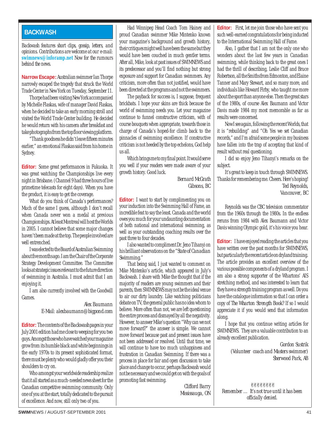#### **BACKWASH**

*Backwash features short clips, gossip, letters, and opinions. Contributions are welcome at our e-mail:* **swimnews@inforamp.net** *Now for the rumours behind the news.*

**Narrow Escape:**Australian swimmer Ian Thorpe narrowly escaped the tragedy that struck the World Trade Center in New York on Tuesday, September 11.

Thorpe had been visiting New York accompanied by Michelle Flaskas, wife of manager David Flaskas, when he decided to take an early morning stroll and visited the World Trade Center building. He decided he would return with his camera after breakfast and take photographs from the top floor viewing platform.

"Thank goodness he didn't leave fifteen minutes earlier," an emotional Flaskas said from his home in Sydney.

**Editor:** Some great performances in Fukuoka. It was great watching the Championships live every night in Brisbane. (Channel 9 had three hours of live primetime telecasts for eight days). When you have the product, it is easy to get the coverage.

What do you think of Canada's performances? Much of the same I guess, although I don't recall when Canada never won a medal at previous Championships. At least Montreal will host the Worlds in 2005. I cannot believe that some major changes haven't been made at the top. The people involved are well entrenched.

I was elected to the Board of Australian Swimming about five months ago. I am the Chair of the Corporate Strategy Development Committee. The Committee looks at strategic issues relevant to the future direction of swimming in Australia. I must admit that I am enjoying it.

I am also currently involved with the Goodwill Games.

#### *Alex Baumann E-Mail: alexbaumann@bigpond.com*

**Editor:** The contents of the *Backwash*pages in your July 2001 edition had me close to weeping for you two guys. Amongst those who have watched your magazine grow from its humble black and white beginnings in the early 1970s to its present sophisticated format, there must be plenty who would gladly offer you their shoulders to cry on.

Who amongst your worldwide readership realize that it all started as a much-needed news sheet for the Canadian competitive swimming community. Only one of you at the start, totally dedicated to the pursuit of excellence. And now, still only two of you.

Had Winnipeg Head Coach Tom Hainey and proud Canadian swimmer Mike Mintenko known your magazine's background and growth history, their critiques might well have been the same but they would have been couched in much gentler terms. After all, Mike, look at past issues of SWIMNEWS and its predecessor and you'll find nothing but strong exposure and support for Canadian swimmers. Any criticism, more often than not justified, would have been directed at the programs and not the swimmers.

The payback for success is, I suppose, frequent brickbats. I hope your skins are thick because the world of swimming needs you. Let your magazine continue to funnel constructive criticism, with of course bouquets when appropriate, towards those in charge of Canada's hoped-for climb back to the pinnacles of swimming excellence. If constructive criticism is not heeded by the top echelons, God help us all.

Which brings me to my final point. It would serve you well if your readers were made aware of your growth history. Good luck.

> *Bernard McGrath Gibsons, BC*

**Editor:** I want to start by complimenting you on your induction into the Swimming Hall of Fame, an incredible feat to say the least. Canada and the world owes you much for your undaunting documentation of both national and international swimming, as well as your outstanding coaching results over the past three to four decades.

I also wanted to compliment Dr. Jeno Tihanyi on his brilliant observations on the *"State of Canadian Swimming."*

That being said, I just wanted to comment on Mike Mintenko's article, which appeared in July's Backwash. I share with Mike the thought that if the majority of readers are young swimmers and their parents, then SWIMNEWS may not be the ideal venue to air our dirty laundry. Like watching politicians debate on TV, the general public has no idea whom to believe. More often than not, we are left questioning the entire process and dismayed by all the negativity. However, to answer Mike's question "Why can we not move forward?" the answer is simple. We cannot move forward because past and present issues have not been addressed or resolved. Until that time, we will continue to have too much unhappiness and frustration in Canadian Swimming. If there was a process in place for fair and open discussion to take place and change to occur, perhaps Backwash would not be necessary and we could get on with the goals of promoting fast swimming.

> *Clifford Barry Mississauga, ON*

**Editor:** First, let me join those who have sent you such well-earned congratulations for being inducted to the International Swimming Hall of Fame.

Also, I gather that I am not the only one who wonders about the last few years in Canadian swimming, while thinking back to the great ones I had the thrill of describing, Leslie Cliff and Bruce Robertson, all the Smiths from Edmonton, and Elaine Tanner and Mary Stewart, and so many more, and individuals like Howard Firby, who taught me more about the sport than anyone else. Then the great stars of the 1980s, of course Alex Baumann and Victor Davis made 1984 my most memorable as far as results were concerned.

Now I see again, following the recent Worlds, that it is "rebuilding" and "Oh Yes we set Canadian records," and I'm afraid some people in my business have fallen into the trap of accepting that kind of result without real questioning.

I did so enjoy Jeno Tihanyi's remarks on the subject.

It's great to keep in touch through SWIMNEWS. Thanks for remembering me. Cheers. Here's hoping! *Ted Reynolds, Vancouver, BC*

Reynolds was the CBC television commentator from the 1960s through the 1980s. In the endless reruns from 1984 with Alex Baumann and Victor Davis winning Olympic gold, it's his voice you hear.

**Editor:** I have enjoyed reading the articles that you have written over the past months for SWIMNEWS, but particularly the recent article on dryland training. The article provides an excellent overview of the various possible components of a dryland program. I am also a strong supporter of the Whartons' AIS stretching method, and was interested to learn that they have a strength training program as well. Do you have the catalogue information so that I can order a copy of *The Wharton Strength Book?* If so I would appreciate it if you would send that information along.

I hope that you continue writing articles for SWIMNEWS. They are a valuable contribution to an already excellent publication.

> *Gordon Sustrik (Volunteer coach and Masters swimmer) Sherwood Park, AB*

✌✌✌✌✌✌✌✌ *Remember … It's not true until it has been officially denied.*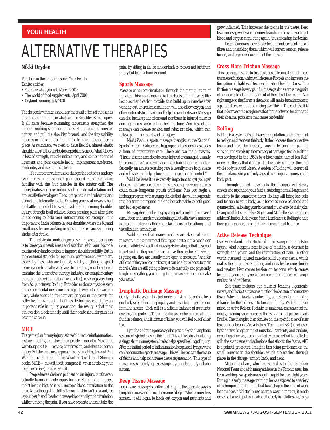#### **YOUR HEALTH**

### ALTERNATIVE THERAPIES

#### **Nikki Dryden**

Part four in the on-going series Your Health. Earlier articles:

- Your are what you eat, March 2001;
- The world of food supplements, April 2001;
- Dryland training, July 2001.

The dreaded swimmer's shoulder: the result of tens of thousands of strokes culminating in what is called Repetitive Stress Injury. It all starts because swimming movements strengthen the internal working shoulder muscles. Strong pectoral muscles tighten and pull the shoulder forward, and the tiny stability muscles in the shoulder are unable to hold the shoulder in place. As swimmers, we need to have flexible, almost elastic shoulders, but if they are too loose problems ensue. What follows is loss of strength, muscle imbalances, and combinations of ligament and joint capsule laxity, impingement syndrome, tendonitis, and even muscle tears.

It's our rotator cuff muscles that get the best of us, and any swimmer with the slightest pain should make themselves familiar with the four muscles in the rotator cuff. The infraspinatus and teres minor work on external rotation and are usually the weak guys. The supraspinatus and subscapularis abduct and internally rotate. Knowing your weaknesses is half the battle in the fight to stay ahead of a burgeoning shoulder injury. Strength is all relative. Bench pressing plate after plate is not going to help your infraspinatus get stronger. It is important to find a balance in your shoulder, where the big and small muscles are working in unison to keep you swimming stroke after stroke.

The first step in combating or preventing a shoulder injury is to know your weak areas and establish with your doctor a routine of dryland exercises to improve shoulder stability. But in the continual struggle for optimum performance, swimmers, especially those who are injured, will try anything to speed recovery or rebuild after a setback. In this piece, Your Health will examine the alternative therapy industry, or complementary therapy industry (as insiders like to call it), covering everything from Acupuncture to Rolfing. Forbidden and once mystic eastern and experimental medicine has crept its way into our western lives, while scientific frontiers are bridged in the search for better health. Although all of these techniques could play an important role in injury prevention, the reality is that most athletes don't look for help until their acute shoulder pain has become chronic.

#### **MICE**

The game plan for any injury is threefold: reduce inflammation, restore mobility, and strengthen problem muscles. Most of us were taught RICE—rest, ice, compression, and elevation for an injury. But there is a new approach today taught by Jim and Phil Wharton, co-authors of The Wharton Stretch and Strength books: MICE—move it, ice it, compress it (when not doing your rehab exercises), and elevate it.

People have a desire to put heat on an injury, but this can actually harm an acute injury further. For chronic injuries, moist heat is best, as it will increase blood circulation to the area. And although the chill of ice on the skin isn't pleasant, ice is your best friend! Ice also increases blood and lymph circulation while numbing the pain. If you have access to and can take the

pain, try sitting in an ice tank or bath to recover not just from injury but from a hard workout.

#### **Sports Massage**

Massage enhances circulation through the manipulation of muscles. This means moving out the bad stuff in muscles, like lactic acid and carbon dioxide, that build up in muscles after working out. Increased circulation will also allow oxygen and other nutrients to move in and help recover the tissue. Massage can also break up adhesions and scar tissue in injured muscles and ligaments, accelerating healing time. And best of all, massage can release tension and relax muscles, which can relieve pain from hard work or injury.

Mavis Wahl, a sports massage therapist at the National Sports Centre—Calgary, is a big proponent of sports massage as a form of preventative care. There are two main reasons: "Firstly, if some area does become injured or damaged, usually the damage isn't as severe and the rehabilitation is quicker. Secondly, an athlete receiving care is usually more body aware and will seek out help before an injury gets out of control."

Wahl believes it is extremely important to get younger athletes into care because injuries to young, growing muscles could cause long-term growth problems. Plus you begin a lifelong program with a young athlete that she will incorporate into her training regime, making her adaptable to both good and bad experiences.

Massage has the obvious physiological benefits of increased circulation and lymph muscle drainage. But with Mavis, massage is also a time for an athlete to relax, focus on breathing, and visualization techniques.

Wahl agrees that many coaches are skeptical about massage. "It is sometimes difficult getting it out of a coach's or even an athlete's head that massage is for wimps, that it is good to just suck up the pain." But as long as the coaches know what is going on, they are usually more open to massage. "And for athletes, if they are feeling better, it can be a huge boost to their morale. You are still going to have to be mentally and physically tough in everything you do—getting a massage does not make you weak."

#### **Lymphatic Drainage Massage**

Our lymphatic system lies just under our skin. Its job is to help our body's cells function properly and has a big impact on our immune system. Each cell is a delicate balance of nutrients, oxygen, and proteins. The lymphatic system helps keep all that fluid in balance, and if it is out of kilter, you will feel out of kilter too.

Lymphatic drainage massage helps to make the lymphatic system do its job of moving this fluid. This will help in stimulating a sluggish immune system. It also helps speed healing of injury. After the initial period of inflammation has passed, lymph work can be done after sports massage. This will help clean the tissue of debris and help to increase tissue regeneration. This type of massage is extremely light so as to gently stimulate the lymphatic system.

#### **Deep Tissue Massage**

Deep tissue massage is performed in quite the opposite way as lymphatic massage; hence the name "deep." When a muscle is stressed, it will begin to block out oxygen and nutrients and grow inflamed. This increases the toxins in the tissue. Deep tissue massage works on the muscle and connective tissue to get blood and oxygen circulating again, thus releasing the toxins.

Deep tissue massage works by treating independent muscle fibres and unsticking them, which will correct tension, release toxins, and begin reeducation of the muscle.

#### **Cross Fibre Friction Massage**

This technique works to treat soft tissue lesions through deep transverse friction, which will decrease Fibrosis and increase the formation of pliable soft tissue at the site of healing. Cross fibre friction massage is very painful massage done across the grain of a muscle, tendon, or ligament at the site of the lesion. At a right angle to the fibres, a therapist will make broad strokes to separate fibers without bouncing over them. The end result is that it decreases the roughness that forms between tendons and their sheaths, problems that cause tendonitis.

#### **Rolfing**

Rolfing is a system of soft tissue manipulation and movement to realign and reorient the body. It then loosens the connective tissue and frees the muscles, causing tension and pain to subside, and speeds up the recovery of damaged tissue. Rolfing was developed in the 1950s by a biochemist named Ida Rolf, under the theory that if one part of the body is injured then the whole body is out of whack. A session of Rolfing will correct all the imbalances in your body caused by an injury to one specific body part.

Through guided movements, the therapist will slowly stretch and reposition your fascia, restoring normal length and elasticity to the connective fibres. Rolfing will bring less pain and tension to your body, as it becomes more balanced and symmetrical, allowing your bones and muscles to do their jobs. Olympic athletes like Elvis Stojko and Michelle Kwan and pro athletes Charles Barkley and Mario Lemieux use Rolfing to help their performance, in particular their centre of balance.

#### **Active Release Technique**

Over-worked and under-stretched muscles are prime targets for injury. What happens next is loss of mobility, a decrease in strength and power, and the introduction of pain. In other words, overused, injured muscles build up scar tissue, which makes the other tissues tighter, and muscles become shorter and weaker. Next comes tension on tendons, which causes tendonitis, and finally nerves can become entrapped, causing a multitude of problems.

Soft tissue includes our muscles, tendons, ligaments, nerves, and fascia. Our fascia is our flexible skeleton of connective tissue. When the fascia is unhealthy, adhesions form, making it harder for the soft tissue to function fluidly. With all this in mind, an Active Release Technician makes an assessment of the injury, reading your muscles the way a blind person reads Braille. The therapist then focuses on the specific sites of scar tissue and adhesions. Active Release Technique (ART) is achieved by the active lengthening of muscles, ligaments, and tendons, or pulling of nerves, accompanied by pressure that is applied to split the scar tissue and adhesions that stick to the fascia. ART is a painful procedure. Imagine this being performed on the small muscles in the shoulder, which are reached through places in the ribcage, armpit, back, and neck.

Milton Bingham, who has worked with the Canadian National Team and with many athletes in the Toronto area, has been working as a sports massage therapist for over eight years. During his early massage training, he was exposed to a variety of techniques and thinking that have shaped the kind of work he now does. "Athletes' muscles are always in motion, it made no sense to me to just learn about the body in a static state," says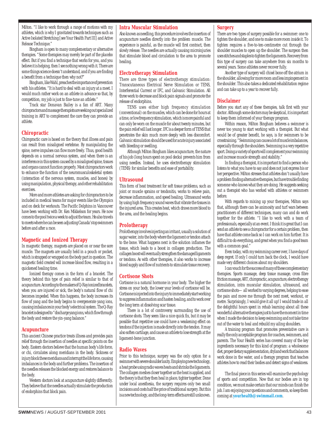Milton. "I like to work through a range of motions with my athletes, which is why I gravitated towards techniques such as Active Isolated Stretching [see Your Health Part III] and Active Release Technique."

Bingham is open to many complementary or alternative therapies. "Some therapies may merely be part of the placebo effect. But if you find a technique that works for you, and you believe it is helping, then I see nothing wrong with it. There are some things science doesn't understand, and if you are finding a benefit from a technique then why not?"

Bingham, like Wahl, preaches the importance of prevention with his athletes. "It is hard to deal with an injury at a meet. I would much rather work on an athlete in advance so that, by competition, my job is just to fine-tune an athlete."

Track star Donavan Bailey is a fan of ART. Many chiropractors and massage therapists are seeking out specialized training in ART to complement the care they can provide an athlete.

#### **Chiropractic**

Chiropractic care is based on the theory that illness and pain can result from misaligned vertebrae. By manipulating the spine, nerve impulses can flow more freely. Thus, good health depends on a normal nervous system, and when there is an interference in this system caused by a misaligned spine, tissues and organs cannot function properly. Most chiropractors work to enhance the function of the neuromusculoskeletal system (interaction of the nervous system, muscles, and bones) by using manipulation, physical therapy, and other rehabilitation exercises.

More and more athletes are asking for chiropractors to be included in medical teams for major events like the Olympics and on deck for workouts. The Pacific Dolphins in Vancouver have been working with Dr. Ken Mikkelson for years. He now comes to the pool twice a week to adjust the team. He also travels to meets where he can be seen adjusting Canada's top swimmers before and after a race.

#### **Magnetic and Ionized Therapy**

In magnetic therapy, magnets are placed on or near the sore muscle. The magnets are usually held in a pouch or pocket, which is strapped or wrapped on the body part in question. The magnetic field created will increase blood flow, resulting in a quickened healing time.

Ionized therapy comes in the form of a bracelet. The theory behind this type of pain relief is similar to that of acupuncture. According to the makers of Q-Ray ionized bracelets, when you are injured or sick, the body's natural flow of chi becomes impeded. When this happens, the body increases its flow of yang and the body begins to overgenerate yang ions, causing imbalances in your body's electrical system. The Q-Ray bracelet is designed to "discharge yang ions, which flow through the body and restore the yin-yang balance."

#### **Acupuncture**

This ancient Chinese practice treats illness and provides pain relief through the insertion of needles at specific points on the body. Eastern doctors believe that the human body's life force, or chi, circulates along meridians in the body. Sickness or injury block these meridians and interrupt the life force, causing imbalances in the body and further problems. The insertion of the needles releases the blocked energy and restores balance to the body.

Western doctors look at acupuncture slightly differently. They believe that the needles actually stimulate the production of endorphins that block pain.

#### **Intra Muscular Stimulation**

Also known as needling, this procedure involves the insertion of acupuncture needles directly into the problem muscle. The experience is painful, as the muscle will first contract, then slowly release. The needles are actually causing microinjuries that stimulate blood and circulation to the area to promote healing.

#### **Electrotherapy Stimulation**

There are three types of electrotherapy stimulation: Transcutaneous Electrical Nerve Stimulation or TENS, Interferential Current or IFC, and Galvanic Stimulation. All three work to decrease and block pain signals and promote the release of endorphins.

TENS uses either high frequency stimulation (conventional) on the muscles, which can be done for hours at a time, or low frequency stimulation, which is more painful and can only be worn on the muscle for about twenty minutes, but the pain relief will last longer. IFC is a deeper form of TENS that penetrates the skin much more deeply with less discomfort. Galvanic stimulation should be used for acute injury associated with bleeding or swelling.

Although Milton Bingham likes acupuncture, the nature of his job (long hours spent on pool decks) prevents him from using needles. Instead, he uses electrotherapy stimulation (TENS) for similar benefits and ease of portability.

#### **Ultrasound**

This form of heat treatment for soft tissue problems, such as joint or muscle sprains or tendonitis, works to relieve pain, decrease inflammation, and speed healing. Ultrasound works by using high frequency sound waves that vibrate the tissues in the injured area. This creates heat, which draws more blood to the area, and the healing begins.

#### **Prolotherapy**

Prolotherapy involves injecting an irritant, usually a solution of sugar water, into the body where the ligament or tendon attach to the bone. What happens next is the solution inflames the tissue, which leads to a boost in collagen production. The collagen boost will eventually strengthen the damaged ligaments or tendons. As with other therapies, it also works to increase blood supply and flow of nutrients to stimulate tissue recovery.

#### **Cortisone Shots**

Cortisone is a natural hormone in your body. The higher the stress on your body, the lower your levels of cortisone will be. Cortisone is injected into the injury to immediately start working to suppress inflammation and hasten healing, and to work over the long term at dissolving scar tissue.

There is a lot of controversy surrounding the use of cortisone shots. They seem like a nice quick fix, but it may be possible that repetitive use could have a weakening effect on tendons if the injection is made directly into the tendon. It may also soften cartilage, and cause an athlete to lose strength at the ligament-bone junction.

#### **Radio Waves**

Prior to this technique, surgery was the only option for a swimmer with severe shoulder laxity. Employing new technology, a heat probe using radio waves heats and shrinks the ligaments. The collagen meshes closer together as the heat is applied, and the theory is that they then heal in place, tighter together. Done under local anesthesia, the surgery requires only two small incisions and costs half the price of traditional surgery. But this is a new technology, and the long-term effects are still unknown.

#### **Surgery**

There are two types of surgery possible for a swimmer: one to tighten the shoulder, and one to make more room inside it. To tighten requires a five-to-ten-centimetre cut through the shoulder muscles to open up the shoulder. The surgeon then uses stitches and staples to tighten the ligaments. Recovery from this type of surgery can take anywhere from six months to several years. Some athletes never recover fully.

Another type of surgery will chisel bone off the atrium in the shoulder, allowing for more room and less impingement in the shoulder. This also takes a dedicated rehabilitation regime and can take up to a year to recover fully.

#### **Disclaimer**

Before you start any of these therapies, talk first with your doctor. Although some doctors may be skeptical, it is important to keep them informed of your therapy program.

Within reason, Milton Bingham believes a swimmer is never too young to start working with a therapist. But what would be of greater benefit, he says, is for swimmers to be crosstraining. "Swimming can cause a lot of muscle imbalances, especially through the shoulders. Swimming is a very repetitive sport. Doing a variety of sports will complement your swimming and increase muscle strength and stability."

In finding a therapist, it is important to find a person who listens to what you have to say and does not just express his or her perspective. Milton stresses that athletes don't usually have a problem finding alternative therapies, but have trouble finding someone who knows what they are doing. He suggests seeking out a therapist who has worked with athletes or swimmers before.

With regards to mixing up your therapies, Milton says that, although there can be animosity and turf wars between practitioners of different techniques, many can and do work together for the athlete. "I like to work with a team of professionals, especially at an event. I think it is great that I can send an athlete to see a chiropractor for a certain problem, then have that athlete come back so I can work on him further. It is difficult to do everything, and great when you find a good team with a common goal."

Even today, with my swimming career over, I have days of deep regret. If only I could turn back the clock, I would have made very different choices about my shoulders.

I can vouch for the success of many of these complementary therapies. Sports massage, deep tissue massage, cross fibre friction massage, ART, chiropractic, acupuncture, electrotherapy stimulation, intra muscular stimulation, ultrasound, and cortisone shots—all worked to varying degrees, helping to ease the pain and move me through the next meet, workout, or metre. Surprisingly, I would give it all up! I would trade in all the delightful hours spent in rehab learning about all these wonderful alternative therapies just to have the moment in time when I made the decision to keep swimming and not take time out of the water to heal and rebuild my ailing shoulders.

A training program that promotes preventative care is really the only acceptable program for coaches, swimmers, and parents. The Your Health series has covered many of the key ingredients necessary for this kind of program: a wholesome diet, proper dietary supplementation, dryland work that balances work done in the water, and a therapy program that teaches athletes how to read their bodies and detect signs of weakness.

The final piece in this series will examine the psychology of sports and competition. Now that our bodies are in top condition, we must make certain that our minds can finish the job. I am enjoying your questions and comments, so keep them coming at **yourhealth@swimmail.com**.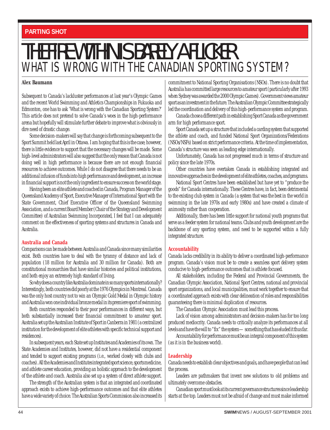### WHAT IS WRONG WITH THE CANADIAN SPORTING SYSTEM? THE FIRE WITHIN IS BARELY A FLICKER

#### **Alex Baumann**

Subsequent to Canada's lackluster performances at last year's Olympic Games and the recent World Swimming and Athletics Championships in Fukuoka and Edmonton, one has to ask 'What is wrong with the Canadian Sporting System?' This article does not pretend to solve Canada's woes in the high-performance arena but hopefully will stimulate further debate to improve what is obviously in dire need of drastic change.

Some decision-makers will say that change is forthcoming subsequent to the Sport Summit held last April in Ottawa. I am hoping that this is the case; however, there is little evidence to support that the necessary changes will be made. Some high-level administrators will also suggest that the only reason that Canada is not doing well in high performance is because there are not enough financial resources to achieve outcomes. While I do not disagree that there needs to be an additional infusion of funds into high performance and development, an increase in financial support is not the only ingredient to ensure success on the world stage.

Having been an elite athlete and coached in Canada, Program Manager of the Queensland Academy of Sport, Executive Manager of International Sport with the State Government, Chief Executive Officer of the Queensland Swimming Association, and a current Board Member (Chair of the Strategy and Development Committee) of Australian Swimming Incorporated, I feel that I can adequately comment on the effectiveness of sporting systems and structures in Canada and Australia.

#### **Australia and Canada**

Comparisons can be made between Australia and Canada since many similarities exist. Both countries have to deal with the tyranny of distance and lack of population (18 million for Australia and 30 million for Canada). Both are constitutional monarchies that have similar histories and political institutions, and both enjoy an extremely high standard of living.

So why does a country like Australia dominate in so many sports internationally? Interestingly, both countries did poorly at the 1976 Olympics in Montreal. Canada was the only host country not to win an Olympic Gold Medal in Olympic history and Australia won one individual bronze medal in its premiere sport of swimming.

Both countries responded to their poor performances in different ways, but both substantially increased their financial commitment to amateur sport. Australia set up the Australian Institute of Sport in Canberra in 1981 (a centralized institution for the development of elite athletes with specific technical support and residences).

In subsequent years, each State set up Institutes and Academies of its own. The State Academies and Institutes, however, did *not* have a residential component and tended to support existing programs (i.e., worked closely with clubs and coaches). All the Academies and Institutes integrated sport science, sports medicine, and athlete career education, providing an holistic approach to the development of the athlete and coach. Australia also set up a system of direct athlete support.

The strength of the Australian system is that an integrated and coordinated approach exists to achieve high-performance outcomes and that elite athletes have a wide variety of choice. The Australian Sports Commission also increased its commitment to National Sporting Organisations (NSOs). There is no doubt that Australia has committed large resources to amateur sport (particularly after 1993 when Sydney was awarded the 2000 Olympic Games). Government views amateur sport as an investment in the future. The Australian Olympic Committee strategically led the coordination and delivery of this high-performance system and program.

Canada chose a different path in establishing Sport Canada as the government arm for high performance sport.

Sport Canada set up a structure that included a carding system that supported the athlete and coach, and funded National Sport Organizations/Federations (NSOs/NSFs) based on strict performance criteria. At the time of implementation, Canada's structure was seen as leading edge internationally.

Unfortunately, Canada has not progressed much in terms of structure and policy since the late 1970s.

Other countries have overtaken Canada in establishing integrated and innovative approaches in the development of elite athletes, coaches, and programs.

National Sport Centres have been established but have yet to "produce the goods" for Canada internationally. These Centres have, in fact, been detrimental to the existing club system in Canada (a system that was the best in the world in swimming in the late 1970s and early 1980s) and have created a climate of animosity rather than cooperation.

Additionally, there has been little support for national youth programs that serve as a feeder system for national teams. Clubs and youth development are the backbone of any sporting system, and need to be supported within a fully integrated structure.

#### **Accountability**

Canada lacks credibility in its ability to deliver a coordinated high-performance program. Canada's vision must be to create a seamless sport delivery system conducive to high-performance outcomes that is athlete focused.

All stakeholders, including the Federal and Provincial Governments, the Canadian Olympic Association, National Sport Centres, national and provincial sport organizations, and local municipalities, must work together to ensure that a coordinated approach exists with clear delineation of roles and responsibilities guaranteeing there is minimal duplication of resources.

The Canadian Olympic Association must lead this process.

Lack of vision among administrators and decision-makers has for too long produced mediocrity. Canada needs to critically analyze its performances at all levels and have the will to "fix" the system—something that has eluded it thus far.

Accountability for performance must be an integral component of this system (as it is in the business world).

#### **Leadership**

Canada needs to establish clear objectives and goals, and have people that can lead the process.

Leaders are pathmakers that invent new solutions to old problems and ultimately overcome obstacles.

Canadian sport must look at its current governance structures since leadership starts at the top. Leaders must not be afraid of change and must make informed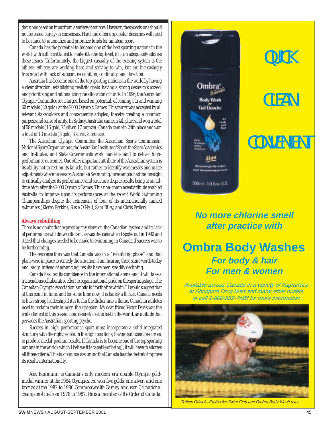decisions based on input from a variety of sources. However, these decisions should not be based purely on consensus. Hard and often unpopular decisions will need to be made to rationalize and prioritize funds for amateur sport.

Canada has the potential to become one of the best sporting nations in the world, with sufficient talent to make it to the top level, if it can adequately address these issues. Unfortunately, the biggest casualty of the existing system is the athlete. Athletes are working hard and striving to win, but are increasingly frustrated with lack of support, recognition, continuity, and direction.

Australia has become one of the top sporting nations in the world by having a clear direction, establishing realistic goals, having a strong desire to succeed, and prioritizing and rationalizing the allocation of funds. In 1996, the Australian Olympic Committee set a target, based on potential, of coming 5th and winning 60 medals (20 gold) at the 2000 Olympic Games. This target was accepted by all relevant stakeholders and consequently adopted, thereby creating a common purpose and sense of unity. In Sydney, Australia came in 4th place and won a total of 58 medals (16 gold, 25 silver, 17 bronze); Canada came in 24th place and won a total of 13 medals (3 gold, 3 silver, 8 bronze).

The Australian Olympic Committee, the Australian Sports Commission, National Sport Organisations, the Australian Institute of Sport, the State Academies and Institutes, and State Governments work hand-in-hand to deliver highperformance outcomes. One other important attribute of the Australian system is its ability not to rest on its laurels, but rather to identify weaknesses and make adjustments where necessary. Australian Swimming, for example, had the foresight to critically analyze its performance and structure despite results being at an alltime high after the 2000 Olympic Games. This non-complacent attitude enabled Australia to improve upon its performances at the recent World Swimming Championships despite the retirement of four of its internationally ranked swimmers (Kieren Perkins, Susie O'Neill, Sam Riley, and Chris Fydler).

#### **Always rebuilding**

There is no doubt that expressing my views on the Canadian system and its lack of performance will draw criticism, as was the case when I spoke out in 1990 and stated that changes needed to be made to swimming in Canada if success was to be forthcoming.

The response then was that Canada was in a "rebuilding phase" and that plans were in place to remedy the situation. I am hearing these same words today and, sadly, instead of advancing, results have been steadily declining.

Canada has lost its confidence in the international arena and it will take a tremendous collaborative effort to regain national pride on the sporting stage. The Canadian Olympic Association's motto is "for the fire within." I would suggest that at this point in time, and for some time now, it is barely a flicker. Canada needs to have strong leadership if it is to fan the flicker into a flame. Canadian athletes need to reclaim their hunger, their passion. My dear friend Victor Davis was the embodiment of this passion and desire to be the best in the world, an attitude that pervades the Australian sporting psyche.

Success in high performance sport must incorporate a solid integrated structure, with the right people, in the right positions, having sufficient resources, to produce medal-podium results. If Canada is to become one of the top sporting nations in the world (which I believe it is capable of being), it will have to address all three criteria. This is, of course, assuming that Canada has the desire to improve its results internationally.

*Alex Baumann is Canada's only modern era double Olympic goldmedal winner at the 1984 Olympics. He won five golds, one silver, and one bronze at the 1982 to 1986 Commonwealth Games, and won 34 national championships from 1978 to 1987. He is a member of the Order of Canada.*



### **QUICK**

## **CLEAN**

### **CONVENIENT**

### **No more chlorine smell after practice with**

### **Ombra Body Washes For body & hair For men & women**

Available across Canada in a variety of fragrances at Shoppers Drug Mart and many other outlets or call 1-800-559-7498 for more information



Tobias Oriwol—Etobicoke Swim Club and Ombra Body Wash user